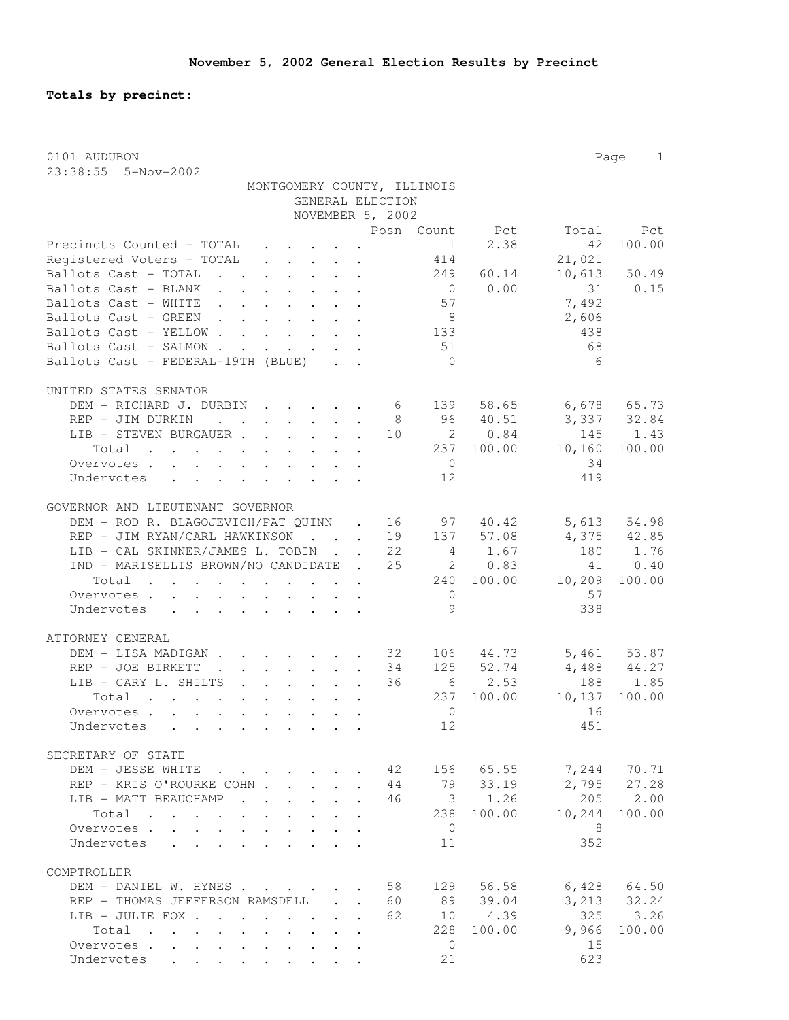**Totals by precinct:**

| 0101 AUDUBON                                                                                                                                                    |                                         |                                      |                |                |                 | Page<br>$\mathbf{1}$ |
|-----------------------------------------------------------------------------------------------------------------------------------------------------------------|-----------------------------------------|--------------------------------------|----------------|----------------|-----------------|----------------------|
| 23:38:55  5-Nov-2002                                                                                                                                            |                                         |                                      |                |                |                 |                      |
| MONTGOMERY COUNTY, ILLINOIS                                                                                                                                     |                                         |                                      |                |                |                 |                      |
|                                                                                                                                                                 |                                         | GENERAL ELECTION<br>NOVEMBER 5, 2002 |                |                |                 |                      |
|                                                                                                                                                                 |                                         |                                      |                | Posn Count Pct | Total           | Pct                  |
| Precincts Counted - TOTAL                                                                                                                                       |                                         |                                      | $\overline{1}$ | 2.38           | 42              | 100.00               |
| $\mathbf{r}$ , and $\mathbf{r}$ , and $\mathbf{r}$ , and $\mathbf{r}$<br>Registered Voters - TOTAL<br>$\mathbf{r}$ , $\mathbf{r}$ , $\mathbf{r}$ , $\mathbf{r}$ |                                         |                                      | 414            |                | 21,021          |                      |
| Ballots Cast - TOTAL                                                                                                                                            |                                         |                                      | 249            | 60.14          | 10,613          | 50.49                |
| Ballots Cast - BLANK                                                                                                                                            |                                         |                                      | $\overline{0}$ | 0.00           | 31              | 0.15                 |
| Ballots Cast - WHITE                                                                                                                                            |                                         |                                      | 57             |                | 7,492           |                      |
| Ballots Cast - GREEN                                                                                                                                            |                                         |                                      | 8 <sup>8</sup> |                | 2,606           |                      |
| Ballots Cast - YELLOW                                                                                                                                           |                                         |                                      | 133            |                | 438             |                      |
| Ballots Cast - SALMON.<br>$\mathbf{r}$ , $\mathbf{r}$ , $\mathbf{r}$                                                                                            | $\cdot$ $\cdot$ $\cdot$ $\cdot$ $\cdot$ |                                      | 51             |                | 68              |                      |
| Ballots Cast - FEDERAL-19TH (BLUE)                                                                                                                              |                                         |                                      | $\overline{0}$ |                | 6               |                      |
|                                                                                                                                                                 |                                         |                                      |                |                |                 |                      |
| UNITED STATES SENATOR                                                                                                                                           |                                         |                                      |                |                |                 |                      |
| DEM - RICHARD J. DURBIN                                                                                                                                         |                                         | $6\overline{6}$                      |                | 139 58.65      | $6,678$ $65.73$ |                      |
| REP - JIM DURKIN<br>$\mathbf{r} = \mathbf{r} + \mathbf{r} + \mathbf{r} + \mathbf{r}$                                                                            |                                         | 8                                    |                | 96 40.51       |                 | 3,337 32.84          |
| LIB - STEVEN BURGAUER.<br>$\cdot$ $\cdot$ $\cdot$ $\cdot$ $\cdot$ $\cdot$                                                                                       |                                         | 10                                   | $\overline{2}$ | 0.84           | 145             | 1.43                 |
| Total                                                                                                                                                           |                                         |                                      |                | 237 100.00     | 10,160          | 100.00               |
| Overvotes                                                                                                                                                       |                                         |                                      | $\overline{0}$ |                | 34              |                      |
| Undervotes<br>$\mathbf{r}$ , $\mathbf{r}$ , $\mathbf{r}$ , $\mathbf{r}$ , $\mathbf{r}$ , $\mathbf{r}$ , $\mathbf{r}$                                            |                                         |                                      | 12             |                | 419             |                      |
|                                                                                                                                                                 |                                         |                                      |                |                |                 |                      |
| GOVERNOR AND LIEUTENANT GOVERNOR                                                                                                                                |                                         |                                      |                |                |                 |                      |
| DEM - ROD R. BLAGOJEVICH/PAT QUINN . 16                                                                                                                         |                                         |                                      | 97             | 40.42          | 5,613           | 54.98                |
| REP - JIM RYAN/CARL HAWKINSON                                                                                                                                   |                                         | 19                                   |                | 137 57.08      |                 | 4,375 42.85          |
| LIB - CAL SKINNER/JAMES L. TOBIN                                                                                                                                |                                         | 22                                   |                | 4 1.67         | 180             | 1.76                 |
| IND - MARISELLIS BROWN/NO CANDIDATE .                                                                                                                           |                                         | 25                                   |                | 2 0.83         | 41              | 0.40                 |
| Total                                                                                                                                                           |                                         |                                      |                | 240 100.00     | 10,209          | 100.00               |
| Overvotes<br>and a strong control of the state of                                                                                                               |                                         |                                      | $\mathbf{0}$   |                | 57              |                      |
| Undervotes<br>$\mathbf{r}$ , and $\mathbf{r}$ , and $\mathbf{r}$ , and $\mathbf{r}$<br>$\ddot{\phantom{a}}$                                                     |                                         |                                      | 9              |                | 338             |                      |
|                                                                                                                                                                 |                                         |                                      |                |                |                 |                      |
| ATTORNEY GENERAL                                                                                                                                                |                                         |                                      |                |                |                 |                      |
| DEM - LISA MADIGAN                                                                                                                                              |                                         | 32                                   |                | 106 44.73      |                 | 5,461 53.87          |
| REP - JOE BIRKETT<br>$\sim 100$ km s $^{-1}$                                                                                                                    |                                         | 34                                   | 125            | 52.74          | $4,488$ $44.27$ |                      |
| LIB - GARY L. SHILTS                                                                                                                                            |                                         | 36                                   |                | 6 2.53         | 188             | 1.85                 |
| Total                                                                                                                                                           |                                         |                                      | 237            | 100.00         | 10,137          | 100.00               |
| Overvotes.                                                                                                                                                      |                                         |                                      | $\circ$        |                | 16              |                      |
| Undervotes                                                                                                                                                      |                                         |                                      | 12             |                | 451             |                      |
|                                                                                                                                                                 |                                         |                                      |                |                |                 |                      |
| SECRETARY OF STATE                                                                                                                                              |                                         |                                      |                |                |                 |                      |
| DEM - JESSE WHITE                                                                                                                                               |                                         | 42                                   |                | 156 65.55      | 7,244           | 70.71                |
| REP - KRIS O'ROURKE COHN                                                                                                                                        |                                         | 44<br>$\mathbf{r}$                   |                | 79 33.19       | 2,795           | 27.28                |
| LIB - MATT BEAUCHAMP<br>$\mathbf{r}$ , $\mathbf{r}$ , $\mathbf{r}$ , $\mathbf{r}$                                                                               |                                         | 46                                   |                | 3 1.26         | 205             | 2.00                 |
| Total<br>$\cdots$<br>$\ddot{\phantom{a}}$ . The set of $\ddot{\phantom{a}}$                                                                                     | $\cdot$ $\cdot$ $\cdot$                 |                                      | 238            | 100.00         | 10,244          | 100.00               |
| Overvotes                                                                                                                                                       |                                         |                                      | $\overline{0}$ |                | - 8             |                      |
| Undervotes<br>$\ddot{\phantom{a}}$                                                                                                                              |                                         |                                      | 11             |                | 352             |                      |
|                                                                                                                                                                 |                                         |                                      |                |                |                 |                      |
| COMPTROLLER                                                                                                                                                     |                                         |                                      |                |                |                 |                      |
| DEM - DANIEL W. HYNES                                                                                                                                           |                                         | 58                                   | 129            | 56.58          |                 | $6,428$ $64.50$      |
| REP - THOMAS JEFFERSON RAMSDELL                                                                                                                                 |                                         | 60                                   | 89             | 39.04          |                 | 3, 213 32.24         |
| LIB - JULIE FOX<br>$\cdot$ $\cdot$ $\cdot$ $\cdot$ $\cdot$                                                                                                      |                                         | 62<br>$\mathbf{r}$                   |                | 10 4.39        | 325             | 3.26                 |
| Total<br>the contract of the contract of the contract of the contract of the contract of the contract of the contract of                                        |                                         |                                      | 228            | 100.00         | 9,966           | 100.00               |
| Overvotes                                                                                                                                                       |                                         |                                      | 0              |                | 15              |                      |
| Undervotes                                                                                                                                                      |                                         |                                      | 21             |                | 623             |                      |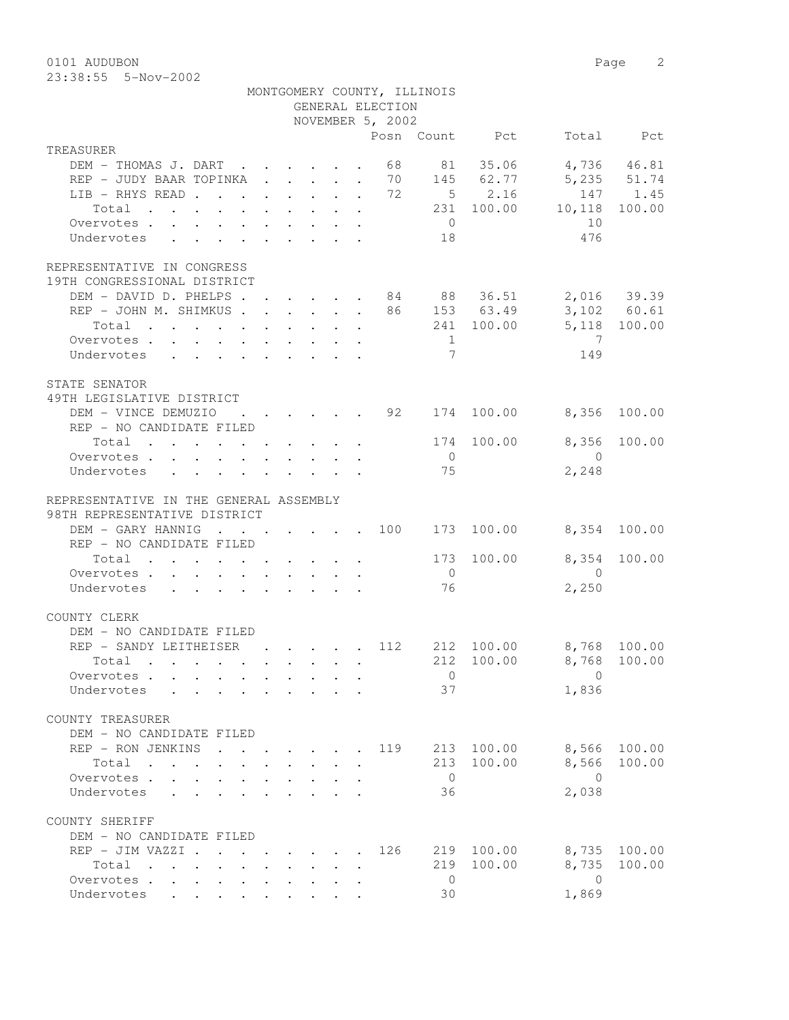0101 AUDUBON Page 2 23:38:55 5-Nov-2002

| Posn Count Pct<br>Total Pct<br>TREASURER<br>DEM - THOMAS J. DART 68 81 35.06 4,736 46.81<br>REP - JUDY BAAR TOPINKA 70 145 62.77 5,235 51.74<br>LIB - RHYS READ 72 5 2.16<br>147 1.45<br>$\cdot$ 231 100.00 10,118 100.00<br>Total<br>$\overline{0}$<br>10<br>Overvotes.<br>476<br>Undervotes 18<br>REPRESENTATIVE IN CONGRESS<br>19TH CONGRESSIONAL DISTRICT<br>DEM - DAVID D. PHELPS 84 88 36.51 2,016 39.39<br>REP - JOHN M. SHIMKUS 86 153 63.49<br>3,102 60.61<br>Total 241 100.00 5,118 100.00<br>$\overline{7}$<br>Overvotes.<br>$\sim$ 1<br>$\overline{7}$<br>149<br>Undervotes<br>STATE SENATOR<br>49TH LEGISLATIVE DISTRICT<br>$\cdot$ 92 174 100.00 8,356 100.00<br>DEM - VINCE DEMUZIO<br>REP - NO CANDIDATE FILED<br>8,356<br>Total 174 100.00<br>100.00<br>$\overline{0}$<br>$\overline{0}$<br>Overvotes<br>2,248<br>75<br>Undervotes<br>REPRESENTATIVE IN THE GENERAL ASSEMBLY<br>98TH REPRESENTATIVE DISTRICT<br>DEM - GARY HANNIG 100 173 100.00<br>8,354 100.00<br>REP - NO CANDIDATE FILED<br>8,354 100.00<br>173 100.00<br>Total $\cdot$<br>$\overline{0}$<br>$\overline{0}$<br>Overvotes.<br>76<br>2,250<br>Undervotes<br>DEM - NO CANDIDATE FILED<br>REP - SANDY LEITHEISER 112 212 100.00 8,768 100.00<br>212 100.00 8,768 100.00<br>Total<br>$\overline{0}$<br>$\Omega$<br>Overvotes<br>37<br>1,836<br>Undervotes .<br>COUNTY TREASURER<br>DEM - NO CANDIDATE FILED<br>8,566<br>REP - RON JENKINS<br>213 100.00<br>100.00<br>119<br>213 100.00<br>8,566<br>Total<br>100.00<br>$\overline{0}$<br>$\overline{0}$<br>Overvotes<br>2,038<br>Undervotes<br>36<br>$\mathbf{A}$<br>COUNTY SHERIFF<br>DEM - NO CANDIDATE FILED<br>REP - JIM VAZZI .<br>100.00<br>8,735<br>100.00<br>126<br>219<br>$\cdot$ $\cdot$ $\cdot$ $\cdot$ $\cdot$ $\cdot$ $\cdot$ |              |  |  | GENERAL ELECTION<br>NOVEMBER 5, 2002 | MONTGOMERY COUNTY, ILLINOIS |  |  |
|---------------------------------------------------------------------------------------------------------------------------------------------------------------------------------------------------------------------------------------------------------------------------------------------------------------------------------------------------------------------------------------------------------------------------------------------------------------------------------------------------------------------------------------------------------------------------------------------------------------------------------------------------------------------------------------------------------------------------------------------------------------------------------------------------------------------------------------------------------------------------------------------------------------------------------------------------------------------------------------------------------------------------------------------------------------------------------------------------------------------------------------------------------------------------------------------------------------------------------------------------------------------------------------------------------------------------------------------------------------------------------------------------------------------------------------------------------------------------------------------------------------------------------------------------------------------------------------------------------------------------------------------------------------------------------------------------------------------------------------------------------------------------|--------------|--|--|--------------------------------------|-----------------------------|--|--|
|                                                                                                                                                                                                                                                                                                                                                                                                                                                                                                                                                                                                                                                                                                                                                                                                                                                                                                                                                                                                                                                                                                                                                                                                                                                                                                                                                                                                                                                                                                                                                                                                                                                                                                                                                                           |              |  |  |                                      |                             |  |  |
|                                                                                                                                                                                                                                                                                                                                                                                                                                                                                                                                                                                                                                                                                                                                                                                                                                                                                                                                                                                                                                                                                                                                                                                                                                                                                                                                                                                                                                                                                                                                                                                                                                                                                                                                                                           |              |  |  |                                      |                             |  |  |
|                                                                                                                                                                                                                                                                                                                                                                                                                                                                                                                                                                                                                                                                                                                                                                                                                                                                                                                                                                                                                                                                                                                                                                                                                                                                                                                                                                                                                                                                                                                                                                                                                                                                                                                                                                           |              |  |  |                                      |                             |  |  |
|                                                                                                                                                                                                                                                                                                                                                                                                                                                                                                                                                                                                                                                                                                                                                                                                                                                                                                                                                                                                                                                                                                                                                                                                                                                                                                                                                                                                                                                                                                                                                                                                                                                                                                                                                                           |              |  |  |                                      |                             |  |  |
|                                                                                                                                                                                                                                                                                                                                                                                                                                                                                                                                                                                                                                                                                                                                                                                                                                                                                                                                                                                                                                                                                                                                                                                                                                                                                                                                                                                                                                                                                                                                                                                                                                                                                                                                                                           |              |  |  |                                      |                             |  |  |
|                                                                                                                                                                                                                                                                                                                                                                                                                                                                                                                                                                                                                                                                                                                                                                                                                                                                                                                                                                                                                                                                                                                                                                                                                                                                                                                                                                                                                                                                                                                                                                                                                                                                                                                                                                           |              |  |  |                                      |                             |  |  |
|                                                                                                                                                                                                                                                                                                                                                                                                                                                                                                                                                                                                                                                                                                                                                                                                                                                                                                                                                                                                                                                                                                                                                                                                                                                                                                                                                                                                                                                                                                                                                                                                                                                                                                                                                                           |              |  |  |                                      |                             |  |  |
|                                                                                                                                                                                                                                                                                                                                                                                                                                                                                                                                                                                                                                                                                                                                                                                                                                                                                                                                                                                                                                                                                                                                                                                                                                                                                                                                                                                                                                                                                                                                                                                                                                                                                                                                                                           |              |  |  |                                      |                             |  |  |
|                                                                                                                                                                                                                                                                                                                                                                                                                                                                                                                                                                                                                                                                                                                                                                                                                                                                                                                                                                                                                                                                                                                                                                                                                                                                                                                                                                                                                                                                                                                                                                                                                                                                                                                                                                           |              |  |  |                                      |                             |  |  |
|                                                                                                                                                                                                                                                                                                                                                                                                                                                                                                                                                                                                                                                                                                                                                                                                                                                                                                                                                                                                                                                                                                                                                                                                                                                                                                                                                                                                                                                                                                                                                                                                                                                                                                                                                                           |              |  |  |                                      |                             |  |  |
|                                                                                                                                                                                                                                                                                                                                                                                                                                                                                                                                                                                                                                                                                                                                                                                                                                                                                                                                                                                                                                                                                                                                                                                                                                                                                                                                                                                                                                                                                                                                                                                                                                                                                                                                                                           |              |  |  |                                      |                             |  |  |
|                                                                                                                                                                                                                                                                                                                                                                                                                                                                                                                                                                                                                                                                                                                                                                                                                                                                                                                                                                                                                                                                                                                                                                                                                                                                                                                                                                                                                                                                                                                                                                                                                                                                                                                                                                           |              |  |  |                                      |                             |  |  |
|                                                                                                                                                                                                                                                                                                                                                                                                                                                                                                                                                                                                                                                                                                                                                                                                                                                                                                                                                                                                                                                                                                                                                                                                                                                                                                                                                                                                                                                                                                                                                                                                                                                                                                                                                                           |              |  |  |                                      |                             |  |  |
|                                                                                                                                                                                                                                                                                                                                                                                                                                                                                                                                                                                                                                                                                                                                                                                                                                                                                                                                                                                                                                                                                                                                                                                                                                                                                                                                                                                                                                                                                                                                                                                                                                                                                                                                                                           |              |  |  |                                      |                             |  |  |
|                                                                                                                                                                                                                                                                                                                                                                                                                                                                                                                                                                                                                                                                                                                                                                                                                                                                                                                                                                                                                                                                                                                                                                                                                                                                                                                                                                                                                                                                                                                                                                                                                                                                                                                                                                           |              |  |  |                                      |                             |  |  |
|                                                                                                                                                                                                                                                                                                                                                                                                                                                                                                                                                                                                                                                                                                                                                                                                                                                                                                                                                                                                                                                                                                                                                                                                                                                                                                                                                                                                                                                                                                                                                                                                                                                                                                                                                                           |              |  |  |                                      |                             |  |  |
|                                                                                                                                                                                                                                                                                                                                                                                                                                                                                                                                                                                                                                                                                                                                                                                                                                                                                                                                                                                                                                                                                                                                                                                                                                                                                                                                                                                                                                                                                                                                                                                                                                                                                                                                                                           |              |  |  |                                      |                             |  |  |
|                                                                                                                                                                                                                                                                                                                                                                                                                                                                                                                                                                                                                                                                                                                                                                                                                                                                                                                                                                                                                                                                                                                                                                                                                                                                                                                                                                                                                                                                                                                                                                                                                                                                                                                                                                           |              |  |  |                                      |                             |  |  |
|                                                                                                                                                                                                                                                                                                                                                                                                                                                                                                                                                                                                                                                                                                                                                                                                                                                                                                                                                                                                                                                                                                                                                                                                                                                                                                                                                                                                                                                                                                                                                                                                                                                                                                                                                                           |              |  |  |                                      |                             |  |  |
|                                                                                                                                                                                                                                                                                                                                                                                                                                                                                                                                                                                                                                                                                                                                                                                                                                                                                                                                                                                                                                                                                                                                                                                                                                                                                                                                                                                                                                                                                                                                                                                                                                                                                                                                                                           |              |  |  |                                      |                             |  |  |
|                                                                                                                                                                                                                                                                                                                                                                                                                                                                                                                                                                                                                                                                                                                                                                                                                                                                                                                                                                                                                                                                                                                                                                                                                                                                                                                                                                                                                                                                                                                                                                                                                                                                                                                                                                           |              |  |  |                                      |                             |  |  |
|                                                                                                                                                                                                                                                                                                                                                                                                                                                                                                                                                                                                                                                                                                                                                                                                                                                                                                                                                                                                                                                                                                                                                                                                                                                                                                                                                                                                                                                                                                                                                                                                                                                                                                                                                                           |              |  |  |                                      |                             |  |  |
|                                                                                                                                                                                                                                                                                                                                                                                                                                                                                                                                                                                                                                                                                                                                                                                                                                                                                                                                                                                                                                                                                                                                                                                                                                                                                                                                                                                                                                                                                                                                                                                                                                                                                                                                                                           |              |  |  |                                      |                             |  |  |
|                                                                                                                                                                                                                                                                                                                                                                                                                                                                                                                                                                                                                                                                                                                                                                                                                                                                                                                                                                                                                                                                                                                                                                                                                                                                                                                                                                                                                                                                                                                                                                                                                                                                                                                                                                           |              |  |  |                                      |                             |  |  |
|                                                                                                                                                                                                                                                                                                                                                                                                                                                                                                                                                                                                                                                                                                                                                                                                                                                                                                                                                                                                                                                                                                                                                                                                                                                                                                                                                                                                                                                                                                                                                                                                                                                                                                                                                                           |              |  |  |                                      |                             |  |  |
|                                                                                                                                                                                                                                                                                                                                                                                                                                                                                                                                                                                                                                                                                                                                                                                                                                                                                                                                                                                                                                                                                                                                                                                                                                                                                                                                                                                                                                                                                                                                                                                                                                                                                                                                                                           |              |  |  |                                      |                             |  |  |
|                                                                                                                                                                                                                                                                                                                                                                                                                                                                                                                                                                                                                                                                                                                                                                                                                                                                                                                                                                                                                                                                                                                                                                                                                                                                                                                                                                                                                                                                                                                                                                                                                                                                                                                                                                           |              |  |  |                                      |                             |  |  |
|                                                                                                                                                                                                                                                                                                                                                                                                                                                                                                                                                                                                                                                                                                                                                                                                                                                                                                                                                                                                                                                                                                                                                                                                                                                                                                                                                                                                                                                                                                                                                                                                                                                                                                                                                                           |              |  |  |                                      |                             |  |  |
|                                                                                                                                                                                                                                                                                                                                                                                                                                                                                                                                                                                                                                                                                                                                                                                                                                                                                                                                                                                                                                                                                                                                                                                                                                                                                                                                                                                                                                                                                                                                                                                                                                                                                                                                                                           | COUNTY CLERK |  |  |                                      |                             |  |  |
|                                                                                                                                                                                                                                                                                                                                                                                                                                                                                                                                                                                                                                                                                                                                                                                                                                                                                                                                                                                                                                                                                                                                                                                                                                                                                                                                                                                                                                                                                                                                                                                                                                                                                                                                                                           |              |  |  |                                      |                             |  |  |
|                                                                                                                                                                                                                                                                                                                                                                                                                                                                                                                                                                                                                                                                                                                                                                                                                                                                                                                                                                                                                                                                                                                                                                                                                                                                                                                                                                                                                                                                                                                                                                                                                                                                                                                                                                           |              |  |  |                                      |                             |  |  |
|                                                                                                                                                                                                                                                                                                                                                                                                                                                                                                                                                                                                                                                                                                                                                                                                                                                                                                                                                                                                                                                                                                                                                                                                                                                                                                                                                                                                                                                                                                                                                                                                                                                                                                                                                                           |              |  |  |                                      |                             |  |  |
|                                                                                                                                                                                                                                                                                                                                                                                                                                                                                                                                                                                                                                                                                                                                                                                                                                                                                                                                                                                                                                                                                                                                                                                                                                                                                                                                                                                                                                                                                                                                                                                                                                                                                                                                                                           |              |  |  |                                      |                             |  |  |
|                                                                                                                                                                                                                                                                                                                                                                                                                                                                                                                                                                                                                                                                                                                                                                                                                                                                                                                                                                                                                                                                                                                                                                                                                                                                                                                                                                                                                                                                                                                                                                                                                                                                                                                                                                           |              |  |  |                                      |                             |  |  |
|                                                                                                                                                                                                                                                                                                                                                                                                                                                                                                                                                                                                                                                                                                                                                                                                                                                                                                                                                                                                                                                                                                                                                                                                                                                                                                                                                                                                                                                                                                                                                                                                                                                                                                                                                                           |              |  |  |                                      |                             |  |  |
|                                                                                                                                                                                                                                                                                                                                                                                                                                                                                                                                                                                                                                                                                                                                                                                                                                                                                                                                                                                                                                                                                                                                                                                                                                                                                                                                                                                                                                                                                                                                                                                                                                                                                                                                                                           |              |  |  |                                      |                             |  |  |
|                                                                                                                                                                                                                                                                                                                                                                                                                                                                                                                                                                                                                                                                                                                                                                                                                                                                                                                                                                                                                                                                                                                                                                                                                                                                                                                                                                                                                                                                                                                                                                                                                                                                                                                                                                           |              |  |  |                                      |                             |  |  |
|                                                                                                                                                                                                                                                                                                                                                                                                                                                                                                                                                                                                                                                                                                                                                                                                                                                                                                                                                                                                                                                                                                                                                                                                                                                                                                                                                                                                                                                                                                                                                                                                                                                                                                                                                                           |              |  |  |                                      |                             |  |  |
|                                                                                                                                                                                                                                                                                                                                                                                                                                                                                                                                                                                                                                                                                                                                                                                                                                                                                                                                                                                                                                                                                                                                                                                                                                                                                                                                                                                                                                                                                                                                                                                                                                                                                                                                                                           |              |  |  |                                      |                             |  |  |
|                                                                                                                                                                                                                                                                                                                                                                                                                                                                                                                                                                                                                                                                                                                                                                                                                                                                                                                                                                                                                                                                                                                                                                                                                                                                                                                                                                                                                                                                                                                                                                                                                                                                                                                                                                           |              |  |  |                                      |                             |  |  |
|                                                                                                                                                                                                                                                                                                                                                                                                                                                                                                                                                                                                                                                                                                                                                                                                                                                                                                                                                                                                                                                                                                                                                                                                                                                                                                                                                                                                                                                                                                                                                                                                                                                                                                                                                                           |              |  |  |                                      |                             |  |  |
|                                                                                                                                                                                                                                                                                                                                                                                                                                                                                                                                                                                                                                                                                                                                                                                                                                                                                                                                                                                                                                                                                                                                                                                                                                                                                                                                                                                                                                                                                                                                                                                                                                                                                                                                                                           |              |  |  |                                      |                             |  |  |
|                                                                                                                                                                                                                                                                                                                                                                                                                                                                                                                                                                                                                                                                                                                                                                                                                                                                                                                                                                                                                                                                                                                                                                                                                                                                                                                                                                                                                                                                                                                                                                                                                                                                                                                                                                           |              |  |  |                                      |                             |  |  |
| 8,735<br>219<br>100.00<br>100.00<br>Total<br>$\mathbf{r}$ , $\mathbf{r}$ , $\mathbf{r}$ , $\mathbf{r}$                                                                                                                                                                                                                                                                                                                                                                                                                                                                                                                                                                                                                                                                                                                                                                                                                                                                                                                                                                                                                                                                                                                                                                                                                                                                                                                                                                                                                                                                                                                                                                                                                                                                    |              |  |  |                                      |                             |  |  |
| $\overline{0}$<br>$\mathbf{0}$<br>Overvotes.<br>$\ddot{\phantom{0}}$                                                                                                                                                                                                                                                                                                                                                                                                                                                                                                                                                                                                                                                                                                                                                                                                                                                                                                                                                                                                                                                                                                                                                                                                                                                                                                                                                                                                                                                                                                                                                                                                                                                                                                      |              |  |  |                                      |                             |  |  |
| 1,869<br>30<br>Undervotes                                                                                                                                                                                                                                                                                                                                                                                                                                                                                                                                                                                                                                                                                                                                                                                                                                                                                                                                                                                                                                                                                                                                                                                                                                                                                                                                                                                                                                                                                                                                                                                                                                                                                                                                                 |              |  |  |                                      |                             |  |  |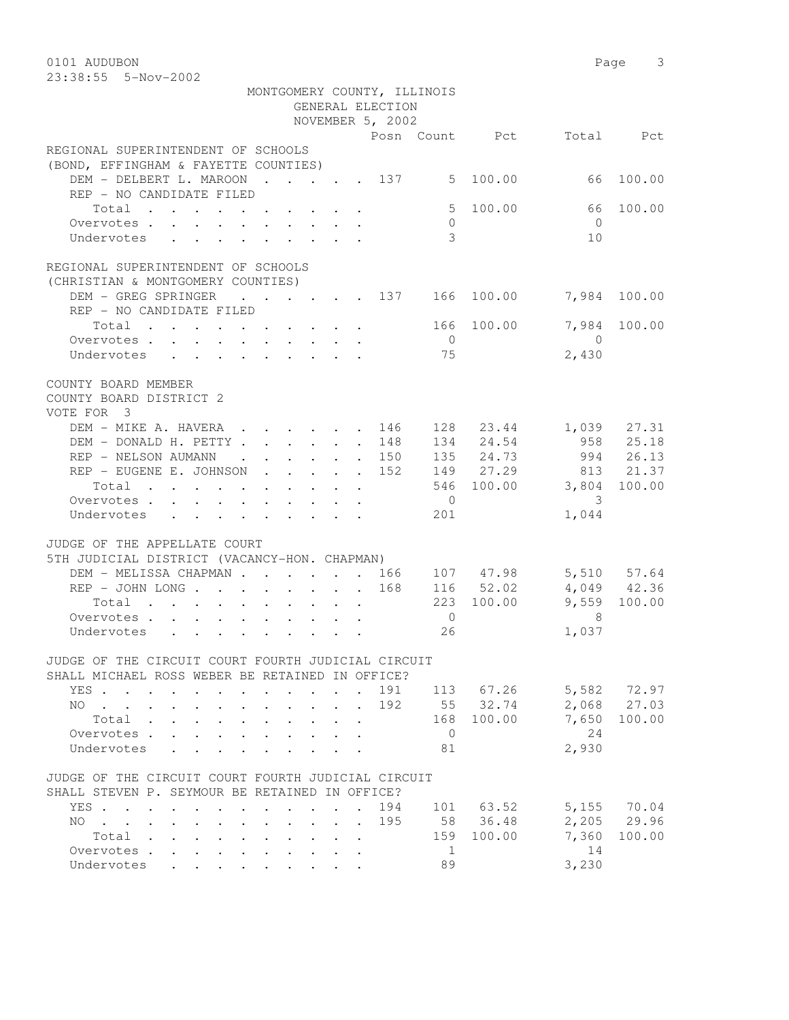0101 AUDUBON Page 3 23:38:55 5-Nov-2002

|                                                                                                            |                      | MONTGOMERY COUNTY, ILLINOIS |                |                         |                            |                        |
|------------------------------------------------------------------------------------------------------------|----------------------|-----------------------------|----------------|-------------------------|----------------------------|------------------------|
|                                                                                                            |                      | GENERAL ELECTION            |                |                         |                            |                        |
|                                                                                                            |                      | NOVEMBER 5, 2002            |                |                         |                            |                        |
|                                                                                                            |                      |                             |                |                         | Posn Count Pct Total Pct   |                        |
| REGIONAL SUPERINTENDENT OF SCHOOLS<br>(BOND, EFFINGHAM & FAYETTE COUNTIES)                                 |                      |                             |                |                         |                            |                        |
| DEM - DELBERT L. MAROON 137 5 100.00<br>REP - NO CANDIDATE FILED                                           |                      |                             |                |                         |                            | 66 100.00              |
| Total                                                                                                      |                      |                             |                | 5 100.00                | 66                         | 100.00                 |
| Overvotes                                                                                                  |                      |                             | $\circ$        |                         | $\bigcap$                  |                        |
| Undervotes                                                                                                 |                      |                             | 3              |                         | 10                         |                        |
| REGIONAL SUPERINTENDENT OF SCHOOLS<br>(CHRISTIAN & MONTGOMERY COUNTIES)                                    |                      |                             |                |                         |                            |                        |
| DEM - GREG SPRINGER                                                                                        |                      |                             |                | $\cdots$ 137 166 100.00 |                            | 7,984 100.00           |
| REP - NO CANDIDATE FILED                                                                                   |                      |                             |                |                         |                            |                        |
| Total                                                                                                      |                      |                             | $\bigcirc$     | 166 100.00              | $\overline{0}$             | 7,984 100.00           |
| Overvotes<br>Undervotes                                                                                    |                      |                             | 75             |                         | 2,430                      |                        |
|                                                                                                            |                      |                             |                |                         |                            |                        |
| COUNTY BOARD MEMBER<br>COUNTY BOARD DISTRICT 2<br>VOTE FOR 3                                               |                      |                             |                |                         |                            |                        |
| DEM - MIKE A. HAVERA 146                                                                                   |                      |                             |                | 128 23.44               |                            | 1,039 27.31            |
| DEM - DONALD H. PETTY 148                                                                                  |                      |                             |                | 134 24.54               |                            | 958 25.18<br>994 26.13 |
| REP - NELSON AUMANN 150                                                                                    |                      |                             |                | 135 24.73               |                            |                        |
| REP - EUGENE E. JOHNSON                                                                                    |                      | 152                         |                | 149 27.29               |                            | 813 21.37              |
| Total                                                                                                      |                      |                             |                |                         | 546 100.00 3,804 100.00    |                        |
| Overvotes.                                                                                                 |                      |                             | $\overline{0}$ |                         | $\overline{\phantom{a}}$   |                        |
| Undervotes                                                                                                 |                      |                             | 201            |                         | 1,044                      |                        |
| JUDGE OF THE APPELLATE COURT<br>5TH JUDICIAL DISTRICT (VACANCY-HON. CHAPMAN)                               |                      |                             |                |                         |                            |                        |
|                                                                                                            |                      |                             |                |                         |                            | 5,510 57.64            |
|                                                                                                            |                      |                             |                |                         |                            | 4,049 42.36            |
| Total                                                                                                      |                      |                             |                | 223 100.00              |                            | 9,559 100.00           |
| Overvotes                                                                                                  |                      |                             | $\overline{0}$ |                         | $\overline{\phantom{1}}$ 8 |                        |
| Undervotes                                                                                                 |                      |                             | 26             |                         | 1,037                      |                        |
| JUDGE OF THE CIRCUIT COURT FOURTH JUDICIAL CIRCUIT                                                         |                      |                             |                |                         |                            |                        |
| SHALL MICHAEL ROSS WEBER BE RETAINED IN OFFICE?                                                            |                      |                             |                |                         |                            |                        |
| YES .<br>$\mathbf{r}$ , $\mathbf{r}$ , $\mathbf{r}$<br>$\ddot{\phantom{a}}$                                |                      | 191                         |                | 113 67.26               | 5,582                      | 72.97                  |
| NO.                                                                                                        |                      | 192                         |                | 55 32.74                | 2,068                      | 27.03                  |
| Total<br>$\sim 100$<br>$\ddot{\phantom{0}}$<br>$\mathbf{L}$<br>$\mathbf{L}$                                |                      |                             | 168            | 100.00                  | 7,650                      | 100.00                 |
| Overvotes<br>$\mathbf{L}$<br>$\mathcal{L}^{\text{max}}$                                                    |                      |                             | $\overline{0}$ |                         | 24                         |                        |
| Undervotes<br>$\sim$<br>$\overline{a}$                                                                     |                      |                             | 81             |                         | 2,930                      |                        |
| JUDGE OF THE CIRCUIT COURT FOURTH JUDICIAL CIRCUIT<br>SHALL STEVEN P. SEYMOUR BE RETAINED IN OFFICE?       |                      |                             |                |                         |                            |                        |
| YES .<br>$\sim$<br>$\sim$ $\sim$                                                                           | $\ddot{\phantom{a}}$ | 194                         |                | 101 63.52               | 5,155                      | 70.04                  |
| NO.<br>$\sim$                                                                                              |                      | 195                         | 58             | 36.48                   | 2,205                      | 29.96                  |
| Total<br>$\sim$                                                                                            |                      |                             | 159            | 100.00                  | 7,360                      | 100.00                 |
| Overvotes .                                                                                                |                      |                             | $\mathbf{1}$   |                         | 14                         |                        |
| Undervotes<br>L.<br>$\mathcal{L}^{\text{max}}$<br>$\mathcal{L}^{\text{max}}$<br>$\mathcal{L}^{\text{max}}$ |                      |                             | 89             |                         | 3,230                      |                        |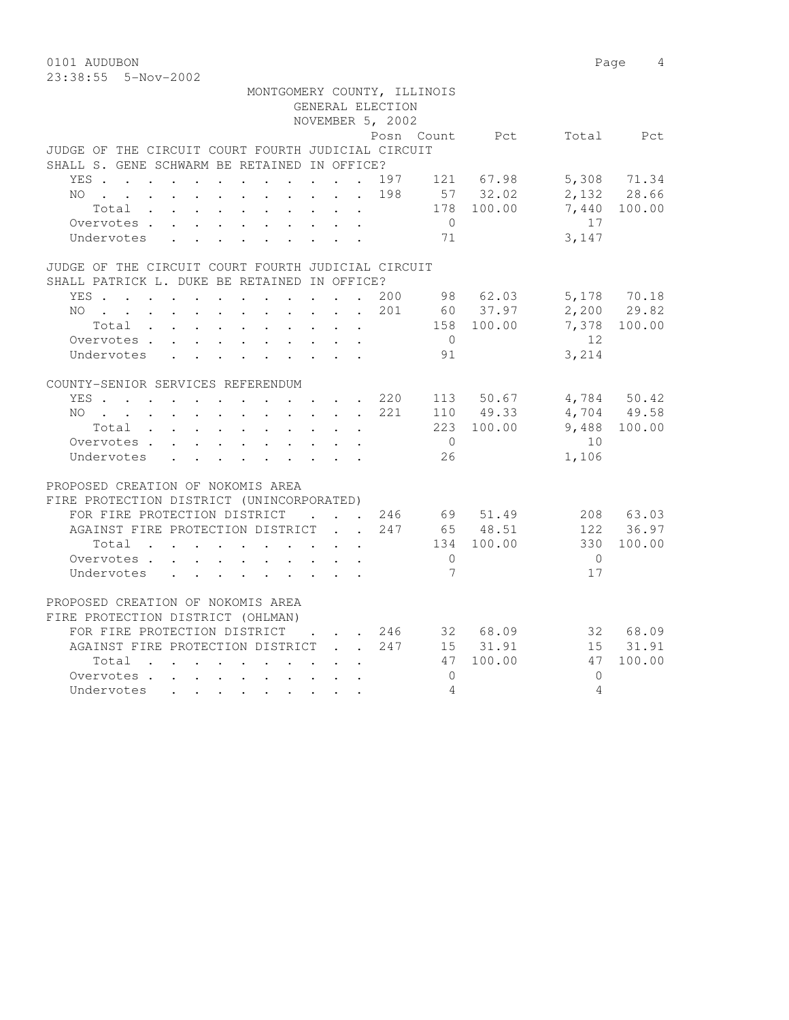23:38:55 5-Nov-2002

| MONTGOMERY COUNTY, ILLINOIS                                                                                                                                                                                                                 | GENERAL ELECTION                                          |     |                |              |                   |               |
|---------------------------------------------------------------------------------------------------------------------------------------------------------------------------------------------------------------------------------------------|-----------------------------------------------------------|-----|----------------|--------------|-------------------|---------------|
|                                                                                                                                                                                                                                             | NOVEMBER 5, 2002                                          |     |                |              |                   |               |
|                                                                                                                                                                                                                                             |                                                           |     | Posn Count     | Pct          | Total             | Pct           |
| JUDGE OF THE CIRCUIT COURT FOURTH JUDICIAL CIRCUIT                                                                                                                                                                                          |                                                           |     |                |              |                   |               |
| SHALL S. GENE SCHWARM BE RETAINED IN OFFICE?                                                                                                                                                                                                |                                                           |     |                |              |                   |               |
| YES 197 121 67.98                                                                                                                                                                                                                           |                                                           |     |                |              |                   | 5,308 71.34   |
| NO 198                                                                                                                                                                                                                                      |                                                           |     |                | 57 32.02     |                   | 2,132 28.66   |
| Total                                                                                                                                                                                                                                       |                                                           |     |                | 178 100.00   |                   | 7,440 100.00  |
| Overvotes                                                                                                                                                                                                                                   |                                                           |     | $\overline{0}$ |              | 17                |               |
| Undervotes<br>$\mathbf{L}$<br>$\sim$<br>$\mathbf{L} = \mathbf{L} \mathbf{L}$                                                                                                                                                                | $\mathbf{r}$ , $\mathbf{r}$ , $\mathbf{r}$ , $\mathbf{r}$ |     | 71             |              | 3,147             |               |
| JUDGE OF THE CIRCUIT COURT FOURTH JUDICIAL CIRCUIT                                                                                                                                                                                          |                                                           |     |                |              |                   |               |
| SHALL PATRICK L. DUKE BE RETAINED IN OFFICE?                                                                                                                                                                                                |                                                           |     |                |              |                   |               |
| YES 200                                                                                                                                                                                                                                     |                                                           |     |                | 98 62.03     |                   | 5,178 70.18   |
| NO 201                                                                                                                                                                                                                                      |                                                           |     |                | 60 37.97     |                   | $2,200$ 29.82 |
| Total                                                                                                                                                                                                                                       |                                                           |     |                | 158 100.00   | 7,378             | 100.00        |
| Overvotes                                                                                                                                                                                                                                   |                                                           |     | $\overline{0}$ |              | $12 \overline{ }$ |               |
| Undervotes                                                                                                                                                                                                                                  |                                                           |     | 91             |              | 3,214             |               |
| COUNTY-SENIOR SERVICES REFERENDUM                                                                                                                                                                                                           |                                                           |     |                |              |                   |               |
| YES 220                                                                                                                                                                                                                                     |                                                           |     |                | 113 50.67    |                   | 4,784 50.42   |
| NO.<br><u>no provincialmente de la característica de la característica de la característica de la característica de la c</u>                                                                                                                |                                                           | 221 |                | 110 49.33    |                   | 4,704 49.58   |
| Total                                                                                                                                                                                                                                       |                                                           |     |                | 223 100.00   | 9,488             | 100.00        |
| Overvotes.                                                                                                                                                                                                                                  |                                                           |     | $\overline{0}$ |              | 10                |               |
| Undervotes                                                                                                                                                                                                                                  |                                                           |     | 26             |              | 1,106             |               |
| PROPOSED CREATION OF NOKOMIS AREA                                                                                                                                                                                                           |                                                           |     |                |              |                   |               |
| FIRE PROTECTION DISTRICT (UNINCORPORATED)                                                                                                                                                                                                   |                                                           |     |                |              |                   |               |
| FOR FIRE PROTECTION DISTRICT                                                                                                                                                                                                                | $\mathbf{r}$ , $\mathbf{r}$ , $\mathbf{r}$ , $\mathbf{r}$ |     |                | 246 69 51.49 |                   | 208 63.03     |
| AGAINST FIRE PROTECTION DISTRICT                                                                                                                                                                                                            |                                                           | 247 |                | 65 48.51     |                   | 122 36.97     |
| Total                                                                                                                                                                                                                                       |                                                           |     |                | 134 100.00   | 330               | 100.00        |
| Overvotes                                                                                                                                                                                                                                   |                                                           |     | $\overline{0}$ |              | $\overline{0}$    |               |
| Undervotes<br>$\mathbf{r}$ , and $\mathbf{r}$ , and $\mathbf{r}$ , and $\mathbf{r}$                                                                                                                                                         |                                                           |     | 7              |              | 17                |               |
| PROPOSED CREATION OF NOKOMIS AREA                                                                                                                                                                                                           |                                                           |     |                |              |                   |               |
| FIRE PROTECTION DISTRICT (OHLMAN)                                                                                                                                                                                                           |                                                           |     |                |              |                   |               |
| FOR FIRE PROTECTION DISTRICT                                                                                                                                                                                                                | $\mathbf{r}$ , $\mathbf{r}$ , $\mathbf{r}$ , $\mathbf{r}$ |     |                | 246 32 68.09 |                   | 32 68.09      |
| AGAINST FIRE PROTECTION DISTRICT 247                                                                                                                                                                                                        |                                                           |     |                | 15 31.91     | 15                | 31.91         |
| Total                                                                                                                                                                                                                                       |                                                           |     | 47             | 100.00       | 47                | 100.00        |
| Overvotes.                                                                                                                                                                                                                                  |                                                           |     | $\Omega$       |              | $\bigcap$         |               |
| Undervotes<br>. The contribution of the contribution of the contribution of the contribution of the contribution of the contribution of the contribution of the contribution of the contribution of the contribution of the contribution of |                                                           |     | $\overline{4}$ |              | 4                 |               |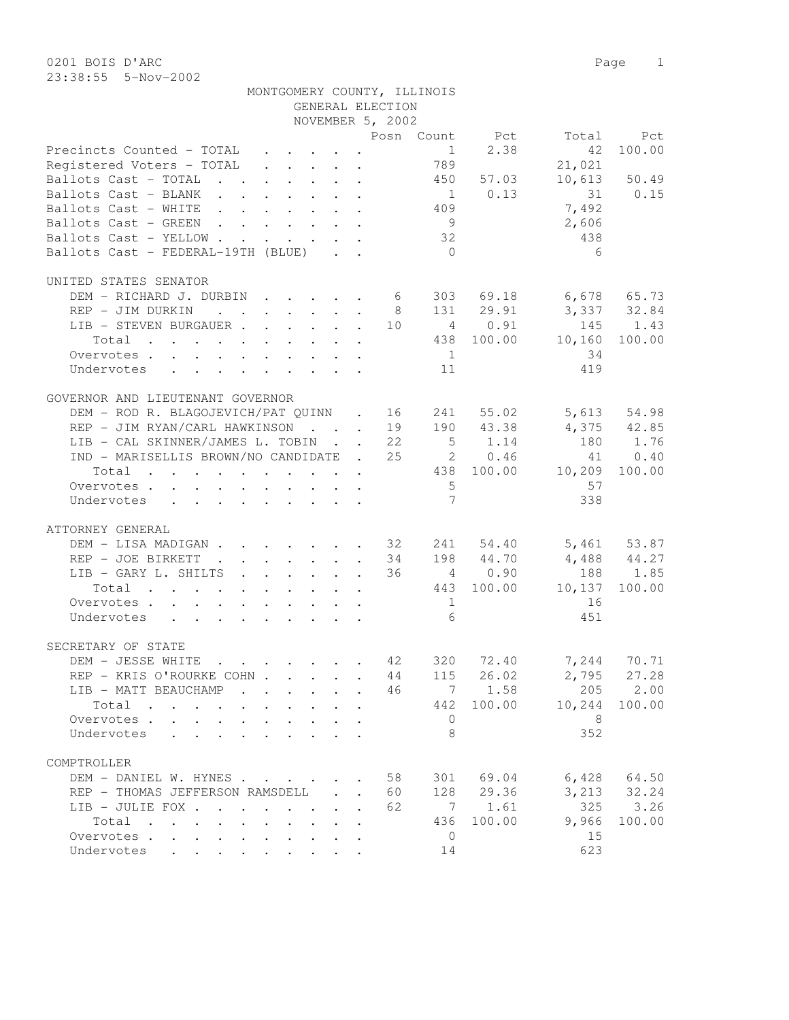0201 BOIS D'ARC Page 1 23:38:55 5-Nov-2002

|                                                                              |                      |                      |                   |              |                      | NOVEMBER 5, 2002 |                 |                |                   |             |
|------------------------------------------------------------------------------|----------------------|----------------------|-------------------|--------------|----------------------|------------------|-----------------|----------------|-------------------|-------------|
|                                                                              |                      |                      |                   |              |                      |                  |                 | Posn Count Pct | Total             | Pct         |
| Precincts Counted - TOTAL                                                    |                      |                      |                   |              |                      |                  |                 | 1 2.38         | 42                | 100.00      |
| Registered Voters - TOTAL 789                                                |                      |                      |                   |              |                      |                  |                 |                | 21,021            |             |
| Ballots Cast - TOTAL 450                                                     |                      |                      |                   |              |                      |                  |                 | 57.03          | 10,613            | 50.49       |
| Ballots Cast - BLANK                                                         |                      |                      |                   |              |                      |                  |                 | $1 \t 0.13$    |                   | 31 0.15     |
| Ballots Cast - WHITE                                                         |                      |                      |                   |              |                      |                  | 409             |                | 7,492             |             |
| Ballots Cast - GREEN                                                         |                      |                      |                   |              |                      |                  | 9               |                | 2,606             |             |
| Ballots Cast - YELLOW                                                        |                      |                      |                   |              |                      |                  | 32              |                | 438               |             |
| Ballots Cast - FEDERAL-19TH (BLUE)                                           |                      |                      |                   |              |                      |                  | $\bigcirc$      |                | 6                 |             |
|                                                                              |                      |                      |                   |              |                      |                  |                 |                |                   |             |
| UNITED STATES SENATOR                                                        |                      |                      |                   |              |                      |                  |                 |                |                   |             |
| DEM - RICHARD J. DURBIN 6 303 69.18                                          |                      |                      |                   |              |                      |                  |                 |                | $6,678$ $65.73$   |             |
| REP - JIM DURKIN                                                             |                      |                      |                   |              |                      | 8 <sup>8</sup>   |                 | 131 29.91      | 3,337 32.84       |             |
| LIB - STEVEN BURGAUER 10 4 0.91                                              |                      |                      |                   |              |                      |                  |                 |                | 145               | 1.43        |
| Total                                                                        |                      |                      |                   |              |                      |                  |                 | 438 100.00     | 10,160            | 100.00      |
|                                                                              |                      |                      |                   |              |                      |                  | 1               |                | 34                |             |
| Overvotes                                                                    |                      |                      |                   |              |                      |                  |                 |                | 419               |             |
| Undervotes                                                                   |                      |                      |                   |              |                      |                  | 11              |                |                   |             |
| GOVERNOR AND LIEUTENANT GOVERNOR                                             |                      |                      |                   |              |                      |                  |                 |                |                   |             |
| DEM - ROD R. BLAGOJEVICH/PAT QUINN . 16 241                                  |                      |                      |                   |              |                      |                  |                 | 55.02          |                   | 5,613 54.98 |
| REP - JIM RYAN/CARL HAWKINSON 19 190 43.38                                   |                      |                      |                   |              |                      |                  |                 |                | $4,375$ $42.85$   |             |
| LIB - CAL SKINNER/JAMES L. TOBIN 22                                          |                      |                      |                   |              |                      |                  |                 | $5 \t 1.14$    | 180               | 1.76        |
| IND - MARISELLIS BROWN/NO CANDIDATE . 25 20.46                               |                      |                      |                   |              |                      |                  |                 |                | 41                | 0.40        |
|                                                                              |                      |                      |                   |              |                      |                  |                 |                |                   |             |
| Total                                                                        |                      |                      |                   |              |                      |                  |                 |                | 438 100.00 10,209 | 100.00      |
| Overvotes                                                                    |                      |                      |                   |              |                      |                  | $5^{\circ}$     |                | 57                |             |
| Undervotes                                                                   |                      |                      |                   |              |                      |                  | $7\overline{ }$ |                | 338               |             |
| ATTORNEY GENERAL                                                             |                      |                      |                   |              |                      |                  |                 |                |                   |             |
| DEM - LISA MADIGAN 32 241 54.40                                              |                      |                      |                   |              |                      |                  |                 |                | $5,461$ $53.87$   |             |
| REP - JOE BIRKETT 34                                                         |                      |                      |                   |              |                      |                  |                 | 198 44.70      | $4,488$ $44.27$   |             |
| LIB - GARY L. SHILTS 36 4 0.90                                               |                      |                      |                   |              |                      |                  |                 |                | 188               | 1.85        |
|                                                                              |                      |                      |                   |              |                      |                  |                 |                |                   |             |
| Total                                                                        |                      |                      |                   |              |                      |                  |                 | 443 100.00     | 10,137            | 100.00      |
| Overvotes                                                                    |                      |                      |                   |              |                      |                  | $\overline{1}$  |                | 16                |             |
| Undervotes                                                                   |                      |                      |                   |              |                      |                  | 6               |                | 451               |             |
| SECRETARY OF STATE                                                           |                      |                      |                   |              |                      |                  |                 |                |                   |             |
| DEM - JESSE WHITE 42 320                                                     |                      |                      |                   |              |                      |                  |                 |                | 72.40 7,244 70.71 |             |
|                                                                              |                      |                      |                   |              |                      |                  |                 |                | 2,795             | 27.28       |
| REP - KRIS O'ROURKE COHN 44 115                                              |                      |                      |                   |              |                      |                  |                 | 26.02          |                   |             |
| LIB - MATT BEAUCHAMP                                                         |                      |                      |                   |              |                      | 46               |                 |                | 7 1.58 205 2.00   |             |
| Total                                                                        |                      |                      |                   |              |                      |                  | 442             | 100.00         | 10,244            | 100.00      |
| Overvotes .                                                                  |                      |                      |                   |              |                      |                  | $\mathbf 0$     |                | 8                 |             |
| Undervotes                                                                   |                      |                      |                   |              |                      |                  | 8               |                | 352               |             |
| COMPTROLLER                                                                  |                      |                      |                   |              |                      |                  |                 |                |                   |             |
|                                                                              |                      |                      |                   |              |                      |                  |                 |                |                   |             |
| DEM - DANIEL W. HYNES                                                        |                      |                      |                   |              |                      | 58               | 301             | 69.04          | 6,428             | 64.50       |
| REP - THOMAS JEFFERSON RAMSDELL                                              |                      |                      |                   | $\mathbf{L}$ | $\ddot{\phantom{a}}$ | 60               | 128             | 29.36          | 3,213             | 32.24       |
| LIB - JULIE FOX .<br>$\sim$ $\sim$<br>$\ddot{\phantom{a}}$                   |                      |                      | $\sim$ 100 $\sim$ |              |                      | 62               | 7               | 1.61           | 325               | 3.26        |
| Total<br>$\sim$<br>$\mathbf{r}$ , $\mathbf{r}$ , $\mathbf{r}$ , $\mathbf{r}$ | $\sim$               | $\ddot{\phantom{0}}$ |                   |              |                      |                  | 436             | 100.00         | 9,966             | 100.00      |
| Overvotes                                                                    | $\ddot{\phantom{a}}$ | $\ddot{\phantom{0}}$ |                   |              |                      |                  | $\mathbf{0}$    |                | 15                |             |
| Undervotes                                                                   |                      |                      |                   |              |                      |                  | 14              |                | 623               |             |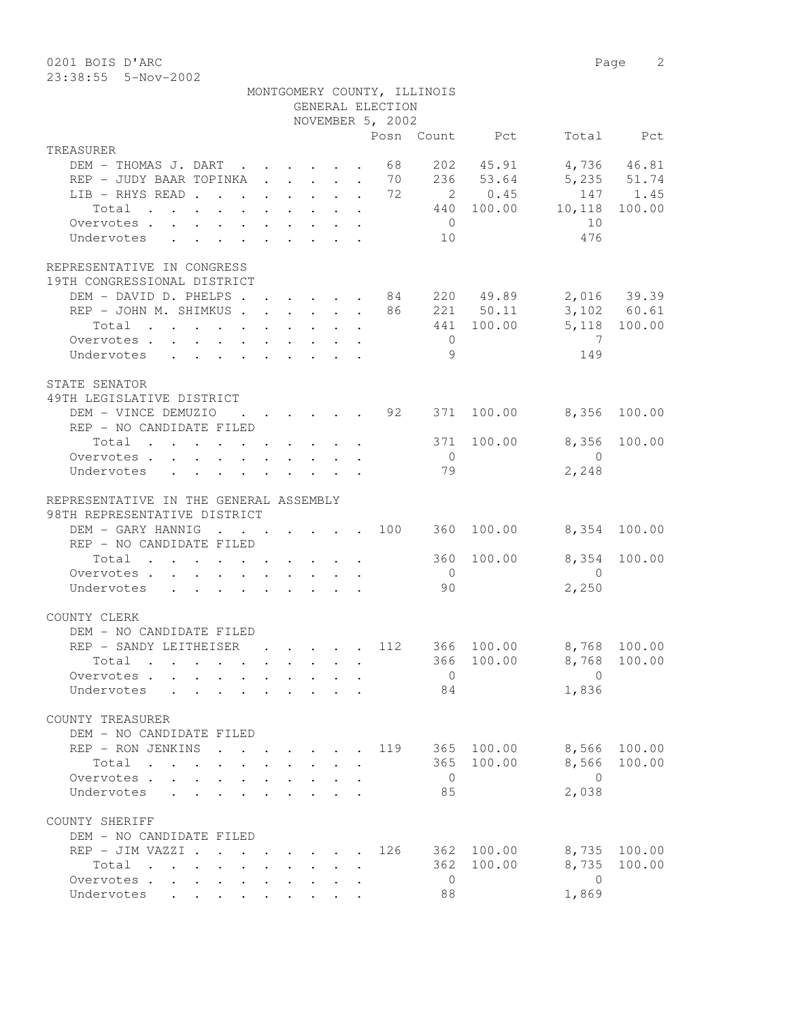0201 BOIS D'ARC 2 23:38:55 5-Nov-2002

|                                                                                                                          |                                                                                         | MONTGOMERY COUNTY, ILLINOIS<br>GENERAL ELECTION    |                |                        |                         |              |
|--------------------------------------------------------------------------------------------------------------------------|-----------------------------------------------------------------------------------------|----------------------------------------------------|----------------|------------------------|-------------------------|--------------|
|                                                                                                                          |                                                                                         | NOVEMBER 5, 2002                                   |                |                        |                         |              |
| TREASURER                                                                                                                |                                                                                         |                                                    |                | Posn Count Pct         |                         | Total Pct    |
| DEM - THOMAS J. DART 68                                                                                                  |                                                                                         |                                                    |                | 202 45.91              |                         | 4,736 46.81  |
| REP - JUDY BAAR TOPINKA 70                                                                                               |                                                                                         |                                                    |                | 236 53.64              | 5,235 51.74             |              |
| LIB - RHYS READ 72                                                                                                       |                                                                                         |                                                    |                | 2 0.45                 |                         | 147 1.45     |
| Total                                                                                                                    |                                                                                         |                                                    |                | 440 100.00             | 10,118                  | 100.00       |
| Overvotes.                                                                                                               |                                                                                         |                                                    | $\overline{0}$ |                        | 10                      |              |
| $\mathbf{r}$ , $\mathbf{r}$ , $\mathbf{r}$ , $\mathbf{r}$ , $\mathbf{r}$ , $\mathbf{r}$<br>Undervotes                    |                                                                                         |                                                    | 10             |                        | 476                     |              |
| REPRESENTATIVE IN CONGRESS                                                                                               |                                                                                         |                                                    |                |                        |                         |              |
| 19TH CONGRESSIONAL DISTRICT                                                                                              |                                                                                         |                                                    |                |                        |                         |              |
| DEM - DAVID D. PHELPS 84 220 49.89 2,016 39.39                                                                           |                                                                                         |                                                    |                |                        |                         |              |
| REP - JOHN M. SHIMKUS 86 221 50.11 3,102 60.61                                                                           |                                                                                         |                                                    |                |                        |                         |              |
| Total<br>the contract of the contract of the contract of the contract of the contract of the contract of the contract of |                                                                                         |                                                    |                | 441 100.00             | 5,118 100.00            |              |
| Overvotes                                                                                                                |                                                                                         |                                                    | $\overline{0}$ |                        | $\overline{7}$          |              |
| Undervotes                                                                                                               |                                                                                         |                                                    | - 9            |                        | 149                     |              |
| STATE SENATOR                                                                                                            |                                                                                         |                                                    |                |                        |                         |              |
| 49TH LEGISLATIVE DISTRICT                                                                                                |                                                                                         |                                                    |                |                        |                         |              |
| DEM - VINCE DEMUZIO                                                                                                      |                                                                                         | $\cdot$ $\cdot$ $\cdot$ $\cdot$ $\cdot$ $\cdot$ 92 | 371            | 100.00                 | 8,356                   | 100.00       |
| REP - NO CANDIDATE FILED                                                                                                 |                                                                                         |                                                    |                |                        |                         |              |
| Total $\cdot$                                                                                                            |                                                                                         |                                                    |                | 371 100.00             | 8,356                   | 100.00       |
| Overvotes $\cdots$ $\cdots$ $\cdots$ $\cdots$                                                                            |                                                                                         |                                                    | $\bigcirc$     |                        | $\bigcirc$              |              |
| Undervotes                                                                                                               |                                                                                         |                                                    | 79             |                        | 2,248                   |              |
| REPRESENTATIVE IN THE GENERAL ASSEMBLY                                                                                   |                                                                                         |                                                    |                |                        |                         |              |
| 98TH REPRESENTATIVE DISTRICT                                                                                             |                                                                                         |                                                    |                |                        |                         |              |
| DEM - GARY HANNIG                                                                                                        |                                                                                         |                                                    |                | $\cdot$ 100 360 100.00 | 8,354 100.00            |              |
| REP - NO CANDIDATE FILED                                                                                                 |                                                                                         |                                                    |                |                        |                         |              |
| Total $\cdot$                                                                                                            |                                                                                         |                                                    |                | 360 100.00             | 8,354                   | 100.00       |
| Overvotes                                                                                                                |                                                                                         |                                                    | $\overline{0}$ |                        | $\overline{0}$          |              |
| Undervotes                                                                                                               |                                                                                         |                                                    | 90             |                        | 2,250                   |              |
| COUNTY CLERK                                                                                                             |                                                                                         |                                                    |                |                        |                         |              |
| DEM - NO CANDIDATE FILED                                                                                                 |                                                                                         |                                                    |                |                        |                         |              |
| REP - SANDY LEITHEISER                                                                                                   |                                                                                         | . 112                                              |                | 366 100.00             | 8,768 100.00            |              |
| Total .                                                                                                                  |                                                                                         |                                                    |                |                        | 366 100.00 8,768 100.00 |              |
| Overvotes.                                                                                                               |                                                                                         |                                                    | $\overline{0}$ |                        | $\Omega$                |              |
| Undervotes                                                                                                               |                                                                                         |                                                    | 84             |                        | 1,836                   |              |
| COUNTY TREASURER                                                                                                         |                                                                                         |                                                    |                |                        |                         |              |
| DEM - NO CANDIDATE FILED                                                                                                 |                                                                                         |                                                    |                |                        |                         |              |
| REP - RON JENKINS                                                                                                        | $\mathbf{r}$ , $\mathbf{r}$ , $\mathbf{r}$ , $\mathbf{r}$                               |                                                    |                | 119 365 100.00         |                         | 8,566 100.00 |
| Total                                                                                                                    |                                                                                         |                                                    |                | 365 100.00             |                         | 8,566 100.00 |
| Overvotes                                                                                                                | $\mathbf{r}$ , $\mathbf{r}$ , $\mathbf{r}$ , $\mathbf{r}$ , $\mathbf{r}$ , $\mathbf{r}$ |                                                    | $\overline{0}$ |                        | $\overline{0}$          |              |
| Undervotes<br>$\mathbf{r}$ , $\mathbf{r}$ , $\mathbf{r}$                                                                 | $\mathbf{r}$ and $\mathbf{r}$ and $\mathbf{r}$                                          |                                                    | 85             |                        | 2,038                   |              |
| COUNTY SHERIFF                                                                                                           |                                                                                         |                                                    |                |                        |                         |              |
| DEM - NO CANDIDATE FILED                                                                                                 |                                                                                         |                                                    |                |                        |                         |              |
| REP - JIM VAZZI .                                                                                                        | $\cdot$ $\cdot$ $\cdot$ $\cdot$ $\cdot$ $\cdot$ $\cdot$                                 | 126                                                |                | 362 100.00             |                         | 8,735 100.00 |
| Total                                                                                                                    |                                                                                         |                                                    |                | 362 100.00             | 8,735                   | 100.00       |
| Overvotes.                                                                                                               |                                                                                         |                                                    | $\overline{0}$ |                        | $\overline{0}$          |              |
| Undervotes<br>$\mathbf{L}$<br>$\mathbf{L}$                                                                               |                                                                                         |                                                    | 88             |                        | 1,869                   |              |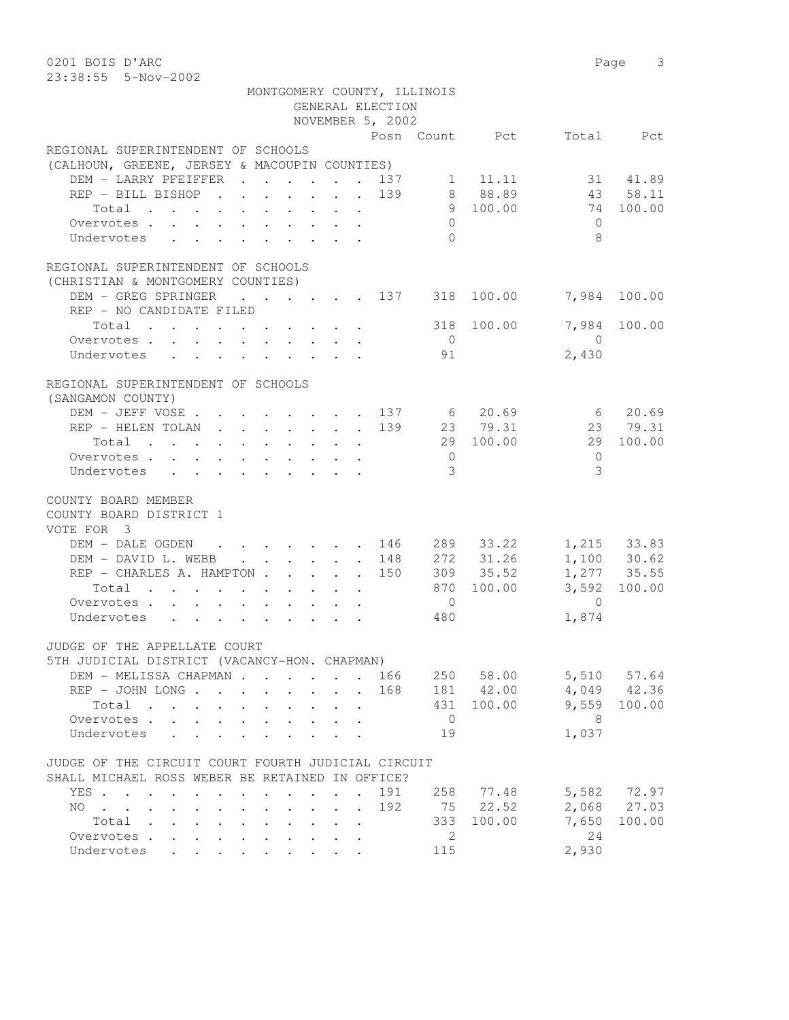0201 BOIS D'ARC 2001 Page 3 23:38:55 5-Nov-2002

|                                                                                                                                                                                                                                        |  | MONTGOMERY COUNTY, ILLINOIS<br>GENERAL ELECTION |                                 |                |                                                                                     |                 |
|----------------------------------------------------------------------------------------------------------------------------------------------------------------------------------------------------------------------------------------|--|-------------------------------------------------|---------------------------------|----------------|-------------------------------------------------------------------------------------|-----------------|
|                                                                                                                                                                                                                                        |  | NOVEMBER 5, 2002                                |                                 |                |                                                                                     |                 |
|                                                                                                                                                                                                                                        |  |                                                 |                                 | Posn Count Pct |                                                                                     | Total Pct       |
| REGIONAL SUPERINTENDENT OF SCHOOLS                                                                                                                                                                                                     |  |                                                 |                                 |                |                                                                                     |                 |
| (CALHOUN, GREENE, JERSEY & MACOUPIN COUNTIES)                                                                                                                                                                                          |  |                                                 |                                 |                |                                                                                     |                 |
| DEM - LARRY PFEIFFER 137 1 11.11 31 41.89                                                                                                                                                                                              |  |                                                 |                                 |                |                                                                                     |                 |
| REP - BILL BISHOP 139 8 88.89 43 58.11                                                                                                                                                                                                 |  |                                                 |                                 |                |                                                                                     |                 |
|                                                                                                                                                                                                                                        |  |                                                 |                                 | 9 100.00       | 74 100.00                                                                           |                 |
| Overvotes                                                                                                                                                                                                                              |  |                                                 | $\overline{0}$                  |                | $\bigcirc$                                                                          |                 |
| Undervotes                                                                                                                                                                                                                             |  |                                                 | $\Omega$                        |                | 8                                                                                   |                 |
| REGIONAL SUPERINTENDENT OF SCHOOLS                                                                                                                                                                                                     |  |                                                 |                                 |                |                                                                                     |                 |
| (CHRISTIAN & MONTGOMERY COUNTIES)                                                                                                                                                                                                      |  |                                                 |                                 |                |                                                                                     |                 |
| DEM - GREG SPRINGER                                                                                                                                                                                                                    |  |                                                 |                                 |                | $\cdot$ $\cdot$ $\cdot$ $\cdot$ $\cdot$ $\cdot$ $\cdot$ 137 318 100.00 7,984 100.00 |                 |
| REP - NO CANDIDATE FILED                                                                                                                                                                                                               |  |                                                 |                                 |                |                                                                                     |                 |
| Total $\cdots$ $\cdots$ $\cdots$ $\cdots$ $\cdots$ 318                                                                                                                                                                                 |  |                                                 |                                 | 100.00         |                                                                                     | 7,984 100.00    |
| Overvotes.                                                                                                                                                                                                                             |  |                                                 | $\overline{0}$                  |                | $\overline{0}$                                                                      |                 |
| Undervotes                                                                                                                                                                                                                             |  |                                                 | 91                              |                | 2,430                                                                               |                 |
| REGIONAL SUPERINTENDENT OF SCHOOLS<br>(SANGAMON COUNTY)                                                                                                                                                                                |  |                                                 |                                 |                |                                                                                     |                 |
| DEM - JEFF VOSE 137 6 20.69 6 20.69                                                                                                                                                                                                    |  |                                                 |                                 |                |                                                                                     |                 |
| REP - HELEN TOLAN 139 23 79.31 23 79.31                                                                                                                                                                                                |  |                                                 |                                 |                |                                                                                     |                 |
|                                                                                                                                                                                                                                        |  |                                                 |                                 |                | 29 100.00                                                                           |                 |
| Total 29 100.00                                                                                                                                                                                                                        |  |                                                 |                                 |                |                                                                                     |                 |
| Overvotes                                                                                                                                                                                                                              |  |                                                 | $\overline{0}$<br>$\mathcal{E}$ |                | $\bigcirc$<br>3                                                                     |                 |
| Undervotes                                                                                                                                                                                                                             |  |                                                 |                                 |                |                                                                                     |                 |
| COUNTY BOARD MEMBER                                                                                                                                                                                                                    |  |                                                 |                                 |                |                                                                                     |                 |
| COUNTY BOARD DISTRICT 1                                                                                                                                                                                                                |  |                                                 |                                 |                |                                                                                     |                 |
| VOTE FOR 3                                                                                                                                                                                                                             |  |                                                 |                                 |                |                                                                                     |                 |
| DEM - DALE OGDEN 146 289 33.22 1,215 33.83                                                                                                                                                                                             |  |                                                 |                                 |                |                                                                                     |                 |
| DEM - DAVID L. WEBB 148                                                                                                                                                                                                                |  |                                                 |                                 | 272 31.26      |                                                                                     | 1,100 30.62     |
| REP - CHARLES A. HAMPTON 150                                                                                                                                                                                                           |  |                                                 |                                 | 309 35.52      | 1,277 35.55                                                                         |                 |
| Total $\cdot$                                                                                                                                                                                                                          |  |                                                 |                                 | 870 100.00     |                                                                                     | 3,592 100.00    |
| Overvotes.                                                                                                                                                                                                                             |  |                                                 | $\overline{0}$                  |                | $\overline{0}$                                                                      |                 |
| Undervotes                                                                                                                                                                                                                             |  |                                                 | 480                             |                | 1,874                                                                               |                 |
| JUDGE OF THE APPELLATE COURT                                                                                                                                                                                                           |  |                                                 |                                 |                |                                                                                     |                 |
| 5TH JUDICIAL DISTRICT (VACANCY-HON. CHAPMAN)                                                                                                                                                                                           |  |                                                 |                                 |                |                                                                                     |                 |
| DEM - MELISSA CHAPMAN 166                                                                                                                                                                                                              |  |                                                 |                                 | 250 58.00      |                                                                                     | 5,510 57.64     |
| REP - JOHN LONG 168                                                                                                                                                                                                                    |  |                                                 |                                 | 181 42.00      |                                                                                     | $4,049$ $42.36$ |
| Total<br>. The contract of the contract of the contract of the contract of the contract of the contract of the contract of the contract of the contract of the contract of the contract of the contract of the contract of the contrac |  |                                                 | 431                             | 100.00         | 9,559                                                                               | 100.00          |
| Overvotes                                                                                                                                                                                                                              |  |                                                 | $\overline{0}$                  |                | 8 <sup>8</sup>                                                                      |                 |
| Undervotes                                                                                                                                                                                                                             |  |                                                 | 19                              |                | 1,037                                                                               |                 |
|                                                                                                                                                                                                                                        |  |                                                 |                                 |                |                                                                                     |                 |
| JUDGE OF THE CIRCUIT COURT FOURTH JUDICIAL CIRCUIT                                                                                                                                                                                     |  |                                                 |                                 |                |                                                                                     |                 |
| SHALL MICHAEL ROSS WEBER BE RETAINED IN OFFICE?                                                                                                                                                                                        |  |                                                 |                                 |                |                                                                                     |                 |
| YES                                                                                                                                                                                                                                    |  | 191                                             |                                 | 258 77.48      |                                                                                     | 5,582 72.97     |
| NO.                                                                                                                                                                                                                                    |  | 192                                             | 75                              | 22.52          |                                                                                     | 2,068 27.03     |
| Total                                                                                                                                                                                                                                  |  |                                                 | 333                             | 100.00         | 7,650                                                                               | 100.00          |
| Overvotes.                                                                                                                                                                                                                             |  |                                                 | 2                               |                | 24                                                                                  |                 |
| Undervotes                                                                                                                                                                                                                             |  |                                                 | 115                             |                | 2,930                                                                               |                 |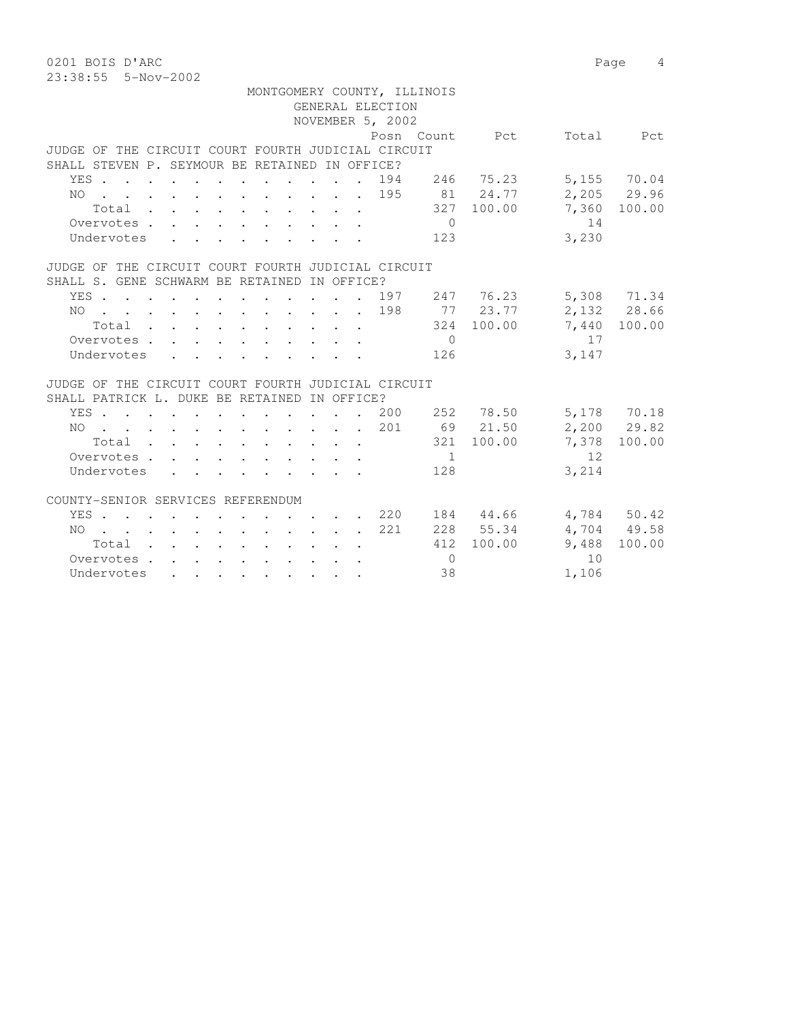0201 BOIS D'ARC 2001 Page 4 23:38:55 5-Nov-2002

|                                                    |  | MONTGOMERY COUNTY, ILLINOIS |                |       |              |
|----------------------------------------------------|--|-----------------------------|----------------|-------|--------------|
|                                                    |  | GENERAL ELECTION            |                |       |              |
|                                                    |  | NOVEMBER 5, 2002            |                |       |              |
|                                                    |  | Posn Count Pct              |                |       | Total Pct    |
| JUDGE OF THE CIRCUIT COURT FOURTH JUDICIAL CIRCUIT |  |                             |                |       |              |
| SHALL STEVEN P. SEYMOUR BE RETAINED IN OFFICE?     |  |                             |                |       |              |
| YES                                                |  | 194                         | 246 75.23      |       | 5,155 70.04  |
| . 195<br>NO.                                       |  |                             | 81 24.77       |       | 2,205 29.96  |
| Total 327 100.00                                   |  |                             |                |       | 7,360 100.00 |
| Overvotes.                                         |  |                             | $\overline{0}$ | 14    |              |
| Undervotes                                         |  |                             | 123            | 3,230 |              |
| JUDGE OF THE CIRCUIT COURT FOURTH JUDICIAL CIRCUIT |  |                             |                |       |              |
| SHALL S. GENE SCHWARM BE RETAINED IN OFFICE?       |  |                             |                |       |              |
| YES 197 247 76.23                                  |  |                             |                |       | 5,308 71.34  |
| NO 198                                             |  |                             | 77 23.77       |       | 2,132 28.66  |
| Total                                              |  |                             | 324 100.00     |       | 7,440 100.00 |
| Overvotes.                                         |  |                             | $\bigcirc$     | 17    |              |
| Undervotes                                         |  |                             | 126            | 3,147 |              |
| JUDGE OF THE CIRCUIT COURT FOURTH JUDICIAL CIRCUIT |  |                             |                |       |              |
| SHALL PATRICK L. DUKE BE RETAINED IN OFFICE?       |  |                             |                |       |              |
| YES .<br>. 200                                     |  |                             | 252 78.50      |       | 5,178 70.18  |
| NO 201                                             |  |                             | 69 21.50       |       | 2,200 29.82  |
| Total                                              |  |                             | 321 100.00     | 7,378 | 100.00       |
| Overvotes                                          |  |                             | $\sim$ 1       | 12    |              |
| Undervotes                                         |  |                             | 128            | 3,214 |              |
|                                                    |  |                             |                |       |              |
| COUNTY-SENIOR SERVICES REFERENDUM                  |  |                             |                |       |              |
| YES 220                                            |  |                             | 184 44.66      |       | 4,784 50.42  |
| NO 221                                             |  |                             | 228 55.34      |       | 4,704 49.58  |
| Total $\cdot$                                      |  |                             | 412 100.00     | 9,488 | 100.00       |
| Overvotes                                          |  |                             | $\Omega$       | 10    |              |
| Undervotes                                         |  |                             | 38             | 1,106 |              |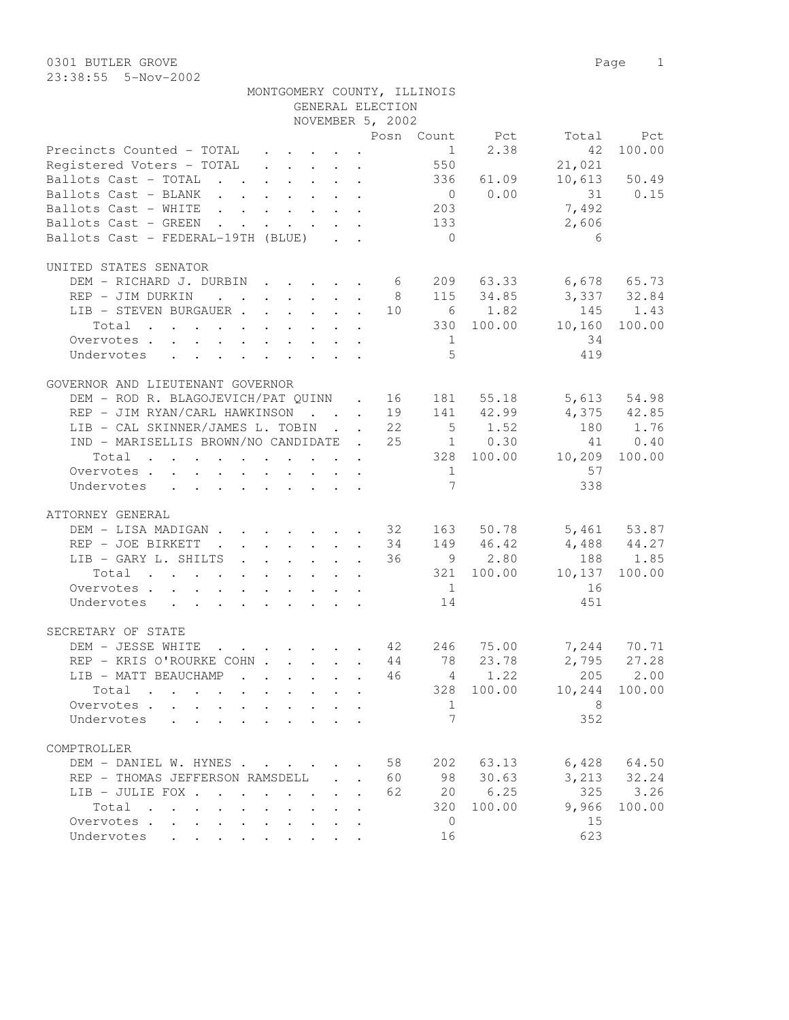|                                                        |  |                                                           |                  | MONTGOMERY COUNTY, ILLINOIS                 |             |                                                                         |              |
|--------------------------------------------------------|--|-----------------------------------------------------------|------------------|---------------------------------------------|-------------|-------------------------------------------------------------------------|--------------|
|                                                        |  |                                                           | GENERAL ELECTION |                                             |             |                                                                         |              |
|                                                        |  |                                                           | NOVEMBER 5, 2002 |                                             |             |                                                                         |              |
|                                                        |  |                                                           |                  |                                             |             | Posn Count Pct Total Pct                                                |              |
| Precincts Counted - TOTAL                              |  |                                                           |                  |                                             | $1 \t 2.38$ | 42                                                                      | 100.00       |
| Registered Voters - TOTAL                              |  |                                                           |                  | $\cdot$ $\cdot$ $\cdot$ $\cdot$ $\cdot$ 550 |             | 21,021                                                                  |              |
| Ballots Cast - TOTAL 336 61.09                         |  |                                                           |                  |                                             |             |                                                                         | 10,613 50.49 |
| Ballots Cast - BLANK                                   |  |                                                           |                  | $\bigcirc$                                  | 0.00        |                                                                         | 31 0.15      |
| Ballots Cast - WHITE                                   |  |                                                           |                  | 203                                         |             | 7,492                                                                   |              |
| Ballots Cast - GREEN                                   |  | $\mathbf{r}$ , $\mathbf{r}$ , $\mathbf{r}$ , $\mathbf{r}$ |                  | 133                                         |             | 2,606                                                                   |              |
| Ballots Cast - FEDERAL-19TH (BLUE)                     |  |                                                           |                  | $\overline{0}$                              |             | 6                                                                       |              |
| UNITED STATES SENATOR                                  |  |                                                           |                  |                                             |             |                                                                         |              |
| DEM - RICHARD J. DURBIN                                |  |                                                           | 6 —              |                                             |             | 209 63.33 6,678 65.73                                                   |              |
| REP - JIM DURKIN                                       |  |                                                           | . 8              |                                             |             | 115 34.85 3,337 32.84                                                   |              |
| LIB - STEVEN BURGAUER 10                               |  |                                                           |                  |                                             | 6 1.82      |                                                                         | 145 1.43     |
| Total $\cdot$                                          |  |                                                           |                  |                                             |             | 330 100.00 10,160 100.00                                                |              |
| Overvotes                                              |  |                                                           |                  | $\frac{1}{2}$                               |             | -34                                                                     |              |
| Undervotes                                             |  |                                                           |                  | 5                                           |             | 419                                                                     |              |
| GOVERNOR AND LIEUTENANT GOVERNOR                       |  |                                                           |                  |                                             |             |                                                                         |              |
| DEM - ROD R. BLAGOJEVICH/PAT QUINN . 16                |  |                                                           |                  |                                             |             | 181 55.18 5,613 54.98                                                   |              |
| REP - JIM RYAN/CARL HAWKINSON 19 141 42.99 4,375 42.85 |  |                                                           |                  |                                             |             |                                                                         |              |
| LIB - CAL SKINNER/JAMES L. TOBIN 22                    |  |                                                           |                  |                                             | $5 \t 1.52$ |                                                                         | 180 1.76     |
| IND - MARISELLIS BROWN/NO CANDIDATE . 25               |  |                                                           |                  |                                             |             | 1 0.30 41 0.40                                                          |              |
| Total                                                  |  |                                                           |                  |                                             |             | 328 100.00 10,209 100.00                                                |              |
| Overvotes                                              |  |                                                           |                  | 1                                           |             | 57                                                                      |              |
| Undervotes                                             |  |                                                           |                  | 7                                           |             | 338                                                                     |              |
| ATTORNEY GENERAL                                       |  |                                                           |                  |                                             |             |                                                                         |              |
| DOM TTON MADICANT                                      |  |                                                           |                  |                                             |             | $22.07 \times 10^{-10}$ $22.07 \times 10^{-10}$ $22.07 \times 10^{-10}$ |              |

| ATTORNEY GENERAL                                                                                                                                                                                                                                       |                                                                                   |                                      |    |                |        |        |              |
|--------------------------------------------------------------------------------------------------------------------------------------------------------------------------------------------------------------------------------------------------------|-----------------------------------------------------------------------------------|--------------------------------------|----|----------------|--------|--------|--------------|
| DEM - LISA MADIGAN                                                                                                                                                                                                                                     |                                                                                   |                                      | 32 | 163            | 50.78  |        | 5,461 53.87  |
| REP - JOE BIRKETT<br>$\sim$<br>$\mathbf{r}$ , $\mathbf{r}$ , $\mathbf{r}$ , $\mathbf{r}$ , $\mathbf{r}$                                                                                                                                                |                                                                                   |                                      | 34 | 149            | 46.42  |        | 4,488 44.27  |
| LIB - GARY L. SHILTS                                                                                                                                                                                                                                   |                                                                                   |                                      | 36 | $\mathcal{Q}$  | 2.80   | 188    | 1.85         |
| Total<br>. The simple state is a set of the state of the state $\alpha$                                                                                                                                                                                |                                                                                   |                                      |    | 321            | 100.00 | 10,137 | 100.00       |
| Overvotes                                                                                                                                                                                                                                              |                                                                                   |                                      |    | 1              |        | 16     |              |
| Undervotes<br>the contract of the contract of the contract of the contract of the contract of the contract of the contract of                                                                                                                          |                                                                                   |                                      |    | 14             |        | 451    |              |
| SECRETARY OF STATE                                                                                                                                                                                                                                     |                                                                                   |                                      |    |                |        |        |              |
| DEM - JESSE WHITE<br>$\mathbf{r}$ . The contract of the contract of the contract of the contract of the contract of the contract of the contract of the contract of the contract of the contract of the contract of the contract of the contract of th |                                                                                   |                                      | 42 | 246            | 75.00  | 7,244  | 70.71        |
| REP - KRIS O'ROURKE COHN                                                                                                                                                                                                                               |                                                                                   |                                      | 44 | 78             | 23.78  | 2,795  | 27.28        |
| LIB - MATT BEAUCHAMP<br>$\mathbf{r}$ , $\mathbf{r}$ , $\mathbf{r}$ , $\mathbf{r}$ , $\mathbf{r}$ , $\mathbf{r}$                                                                                                                                        |                                                                                   |                                      | 46 | $\overline{4}$ | 1.22   |        | 205 2.00     |
| Total<br>. The contract of the contract of the contract of the contract of $\mathcal{O}(1)$                                                                                                                                                            |                                                                                   |                                      |    | 328            | 100.00 | 10,244 | 100.00       |
| Overvotes                                                                                                                                                                                                                                              |                                                                                   |                                      |    | $\mathbf{1}$   |        | 8      |              |
| Undervotes                                                                                                                                                                                                                                             |                                                                                   |                                      |    |                |        | 352    |              |
| COMPTROLLER                                                                                                                                                                                                                                            |                                                                                   |                                      |    |                |        |        |              |
| DEM - DANIEL W. HYNES                                                                                                                                                                                                                                  |                                                                                   |                                      | 58 | 202            | 63.13  | 6,428  | 64.50        |
| REP - THOMAS JEFFERSON RAMSDELL                                                                                                                                                                                                                        |                                                                                   | $\mathbf{L} = \mathbf{L} \mathbf{L}$ | 60 | 98             | 30.63  |        | 3, 213 32.24 |
| LIB - JULIE FOX .<br>$\sim$ $\sim$ $\sim$<br><b>Contract</b>                                                                                                                                                                                           | $\mathbf{r} = \mathbf{r}$ , $\mathbf{r} = \mathbf{r}$ , $\mathbf{r} = \mathbf{r}$ |                                      | 62 | 20             | 6.25   |        | 325 3.26     |
| Total<br>the contract of the contract of the contract of                                                                                                                                                                                               |                                                                                   |                                      |    | 320            | 100.00 | 9,966  | 100.00       |
| Overvotes .<br>$\mathbf{r}$ and $\mathbf{r}$<br>$\ddot{\phantom{a}}$<br>$\bullet$<br>$\ddot{\phantom{a}}$<br>$\ddot{\phantom{a}}$                                                                                                                      | $\cdot$ $\cdot$                                                                   | $\sim$                               |    | $\Omega$       |        | 15     |              |
| Undervotes<br>$\mathbf{a}^{\prime}$ , and $\mathbf{a}^{\prime}$ , and $\mathbf{a}^{\prime}$ , and $\mathbf{a}^{\prime}$ , and $\mathbf{a}^{\prime}$<br>$\cdot$ $\cdot$ $\cdot$                                                                         |                                                                                   |                                      |    | 16             |        | 623    |              |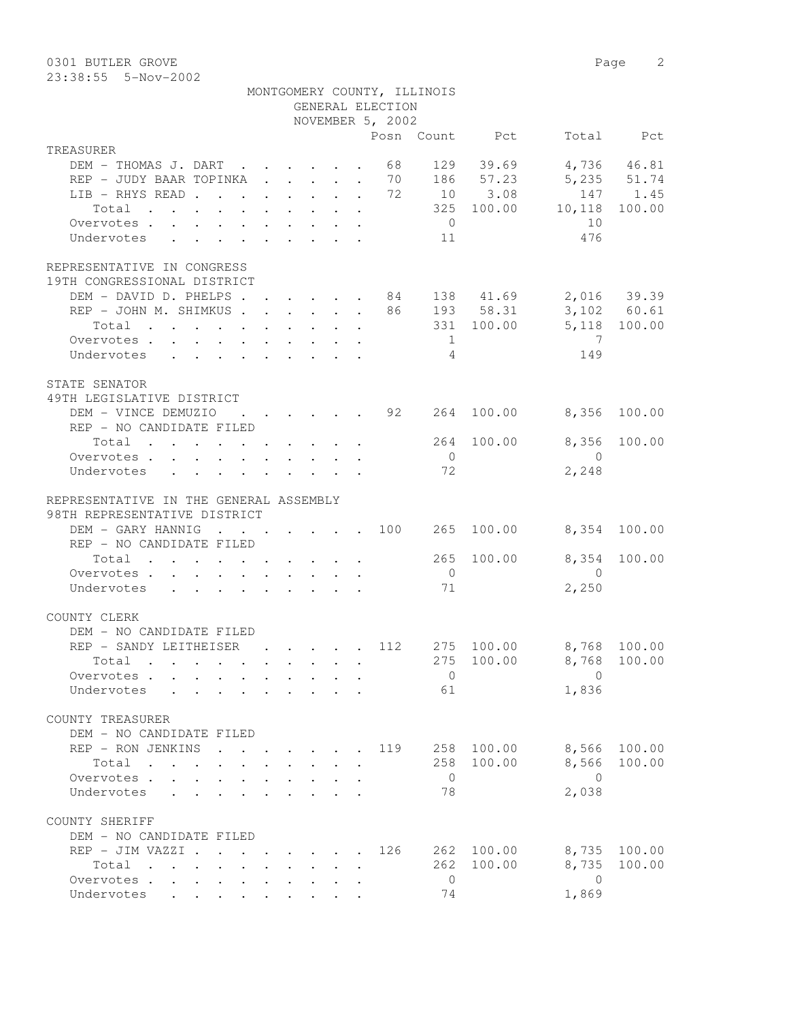0301 BUTLER GROVE 2 23:38:55 5-Nov-2002

|                                                                                   |                                                         |  |  | GENERAL ELECTION                            | MONTGOMERY COUNTY, ILLINOIS |                        |                         |              |
|-----------------------------------------------------------------------------------|---------------------------------------------------------|--|--|---------------------------------------------|-----------------------------|------------------------|-------------------------|--------------|
|                                                                                   |                                                         |  |  | NOVEMBER 5, 2002                            |                             |                        |                         |              |
|                                                                                   |                                                         |  |  |                                             |                             | Posn Count Pct         |                         | Total Pct    |
| TREASURER<br>DEM - THOMAS J. DART                                                 |                                                         |  |  | 68                                          |                             | 129 39.69              |                         | 4,736 46.81  |
| REP - JUDY BAAR TOPINKA 70 186 57.23                                              |                                                         |  |  |                                             |                             |                        |                         | 5,235 51.74  |
| LIB - RHYS READ 72                                                                |                                                         |  |  |                                             |                             | 10 3.08                |                         | 147 1.45     |
| Total                                                                             |                                                         |  |  |                                             |                             | 325 100.00             | 10,118                  | 100.00       |
| Overvotes $\cdots$ $\cdots$ $\cdots$ $\cdots$                                     |                                                         |  |  |                                             | $\overline{0}$              |                        | 10                      |              |
| Undervotes                                                                        |                                                         |  |  |                                             | 11                          |                        | 476                     |              |
|                                                                                   |                                                         |  |  |                                             |                             |                        |                         |              |
| REPRESENTATIVE IN CONGRESS<br>19TH CONGRESSIONAL DISTRICT                         |                                                         |  |  |                                             |                             |                        |                         |              |
| DEM - DAVID D. PHELPS 84 138 41.69 2,016 39.39                                    |                                                         |  |  |                                             |                             |                        |                         |              |
| REP - JOHN M. SHIMKUS 86 193 58.31 3,102 60.61                                    |                                                         |  |  |                                             |                             |                        |                         |              |
| Total                                                                             |                                                         |  |  |                                             |                             |                        | 331 100.00 5,118 100.00 |              |
| Overvotes.                                                                        |                                                         |  |  |                                             | $\overline{1}$              |                        | $\overline{7}$          |              |
| Undervotes                                                                        |                                                         |  |  |                                             | $\overline{4}$              |                        | 149                     |              |
| STATE SENATOR                                                                     |                                                         |  |  |                                             |                             |                        |                         |              |
| 49TH LEGISLATIVE DISTRICT                                                         |                                                         |  |  |                                             |                             |                        |                         |              |
| DEM - VINCE DEMUZIO                                                               |                                                         |  |  |                                             |                             | $\cdots$ 92 264 100.00 | 8,356                   | 100.00       |
| REP - NO CANDIDATE FILED                                                          |                                                         |  |  |                                             |                             |                        |                         |              |
| Total 264 100.00                                                                  |                                                         |  |  |                                             |                             |                        | 8,356                   | 100.00       |
| Overvotes.                                                                        |                                                         |  |  |                                             | $\overline{0}$              |                        | $\overline{0}$          |              |
| Undervotes                                                                        |                                                         |  |  |                                             | 72                          |                        | 2,248                   |              |
| REPRESENTATIVE IN THE GENERAL ASSEMBLY<br>98TH REPRESENTATIVE DISTRICT            |                                                         |  |  |                                             |                             |                        |                         |              |
| DEM - GARY HANNIG 100                                                             |                                                         |  |  |                                             | 265                         | 100.00                 |                         | 8,354 100.00 |
| REP - NO CANDIDATE FILED                                                          |                                                         |  |  |                                             |                             |                        |                         |              |
| Total $\cdot$                                                                     |                                                         |  |  |                                             | 265                         | 100.00                 | 8,354                   | 100.00       |
| Overvotes.                                                                        |                                                         |  |  |                                             | $\overline{0}$              |                        | $\overline{0}$          |              |
| Undervotes                                                                        |                                                         |  |  |                                             | 71                          |                        | 2,250                   |              |
|                                                                                   |                                                         |  |  |                                             |                             |                        |                         |              |
| COUNTY CLERK                                                                      |                                                         |  |  |                                             |                             |                        |                         |              |
| DEM - NO CANDIDATE FILED                                                          |                                                         |  |  |                                             |                             |                        |                         |              |
| REP - SANDY LEITHEISER                                                            |                                                         |  |  | $\cdot$ $\cdot$ $\cdot$ $\cdot$ $\cdot$ 112 |                             | 275 100.00             | 8,768 100.00            |              |
| Total .                                                                           |                                                         |  |  |                                             |                             |                        | 275 100.00 8,768 100.00 |              |
| Overvotes                                                                         |                                                         |  |  |                                             | $\overline{0}$              |                        | $\Omega$                |              |
| Undervotes                                                                        |                                                         |  |  |                                             | 61                          |                        | 1,836                   |              |
| COUNTY TREASURER                                                                  |                                                         |  |  |                                             |                             |                        |                         |              |
| DEM - NO CANDIDATE FILED                                                          |                                                         |  |  |                                             |                             |                        |                         |              |
| REP - RON JENKINS                                                                 |                                                         |  |  | 119                                         | 258                         | 100.00                 | 8,566                   | 100.00       |
| Total                                                                             |                                                         |  |  |                                             |                             | 258 100.00             | 8,566                   | 100.00       |
| Overvotes.<br>$\sim$                                                              |                                                         |  |  |                                             | $\overline{0}$              |                        | $\bigcirc$              |              |
| Undervotes                                                                        |                                                         |  |  |                                             | 78                          |                        | 2,038                   |              |
| COUNTY SHERIFF                                                                    |                                                         |  |  |                                             |                             |                        |                         |              |
| DEM - NO CANDIDATE FILED                                                          |                                                         |  |  |                                             |                             |                        |                         |              |
| REP - JIM VAZZI .                                                                 | $\cdot$ $\cdot$ $\cdot$ $\cdot$ $\cdot$ $\cdot$ $\cdot$ |  |  | 126                                         |                             | 262 100.00             | 8,735                   | 100.00       |
| Total<br>$\mathbf{r}$ , $\mathbf{r}$ , $\mathbf{r}$ , $\mathbf{r}$ , $\mathbf{r}$ |                                                         |  |  |                                             | 262                         | 100.00                 | 8,735                   | 100.00       |
| Overvotes                                                                         |                                                         |  |  |                                             | $\overline{0}$              |                        | $\overline{0}$          |              |
| Undervotes                                                                        |                                                         |  |  |                                             | 74                          |                        | 1,869                   |              |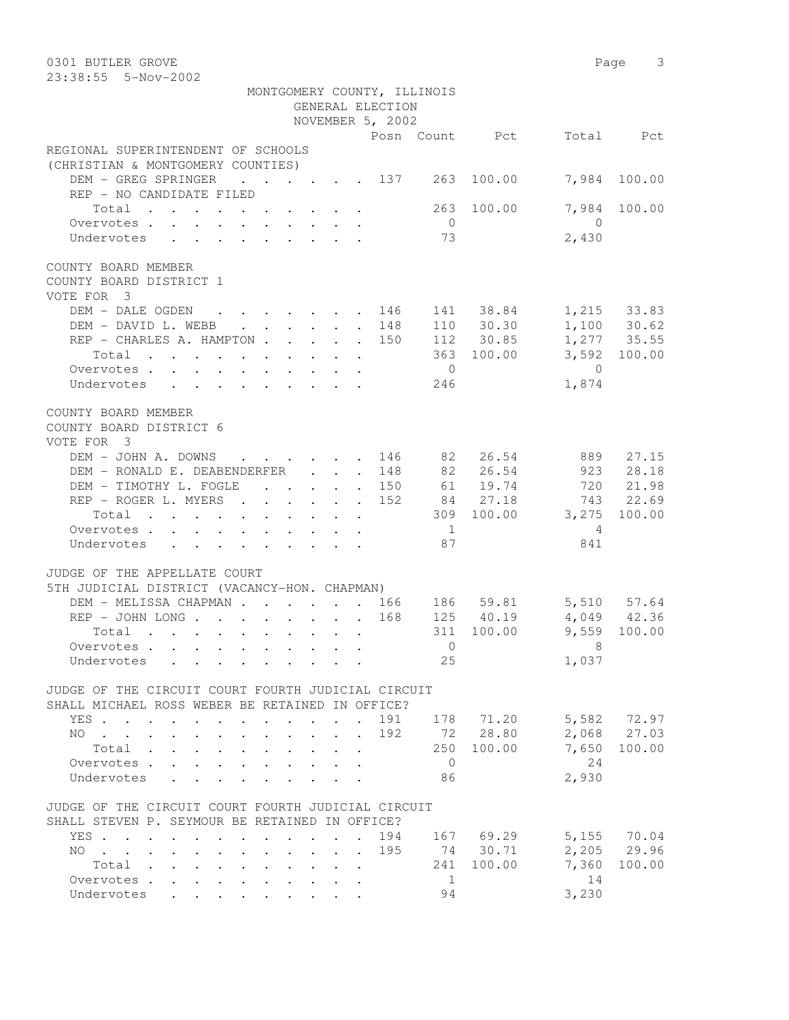| 0301 BUTLER GROVE                                                                                     |                                            |                      |                      |                             |                                  |                | Page 3                     |
|-------------------------------------------------------------------------------------------------------|--------------------------------------------|----------------------|----------------------|-----------------------------|----------------------------------|----------------|----------------------------|
| 23:38:55  5-Nov-2002                                                                                  |                                            |                      |                      |                             |                                  |                |                            |
|                                                                                                       |                                            |                      | GENERAL ELECTION     | MONTGOMERY COUNTY, ILLINOIS |                                  |                |                            |
|                                                                                                       |                                            |                      | NOVEMBER 5, 2002     |                             |                                  |                |                            |
|                                                                                                       |                                            |                      |                      |                             | Posn Count Pct                   |                | Total Pct                  |
| REGIONAL SUPERINTENDENT OF SCHOOLS                                                                    |                                            |                      |                      |                             |                                  |                |                            |
| (CHRISTIAN & MONTGOMERY COUNTIES)                                                                     |                                            |                      |                      |                             |                                  |                |                            |
| DEM - GREG SPRINGER<br>$\cdot$ $\cdot$ $\cdot$ $\cdot$ $\cdot$ $\cdot$ 137 263                        |                                            |                      |                      |                             | 100.00                           |                | 7,984 100.00               |
| REP - NO CANDIDATE FILED                                                                              |                                            |                      |                      |                             |                                  |                |                            |
| Total                                                                                                 |                                            |                      |                      |                             | 263 100.00                       |                | 7,984 100.00               |
| Overvotes.                                                                                            |                                            |                      |                      | $\overline{0}$              |                                  | $\overline{0}$ |                            |
| Undervotes                                                                                            |                                            |                      |                      | 73                          |                                  | 2,430          |                            |
| COUNTY BOARD MEMBER<br>COUNTY BOARD DISTRICT 1<br>VOTE FOR 3                                          |                                            |                      |                      |                             |                                  |                |                            |
| DEM - DALE OGDEN 146                                                                                  |                                            |                      |                      |                             | 141 38.84 1,215 33.83            |                |                            |
| DEM - DAVID L. WEBB 148                                                                               |                                            |                      |                      |                             | 110 30.30                        |                | 1,100 30.62<br>1,277 35.55 |
| REP - CHARLES A. HAMPTON 150                                                                          |                                            |                      |                      |                             | 112 30.85                        |                | 3,592 100.00               |
| Total $\cdot$<br>Overvotes.                                                                           |                                            |                      |                      | $\overline{0}$              | 363 100.00                       | $\overline{0}$ |                            |
| Undervotes                                                                                            |                                            |                      |                      | 246                         |                                  | 1,874          |                            |
|                                                                                                       |                                            |                      |                      |                             |                                  |                |                            |
| COUNTY BOARD MEMBER<br>COUNTY BOARD DISTRICT 6<br>VOTE FOR 3                                          |                                            |                      |                      |                             |                                  |                |                            |
| DEM - JOHN A. DOWNS 146 82 26.54                                                                      |                                            |                      |                      |                             |                                  |                | 889 27.15                  |
| DEM - RONALD E. DEABENDERFER                                                                          |                                            |                      | 148                  |                             | 82 26.54                         |                | 923 28.18                  |
| DEM - TIMOTHY L. FOGLE 150                                                                            |                                            |                      |                      |                             | 61 19.74<br>84 27.18             |                | 720 21.98<br>743 22.69     |
| REP - ROGER L. MYERS 152<br>Total 309 100.00 3,275 100.00                                             |                                            |                      |                      |                             |                                  |                |                            |
| Overvotes.                                                                                            |                                            |                      |                      | $\overline{1}$              |                                  | $\overline{4}$ |                            |
| Undervotes                                                                                            |                                            |                      |                      | 87                          |                                  | 841            |                            |
|                                                                                                       |                                            |                      |                      |                             |                                  |                |                            |
| JUDGE OF THE APPELLATE COURT                                                                          |                                            |                      |                      |                             |                                  |                |                            |
| 5TH JUDICIAL DISTRICT (VACANCY-HON. CHAPMAN)                                                          |                                            |                      |                      |                             |                                  |                |                            |
| DEM - MELISSA CHAPMAN 166 186 59.81 5,510 57.64                                                       |                                            |                      |                      |                             |                                  |                |                            |
| REP - JOHN LONG 168                                                                                   |                                            |                      |                      |                             | $125 \t 40.19 \t 4,049 \t 42.36$ |                |                            |
| Total<br>Overvotes.                                                                                   |                                            |                      |                      | $\overline{0}$              | 311 100.00 9,559 100.00          | 8              |                            |
| Undervotes                                                                                            |                                            |                      |                      | 25                          |                                  | 1,037          |                            |
|                                                                                                       |                                            |                      |                      |                             |                                  |                |                            |
| JUDGE OF THE CIRCUIT COURT FOURTH JUDICIAL CIRCUIT<br>SHALL MICHAEL ROSS WEBER BE RETAINED IN OFFICE? |                                            |                      |                      |                             |                                  |                |                            |
| YES                                                                                                   |                                            |                      | 191                  |                             | 178 71.20                        |                | 5,582 72.97<br>2,068 27.03 |
| NO.<br><b>Contract Contract Contract Contract</b>                                                     | $\mathbf{r} = \mathbf{r} \cdot \mathbf{r}$ |                      | 192                  |                             | 72 28.80                         |                | 7,650 100.00               |
| Total<br>Overvotes                                                                                    | $\mathbf{r}$ , $\mathbf{r}$ , $\mathbf{r}$ |                      | $\ddot{\phantom{0}}$ | 250<br>$\overline{0}$       | 100.00                           | 24             |                            |
| Undervotes                                                                                            |                                            |                      |                      | 86                          |                                  | 2,930          |                            |
|                                                                                                       |                                            |                      |                      |                             |                                  |                |                            |
| JUDGE OF THE CIRCUIT COURT FOURTH JUDICIAL CIRCUIT<br>SHALL STEVEN P. SEYMOUR BE RETAINED IN OFFICE?  |                                            |                      |                      |                             |                                  |                |                            |
| YES<br>$\sim$                                                                                         |                                            |                      | 194                  |                             | 167 69.29                        |                | 5,155 70.04                |
| $NO$                                                                                                  |                                            |                      | 195                  |                             | 74 30.71                         |                | 2,205 29.96                |
| Total                                                                                                 |                                            |                      |                      |                             | 241 100.00                       | 7,360          | 100.00                     |
| Overvotes                                                                                             |                                            | $\ddot{\phantom{a}}$ |                      | $\overline{1}$              |                                  | 14             |                            |
| Undervotes                                                                                            |                                            |                      |                      | 94                          |                                  | 3,230          |                            |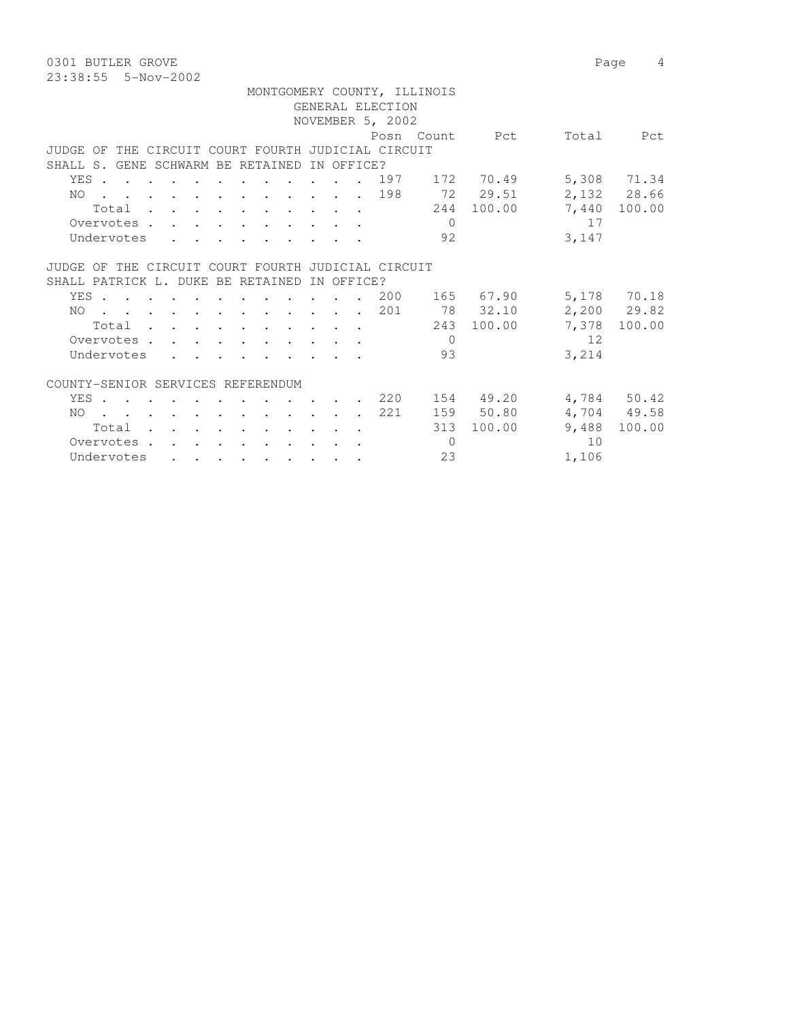0301 BUTLER GROVE 2008 Page 4 23:38:55 5-Nov-2002

|                                                    |                                                                                                                 |  |  |                                        |                          |            |                     | MONTGOMERY COUNTY, ILLINOIS |                |       |               |
|----------------------------------------------------|-----------------------------------------------------------------------------------------------------------------|--|--|----------------------------------------|--------------------------|------------|---------------------|-----------------------------|----------------|-------|---------------|
|                                                    |                                                                                                                 |  |  |                                        |                          |            | GENERAL ELECTION    |                             |                |       |               |
|                                                    |                                                                                                                 |  |  |                                        |                          |            | NOVEMBER 5, 2002    |                             |                |       |               |
|                                                    |                                                                                                                 |  |  |                                        |                          |            |                     |                             | Posn Count Pct | Total | Pct           |
| JUDGE OF THE CIRCUIT COURT FOURTH JUDICIAL CIRCUIT |                                                                                                                 |  |  |                                        |                          |            |                     |                             |                |       |               |
| SHALL S. GENE SCHWARM BE RETAINED                  |                                                                                                                 |  |  |                                        |                          | IN OFFICE? |                     |                             |                |       |               |
| YES                                                |                                                                                                                 |  |  | $\mathbf{r}$ . The set of $\mathbf{r}$ |                          |            | 197                 |                             | 172 70.49      |       | 5,308 71.34   |
| NO 198                                             |                                                                                                                 |  |  |                                        |                          |            |                     |                             | 72 29.51       |       | 2,132 28.66   |
|                                                    | Total                                                                                                           |  |  |                                        |                          |            |                     |                             | 244 100.00     |       | 7,440 100.00  |
| Overvotes                                          |                                                                                                                 |  |  |                                        |                          |            |                     | $\Omega$                    |                | 17    |               |
| Undervotes                                         |                                                                                                                 |  |  |                                        |                          |            |                     | 92                          |                | 3,147 |               |
|                                                    |                                                                                                                 |  |  |                                        |                          |            |                     |                             |                |       |               |
| JUDGE OF THE CIRCUIT COURT FOURTH JUDICIAL CIRCUIT |                                                                                                                 |  |  |                                        |                          |            |                     |                             |                |       |               |
| SHALL PATRICK L. DUKE BE RETAINED                  |                                                                                                                 |  |  |                                        |                          | IN OFFICE? |                     |                             |                |       |               |
| YES. 200                                           |                                                                                                                 |  |  |                                        |                          |            |                     |                             | 165 67.90      |       | 5,178 70.18   |
| NO.                                                |                                                                                                                 |  |  |                                        |                          |            | . 201               |                             | 78 32.10       |       | $2,200$ 29.82 |
|                                                    |                                                                                                                 |  |  |                                        |                          |            |                     |                             | 243 100.00     | 7,378 | 100.00        |
|                                                    | Total                                                                                                           |  |  |                                        |                          |            |                     | $\Omega$                    |                | 12    |               |
| Overvotes                                          |                                                                                                                 |  |  |                                        |                          |            |                     | 93                          |                |       |               |
| Undervotes                                         |                                                                                                                 |  |  |                                        |                          |            |                     |                             |                | 3,214 |               |
|                                                    |                                                                                                                 |  |  |                                        |                          |            |                     |                             |                |       |               |
| COUNTY-SENIOR SERVICES REFERENDUM                  |                                                                                                                 |  |  |                                        |                          |            |                     |                             |                |       |               |
| YES.                                               |                                                                                                                 |  |  |                                        | <b>Contract Contract</b> |            | $\cdot$ $\cdot$ 220 |                             | 154 49.20      |       | 4,784 50.42   |
| NO.                                                | the contract of the contract of the contract of the contract of the contract of the contract of the contract of |  |  |                                        |                          |            | 221                 |                             | 159 50.80      |       | 4,704 49.58   |
|                                                    | Total                                                                                                           |  |  |                                        |                          |            |                     | 313                         | 100.00         | 9,488 | 100.00        |
| Overvotes.                                         |                                                                                                                 |  |  |                                        |                          |            |                     | $\overline{0}$              |                | 10    |               |
| Undervotes                                         |                                                                                                                 |  |  |                                        |                          |            |                     | 23                          |                | 1,106 |               |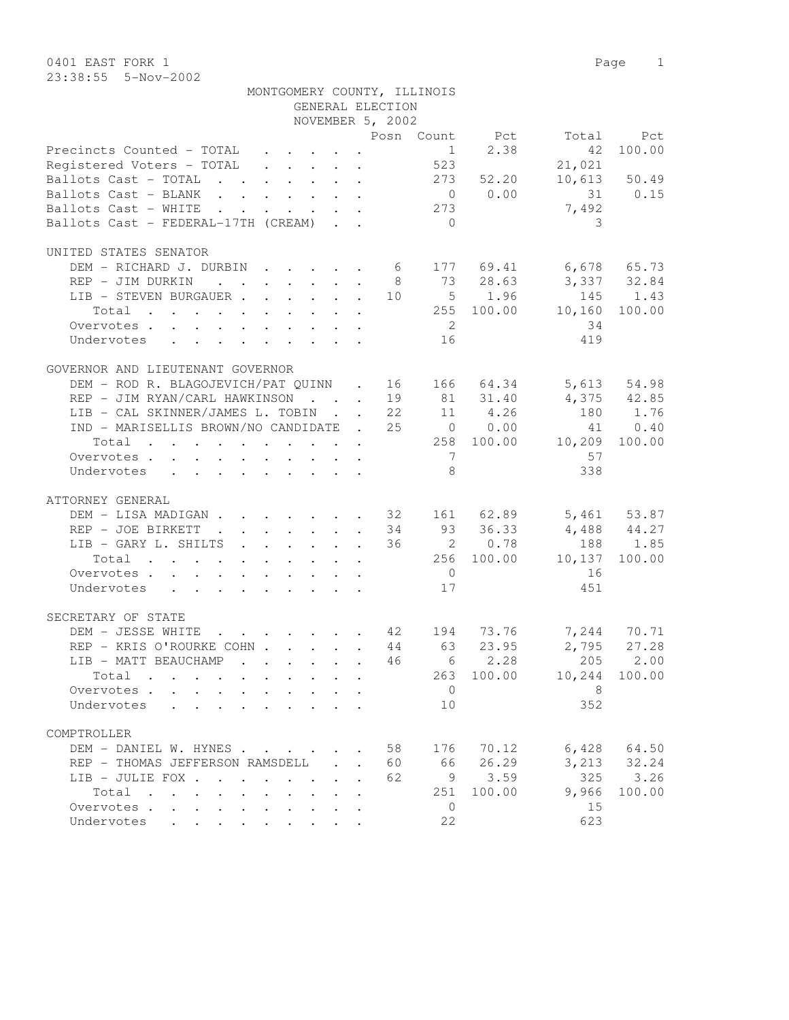|                                                                                                                      | MONTGOMERY COUNTY, ILLINOIS                                           |                            |                    |                |                |                       |              |
|----------------------------------------------------------------------------------------------------------------------|-----------------------------------------------------------------------|----------------------------|--------------------|----------------|----------------|-----------------------|--------------|
|                                                                                                                      |                                                                       |                            | GENERAL ELECTION   |                |                |                       |              |
|                                                                                                                      |                                                                       |                            | NOVEMBER 5, 2002   |                |                |                       |              |
|                                                                                                                      |                                                                       |                            |                    |                | Posn Count Pct | Total                 | Pct          |
| Precincts Counted - TOTAL                                                                                            |                                                                       |                            |                    | 1              | 2.38           | 42                    | 100.00       |
| Registered Voters - TOTAL                                                                                            |                                                                       |                            |                    | 523            |                | 21,021                |              |
| Ballots Cast - TOTAL                                                                                                 |                                                                       |                            |                    |                | 273 52.20      |                       | 10,613 50.49 |
| Ballots Cast - BLANK                                                                                                 |                                                                       |                            |                    |                | 0 0.00         |                       | 31 0.15      |
| Ballots Cast - WHITE                                                                                                 | $\mathbf{r}$ , and $\mathbf{r}$ , and $\mathbf{r}$ , and $\mathbf{r}$ |                            |                    | 273            |                | 7,492                 |              |
| Ballots Cast - FEDERAL-17TH (CREAM)                                                                                  |                                                                       |                            |                    | $\bigcirc$     |                | 3                     |              |
|                                                                                                                      |                                                                       |                            |                    |                |                |                       |              |
| UNITED STATES SENATOR                                                                                                |                                                                       |                            |                    |                |                |                       |              |
| DEM - RICHARD J. DURBIN 6                                                                                            |                                                                       |                            |                    |                |                | 177 69.41 6,678 65.73 |              |
| REP - JIM DURKIN                                                                                                     |                                                                       |                            | 8 <sup>8</sup>     |                | 73 28.63       | 3,337 32.84           |              |
| LIB - STEVEN BURGAUER 10                                                                                             |                                                                       |                            |                    |                | $5 \t 1.96$    | 145                   | 1.43         |
|                                                                                                                      |                                                                       |                            |                    |                |                |                       |              |
| Total                                                                                                                |                                                                       |                            |                    |                | 255 100.00     | 10,160                | 100.00       |
| Overvotes                                                                                                            |                                                                       |                            |                    | $\overline{2}$ |                | 34                    |              |
| Undervotes<br>$\mathbf{r}$ , $\mathbf{r}$ , $\mathbf{r}$ , $\mathbf{r}$ , $\mathbf{r}$ , $\mathbf{r}$ , $\mathbf{r}$ |                                                                       |                            |                    | 16             |                | 419                   |              |
|                                                                                                                      |                                                                       |                            |                    |                |                |                       |              |
| GOVERNOR AND LIEUTENANT GOVERNOR                                                                                     |                                                                       |                            |                    |                |                |                       |              |
| DEM - ROD R. BLAGOJEVICH/PAT QUINN . 16 166 64.34                                                                    |                                                                       |                            |                    |                |                |                       | 5,613 54.98  |
| REP - JIM RYAN/CARL HAWKINSON 19                                                                                     |                                                                       |                            |                    |                | 81 31.40       | $4,375$ $42.85$       |              |
| LIB - CAL SKINNER/JAMES L. TOBIN 22                                                                                  |                                                                       |                            |                    |                | 11 4.26        | 180                   | 1.76         |
| IND - MARISELLIS BROWN/NO CANDIDATE . 25                                                                             |                                                                       |                            |                    |                | $0 \t 0.00$    | 41                    | 0.40         |
| Total                                                                                                                |                                                                       |                            |                    |                |                | 258 100.00 10,209     | 100.00       |
| Overvotes                                                                                                            |                                                                       |                            |                    | $\overline{7}$ |                | 57                    |              |
| Undervotes                                                                                                           |                                                                       |                            |                    | 8              |                | 338                   |              |
|                                                                                                                      |                                                                       |                            |                    |                |                |                       |              |
|                                                                                                                      |                                                                       |                            |                    |                |                |                       |              |
| ATTORNEY GENERAL                                                                                                     |                                                                       |                            |                    |                |                |                       |              |
| DEM - LISA MADIGAN 32 161 62.89 5,461 53.87                                                                          |                                                                       |                            |                    |                |                |                       |              |
| REP - JOE BIRKETT                                                                                                    |                                                                       |                            |                    |                | 93 36.33       | 4,488 44.27           |              |
| LIB - GARY L. SHILTS                                                                                                 |                                                                       |                            | - 36               |                | 2 0.78         | 188                   | 1.85         |
| Total                                                                                                                |                                                                       |                            |                    |                | 256 100.00     | 10,137                | 100.00       |
| Overvotes                                                                                                            |                                                                       |                            |                    | $\overline{0}$ |                | 16                    |              |
| Undervotes                                                                                                           |                                                                       |                            |                    | 17             |                | 451                   |              |
|                                                                                                                      |                                                                       |                            |                    |                |                |                       |              |
| SECRETARY OF STATE                                                                                                   |                                                                       |                            |                    |                |                |                       |              |
| DEM - JESSE WHITE                                                                                                    | . 42 194                                                              |                            |                    |                | 73.76          |                       | 7,244 70.71  |
| REP - KRIS O'ROURKE COHN 44                                                                                          |                                                                       |                            |                    | 63             | 23.95          |                       | 2,795 27.28  |
| LIB - MATT BEAUCHAMP                                                                                                 |                                                                       |                            | 46                 | 6              | 2.28           | 205                   | 2.00         |
|                                                                                                                      |                                                                       |                            |                    |                |                |                       |              |
| Total                                                                                                                |                                                                       |                            |                    | 263            | 100.00         | 10,244                | 100.00       |
| Overvotes .<br>$\ddot{\phantom{0}}$                                                                                  |                                                                       |                            |                    | $\mathbf 0$    |                | 8                     |              |
| Undervotes<br>$\ddot{\phantom{a}}$                                                                                   |                                                                       |                            |                    | 10             |                | 352                   |              |
|                                                                                                                      |                                                                       |                            |                    |                |                |                       |              |
| COMPTROLLER                                                                                                          |                                                                       |                            |                    |                |                |                       |              |
| DEM - DANIEL W. HYNES                                                                                                |                                                                       |                            | 58                 | 176            | 70.12          | 6,428                 | 64.50        |
| REP - THOMAS JEFFERSON RAMSDELL                                                                                      |                                                                       | $\mathcal{L}^{\text{max}}$ | 60<br>$\mathbf{r}$ | 66             | 26.29          | 3,213                 | 32.24        |
| LIB - JULIE FOX .<br>$\mathbf{r}$ , $\mathbf{r}$ , $\mathbf{r}$ , $\mathbf{r}$                                       | $\ddot{\phantom{a}}$                                                  | $\sim$ $\sim$              | 62                 | 9              | 3.59           | 325                   | 3.26         |
| Total<br>$\sim$<br>$\mathbf{r}$ , $\mathbf{r}$ , $\mathbf{r}$ , $\mathbf{r}$                                         | $\sim$                                                                |                            |                    | 251            | 100.00         | 9,966                 | 100.00       |
| Overvotes                                                                                                            | $\bullet$                                                             |                            |                    | 0              |                | 15                    |              |
| Undervotes                                                                                                           |                                                                       |                            |                    | 22             |                | 623                   |              |
|                                                                                                                      |                                                                       |                            |                    |                |                |                       |              |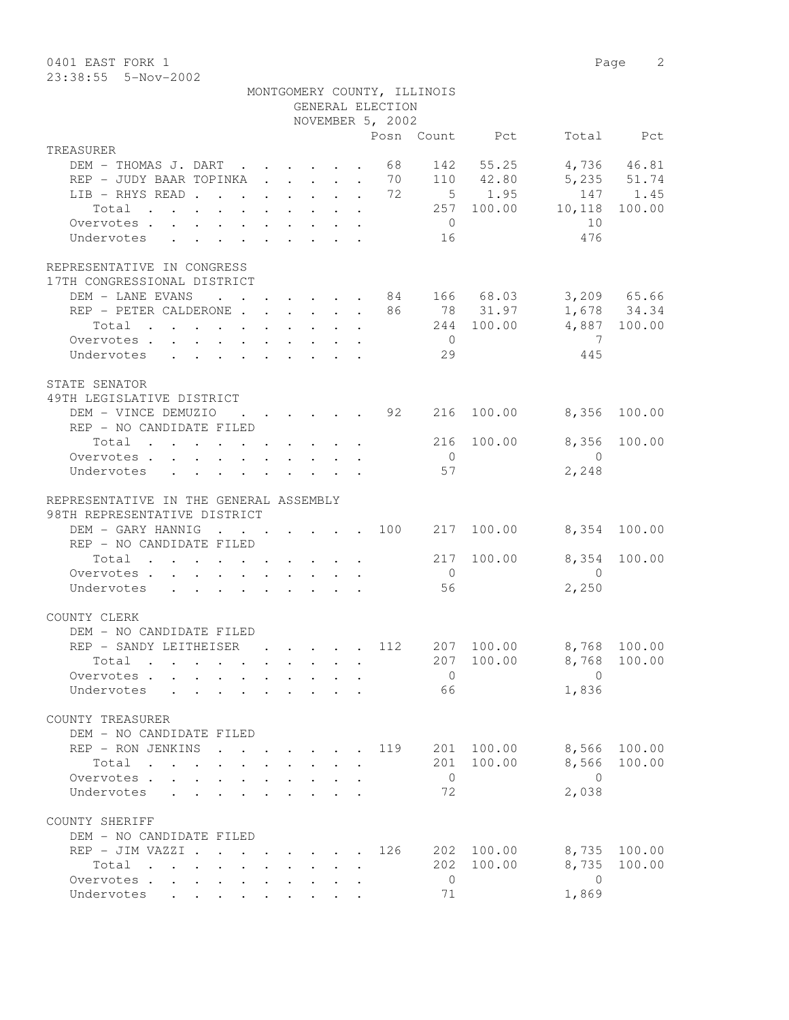| 0401 EAST FORK 1 |                         |                             |  | Page 2 |  |
|------------------|-------------------------|-----------------------------|--|--------|--|
|                  | $23:38:55$ $5-Nov-2002$ |                             |  |        |  |
|                  |                         | MONTGOMERY COUNTY, ILLINOIS |  |        |  |

|                                                                                                                                                 |                      |                                                                  | GENERAL ELECTION |                |                 |                |              |
|-------------------------------------------------------------------------------------------------------------------------------------------------|----------------------|------------------------------------------------------------------|------------------|----------------|-----------------|----------------|--------------|
|                                                                                                                                                 |                      |                                                                  | NOVEMBER 5, 2002 |                |                 |                |              |
|                                                                                                                                                 |                      |                                                                  |                  |                | Posn Count Pct  |                | Total Pct    |
| TREASURER                                                                                                                                       |                      |                                                                  |                  |                |                 |                |              |
| DEM - THOMAS J. DART                                                                                                                            |                      |                                                                  | 68               |                | 142 55.25       |                | 4,736 46.81  |
| REP - JUDY BAAR TOPINKA                                                                                                                         |                      |                                                                  | 70               |                | 110 42.80       |                | 5,235 51.74  |
| LIB - RHYS READ 72                                                                                                                              |                      |                                                                  |                  |                | $5 \qquad 1.95$ |                | 147 1.45     |
| Total                                                                                                                                           |                      |                                                                  |                  |                | 257 100.00      | 10,118         | 100.00       |
| Overvotes.                                                                                                                                      |                      |                                                                  |                  | $\overline{0}$ |                 | 10             |              |
| Undervotes                                                                                                                                      |                      |                                                                  |                  | 16             |                 | 476            |              |
|                                                                                                                                                 |                      |                                                                  |                  |                |                 |                |              |
| REPRESENTATIVE IN CONGRESS                                                                                                                      |                      |                                                                  |                  |                |                 |                |              |
| 17TH CONGRESSIONAL DISTRICT                                                                                                                     |                      |                                                                  |                  |                |                 |                |              |
| DEM - LANE EVANS<br>$\cdot$ 84 166 68.03                                                                                                        |                      |                                                                  |                  |                |                 |                | 3,209 65.66  |
| REP - PETER CALDERONE 86 78 31.97                                                                                                               |                      |                                                                  |                  |                |                 |                | 1,678 34.34  |
| Total                                                                                                                                           |                      |                                                                  |                  |                | 244 100.00      |                | 4,887 100.00 |
| Overvotes                                                                                                                                       |                      |                                                                  |                  | $\overline{0}$ |                 | $\overline{7}$ |              |
| Undervotes                                                                                                                                      |                      |                                                                  |                  | 29             |                 | 445            |              |
|                                                                                                                                                 |                      |                                                                  |                  |                |                 |                |              |
|                                                                                                                                                 |                      |                                                                  |                  |                |                 |                |              |
| STATE SENATOR                                                                                                                                   |                      |                                                                  |                  |                |                 |                |              |
| 49TH LEGISLATIVE DISTRICT                                                                                                                       |                      |                                                                  |                  |                |                 |                |              |
| DEM - VINCE DEMUZIO<br>$\cdot$ 92                                                                                                               |                      |                                                                  |                  | 216            | 100.00          | 8,356          | 100.00       |
| REP - NO CANDIDATE FILED                                                                                                                        |                      |                                                                  |                  |                |                 |                |              |
| Total                                                                                                                                           |                      |                                                                  |                  |                | 216 100.00      | 8,356          | 100.00       |
| Overvotes.                                                                                                                                      |                      |                                                                  |                  | $\overline{0}$ |                 | $\bigcirc$     |              |
| Undervotes<br>$\mathbf{r} = \mathbf{r} + \mathbf{r} + \mathbf{r} + \mathbf{r} + \mathbf{r} + \mathbf{r} + \mathbf{r} + \mathbf{r} + \mathbf{r}$ |                      |                                                                  |                  | 57             |                 | 2,248          |              |
|                                                                                                                                                 |                      |                                                                  |                  |                |                 |                |              |
| REPRESENTATIVE IN THE GENERAL ASSEMBLY                                                                                                          |                      |                                                                  |                  |                |                 |                |              |
| 98TH REPRESENTATIVE DISTRICT                                                                                                                    |                      |                                                                  |                  |                |                 |                |              |
| DEM - GARY HANNIG<br>$\cdot$ 100 217 100.00                                                                                                     |                      |                                                                  |                  |                |                 |                | 8,354 100.00 |
| REP - NO CANDIDATE FILED                                                                                                                        |                      |                                                                  |                  |                |                 |                |              |
| Total<br>. The simple state is a set of the state of the state $\alpha$                                                                         |                      |                                                                  |                  |                | 217 100.00      | 8,354          | 100.00       |
| Overvotes                                                                                                                                       |                      |                                                                  |                  | $\overline{0}$ |                 | $\overline{0}$ |              |
| Undervotes                                                                                                                                      |                      |                                                                  |                  | 56             |                 | 2,250          |              |
|                                                                                                                                                 |                      |                                                                  |                  |                |                 |                |              |
| COUNTY CLERK                                                                                                                                    |                      |                                                                  |                  |                |                 |                |              |
| DEM - NO CANDIDATE FILED                                                                                                                        |                      |                                                                  |                  |                |                 |                |              |
| REP - SANDY LEITHEISER 112 207 100.00                                                                                                           |                      |                                                                  |                  |                |                 | 8,768 100.00   |              |
| $\mathbf{r}$ , and $\mathbf{r}$ , and $\mathbf{r}$ , and $\mathbf{r}$ , and $\mathbf{r}$ , and $\mathbf{r}$<br>Total                            |                      |                                                                  |                  |                | 207 100.00      |                | 8,768 100.00 |
| Overvotes                                                                                                                                       |                      |                                                                  |                  | $\overline{0}$ |                 | $\sim$ 0       |              |
| Undervotes                                                                                                                                      |                      |                                                                  |                  | 66             |                 | 1,836          |              |
|                                                                                                                                                 |                      |                                                                  |                  |                |                 |                |              |
| COUNTY TREASURER                                                                                                                                |                      |                                                                  |                  |                |                 |                |              |
| DEM - NO CANDIDATE FILED                                                                                                                        |                      |                                                                  |                  |                |                 |                |              |
| REP - RON JENKINS<br><b>Contract Contract Contract</b>                                                                                          |                      | $\mathbf{r} = \mathbf{r} + \mathbf{r} + \mathbf{r} + \mathbf{r}$ | 119              | 201            | 100.00          | 8,566          | 100.00       |
| Total<br>$\mathbf{r}$ . The set of $\mathbf{r}$<br>$\mathbf{L}$<br>$\mathbf{L}$<br>$\sim$                                                       |                      | $\mathbf{r} = \mathbf{r} \cdot \mathbf{r}$                       | $\sim$           | 201            | 100.00          | 8,566          | 100.00       |
| Overvotes.                                                                                                                                      |                      |                                                                  |                  | $\overline{0}$ |                 | $\Omega$       |              |
|                                                                                                                                                 |                      |                                                                  |                  | 72             |                 | 2,038          |              |
| Undervotes<br>$\cdot$ $\cdot$ $\cdot$ $\cdot$ $\cdot$ $\cdot$ $\cdot$                                                                           |                      | $\cdot$ $\cdot$ $\cdot$ $\cdot$ $\cdot$                          |                  |                |                 |                |              |
|                                                                                                                                                 |                      |                                                                  |                  |                |                 |                |              |
| COUNTY SHERIFF                                                                                                                                  |                      |                                                                  |                  |                |                 |                |              |
| DEM - NO CANDIDATE FILED                                                                                                                        |                      |                                                                  |                  |                |                 |                |              |
| REP - JIM VAZZI .                                                                                                                               |                      |                                                                  | 126              |                | 202 100.00      | 8,735          | 100.00       |
| Total<br>$\cdots$ $\cdots$<br>$\cdot$ $\cdot$ $\cdot$<br>$\mathbf{L}$                                                                           | $\mathbf{L}$         |                                                                  |                  | 202            | 100.00          | 8,735          | 100.00       |
| Overvotes<br>$\cdot$ $\cdot$<br>$\sim$                                                                                                          | $\ddot{\phantom{0}}$ |                                                                  |                  | $\overline{0}$ |                 | $\bigcirc$     |              |
| Undervotes                                                                                                                                      |                      |                                                                  |                  | 71             |                 | 1,869          |              |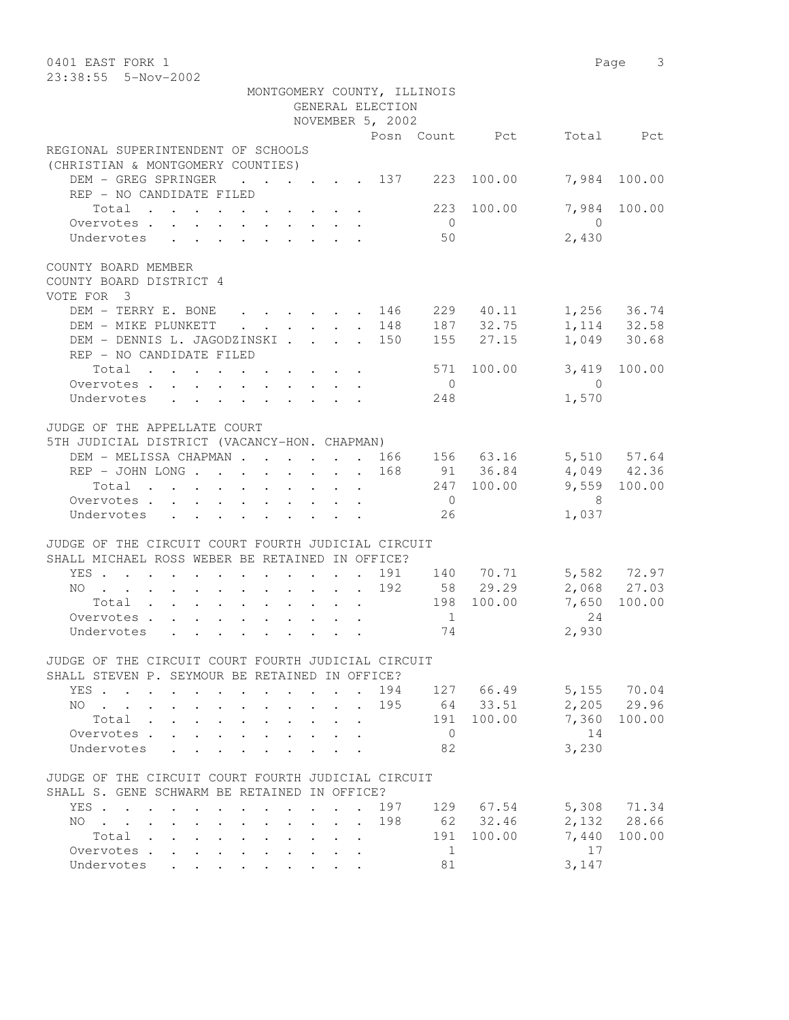| 0401 EAST FORK 1                                                                                               |                                                     |                             |                       |                | Page 3                                       |
|----------------------------------------------------------------------------------------------------------------|-----------------------------------------------------|-----------------------------|-----------------------|----------------|----------------------------------------------|
| 23:38:55  5-Nov-2002                                                                                           |                                                     |                             |                       |                |                                              |
|                                                                                                                |                                                     | MONTGOMERY COUNTY, ILLINOIS |                       |                |                                              |
|                                                                                                                | GENERAL ELECTION                                    |                             |                       |                |                                              |
|                                                                                                                | NOVEMBER 5, 2002                                    |                             |                       |                |                                              |
|                                                                                                                |                                                     | Posn Count Pct              |                       | Total          | Pct                                          |
| REGIONAL SUPERINTENDENT OF SCHOOLS                                                                             |                                                     |                             |                       |                |                                              |
| (CHRISTIAN & MONTGOMERY COUNTIES)                                                                              |                                                     |                             |                       |                |                                              |
| DEM - GREG SPRINGER                                                                                            | $\cdot$ $\cdot$ $\cdot$ $\cdot$ $\cdot$ $\cdot$ 137 | 223                         | 100.00                | 7,984          | 100.00                                       |
| REP - NO CANDIDATE FILED                                                                                       |                                                     |                             |                       |                |                                              |
| Total                                                                                                          |                                                     | 223                         | 100.00                | 7,984          | 100.00                                       |
| Overvotes                                                                                                      |                                                     | $\overline{0}$              |                       | $\overline{0}$ |                                              |
| Undervotes                                                                                                     |                                                     | 50                          |                       | 2,430          |                                              |
|                                                                                                                |                                                     |                             |                       |                |                                              |
| COUNTY BOARD MEMBER                                                                                            |                                                     |                             |                       |                |                                              |
| COUNTY BOARD DISTRICT 4                                                                                        |                                                     |                             |                       |                |                                              |
| VOTE FOR 3                                                                                                     |                                                     |                             |                       |                |                                              |
| DEM - TERRY E. BONE                                                                                            | . 146                                               |                             | 229 40.11             |                | 1, 256 36.74<br>1, 114 32.58<br>1, 049 30.68 |
| DEM - MIKE PLUNKETT<br>$\sim$                                                                                  | . 148                                               |                             | 187 32.75             |                |                                              |
| DEM - DENNIS L. JAGODZINSKI 150                                                                                |                                                     |                             | $155$ 27.15           |                |                                              |
| REP - NO CANDIDATE FILED                                                                                       |                                                     |                             |                       |                |                                              |
| Total                                                                                                          |                                                     | 571                         | 100.00                | 3,419          | 100.00                                       |
| Overvotes.                                                                                                     |                                                     | $\overline{0}$              |                       | $\overline{0}$ |                                              |
| Undervotes                                                                                                     |                                                     | 248                         |                       | 1,570          |                                              |
| JUDGE OF THE APPELLATE COURT                                                                                   |                                                     |                             |                       |                |                                              |
|                                                                                                                |                                                     |                             |                       |                |                                              |
| 5TH JUDICIAL DISTRICT (VACANCY-HON. CHAPMAN)                                                                   |                                                     |                             |                       |                |                                              |
| DEM - MELISSA CHAPMAN 166                                                                                      |                                                     |                             | 156 63.16<br>91 36.84 |                | 5,510 57.64<br>$4,049$ $42.36$               |
| REP - JOHN LONG 168                                                                                            |                                                     |                             |                       |                |                                              |
| Total                                                                                                          |                                                     |                             | 247 100.00            |                | 9,559 100.00                                 |
| Overvotes.                                                                                                     |                                                     | $\overline{0}$              |                       | - 8            |                                              |
| Undervotes                                                                                                     |                                                     | 26                          |                       | 1,037          |                                              |
| JUDGE OF THE CIRCUIT COURT FOURTH JUDICIAL CIRCUIT                                                             |                                                     |                             |                       |                |                                              |
| SHALL MICHAEL ROSS WEBER BE RETAINED IN OFFICE?                                                                |                                                     |                             |                       |                |                                              |
| YES                                                                                                            |                                                     | 191                         |                       |                |                                              |
| NO 192                                                                                                         |                                                     |                             | 140 70.71<br>58 29.29 |                | 5,582 72.97<br>2,068 27.03                   |
| Total $\cdot$                                                                                                  |                                                     |                             | 198 100.00            | 7,650          | 100.00                                       |
| Overvotes.                                                                                                     |                                                     | $\mathbf{1}$                |                       | 24             |                                              |
| Undervotes de la contrata de la contrata de la contrata de la contrata de la contrata de la contrata de la con |                                                     | 74                          |                       | 2,930          |                                              |
|                                                                                                                |                                                     |                             |                       |                |                                              |
| JUDGE OF THE CIRCUIT COURT FOURTH JUDICIAL CIRCUIT                                                             |                                                     |                             |                       |                |                                              |
| SHALL STEVEN P. SEYMOUR BE RETAINED IN OFFICE?                                                                 |                                                     |                             |                       |                |                                              |
| YES                                                                                                            |                                                     | 194 127 66.49               |                       | 5,155 70.04    |                                              |
| NO.                                                                                                            |                                                     | 195                         | 64 33.51              |                | 2,205 29.96                                  |
| Total<br>$\mathbf{L}$                                                                                          | $\mathbf{L}^{\text{max}}$<br>$\ddot{\phantom{0}}$   |                             | 191 100.00            | 7,360          | 100.00                                       |
| Overvotes.                                                                                                     |                                                     | $\overline{0}$              |                       | 14             |                                              |
| Undervotes                                                                                                     |                                                     | 82                          |                       | 3,230          |                                              |
|                                                                                                                |                                                     |                             |                       |                |                                              |
| JUDGE OF THE CIRCUIT COURT FOURTH JUDICIAL CIRCUIT                                                             |                                                     |                             |                       |                |                                              |
| SHALL S. GENE SCHWARM BE RETAINED IN OFFICE?                                                                   |                                                     |                             |                       |                |                                              |
| YES                                                                                                            | $\sim$                                              | 197                         | 129 67.54             |                | 5,308 71.34                                  |
| $NO$<br>$\sim$                                                                                                 | $\cdot$ $\cdot$ $\cdot$ $\cdot$                     | 198                         | 62 32.46              |                | 2,132 28.66                                  |
| Total                                                                                                          |                                                     |                             | 191 100.00            | 7,440          | 100.00                                       |
| Overvotes<br>$\sim 10^{-11}$<br>$\ddot{\phantom{0}}$                                                           |                                                     | $\mathbf{1}$                |                       | 17             |                                              |
| Undervotes                                                                                                     |                                                     | 81                          |                       | 3,147          |                                              |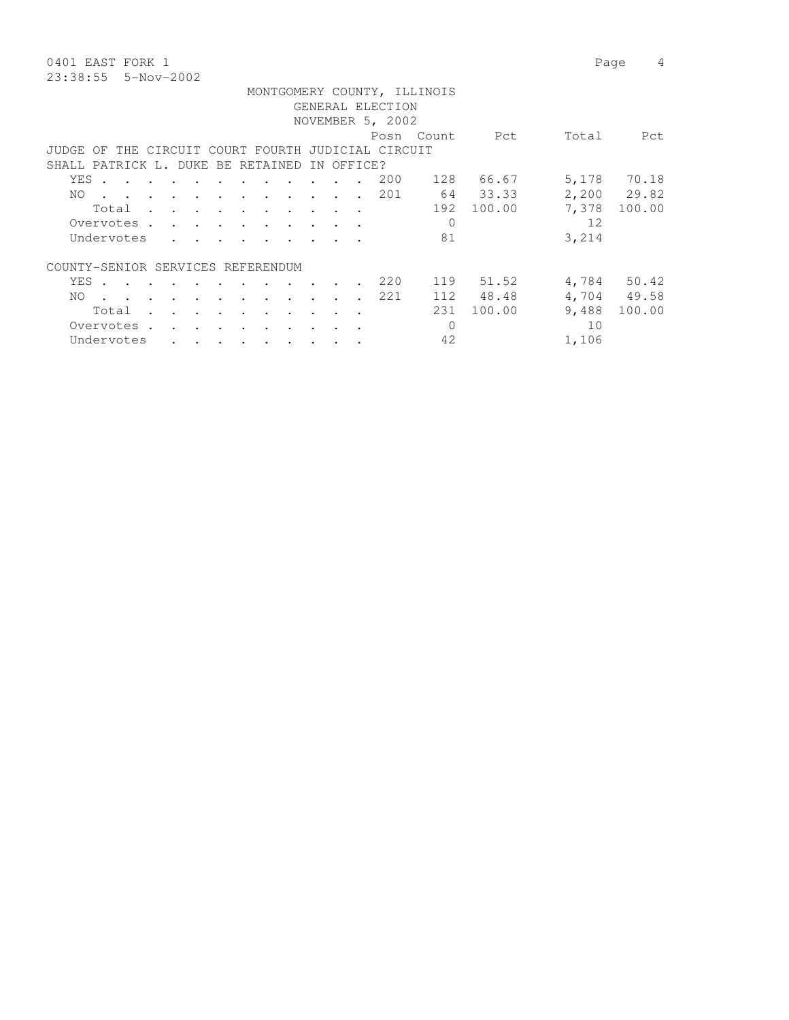0401 EAST FORK 1 Page 4 23:38:55 5-Nov-2002

|                                   |     |       |                                                                                                                 |  |                             |                                 |                                                                          |               |            | GENERAL ELECTION                                   | MONTGOMERY COUNTY, ILLINOIS |                 |       |             |
|-----------------------------------|-----|-------|-----------------------------------------------------------------------------------------------------------------|--|-----------------------------|---------------------------------|--------------------------------------------------------------------------|---------------|------------|----------------------------------------------------|-----------------------------|-----------------|-------|-------------|
|                                   |     |       |                                                                                                                 |  |                             |                                 |                                                                          |               |            |                                                    |                             |                 |       |             |
|                                   |     |       |                                                                                                                 |  |                             |                                 |                                                                          |               |            | NOVEMBER 5, 2002                                   |                             |                 |       |             |
|                                   |     |       |                                                                                                                 |  |                             |                                 |                                                                          |               |            |                                                    | Posn Count                  | <b>Property</b> | Total | Pct         |
|                                   |     |       |                                                                                                                 |  |                             |                                 |                                                                          |               |            | JUDGE OF THE CIRCUIT COURT FOURTH JUDICIAL CIRCUIT |                             |                 |       |             |
| SHALL PATRICK L. DUKE BE RETAINED |     |       |                                                                                                                 |  |                             |                                 |                                                                          |               | IN OFFICE? |                                                    |                             |                 |       |             |
|                                   |     | YES . |                                                                                                                 |  |                             |                                 |                                                                          |               |            | 200                                                | 128                         | 66.67           |       | 5,178 70.18 |
|                                   | NO. |       | the contract of the contract of the contract of the contract of the contract of the contract of the contract of |  |                             |                                 |                                                                          |               |            | 201                                                |                             | 64 33.33        |       | 2,200 29.82 |
|                                   |     |       | Total                                                                                                           |  |                             |                                 |                                                                          |               |            |                                                    |                             | 192 100.00      | 7,378 | 100.00      |
|                                   |     |       | Overvotes.                                                                                                      |  |                             |                                 |                                                                          |               |            |                                                    | $\Omega$                    |                 | 12    |             |
|                                   |     |       | Undervotes                                                                                                      |  |                             |                                 | $\mathbf{r}$ , $\mathbf{r}$ , $\mathbf{r}$ , $\mathbf{r}$ , $\mathbf{r}$ |               |            |                                                    | 81                          |                 | 3,214 |             |
| COUNTY-SENIOR SERVICES REFERENDUM |     |       |                                                                                                                 |  |                             |                                 |                                                                          |               |            |                                                    |                             |                 |       |             |
|                                   |     |       | YES.                                                                                                            |  |                             |                                 |                                                                          | $\sim$ $\sim$ |            | 220                                                |                             | 119 51.52       |       | 4,784 50.42 |
|                                   | NO. |       | the contract of the contract of the contract of the contract of the contract of the contract of the contract of |  |                             |                                 |                                                                          |               |            | 221                                                |                             | 112 48.48       |       | 4,704 49.58 |
|                                   |     |       | Total                                                                                                           |  | $\mathbf{r}$ , $\mathbf{r}$ | <b>Contract Contract Street</b> | and the contract of the contract of                                      | $\sim$ $\sim$ | $\sim$     |                                                    | 231                         | 100.00          | 9,488 | 100.00      |
|                                   |     |       | Overvotes.                                                                                                      |  |                             |                                 |                                                                          |               |            |                                                    | $\Omega$                    |                 | 10    |             |
|                                   |     |       | Undervotes                                                                                                      |  |                             |                                 | $\mathbf{r}$ , and $\mathbf{r}$ , and $\mathbf{r}$ , and $\mathbf{r}$    |               |            |                                                    | 42                          |                 | 1,106 |             |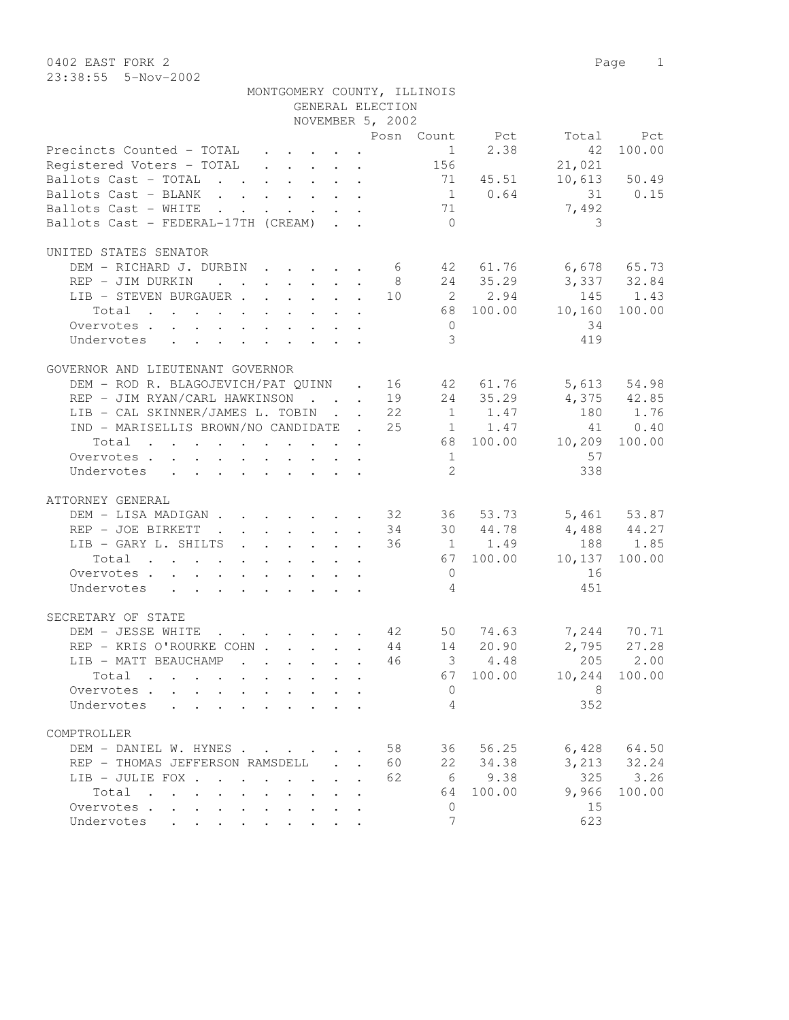|                                                                                                                                         | GENERAL ELECTION                                                                                                                                                                                                                                                                                                                                                                                                             |                |                |                         |               |
|-----------------------------------------------------------------------------------------------------------------------------------------|------------------------------------------------------------------------------------------------------------------------------------------------------------------------------------------------------------------------------------------------------------------------------------------------------------------------------------------------------------------------------------------------------------------------------|----------------|----------------|-------------------------|---------------|
|                                                                                                                                         | NOVEMBER 5, 2002                                                                                                                                                                                                                                                                                                                                                                                                             |                |                |                         |               |
|                                                                                                                                         |                                                                                                                                                                                                                                                                                                                                                                                                                              |                | Posn Count Pct | Total                   | Pct           |
| Precincts Counted - TOTAL                                                                                                               |                                                                                                                                                                                                                                                                                                                                                                                                                              |                | 1 2.38         | 42                      | 100.00        |
| Registered Voters - TOTAL                                                                                                               | $\mathbf{r} = \mathbf{r} + \mathbf{r} + \mathbf{r} + \mathbf{r} + \mathbf{r} + \mathbf{r} + \mathbf{r} + \mathbf{r} + \mathbf{r} + \mathbf{r} + \mathbf{r} + \mathbf{r} + \mathbf{r} + \mathbf{r} + \mathbf{r} + \mathbf{r} + \mathbf{r} + \mathbf{r} + \mathbf{r} + \mathbf{r} + \mathbf{r} + \mathbf{r} + \mathbf{r} + \mathbf{r} + \mathbf{r} + \mathbf{r} + \mathbf{r} + \mathbf{r} + \mathbf{r} + \mathbf{r} + \mathbf$ | 156            |                | 21,021                  |               |
| Ballots Cast - TOTAL 71 45.51                                                                                                           |                                                                                                                                                                                                                                                                                                                                                                                                                              |                |                |                         | 10,613 50.49  |
| Ballots Cast - BLANK                                                                                                                    |                                                                                                                                                                                                                                                                                                                                                                                                                              |                | $1 \t 0.64$    |                         | 31 0.15       |
| Ballots Cast - WHITE<br>the contract of the contract of the contract of the contract of the contract of the contract of the contract of |                                                                                                                                                                                                                                                                                                                                                                                                                              | 71             |                | 7,492                   |               |
| Ballots Cast - FEDERAL-17TH (CREAM)                                                                                                     |                                                                                                                                                                                                                                                                                                                                                                                                                              | $\bigcirc$     |                | 3                       |               |
| UNITED STATES SENATOR                                                                                                                   |                                                                                                                                                                                                                                                                                                                                                                                                                              |                |                |                         |               |
| DEM - RICHARD J. DURBIN 6 42 61.76 6,678 65.73                                                                                          |                                                                                                                                                                                                                                                                                                                                                                                                                              |                |                |                         |               |
| REP - JIM DURKIN                                                                                                                        | 8                                                                                                                                                                                                                                                                                                                                                                                                                            |                | 24 35.29       | 3,337 32.84             |               |
| LIB - STEVEN BURGAUER                                                                                                                   |                                                                                                                                                                                                                                                                                                                                                                                                                              |                | 10 2 2.94      |                         | 145 1.43      |
| Total                                                                                                                                   |                                                                                                                                                                                                                                                                                                                                                                                                                              |                | 68 100.00      | 10, 160                 | 100.00        |
| Overvotes                                                                                                                               |                                                                                                                                                                                                                                                                                                                                                                                                                              | $\overline{0}$ |                | 34                      |               |
| Undervotes                                                                                                                              |                                                                                                                                                                                                                                                                                                                                                                                                                              | 3              |                | 419                     |               |
|                                                                                                                                         |                                                                                                                                                                                                                                                                                                                                                                                                                              |                |                |                         |               |
| GOVERNOR AND LIEUTENANT GOVERNOR                                                                                                        |                                                                                                                                                                                                                                                                                                                                                                                                                              |                |                |                         |               |
| DEM - ROD R. BLAGOJEVICH/PAT QUINN . 16 42 61.76                                                                                        |                                                                                                                                                                                                                                                                                                                                                                                                                              |                |                |                         | 5,613 54.98   |
| REP - JIM RYAN/CARL HAWKINSON 19                                                                                                        |                                                                                                                                                                                                                                                                                                                                                                                                                              |                | 24 35.29       | $4,375$ $42.85$         |               |
| LIB - CAL SKINNER/JAMES L. TOBIN 22                                                                                                     |                                                                                                                                                                                                                                                                                                                                                                                                                              |                | 1 1.47         |                         | 180 1.76      |
| IND - MARISELLIS BROWN/NO CANDIDATE . 25 1 1.47                                                                                         |                                                                                                                                                                                                                                                                                                                                                                                                                              |                |                | 41                      | 0.40          |
| Total<br>. The simple state is a set of the simple state of $\mathcal{O}(10^6)$                                                         |                                                                                                                                                                                                                                                                                                                                                                                                                              |                |                | 68 100.00 10,209 100.00 |               |
| Overvotes                                                                                                                               |                                                                                                                                                                                                                                                                                                                                                                                                                              | 1              |                | 57                      |               |
| Undervotes                                                                                                                              |                                                                                                                                                                                                                                                                                                                                                                                                                              | 2              |                | 338                     |               |
| ATTORNEY GENERAL                                                                                                                        |                                                                                                                                                                                                                                                                                                                                                                                                                              |                |                |                         |               |
| DEM - LISA MADIGAN 32 36 53.73                                                                                                          |                                                                                                                                                                                                                                                                                                                                                                                                                              |                |                |                         | 5,461 53.87   |
| $\cdot$ 34 30 44.78<br>REP - JOE BIRKETT                                                                                                |                                                                                                                                                                                                                                                                                                                                                                                                                              |                |                | $4,488$ $44.27$         |               |
| LIB - GARY L. SHILTS                                                                                                                    | 36                                                                                                                                                                                                                                                                                                                                                                                                                           |                | $1 \t 1.49$    |                         | 188 1.85      |
| Total                                                                                                                                   |                                                                                                                                                                                                                                                                                                                                                                                                                              |                | 67 100.00      | 10,137                  | 100.00        |
| Overvotes                                                                                                                               |                                                                                                                                                                                                                                                                                                                                                                                                                              | $\overline{0}$ |                | 16                      |               |
|                                                                                                                                         |                                                                                                                                                                                                                                                                                                                                                                                                                              | 4              |                | 451                     |               |
| Undervotes                                                                                                                              |                                                                                                                                                                                                                                                                                                                                                                                                                              |                |                |                         |               |
| SECRETARY OF STATE                                                                                                                      |                                                                                                                                                                                                                                                                                                                                                                                                                              |                |                |                         |               |
| DEM - JESSE WHITE                                                                                                                       |                                                                                                                                                                                                                                                                                                                                                                                                                              |                |                |                         | 7,244 70.71   |
| REP - KRIS O'ROURKE COHN 44 14 20.90                                                                                                    |                                                                                                                                                                                                                                                                                                                                                                                                                              |                |                |                         | $2,795$ 27.28 |
| LIB - MATT BEAUCHAMP<br>$\mathbf{r}$ , $\mathbf{r}$ , $\mathbf{r}$ , $\mathbf{r}$ , $\mathbf{r}$                                        | 46                                                                                                                                                                                                                                                                                                                                                                                                                           |                | $3 \t 4.48$    | 205                     | 2.00          |
| Total                                                                                                                                   |                                                                                                                                                                                                                                                                                                                                                                                                                              |                |                | 67 100.00 10,244 100.00 |               |
| Overvotes.                                                                                                                              |                                                                                                                                                                                                                                                                                                                                                                                                                              | $\mathbf{0}$   |                | 8                       |               |
| Undervotes<br>$\cdot$ $\cdot$ $\cdot$ $\cdot$                                                                                           |                                                                                                                                                                                                                                                                                                                                                                                                                              | 4              |                | 352                     |               |
| COMPTROLLER                                                                                                                             |                                                                                                                                                                                                                                                                                                                                                                                                                              |                |                |                         |               |
| DEM - DANIEL W. HYNES                                                                                                                   | 58                                                                                                                                                                                                                                                                                                                                                                                                                           | 36             | 56.25          | 6,428                   | 64.50         |
| REP - THOMAS JEFFERSON RAMSDELL                                                                                                         | 60                                                                                                                                                                                                                                                                                                                                                                                                                           | 22             | 34.38          | 3,213                   | 32.24         |
| LIB - JULIE FOX                                                                                                                         | 62                                                                                                                                                                                                                                                                                                                                                                                                                           | 6              | 9.38           | 325                     | 3.26          |
|                                                                                                                                         |                                                                                                                                                                                                                                                                                                                                                                                                                              |                |                |                         |               |

Total . . . . . . . . . . 64 100.00 9,966 100.00

Overvotes . . . . . . . . . . . 0 15 Undervotes . . . . . . . . . . 7 623

MONTGOMERY COUNTY, ILLINOIS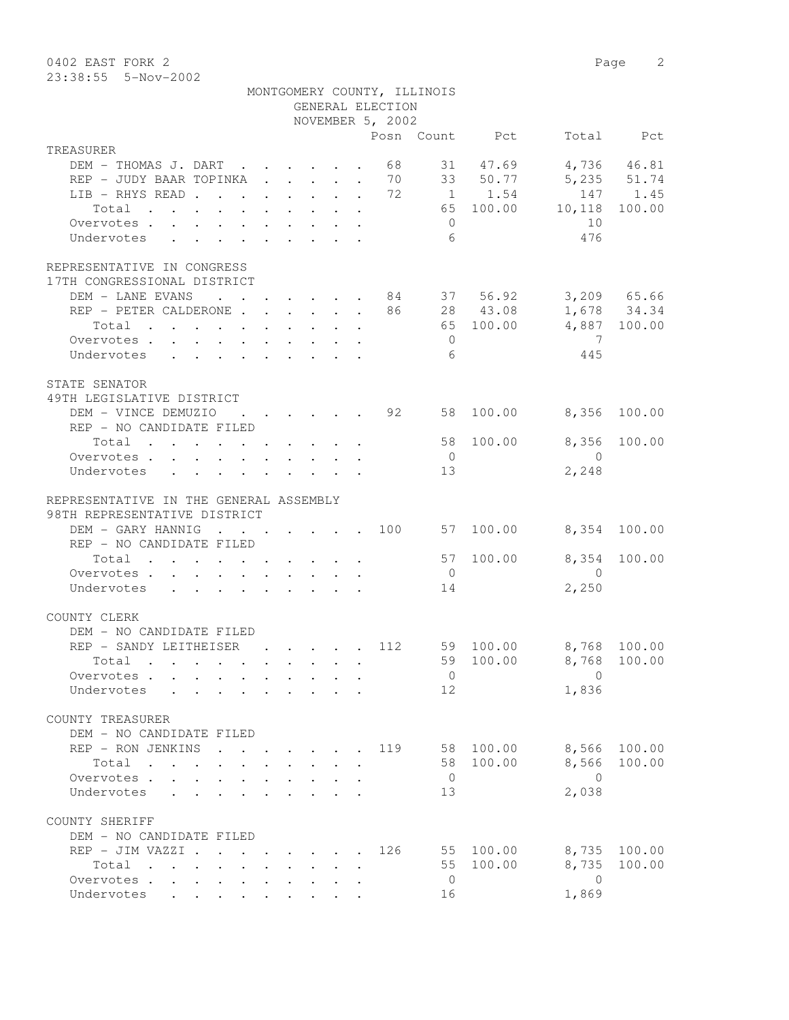0402 EAST FORK 2 Page 2 23:38:55 5-Nov-2002

|                                                                                |         |                                                                       | GENERAL ELECTION | MONTGOMERY COUNTY, ILLINOIS |                |                         |              |
|--------------------------------------------------------------------------------|---------|-----------------------------------------------------------------------|------------------|-----------------------------|----------------|-------------------------|--------------|
|                                                                                |         |                                                                       | NOVEMBER 5, 2002 |                             |                |                         |              |
| TREASURER                                                                      |         |                                                                       |                  |                             | Posn Count Pct |                         | Total Pct    |
| DEM - THOMAS J. DART 68                                                        |         |                                                                       |                  |                             | 31 47.69       |                         | 4,736 46.81  |
| REP - JUDY BAAR TOPINKA 70 33 50.77                                            |         |                                                                       |                  |                             |                |                         | 5,235 51.74  |
| LIB - RHYS READ 72                                                             |         |                                                                       |                  |                             | 1 1.54         |                         | 147 1.45     |
| Total                                                                          |         |                                                                       |                  |                             | 65 100.00      | 10,118                  | 100.00       |
| Overvotes.                                                                     |         |                                                                       |                  | $\overline{0}$              |                | 10                      |              |
| Undervotes                                                                     |         |                                                                       |                  | 6                           |                | 476                     |              |
| REPRESENTATIVE IN CONGRESS                                                     |         |                                                                       |                  |                             |                |                         |              |
| 17TH CONGRESSIONAL DISTRICT<br>DEM - LANE EVANS 84 37 56.92 3,209 65.66        |         |                                                                       |                  |                             |                |                         |              |
| REP - PETER CALDERONE 86 28 43.08                                              |         |                                                                       |                  |                             |                |                         | 1,678 34.34  |
| Total                                                                          |         |                                                                       |                  |                             | 65 100.00      |                         | 4,887 100.00 |
| Overvotes                                                                      |         |                                                                       |                  | $\bigcirc$                  |                | $\overline{7}$          |              |
| Undervotes                                                                     |         |                                                                       |                  | - 6                         |                | 445                     |              |
|                                                                                |         |                                                                       |                  |                             |                |                         |              |
| STATE SENATOR                                                                  |         |                                                                       |                  |                             |                |                         |              |
| 49TH LEGISLATIVE DISTRICT<br>DEM - VINCE DEMUZIO                               |         | $\cdot$ $\cdot$ $\cdot$ $\cdot$ $\cdot$ $\cdot$ 92                    |                  |                             | 58 100.00      | 8,356                   | 100.00       |
| REP - NO CANDIDATE FILED                                                       |         |                                                                       |                  |                             |                |                         |              |
| $\texttt{Total}$                                                               |         |                                                                       |                  |                             | 58 100.00      | 8,356                   | 100.00       |
| Overvotes.                                                                     |         |                                                                       |                  | $\overline{0}$              |                | $\overline{0}$          |              |
| Undervotes                                                                     |         |                                                                       |                  | 13                          |                | 2,248                   |              |
|                                                                                |         |                                                                       |                  |                             |                |                         |              |
| REPRESENTATIVE IN THE GENERAL ASSEMBLY                                         |         |                                                                       |                  |                             |                |                         |              |
| 98TH REPRESENTATIVE DISTRICT                                                   |         |                                                                       |                  |                             |                |                         |              |
| DEM - GARY HANNIG                                                              |         |                                                                       |                  |                             | 57 100.00      |                         | 8,354 100.00 |
| REP - NO CANDIDATE FILED                                                       |         |                                                                       |                  |                             |                |                         |              |
| Total                                                                          |         |                                                                       |                  |                             | 57 100.00      | 8,354                   | 100.00       |
| Overvotes.                                                                     |         |                                                                       |                  | $\overline{0}$<br>14        |                | $\overline{0}$<br>2,250 |              |
| Undervotes                                                                     |         |                                                                       |                  |                             |                |                         |              |
| COUNTY CLERK                                                                   |         |                                                                       |                  |                             |                |                         |              |
| DEM - NO CANDIDATE FILED                                                       |         |                                                                       |                  |                             |                |                         |              |
| REP - SANDY LEITHEISER                                                         |         | 112                                                                   |                  |                             | 59 100.00      | 8,768 100.00            |              |
| Total .                                                                        |         |                                                                       |                  |                             |                | 59 100.00 8,768 100.00  |              |
| Overvotes                                                                      |         |                                                                       |                  | $\overline{0}$              |                | $\Omega$                |              |
| Undervotes                                                                     |         | $\mathbf{r} = \mathbf{r} \cdot \mathbf{r}$                            |                  | 12                          |                | 1,836                   |              |
| COUNTY TREASURER                                                               |         |                                                                       |                  |                             |                |                         |              |
| DEM - NO CANDIDATE FILED                                                       |         |                                                                       |                  |                             |                |                         |              |
| REP - RON JENKINS                                                              | $\cdot$ |                                                                       |                  |                             | 119 58 100.00  | 8,566                   | 100.00       |
| Total                                                                          |         |                                                                       |                  |                             | 58 100.00      | 8,566                   | 100.00       |
| Overvotes                                                                      |         |                                                                       |                  | $\overline{0}$              |                | $\bigcirc$              |              |
| Undervotes                                                                     |         |                                                                       |                  | 13                          |                | 2,038                   |              |
| COUNTY SHERIFF                                                                 |         |                                                                       |                  |                             |                |                         |              |
| DEM - NO CANDIDATE FILED                                                       |         |                                                                       |                  |                             |                |                         |              |
| REP - JIM VAZZI .                                                              |         | $\mathbf{r}$ , and $\mathbf{r}$ , and $\mathbf{r}$ , and $\mathbf{r}$ | 126              |                             | 55 100.00      | 8,735                   | 100.00       |
| Total<br>$\mathbf{r}$ , and $\mathbf{r}$ , and $\mathbf{r}$ , and $\mathbf{r}$ |         |                                                                       |                  | 55                          | 100.00         | 8,735                   | 100.00       |
| Overvotes                                                                      |         |                                                                       |                  | $\overline{0}$              |                | $\overline{0}$          |              |
| Undervotes<br>$\ddot{\phantom{0}}$                                             |         |                                                                       |                  | 16                          |                | 1,869                   |              |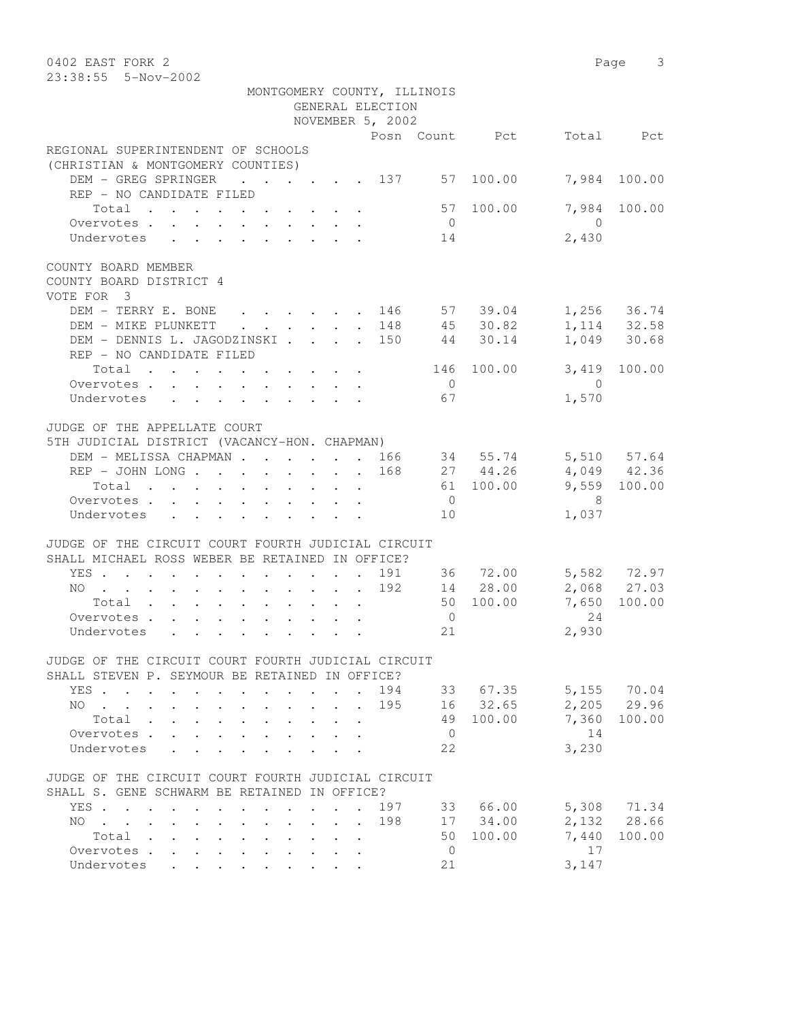| 0402 EAST FORK 2                                                                            |                                                       |                                 |                             |                |                      |            | Page 3                       |
|---------------------------------------------------------------------------------------------|-------------------------------------------------------|---------------------------------|-----------------------------|----------------|----------------------|------------|------------------------------|
| 23:38:55 5-Nov-2002                                                                         |                                                       |                                 |                             |                |                      |            |                              |
|                                                                                             |                                                       |                                 | MONTGOMERY COUNTY, ILLINOIS |                |                      |            |                              |
|                                                                                             |                                                       |                                 | GENERAL ELECTION            |                |                      |            |                              |
|                                                                                             |                                                       |                                 | NOVEMBER 5, 2002            |                |                      |            |                              |
|                                                                                             |                                                       |                                 |                             |                | Posn Count Pct       |            | Total Pct                    |
| REGIONAL SUPERINTENDENT OF SCHOOLS                                                          |                                                       |                                 |                             |                |                      |            |                              |
| (CHRISTIAN & MONTGOMERY COUNTIES)                                                           |                                                       |                                 |                             |                |                      |            |                              |
| DEM - GREG SPRINGER<br>$\cdot$ 137                                                          |                                                       |                                 |                             |                | 57 100.00            | 7,984      | 100.00                       |
| REP - NO CANDIDATE FILED                                                                    |                                                       |                                 |                             |                |                      |            |                              |
| Total                                                                                       |                                                       |                                 |                             |                | 57 100.00            | 7,984      | 100.00                       |
| Overvotes.                                                                                  |                                                       |                                 |                             | $\overline{0}$ |                      | $\bigcirc$ |                              |
| Undervotes                                                                                  |                                                       |                                 |                             | 14             |                      | 2,430      |                              |
| COUNTY BOARD MEMBER                                                                         |                                                       |                                 |                             |                |                      |            |                              |
| COUNTY BOARD DISTRICT 4                                                                     |                                                       |                                 |                             |                |                      |            |                              |
| VOTE FOR 3                                                                                  |                                                       |                                 |                             |                |                      |            |                              |
| DEM - TERRY E. BONE                                                                         |                                                       |                                 |                             |                | $\cdot$ 146 57 39.04 |            | $1,256$ 36.74                |
| DEM - MIKE PLUNKETT<br>$\sim$                                                               | $\mathbf{r} = \mathbf{r} + \mathbf{r} + \mathbf{r}$ . |                                 | . 148                       |                | 45 30.82             |            | 1, 114 32.58<br>1, 049 30.68 |
| DEM - DENNIS L. JAGODZINSKI                                                                 |                                                       |                                 | . 150                       | 44             | 30.14                |            |                              |
| REP - NO CANDIDATE FILED                                                                    |                                                       |                                 |                             |                |                      |            |                              |
| Total                                                                                       |                                                       |                                 |                             | 146            | 100.00               | 3,419      | 100.00                       |
| Overvotes                                                                                   |                                                       |                                 |                             | $\overline{0}$ |                      | $\bigcirc$ |                              |
| Undervotes                                                                                  |                                                       |                                 |                             | 67             |                      | 1,570      |                              |
|                                                                                             |                                                       |                                 |                             |                |                      |            |                              |
| JUDGE OF THE APPELLATE COURT                                                                |                                                       |                                 |                             |                |                      |            |                              |
| 5TH JUDICIAL DISTRICT (VACANCY-HON. CHAPMAN)                                                |                                                       |                                 |                             |                |                      |            |                              |
| DEM - MELISSA CHAPMAN 166                                                                   |                                                       |                                 |                             |                | 34 55.74             |            | 5,510 57.64                  |
| REP - JOHN LONG                                                                             |                                                       |                                 | 168                         |                | 27 44.26             |            | $4,049$ $42.36$              |
| Total                                                                                       |                                                       |                                 |                             |                | 61 100.00            |            | 9,559 100.00                 |
| Overvotes.                                                                                  |                                                       |                                 |                             | $\overline{0}$ |                      | - 8        |                              |
| Undervotes                                                                                  |                                                       |                                 |                             | 10             |                      | 1,037      |                              |
| JUDGE OF THE CIRCUIT COURT FOURTH JUDICIAL CIRCUIT                                          |                                                       |                                 |                             |                |                      |            |                              |
| SHALL MICHAEL ROSS WEBER BE RETAINED IN OFFICE?                                             |                                                       |                                 |                             |                |                      |            |                              |
| YES                                                                                         |                                                       |                                 | 191                         |                | 36 72.00             |            | 5,582 72.97                  |
| NO                                                                                          |                                                       |                                 | 192                         |                | 14 28.00             |            | 2,068 27.03                  |
| Total                                                                                       |                                                       |                                 |                             |                | 50 100.00            | 7,650      | 100.00                       |
| Overvotes                                                                                   |                                                       |                                 |                             | $\overline{0}$ |                      | 2.4        |                              |
| Undervotes                                                                                  |                                                       |                                 |                             | 21             |                      | 2,930      |                              |
| JUDGE OF THE CIRCUIT COURT FOURTH JUDICIAL CIRCUIT                                          |                                                       |                                 |                             |                |                      |            |                              |
| SHALL STEVEN P. SEYMOUR BE RETAINED IN OFFICE?                                              |                                                       |                                 |                             |                |                      |            |                              |
| YES                                                                                         |                                                       |                                 |                             |                | 194 33 67.35         |            | 5,155 70.04                  |
| NO                                                                                          |                                                       |                                 | 195                         |                | 16 32.65             |            | 2,205 29.96                  |
| Total<br>$\mathbf{L}^{\text{max}}$<br>$\ddot{\phantom{0}}$                                  |                                                       |                                 |                             |                | 49 100.00            |            | 7,360 100.00                 |
| Overvotes<br>$\mathbf{A}$                                                                   |                                                       |                                 |                             | $\overline{0}$ |                      | 14         |                              |
| Undervotes<br>$\mathcal{L}^{\text{max}}$ and $\mathcal{L}^{\text{max}}$<br>$\sim$           |                                                       |                                 |                             | 22             |                      | 3,230      |                              |
|                                                                                             |                                                       |                                 |                             |                |                      |            |                              |
| JUDGE OF THE CIRCUIT COURT FOURTH JUDICIAL CIRCUIT                                          |                                                       |                                 |                             |                |                      |            |                              |
| SHALL S. GENE SCHWARM BE RETAINED IN OFFICE?                                                |                                                       |                                 |                             |                |                      |            |                              |
| YES.                                                                                        |                                                       |                                 | 197                         |                | 33 66.00             |            | 5,308 71.34                  |
| $NO \t . \t . \t . \t .$<br>$\ddot{\phantom{a}}$<br>$\mathbf{L}^{\text{max}}$<br>$\sim$ $-$ |                                                       | $\cdot$ $\cdot$ $\cdot$ $\cdot$ | 198                         |                | 17 34.00             |            | 2,132 28.66                  |
| Total<br><b>Contract Contract Contract</b>                                                  |                                                       |                                 |                             | 50             | 100.00               | 7,440      | 100.00                       |
| Overvotes<br>$\mathbf{L}^{\text{max}}$<br>$\ddot{\phantom{a}}$                              |                                                       |                                 |                             | $\overline{0}$ |                      | 17         |                              |
| Undervotes                                                                                  |                                                       |                                 |                             | 21             |                      | 3,147      |                              |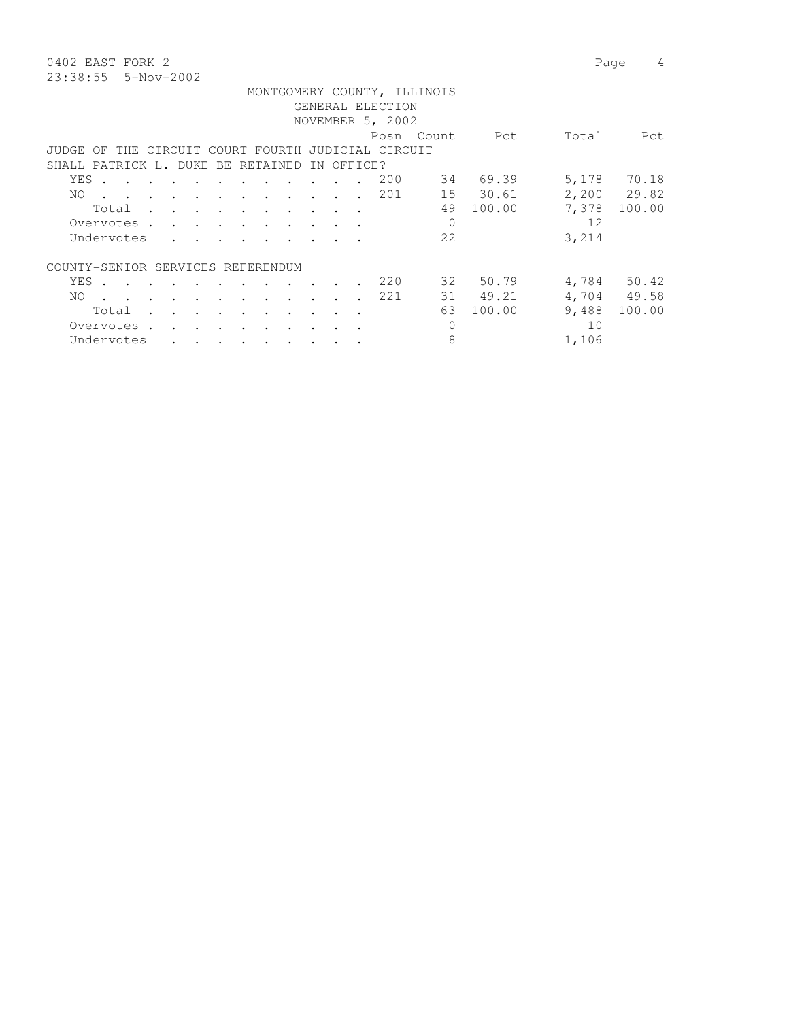0402 EAST FORK 2 Page 4 23:38:55 5-Nov-2002

|                                                          |                      |                 |                                       |                                   |               |                      |           |                  | MONTGOMERY COUNTY, ILLINOIS |        |       |             |
|----------------------------------------------------------|----------------------|-----------------|---------------------------------------|-----------------------------------|---------------|----------------------|-----------|------------------|-----------------------------|--------|-------|-------------|
|                                                          |                      |                 |                                       |                                   |               |                      |           | GENERAL ELECTION |                             |        |       |             |
|                                                          |                      |                 |                                       |                                   |               |                      |           | NOVEMBER 5, 2002 |                             |        |       |             |
|                                                          |                      |                 |                                       |                                   |               |                      |           |                  | Posn Count                  | Pct    | Total | Pct         |
| THE CIRCUIT COURT FOURTH JUDICIAL CIRCUIT<br>JUDGE<br>OF |                      |                 |                                       |                                   |               |                      |           |                  |                             |        |       |             |
| SHALL PATRICK L. DUKE BE RETAINED IN OFFICE?             |                      |                 |                                       |                                   |               |                      |           |                  |                             |        |       |             |
| YES .<br>$\cdots$                                        |                      | $\sim$ $\sim$   |                                       | and the state of the state of the |               | $\sim$               |           | 200              | 34                          | 69.39  | 5,178 | 70.18       |
| NO.<br>$\cdots$                                          |                      |                 |                                       |                                   |               |                      |           | . 201            | 15                          | 30.61  |       | 2,200 29.82 |
|                                                          |                      |                 |                                       |                                   |               |                      |           |                  |                             |        |       |             |
| Total                                                    | $\sim$ $\sim$ $\sim$ | $\sim$          | $\sim$                                |                                   |               | $\sim$ $\sim$        |           |                  | 49                          | 100.00 | 7,378 | 100.00      |
| Overvotes.                                               | $\cdots$             |                 |                                       |                                   |               |                      |           |                  |                             |        | 12    |             |
| Undervotes                                               |                      |                 |                                       |                                   |               |                      |           |                  | 22                          |        | 3,214 |             |
| COUNTY-SENIOR SERVICES REFERENDUM                        |                      |                 |                                       |                                   |               |                      |           |                  |                             |        |       |             |
| YES .                                                    |                      |                 |                                       |                                   | $\sim$ $\sim$ | $\sim$               |           | 220              | 32                          | 50.79  |       | 4,784 50.42 |
| NO.<br>$\mathbf{r}$ . The set of $\mathbf{r}$            |                      |                 |                                       |                                   |               | $\ddot{\phantom{a}}$ | $\sim$    | 221              | 31                          | 49.21  |       | 4,704 49.58 |
| Total                                                    |                      | $\cdot$ $\cdot$ |                                       | $\ddot{\phantom{a}}$              | $\cdot$       | $\cdot$              | $\sim$    |                  | 63                          | 100.00 | 9,488 | 100.00      |
| Overvotes.                                               |                      | $\sim$ $\sim$   | $\cdot$                               |                                   |               |                      |           |                  | $\Omega$                    |        | 10    |             |
| Undervotes                                               | $\cdot$ $\cdot$      |                 | $\bullet$ and $\bullet$ and $\bullet$ |                                   |               | $\bullet$            |           |                  | 8                           |        | 1,106 |             |
|                                                          |                      |                 |                                       | $\bullet$                         | $\bullet$     |                      | $\bullet$ |                  |                             |        |       |             |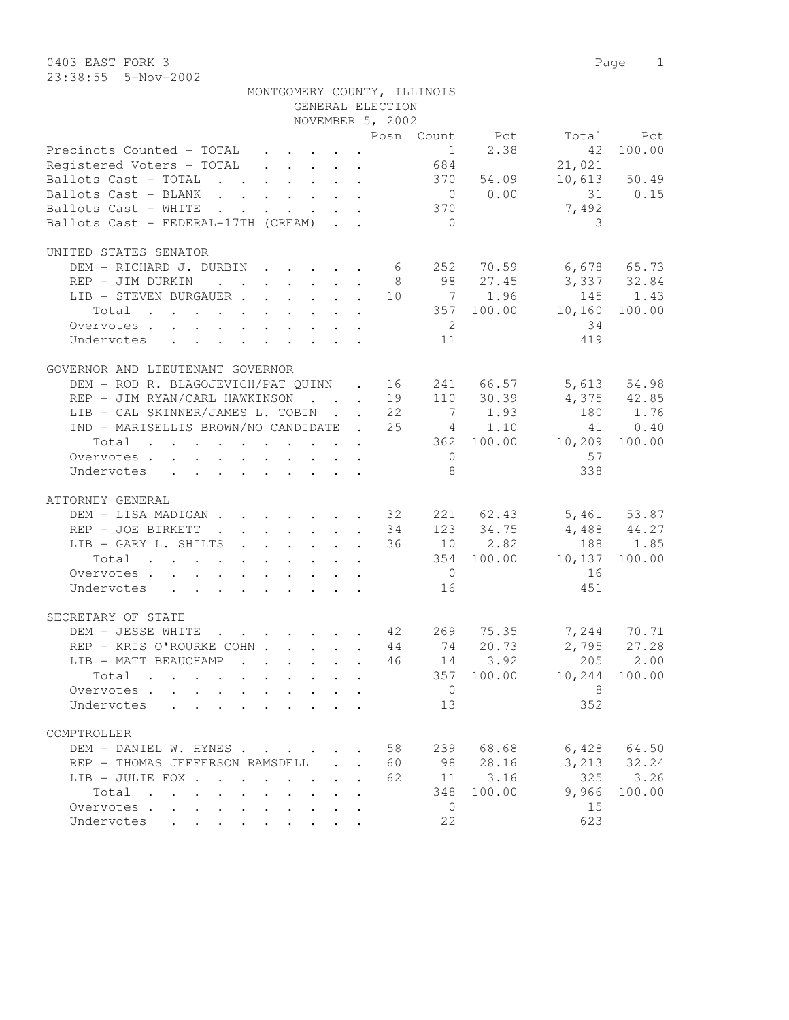|                                                                                                                                                                                                                                                         |  |              | NOVEMBER 5, 2002 |                         |                |                             |                |
|---------------------------------------------------------------------------------------------------------------------------------------------------------------------------------------------------------------------------------------------------------|--|--------------|------------------|-------------------------|----------------|-----------------------------|----------------|
|                                                                                                                                                                                                                                                         |  |              |                  |                         |                |                             | Total Pct      |
| Posn Count Pct<br>Precincts Counted - TOTAL 1 2.38<br>Registered Voters - TOTAL 684                                                                                                                                                                     |  |              |                  |                         |                |                             | 42 100.00      |
|                                                                                                                                                                                                                                                         |  |              |                  |                         |                | 21,021                      |                |
| Ballots Cast - TOTAL 370 54.09                                                                                                                                                                                                                          |  |              |                  |                         |                |                             | $10,613$ 50.49 |
| Ballots Cast - BLANK 0 0.00                                                                                                                                                                                                                             |  |              |                  |                         |                | 31 0.15                     |                |
| Ballots Cast - WHITE 370                                                                                                                                                                                                                                |  |              |                  |                         |                | 7,492                       |                |
| Ballots Cast - FEDERAL-17TH (CREAM)                                                                                                                                                                                                                     |  |              |                  | $\overline{0}$          |                | 3                           |                |
|                                                                                                                                                                                                                                                         |  |              |                  |                         |                |                             |                |
| UNITED STATES SENATOR                                                                                                                                                                                                                                   |  |              |                  |                         |                |                             |                |
|                                                                                                                                                                                                                                                         |  |              |                  |                         |                |                             |                |
|                                                                                                                                                                                                                                                         |  |              |                  |                         |                |                             |                |
| DEM – RICHARD J. DURBIN 6 252 70.59 6,678 65.73<br>REP – JIM DURKIN 8 98 27.45 3,337 32.84<br>LIB – STEVEN BURGAUER 10 7 1.96 145 1.43<br>Total 357 100.00 10,160 100.00                                                                                |  |              |                  |                         |                |                             |                |
|                                                                                                                                                                                                                                                         |  |              |                  |                         |                |                             |                |
|                                                                                                                                                                                                                                                         |  |              |                  |                         |                |                             |                |
| Overvotes                                                                                                                                                                                                                                               |  |              |                  | $\overline{\mathbf{c}}$ |                | 34                          |                |
| Undervotes 11                                                                                                                                                                                                                                           |  |              |                  |                         |                | 419                         |                |
|                                                                                                                                                                                                                                                         |  |              |                  |                         |                |                             |                |
| GOVERNOR AND LIEUTENANT GOVERNOR                                                                                                                                                                                                                        |  |              |                  |                         |                |                             |                |
| DEM – ROD R. BLAGOJEVICH/PAT QUINN . 16 241 66.57 5,613 54.98<br>REP – JIM RYAN/CARL HAWKINSON 19 110 30.39 4,375 42.85                                                                                                                                 |  |              |                  |                         |                |                             |                |
|                                                                                                                                                                                                                                                         |  |              |                  |                         |                | $4,375$ $42.85$<br>180 1.76 |                |
| LIB - CAL SKINNER/JAMES L. TOBIN 22                                                                                                                                                                                                                     |  |              |                  |                         | 7 1.93         |                             |                |
| IND - MARISELLIS BROWN/NO CANDIDATE . 25 4 1.10                                                                                                                                                                                                         |  |              |                  |                         |                |                             | 41 0.40        |
| Total 362 100.00 10,209 100.00                                                                                                                                                                                                                          |  |              |                  |                         |                |                             |                |
| Overvotes.                                                                                                                                                                                                                                              |  |              |                  |                         | $\overline{0}$ | 57                          |                |
| Undervotes                                                                                                                                                                                                                                              |  |              |                  | 8 <sup>1</sup>          |                | 338                         |                |
|                                                                                                                                                                                                                                                         |  |              |                  |                         |                |                             |                |
| ATTORNEY GENERAL                                                                                                                                                                                                                                        |  |              |                  |                         |                |                             |                |
| DEM – LISA MADIGAN 32 221 62.43 5,461 53.87<br>REP – JOE BIRKETT 34 123 34.75 4,488 44.27<br>LIB – GARY L. SHILTS 36 10 2.82 188 1.85                                                                                                                   |  |              |                  |                         |                |                             |                |
|                                                                                                                                                                                                                                                         |  |              |                  |                         |                |                             |                |
|                                                                                                                                                                                                                                                         |  |              |                  |                         |                |                             |                |
| Total                                                                                                                                                                                                                                                   |  |              |                  |                         |                | $354$ 100.00 10,137 100.00  |                |
| Overvotes                                                                                                                                                                                                                                               |  |              |                  |                         | $\overline{0}$ | 16                          |                |
| Undervotes                                                                                                                                                                                                                                              |  |              |                  | 16                      |                | 451                         |                |
|                                                                                                                                                                                                                                                         |  |              |                  |                         |                |                             |                |
| SECRETARY OF STATE                                                                                                                                                                                                                                      |  |              |                  |                         |                |                             |                |
| DEM - JESSE WHITE 42 269 75.35 7,244 70.71                                                                                                                                                                                                              |  |              |                  |                         |                |                             |                |
|                                                                                                                                                                                                                                                         |  |              |                  |                         |                |                             |                |
|                                                                                                                                                                                                                                                         |  |              |                  |                         |                | 2,795 27.28<br>205 2.00     |                |
| REP - KRIS O'ROURKE COHN 44 74 20.73<br>LIB - MATT BEAUCHAMP 46 14 3.92<br>Total 357 100.00                                                                                                                                                             |  |              |                  |                         |                | 357 100.00 10,244 100.00    |                |
| Total                                                                                                                                                                                                                                                   |  |              |                  |                         |                |                             |                |
| Overvotes $\cdots$ $\cdots$ $\cdots$ $\cdots$ $\cdots$ $\cdots$ $\cdots$ $\cdots$ $\cdots$ 8                                                                                                                                                            |  |              |                  |                         |                |                             |                |
| Undervotes<br>$\mathcal{L}^{\mathcal{A}}$ . The contribution of the contribution of the contribution of the contribution of the contribution of the contribution of the contribution of the contribution of the contribution of the contribution of the |  |              |                  | 13                      |                | 352                         |                |
|                                                                                                                                                                                                                                                         |  |              |                  |                         |                |                             |                |
| COMPTROLLER                                                                                                                                                                                                                                             |  |              |                  |                         |                |                             |                |
| DEM - DANIEL W. HYNES                                                                                                                                                                                                                                   |  |              | 58               |                         | 239 68.68      | 6,428                       | 64.50          |
| REP - THOMAS JEFFERSON RAMSDELL                                                                                                                                                                                                                         |  | $\mathbf{L}$ | 60               | 98                      | 28.16          | 3,213                       | 32.24          |
| LIB - JULIE FOX                                                                                                                                                                                                                                         |  |              | 62               | 11                      | 3.16           | 325                         | 3.26           |
| Total                                                                                                                                                                                                                                                   |  |              |                  | 348                     | 100.00         | 9,966                       | 100.00         |
| Overvotes<br>$\sim$ $-$<br>$\sim$                                                                                                                                                                                                                       |  |              |                  | $\overline{0}$          |                | 15                          |                |
| Undervotes<br>$\mathbf{r}$ , $\mathbf{r}$ , $\mathbf{r}$                                                                                                                                                                                                |  |              |                  | 22                      |                | 623                         |                |

GENERAL ELECTION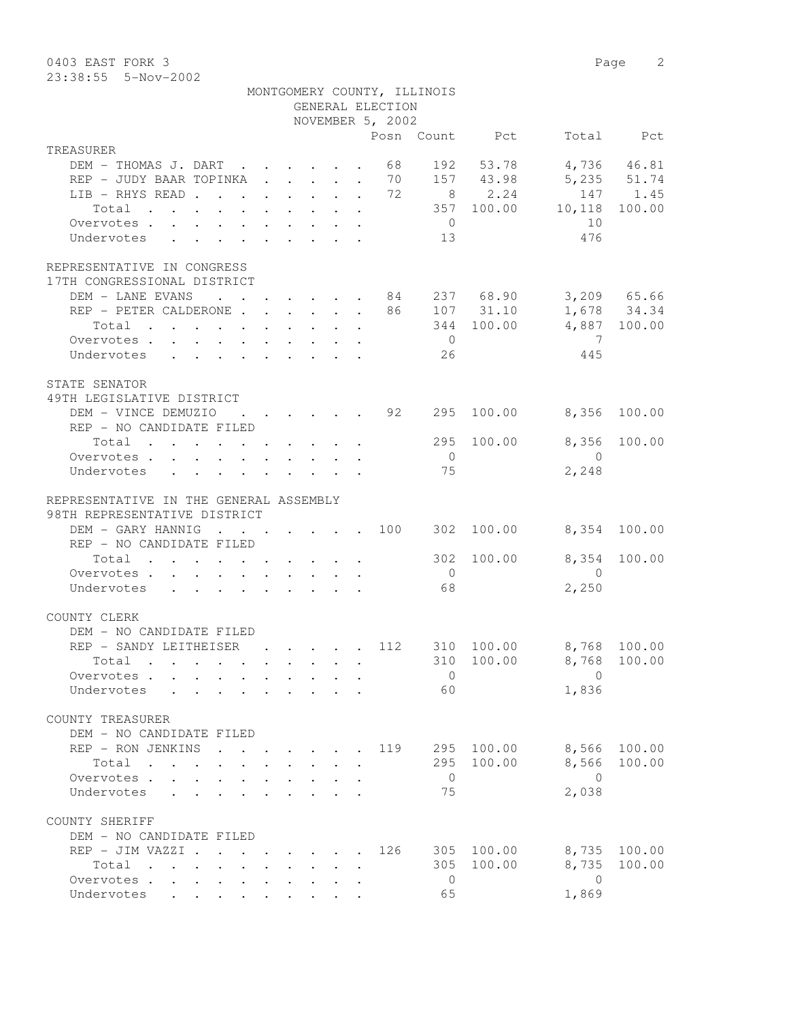0403 EAST FORK 3 Page 2 23:38:55 5-Nov-2002

|                                                                                   |                                                                          |               | GENERAL ELECTION | MONTGOMERY COUNTY, ILLINOIS |                |                         |              |
|-----------------------------------------------------------------------------------|--------------------------------------------------------------------------|---------------|------------------|-----------------------------|----------------|-------------------------|--------------|
|                                                                                   |                                                                          |               | NOVEMBER 5, 2002 |                             |                |                         |              |
| TREASURER                                                                         |                                                                          |               |                  |                             | Posn Count Pct |                         | Total Pct    |
| DEM - THOMAS J. DART                                                              |                                                                          |               | 68               |                             | 192 53.78      |                         | 4,736 46.81  |
| REP - JUDY BAAR TOPINKA 70 157 43.98                                              |                                                                          |               |                  |                             |                |                         | 5,235 51.74  |
| LIB - RHYS READ 72                                                                |                                                                          |               |                  |                             | 8 2.24         |                         | 147 1.45     |
| Total                                                                             |                                                                          |               |                  |                             | 357 100.00     | 10,118                  | 100.00       |
| Overvotes.                                                                        |                                                                          |               |                  | $\overline{0}$              |                | 10                      |              |
| Undervotes                                                                        |                                                                          |               |                  | 13                          |                | 476                     |              |
| REPRESENTATIVE IN CONGRESS                                                        |                                                                          |               |                  |                             |                |                         |              |
| 17TH CONGRESSIONAL DISTRICT                                                       |                                                                          |               |                  |                             |                |                         |              |
| DEM - LANE EVANS 84 237 68.90 3,209 65.66                                         |                                                                          |               |                  |                             |                |                         |              |
| REP - PETER CALDERONE 86 107 31.10                                                |                                                                          |               |                  |                             |                |                         | 1,678 34.34  |
| Total                                                                             |                                                                          |               |                  |                             | 344 100.00     |                         | 4,887 100.00 |
| Overvotes.                                                                        |                                                                          |               |                  | $\overline{0}$              |                | $\overline{7}$          |              |
| Undervotes                                                                        |                                                                          |               |                  | 26                          |                | 445                     |              |
| STATE SENATOR                                                                     |                                                                          |               |                  |                             |                |                         |              |
| 49TH LEGISLATIVE DISTRICT                                                         |                                                                          |               |                  |                             |                |                         |              |
| DEM - VINCE DEMUZIO                                                               | $\cdot$ $\cdot$ $\cdot$ $\cdot$ $\cdot$ $\cdot$ 92                       |               |                  |                             | 295 100.00     | 8,356                   | 100.00       |
| REP - NO CANDIDATE FILED                                                          |                                                                          |               |                  |                             |                |                         |              |
| Total 295                                                                         |                                                                          |               |                  |                             | 100.00         | 8,356                   | 100.00       |
| Overvotes.                                                                        |                                                                          |               |                  | $\overline{0}$              |                | $\sim$ 0                |              |
| Undervotes                                                                        |                                                                          |               |                  | 75                          |                | 2,248                   |              |
| REPRESENTATIVE IN THE GENERAL ASSEMBLY                                            |                                                                          |               |                  |                             |                |                         |              |
| 98TH REPRESENTATIVE DISTRICT                                                      |                                                                          |               |                  |                             |                |                         |              |
| DEM - GARY HANNIG                                                                 |                                                                          |               |                  |                             | 302 100.00     |                         | 8,354 100.00 |
| REP - NO CANDIDATE FILED                                                          |                                                                          |               |                  |                             |                |                         |              |
| Total                                                                             |                                                                          |               |                  | 302                         | 100.00         | 8,354                   | 100.00       |
| Overvotes.                                                                        |                                                                          |               |                  | $\overline{0}$              |                | $\overline{0}$          |              |
| Undervotes                                                                        |                                                                          |               |                  | 68                          |                | 2,250                   |              |
| COUNTY CLERK                                                                      |                                                                          |               |                  |                             |                |                         |              |
| DEM - NO CANDIDATE FILED                                                          |                                                                          |               |                  |                             |                |                         |              |
| REP - SANDY LEITHEISER                                                            | $\mathbf{r}$ , $\mathbf{r}$ , $\mathbf{r}$ , $\mathbf{r}$ , $\mathbf{r}$ |               | 112              |                             | 310 100.00     | 8,768 100.00            |              |
| Total .                                                                           |                                                                          |               |                  |                             |                | 310 100.00 8,768 100.00 |              |
| Overvotes                                                                         |                                                                          |               |                  | $\overline{0}$              |                | $\Omega$                |              |
| Undervotes                                                                        |                                                                          |               |                  | 60                          |                | 1,836                   |              |
| COUNTY TREASURER                                                                  |                                                                          |               |                  |                             |                |                         |              |
| DEM - NO CANDIDATE FILED                                                          |                                                                          |               |                  |                             |                |                         |              |
| REP - RON JENKINS                                                                 |                                                                          |               | 119              |                             | 295 100.00     | 8,566                   | 100.00       |
| Total                                                                             |                                                                          |               |                  |                             | 295 100.00     | 8,566                   | 100.00       |
| Overvotes                                                                         |                                                                          |               |                  | $\overline{0}$              |                | $\bigcirc$              |              |
| Undervotes                                                                        |                                                                          |               |                  | 75                          |                | 2,038                   |              |
| COUNTY SHERIFF                                                                    |                                                                          |               |                  |                             |                |                         |              |
| DEM - NO CANDIDATE FILED                                                          |                                                                          |               |                  |                             |                |                         |              |
| REP - JIM VAZZI .                                                                 | $\cdot$ $\cdot$ $\cdot$ $\cdot$ $\cdot$ $\cdot$                          | $\sim$ $\sim$ | 126              |                             | 305 100.00     | 8,735                   | 100.00       |
| Total<br>$\mathbf{r}$ , $\mathbf{r}$ , $\mathbf{r}$ , $\mathbf{r}$ , $\mathbf{r}$ |                                                                          |               |                  | 305                         | 100.00         | 8,735                   | 100.00       |
| Overvotes                                                                         |                                                                          |               |                  | $\overline{0}$              |                | $\overline{0}$          |              |
| Undervotes                                                                        |                                                                          |               |                  | 65                          |                | 1,869                   |              |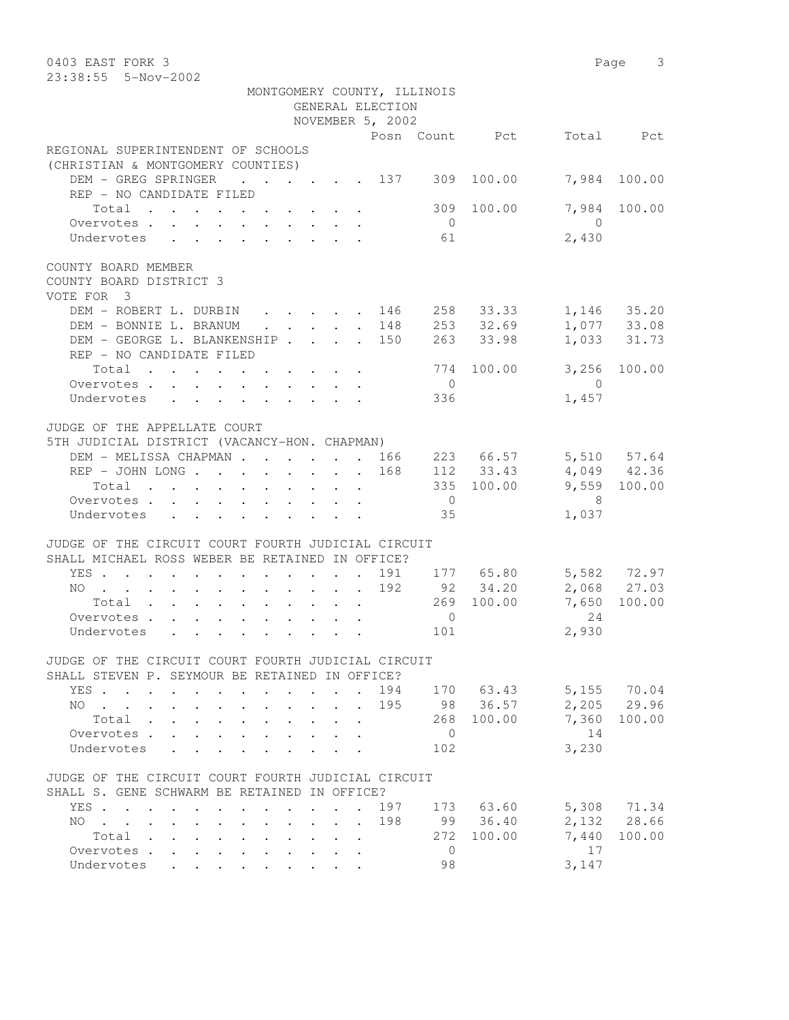| 0403 EAST FORK 3                                                           |                                         |                                 |                             |                |                       |                | Page 3                     |
|----------------------------------------------------------------------------|-----------------------------------------|---------------------------------|-----------------------------|----------------|-----------------------|----------------|----------------------------|
| 23:38:55  5-Nov-2002                                                       |                                         |                                 |                             |                |                       |                |                            |
|                                                                            |                                         |                                 | MONTGOMERY COUNTY, ILLINOIS |                |                       |                |                            |
|                                                                            |                                         |                                 | GENERAL ELECTION            |                |                       |                |                            |
|                                                                            |                                         |                                 | NOVEMBER 5, 2002            |                |                       |                |                            |
|                                                                            |                                         |                                 |                             |                | Posn Count Pct        |                | Total Pct                  |
| REGIONAL SUPERINTENDENT OF SCHOOLS                                         |                                         |                                 |                             |                |                       |                |                            |
| (CHRISTIAN & MONTGOMERY COUNTIES)                                          |                                         |                                 |                             |                |                       |                |                            |
| DEM - GREG SPRINGER<br>$\cdot$ $\cdot$ $\cdot$ $\cdot$ $\cdot$ $\cdot$ 137 |                                         |                                 |                             | 309            | 100.00                | 7,984          | 100.00                     |
| REP - NO CANDIDATE FILED                                                   |                                         |                                 |                             |                |                       |                |                            |
| Total                                                                      |                                         |                                 |                             | 309            | 100.00                | 7,984          | 100.00                     |
| Overvotes.                                                                 |                                         |                                 |                             | $\overline{0}$ |                       | $\overline{0}$ |                            |
| Undervotes                                                                 |                                         |                                 |                             | 61             |                       | 2,430          |                            |
| COUNTY BOARD MEMBER                                                        |                                         |                                 |                             |                |                       |                |                            |
| COUNTY BOARD DISTRICT 3                                                    |                                         |                                 |                             |                |                       |                |                            |
| VOTE FOR 3                                                                 |                                         |                                 |                             |                |                       |                |                            |
| DEM - ROBERT L. DURBIN                                                     |                                         | $\cdot$ 146                     |                             |                | 258 33.33 1,146 35.20 |                |                            |
| DEM - BONNIE L. BRANUM                                                     | $\cdot$ $\cdot$ $\cdot$ $\cdot$ $\cdot$ |                                 | . 148                       |                | $253$ $32.69$         |                | 1,077 33.08<br>1,033 31.73 |
| DEM - GEORGE L. BLANKENSHIP                                                |                                         |                                 | . 150                       |                | 263 33.98             |                |                            |
| REP - NO CANDIDATE FILED                                                   |                                         |                                 |                             |                |                       |                |                            |
| Total                                                                      |                                         |                                 |                             |                | 774 100.00            | 3,256          | 100.00                     |
| Overvotes.                                                                 |                                         |                                 |                             | $\overline{0}$ |                       | $\overline{0}$ |                            |
| Undervotes                                                                 |                                         |                                 |                             | 336            |                       | 1,457          |                            |
|                                                                            |                                         |                                 |                             |                |                       |                |                            |
| JUDGE OF THE APPELLATE COURT                                               |                                         |                                 |                             |                |                       |                |                            |
| 5TH JUDICIAL DISTRICT (VACANCY-HON. CHAPMAN)                               |                                         |                                 |                             |                |                       |                |                            |
| DEM - MELISSA CHAPMAN 166                                                  |                                         |                                 |                             |                | 223 66.57             |                | 5,510 57.64                |
| REP - JOHN LONG                                                            |                                         |                                 | 168                         |                | 112 33.43             |                | $4,049$ 42.36              |
| Total                                                                      |                                         |                                 |                             |                | 335 100.00            |                | 9,559 100.00               |
| Overvotes                                                                  |                                         |                                 |                             | $\overline{0}$ |                       | - 8            |                            |
| Undervotes                                                                 |                                         |                                 |                             | 35             |                       | 1,037          |                            |
| JUDGE OF THE CIRCUIT COURT FOURTH JUDICIAL CIRCUIT                         |                                         |                                 |                             |                |                       |                |                            |
| SHALL MICHAEL ROSS WEBER BE RETAINED IN OFFICE?                            |                                         |                                 |                             |                |                       |                |                            |
| YES                                                                        |                                         |                                 |                             |                | 191 177 65.80         |                |                            |
| NO                                                                         |                                         |                                 | 192                         |                | 92 34.20              |                | 5,582 72.97<br>2,068 27.03 |
| Total                                                                      |                                         |                                 |                             |                | 269 100.00            | 7,650          | 100.00                     |
| Overvotes                                                                  |                                         |                                 |                             | $\mathbf{0}$   |                       | 24             |                            |
| Undervotes                                                                 |                                         |                                 |                             | 101            |                       | 2,930          |                            |
| JUDGE OF THE CIRCUIT COURT FOURTH JUDICIAL CIRCUIT                         |                                         |                                 |                             |                |                       |                |                            |
| SHALL STEVEN P. SEYMOUR BE RETAINED IN OFFICE?                             |                                         |                                 |                             |                |                       |                |                            |
| YES                                                                        |                                         |                                 |                             |                | 194 170 63.43         |                | 5,155 70.04                |
| NO                                                                         |                                         |                                 | 195                         |                | 98 36.57              |                | 2,205 29.96                |
| Total                                                                      |                                         |                                 |                             |                | 268 100.00            |                | 7,360 100.00               |
| Overvotes.                                                                 |                                         |                                 |                             | $\overline{0}$ |                       | 14             |                            |
| Undervotes<br>$\mathbf{A}$                                                 |                                         |                                 |                             | 102            |                       | 3,230          |                            |
| JUDGE OF THE CIRCUIT COURT FOURTH JUDICIAL CIRCUIT                         |                                         |                                 |                             |                |                       |                |                            |
| SHALL S. GENE SCHWARM BE RETAINED IN OFFICE?                               |                                         |                                 |                             |                |                       |                |                            |
| YES                                                                        |                                         |                                 | 197                         |                | 173 63.60             |                | 5,308 71.34                |
| $NO$<br>$\mathbf{r}$ , $\mathbf{r}$ , $\mathbf{r}$ , $\mathbf{r}$          |                                         | $\cdot$ $\cdot$ $\cdot$ $\cdot$ | 198                         |                | 99 36.40              |                | 2,132 28.66                |
| Total                                                                      |                                         |                                 |                             |                | 272 100.00            | 7,440          | 100.00                     |
| Overvotes<br>$\mathbf{L}^{\text{max}}$ , and $\mathbf{L}^{\text{max}}$     |                                         |                                 |                             | $\overline{0}$ |                       | 17             |                            |
| Undervotes<br>$\mathbf{r}$ , $\mathbf{r}$ , $\mathbf{r}$                   |                                         |                                 |                             | 98             |                       | 3,147          |                            |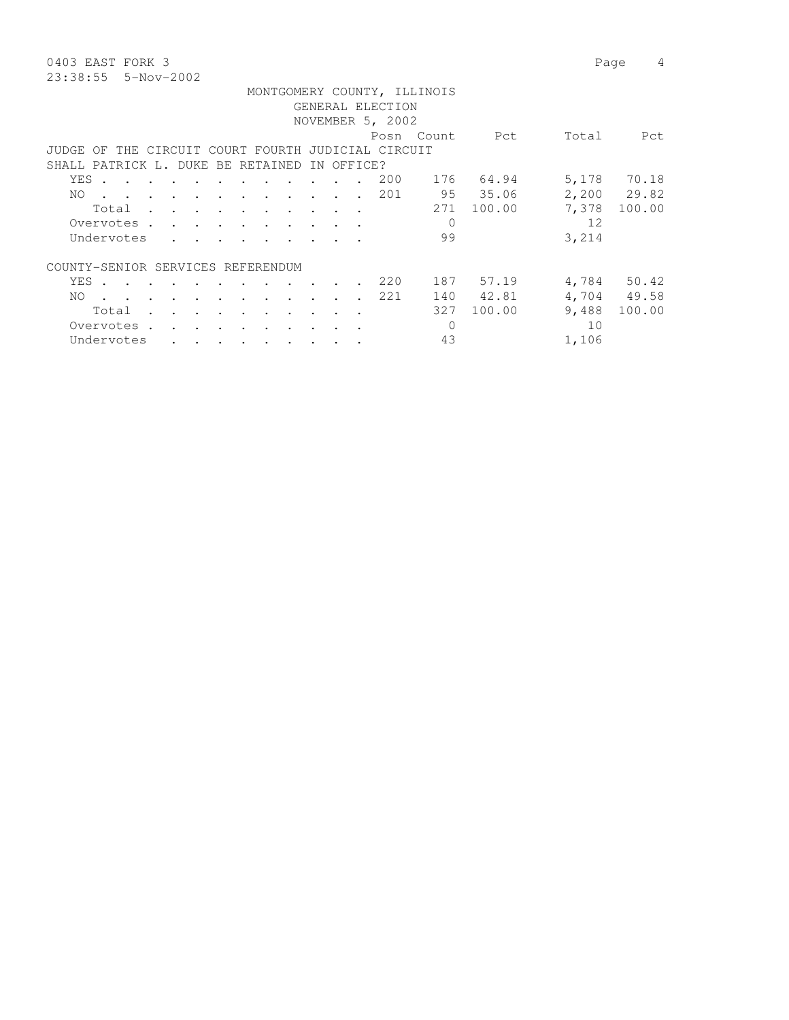0403 EAST FORK 3 Page 4 23:38:55 5-Nov-2002

|          |       |            |                      |                                   |        |                                 |               |                                                                 |                                                                                                                                                                                                                               |         |            | GENERAL ELECTION                          | MONTGOMERY COUNTY, ILLINOIS |            |       |             |
|----------|-------|------------|----------------------|-----------------------------------|--------|---------------------------------|---------------|-----------------------------------------------------------------|-------------------------------------------------------------------------------------------------------------------------------------------------------------------------------------------------------------------------------|---------|------------|-------------------------------------------|-----------------------------|------------|-------|-------------|
|          |       |            |                      |                                   |        |                                 |               |                                                                 |                                                                                                                                                                                                                               |         |            | NOVEMBER 5, 2002                          |                             |            |       |             |
|          |       |            |                      |                                   |        |                                 |               |                                                                 |                                                                                                                                                                                                                               |         |            |                                           |                             |            |       |             |
|          |       |            |                      |                                   |        |                                 |               |                                                                 |                                                                                                                                                                                                                               |         |            |                                           | Posn Count                  | Pct        | Total | Pct         |
| JUDGE OF |       |            |                      |                                   |        |                                 |               |                                                                 |                                                                                                                                                                                                                               |         |            | THE CIRCUIT COURT FOURTH JUDICIAL CIRCUIT |                             |            |       |             |
|          |       |            |                      |                                   |        |                                 |               |                                                                 | SHALL PATRICK L. DUKE BE RETAINED                                                                                                                                                                                             |         | IN OFFICE? |                                           |                             |            |       |             |
|          | YES . |            |                      |                                   |        | $\sim$ $\sim$ $\sim$            |               |                                                                 |                                                                                                                                                                                                                               |         |            | 200                                       |                             | 176 64.94  |       | 5,178 70.18 |
|          | NO.   |            |                      |                                   |        |                                 |               |                                                                 | the contract of the contract of the contract of the contract of the contract of the contract of the contract of                                                                                                               |         |            | 201                                       |                             | 95 35.06   |       | 2,200 29.82 |
|          |       |            |                      |                                   |        |                                 |               |                                                                 | Total                                                                                                                                                                                                                         |         |            |                                           |                             | 271 100.00 | 7,378 | 100.00      |
|          |       |            |                      |                                   |        |                                 |               |                                                                 | Overvotes.                                                                                                                                                                                                                    |         |            |                                           | $\Omega$                    |            | 12    |             |
|          |       | Undervotes |                      | <b><i>Contract State</i></b>      |        | <b><i>Contract Contract</i></b> |               |                                                                 |                                                                                                                                                                                                                               |         |            |                                           | 99                          |            | 3,214 |             |
|          |       |            |                      |                                   |        |                                 |               |                                                                 |                                                                                                                                                                                                                               |         |            |                                           |                             |            |       |             |
|          |       |            |                      |                                   |        |                                 |               | COUNTY-SENIOR SERVICES REFERENDUM                               |                                                                                                                                                                                                                               |         |            |                                           |                             |            |       |             |
|          |       |            |                      |                                   |        |                                 |               | YES                                                             |                                                                                                                                                                                                                               |         |            | 220                                       |                             | 187 57.19  |       | 4,784 50.42 |
|          | NO.   |            |                      |                                   |        |                                 |               |                                                                 | . The contract of the contract of the contract of the contract of the contract of the contract of the contract of the contract of the contract of the contract of the contract of the contract of the contract of the contrac |         |            | 221                                       | 140                         | 42.81      |       | 4,704 49.58 |
|          |       | Total      | $\sim$ $\sim$ $\sim$ |                                   | $\sim$ | $\sim$ $\sim$ $\sim$ $\sim$     |               | $\sim$ $\sim$ $\sim$                                            |                                                                                                                                                                                                                               | $\cdot$ |            |                                           | 327                         | 100.00     | 9,488 | 100.00      |
|          |       | Overvotes. |                      | and the state of the state of the |        |                                 | $\sim$ $\sim$ |                                                                 |                                                                                                                                                                                                                               |         |            |                                           | $\Omega$                    |            | 10    |             |
|          |       | Undervotes |                      |                                   |        |                                 |               | $\cdot$ $\cdot$ $\cdot$ $\cdot$ $\cdot$ $\cdot$ $\cdot$ $\cdot$ |                                                                                                                                                                                                                               |         |            |                                           | 43                          |            | 1,106 |             |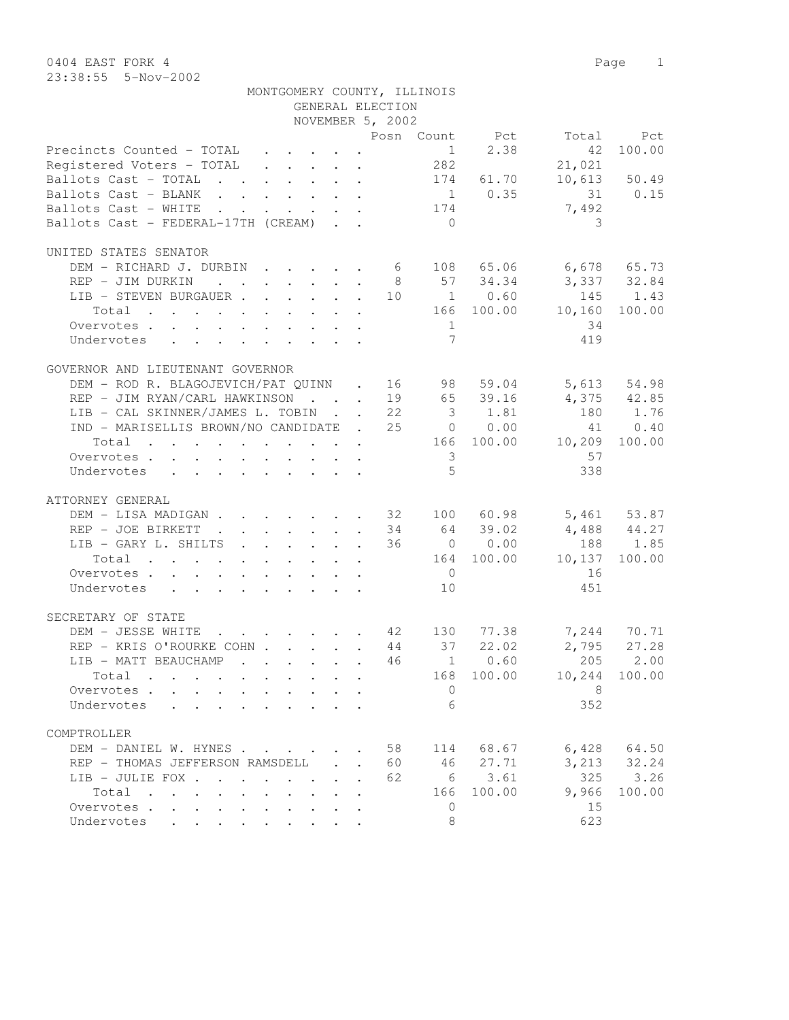| MONTGOMERY COUNTY, ILLINOIS                                                                     |                                            | GENERAL ELECTION |                         |             |                          |                 |
|-------------------------------------------------------------------------------------------------|--------------------------------------------|------------------|-------------------------|-------------|--------------------------|-----------------|
|                                                                                                 |                                            | NOVEMBER 5, 2002 |                         |             |                          |                 |
|                                                                                                 |                                            |                  |                         |             | Posn Count Pct Total Pct |                 |
| Precincts Counted - TOTAL $\ldots$ 1 2.38                                                       |                                            |                  |                         |             | 42                       | 100.00          |
| Registered Voters - TOTAL 282                                                                   |                                            |                  |                         |             | 21,021                   |                 |
| Ballots Cast - TOTAL 174 61.70                                                                  |                                            |                  |                         |             |                          | 10,613 50.49    |
| Ballots Cast - BLANK 1 0.35 31 0.15                                                             |                                            |                  |                         |             |                          |                 |
| Ballots Cast - WHITE 174                                                                        |                                            |                  |                         |             | 7,492                    |                 |
| Ballots Cast - FEDERAL-17TH (CREAM)                                                             |                                            |                  | $\bigcirc$              |             | 3                        |                 |
|                                                                                                 |                                            |                  |                         |             |                          |                 |
| UNITED STATES SENATOR                                                                           |                                            |                  |                         |             |                          |                 |
| DEM - RICHARD J. DURBIN 6 108 65.06 6,678 65.73                                                 |                                            |                  |                         |             |                          |                 |
|                                                                                                 |                                            |                  |                         |             | 8 57 34.34 3,337 32.84   |                 |
| REP - JIM DURKIN<br>LIB - STEVEN BURGAUER 10 1 0.60 145 1.43                                    |                                            |                  |                         |             |                          |                 |
|                                                                                                 |                                            |                  |                         |             |                          |                 |
| Total 166 100.00 10,160 100.00                                                                  |                                            |                  |                         |             |                          |                 |
| Overvotes.                                                                                      |                                            |                  | 1                       |             | 34                       |                 |
| Undervotes                                                                                      |                                            |                  | 7                       |             | 419                      |                 |
|                                                                                                 |                                            |                  |                         |             |                          |                 |
| GOVERNOR AND LIEUTENANT GOVERNOR                                                                |                                            |                  |                         |             |                          |                 |
| DEM - ROD R. BLAGOJEVICH/PAT QUINN . 16 98 59.04 5,613 54.98                                    |                                            |                  |                         |             |                          |                 |
| REP - JIM RYAN/CARL HAWKINSON 19 65 39.16 4,375 42.85                                           |                                            |                  |                         |             |                          |                 |
| LIB - CAL SKINNER/JAMES L. TOBIN 22 3 1.81 180 1.76                                             |                                            |                  |                         |             |                          |                 |
| IND - MARISELLIS BROWN/NO CANDIDATE . 25 0 0.00                                                 |                                            |                  |                         |             |                          | 41 0.40         |
| $\cdot$ 166 100.00 10,209 100.00<br>Total                                                       |                                            |                  |                         |             |                          |                 |
| Overvotes.                                                                                      |                                            |                  | $\overline{\mathbf{3}}$ |             | 57                       |                 |
| Undervotes                                                                                      |                                            |                  | $5^{\circ}$             |             | 338                      |                 |
|                                                                                                 |                                            |                  |                         |             |                          |                 |
| ATTORNEY GENERAL                                                                                |                                            |                  |                         |             |                          |                 |
| DEM - LISA MADIGAN 32 100 60.98 5,461 53.87                                                     |                                            |                  |                         |             |                          |                 |
| REP - JOE BIRKETT                                                                               |                                            |                  |                         | 34 64 39.02 | $4,488$ $44.27$          |                 |
| LIB - GARY L. SHILTS 36 0 0.00                                                                  |                                            |                  |                         |             | 188 1.85                 |                 |
| Total 164 100.00 10,137 100.00                                                                  |                                            |                  |                         |             |                          |                 |
| Overvotes                                                                                       |                                            |                  | $\overline{0}$          |             | 16                       |                 |
| Undervotes                                                                                      |                                            |                  | 10                      |             | 451                      |                 |
|                                                                                                 |                                            |                  |                         |             |                          |                 |
| SECRETARY OF STATE                                                                              |                                            |                  |                         |             |                          |                 |
| DEM - JESSE WHITE                                                                               |                                            |                  |                         |             |                          |                 |
| . 42 130 77.38 7,244 70.71<br>EXECOHN 44 37 22.02 2,795 27.28<br>REP - KRIS O'ROURKE COHN 44 37 |                                            |                  |                         |             |                          |                 |
|                                                                                                 |                                            |                  |                         |             |                          |                 |
| LIB - MATT BEAUCHAMP 46   1   0.60   205   2.00                                                 |                                            |                  |                         |             |                          |                 |
| Total                                                                                           |                                            |                  |                         | 168 100.00  |                          | 10,244 100.00   |
| Overvotes.                                                                                      |                                            |                  | $\overline{0}$          |             | 8                        |                 |
| Undervotes                                                                                      |                                            |                  | 6                       |             | 352                      |                 |
|                                                                                                 |                                            |                  |                         |             |                          |                 |
| COMPTROLLER                                                                                     |                                            |                  |                         |             |                          |                 |
| DEM - DANIEL W. HYNES                                                                           |                                            | 58               | 114                     | 68.67       |                          | $6,428$ $64.50$ |
| REP - THOMAS JEFFERSON RAMSDELL .                                                               |                                            | 60               |                         | 46 27.71    |                          | 3, 213 32.24    |
| LIB - JULIE FOX                                                                                 |                                            | 62               |                         | 6 3.61      | 325                      | 3.26            |
| Total<br>$\mathbf{L}$                                                                           | $\mathbf{L}$<br>$\mathcal{L}^{\text{max}}$ | $\mathbf{r}$     | 166                     | 100.00      | 9,966                    | 100.00          |
| Overvotes.                                                                                      |                                            |                  | $\mathbf{0}$            |             | 15                       |                 |
| Undervotes                                                                                      |                                            |                  | 8                       |             | 623                      |                 |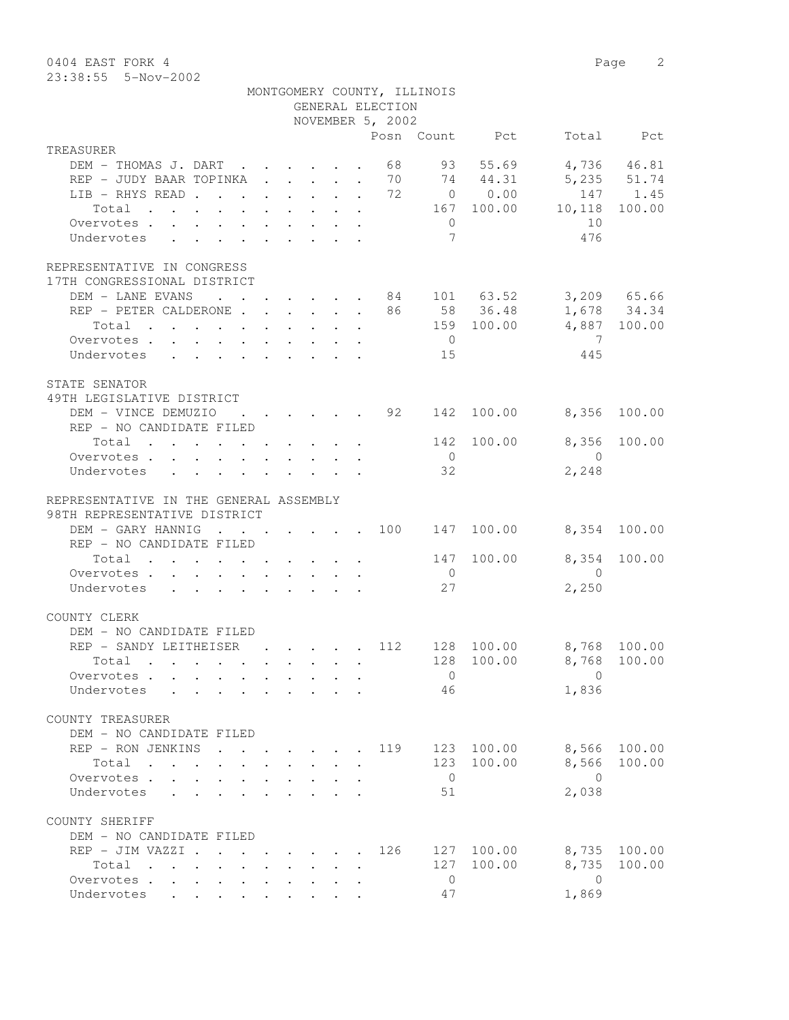0404 EAST FORK 4 Page 2 23:38:55 5-Nov-2002

|                                                                                                   |                                                                                         |                                        | GENERAL ELECTION | MONTGOMERY COUNTY, ILLINOIS                    |                 |                         |              |
|---------------------------------------------------------------------------------------------------|-----------------------------------------------------------------------------------------|----------------------------------------|------------------|------------------------------------------------|-----------------|-------------------------|--------------|
|                                                                                                   |                                                                                         |                                        | NOVEMBER 5, 2002 |                                                | Posn Count Pct  |                         | Total Pct    |
| TREASURER                                                                                         |                                                                                         |                                        |                  |                                                |                 |                         |              |
| DEM - THOMAS J. DART                                                                              |                                                                                         |                                        |                  |                                                | 68 93 55.69     |                         | 4,736 46.81  |
| REP - JUDY BAAR TOPINKA 70 74 44.31                                                               |                                                                                         |                                        |                  |                                                |                 |                         | 5,235 51.74  |
| LIB - RHYS READ 72 0 0.00                                                                         |                                                                                         |                                        |                  |                                                |                 |                         | 147 1.45     |
| Total                                                                                             |                                                                                         |                                        |                  |                                                | 167 100.00      | 10,118                  | 100.00       |
| Overvotes.                                                                                        |                                                                                         |                                        |                  | $\overline{0}$<br>$7\phantom{.0}\phantom{.0}7$ |                 | 10<br>476               |              |
| Undervotes                                                                                        |                                                                                         |                                        |                  |                                                |                 |                         |              |
| REPRESENTATIVE IN CONGRESS<br>17TH CONGRESSIONAL DISTRICT                                         |                                                                                         |                                        |                  |                                                |                 |                         |              |
| DEM - LANE EVANS 84 101 63.52 3,209 65.66                                                         |                                                                                         |                                        |                  |                                                |                 |                         |              |
| REP - PETER CALDERONE 86 58 36.48                                                                 |                                                                                         |                                        |                  |                                                |                 |                         | 1,678 34.34  |
| Total<br>$\mathbf{r}$ , and $\mathbf{r}$ , and $\mathbf{r}$ , and $\mathbf{r}$ , and $\mathbf{r}$ |                                                                                         |                                        |                  |                                                |                 | 159 100.00 4,887 100.00 |              |
| Overvotes                                                                                         |                                                                                         |                                        |                  | $\overline{0}$                                 |                 | $\overline{7}$          |              |
| Undervotes                                                                                        |                                                                                         |                                        |                  | 15                                             |                 | 445                     |              |
| STATE SENATOR<br>49TH LEGISLATIVE DISTRICT                                                        |                                                                                         |                                        |                  |                                                |                 |                         |              |
| DEM - VINCE DEMUZIO                                                                               | $\mathbf{r}$ , $\mathbf{r}$ , $\mathbf{r}$ , $\mathbf{r}$ , $\mathbf{r}$ , $\mathbf{r}$ |                                        |                  |                                                | . 92 142 100.00 | 8,356                   | 100.00       |
| REP - NO CANDIDATE FILED                                                                          |                                                                                         |                                        |                  |                                                |                 |                         |              |
| Total $\cdot$                                                                                     |                                                                                         |                                        |                  | 142                                            | 100.00          | 8,356                   | 100.00       |
| Overvotes                                                                                         |                                                                                         |                                        |                  | $\overline{0}$                                 |                 | $\overline{0}$          |              |
| Undervotes                                                                                        |                                                                                         |                                        |                  | 32                                             |                 | 2,248                   |              |
| REPRESENTATIVE IN THE GENERAL ASSEMBLY<br>98TH REPRESENTATIVE DISTRICT                            |                                                                                         |                                        |                  |                                                |                 |                         |              |
| DEM - GARY HANNIG                                                                                 |                                                                                         |                                        |                  |                                                | 147 100.00      |                         | 8,354 100.00 |
| REP - NO CANDIDATE FILED                                                                          |                                                                                         |                                        |                  |                                                |                 |                         |              |
| Total $\cdot$                                                                                     |                                                                                         |                                        |                  |                                                | 147 100.00      | 8,354                   | 100.00       |
| Overvotes                                                                                         |                                                                                         |                                        |                  | $\overline{0}$                                 |                 | $\overline{0}$          |              |
| Undervotes                                                                                        |                                                                                         |                                        |                  | 27                                             |                 | 2,250                   |              |
| COUNTY CLERK                                                                                      |                                                                                         |                                        |                  |                                                |                 |                         |              |
| DEM - NO CANDIDATE FILED                                                                          |                                                                                         |                                        |                  |                                                |                 |                         |              |
| REP - SANDY LEITHEISER                                                                            |                                                                                         |                                        | . 112            |                                                | 128 100.00      | 8,768 100.00            |              |
| Total .                                                                                           |                                                                                         |                                        |                  |                                                |                 | 128 100.00 8,768 100.00 |              |
| Overvotes                                                                                         |                                                                                         |                                        |                  | $\overline{0}$                                 |                 | $\Omega$                |              |
| Undervotes                                                                                        |                                                                                         | $\mathbf{r}$ $\mathbf{r}$ $\mathbf{r}$ |                  | 46                                             |                 | 1,836                   |              |
| COUNTY TREASURER<br>DEM - NO CANDIDATE FILED                                                      |                                                                                         |                                        |                  |                                                |                 |                         |              |
| REP - RON JENKINS<br>$\ddot{\phantom{0}}$                                                         |                                                                                         |                                        | 119              |                                                | 123 100.00      | 8,566                   | 100.00       |
| Total                                                                                             |                                                                                         |                                        |                  |                                                | 123 100.00      | 8,566                   | 100.00       |
| Overvotes<br>$\mathbf{L}^{\text{max}}$                                                            |                                                                                         |                                        |                  | $\overline{0}$                                 |                 | $\bigcirc$              |              |
| Undervotes<br>$\mathcal{L}^{\text{max}}$                                                          |                                                                                         |                                        |                  | 51                                             |                 | 2,038                   |              |
| COUNTY SHERIFF<br>DEM - NO CANDIDATE FILED                                                        |                                                                                         |                                        |                  |                                                |                 |                         |              |
| REP - JIM VAZZI .                                                                                 | $\cdot$ $\cdot$ $\cdot$ $\cdot$ $\cdot$                                                 |                                        | 126              |                                                | 127 100.00      | 8,735                   | 100.00       |
| Total<br>$\mathbf{r}$ , $\mathbf{r}$ , $\mathbf{r}$ , $\mathbf{r}$                                |                                                                                         |                                        |                  | 127                                            | 100.00          | 8,735                   | 100.00       |
| Overvotes                                                                                         |                                                                                         |                                        |                  | $\overline{0}$                                 |                 | $\overline{0}$          |              |
| Undervotes                                                                                        |                                                                                         |                                        |                  | 47                                             |                 | 1,869                   |              |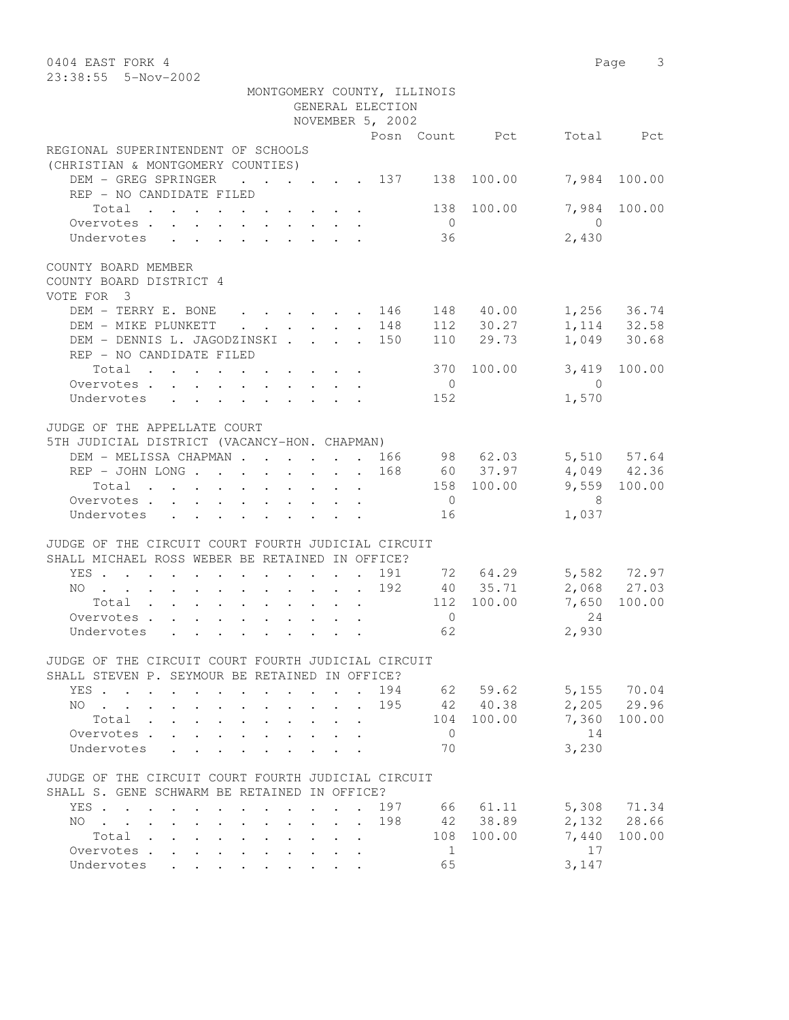| 0404 EAST FORK 4                                                                                                                                                                                                                                                                                                                                                                                                                   |                                             |                                 |                             |                |                |            | Page 3                       |
|------------------------------------------------------------------------------------------------------------------------------------------------------------------------------------------------------------------------------------------------------------------------------------------------------------------------------------------------------------------------------------------------------------------------------------|---------------------------------------------|---------------------------------|-----------------------------|----------------|----------------|------------|------------------------------|
| 23:38:55 5-Nov-2002                                                                                                                                                                                                                                                                                                                                                                                                                |                                             |                                 |                             |                |                |            |                              |
|                                                                                                                                                                                                                                                                                                                                                                                                                                    |                                             |                                 | MONTGOMERY COUNTY, ILLINOIS |                |                |            |                              |
|                                                                                                                                                                                                                                                                                                                                                                                                                                    |                                             |                                 | GENERAL ELECTION            |                |                |            |                              |
|                                                                                                                                                                                                                                                                                                                                                                                                                                    |                                             |                                 | NOVEMBER 5, 2002            |                |                |            |                              |
|                                                                                                                                                                                                                                                                                                                                                                                                                                    |                                             |                                 |                             |                | Posn Count Pct |            | Total Pct                    |
| REGIONAL SUPERINTENDENT OF SCHOOLS                                                                                                                                                                                                                                                                                                                                                                                                 |                                             |                                 |                             |                |                |            |                              |
| (CHRISTIAN & MONTGOMERY COUNTIES)                                                                                                                                                                                                                                                                                                                                                                                                  |                                             |                                 |                             |                |                |            |                              |
| DEM - GREG SPRINGER<br>$\cdot$ $\cdot$ $\cdot$ $\cdot$ $\cdot$ $\cdot$ 137                                                                                                                                                                                                                                                                                                                                                         |                                             |                                 |                             |                | 138 100.00     | 7,984      | 100.00                       |
| REP - NO CANDIDATE FILED                                                                                                                                                                                                                                                                                                                                                                                                           |                                             |                                 |                             |                |                |            |                              |
| Total                                                                                                                                                                                                                                                                                                                                                                                                                              |                                             |                                 |                             | 138            | 100.00         | 7,984      | 100.00                       |
| Overvotes.                                                                                                                                                                                                                                                                                                                                                                                                                         |                                             |                                 |                             | $\overline{0}$ |                | $\bigcirc$ |                              |
| Undervotes                                                                                                                                                                                                                                                                                                                                                                                                                         |                                             |                                 |                             | 36             |                | 2,430      |                              |
|                                                                                                                                                                                                                                                                                                                                                                                                                                    |                                             |                                 |                             |                |                |            |                              |
| COUNTY BOARD MEMBER                                                                                                                                                                                                                                                                                                                                                                                                                |                                             |                                 |                             |                |                |            |                              |
| COUNTY BOARD DISTRICT 4                                                                                                                                                                                                                                                                                                                                                                                                            |                                             |                                 |                             |                |                |            |                              |
| VOTE FOR 3                                                                                                                                                                                                                                                                                                                                                                                                                         |                                             |                                 |                             |                |                |            |                              |
| DEM - TERRY E. BONE<br>$\cdot$ 146                                                                                                                                                                                                                                                                                                                                                                                                 |                                             |                                 |                             |                | 148 40.00      |            | $1,256$ 36.74                |
| DEM - MIKE PLUNKETT                                                                                                                                                                                                                                                                                                                                                                                                                | $\mathbf{r} = \mathbf{r} \times \mathbf{r}$ |                                 | 148                         |                | $112$ $30.27$  |            |                              |
| DEM - DENNIS L. JAGODZINSKI                                                                                                                                                                                                                                                                                                                                                                                                        |                                             |                                 | . 150                       |                | 110 29.73      |            | 1, 114 32.58<br>1, 049 30.68 |
| REP - NO CANDIDATE FILED                                                                                                                                                                                                                                                                                                                                                                                                           |                                             |                                 |                             |                |                |            |                              |
| Total                                                                                                                                                                                                                                                                                                                                                                                                                              |                                             |                                 |                             | 370            | 100.00         | 3,419      | 100.00                       |
| Overvotes.                                                                                                                                                                                                                                                                                                                                                                                                                         |                                             |                                 |                             | $\overline{0}$ |                | $\bigcirc$ |                              |
| Undervotes                                                                                                                                                                                                                                                                                                                                                                                                                         |                                             |                                 |                             | 152            |                | 1,570      |                              |
|                                                                                                                                                                                                                                                                                                                                                                                                                                    |                                             |                                 |                             |                |                |            |                              |
| JUDGE OF THE APPELLATE COURT                                                                                                                                                                                                                                                                                                                                                                                                       |                                             |                                 |                             |                |                |            |                              |
| 5TH JUDICIAL DISTRICT (VACANCY-HON. CHAPMAN)                                                                                                                                                                                                                                                                                                                                                                                       |                                             |                                 |                             |                |                |            |                              |
| DEM - MELISSA CHAPMAN 166                                                                                                                                                                                                                                                                                                                                                                                                          |                                             |                                 |                             |                | 98 62.03       |            | 5,510 57.64                  |
| REP - JOHN LONG                                                                                                                                                                                                                                                                                                                                                                                                                    |                                             |                                 | 168                         |                | 60 37.97       |            | $4,049$ $42.36$              |
| Total                                                                                                                                                                                                                                                                                                                                                                                                                              |                                             |                                 |                             |                | 158 100.00     |            | 9,559 100.00                 |
| Overvotes.                                                                                                                                                                                                                                                                                                                                                                                                                         |                                             |                                 |                             | $\overline{0}$ |                | - 8        |                              |
|                                                                                                                                                                                                                                                                                                                                                                                                                                    |                                             |                                 |                             |                |                |            |                              |
| Undervotes                                                                                                                                                                                                                                                                                                                                                                                                                         |                                             |                                 |                             | 16             |                | 1,037      |                              |
| JUDGE OF THE CIRCUIT COURT FOURTH JUDICIAL CIRCUIT                                                                                                                                                                                                                                                                                                                                                                                 |                                             |                                 |                             |                |                |            |                              |
| SHALL MICHAEL ROSS WEBER BE RETAINED IN OFFICE?                                                                                                                                                                                                                                                                                                                                                                                    |                                             |                                 |                             |                |                |            |                              |
|                                                                                                                                                                                                                                                                                                                                                                                                                                    |                                             |                                 | 191                         |                |                |            |                              |
| YES                                                                                                                                                                                                                                                                                                                                                                                                                                |                                             |                                 |                             |                | 72 64.29       |            | 5,582 72.97                  |
| NO<br>$\mathbf{u} = \mathbf{u} + \mathbf{u} + \mathbf{u} + \mathbf{u} + \mathbf{u} + \mathbf{u} + \mathbf{u} + \mathbf{u} + \mathbf{u} + \mathbf{u} + \mathbf{u} + \mathbf{u} + \mathbf{u} + \mathbf{u} + \mathbf{u} + \mathbf{u} + \mathbf{u} + \mathbf{u} + \mathbf{u} + \mathbf{u} + \mathbf{u} + \mathbf{u} + \mathbf{u} + \mathbf{u} + \mathbf{u} + \mathbf{u} + \mathbf{u} + \mathbf{u} + \mathbf{u} + \mathbf{u} + \mathbf$ |                                             |                                 | 192                         |                | 40 35.71       |            | 2,068 27.03                  |
| Total                                                                                                                                                                                                                                                                                                                                                                                                                              |                                             |                                 |                             |                | 112 100.00     | 7,650      | 100.00                       |
| Overvotes.                                                                                                                                                                                                                                                                                                                                                                                                                         |                                             |                                 |                             | $\overline{0}$ |                | 24         |                              |
| Undervotes                                                                                                                                                                                                                                                                                                                                                                                                                         |                                             |                                 |                             | 62             |                | 2,930      |                              |
|                                                                                                                                                                                                                                                                                                                                                                                                                                    |                                             |                                 |                             |                |                |            |                              |
| JUDGE OF THE CIRCUIT COURT FOURTH JUDICIAL CIRCUIT                                                                                                                                                                                                                                                                                                                                                                                 |                                             |                                 |                             |                |                |            |                              |
| SHALL STEVEN P. SEYMOUR BE RETAINED IN OFFICE?                                                                                                                                                                                                                                                                                                                                                                                     |                                             |                                 |                             |                |                |            |                              |
| YES                                                                                                                                                                                                                                                                                                                                                                                                                                |                                             | $\ddot{\phantom{a}}$            |                             |                | 194 62 59.62   |            | 5,155 70.04                  |
| $NO \cdot \cdot \cdot$                                                                                                                                                                                                                                                                                                                                                                                                             |                                             |                                 | 195                         |                | 42 40.38       |            | 2,205 29.96                  |
| Total .<br>$\sim$<br>$\mathbf{L}^{\text{max}}$<br>$\mathbf{L}$                                                                                                                                                                                                                                                                                                                                                                     |                                             |                                 |                             |                | 104 100.00     |            | 7,360 100.00                 |
| Overvotes<br>$\mathbf{L}^{\text{max}}$                                                                                                                                                                                                                                                                                                                                                                                             |                                             |                                 |                             | $\overline{0}$ |                | 14         |                              |
| Undervotes<br>$\mathbf{L}^{\text{max}}$<br>$\ddot{\phantom{0}}$<br>$\mathbf{r}$                                                                                                                                                                                                                                                                                                                                                    |                                             |                                 |                             | 70             |                | 3,230      |                              |
|                                                                                                                                                                                                                                                                                                                                                                                                                                    |                                             |                                 |                             |                |                |            |                              |
| JUDGE OF THE CIRCUIT COURT FOURTH JUDICIAL CIRCUIT                                                                                                                                                                                                                                                                                                                                                                                 |                                             |                                 |                             |                |                |            |                              |
| SHALL S. GENE SCHWARM BE RETAINED IN OFFICE?                                                                                                                                                                                                                                                                                                                                                                                       |                                             |                                 |                             |                |                |            |                              |
| YES                                                                                                                                                                                                                                                                                                                                                                                                                                |                                             |                                 | 197                         |                | 66 61.11       |            | 5,308 71.34                  |
| $NO \t . \t . \t . \t .$<br>$\mathbf{L}$<br>$\ddot{\phantom{a}}$<br>$\ddot{\phantom{0}}$<br>$\ddot{\phantom{0}}$                                                                                                                                                                                                                                                                                                                   |                                             | $\cdot$ $\cdot$ $\cdot$ $\cdot$ | 198                         |                | 42 38.89       |            | 2,132 28.66                  |
| Total                                                                                                                                                                                                                                                                                                                                                                                                                              |                                             | $\cdot$ $\cdot$ $\cdot$ $\cdot$ |                             |                | 108 100.00     | 7,440      | 100.00                       |
| Overvotes<br>$\ddot{\phantom{0}}$<br>$\mathbf{L}^{\text{max}}$<br>$\mathbf{r}$                                                                                                                                                                                                                                                                                                                                                     |                                             |                                 |                             | $\mathbf{1}$   |                | 17         |                              |
| Undervotes                                                                                                                                                                                                                                                                                                                                                                                                                         |                                             |                                 |                             | 65             |                | 3,147      |                              |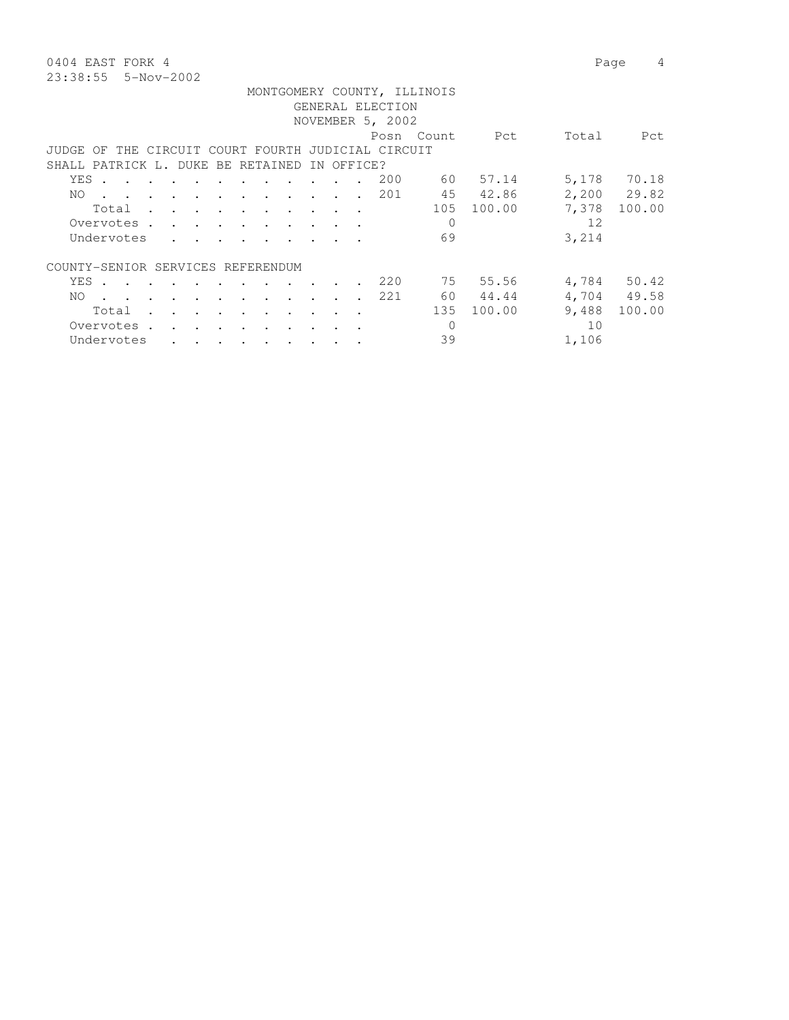0404 EAST FORK 4 Page 4 23:38:55 5-Nov-2002

|                                                                                                                                                                                                 |                                              | MONTGOMERY COUNTY, ILLINOIS |                 |             |
|-------------------------------------------------------------------------------------------------------------------------------------------------------------------------------------------------|----------------------------------------------|-----------------------------|-----------------|-------------|
|                                                                                                                                                                                                 | GENERAL ELECTION                             |                             |                 |             |
|                                                                                                                                                                                                 | NOVEMBER 5, 2002                             |                             |                 |             |
|                                                                                                                                                                                                 |                                              | Posn Count                  | Total<br>Pct    | Pct         |
| JUDGE OF THE CIRCUIT COURT FOURTH JUDICIAL CIRCUIT                                                                                                                                              |                                              |                             |                 |             |
| SHALL PATRICK L. DUKE BE RETAINED IN OFFICE?                                                                                                                                                    |                                              |                             |                 |             |
|                                                                                                                                                                                                 |                                              |                             |                 |             |
| YES .                                                                                                                                                                                           | $\mathbf{r}$ , $\mathbf{r}$ , $\mathbf{r}$   | 200<br>60 —                 | 5,178<br>57.14  | 70.18       |
| . 201<br>NO.                                                                                                                                                                                    |                                              | 45                          | 42.86           | 2,200 29.82 |
| Total                                                                                                                                                                                           |                                              | 105                         | 7,378<br>100.00 | 100.00      |
| Overvotes.<br>the contract of the contract of the contract of the contract of the contract of the contract of the contract of                                                                   |                                              | $\Omega$                    |                 | 12          |
| Undervotes                                                                                                                                                                                      |                                              | 69                          | 3,214           |             |
|                                                                                                                                                                                                 |                                              |                             |                 |             |
| COUNTY-SENIOR SERVICES REFERENDUM                                                                                                                                                               |                                              |                             |                 |             |
| YES.                                                                                                                                                                                            |                                              | 75<br>220                   | 55.56           | 4,784 50.42 |
| NO.<br>$\sim$<br>$\sim$ $\sim$                                                                                                                                                                  | $\sim$ $\sim$ $\sim$<br>$\ddot{\phantom{a}}$ | 60<br>221                   | 44.44           | 4,704 49.58 |
|                                                                                                                                                                                                 |                                              |                             |                 |             |
| Total<br>$\cdot$<br>$\ddot{\phantom{a}}$                                                                                                                                                        | $\ddot{\phantom{a}}$                         | 135                         | 9,488<br>100.00 | 100.00      |
| Overvotes.<br>$\ddot{\phantom{0}}$<br><b>Contract Contract Contract Contract</b><br>$\bullet$ . In the case of the $\bullet$<br>$\bullet$ .<br><br><br><br><br><br><br><br><br><br><br><br><br> | $\bullet$                                    | $\mathbf{0}$                |                 | 10          |

Undervotes . . . . . . . . . 39 1,106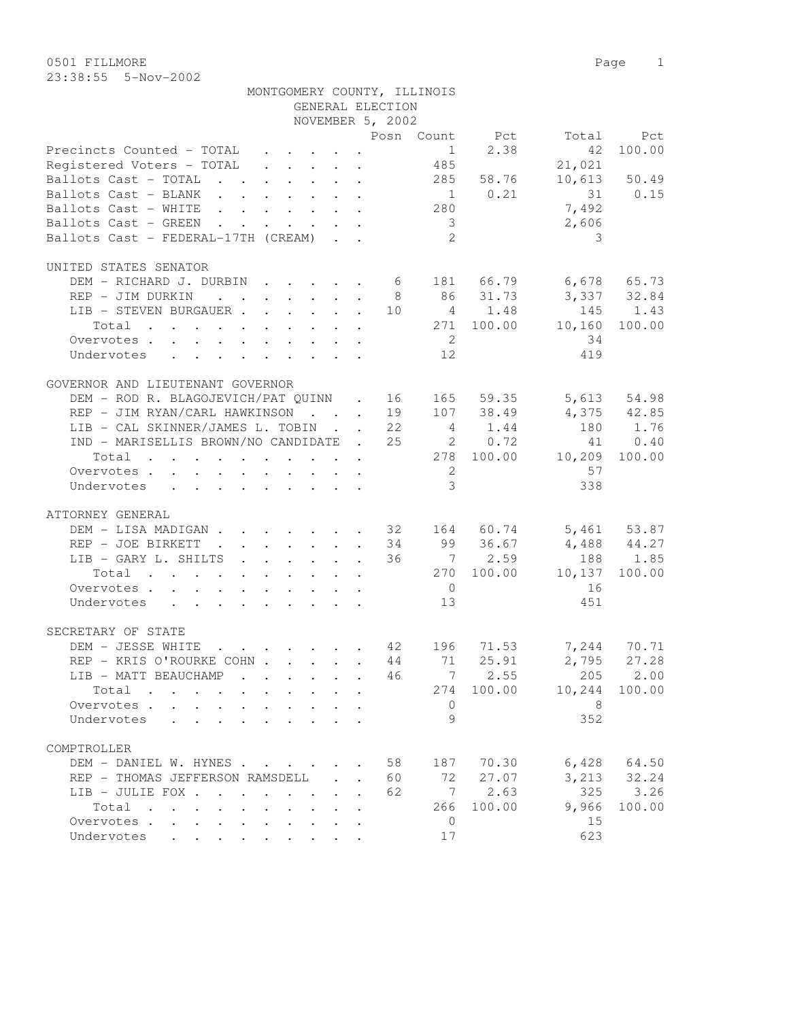0501 FILLMORE Page 1 23:38:55 5-Nov-2002

|                                                                      |  |  | GENERAL ELECTION | MONTGOMERY COUNTY, ILLINOIS |                |                          |              |
|----------------------------------------------------------------------|--|--|------------------|-----------------------------|----------------|--------------------------|--------------|
|                                                                      |  |  | NOVEMBER 5, 2002 |                             |                |                          |              |
|                                                                      |  |  |                  |                             |                | Posn Count Pct Total Pct |              |
| Precincts Counted - TOTAL $\quad \cdot \quad \cdot \quad \cdot$      |  |  |                  |                             | 1 2.38         | 42                       | 100.00       |
| Registered Voters - TOTAL 485                                        |  |  |                  |                             |                | 21,021                   |              |
| Ballots Cast - TOTAL $\cdot \cdot \cdot \cdot \cdot \cdot$ 285 58.76 |  |  |                  |                             |                |                          | 10,613 50.49 |
| Bailots Cast - BLANK 1 0.21<br>Ballots Cast - BLANK 280              |  |  |                  |                             |                | $31$ 0.15<br>7,492       |              |
|                                                                      |  |  |                  |                             |                |                          |              |
| Ballots Cast - GREEN $\cdots$                                        |  |  |                  |                             |                | 2,606                    |              |
| Ballots Cast - FEDERAL-17TH (CREAM)                                  |  |  |                  | $\frac{3}{2}$               |                | 3                        |              |
| UNITED STATES SENATOR                                                |  |  |                  |                             |                |                          |              |
| DEM - RICHARD J. DURBIN 6 181 66.79 6,678 65.73                      |  |  |                  |                             |                |                          |              |
| REP - JIM DURKIN 8 86 31.73 3,337 32.84                              |  |  |                  |                             |                |                          |              |
| $LIB - STEVEN$ BURGAUER 10 4 1.48                                    |  |  |                  |                             |                |                          | 145 1.43     |
| Total 271 100.00 10,160                                              |  |  |                  |                             |                |                          | 100.00       |
| Overvotes                                                            |  |  |                  | $\overline{2}$              |                | 34                       |              |
| Undervotes                                                           |  |  |                  | 12                          |                | 419                      |              |
|                                                                      |  |  |                  |                             |                |                          |              |
| GOVERNOR AND LIEUTENANT GOVERNOR                                     |  |  |                  |                             |                |                          |              |
| DEM - ROD R. BLAGOJEVICH/PAT QUINN . 16 165 59.35 5,613 54.98        |  |  |                  |                             |                |                          |              |
| REP - JIM RYAN/CARL HAWKINSON 19 107 38.49 4,375 42.85               |  |  |                  |                             |                |                          |              |
| LIB - CAL SKINNER/JAMES L. TOBIN 22 4 1.44 180 1.76                  |  |  |                  |                             |                |                          |              |
| IND - MARISELLIS BROWN/NO CANDIDATE . 25 20.72                       |  |  |                  |                             |                |                          | 41 0.40      |
| Total 278 100.00 10,209                                              |  |  |                  |                             |                |                          | 100.00       |
| Overvotes                                                            |  |  |                  | $\overline{2}$              |                | 57                       |              |
| Undervotes                                                           |  |  |                  | 3 <sup>3</sup>              |                | 338                      |              |
| ATTORNEY GENERAL                                                     |  |  |                  |                             |                |                          |              |
| DEM - LISA MADIGAN 32 164 60.74 5,461 53.87                          |  |  |                  |                             |                |                          |              |
| REP - JOE BIRKETT 34 99 36.67 4,488 44.27                            |  |  |                  |                             |                |                          |              |
| LIB - GARY L. SHILTS 36 7 2.59                                       |  |  |                  |                             |                |                          | 188 1.85     |
| Total 270 100.00 10,137                                              |  |  |                  |                             |                |                          | 100.00       |
| Overvotes.                                                           |  |  |                  | $\overline{0}$              |                | 16                       |              |
|                                                                      |  |  |                  | 13                          |                | 451                      |              |
| Undervotes                                                           |  |  |                  |                             |                |                          |              |
| SECRETARY OF STATE                                                   |  |  |                  |                             |                |                          |              |
| DEM - JESSE WHITE 42 196 71.53 7,244 70.71                           |  |  |                  |                             |                |                          |              |
| REP - KRIS O'ROURKE COHN                                             |  |  |                  | 44 71                       |                | 25.91 2,795 27.28        |              |
| LIB - MATT BEAUCHAMP                                                 |  |  | 46               |                             | $7 \quad 2.55$ | 205                      | 2.00         |
| Total                                                                |  |  |                  |                             | 274 100.00     | 10,244                   | 100.00       |
| Overvotes                                                            |  |  |                  | $\circ$                     |                | - 8                      |              |
| Undervotes                                                           |  |  |                  | 9                           |                | 352                      |              |
| COMPTROLLER                                                          |  |  |                  |                             |                |                          |              |
| DEM - DANIEL W. HYNES                                                |  |  | 58               | 187                         | 70.30          | 6,428                    | 64.50        |
|                                                                      |  |  |                  |                             |                |                          |              |

 REP - THOMAS JEFFERSON RAMSDELL . . 60 72 27.07 3,213 32.24 LIB - JULIE FOX . . . . . . . . 62 7 2.63 325 3.26<br>Total . . . . . . . . . 266 100.00 9,966 100.00

Total . . . . . . . . . . 266 100.00 9,966<br>ervotes . . . . . . . . . . 0 15 Overvotes . . . . . . . . . . . 0 15 Undervotes . . . . . . . . . 17 623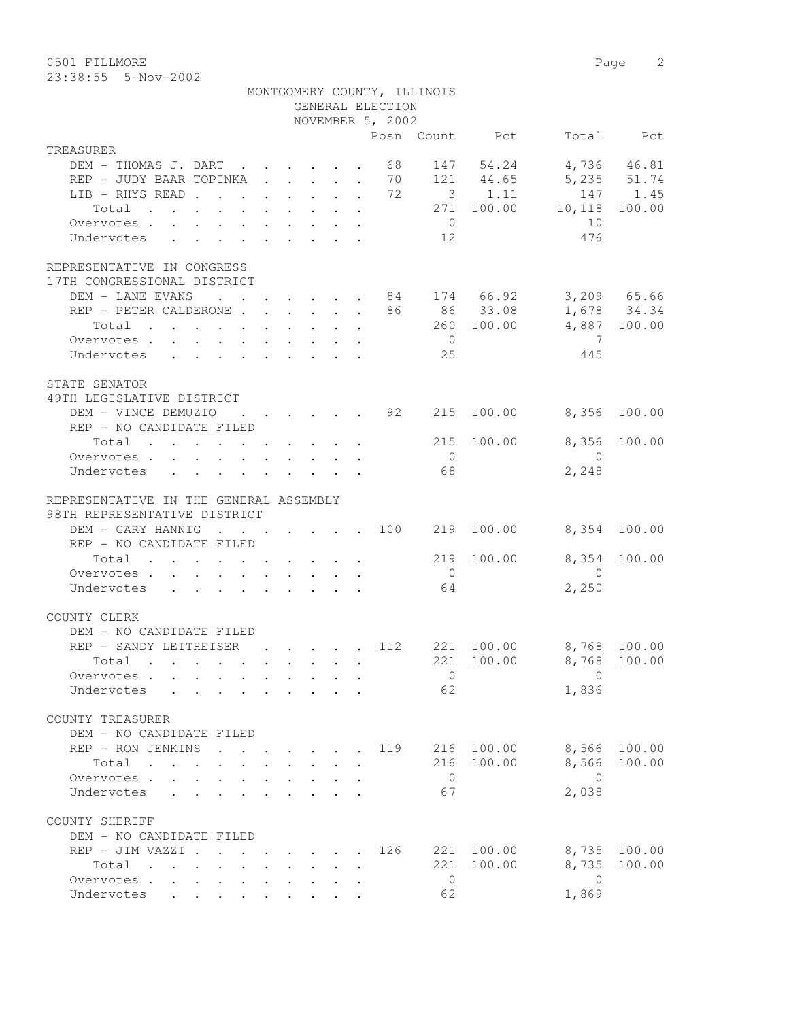0501 FILLMORE 2

|                                               |  |  | GENERAL ELECTION<br>NOVEMBER 5, 2002        | MONTGOMERY COUNTY, ILLINOIS |                |                                   |                         |
|-----------------------------------------------|--|--|---------------------------------------------|-----------------------------|----------------|-----------------------------------|-------------------------|
|                                               |  |  |                                             |                             | Posn Count Pct |                                   | Total Pct               |
| TREASURER                                     |  |  |                                             |                             |                |                                   |                         |
| DEM - THOMAS J. DART 68                       |  |  |                                             |                             | 147 54.24      | 4,736 46.81                       |                         |
| REP - JUDY BAAR TOPINKA 70                    |  |  |                                             |                             |                | 121 44.65 5,235 51.74             |                         |
| LIB - RHYS READ 72                            |  |  |                                             |                             | 3 1.11         |                                   | 147 1.45                |
| Total 271 100.00 10,118                       |  |  |                                             |                             |                |                                   | 100.00                  |
| Overvotes                                     |  |  |                                             | $\overline{0}$              |                | 10                                |                         |
| Undervotes                                    |  |  |                                             | 12                          |                | 476                               |                         |
| REPRESENTATIVE IN CONGRESS                    |  |  |                                             |                             |                |                                   |                         |
| 17TH CONGRESSIONAL DISTRICT                   |  |  |                                             |                             |                |                                   |                         |
| DEM - LANE EVANS                              |  |  |                                             |                             |                | $\cdots$ 84 174 66.92 3,209 65.66 |                         |
| REP - PETER CALDERONE 86 86 33.08 1,678 34.34 |  |  |                                             |                             |                |                                   |                         |
|                                               |  |  |                                             |                             |                | 260 100.00 4,887 100.00           |                         |
| Total                                         |  |  |                                             | $\overline{0}$              |                | $\overline{7}$                    |                         |
| Overvotes                                     |  |  |                                             |                             |                |                                   |                         |
| Undervotes                                    |  |  |                                             | 25                          |                | 445                               |                         |
| STATE SENATOR                                 |  |  |                                             |                             |                |                                   |                         |
| 49TH LEGISLATIVE DISTRICT                     |  |  |                                             |                             |                |                                   |                         |
| DEM - VINCE DEMUZIO : 92                      |  |  |                                             | 215                         |                | 100.00 8,356                      | 100.00                  |
| REP - NO CANDIDATE FILED                      |  |  |                                             |                             |                |                                   |                         |
| Total 215                                     |  |  |                                             |                             | 100.00         | 8,356                             | 100.00                  |
| Overvotes                                     |  |  |                                             | $\overline{0}$              |                | $\overline{0}$                    |                         |
| Undervotes                                    |  |  |                                             | 68                          |                | 2,248                             |                         |
| REPRESENTATIVE IN THE GENERAL ASSEMBLY        |  |  |                                             |                             |                |                                   |                         |
| 98TH REPRESENTATIVE DISTRICT                  |  |  |                                             |                             |                |                                   |                         |
| DEM - GARY HANNIG 100                         |  |  |                                             |                             | 219 100.00     | 8,354 100.00                      |                         |
| REP - NO CANDIDATE FILED                      |  |  |                                             |                             |                |                                   |                         |
| Total $\cdot$                                 |  |  |                                             | 219                         | 100.00         | 8,354                             | 100.00                  |
| Overvotes.                                    |  |  |                                             | $\overline{0}$              |                | $\overline{0}$                    |                         |
| Undervotes                                    |  |  |                                             | 64                          |                | 2,250                             |                         |
| COUNTY CLERK                                  |  |  |                                             |                             |                |                                   |                         |
| DEM - NO CANDIDATE FILED                      |  |  |                                             |                             |                |                                   |                         |
| REP - SANDY LEITHEISER                        |  |  | $\cdot$ $\cdot$ $\cdot$ $\cdot$ $\cdot$ 112 |                             | 221 100.00     | 8,768 100.00                      |                         |
| Total .                                       |  |  |                                             |                             |                |                                   |                         |
| Overvotes                                     |  |  |                                             |                             |                |                                   | 221 100.00 8,768 100.00 |
|                                               |  |  |                                             | $\overline{0}$              |                | $\Omega$                          |                         |
| Undervotes                                    |  |  |                                             | 62                          |                | 1,836                             |                         |
|                                               |  |  |                                             |                             |                |                                   |                         |
| COUNTY TREASURER                              |  |  |                                             |                             |                |                                   |                         |
| DEM - NO CANDIDATE FILED                      |  |  |                                             |                             |                |                                   |                         |
| REP - RON JENKINS                             |  |  | 119                                         |                             | 216 100.00     | 8,566                             | 100.00                  |
| Total                                         |  |  |                                             |                             | 216 100.00     | 8,566                             | 100.00                  |
| Overvotes.<br>$\mathbf{L}$<br>$\sim$          |  |  |                                             | $\overline{0}$              |                | $\bigcirc$                        |                         |
| Undervotes                                    |  |  |                                             | 67                          |                | 2,038                             |                         |
| COUNTY SHERIFF                                |  |  |                                             |                             |                |                                   |                         |
| DEM - NO CANDIDATE FILED                      |  |  |                                             |                             |                |                                   |                         |
| REP - JIM VAZZI                               |  |  | 126                                         |                             | 221 100.00     | 8,735                             | 100.00                  |
| Total                                         |  |  |                                             |                             | 221 100.00     | 8,735                             | 100.00                  |

Undervotes . . . . . . . . . . 62 1,869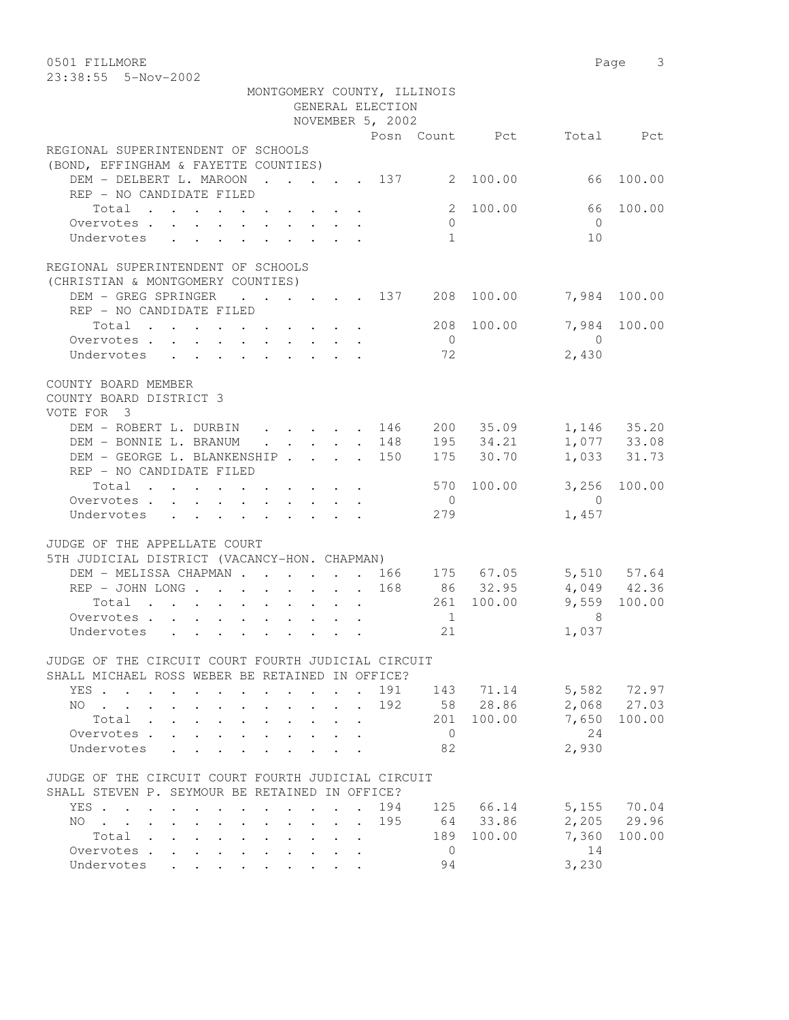0501 FILLMORE Page 3

| 23:38:55   5-Nov-2002                                                               |  |                             |                |                                                                                       |                |                            |
|-------------------------------------------------------------------------------------|--|-----------------------------|----------------|---------------------------------------------------------------------------------------|----------------|----------------------------|
|                                                                                     |  | MONTGOMERY COUNTY, ILLINOIS |                |                                                                                       |                |                            |
|                                                                                     |  | GENERAL ELECTION            |                |                                                                                       |                |                            |
|                                                                                     |  | NOVEMBER 5, 2002            |                |                                                                                       |                |                            |
|                                                                                     |  |                             |                | Posn Count Pct                                                                        |                | Total Pct                  |
| REGIONAL SUPERINTENDENT OF SCHOOLS                                                  |  |                             |                |                                                                                       |                |                            |
| (BOND, EFFINGHAM & FAYETTE COUNTIES)                                                |  |                             |                |                                                                                       |                |                            |
| DEM - DELBERT L. MAROON 137 2 100.00                                                |  |                             |                |                                                                                       |                | 66 100.00                  |
| REP - NO CANDIDATE FILED                                                            |  |                             |                |                                                                                       |                |                            |
| Total                                                                               |  |                             | 2              | 100.00                                                                                | 66             | 100.00                     |
| Overvotes.                                                                          |  |                             | $\overline{0}$ |                                                                                       | $\bigcirc$     |                            |
| Undervotes                                                                          |  |                             | 1              |                                                                                       | 10             |                            |
|                                                                                     |  |                             |                |                                                                                       |                |                            |
| REGIONAL SUPERINTENDENT OF SCHOOLS                                                  |  |                             |                |                                                                                       |                |                            |
| (CHRISTIAN & MONTGOMERY COUNTIES)                                                   |  |                             |                |                                                                                       |                |                            |
| DEM - GREG SPRINGER 137 208 100.00                                                  |  |                             |                |                                                                                       |                | 7,984 100.00               |
| REP - NO CANDIDATE FILED                                                            |  |                             |                |                                                                                       |                |                            |
| Total                                                                               |  |                             |                | 208 100.00                                                                            |                | 7,984 100.00               |
| Overvotes.                                                                          |  |                             | $\overline{0}$ |                                                                                       | $\bigcap$      |                            |
| Undervotes                                                                          |  |                             | 72             |                                                                                       | 2,430          |                            |
|                                                                                     |  |                             |                |                                                                                       |                |                            |
| COUNTY BOARD MEMBER                                                                 |  |                             |                |                                                                                       |                |                            |
| COUNTY BOARD DISTRICT 3                                                             |  |                             |                |                                                                                       |                |                            |
| VOTE FOR 3                                                                          |  |                             |                |                                                                                       |                |                            |
| DEM - ROBERT L. DURBIN                                                              |  |                             |                |                                                                                       |                | 1,146 35.20                |
| DEM - BONNIE L. BRANUM                                                              |  | $\cdot$ 148                 |                | $\cdot$ 146 200 35.09                                                                 |                |                            |
| DEM - GEORGE L. BLANKENSHIP 150                                                     |  |                             |                | $\begin{array}{cc}\n 195 & 34.21 \\  \hline\n 175 & 30.70\n \end{array}$<br>175 30.70 |                | 1,077 33.08<br>1,033 31.73 |
| REP - NO CANDIDATE FILED                                                            |  |                             |                |                                                                                       |                |                            |
|                                                                                     |  |                             |                | 570 100.00                                                                            |                | 3,256 100.00               |
| Total                                                                               |  |                             | $\overline{0}$ |                                                                                       | $\overline{0}$ |                            |
| Overvotes                                                                           |  |                             | 279            |                                                                                       |                |                            |
| Undervotes                                                                          |  |                             |                |                                                                                       | 1,457          |                            |
|                                                                                     |  |                             |                |                                                                                       |                |                            |
| JUDGE OF THE APPELLATE COURT                                                        |  |                             |                |                                                                                       |                |                            |
| 5TH JUDICIAL DISTRICT (VACANCY-HON. CHAPMAN)<br>DEM - MELISSA CHAPMAN 166 175 67.05 |  |                             |                |                                                                                       |                |                            |
| REP - JOHN LONG 168 86 32.95                                                        |  |                             |                |                                                                                       |                | 5,510 57.64                |
|                                                                                     |  |                             |                |                                                                                       |                | 4,049 42.36                |
| Total                                                                               |  |                             |                | 261 100.00                                                                            |                | 9,559 100.00               |
| Overvotes                                                                           |  |                             | 1              |                                                                                       | 8              |                            |
| Undervotes                                                                          |  |                             | 21             |                                                                                       | 1,037          |                            |
|                                                                                     |  |                             |                |                                                                                       |                |                            |
| JUDGE OF THE CIRCUIT COURT FOURTH JUDICIAL CIRCUIT                                  |  |                             |                |                                                                                       |                |                            |
| SHALL MICHAEL ROSS WEBER BE RETAINED IN OFFICE?                                     |  |                             |                |                                                                                       |                |                            |
| YES.,                                                                               |  | 191                         | 143            | 71.14                                                                                 |                | 5,582 72.97                |
| NO.                                                                                 |  | 192                         |                | 58 28.86                                                                              | 2,068          | 27.03                      |
| Total                                                                               |  |                             | 201            | 100.00                                                                                | 7,650          | 100.00                     |
| Overvotes .<br>$\mathbf{L}$<br>$\sim$                                               |  |                             | $\Omega$       |                                                                                       | 24             |                            |
| Undervotes                                                                          |  |                             | 82             |                                                                                       | 2,930          |                            |
|                                                                                     |  |                             |                |                                                                                       |                |                            |
| JUDGE OF THE CIRCUIT COURT FOURTH JUDICIAL CIRCUIT                                  |  |                             |                |                                                                                       |                |                            |
| SHALL STEVEN P. SEYMOUR BE RETAINED IN OFFICE?                                      |  |                             |                |                                                                                       |                |                            |
| YES                                                                                 |  | 194                         | 125            | 66.14                                                                                 | 5,155          | 70.04                      |
| $NO$                                                                                |  | 195                         | 64             | 33.86                                                                                 | 2,205          | 29.96                      |

Total . . . . . . . . . . 189 100.00 7,360 100.00

Overvotes . . . . . . . . . . . 0 14 0 vervotes . . . . . . . . . . . 0 14<br>
Undervotes . . . . . . . . . 94 3,230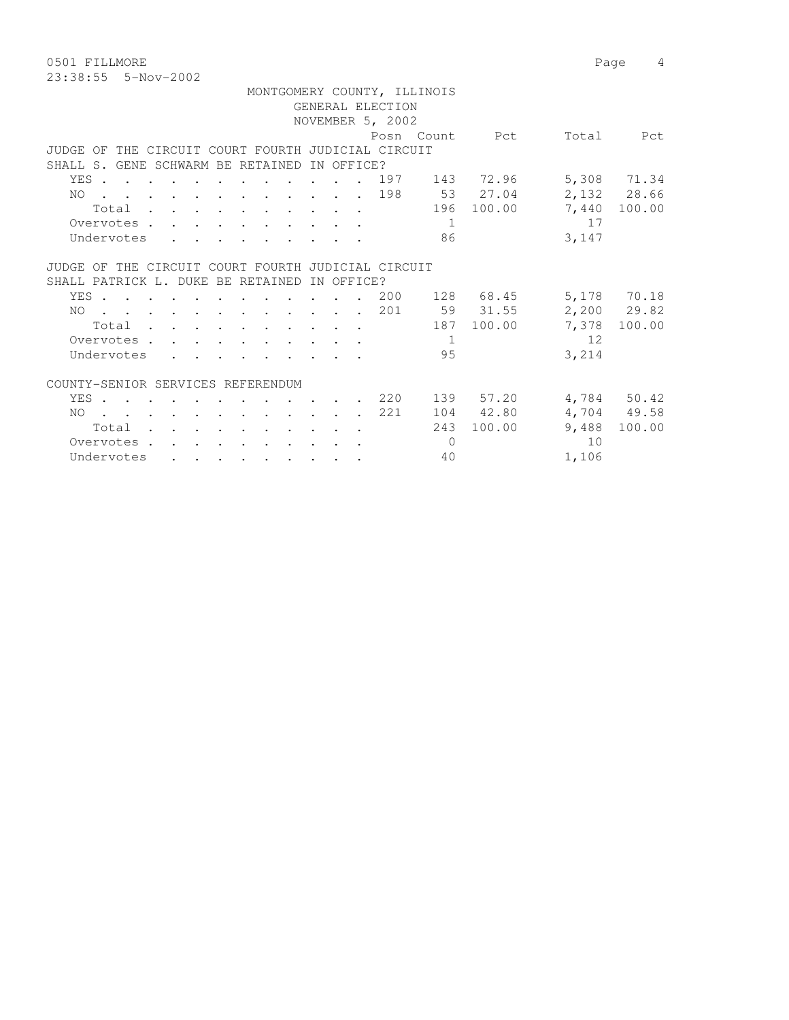0501 FILLMORE 2012 2022 12:30 Page 4 23:38:55 5-Nov-2002

|                                                                                                                                                                                                               |                  | MONTGOMERY COUNTY, ILLINOIS |               |                 |
|---------------------------------------------------------------------------------------------------------------------------------------------------------------------------------------------------------------|------------------|-----------------------------|---------------|-----------------|
|                                                                                                                                                                                                               | GENERAL ELECTION |                             |               |                 |
|                                                                                                                                                                                                               | NOVEMBER 5, 2002 |                             |               |                 |
|                                                                                                                                                                                                               |                  | Posn Count Pct              |               | Total Pct       |
| JUDGE OF THE CIRCUIT COURT FOURTH JUDICIAL CIRCUIT                                                                                                                                                            |                  |                             |               |                 |
| SHALL S. GENE SCHWARM BE RETAINED                                                                                                                                                                             | IN OFFICE?       |                             |               |                 |
| YES                                                                                                                                                                                                           |                  | . 197 143 72.96             |               | 5,308 71.34     |
| NO.<br>$\mathbf{r}$ , and $\mathbf{r}$ , and $\mathbf{r}$ , and $\mathbf{r}$ , and $\mathbf{r}$                                                                                                               |                  |                             | 198 53 27.04  | 2,132 28.66     |
| Total                                                                                                                                                                                                         |                  |                             | 196 100.00    | 7,440 100.00    |
| Overvotes.                                                                                                                                                                                                    |                  | $\overline{1}$              |               | 17              |
| Undervotes                                                                                                                                                                                                    |                  | 86                          |               | 3,147           |
| JUDGE OF THE CIRCUIT COURT FOURTH JUDICIAL CIRCUIT                                                                                                                                                            |                  |                             |               |                 |
| SHALL PATRICK L. DUKE BE RETAINED                                                                                                                                                                             | IN OFFICE?       |                             |               |                 |
| YES                                                                                                                                                                                                           |                  |                             | 200 128 68.45 | 5,178 70.18     |
| NO                                                                                                                                                                                                            |                  |                             | 59 31.55      | $2,200$ 29.82   |
| . 201                                                                                                                                                                                                         |                  |                             | 187 100.00    | 7,378 100.00    |
| Total<br>Overvotes                                                                                                                                                                                            |                  | -1                          |               | 12              |
| Undervotes                                                                                                                                                                                                    |                  | 95                          |               | 3,214           |
|                                                                                                                                                                                                               |                  |                             |               |                 |
| COUNTY-SENIOR SERVICES REFERENDUM                                                                                                                                                                             |                  |                             |               |                 |
| YES.                                                                                                                                                                                                          |                  | $220$ 139 57.20             |               | 4,784 50.42     |
| NO<br>. The contribution of the contribution of the contribution of the contribution of $\mathcal{A}$                                                                                                         |                  | 221                         | 104 42.80     | 4,704 49.58     |
| Total                                                                                                                                                                                                         |                  | 243                         | 100.00        | 9,488<br>100.00 |
| Overvotes.<br>$\mathbf{r} = \left\{ \mathbf{r} \in \mathbb{R}^d \mid \mathbf{r} \in \mathbb{R}^d \mid \mathbf{r} \in \mathbb{R}^d \mid \mathbf{r} \in \mathbb{R}^d \mid \mathbf{r} \in \mathbb{R}^d \right\}$ |                  | $\Omega$                    |               | 10              |
| Undervotes<br>the contract of the contract of the contract of the contract of the contract of the contract of the contract of                                                                                 |                  | 40                          |               | 1,106           |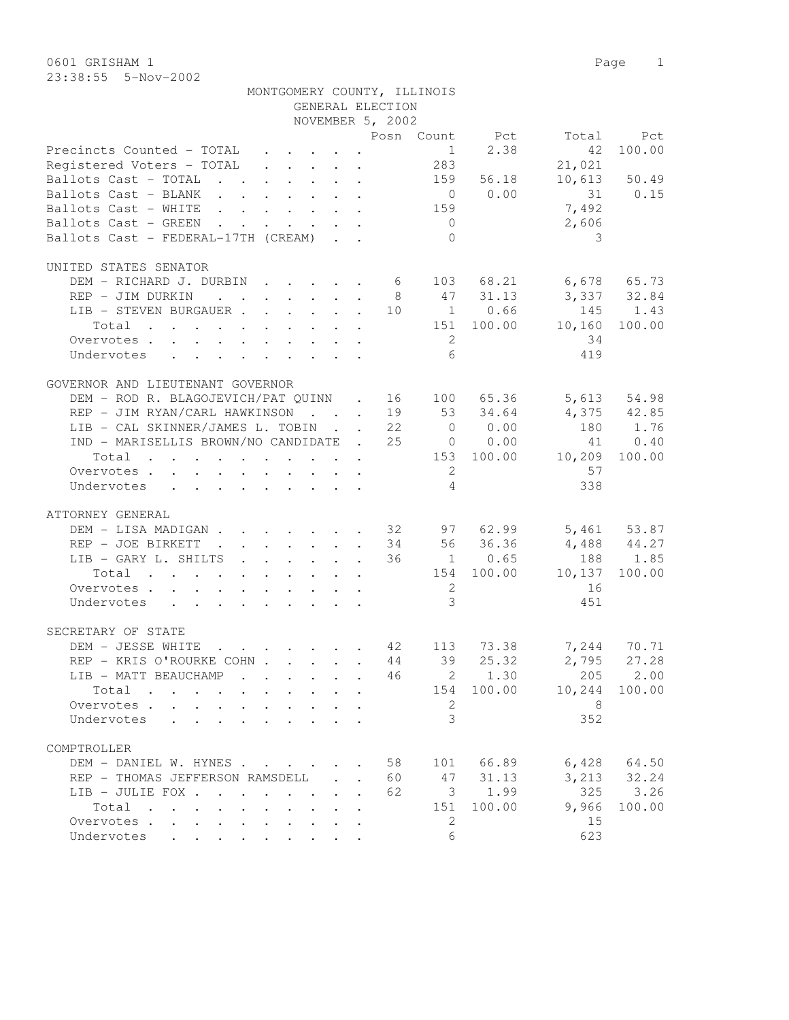0601 GRISHAM 1 Page 1 23:38:55 5-Nov-2002

|                                                               |  | GENERAL ELECTION     |                |                |                            |                 |
|---------------------------------------------------------------|--|----------------------|----------------|----------------|----------------------------|-----------------|
|                                                               |  | NOVEMBER 5, 2002     |                |                |                            |                 |
|                                                               |  |                      |                | Posn Count Pct | Total                      | Pct             |
| Precincts Counted - TOTAL                                     |  |                      |                | $1 \t 2.38$    | 42                         | 100.00          |
| Registered Voters - TOTAL 283                                 |  |                      |                |                | 21,021                     |                 |
| Ballots Cast - TOTAL                                          |  |                      |                | 159 56.18      |                            | $10,613$ 50.49  |
| Ballots Cast - BLANK                                          |  |                      |                | $0 \t 0.00$    |                            | 31 0.15         |
| Ballots Cast - WHITE                                          |  |                      | 159            |                | 7,492                      |                 |
|                                                               |  |                      |                |                | 2,606                      |                 |
| Ballots Cast - GREEN                                          |  |                      | $\overline{0}$ |                |                            |                 |
| Ballots Cast - FEDERAL-17TH (CREAM)                           |  |                      | $\Omega$       |                | 3                          |                 |
| UNITED STATES SENATOR                                         |  |                      |                |                |                            |                 |
| DEM - RICHARD J. DURBIN 6 103 68.21 6,678 65.73               |  |                      |                |                |                            |                 |
|                                                               |  |                      |                |                | 47 31.13 3,337 32.84       |                 |
| REP - JIM DURKIN                                              |  | 8 <sup>8</sup>       |                |                |                            |                 |
| LIB - STEVEN BURGAUER                                         |  |                      |                | 10 1 0.66      | 145 1.43                   |                 |
| Total 151 100.00 10,160                                       |  |                      |                |                |                            | 100.00          |
| Overvotes                                                     |  |                      | 2              |                | 34                         |                 |
| Undervotes                                                    |  |                      | 6              |                | 419                        |                 |
|                                                               |  |                      |                |                |                            |                 |
| GOVERNOR AND LIEUTENANT GOVERNOR                              |  |                      |                |                |                            |                 |
| DEM - ROD R. BLAGOJEVICH/PAT QUINN . 16 100 65.36 5,613 54.98 |  |                      |                |                |                            |                 |
| REP - JIM RYAN/CARL HAWKINSON 19 53 34.64                     |  |                      |                |                | 4,375 42.85                |                 |
| LIB - CAL SKINNER/JAMES L. TOBIN 22                           |  |                      |                | $0 \t 0.00$    | 180 1.76                   |                 |
| IND - MARISELLIS BROWN/NO CANDIDATE . 25 0 0.00               |  |                      |                |                |                            | 41 0.40         |
| Total 153 100.00 10,209 100.00                                |  |                      |                |                |                            |                 |
| Overvotes                                                     |  |                      | $\overline{2}$ |                | 57                         |                 |
| Undervotes                                                    |  |                      | $\overline{4}$ |                | 338                        |                 |
|                                                               |  |                      |                |                |                            |                 |
| ATTORNEY GENERAL                                              |  |                      |                |                |                            |                 |
| DEM - LISA MADIGAN 32 97 62.99 5,461 53.87                    |  |                      |                |                |                            |                 |
| REP - JOE BIRKETT 34 56 36.36                                 |  |                      |                |                | $4,488$ $44.27$            |                 |
| LIB - GARY L. SHILTS 36 1 0.65                                |  |                      |                |                |                            | 188 1.85        |
| Total                                                         |  |                      |                |                | 154 100.00 10,137          | 100.00          |
| Overvotes.                                                    |  |                      | 2              |                | 16                         |                 |
| Undervotes                                                    |  |                      | $\mathcal{S}$  |                | 451                        |                 |
|                                                               |  |                      |                |                |                            |                 |
| SECRETARY OF STATE                                            |  |                      |                |                |                            |                 |
| DEM - JESSE WHITE                                             |  |                      |                |                |                            |                 |
| REP - KRIS O'ROURKE COHN 44                                   |  |                      |                | 39 25.32       |                            | $2,795$ 27.28   |
| LIB - MATT BEAUCHAMP                                          |  |                      |                |                | $\cdot$ 46 2 1.30 205 2.00 |                 |
| Total                                                         |  |                      |                |                | 154 100.00 10,244          | 100.00          |
| Overvotes                                                     |  |                      | 2              |                | 8                          |                 |
| Undervotes                                                    |  |                      | 3              |                | 352                        |                 |
|                                                               |  |                      |                |                |                            |                 |
| COMPTROLLER                                                   |  |                      |                |                |                            |                 |
| DEM - DANIEL W. HYNES                                         |  | 58                   |                | 101 66.89      |                            | $6,428$ $64.50$ |
| REP - THOMAS JEFFERSON RAMSDELL                               |  | 60                   |                | 47 31.13       |                            | $3,213$ $32.24$ |
| LIB - JULIE FOX                                               |  | 62                   |                | 3 1.99         | 325                        | 3.26            |
| Total                                                         |  | $\ddot{\phantom{a}}$ | 151            | 100.00         | 9,966                      | 100.00          |
| Overvotes                                                     |  |                      | $\overline{2}$ |                | 15                         |                 |
|                                                               |  |                      |                |                |                            |                 |

Undervotes . . . . . . . . . . 6 623

MONTGOMERY COUNTY, ILLINOIS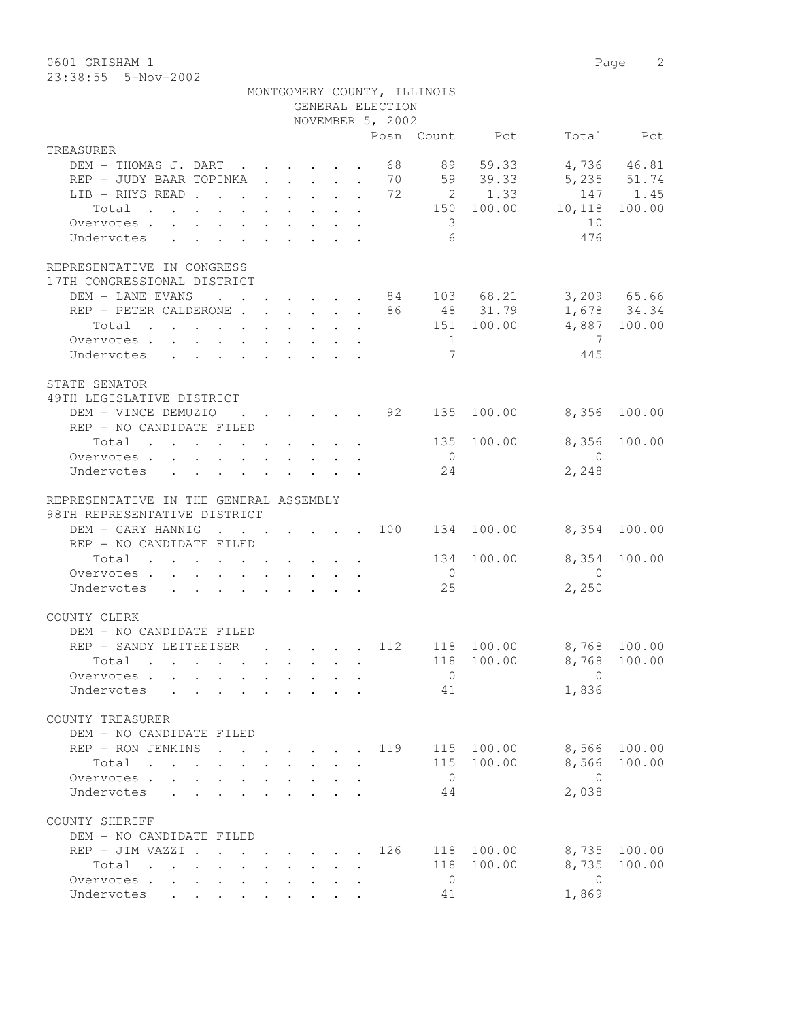0601 GRISHAM 1 Page 2

23:38:55 5-Nov-2002

|                                                                                                       |                           |                                                           |                                                                          | GENERAL ELECTION | MONTGOMERY COUNTY, ILLINOIS |                        |                                  |              |
|-------------------------------------------------------------------------------------------------------|---------------------------|-----------------------------------------------------------|--------------------------------------------------------------------------|------------------|-----------------------------|------------------------|----------------------------------|--------------|
|                                                                                                       |                           |                                                           |                                                                          | NOVEMBER 5, 2002 |                             |                        |                                  |              |
| TREASURER                                                                                             |                           |                                                           |                                                                          |                  |                             | Posn Count Pct         |                                  | Total Pct    |
| DEM - THOMAS J. DART 68                                                                               |                           |                                                           |                                                                          |                  |                             | 89 59.33               |                                  | 4,736 46.81  |
| REP - JUDY BAAR TOPINKA 70                                                                            |                           |                                                           |                                                                          |                  |                             | 59 39.33               | 5,235 51.74                      |              |
| LIB - RHYS READ 72                                                                                    |                           |                                                           |                                                                          |                  |                             | 2 1.33                 |                                  | 147 1.45     |
| Total                                                                                                 |                           |                                                           |                                                                          |                  |                             |                        | 150 100.00 10,118                | 100.00       |
| Overvotes.                                                                                            |                           |                                                           |                                                                          |                  | $\overline{\mathbf{3}}$     |                        | 10                               |              |
| Undervotes<br>$\mathbf{r}$ , $\mathbf{r}$ , $\mathbf{r}$ , $\mathbf{r}$ , $\mathbf{r}$ , $\mathbf{r}$ |                           |                                                           |                                                                          |                  | 6                           |                        | 476                              |              |
|                                                                                                       |                           |                                                           |                                                                          |                  |                             |                        |                                  |              |
| REPRESENTATIVE IN CONGRESS                                                                            |                           |                                                           |                                                                          |                  |                             |                        |                                  |              |
| 17TH CONGRESSIONAL DISTRICT                                                                           |                           |                                                           |                                                                          |                  |                             |                        |                                  |              |
| DEM - LANE EVANS                                                                                      |                           |                                                           |                                                                          |                  |                             |                        | $\cdot$ 84 103 68.21 3,209 65.66 |              |
| REP - PETER CALDERONE 86 48 31.79 1,678 34.34                                                         |                           |                                                           |                                                                          |                  |                             |                        |                                  |              |
| Total 151 100.00                                                                                      |                           |                                                           |                                                                          |                  |                             |                        | 4,887 100.00                     |              |
| Overvotes                                                                                             |                           |                                                           |                                                                          |                  | $\overline{1}$              |                        | $\overline{7}$                   |              |
| Undervotes                                                                                            |                           |                                                           |                                                                          |                  | $7\phantom{.0}$             |                        | 445                              |              |
|                                                                                                       |                           |                                                           |                                                                          |                  |                             |                        |                                  |              |
| STATE SENATOR<br>49TH LEGISLATIVE DISTRICT                                                            |                           |                                                           |                                                                          |                  |                             |                        |                                  |              |
| DEM - VINCE DEMUZIO                                                                                   |                           |                                                           |                                                                          | 92               | 135                         | 100.00                 | 8,356                            | 100.00       |
| REP - NO CANDIDATE FILED                                                                              |                           |                                                           |                                                                          |                  |                             |                        |                                  |              |
| Total $\cdot$                                                                                         |                           |                                                           |                                                                          |                  | 135                         | 100.00                 | 8,356                            | 100.00       |
| Overvotes $\cdots$ $\cdots$ $\cdots$ $\cdots$                                                         |                           |                                                           |                                                                          |                  | $\overline{0}$              |                        | $\bigcirc$                       |              |
| Undervotes                                                                                            |                           |                                                           |                                                                          |                  | 24                          |                        | 2,248                            |              |
|                                                                                                       |                           |                                                           |                                                                          |                  |                             |                        |                                  |              |
| REPRESENTATIVE IN THE GENERAL ASSEMBLY                                                                |                           |                                                           |                                                                          |                  |                             |                        |                                  |              |
| 98TH REPRESENTATIVE DISTRICT                                                                          |                           |                                                           |                                                                          |                  |                             |                        |                                  |              |
| DEM - GARY HANNIG                                                                                     |                           |                                                           |                                                                          |                  |                             | $\cdot$ 100 134 100.00 | 8,354 100.00                     |              |
| REP - NO CANDIDATE FILED                                                                              |                           |                                                           |                                                                          |                  |                             |                        |                                  |              |
| Total                                                                                                 |                           |                                                           |                                                                          |                  | 134                         | 100.00                 | 8,354                            | 100.00       |
| Overvotes                                                                                             |                           |                                                           |                                                                          |                  | $\overline{0}$              |                        | $\overline{0}$                   |              |
| Undervotes                                                                                            |                           |                                                           |                                                                          |                  | 25                          |                        | 2,250                            |              |
|                                                                                                       |                           |                                                           |                                                                          |                  |                             |                        |                                  |              |
| COUNTY CLERK<br>DEM - NO CANDIDATE FILED                                                              |                           |                                                           |                                                                          |                  |                             |                        |                                  |              |
| REP - SANDY LEITHEISER                                                                                |                           |                                                           | $\mathbf{r}$ , $\mathbf{r}$ , $\mathbf{r}$ , $\mathbf{r}$                | 112              |                             |                        | 118 100.00 8,768 100.00          |              |
| Total .                                                                                               |                           |                                                           |                                                                          |                  |                             |                        | 118 100.00 8,768 100.00          |              |
| Overvotes.                                                                                            |                           |                                                           |                                                                          |                  | $\circ$                     |                        | $\Omega$                         |              |
| Undervotes                                                                                            |                           |                                                           |                                                                          |                  | 41                          |                        | 1,836                            |              |
|                                                                                                       |                           |                                                           |                                                                          |                  |                             |                        |                                  |              |
| COUNTY TREASURER                                                                                      |                           |                                                           |                                                                          |                  |                             |                        |                                  |              |
| DEM - NO CANDIDATE FILED                                                                              |                           |                                                           |                                                                          |                  |                             |                        |                                  |              |
| REP - RON JENKINS<br>$\sim$ $\sim$                                                                    |                           |                                                           | $\mathbf{r}$ , $\mathbf{r}$ , $\mathbf{r}$ , $\mathbf{r}$ , $\mathbf{r}$ | 119              |                             | 115 100.00             |                                  | 8,566 100.00 |
| Total                                                                                                 |                           |                                                           |                                                                          |                  |                             | 115 100.00             |                                  | 8,566 100.00 |
| Overvotes                                                                                             |                           | $\mathbf{r}$ , $\mathbf{r}$ , $\mathbf{r}$ , $\mathbf{r}$ |                                                                          |                  | $\overline{0}$              |                        | $\overline{0}$                   |              |
| $\mathbf{r} = \mathbf{r} \cdot \mathbf{r}$<br>Undervotes                                              | $\mathbf{L}^{\text{max}}$ | and a straight                                            |                                                                          |                  | -44                         |                        | 2,038                            |              |
|                                                                                                       |                           |                                                           |                                                                          |                  |                             |                        |                                  |              |
| COUNTY SHERIFF<br>DEM - NO CANDIDATE FILED                                                            |                           |                                                           |                                                                          |                  |                             |                        |                                  |              |
| REP - JIM VAZZI                                                                                       |                           |                                                           |                                                                          | 126              |                             | 118 100.00             |                                  | 8,735 100.00 |
| Total                                                                                                 |                           |                                                           |                                                                          |                  |                             | 118 100.00             | 8,735                            | 100.00       |
| Overvotes                                                                                             |                           |                                                           |                                                                          |                  | $\overline{0}$              |                        | $\overline{0}$                   |              |
| Undervotes                                                                                            |                           |                                                           |                                                                          |                  | 41                          |                        | 1,869                            |              |
|                                                                                                       |                           |                                                           |                                                                          |                  |                             |                        |                                  |              |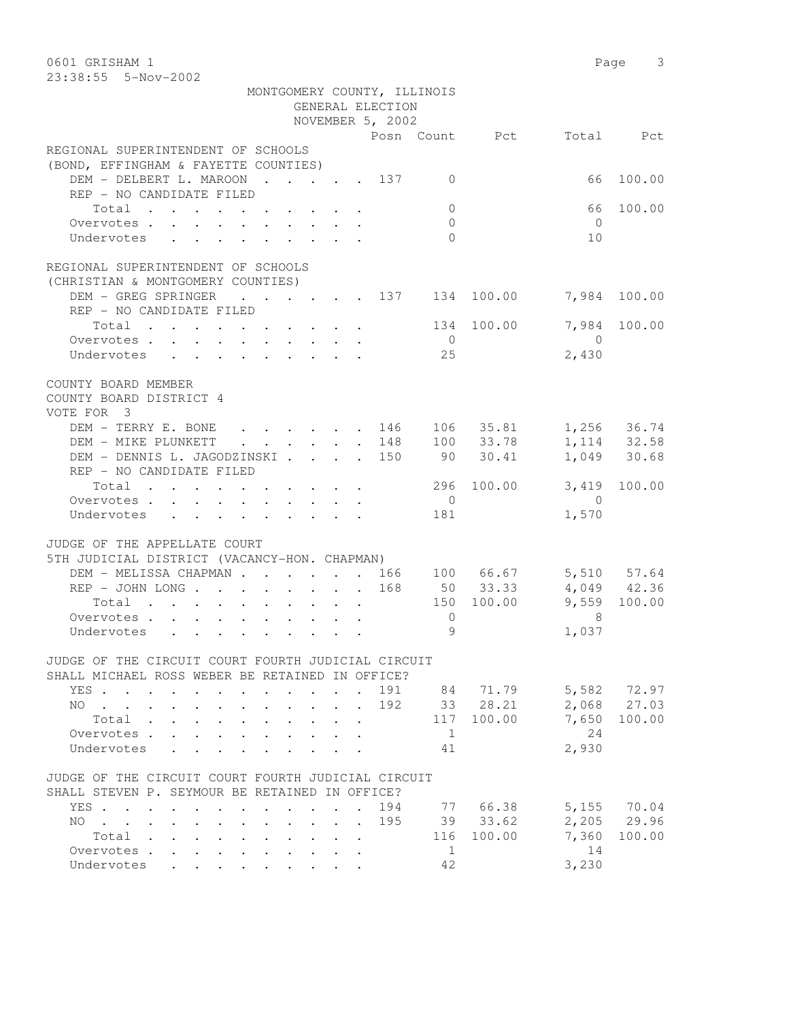0601 GRISHAM 1 Page 3 23:38:55 5-Nov-2002 MONTGOMERY COUNTY, ILLINOIS GENERAL ELECTION NOVEMBER 5, 2002 Posn Count Pct Total Pct REGIONAL SUPERINTENDENT OF SCHOOLS (BOND, EFFINGHAM & FAYETTE COUNTIES) DEM - DELBERT L. MAROON . . . . 137 0 66 100.00 REP - NO CANDIDATE FILED Total . . . . . . . . . . 0 66 100.00 Overvotes . . . . . . . . . . 0 0 Undervotes . . . . . . . . . 0 0 10 REGIONAL SUPERINTENDENT OF SCHOOLS (CHRISTIAN & MONTGOMERY COUNTIES) DEM - GREG SPRINGER . . . . . 137 134 100.00 7,984 100.00 REP - NO CANDIDATE FILED Total . . . . . . . . . 134 100.00 7,984 100.00<br>  $\frac{134}{2}$ Overvotes . . . . . . . . . . 0<br>Undervotes . . . . . . . . . . . 25 Undervotes . . . . . . . . . 25 2,430 COUNTY BOARD MEMBER COUNTY BOARD DISTRICT 4 VOTE FOR 3 DEM - TERRY E. BONE . . . . . 146 106 35.81 1,256 36.74 DEM - MIKE PLUNKETT . . . . . 148 100 33.78 1,114 32.58 DEM - DENNIS L. JAGODZINSKI . . . . 150 90 30.41 1,049 30.68 REP - NO CANDIDATE FILED Total . . . . . . . . . . 296 100.00 3,419 100.00 Overvotes . . . . . . . . . . 0 0 Undervotes . . . . . . . . . 181 1,570 JUDGE OF THE APPELLATE COURT 5TH JUDICIAL DISTRICT (VACANCY-HON. CHAPMAN) DEM - MELISSA CHAPMAN . . . . . . 166 100 66.67 5,510 57.64 REP - JOHN LONG . . . . . . . 168 50 33.33 4,049 42.36 Total . . . . . . . . . . 150 100.00 9,559 100.00 Overvotes . . . . . . . . . . . 0 8<br>Undervotes . . . . . . . . . . 9 9 1,037 Undervotes . . . . . . . . . . 9 1,037 JUDGE OF THE CIRCUIT COURT FOURTH JUDICIAL CIRCUIT SHALL MICHAEL ROSS WEBER BE RETAINED IN OFFICE? YES . . . . . . . . . . . . 191 84 71.79 5,582 72.97 NO . . . . . . . . . . . . . 192 33 28.21<br>Total . . . . . . . . . . 117 100.00 Total . . . . . . . . . . 117 100.00 7,650 100.00 Overvotes . . . . . . . . . . . 1 24 Undervotes . . . . . . . . . 41 2,930 JUDGE OF THE CIRCUIT COURT FOURTH JUDICIAL CIRCUIT SHALL STEVEN P. SEYMOUR BE RETAINED IN OFFICE? YES . . . . . . . . . . . . 194 77 66.38 5,155 70.04 NO . . . . . . . . . . . . 195 39 33.62 2,205 29.96 Total . . . . . . . . . . 116 100.00 7,360 100.00 Overvotes . . . . . . . . . . . 1 14 Undervotes . . . . . . . . . 42 3,230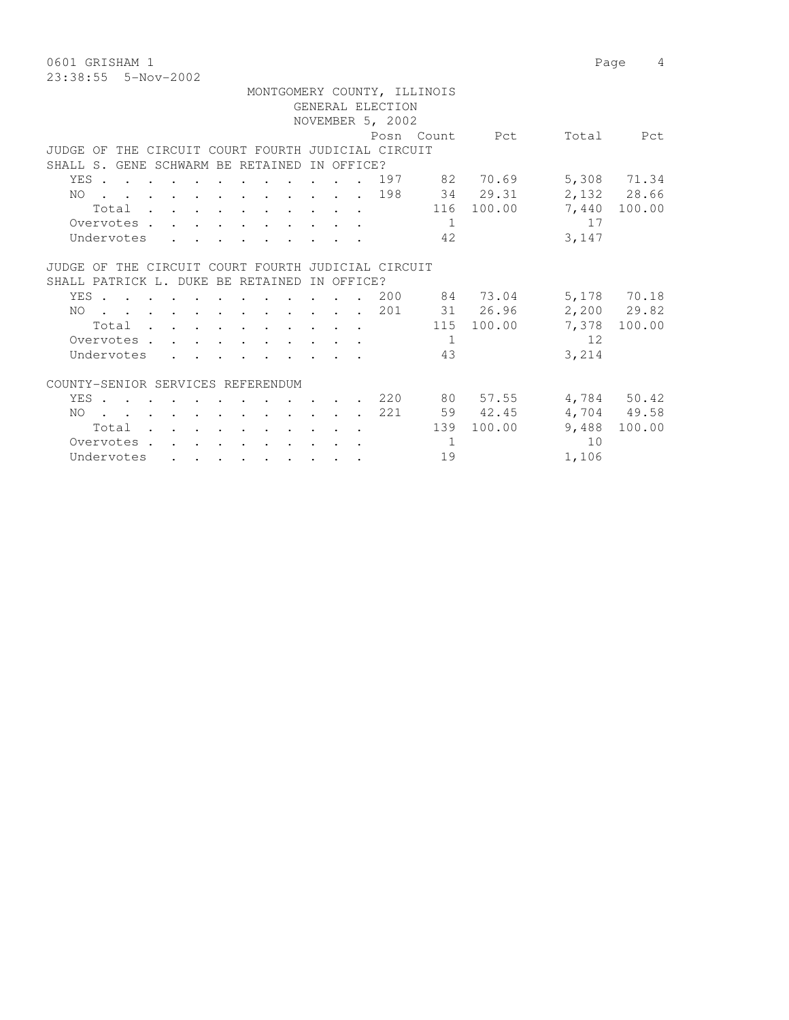0601 GRISHAM 1 Page 4 23:38:55 5-Nov-2002

| MONTGOMERY COUNTY, ILLINOIS                        |            |                  |          |                |       |              |
|----------------------------------------------------|------------|------------------|----------|----------------|-------|--------------|
|                                                    |            | GENERAL ELECTION |          |                |       |              |
|                                                    |            | NOVEMBER 5, 2002 |          |                |       |              |
|                                                    |            |                  |          | Posn Count Pct | Total | Pct          |
| JUDGE OF THE CIRCUIT COURT FOURTH JUDICIAL CIRCUIT |            |                  |          |                |       |              |
| SHALL S. GENE SCHWARM BE RETAINED                  | IN OFFICE? |                  |          |                |       |              |
| YES 197 82 70.69                                   |            |                  |          |                |       | 5,308 71.34  |
| $\cdots$ 198 34 29.31<br>NO.                       |            |                  |          |                |       | 2,132 28.66  |
| Total                                              |            |                  |          | 116 100.00     |       | 7,440 100.00 |
| Overvotes.                                         |            |                  | $\sim$ 1 |                | 17    |              |
| Undervotes                                         |            |                  | 42       |                | 3,147 |              |
|                                                    |            |                  |          |                |       |              |
| JUDGE OF THE CIRCUIT COURT FOURTH JUDICIAL CIRCUIT |            |                  |          |                |       |              |
| SHALL PATRICK L. DUKE BE RETAINED                  | IN OFFICE? |                  |          |                |       |              |
| YES 200 84 73.04                                   |            |                  |          |                |       | 5,178 70.18  |
| . 201<br>NO                                        |            |                  |          | 31 26.96       |       | 2,200 29.82  |
| Total                                              |            |                  |          | 115 100.00     |       | 7,378 100.00 |
| Overvotes                                          |            |                  | 1        |                | 12    |              |
| Undervotes                                         |            |                  | 43       |                | 3,214 |              |
|                                                    |            |                  |          |                |       |              |
| COUNTY-SENIOR SERVICES REFERENDUM                  |            |                  |          |                |       |              |
| YES                                                |            |                  |          | . 220 80 57.55 |       | 4,784 50.42  |
| . 221<br>NO                                        |            |                  |          | 59 42.45       |       | 4,704 49.58  |
| Total                                              |            |                  | 139      | 100.00         | 9,488 | 100.00       |
| Overvotes.<br>and a series of the contract of the  |            |                  | 1        |                | 10    |              |
| Undervotes                                         |            |                  | 19       |                | 1,106 |              |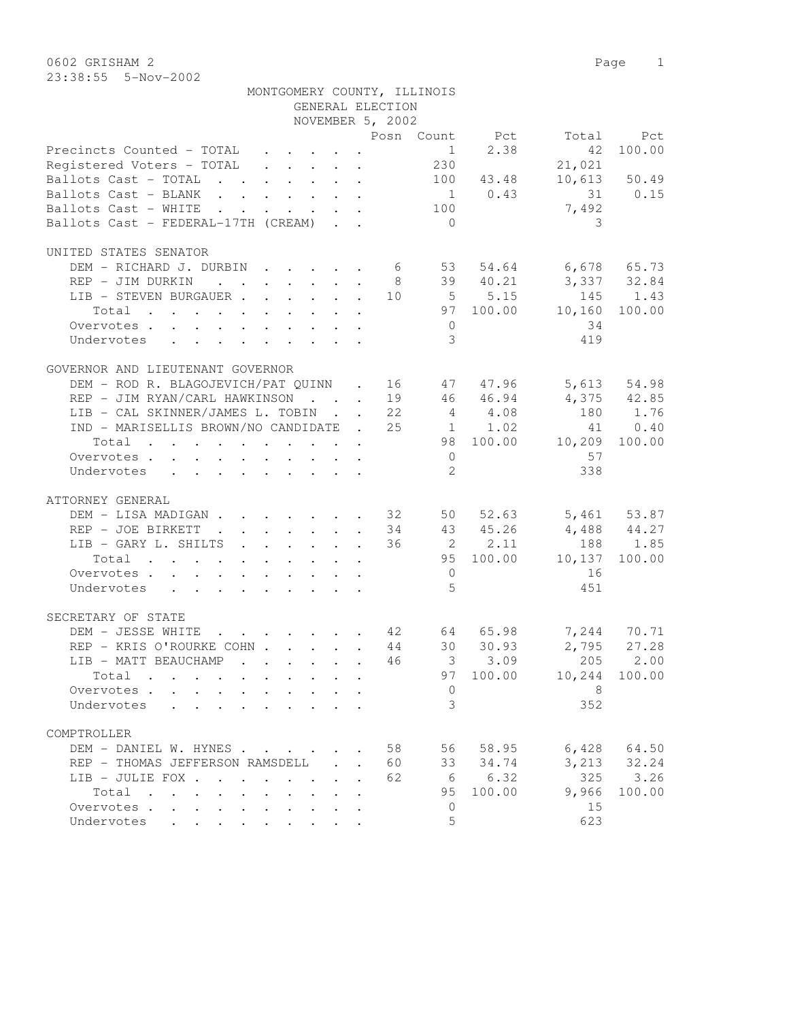0602 GRISHAM 2 Page 1 23:38:55 5-Nov-2002

|                                                                                                                           | NOVEMBER 5, 2002 |  |    |                |                                     |                         |                            |
|---------------------------------------------------------------------------------------------------------------------------|------------------|--|----|----------------|-------------------------------------|-------------------------|----------------------------|
|                                                                                                                           |                  |  |    |                | Posn Count Pct                      |                         | Total Pct                  |
| Precincts Counted - TOTAL                                                                                                 |                  |  |    |                | $1 \t 2.38$                         | 42                      | 100.00                     |
| Registered Voters - TOTAL 230                                                                                             |                  |  |    |                |                                     | 21,021                  |                            |
| Ballots Cast - TOTAL 100 43.48                                                                                            |                  |  |    |                |                                     |                         | 10,613 50.49               |
| Ballots Cast - BLANK                                                                                                      |                  |  |    |                | $1 \t 0.43$                         | 31 0.15                 |                            |
| Ballots Cast - WHITE                                                                                                      |                  |  |    | 100            |                                     | 7,492                   |                            |
|                                                                                                                           |                  |  |    |                |                                     |                         |                            |
| Ballots Cast - FEDERAL-17TH (CREAM)                                                                                       |                  |  |    | $\bigcirc$     |                                     | 3                       |                            |
| UNITED STATES SENATOR                                                                                                     |                  |  |    |                |                                     |                         |                            |
| DEM - RICHARD J. DURBIN 6                                                                                                 |                  |  |    |                |                                     | 53 54.64 6,678 65.73    |                            |
|                                                                                                                           |                  |  |    |                | 8 39 40.21                          | 3,337 32.84             |                            |
| REP - JIM DURKIN                                                                                                          |                  |  |    |                |                                     | 10 5 5.15 145 1.43      |                            |
| LIB - STEVEN BURGAUER                                                                                                     |                  |  |    |                |                                     |                         |                            |
| Total                                                                                                                     |                  |  |    |                |                                     | 97 100.00 10,160 100.00 |                            |
| Overvotes                                                                                                                 |                  |  |    | $\overline{0}$ |                                     | 34                      |                            |
| Undervotes                                                                                                                |                  |  |    | $\mathcal{E}$  |                                     | 419                     |                            |
|                                                                                                                           |                  |  |    |                |                                     |                         |                            |
| GOVERNOR AND LIEUTENANT GOVERNOR                                                                                          |                  |  |    |                |                                     |                         |                            |
| DEM - ROD R. BLAGOJEVICH/PAT QUINN . 16 47 47.96 5,613 54.98                                                              |                  |  |    |                |                                     |                         |                            |
| REP - JIM RYAN/CARL HAWKINSON 19 46 46.94                                                                                 |                  |  |    |                |                                     | $4,375$ $42.85$         |                            |
| LIB - CAL SKINNER/JAMES L. TOBIN 22                                                                                       |                  |  |    |                | 4 4.08                              | 180 1.76                |                            |
| IND - MARISELLIS BROWN/NO CANDIDATE . 25 1 1.02                                                                           |                  |  |    |                |                                     |                         | 41 0.40                    |
| Total<br>the contract of the contract of the contract of the contract of the contract of the contract of the contract of  |                  |  |    |                |                                     | 98 100.00 10,209 100.00 |                            |
| Overvotes                                                                                                                 |                  |  |    | $\overline{0}$ |                                     | 57                      |                            |
| Undervotes                                                                                                                |                  |  |    | $2^{\circ}$    |                                     | 338                     |                            |
|                                                                                                                           |                  |  |    |                |                                     |                         |                            |
| ATTORNEY GENERAL                                                                                                          |                  |  |    |                |                                     |                         |                            |
| DEM - LISA MADIGAN 32 50 52.63 5,461 53.87                                                                                |                  |  |    |                |                                     |                         |                            |
| REP - JOE BIRKETT<br>$\mathbf{r}$ , $\mathbf{r}$ , $\mathbf{r}$ , $\mathbf{r}$ , $\mathbf{r}$ , $\mathbf{r}$              |                  |  |    |                | 34 43 45.26                         | $4,488$ $44.27$         |                            |
| LIB - GARY L. SHILTS                                                                                                      |                  |  |    |                | 36 2 2.11                           |                         | 188 1.85                   |
| Total                                                                                                                     |                  |  |    |                |                                     | 95 100.00 10,137        | 100.00                     |
|                                                                                                                           |                  |  |    | $\overline{0}$ |                                     | 16                      |                            |
| Overvotes.                                                                                                                |                  |  |    | $\overline{5}$ |                                     |                         |                            |
| Undervotes                                                                                                                |                  |  |    |                |                                     | 451                     |                            |
| SECRETARY OF STATE                                                                                                        |                  |  |    |                |                                     |                         |                            |
| DEM - JESSE WHITE                                                                                                         |                  |  |    |                |                                     |                         |                            |
| REP - KRIS O'ROURKE COHN                                                                                                  |                  |  |    |                | . 42 64 65.98<br>KECOHN 44 30 30.93 |                         | 7,244 70.71<br>2,795 27.28 |
|                                                                                                                           |                  |  | 46 |                | $3 \t 3.09$                         |                         | 205 2.00                   |
| LIB - MATT BEAUCHAMP                                                                                                      |                  |  |    |                |                                     |                         |                            |
| Total                                                                                                                     |                  |  |    |                | 97 100.00                           |                         | 10,244 100.00              |
|                                                                                                                           |                  |  |    |                |                                     | $\Omega$ and $\Omega$   |                            |
| Undervotes<br>$\mathbf{r}$ , and $\mathbf{r}$ , and $\mathbf{r}$ , and $\mathbf{r}$ , and $\mathbf{r}$ , and $\mathbf{r}$ |                  |  |    | 3              |                                     | 352                     |                            |
|                                                                                                                           |                  |  |    |                |                                     |                         |                            |
| COMPTROLLER                                                                                                               |                  |  |    |                |                                     |                         |                            |
| DEM - DANIEL W. HYNES                                                                                                     |                  |  | 58 |                | 56 58.95                            | 6,428                   | 64.50                      |
| REP - THOMAS JEFFERSON RAMSDELL                                                                                           |                  |  | 60 |                | 33 34.74                            | 3,213                   | 32.24                      |
| LIB - JULIE FOX                                                                                                           |                  |  | 62 |                | 6 6.32                              | 325                     | 3.26                       |
| Total<br>$\cdot$ $\cdot$                                                                                                  |                  |  |    | 95             | 100.00                              | 9,966                   | 100.00                     |
| Overvotes                                                                                                                 |                  |  |    | $\mathbf{0}$   |                                     | 15                      |                            |
| Undervotes                                                                                                                |                  |  |    | 5              |                                     | 623                     |                            |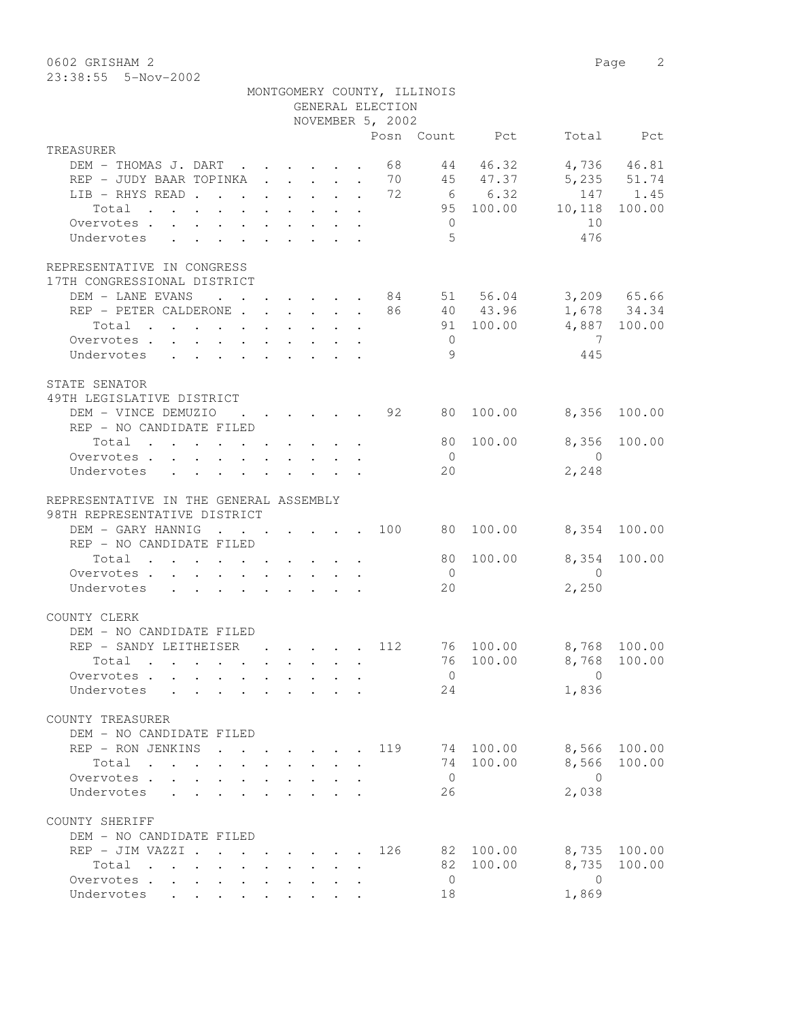0602 GRISHAM 2 Page 2

|           | 23:38:55 5-Nov-2002                 |  |  |  |                  |                             |                |       |             |
|-----------|-------------------------------------|--|--|--|------------------|-----------------------------|----------------|-------|-------------|
|           |                                     |  |  |  |                  | MONTGOMERY COUNTY, ILLINOIS |                |       |             |
|           |                                     |  |  |  | GENERAL ELECTION |                             |                |       |             |
|           |                                     |  |  |  | NOVEMBER 5, 2002 |                             |                |       |             |
|           |                                     |  |  |  |                  |                             | Posn Count Pct | Total | Pct         |
| TREASURER |                                     |  |  |  |                  |                             |                |       |             |
|           | DEM - THOMAS J. DART 68 44 46.32    |  |  |  |                  |                             |                |       | 4,736 46.81 |
|           | REP - JUDY BAAR TOPINKA 70 45 47.37 |  |  |  |                  |                             |                |       | 5,235 51.74 |

| REP - JUDY BAAR TOPINKA 70                                                    |  |  |     |                 |                                                                      | 45 47.37 5,235 51.74                       |              |
|-------------------------------------------------------------------------------|--|--|-----|-----------------|----------------------------------------------------------------------|--------------------------------------------|--------------|
| LIB – RHYS READ 72 6 6.32 147 1.45<br>Total 95 100.00 10,118 100.00           |  |  |     |                 |                                                                      |                                            |              |
|                                                                               |  |  |     |                 |                                                                      |                                            |              |
| Overvotes                                                                     |  |  |     | $\overline{0}$  |                                                                      | 10                                         |              |
| Undervotes                                                                    |  |  |     | $5\phantom{.0}$ |                                                                      | 476                                        |              |
|                                                                               |  |  |     |                 |                                                                      |                                            |              |
| REPRESENTATIVE IN CONGRESS<br>17TH CONGRESSIONAL DISTRICT                     |  |  |     |                 |                                                                      |                                            |              |
| DEM - LANE EVANS 84 51 56.04 3,209 65.66                                      |  |  |     |                 |                                                                      |                                            |              |
| REP - PETER CALDERONE 86 40 43.96 1,678 34.34                                 |  |  |     |                 |                                                                      |                                            |              |
| Total                                                                         |  |  |     |                 |                                                                      | 91 100.00 4,887 100.00                     |              |
| Overvotes                                                                     |  |  |     | $\overline{0}$  |                                                                      | $\overline{7}$                             |              |
| Undervotes                                                                    |  |  |     | 9               |                                                                      | 445                                        |              |
|                                                                               |  |  |     |                 |                                                                      |                                            |              |
| STATE SENATOR                                                                 |  |  |     |                 |                                                                      |                                            |              |
| 49TH LEGISLATIVE DISTRICT                                                     |  |  |     |                 |                                                                      |                                            |              |
| DEM - VINCE DEMUZIO                                                           |  |  |     |                 | $\cdot$ $\cdot$ $\cdot$ $\cdot$ $\cdot$ $\cdot$ $\cdot$ 92 80 100.00 | 8,356 100.00                               |              |
| REP - NO CANDIDATE FILED                                                      |  |  |     |                 |                                                                      |                                            |              |
| Total $\cdot$                                                                 |  |  |     |                 | 80 100.00                                                            | 8,356                                      | 100.00       |
| Overvotes                                                                     |  |  |     | $\overline{0}$  |                                                                      | $\overline{0}$                             |              |
| Undervotes                                                                    |  |  |     | 20              |                                                                      | 2,248                                      |              |
|                                                                               |  |  |     |                 |                                                                      |                                            |              |
| REPRESENTATIVE IN THE GENERAL ASSEMBLY                                        |  |  |     |                 |                                                                      |                                            |              |
| 98TH REPRESENTATIVE DISTRICT                                                  |  |  |     |                 |                                                                      |                                            |              |
| DEM - GARY HANNIG                                                             |  |  |     |                 |                                                                      | $\cdot$ 100 80 100.00 8,354 100.00         |              |
| REP - NO CANDIDATE FILED                                                      |  |  |     |                 |                                                                      |                                            |              |
| Total                                                                         |  |  |     |                 | 80 100.00                                                            |                                            | 8,354 100.00 |
| Overvotes                                                                     |  |  |     | $\overline{0}$  |                                                                      | $\overline{0}$                             |              |
| Undervotes                                                                    |  |  |     | 20              |                                                                      | 2,250                                      |              |
|                                                                               |  |  |     |                 |                                                                      |                                            |              |
| COUNTY CLERK                                                                  |  |  |     |                 |                                                                      |                                            |              |
| DEM - NO CANDIDATE FILED<br>REP - SANDY LEITHEISER 112 76 100.00 8,768 100.00 |  |  |     |                 |                                                                      |                                            |              |
| Total                                                                         |  |  |     |                 | 76 100.00                                                            | 8,768 100.00                               |              |
| Overvotes.                                                                    |  |  |     | $\overline{0}$  |                                                                      | $\overline{0}$                             |              |
|                                                                               |  |  |     |                 |                                                                      | 1,836                                      |              |
| Undervotes 24                                                                 |  |  |     |                 |                                                                      |                                            |              |
| COUNTY TREASURER                                                              |  |  |     |                 |                                                                      |                                            |              |
| DEM - NO CANDIDATE FILED                                                      |  |  |     |                 |                                                                      |                                            |              |
| REP - RON JENKINS .                                                           |  |  |     |                 |                                                                      | $\cdot$ $\cdot$ 119 74 100.00 8,566 100.00 |              |
| Total                                                                         |  |  |     | 74              | 100.00                                                               | 8,566                                      | 100.00       |
| Overvotes                                                                     |  |  |     | $\overline{0}$  |                                                                      | $\bigcirc$                                 |              |
| Undervotes                                                                    |  |  |     | 26              |                                                                      | 2,038                                      |              |
|                                                                               |  |  |     |                 |                                                                      |                                            |              |
| COUNTY SHERIFF                                                                |  |  |     |                 |                                                                      |                                            |              |
| DEM - NO CANDIDATE FILED                                                      |  |  |     |                 |                                                                      |                                            |              |
| REP - JIM VAZZI .                                                             |  |  | 126 |                 | 82 100.00                                                            | 8,735                                      | 100.00       |
| Total                                                                         |  |  |     | 82              | 100.00                                                               | 8,735                                      | 100.00       |
| Overvotes .                                                                   |  |  |     | $\circ$         |                                                                      | $\overline{0}$                             |              |
| Undervotes                                                                    |  |  |     | 18              |                                                                      | 1,869                                      |              |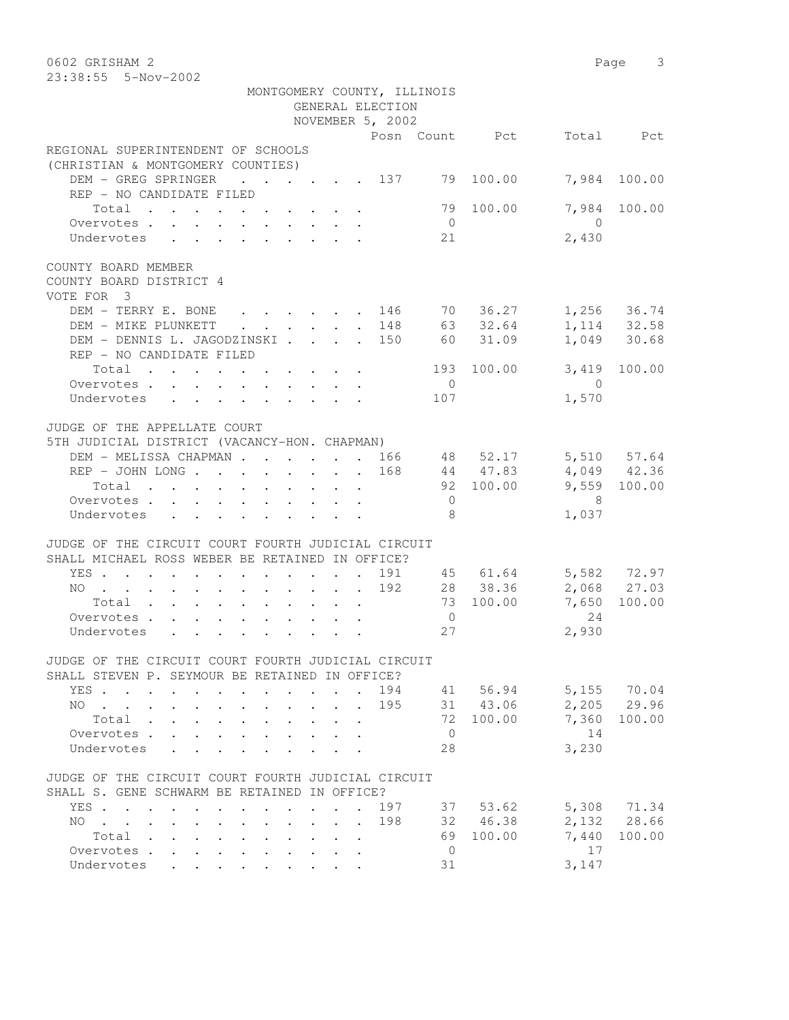0602 GRISHAM 2 Page 3 23:38:55 5-Nov-2002 MONTGOMERY COUNTY, ILLINOIS GENERAL ELECTION NOVEMBER 5, 2002 Posn Count Pct Total Pct REGIONAL SUPERINTENDENT OF SCHOOLS (CHRISTIAN & MONTGOMERY COUNTIES) DEM - GREG SPRINGER . . . . . 137 79 100.00 7,984 100.00 REP - NO CANDIDATE FILED Total . . . . . . . . . . 79 100.00 7,984 100.00 Overvotes . . . . . . . . . . . 0<br>
Undervotes . . . . . . . . . . 21 2,430 Undervotes . . . . . . . . . 21  $2,430$ COUNTY BOARD MEMBER COUNTY BOARD DISTRICT 4 VOTE FOR 3 DEM - TERRY E. BONE . . . . . 146 70 36.27 1,256 36.74 DEM - MIKE PLUNKETT . . . . . 148 63 32.64 1,114 32.58 DEM - DENNIS L. JAGODZINSKI . . . . 150 60 31.09 1,049 30.68 REP - NO CANDIDATE FILED Total . . . . . . . . . . 193 100.00 3,419 100.00 Overvotes . . . . . . . . . . 0 0 Undervotes . . . . . . . . . 107 1,570 JUDGE OF THE APPELLATE COURT 5TH JUDICIAL DISTRICT (VACANCY-HON. CHAPMAN) DEM - MELISSA CHAPMAN . . . . . 166 48 52.17 5,510 57.64 REP - JOHN LONG . . . . . . . 168 44 47.83 4,049 42.36 Total . . . . . . . . . . 92 100.00 9,559 100.00 Overvotes . . . . . . . . . . . 0 8 Undervotes . . . . . . . . . 8 1,037 JUDGE OF THE CIRCUIT COURT FOURTH JUDICIAL CIRCUIT SHALL MICHAEL ROSS WEBER BE RETAINED IN OFFICE? YES . . . . . . . . . . . . 191 45 61.64 5,582 72.97 NO . . . . . . . . . . . . 192 28 38.36 2,068 27.03 Total . . . . . . . . . . 73 100.00 7,650 100.00 Overvotes . . . . . . . . . . . 0 24<br>
Undervotes . . . . . . . . . . 27 2,930 Undervotes . . . . . . . . . 27 2,930 JUDGE OF THE CIRCUIT COURT FOURTH JUDICIAL CIRCUIT SHALL STEVEN P. SEYMOUR BE RETAINED IN OFFICE? YES . . . . . . . . . . . . 194 41 56.94 5,155 70.04 NO . . . . . . . . . . . . 195 31 43.06 2,205 29.96 Total . . . . . . . . . . 72 100.00 7,360 100.00 Overvotes . . . . . . . . . . . 0 14 Undervotes . . . . . . . . . 28 3,230 JUDGE OF THE CIRCUIT COURT FOURTH JUDICIAL CIRCUIT SHALL S. GENE SCHWARM BE RETAINED IN OFFICE? YES . . . . . . . . . . . . 197 37 53.62 5,308 71.34 NO . . . . . . . . . . . . 198 32 46.38 2,132 28.66 Total . . . . . . . . . . 69 100.00 7,440 100.00 Overvotes . . . . . . . . . . . 0 17 Undervotes . . . . . . . . . 31 3,147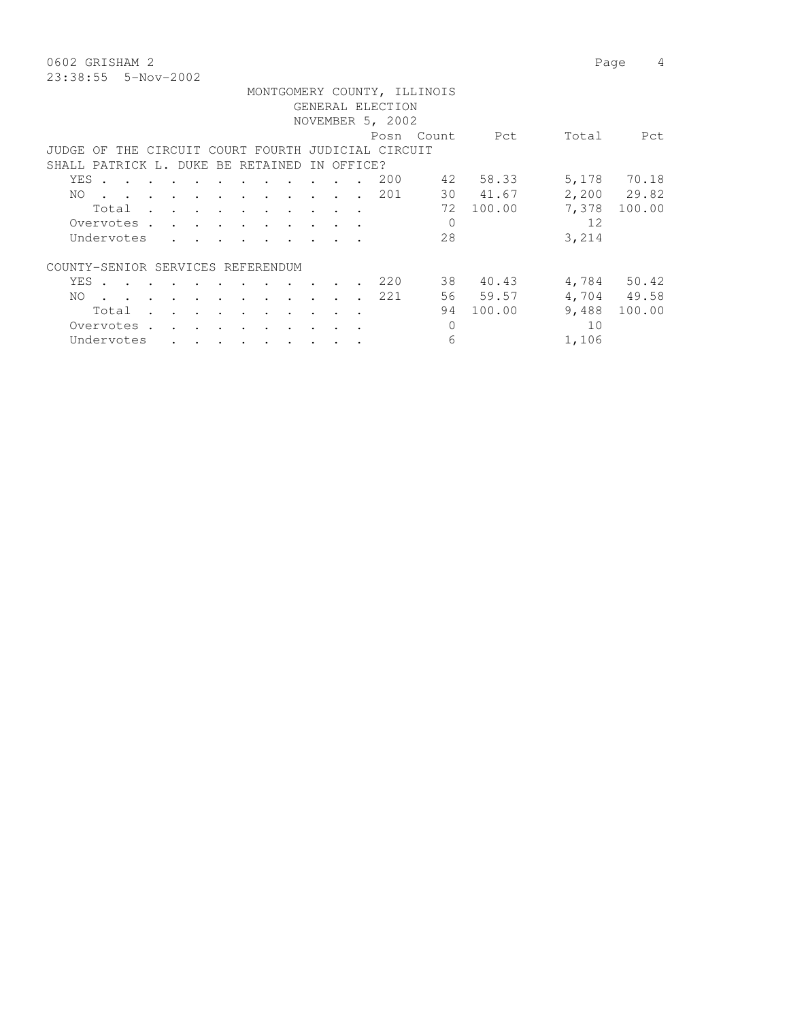0602 GRISHAM 2 Page 4 23:38:55 5-Nov-2002

|                                                                                                                               |         | MONTGOMERY COUNTY, ILLINOIS |                 |             |
|-------------------------------------------------------------------------------------------------------------------------------|---------|-----------------------------|-----------------|-------------|
|                                                                                                                               |         | GENERAL ELECTION            |                 |             |
|                                                                                                                               |         | NOVEMBER 5, 2002            |                 |             |
|                                                                                                                               |         | Posn Count                  | Pct<br>Total    | Pct         |
| JUDGE OF THE CIRCUIT COURT FOURTH JUDICIAL CIRCUIT                                                                            |         |                             |                 |             |
| SHALL PATRICK L. DUKE BE RETAINED IN OFFICE?                                                                                  |         |                             |                 |             |
| YES .<br>the contract of the contract of the contract of the contract of the contract of the contract of the contract of      |         | 42<br>200                   | 5,178<br>58.33  | 70.18       |
| . 201<br>NO.                                                                                                                  |         | 30                          | 41.67           | 2,200 29.82 |
| Total<br>$\sim$<br>$\sim$ $\sim$ $\sim$                                                                                       |         | 72                          | 7,378<br>100.00 | 100.00      |
| Overvotes.                                                                                                                    |         |                             | 12              |             |
| Undervotes<br>the contract of the contract of the contract of the contract of the contract of the contract of the contract of |         | 28                          | 3,214           |             |
|                                                                                                                               |         |                             |                 |             |
| COUNTY-SENIOR SERVICES REFERENDUM                                                                                             |         |                             |                 |             |
| YES.                                                                                                                          |         | 38<br>220                   | 40.43<br>4,784  | 50.42       |
| NO.<br>$\sim$ $\sim$ $\sim$ $\sim$ $\sim$ $\sim$                                                                              |         | 221                         | 56 59.57        | 4,704 49.58 |
| Total<br>$\cdot$<br>$\ddot{\phantom{a}}$                                                                                      |         | 94                          | 9,488<br>100.00 | 100.00      |
| Overvotes .<br>$\sim$ $\sim$<br>$\sim$                                                                                        | $\cdot$ |                             | 10              |             |

Undervotes . . . . . . . . . . 6 1,106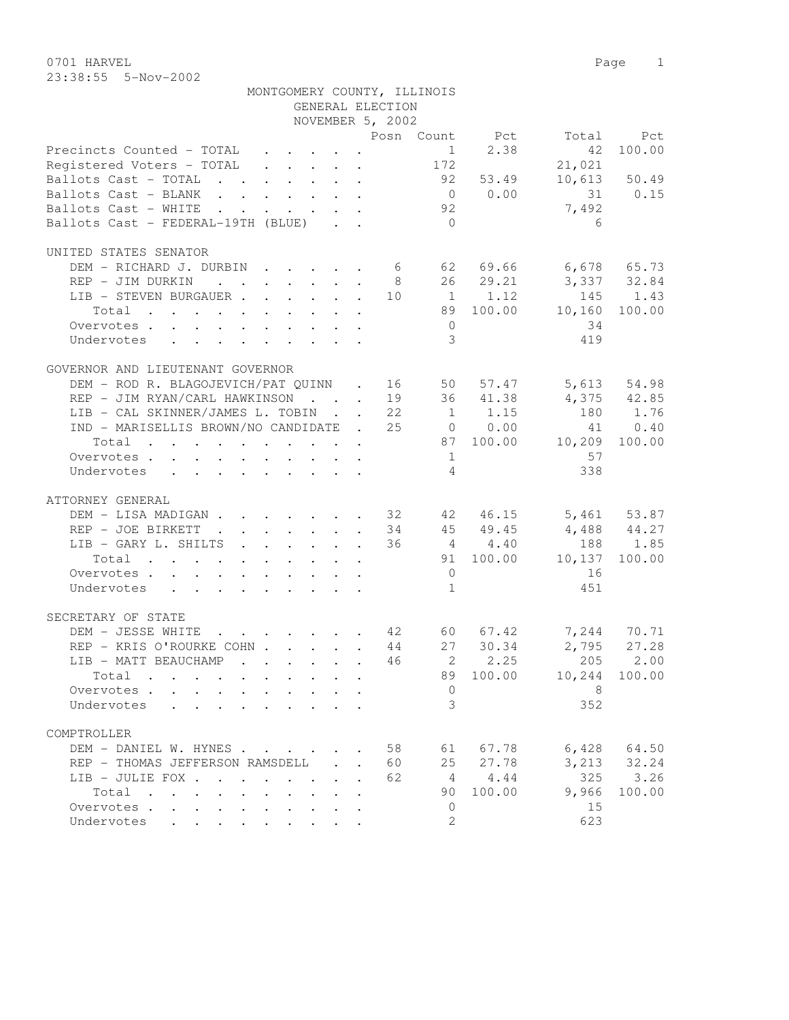0701 HARVEL 2008 Page 2012 23:38:55 5-Nov-2002

| MONTGOMERY COUNTY, ILLINOIS                                                                                                                                                                                                                                                                                                                                                                                                  |                                                           |                  |                |           |                      |              |
|------------------------------------------------------------------------------------------------------------------------------------------------------------------------------------------------------------------------------------------------------------------------------------------------------------------------------------------------------------------------------------------------------------------------------|-----------------------------------------------------------|------------------|----------------|-----------|----------------------|--------------|
|                                                                                                                                                                                                                                                                                                                                                                                                                              |                                                           | GENERAL ELECTION |                |           |                      |              |
|                                                                                                                                                                                                                                                                                                                                                                                                                              |                                                           | NOVEMBER 5, 2002 |                |           |                      |              |
|                                                                                                                                                                                                                                                                                                                                                                                                                              |                                                           |                  |                |           | Posn Count Pct Total | Pct          |
| Precincts Counted - TOTAL<br>$\mathbf{r} = \mathbf{r} + \mathbf{r} + \mathbf{r} + \mathbf{r} + \mathbf{r}$                                                                                                                                                                                                                                                                                                                   |                                                           |                  | 1              | 2.38      | 42                   | 100.00       |
| Registered Voters - TOTAL                                                                                                                                                                                                                                                                                                                                                                                                    |                                                           |                  | 172            |           | 21,021               |              |
| Ballots Cast - TOTAL                                                                                                                                                                                                                                                                                                                                                                                                         |                                                           |                  |                | 92 53.49  |                      | 10,613 50.49 |
| Ballots Cast - BLANK                                                                                                                                                                                                                                                                                                                                                                                                         |                                                           |                  |                | 0 0.00    |                      | 31 0.15      |
| Ballots Cast - WHITE<br>$\mathbf{r}$ , $\mathbf{r}$ , $\mathbf{r}$ , $\mathbf{r}$                                                                                                                                                                                                                                                                                                                                            | $\mathbf{r}$ , $\mathbf{r}$ , $\mathbf{r}$ , $\mathbf{r}$ |                  | 92             |           | 7,492                |              |
| Ballots Cast - FEDERAL-19TH (BLUE)                                                                                                                                                                                                                                                                                                                                                                                           |                                                           |                  | $\bigcirc$     |           | 6                    |              |
|                                                                                                                                                                                                                                                                                                                                                                                                                              |                                                           |                  |                |           |                      |              |
| UNITED STATES SENATOR                                                                                                                                                                                                                                                                                                                                                                                                        |                                                           |                  |                |           |                      |              |
| DEM - RICHARD J. DURBIN 6                                                                                                                                                                                                                                                                                                                                                                                                    |                                                           |                  |                | 62 69.66  | $6,678$ $65.73$      |              |
| REP - JIM DURKIN                                                                                                                                                                                                                                                                                                                                                                                                             |                                                           |                  | $8 - 8$        | 26 29.21  | 3,337 32.84          |              |
| $\mathtt{LIB} \hspace{0.1cm} {\small \texttt{ -} \hspace{0.1cm} \texttt{STEVEN} \hspace{0.1cm} \texttt{BURGAUER} \hspace{0.1cm} \texttt{.} \hspace{0.1cm} \ldots \hspace{0.1cm} \ldots \hspace{0.1cm} \ldots \hspace{0.1cm} \ldots \hspace{0.1cm} \ldots \hspace{0.1cm} \ldots \hspace{0.1cm} \ldots \hspace{0.1cm} \ldots \hspace{0.1cm} \ldots \hspace{0.1cm} \ldots \hspace{0.1cm} \ldots \hspace{0.1cm} \ldots \hspace{$ |                                                           |                  |                |           | 145                  | 1.43         |
| Total                                                                                                                                                                                                                                                                                                                                                                                                                        |                                                           |                  |                | 89 100.00 | 10, 160              | 100.00       |
| Overvotes                                                                                                                                                                                                                                                                                                                                                                                                                    |                                                           |                  | $\overline{0}$ |           | 34                   |              |
| Undervotes<br>$\mathbf{r}$ , $\mathbf{r}$ , $\mathbf{r}$ , $\mathbf{r}$ , $\mathbf{r}$ , $\mathbf{r}$                                                                                                                                                                                                                                                                                                                        |                                                           |                  | 3              |           | 419                  |              |
|                                                                                                                                                                                                                                                                                                                                                                                                                              |                                                           |                  |                |           |                      |              |
| GOVERNOR AND LIEUTENANT GOVERNOR                                                                                                                                                                                                                                                                                                                                                                                             |                                                           |                  |                |           |                      |              |
|                                                                                                                                                                                                                                                                                                                                                                                                                              |                                                           |                  |                |           | 5,613                |              |
| DEM - ROD R. BLAGOJEVICH/PAT QUINN . 16                                                                                                                                                                                                                                                                                                                                                                                      |                                                           |                  |                | 50 57.47  |                      | 54.98        |
| REP - JIM RYAN/CARL HAWKINSON 19 36 41.38                                                                                                                                                                                                                                                                                                                                                                                    |                                                           |                  |                |           |                      | 4,375 42.85  |
| LIB - CAL SKINNER/JAMES L. TOBIN 22                                                                                                                                                                                                                                                                                                                                                                                          |                                                           |                  |                | 1 1.15    | 180                  | 1.76         |
| IND - MARISELLIS BROWN/NO CANDIDATE . 25 0 0.00                                                                                                                                                                                                                                                                                                                                                                              |                                                           |                  |                |           | 41                   | 0.40         |
| Total                                                                                                                                                                                                                                                                                                                                                                                                                        |                                                           |                  |                |           | 87 100.00 10,209     | 100.00       |
| Overvotes                                                                                                                                                                                                                                                                                                                                                                                                                    |                                                           |                  | 1              |           | 57                   |              |
| Undervotes<br>$\mathbf{r} = \mathbf{r} + \mathbf{r} + \mathbf{r} + \mathbf{r} + \mathbf{r} + \mathbf{r} + \mathbf{r} + \mathbf{r} + \mathbf{r}$                                                                                                                                                                                                                                                                              |                                                           |                  | $\overline{4}$ |           | 338                  |              |
|                                                                                                                                                                                                                                                                                                                                                                                                                              |                                                           |                  |                |           |                      |              |
| ATTORNEY GENERAL                                                                                                                                                                                                                                                                                                                                                                                                             |                                                           |                  |                |           |                      |              |
| DEM - LISA MADIGAN 32 42 46.15 5,461 53.87                                                                                                                                                                                                                                                                                                                                                                                   |                                                           |                  |                |           |                      |              |
| REP - JOE BIRKETT<br>$\cdot \cdot \cdot \cdot \cdot \cdot \cdot \cdot \cdot 34$ 45 49.45                                                                                                                                                                                                                                                                                                                                     |                                                           |                  |                |           | $4,488$ $44.27$      |              |
| LIB - GARY L. SHILTS 36 4 4.40                                                                                                                                                                                                                                                                                                                                                                                               |                                                           |                  |                |           | 188                  | 1.85         |
| Total                                                                                                                                                                                                                                                                                                                                                                                                                        |                                                           |                  |                | 91 100.00 | 10,137               | 100.00       |
| Overvotes                                                                                                                                                                                                                                                                                                                                                                                                                    |                                                           |                  | $\overline{0}$ |           | 16                   |              |
| Undervotes                                                                                                                                                                                                                                                                                                                                                                                                                   |                                                           |                  | 1              |           | 451                  |              |
|                                                                                                                                                                                                                                                                                                                                                                                                                              |                                                           |                  |                |           |                      |              |
| SECRETARY OF STATE                                                                                                                                                                                                                                                                                                                                                                                                           |                                                           |                  |                |           |                      |              |
| $\cdot$ 42 60 67.42<br>DEM - JESSE WHITE                                                                                                                                                                                                                                                                                                                                                                                     |                                                           |                  |                |           |                      | 7,244 70.71  |
| REP - KRIS O'ROURKE COHN 44                                                                                                                                                                                                                                                                                                                                                                                                  |                                                           |                  |                | 27 30.34  | 2,795                | 27.28        |
| LIB - MATT BEAUCHAMP                                                                                                                                                                                                                                                                                                                                                                                                         |                                                           | 46               |                | 2, 2.25   | 205                  | 2.00         |
| Total                                                                                                                                                                                                                                                                                                                                                                                                                        |                                                           |                  | 89             | 100.00    | 10,244               | 100.00       |
| Overvotes .                                                                                                                                                                                                                                                                                                                                                                                                                  |                                                           |                  | 0              |           | 8                    |              |
| Undervotes                                                                                                                                                                                                                                                                                                                                                                                                                   |                                                           |                  | 3              |           | 352                  |              |
|                                                                                                                                                                                                                                                                                                                                                                                                                              |                                                           |                  |                |           |                      |              |
| COMPTROLLER                                                                                                                                                                                                                                                                                                                                                                                                                  |                                                           |                  |                |           |                      |              |
|                                                                                                                                                                                                                                                                                                                                                                                                                              |                                                           |                  |                |           |                      |              |
| DEM - DANIEL W. HYNES                                                                                                                                                                                                                                                                                                                                                                                                        |                                                           | 58               | 61             | 67.78     | 6,428                | 64.50        |
| REP - THOMAS JEFFERSON RAMSDELL                                                                                                                                                                                                                                                                                                                                                                                              | $\mathcal{L}^{\text{max}}$                                | 60               | 25             | 27.78     | 3,213                | 32.24        |
| LIB - JULIE FOX .<br>$\mathbf{r}$ , $\mathbf{r}$ , $\mathbf{r}$                                                                                                                                                                                                                                                                                                                                                              | $\sim$                                                    | 62               | 4              | 4.44      | 325                  | 3.26         |
| Total<br>$\sim$<br>$\cdot$ $\cdot$ $\cdot$ $\cdot$ $\cdot$<br>$\mathbf{r}$                                                                                                                                                                                                                                                                                                                                                   |                                                           |                  | 90             | 100.00    | 9,966                | 100.00       |
| Overvotes                                                                                                                                                                                                                                                                                                                                                                                                                    |                                                           |                  | 0              |           | 15                   |              |
| Undervotes<br>$\cdot$ $\cdot$ $\cdot$ $\cdot$                                                                                                                                                                                                                                                                                                                                                                                |                                                           |                  | 2              |           | 623                  |              |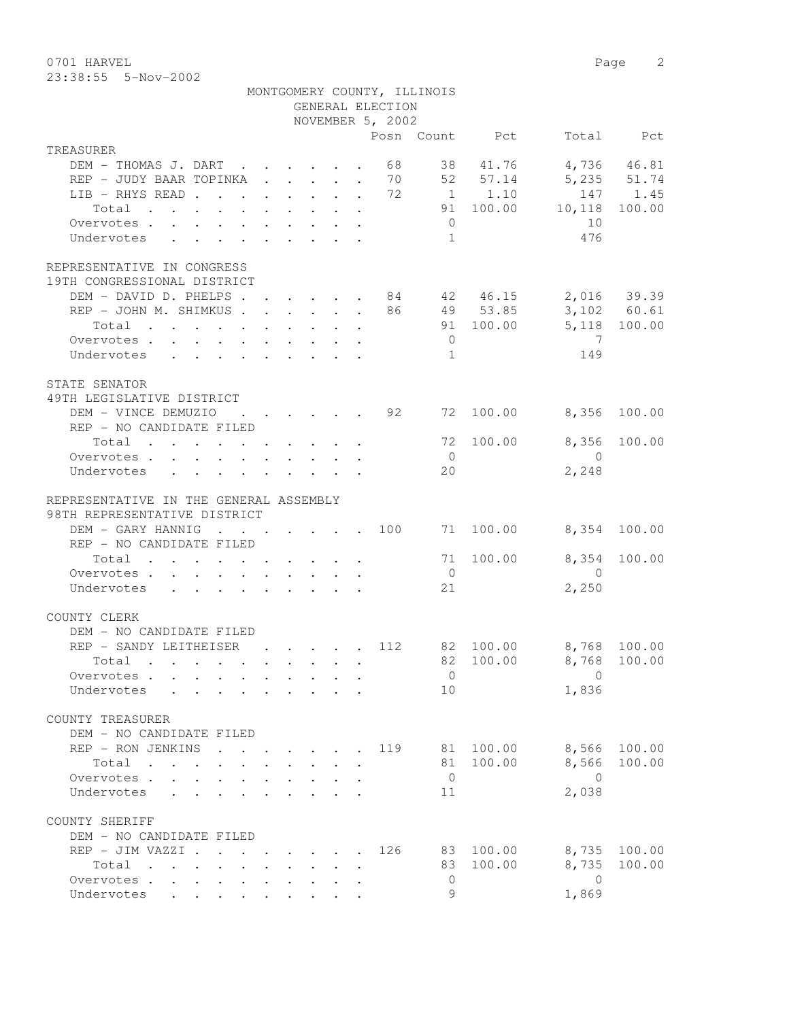23:38:55 5-Nov-2002

|                                                                                                                          |                                                                          |  | GENERAL ELECTION | MONTGOMERY COUNTY, ILLINOIS |                |                         |              |
|--------------------------------------------------------------------------------------------------------------------------|--------------------------------------------------------------------------|--|------------------|-----------------------------|----------------|-------------------------|--------------|
|                                                                                                                          |                                                                          |  | NOVEMBER 5, 2002 |                             |                |                         |              |
|                                                                                                                          |                                                                          |  |                  |                             | Posn Count Pct |                         | Total Pct    |
| TREASURER                                                                                                                |                                                                          |  |                  |                             |                |                         |              |
| DEM - THOMAS J. DART                                                                                                     |                                                                          |  | 68               |                             | 38 41.76       |                         | 4,736 46.81  |
| REP - JUDY BAAR TOPINKA 70 52 57.14                                                                                      |                                                                          |  |                  |                             |                |                         | 5,235 51.74  |
| LIB - RHYS READ                                                                                                          |                                                                          |  |                  |                             | 72 1 1.10      |                         | 147 1.45     |
| Total<br>the contract of the contract of the contract of the contract of the contract of the contract of the contract of |                                                                          |  |                  |                             | 91 100.00      | 10,118                  | 100.00       |
| Overvotes                                                                                                                |                                                                          |  |                  | $\overline{0}$              |                | 10                      |              |
| Undervotes                                                                                                               |                                                                          |  |                  | 1                           |                | 476                     |              |
| REPRESENTATIVE IN CONGRESS                                                                                               |                                                                          |  |                  |                             |                |                         |              |
| 19TH CONGRESSIONAL DISTRICT<br>DEM - DAVID D. PHELPS 84                                                                  |                                                                          |  |                  |                             |                |                         |              |
| REP - JOHN M. SHIMKUS                                                                                                    |                                                                          |  | 86               |                             | 49 53.85       | 42 46.15 2,016 39.39    | 3,102 60.61  |
| Total<br>$\mathbf{r}$ , and $\mathbf{r}$ , and $\mathbf{r}$ , and $\mathbf{r}$ , and $\mathbf{r}$                        |                                                                          |  |                  |                             | 91 100.00      | 5,118 100.00            |              |
| Overvotes                                                                                                                |                                                                          |  |                  | $\overline{0}$              |                | $\overline{7}$          |              |
| Undervotes                                                                                                               |                                                                          |  |                  | $\overline{1}$              |                | 149                     |              |
|                                                                                                                          |                                                                          |  |                  |                             |                |                         |              |
| STATE SENATOR<br>49TH LEGISLATIVE DISTRICT                                                                               |                                                                          |  |                  |                             |                |                         |              |
| DEM - VINCE DEMUZIO                                                                                                      | $\mathbf{r}$ , $\mathbf{r}$ , $\mathbf{r}$ , $\mathbf{r}$ , $\mathbf{r}$ |  | .92              | 72                          | 100.00         | 8,356                   | 100.00       |
| REP - NO CANDIDATE FILED                                                                                                 |                                                                          |  |                  |                             |                |                         |              |
| Total                                                                                                                    |                                                                          |  |                  |                             | 72 100.00      | 8,356                   | 100.00       |
| Overvotes.                                                                                                               |                                                                          |  |                  | $\overline{0}$              |                | $\overline{0}$          |              |
| Undervotes                                                                                                               |                                                                          |  |                  | 20                          |                | 2,248                   |              |
|                                                                                                                          |                                                                          |  |                  |                             |                |                         |              |
| REPRESENTATIVE IN THE GENERAL ASSEMBLY                                                                                   |                                                                          |  |                  |                             |                |                         |              |
| 98TH REPRESENTATIVE DISTRICT                                                                                             |                                                                          |  |                  |                             |                |                         |              |
| DEM - GARY HANNIG<br>$\cdot$ 100                                                                                         |                                                                          |  |                  |                             | 71 100.00      |                         | 8,354 100.00 |
| REP - NO CANDIDATE FILED                                                                                                 |                                                                          |  |                  |                             |                |                         |              |
| . The second contract of the second contract $\mathcal{L}^{\mathcal{A}}$<br>Total                                        |                                                                          |  |                  |                             | 71 100.00      | 8,354                   | 100.00       |
| Overvotes                                                                                                                |                                                                          |  |                  | $\overline{0}$              |                | $\overline{0}$          |              |
| Undervotes                                                                                                               |                                                                          |  |                  | 21                          |                | 2,250                   |              |
| COUNTY CLERK                                                                                                             |                                                                          |  |                  |                             |                |                         |              |
| DEM - NO CANDIDATE FILED                                                                                                 |                                                                          |  |                  |                             |                |                         |              |
| REP - SANDY LEITHEISER                                                                                                   | $\mathbf{r}$ , $\mathbf{r}$ , $\mathbf{r}$ , $\mathbf{r}$ , $\mathbf{r}$ |  | 112              |                             | 82 100.00      | 8,768 100.00            |              |
| Total .                                                                                                                  |                                                                          |  |                  |                             |                | 82 100.00 8,768 100.00  |              |
| Overvotes                                                                                                                |                                                                          |  |                  | $\overline{0}$              |                | $\Omega$<br>1,836       |              |
| Undervotes                                                                                                               |                                                                          |  |                  | 10                          |                |                         |              |
| COUNTY TREASURER                                                                                                         |                                                                          |  |                  |                             |                |                         |              |
| DEM - NO CANDIDATE FILED                                                                                                 |                                                                          |  |                  |                             |                |                         |              |
| REP - RON JENKINS<br>$\mathbf{r}$                                                                                        |                                                                          |  | 119              |                             | 81 100.00      | 8,566                   | 100.00       |
| Total                                                                                                                    |                                                                          |  |                  |                             | 81 100.00      | 8,566                   | 100.00       |
| Overvotes.                                                                                                               |                                                                          |  |                  | $\overline{0}$              |                | $\bigcirc$              |              |
| Undervotes                                                                                                               |                                                                          |  |                  | 11                          |                | 2,038                   |              |
| COUNTY SHERIFF                                                                                                           |                                                                          |  |                  |                             |                |                         |              |
| DEM - NO CANDIDATE FILED                                                                                                 |                                                                          |  |                  |                             |                |                         |              |
| REP - JIM VAZZI .<br>$\mathbf{r}$ , and $\mathbf{r}$ , and $\mathbf{r}$ , and $\mathbf{r}$                               |                                                                          |  | 126              |                             | 83 100.00      | 8,735                   | 100.00       |
| Total<br>the contract of the contract of the contract of the contract of the contract of the contract of the contract of |                                                                          |  |                  | 83                          | 100.00         | 8,735                   | 100.00       |
| Overvotes<br>Undervotes                                                                                                  |                                                                          |  |                  | $\circ$<br>9                |                | $\overline{0}$<br>1,869 |              |
|                                                                                                                          |                                                                          |  |                  |                             |                |                         |              |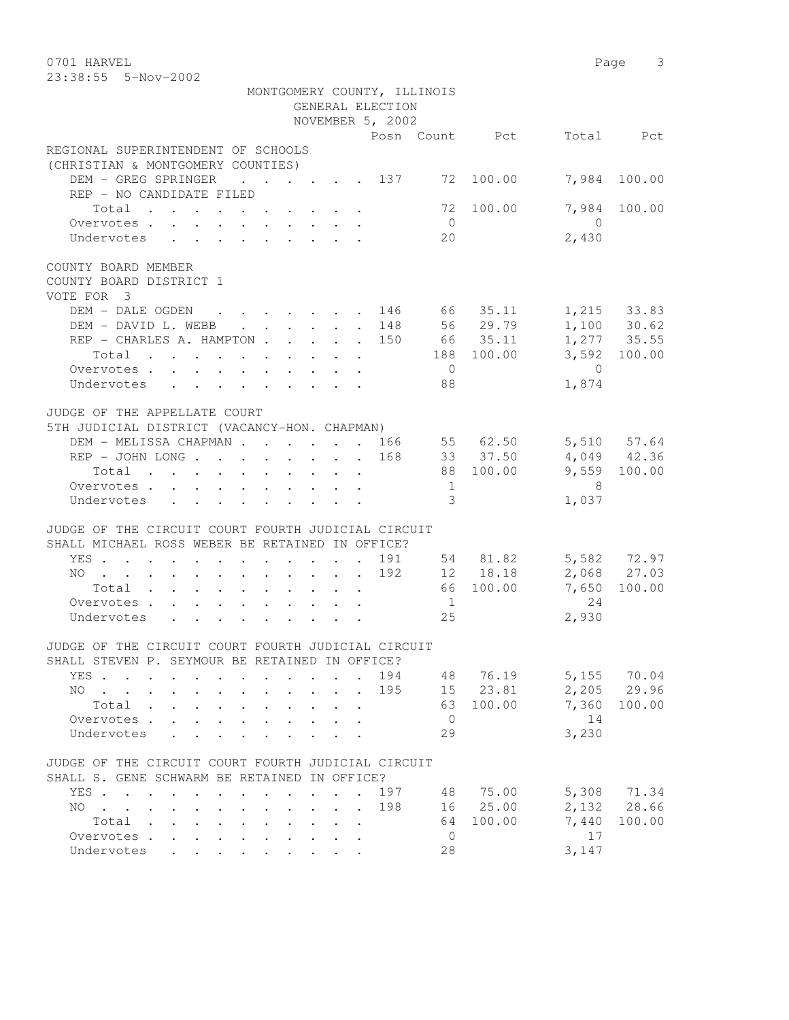0701 HARVEL 2008 Page 3 23:38:55 5-Nov-2002

|                                                                                                    | MONTGOMERY COUNTY, ILLINOIS |                |                 |                            |
|----------------------------------------------------------------------------------------------------|-----------------------------|----------------|-----------------|----------------------------|
|                                                                                                    | GENERAL ELECTION            |                |                 |                            |
|                                                                                                    | NOVEMBER 5, 2002            |                |                 |                            |
|                                                                                                    |                             | Posn Count Pct |                 | Total Pct                  |
| REGIONAL SUPERINTENDENT OF SCHOOLS                                                                 |                             |                |                 |                            |
| (CHRISTIAN & MONTGOMERY COUNTIES)                                                                  |                             |                |                 |                            |
| DEM - GREG SPRINGER 137                                                                            |                             | 72 100.00      |                 | 7,984 100.00               |
| REP - NO CANDIDATE FILED                                                                           |                             |                |                 |                            |
| Total                                                                                              |                             | 72 100.00      | $\overline{0}$  | 7,984 100.00               |
| Overvotes                                                                                          |                             | $\overline{0}$ |                 |                            |
| Undervotes                                                                                         |                             | 20             | 2,430           |                            |
| COUNTY BOARD MEMBER                                                                                |                             |                |                 |                            |
| COUNTY BOARD DISTRICT 1                                                                            |                             |                |                 |                            |
| VOTE FOR 3                                                                                         |                             |                |                 |                            |
|                                                                                                    |                             |                |                 |                            |
| DEM – DALE OGDEN 146 66 35.11<br>DEM - DAVID L. WEBB 148                                           |                             | 56 29.79       |                 | 1,215 33.83<br>1,100 30.62 |
| REP - CHARLES A. HAMPTON 150 66 35.11                                                              |                             |                |                 | $1,277$ 35.55              |
|                                                                                                    |                             | 188 100.00     |                 | 3,592 100.00               |
| Total $\cdot$<br>Overvotes.                                                                        |                             | $\overline{0}$ | $\overline{0}$  |                            |
|                                                                                                    |                             |                |                 |                            |
| Undervotes                                                                                         |                             | 88             | 1,874           |                            |
| JUDGE OF THE APPELLATE COURT                                                                       |                             |                |                 |                            |
|                                                                                                    |                             |                |                 |                            |
| 5TH JUDICIAL DISTRICT (VACANCY-HON. CHAPMAN)<br>DEM - MELISSA CHAPMAN 166 55 62.50                 |                             |                |                 |                            |
|                                                                                                    |                             |                |                 | 5,510 57.64                |
| REP - JOHN LONG 168                                                                                |                             | 33 37.50       |                 | 4,049 42.36                |
| Total                                                                                              |                             | 88 100.00      |                 | 9,559 100.00               |
| Overvotes.                                                                                         |                             | 1              | 8 <sup>8</sup>  |                            |
| Undervotes                                                                                         |                             | $\overline{3}$ | 1,037           |                            |
|                                                                                                    |                             |                |                 |                            |
| JUDGE OF THE CIRCUIT COURT FOURTH JUDICIAL CIRCUIT                                                 |                             |                |                 |                            |
| SHALL MICHAEL ROSS WEBER BE RETAINED IN OFFICE?                                                    |                             |                |                 |                            |
| YES 191 54 81.82                                                                                   |                             |                |                 | 5,582 72.97                |
| NO 192 12 18.18                                                                                    |                             |                |                 | 2,068 27.03                |
| Total                                                                                              |                             | 66 100.00      | 7,650           | 100.00                     |
| Overvotes.                                                                                         |                             | $\overline{1}$ | 24              |                            |
| Undervotes                                                                                         |                             | 25             | 2,930           |                            |
|                                                                                                    |                             |                |                 |                            |
| JUDGE OF THE CIRCUIT COURT FOURTH JUDICIAL CIRCUIT                                                 |                             |                |                 |                            |
| SHALL STEVEN P. SEYMOUR BE RETAINED IN OFFICE?                                                     |                             |                |                 |                            |
| YES .                                                                                              | 194                         | 48             | 76.19<br>5,155  | 70.04                      |
| NO.                                                                                                | 195                         | 15             | 23.81<br>2,205  | 29.96                      |
| Total                                                                                              |                             | 63             | 100.00<br>7,360 | 100.00                     |
| Overvotes.<br>$\mathbf{r}$                                                                         |                             | $\mathbf{0}$   | 14              |                            |
| Undervotes                                                                                         |                             | 29             | 3,230           |                            |
|                                                                                                    |                             |                |                 |                            |
| JUDGE OF THE CIRCUIT COURT FOURTH JUDICIAL CIRCUIT                                                 |                             |                |                 |                            |
| SHALL S. GENE SCHWARM BE RETAINED IN OFFICE?                                                       |                             |                |                 |                            |
| YES                                                                                                | 197                         | 48             | 5,308<br>75.00  | 71.34                      |
| NO.<br>$\ddot{\phantom{a}}$<br>$\ddot{\phantom{a}}$                                                | 198                         | 16             | 25.00<br>2,132  | 28.66                      |
| Total<br>$\mathbf{r}$ . The set of $\mathbf{r}$<br>$\sim$ $\sim$<br>$\ddot{\phantom{0}}$<br>$\sim$ |                             | 64             | 100.00<br>7,440 | 100.00                     |
| Overvotes.<br>$\ddot{\phantom{a}}$<br>$\ddot{\phantom{a}}$                                         |                             | $\overline{0}$ | 17              |                            |
| Undervotes<br>$\sim$                                                                               |                             | 28             | 3,147           |                            |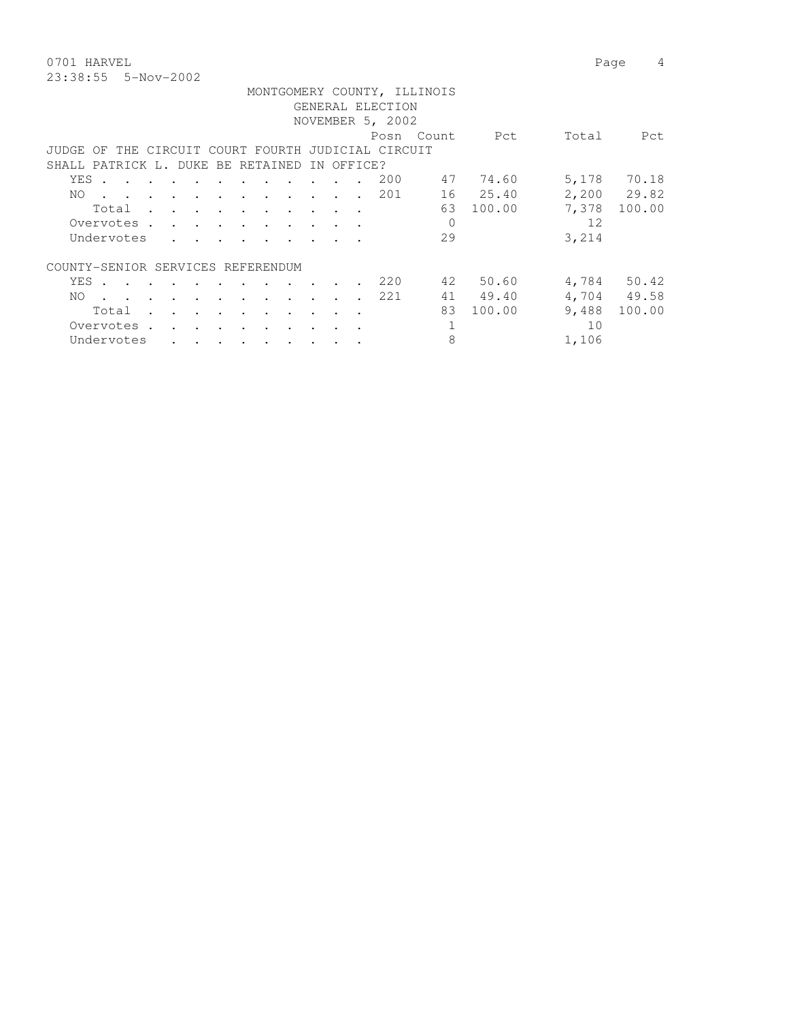0701 HARVEL 2008 Page 4 23:38:55 5-Nov-2002

|  |  | rag |
|--|--|-----|
|  |  |     |
|  |  |     |
|  |  |     |

|                                                    |                                                                                                                                                                                                                               |  |                      |                                                                                                                                                                                                                                    |  |           |                          |                   | GENERAL ELECTION<br>NOVEMBER 5, 2002 | MONTGOMERY COUNTY, ILLINOIS |          |       |             |
|----------------------------------------------------|-------------------------------------------------------------------------------------------------------------------------------------------------------------------------------------------------------------------------------|--|----------------------|------------------------------------------------------------------------------------------------------------------------------------------------------------------------------------------------------------------------------------|--|-----------|--------------------------|-------------------|--------------------------------------|-----------------------------|----------|-------|-------------|
|                                                    |                                                                                                                                                                                                                               |  |                      |                                                                                                                                                                                                                                    |  |           |                          |                   |                                      | Posn Count                  | Pct      | Total | Pct         |
|                                                    |                                                                                                                                                                                                                               |  |                      |                                                                                                                                                                                                                                    |  |           |                          |                   |                                      |                             |          |       |             |
| JUDGE OF THE CIRCUIT COURT FOURTH JUDICIAL CIRCUIT |                                                                                                                                                                                                                               |  |                      |                                                                                                                                                                                                                                    |  |           |                          |                   |                                      |                             |          |       |             |
| SHALL PATRICK L. DUKE BE RETAINED                  |                                                                                                                                                                                                                               |  |                      |                                                                                                                                                                                                                                    |  |           |                          | IN OFFICE?        |                                      |                             |          |       |             |
| YES .                                              | $\mathbf{r}$ , and $\mathbf{r}$ , and $\mathbf{r}$ , and $\mathbf{r}$ , and $\mathbf{r}$                                                                                                                                      |  |                      |                                                                                                                                                                                                                                    |  |           | <b>Contract Contract</b> | $\sim$ 100 $\sim$ | 200                                  | 47                          | 74.60    | 5,178 | 70.18       |
| NO.                                                | the contract of the contract of the contract of the contract of the contract of the contract of the contract of                                                                                                               |  |                      |                                                                                                                                                                                                                                    |  |           |                          |                   | 201                                  |                             | 16 25.40 |       | 2,200 29.82 |
|                                                    | Total                                                                                                                                                                                                                         |  |                      |                                                                                                                                                                                                                                    |  |           |                          |                   |                                      | 63                          | 100.00   | 7,378 | 100.00      |
|                                                    | Overvotes.                                                                                                                                                                                                                    |  |                      |                                                                                                                                                                                                                                    |  |           |                          |                   |                                      | $\mathbf 0$                 |          | 12    |             |
|                                                    | Undervotes                                                                                                                                                                                                                    |  |                      |                                                                                                                                                                                                                                    |  |           |                          |                   |                                      | 29                          |          | 3,214 |             |
|                                                    |                                                                                                                                                                                                                               |  |                      |                                                                                                                                                                                                                                    |  |           |                          |                   |                                      |                             |          |       |             |
| COUNTY-SENIOR SERVICES REFERENDUM                  |                                                                                                                                                                                                                               |  |                      |                                                                                                                                                                                                                                    |  |           |                          |                   |                                      |                             |          |       |             |
| YES                                                | $\sim$                                                                                                                                                                                                                        |  |                      |                                                                                                                                                                                                                                    |  |           |                          |                   | 220                                  | 42                          | 50.60    | 4,784 | 50.42       |
| NO.                                                | . The contract of the contract of the contract of the contract of the contract of the contract of the contract of the contract of the contract of the contract of the contract of the contract of the contract of the contrac |  |                      |                                                                                                                                                                                                                                    |  |           |                          | $\sim$            | 221                                  | 41                          | 49.40    |       | 4,704 49.58 |
|                                                    | Total                                                                                                                                                                                                                         |  |                      | $\mathbf{r}$ , and $\mathbf{r}$ , and $\mathbf{r}$ , and $\mathbf{r}$                                                                                                                                                              |  |           |                          |                   |                                      | 83                          | 100.00   | 9,488 | 100.00      |
|                                                    | Overvotes.                                                                                                                                                                                                                    |  | $\sim$ $\sim$ $\sim$ |                                                                                                                                                                                                                                    |  |           |                          |                   |                                      |                             |          | 10    |             |
|                                                    |                                                                                                                                                                                                                               |  |                      |                                                                                                                                                                                                                                    |  |           |                          |                   |                                      |                             |          |       |             |
|                                                    | Undervotes                                                                                                                                                                                                                    |  |                      | $\bullet$ . In the contract of the contract of the contract of the contract of the contract of the contract of the contract of the contract of the contract of the contract of the contract of the contract of the contract of the |  | $\bullet$ | $\bullet$                |                   |                                      | 8                           |          | 1,106 |             |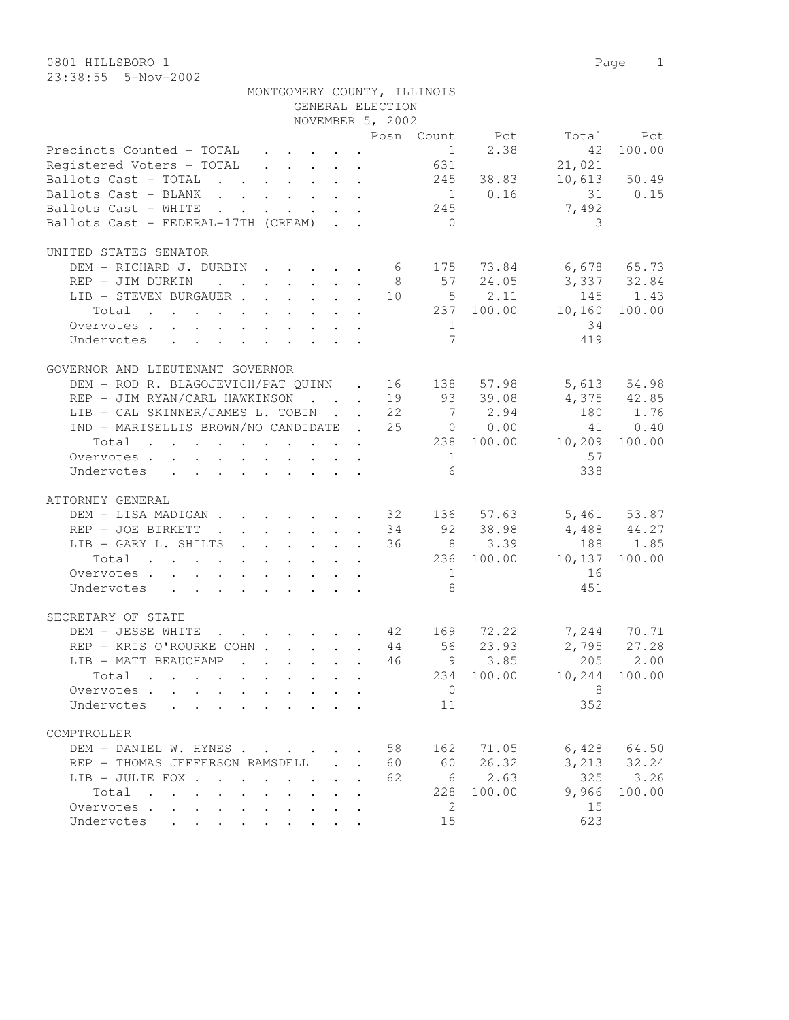| NOVEMBER 5, 2002<br>Posn Count Pct Total Pct<br>$1 \t 2.38$<br>Precincts Counted - TOTAL 1<br>Registered Voters - TOTAL 631<br>42<br>100.00<br>21,021<br>Ballots Cast - TOTAL 245 38.83<br>10,613 50.49<br>Ballots Cast - BLANK 1 0.16 31 0.15<br>Ballots Cast - WHITE 245<br>7,492<br>Ballots Cast - FEDERAL-17TH (CREAM)<br>$\bigcirc$<br>3<br>UNITED STATES SENATOR<br>DEM - RICHARD J. DURBIN 6 175 73.84 6,678 65.73<br>8 57 24.05 3,337 32.84<br>REP - JIM DURKIN<br>LIB - STEVEN BURGAUER 10 5 2.11 145 1.43<br>Total 237 100.00 10,160 100.00<br>34<br>Overvotes.<br>1<br>7<br>419<br>Undervotes<br>GOVERNOR AND LIEUTENANT GOVERNOR<br>DEM – ROD R. BLAGOJEVICH/PAT QUINN . 16 138 57.98 5,613 54.98<br>REP – JIM RYAN/CARL HAWKINSON 19 93 39.08 4,375 42.85<br>LIB – CAL SKINNER/JAMES L. TOBIN 22 7 2.94 180 1.76<br>LIB - CAL SKINNER/JAMES L. TOBIN 22 7 2.94<br>IND - MARISELLIS BROWN/NO CANDIDATE . 25 0 0.00<br>41 0.40<br>Total 238 100.00 10,209 100.00<br>57<br>$1 \qquad \qquad$<br>Overvotes.<br>6<br>338<br>Undervotes<br>ATTORNEY GENERAL<br>DEM - LISA MADIGAN 32 136 57.63 5,461 53.87<br>$34$ $92$ $38.98$ $4,488$ $44.27$<br>REP - JOE BIRKETT<br>36 8 3.39 188 1.85<br>LIB - GARY L. SHILTS<br>236 100.00 10,137 100.00<br>Total<br>Overvotes.<br>16<br>$\sim$ 1<br>8 <sup>8</sup><br>451<br>Undervotes<br>SECRETARY OF STATE<br>DEM - JESSE WHITE 42 169 72.22 7,244 70.71<br>REP - KRIS O'ROURKE COHN 44 56 23.93 2,795 27.28<br>LIB - MATT BEAUCHAMP 46 9 3.85 205 2.00<br>234 100.00<br>10,244 100.00<br>$Total \cdot \cdot \cdot \cdot \cdot$<br>$\cdot$ $\cdot$ $\cdot$ $\cdot$ $\cdot$ $\cdot$<br>8<br>Overvotes<br>$\overline{0}$<br>$\mathbf{r}$ , $\mathbf{r}$ , $\mathbf{r}$<br>$\mathbf{r}$<br>352<br>Undervotes<br>$\mathbf{r}$ , and $\mathbf{r}$ , and $\mathbf{r}$ , and $\mathbf{r}$ , and $\mathbf{r}$<br>11<br>COMPTROLLER<br>162 71.05<br>6,428<br>64.50<br>DEM - DANIEL W. HYNES<br>58<br>$\ddot{\phantom{a}}$<br>60<br>26.32<br>3, 213 32.24<br>REP - THOMAS JEFFERSON RAMSDELL .<br>60<br>2.63<br>325<br>6<br>3.26<br>LIB - JULIE FOX<br>62<br>9,966<br>228<br>100.00<br>100.00<br>Total<br>2<br>Overvotes<br>15<br>623<br>Undervotes<br>15 | MONTGOMERY COUNTY, ILLINOIS | GENERAL ELECTION |  |  |
|--------------------------------------------------------------------------------------------------------------------------------------------------------------------------------------------------------------------------------------------------------------------------------------------------------------------------------------------------------------------------------------------------------------------------------------------------------------------------------------------------------------------------------------------------------------------------------------------------------------------------------------------------------------------------------------------------------------------------------------------------------------------------------------------------------------------------------------------------------------------------------------------------------------------------------------------------------------------------------------------------------------------------------------------------------------------------------------------------------------------------------------------------------------------------------------------------------------------------------------------------------------------------------------------------------------------------------------------------------------------------------------------------------------------------------------------------------------------------------------------------------------------------------------------------------------------------------------------------------------------------------------------------------------------------------------------------------------------------------------------------------------------------------------------------------------------------------------------------------------------------------------------------------------------------------------------------------------------------------------------------------------------------------------------------------------------------------------------------------------------------------------------------------------------------------------------------|-----------------------------|------------------|--|--|
|                                                                                                                                                                                                                                                                                                                                                                                                                                                                                                                                                                                                                                                                                                                                                                                                                                                                                                                                                                                                                                                                                                                                                                                                                                                                                                                                                                                                                                                                                                                                                                                                                                                                                                                                                                                                                                                                                                                                                                                                                                                                                                                                                                                                  |                             |                  |  |  |
|                                                                                                                                                                                                                                                                                                                                                                                                                                                                                                                                                                                                                                                                                                                                                                                                                                                                                                                                                                                                                                                                                                                                                                                                                                                                                                                                                                                                                                                                                                                                                                                                                                                                                                                                                                                                                                                                                                                                                                                                                                                                                                                                                                                                  |                             |                  |  |  |
|                                                                                                                                                                                                                                                                                                                                                                                                                                                                                                                                                                                                                                                                                                                                                                                                                                                                                                                                                                                                                                                                                                                                                                                                                                                                                                                                                                                                                                                                                                                                                                                                                                                                                                                                                                                                                                                                                                                                                                                                                                                                                                                                                                                                  |                             |                  |  |  |
|                                                                                                                                                                                                                                                                                                                                                                                                                                                                                                                                                                                                                                                                                                                                                                                                                                                                                                                                                                                                                                                                                                                                                                                                                                                                                                                                                                                                                                                                                                                                                                                                                                                                                                                                                                                                                                                                                                                                                                                                                                                                                                                                                                                                  |                             |                  |  |  |
|                                                                                                                                                                                                                                                                                                                                                                                                                                                                                                                                                                                                                                                                                                                                                                                                                                                                                                                                                                                                                                                                                                                                                                                                                                                                                                                                                                                                                                                                                                                                                                                                                                                                                                                                                                                                                                                                                                                                                                                                                                                                                                                                                                                                  |                             |                  |  |  |
|                                                                                                                                                                                                                                                                                                                                                                                                                                                                                                                                                                                                                                                                                                                                                                                                                                                                                                                                                                                                                                                                                                                                                                                                                                                                                                                                                                                                                                                                                                                                                                                                                                                                                                                                                                                                                                                                                                                                                                                                                                                                                                                                                                                                  |                             |                  |  |  |
|                                                                                                                                                                                                                                                                                                                                                                                                                                                                                                                                                                                                                                                                                                                                                                                                                                                                                                                                                                                                                                                                                                                                                                                                                                                                                                                                                                                                                                                                                                                                                                                                                                                                                                                                                                                                                                                                                                                                                                                                                                                                                                                                                                                                  |                             |                  |  |  |
|                                                                                                                                                                                                                                                                                                                                                                                                                                                                                                                                                                                                                                                                                                                                                                                                                                                                                                                                                                                                                                                                                                                                                                                                                                                                                                                                                                                                                                                                                                                                                                                                                                                                                                                                                                                                                                                                                                                                                                                                                                                                                                                                                                                                  |                             |                  |  |  |
|                                                                                                                                                                                                                                                                                                                                                                                                                                                                                                                                                                                                                                                                                                                                                                                                                                                                                                                                                                                                                                                                                                                                                                                                                                                                                                                                                                                                                                                                                                                                                                                                                                                                                                                                                                                                                                                                                                                                                                                                                                                                                                                                                                                                  |                             |                  |  |  |
|                                                                                                                                                                                                                                                                                                                                                                                                                                                                                                                                                                                                                                                                                                                                                                                                                                                                                                                                                                                                                                                                                                                                                                                                                                                                                                                                                                                                                                                                                                                                                                                                                                                                                                                                                                                                                                                                                                                                                                                                                                                                                                                                                                                                  |                             |                  |  |  |
|                                                                                                                                                                                                                                                                                                                                                                                                                                                                                                                                                                                                                                                                                                                                                                                                                                                                                                                                                                                                                                                                                                                                                                                                                                                                                                                                                                                                                                                                                                                                                                                                                                                                                                                                                                                                                                                                                                                                                                                                                                                                                                                                                                                                  |                             |                  |  |  |
|                                                                                                                                                                                                                                                                                                                                                                                                                                                                                                                                                                                                                                                                                                                                                                                                                                                                                                                                                                                                                                                                                                                                                                                                                                                                                                                                                                                                                                                                                                                                                                                                                                                                                                                                                                                                                                                                                                                                                                                                                                                                                                                                                                                                  |                             |                  |  |  |
|                                                                                                                                                                                                                                                                                                                                                                                                                                                                                                                                                                                                                                                                                                                                                                                                                                                                                                                                                                                                                                                                                                                                                                                                                                                                                                                                                                                                                                                                                                                                                                                                                                                                                                                                                                                                                                                                                                                                                                                                                                                                                                                                                                                                  |                             |                  |  |  |
|                                                                                                                                                                                                                                                                                                                                                                                                                                                                                                                                                                                                                                                                                                                                                                                                                                                                                                                                                                                                                                                                                                                                                                                                                                                                                                                                                                                                                                                                                                                                                                                                                                                                                                                                                                                                                                                                                                                                                                                                                                                                                                                                                                                                  |                             |                  |  |  |
|                                                                                                                                                                                                                                                                                                                                                                                                                                                                                                                                                                                                                                                                                                                                                                                                                                                                                                                                                                                                                                                                                                                                                                                                                                                                                                                                                                                                                                                                                                                                                                                                                                                                                                                                                                                                                                                                                                                                                                                                                                                                                                                                                                                                  |                             |                  |  |  |
|                                                                                                                                                                                                                                                                                                                                                                                                                                                                                                                                                                                                                                                                                                                                                                                                                                                                                                                                                                                                                                                                                                                                                                                                                                                                                                                                                                                                                                                                                                                                                                                                                                                                                                                                                                                                                                                                                                                                                                                                                                                                                                                                                                                                  |                             |                  |  |  |
|                                                                                                                                                                                                                                                                                                                                                                                                                                                                                                                                                                                                                                                                                                                                                                                                                                                                                                                                                                                                                                                                                                                                                                                                                                                                                                                                                                                                                                                                                                                                                                                                                                                                                                                                                                                                                                                                                                                                                                                                                                                                                                                                                                                                  |                             |                  |  |  |
|                                                                                                                                                                                                                                                                                                                                                                                                                                                                                                                                                                                                                                                                                                                                                                                                                                                                                                                                                                                                                                                                                                                                                                                                                                                                                                                                                                                                                                                                                                                                                                                                                                                                                                                                                                                                                                                                                                                                                                                                                                                                                                                                                                                                  |                             |                  |  |  |
|                                                                                                                                                                                                                                                                                                                                                                                                                                                                                                                                                                                                                                                                                                                                                                                                                                                                                                                                                                                                                                                                                                                                                                                                                                                                                                                                                                                                                                                                                                                                                                                                                                                                                                                                                                                                                                                                                                                                                                                                                                                                                                                                                                                                  |                             |                  |  |  |
|                                                                                                                                                                                                                                                                                                                                                                                                                                                                                                                                                                                                                                                                                                                                                                                                                                                                                                                                                                                                                                                                                                                                                                                                                                                                                                                                                                                                                                                                                                                                                                                                                                                                                                                                                                                                                                                                                                                                                                                                                                                                                                                                                                                                  |                             |                  |  |  |
|                                                                                                                                                                                                                                                                                                                                                                                                                                                                                                                                                                                                                                                                                                                                                                                                                                                                                                                                                                                                                                                                                                                                                                                                                                                                                                                                                                                                                                                                                                                                                                                                                                                                                                                                                                                                                                                                                                                                                                                                                                                                                                                                                                                                  |                             |                  |  |  |
|                                                                                                                                                                                                                                                                                                                                                                                                                                                                                                                                                                                                                                                                                                                                                                                                                                                                                                                                                                                                                                                                                                                                                                                                                                                                                                                                                                                                                                                                                                                                                                                                                                                                                                                                                                                                                                                                                                                                                                                                                                                                                                                                                                                                  |                             |                  |  |  |
|                                                                                                                                                                                                                                                                                                                                                                                                                                                                                                                                                                                                                                                                                                                                                                                                                                                                                                                                                                                                                                                                                                                                                                                                                                                                                                                                                                                                                                                                                                                                                                                                                                                                                                                                                                                                                                                                                                                                                                                                                                                                                                                                                                                                  |                             |                  |  |  |
|                                                                                                                                                                                                                                                                                                                                                                                                                                                                                                                                                                                                                                                                                                                                                                                                                                                                                                                                                                                                                                                                                                                                                                                                                                                                                                                                                                                                                                                                                                                                                                                                                                                                                                                                                                                                                                                                                                                                                                                                                                                                                                                                                                                                  |                             |                  |  |  |
|                                                                                                                                                                                                                                                                                                                                                                                                                                                                                                                                                                                                                                                                                                                                                                                                                                                                                                                                                                                                                                                                                                                                                                                                                                                                                                                                                                                                                                                                                                                                                                                                                                                                                                                                                                                                                                                                                                                                                                                                                                                                                                                                                                                                  |                             |                  |  |  |
|                                                                                                                                                                                                                                                                                                                                                                                                                                                                                                                                                                                                                                                                                                                                                                                                                                                                                                                                                                                                                                                                                                                                                                                                                                                                                                                                                                                                                                                                                                                                                                                                                                                                                                                                                                                                                                                                                                                                                                                                                                                                                                                                                                                                  |                             |                  |  |  |
|                                                                                                                                                                                                                                                                                                                                                                                                                                                                                                                                                                                                                                                                                                                                                                                                                                                                                                                                                                                                                                                                                                                                                                                                                                                                                                                                                                                                                                                                                                                                                                                                                                                                                                                                                                                                                                                                                                                                                                                                                                                                                                                                                                                                  |                             |                  |  |  |
|                                                                                                                                                                                                                                                                                                                                                                                                                                                                                                                                                                                                                                                                                                                                                                                                                                                                                                                                                                                                                                                                                                                                                                                                                                                                                                                                                                                                                                                                                                                                                                                                                                                                                                                                                                                                                                                                                                                                                                                                                                                                                                                                                                                                  |                             |                  |  |  |
|                                                                                                                                                                                                                                                                                                                                                                                                                                                                                                                                                                                                                                                                                                                                                                                                                                                                                                                                                                                                                                                                                                                                                                                                                                                                                                                                                                                                                                                                                                                                                                                                                                                                                                                                                                                                                                                                                                                                                                                                                                                                                                                                                                                                  |                             |                  |  |  |
|                                                                                                                                                                                                                                                                                                                                                                                                                                                                                                                                                                                                                                                                                                                                                                                                                                                                                                                                                                                                                                                                                                                                                                                                                                                                                                                                                                                                                                                                                                                                                                                                                                                                                                                                                                                                                                                                                                                                                                                                                                                                                                                                                                                                  |                             |                  |  |  |
|                                                                                                                                                                                                                                                                                                                                                                                                                                                                                                                                                                                                                                                                                                                                                                                                                                                                                                                                                                                                                                                                                                                                                                                                                                                                                                                                                                                                                                                                                                                                                                                                                                                                                                                                                                                                                                                                                                                                                                                                                                                                                                                                                                                                  |                             |                  |  |  |
|                                                                                                                                                                                                                                                                                                                                                                                                                                                                                                                                                                                                                                                                                                                                                                                                                                                                                                                                                                                                                                                                                                                                                                                                                                                                                                                                                                                                                                                                                                                                                                                                                                                                                                                                                                                                                                                                                                                                                                                                                                                                                                                                                                                                  |                             |                  |  |  |
|                                                                                                                                                                                                                                                                                                                                                                                                                                                                                                                                                                                                                                                                                                                                                                                                                                                                                                                                                                                                                                                                                                                                                                                                                                                                                                                                                                                                                                                                                                                                                                                                                                                                                                                                                                                                                                                                                                                                                                                                                                                                                                                                                                                                  |                             |                  |  |  |
|                                                                                                                                                                                                                                                                                                                                                                                                                                                                                                                                                                                                                                                                                                                                                                                                                                                                                                                                                                                                                                                                                                                                                                                                                                                                                                                                                                                                                                                                                                                                                                                                                                                                                                                                                                                                                                                                                                                                                                                                                                                                                                                                                                                                  |                             |                  |  |  |
|                                                                                                                                                                                                                                                                                                                                                                                                                                                                                                                                                                                                                                                                                                                                                                                                                                                                                                                                                                                                                                                                                                                                                                                                                                                                                                                                                                                                                                                                                                                                                                                                                                                                                                                                                                                                                                                                                                                                                                                                                                                                                                                                                                                                  |                             |                  |  |  |
|                                                                                                                                                                                                                                                                                                                                                                                                                                                                                                                                                                                                                                                                                                                                                                                                                                                                                                                                                                                                                                                                                                                                                                                                                                                                                                                                                                                                                                                                                                                                                                                                                                                                                                                                                                                                                                                                                                                                                                                                                                                                                                                                                                                                  |                             |                  |  |  |
|                                                                                                                                                                                                                                                                                                                                                                                                                                                                                                                                                                                                                                                                                                                                                                                                                                                                                                                                                                                                                                                                                                                                                                                                                                                                                                                                                                                                                                                                                                                                                                                                                                                                                                                                                                                                                                                                                                                                                                                                                                                                                                                                                                                                  |                             |                  |  |  |
|                                                                                                                                                                                                                                                                                                                                                                                                                                                                                                                                                                                                                                                                                                                                                                                                                                                                                                                                                                                                                                                                                                                                                                                                                                                                                                                                                                                                                                                                                                                                                                                                                                                                                                                                                                                                                                                                                                                                                                                                                                                                                                                                                                                                  |                             |                  |  |  |
|                                                                                                                                                                                                                                                                                                                                                                                                                                                                                                                                                                                                                                                                                                                                                                                                                                                                                                                                                                                                                                                                                                                                                                                                                                                                                                                                                                                                                                                                                                                                                                                                                                                                                                                                                                                                                                                                                                                                                                                                                                                                                                                                                                                                  |                             |                  |  |  |
|                                                                                                                                                                                                                                                                                                                                                                                                                                                                                                                                                                                                                                                                                                                                                                                                                                                                                                                                                                                                                                                                                                                                                                                                                                                                                                                                                                                                                                                                                                                                                                                                                                                                                                                                                                                                                                                                                                                                                                                                                                                                                                                                                                                                  |                             |                  |  |  |
|                                                                                                                                                                                                                                                                                                                                                                                                                                                                                                                                                                                                                                                                                                                                                                                                                                                                                                                                                                                                                                                                                                                                                                                                                                                                                                                                                                                                                                                                                                                                                                                                                                                                                                                                                                                                                                                                                                                                                                                                                                                                                                                                                                                                  |                             |                  |  |  |
|                                                                                                                                                                                                                                                                                                                                                                                                                                                                                                                                                                                                                                                                                                                                                                                                                                                                                                                                                                                                                                                                                                                                                                                                                                                                                                                                                                                                                                                                                                                                                                                                                                                                                                                                                                                                                                                                                                                                                                                                                                                                                                                                                                                                  |                             |                  |  |  |
|                                                                                                                                                                                                                                                                                                                                                                                                                                                                                                                                                                                                                                                                                                                                                                                                                                                                                                                                                                                                                                                                                                                                                                                                                                                                                                                                                                                                                                                                                                                                                                                                                                                                                                                                                                                                                                                                                                                                                                                                                                                                                                                                                                                                  |                             |                  |  |  |
|                                                                                                                                                                                                                                                                                                                                                                                                                                                                                                                                                                                                                                                                                                                                                                                                                                                                                                                                                                                                                                                                                                                                                                                                                                                                                                                                                                                                                                                                                                                                                                                                                                                                                                                                                                                                                                                                                                                                                                                                                                                                                                                                                                                                  |                             |                  |  |  |
|                                                                                                                                                                                                                                                                                                                                                                                                                                                                                                                                                                                                                                                                                                                                                                                                                                                                                                                                                                                                                                                                                                                                                                                                                                                                                                                                                                                                                                                                                                                                                                                                                                                                                                                                                                                                                                                                                                                                                                                                                                                                                                                                                                                                  |                             |                  |  |  |
|                                                                                                                                                                                                                                                                                                                                                                                                                                                                                                                                                                                                                                                                                                                                                                                                                                                                                                                                                                                                                                                                                                                                                                                                                                                                                                                                                                                                                                                                                                                                                                                                                                                                                                                                                                                                                                                                                                                                                                                                                                                                                                                                                                                                  |                             |                  |  |  |
|                                                                                                                                                                                                                                                                                                                                                                                                                                                                                                                                                                                                                                                                                                                                                                                                                                                                                                                                                                                                                                                                                                                                                                                                                                                                                                                                                                                                                                                                                                                                                                                                                                                                                                                                                                                                                                                                                                                                                                                                                                                                                                                                                                                                  |                             |                  |  |  |
|                                                                                                                                                                                                                                                                                                                                                                                                                                                                                                                                                                                                                                                                                                                                                                                                                                                                                                                                                                                                                                                                                                                                                                                                                                                                                                                                                                                                                                                                                                                                                                                                                                                                                                                                                                                                                                                                                                                                                                                                                                                                                                                                                                                                  |                             |                  |  |  |
|                                                                                                                                                                                                                                                                                                                                                                                                                                                                                                                                                                                                                                                                                                                                                                                                                                                                                                                                                                                                                                                                                                                                                                                                                                                                                                                                                                                                                                                                                                                                                                                                                                                                                                                                                                                                                                                                                                                                                                                                                                                                                                                                                                                                  |                             |                  |  |  |
|                                                                                                                                                                                                                                                                                                                                                                                                                                                                                                                                                                                                                                                                                                                                                                                                                                                                                                                                                                                                                                                                                                                                                                                                                                                                                                                                                                                                                                                                                                                                                                                                                                                                                                                                                                                                                                                                                                                                                                                                                                                                                                                                                                                                  |                             |                  |  |  |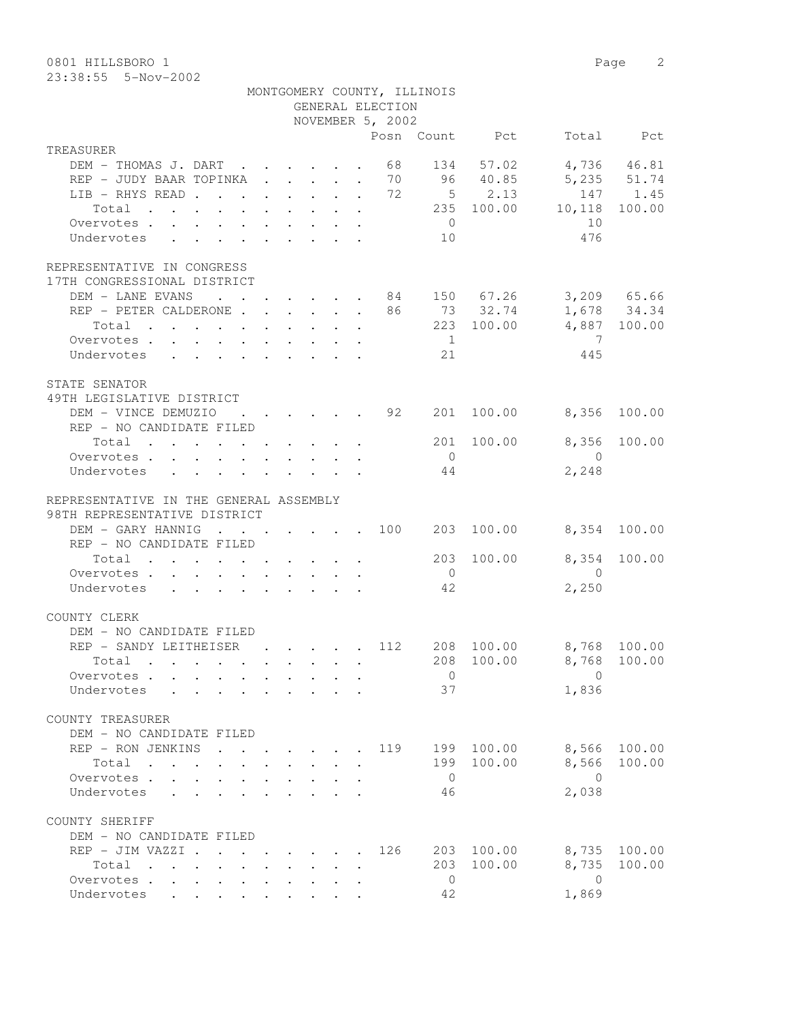0801 HILLSBORO 1 Page 2 23:38:55 5-Nov-2002

|                                                                                                                                                                                                                                        |  | MONTGOMERY COUNTY, ILLINOIS                 |                |                         |                               |              |
|----------------------------------------------------------------------------------------------------------------------------------------------------------------------------------------------------------------------------------------|--|---------------------------------------------|----------------|-------------------------|-------------------------------|--------------|
|                                                                                                                                                                                                                                        |  | GENERAL ELECTION                            |                |                         |                               |              |
|                                                                                                                                                                                                                                        |  | NOVEMBER 5, 2002                            |                |                         |                               |              |
|                                                                                                                                                                                                                                        |  |                                             |                | Posn Count Pct          |                               | Total Pct    |
| TREASURER                                                                                                                                                                                                                              |  |                                             |                |                         |                               |              |
| DEM - THOMAS J. DART 68                                                                                                                                                                                                                |  |                                             |                | 134 57.02               |                               | 4,736 46.81  |
| REP - JUDY BAAR TOPINKA<br>LIB - RHYS READ                                                                                                                                                                                             |  | 70<br>72                                    |                | 96 40.85<br>$5 \t 2.13$ | 5, 235 51.74                  | 147 1.45     |
| Total                                                                                                                                                                                                                                  |  |                                             |                |                         | $235\quad 100.00\quad 10,118$ | 100.00       |
| Overvotes.                                                                                                                                                                                                                             |  |                                             | $\overline{0}$ |                         | 10                            |              |
| Undervotes                                                                                                                                                                                                                             |  |                                             | 10             |                         | 476                           |              |
|                                                                                                                                                                                                                                        |  |                                             |                |                         |                               |              |
| REPRESENTATIVE IN CONGRESS                                                                                                                                                                                                             |  |                                             |                |                         |                               |              |
| 17TH CONGRESSIONAL DISTRICT                                                                                                                                                                                                            |  |                                             |                |                         |                               |              |
| DEM - LANE EVANS 84 150 67.26 3,209 65.66                                                                                                                                                                                              |  |                                             |                |                         |                               |              |
| REP - PETER CALDERONE 86 73 32.74                                                                                                                                                                                                      |  |                                             |                |                         |                               | 1,678 34.34  |
| Total                                                                                                                                                                                                                                  |  |                                             |                | 223 100.00              |                               | 4,887 100.00 |
| Overvotes.                                                                                                                                                                                                                             |  |                                             | 1              |                         | $\overline{7}$                |              |
| Undervotes                                                                                                                                                                                                                             |  |                                             | 21             |                         | 445                           |              |
|                                                                                                                                                                                                                                        |  |                                             |                |                         |                               |              |
| STATE SENATOR                                                                                                                                                                                                                          |  |                                             |                |                         |                               |              |
| 49TH LEGISLATIVE DISTRICT                                                                                                                                                                                                              |  |                                             |                |                         |                               |              |
| DEM - VINCE DEMUZIO 92                                                                                                                                                                                                                 |  |                                             | 201            | 100.00                  | 8,356                         | 100.00       |
| REP - NO CANDIDATE FILED                                                                                                                                                                                                               |  |                                             |                |                         |                               |              |
| Total                                                                                                                                                                                                                                  |  |                                             |                | 201 100.00              |                               | 8,356 100.00 |
| Overvotes.                                                                                                                                                                                                                             |  |                                             | $\overline{0}$ |                         | $\overline{0}$                |              |
| Undervotes<br>$\mathbf{r}$ , and $\mathbf{r}$ , and $\mathbf{r}$ , and $\mathbf{r}$ , and $\mathbf{r}$                                                                                                                                 |  |                                             | 44             |                         | 2,248                         |              |
|                                                                                                                                                                                                                                        |  |                                             |                |                         |                               |              |
| REPRESENTATIVE IN THE GENERAL ASSEMBLY                                                                                                                                                                                                 |  |                                             |                |                         |                               |              |
| 98TH REPRESENTATIVE DISTRICT                                                                                                                                                                                                           |  |                                             |                |                         |                               |              |
| DEM - GARY HANNIG 100 203 100.00                                                                                                                                                                                                       |  |                                             |                |                         | 8,354 100.00                  |              |
| REP - NO CANDIDATE FILED                                                                                                                                                                                                               |  |                                             |                |                         |                               |              |
| Total                                                                                                                                                                                                                                  |  |                                             | 203            | 100.00                  | 8,354                         | 100.00       |
| Overvotes                                                                                                                                                                                                                              |  |                                             | $\overline{0}$ |                         | $\overline{0}$                |              |
| Undervotes                                                                                                                                                                                                                             |  |                                             | 42             |                         | 2,250                         |              |
|                                                                                                                                                                                                                                        |  |                                             |                |                         |                               |              |
| COUNTY CLERK                                                                                                                                                                                                                           |  |                                             |                |                         |                               |              |
| DEM - NO CANDIDATE FILED                                                                                                                                                                                                               |  |                                             |                |                         |                               |              |
| REP - SANDY LEITHEISER                                                                                                                                                                                                                 |  | $\cdot$ $\cdot$ $\cdot$ $\cdot$ $\cdot$ 112 |                |                         | 208 100.00 8,768 100.00       |              |
| Total<br>. The contract of the contract of the contract of the contract of the contract of the contract of the contract of the contract of the contract of the contract of the contract of the contract of the contract of the contrac |  |                                             |                | 208 100.00              | 8,768 100.00                  |              |
| Overvotes                                                                                                                                                                                                                              |  |                                             | 0              |                         | $\mathbf 0$                   |              |
| Undervotes                                                                                                                                                                                                                             |  |                                             | 37             |                         | 1,836                         |              |
|                                                                                                                                                                                                                                        |  |                                             |                |                         |                               |              |
| COUNTY TREASURER                                                                                                                                                                                                                       |  |                                             |                |                         |                               |              |
| DEM - NO CANDIDATE FILED                                                                                                                                                                                                               |  |                                             |                |                         |                               |              |
| REP - RON JENKINS 119                                                                                                                                                                                                                  |  |                                             |                | 199 100.00              | 8,566                         | 100.00       |
| Total $\cdots$                                                                                                                                                                                                                         |  |                                             | 199            | 100.00                  | 8,566                         | 100.00       |
| Overvotes.                                                                                                                                                                                                                             |  |                                             | $\overline{0}$ |                         | $\overline{0}$                |              |
| Undervotes                                                                                                                                                                                                                             |  |                                             | 46             |                         | 2,038                         |              |
| COUNTY SHERIFF                                                                                                                                                                                                                         |  |                                             |                |                         |                               |              |
| DEM - NO CANDIDATE FILED                                                                                                                                                                                                               |  |                                             |                |                         |                               |              |
| $REP - JIM VAZZI$                                                                                                                                                                                                                      |  | 126                                         |                | 203 100.00              | 8,735                         | 100.00       |
| Total                                                                                                                                                                                                                                  |  |                                             | 203            | 100.00                  | 8,735                         | 100.00       |
| Overvotes.                                                                                                                                                                                                                             |  |                                             | $\overline{0}$ |                         | $\bigcirc$                    |              |
| Undervotes                                                                                                                                                                                                                             |  |                                             | 42             |                         | 1,869                         |              |
|                                                                                                                                                                                                                                        |  |                                             |                |                         |                               |              |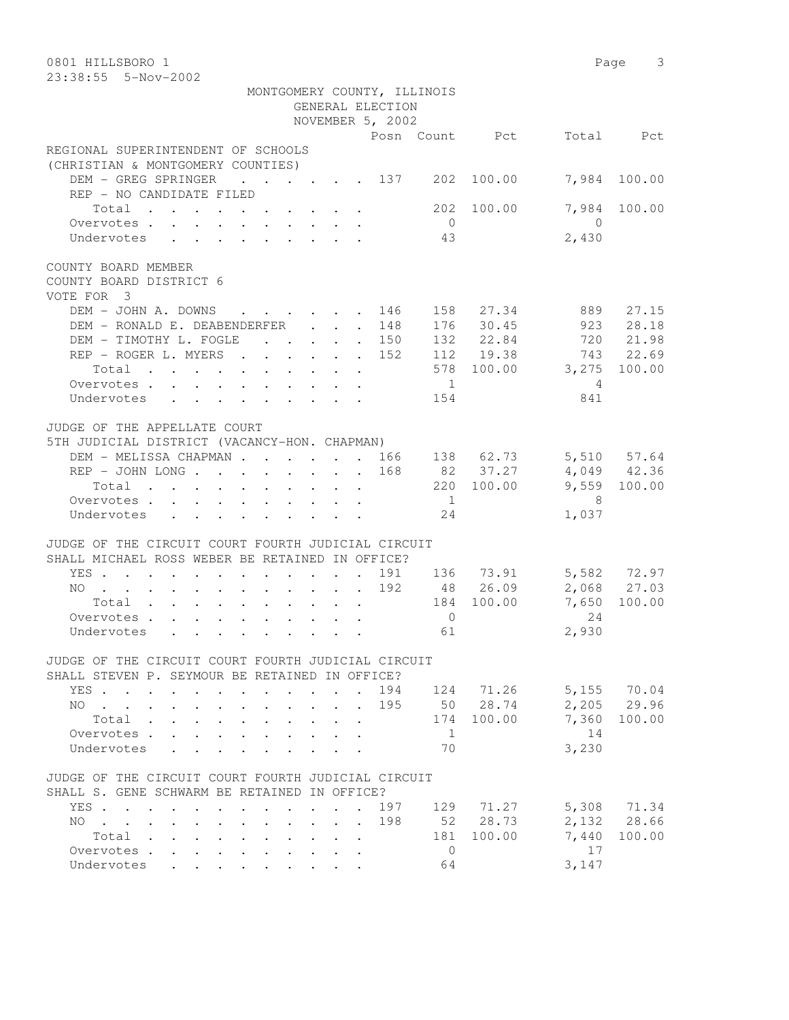| 0801 HILLSBORO 1<br>23:38:55 5-Nov-2002                                                                                                                          |                                                   |                      |                  |                |                |                     | Page 3       |
|------------------------------------------------------------------------------------------------------------------------------------------------------------------|---------------------------------------------------|----------------------|------------------|----------------|----------------|---------------------|--------------|
| MONTGOMERY COUNTY, ILLINOIS                                                                                                                                      |                                                   |                      | GENERAL ELECTION |                |                |                     |              |
|                                                                                                                                                                  |                                                   |                      | NOVEMBER 5, 2002 |                |                |                     |              |
|                                                                                                                                                                  |                                                   |                      |                  |                | Posn Count Pct |                     | Total Pct    |
| REGIONAL SUPERINTENDENT OF SCHOOLS<br>(CHRISTIAN & MONTGOMERY COUNTIES)                                                                                          |                                                   |                      |                  |                |                |                     |              |
| DEM - GREG SPRINGER<br>$\cdot$ $\cdot$ $\cdot$ $\cdot$ $\cdot$ $\cdot$ 137 202<br>REP - NO CANDIDATE FILED                                                       |                                                   |                      |                  |                | 100.00         |                     | 7,984 100.00 |
| Total<br>Overvotes                                                                                                                                               |                                                   |                      |                  | $\overline{0}$ | 202 100.00     | 7,984<br>$\bigcirc$ | 100.00       |
| Undervotes                                                                                                                                                       |                                                   |                      |                  | 43             |                | 2,430               |              |
| COUNTY BOARD MEMBER<br>COUNTY BOARD DISTRICT 6<br>VOTE FOR 3                                                                                                     |                                                   |                      |                  |                |                |                     |              |
| DEM - JOHN A. DOWNS                                                                                                                                              |                                                   |                      | 146              |                | 158 27.34      | 889                 | 27.15        |
| DEM - RONALD E. DEABENDERFER                                                                                                                                     |                                                   | $\ddot{\phantom{0}}$ | 148              |                | 176 30.45      | 923                 | 28.18        |
| DEM - TIMOTHY L. FOGLE<br>$\cdot \cdot \cdot \cdot \cdot 150$                                                                                                    |                                                   |                      |                  |                | 132 22.84      |                     | 720 21.98    |
| REP - ROGER L. MYERS                                                                                                                                             |                                                   |                      | 152              |                | 112 19.38      | 743                 | 22.69        |
| Total                                                                                                                                                            |                                                   |                      |                  |                | 578 100.00     | 3,275               | 100.00       |
| Overvotes                                                                                                                                                        |                                                   |                      |                  | $\overline{1}$ |                | $\overline{4}$      |              |
| Undervotes                                                                                                                                                       |                                                   |                      |                  | 154            |                | 841                 |              |
| JUDGE OF THE APPELLATE COURT<br>5TH JUDICIAL DISTRICT (VACANCY-HON. CHAPMAN)                                                                                     |                                                   |                      |                  |                |                |                     |              |
| DEM - MELISSA CHAPMAN 166                                                                                                                                        |                                                   |                      |                  |                | 138 62.73      |                     | 5,510 57.64  |
|                                                                                                                                                                  |                                                   |                      | 168              |                | 82 37.27       |                     | 4,049 42.36  |
| Total                                                                                                                                                            |                                                   |                      |                  |                | 220 100.00     |                     | 9,559 100.00 |
| Overvotes                                                                                                                                                        |                                                   |                      |                  | 1              |                | 8                   |              |
| Undervotes                                                                                                                                                       |                                                   |                      |                  | 24             |                | 1,037               |              |
| JUDGE OF THE CIRCUIT COURT FOURTH JUDICIAL CIRCUIT<br>SHALL MICHAEL ROSS WEBER BE RETAINED IN OFFICE?                                                            |                                                   |                      |                  |                |                |                     |              |
| YES                                                                                                                                                              |                                                   | $\sim$               |                  |                | 191 136 73.91  |                     | 5,582 72.97  |
| NO                                                                                                                                                               |                                                   |                      | 192              |                | 48 26.09       |                     | 2,068 27.03  |
| Total                                                                                                                                                            |                                                   |                      |                  |                | 184 100.00     | 7,650               | 100.00       |
| Overvotes                                                                                                                                                        |                                                   |                      |                  | $\overline{0}$ |                | 24                  |              |
| Undervotes                                                                                                                                                       |                                                   |                      |                  | 61             |                | 2,930               |              |
| JUDGE OF THE CIRCUIT COURT FOURTH JUDICIAL CIRCUIT<br>SHALL STEVEN P. SEYMOUR BE RETAINED IN OFFICE?                                                             |                                                   |                      |                  |                |                |                     |              |
| YES<br>$\ddot{\phantom{0}}$                                                                                                                                      |                                                   |                      | 194              | 124            | 71.26          |                     | 5,155 70.04  |
| NO.<br>$\mathcal{L}(\mathbf{z})$ , and $\mathcal{L}(\mathbf{z})$ , and                                                                                           | $\sim$                                            |                      | 195              |                | 50 28.74       | 2,205               | 29.96        |
| Total                                                                                                                                                            |                                                   |                      |                  | 174            | 100.00         | 7,360               | 100.00       |
| Overvotes .                                                                                                                                                      |                                                   |                      |                  | 1              |                | 14                  |              |
| Undervotes                                                                                                                                                       |                                                   |                      |                  | 70             |                | 3,230               |              |
| JUDGE OF THE CIRCUIT COURT FOURTH JUDICIAL CIRCUIT<br>SHALL S. GENE SCHWARM BE RETAINED IN OFFICE?                                                               |                                                   |                      |                  |                |                |                     |              |
| YES                                                                                                                                                              | $\cdot$ $\cdot$ $\cdot$                           |                      | 197              | 129            | 71.27          |                     | 5,308 71.34  |
| NO.<br>$\mathbf{r}$ , $\mathbf{r}$ , $\mathbf{r}$ , $\mathbf{r}$<br>$\ddot{\phantom{0}}$<br>$\ddot{\phantom{0}}$<br>$\ddot{\phantom{0}}$<br>$\ddot{\phantom{0}}$ | $\cdot$ $\cdot$ $\cdot$ $\cdot$                   |                      | 198              | 52             | 28.73          |                     | 2,132 28.66  |
| Total<br>$\ddot{\phantom{0}}$<br>$\mathbf{L}^{\text{max}}$                                                                                                       | $\ddot{\phantom{0}}$<br>$\mathbf{L}^{\text{max}}$ | $\ddot{\phantom{0}}$ |                  | 181            | 100.00         | 7,440               | 100.00       |
| Overvotes<br>$\mathbf{L}$<br>$\ddot{\phantom{a}}$<br>$\bullet$                                                                                                   |                                                   |                      |                  | $\mathbf 0$    |                | 17                  |              |
| Undervotes                                                                                                                                                       |                                                   |                      |                  | 64             |                | 3,147               |              |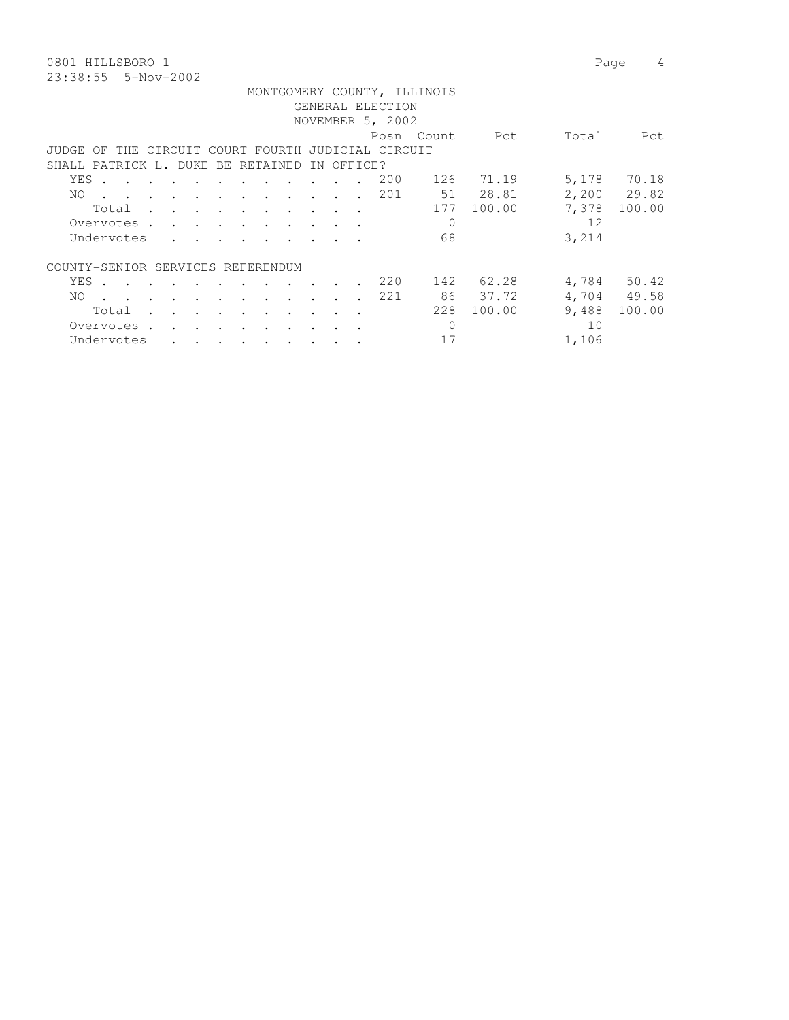0801 HILLSBORO 1 Page 4 23:38:55 5-Nov-2002

|                                   |       |                                                                                                                 |  |                                            |                                                           |                                                                                                                                                                                                                                      |               |            | GENERAL ELECTION                                   | MONTGOMERY COUNTY, ILLINOIS |                 |       |             |
|-----------------------------------|-------|-----------------------------------------------------------------------------------------------------------------|--|--------------------------------------------|-----------------------------------------------------------|--------------------------------------------------------------------------------------------------------------------------------------------------------------------------------------------------------------------------------------|---------------|------------|----------------------------------------------------|-----------------------------|-----------------|-------|-------------|
|                                   |       |                                                                                                                 |  |                                            |                                                           |                                                                                                                                                                                                                                      |               |            | NOVEMBER 5, 2002                                   |                             |                 |       |             |
|                                   |       |                                                                                                                 |  |                                            |                                                           |                                                                                                                                                                                                                                      |               |            |                                                    | Posn Count                  | <b>Property</b> | Total | Pct         |
|                                   |       |                                                                                                                 |  |                                            |                                                           |                                                                                                                                                                                                                                      |               |            | JUDGE OF THE CIRCUIT COURT FOURTH JUDICIAL CIRCUIT |                             |                 |       |             |
| SHALL PATRICK L. DUKE BE RETAINED |       |                                                                                                                 |  |                                            |                                                           |                                                                                                                                                                                                                                      |               | IN OFFICE? |                                                    |                             |                 |       |             |
|                                   | YES . |                                                                                                                 |  |                                            |                                                           |                                                                                                                                                                                                                                      |               |            | 200                                                |                             | 126 71.19       |       | 5,178 70.18 |
| NO.                               |       | the contract of the contract of the contract of the contract of the contract of the contract of the contract of |  |                                            |                                                           |                                                                                                                                                                                                                                      |               |            | 201                                                |                             | 51 28.81        |       | 2,200 29.82 |
|                                   |       | Total                                                                                                           |  |                                            |                                                           |                                                                                                                                                                                                                                      |               |            |                                                    |                             | 177 100.00      | 7,378 | 100.00      |
|                                   |       | Overvotes.                                                                                                      |  |                                            |                                                           |                                                                                                                                                                                                                                      |               |            |                                                    | $\Omega$                    |                 | 12    |             |
|                                   |       | Undervotes                                                                                                      |  |                                            |                                                           | <u>in a community of the set of the set of the set of the set of the set of the set of the set of the set of the set of the set of the set of the set of the set of the set of the set of the set of the set of the set of the s</u> |               |            |                                                    | 68                          |                 | 3,214 |             |
| COUNTY-SENIOR SERVICES REFERENDUM |       |                                                                                                                 |  |                                            |                                                           |                                                                                                                                                                                                                                      |               |            |                                                    |                             |                 |       |             |
|                                   |       | YES                                                                                                             |  |                                            |                                                           |                                                                                                                                                                                                                                      | $\sim$ $\sim$ |            | 220                                                |                             | 142 62.28       |       | 4,784 50.42 |
| NO.                               |       | the contract of the contract of the contract of the contract of the contract of the contract of the contract of |  |                                            |                                                           |                                                                                                                                                                                                                                      |               |            | 221                                                |                             | 86 37.72        |       | 4,704 49.58 |
|                                   |       | Total                                                                                                           |  | $\mathbf{r}$ , $\mathbf{r}$ , $\mathbf{r}$ | <b>Contract Contract Street</b>                           | and the contract of the contract of                                                                                                                                                                                                  | $\sim$ $\sim$ | $\sim$     |                                                    | 228                         | 100.00          | 9,488 | 100.00      |
|                                   |       | Overvotes.                                                                                                      |  |                                            | $\mathbf{r}$ , $\mathbf{r}$ , $\mathbf{r}$ , $\mathbf{r}$ |                                                                                                                                                                                                                                      |               |            |                                                    | $\Omega$                    |                 | 10    |             |
|                                   |       | Undervotes                                                                                                      |  |                                            |                                                           | $\mathbf{r}$ , and $\mathbf{r}$ , and $\mathbf{r}$ , and $\mathbf{r}$                                                                                                                                                                |               |            |                                                    | 17                          |                 | 1,106 |             |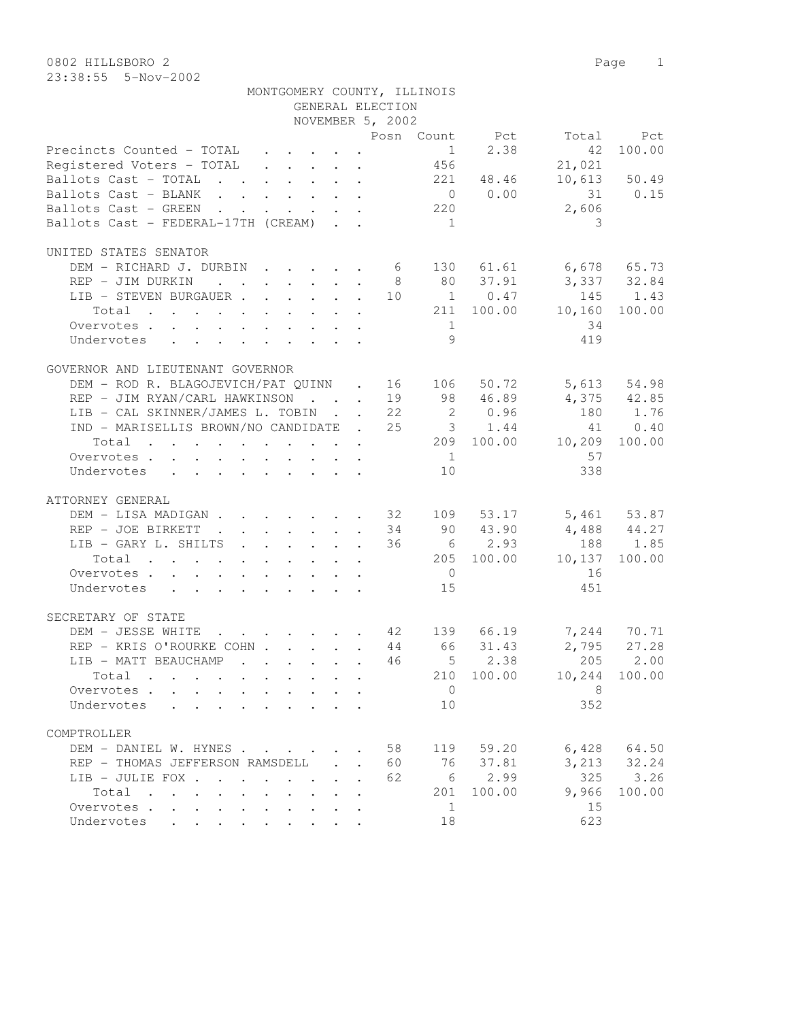| MONTGOMERY COUNTY, ILLINOIS                                                                                     |                  |                |                                                      |                          |               |
|-----------------------------------------------------------------------------------------------------------------|------------------|----------------|------------------------------------------------------|--------------------------|---------------|
|                                                                                                                 | GENERAL ELECTION |                |                                                      |                          |               |
|                                                                                                                 | NOVEMBER 5, 2002 |                |                                                      |                          |               |
|                                                                                                                 |                  |                |                                                      | Posn Count Pct Total     | Pct           |
| Precincts Counted - TOTAL 1 2.38                                                                                |                  |                |                                                      | 42                       | 100.00        |
| Registered Voters - TOTAL 456                                                                                   |                  |                |                                                      | 21,021                   |               |
| Ballots Cast - TOTAL 221 48.46 10,613 50.49                                                                     |                  |                |                                                      |                          |               |
| Ballots Cast - BLANK                                                                                            |                  |                |                                                      |                          | 31 0.15       |
| Ballots Cast - GREEN                                                                                            |                  |                | $\begin{array}{ccc} 0 & 0.00 \\ 220 & & \end{array}$ | 2,606                    |               |
| Ballots Cast - FEDERAL-17TH (CREAM)                                                                             |                  | $\overline{1}$ |                                                      | 3                        |               |
| UNITED STATES SENATOR                                                                                           |                  |                |                                                      |                          |               |
| DEM - RICHARD J. DURBIN 6 130 61.61 6,678 65.73                                                                 |                  |                |                                                      |                          |               |
| REP - JIM DURKIN                                                                                                |                  |                |                                                      | 8 80 37.91 3,337 32.84   |               |
| LIB - STEVEN BURGAUER 10 1 0.47 145 1.43                                                                        |                  |                |                                                      |                          |               |
| Total 211 100.00 10,160 100.00                                                                                  |                  |                |                                                      |                          |               |
| Overvotes                                                                                                       |                  | 1              |                                                      | 34                       |               |
| Undervotes                                                                                                      |                  | 9              |                                                      | 419                      |               |
|                                                                                                                 |                  |                |                                                      |                          |               |
| GOVERNOR AND LIEUTENANT GOVERNOR                                                                                |                  |                |                                                      |                          |               |
| DEM - ROD R. BLAGOJEVICH/PAT QUINN . 16 106 50.72 5,613 54.98                                                   |                  |                |                                                      |                          |               |
| REP - JIM RYAN/CARL HAWKINSON 19 98 46.89 4,375 42.85                                                           |                  |                |                                                      |                          |               |
| LIB - CAL SKINNER/JAMES L. TOBIN 22 2 0.96 180 1.76                                                             |                  |                |                                                      |                          |               |
| IND - MARISELLIS BROWN/NO CANDIDATE . 25 3 1.44                                                                 |                  |                |                                                      |                          | 41 0.40       |
| Total                                                                                                           |                  |                |                                                      | 209 100.00 10,209 100.00 |               |
| Overvotes                                                                                                       |                  | 1              |                                                      | 57                       |               |
| Undervotes                                                                                                      |                  | 10             |                                                      | 338                      |               |
| ATTORNEY GENERAL                                                                                                |                  |                |                                                      |                          |               |
| DEM - LISA MADIGAN 32 109 53.17 5,461 53.87                                                                     |                  |                |                                                      |                          |               |
| REP - JOE BIRKETT 34 90 43.90                                                                                   |                  |                |                                                      | $4,488$ $44.27$          |               |
| LIB - GARY L. SHILTS 36 6 2.93 188 1.85                                                                         |                  |                |                                                      |                          |               |
| Total 205 100.00 10,137 100.00                                                                                  |                  |                |                                                      |                          |               |
|                                                                                                                 |                  | $\overline{0}$ |                                                      | 16                       |               |
| Overvotes                                                                                                       |                  |                |                                                      |                          |               |
| Undervotes                                                                                                      |                  | 15             |                                                      | 451                      |               |
| SECRETARY OF STATE                                                                                              |                  |                |                                                      |                          |               |
| DEM - JESSE WHITE<br><b>Contract Contract</b>                                                                   |                  |                |                                                      |                          |               |
| REP - KRIS O'ROURKE COHN 44 66 31.43                                                                            |                  |                |                                                      |                          | $2,795$ 27.28 |
| LIB - MATT BEAUCHAMP<br>$\mathbf{r}$ , $\mathbf{r}$ , $\mathbf{r}$ , $\mathbf{r}$ , $\mathbf{r}$ , $\mathbf{r}$ |                  |                |                                                      | 46 5 2.38 205 2.00       |               |
| Total<br>$\cdot$ $\cdot$ $\cdot$ $\cdot$ $\cdot$ $\cdot$                                                        |                  | 210            | 100.00                                               | 10,244                   | 100.00        |
| Overvotes<br>$\cdot$ $\cdot$ $\cdot$ $\cdot$ $\cdot$                                                            |                  | $\overline{0}$ |                                                      | 8                        |               |
| Undervotes<br>$\cdot$ $\cdot$ $\cdot$ $\cdot$ $\cdot$ $\cdot$                                                   |                  | 10             |                                                      | 352                      |               |
| COMPTROLLER                                                                                                     |                  |                |                                                      |                          |               |
| DEM - DANIEL W. HYNES                                                                                           | 58               | 119            | 59.20                                                | 6,428                    | 64.50         |
| REP - THOMAS JEFFERSON RAMSDELL                                                                                 | 60               | 76             | 37.81                                                | 3,213                    | 32.24         |
| LIB - JULIE FOX                                                                                                 | 62               | 6              | 2.99                                                 | 325                      | 3.26          |
|                                                                                                                 |                  |                |                                                      |                          |               |

Total . . . . . . . . . . 201 100.00 9,966 100.00

Overvotes . . . . . . . . . . . . 1 15 Undervotes . . . . . . . . . 18 623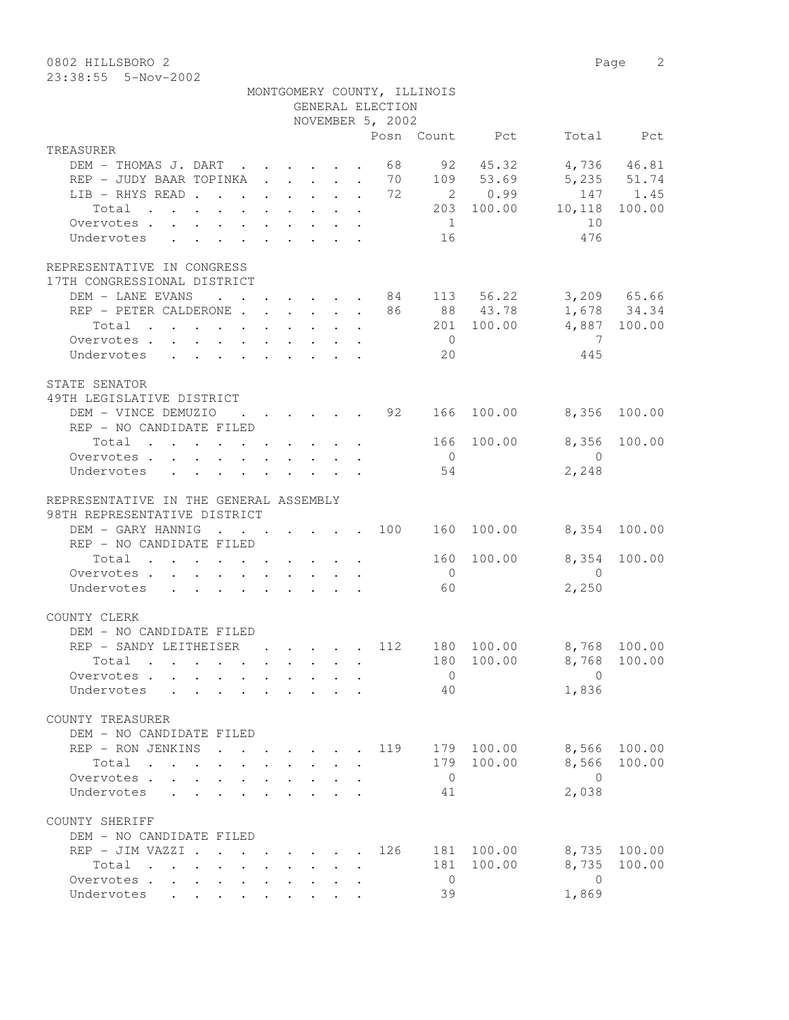0802 HILLSBORO 2 Page 2 23:38:55 5-Nov-2002

|                                                                                |                                                                          |  |  | GENERAL ELECTION                                   | MONTGOMERY COUNTY, ILLINOIS |                |                         |                            |
|--------------------------------------------------------------------------------|--------------------------------------------------------------------------|--|--|----------------------------------------------------|-----------------------------|----------------|-------------------------|----------------------------|
|                                                                                |                                                                          |  |  | NOVEMBER 5, 2002                                   |                             |                |                         |                            |
|                                                                                |                                                                          |  |  |                                                    |                             | Posn Count Pct |                         | Total Pct                  |
| TREASURER                                                                      |                                                                          |  |  |                                                    |                             |                |                         |                            |
| DEM - THOMAS J. DART<br>REP - JUDY BAAR TOPINKA 70 109 53.69                   |                                                                          |  |  | 68                                                 |                             | 92 45.32       |                         | 4,736 46.81<br>5,235 51.74 |
|                                                                                |                                                                          |  |  |                                                    |                             |                |                         |                            |
| LIB - RHYS READ 72                                                             |                                                                          |  |  |                                                    |                             | 2 0.99         |                         | 147 1.45                   |
| Total                                                                          |                                                                          |  |  |                                                    |                             | 203 100.00     | 10,118                  | 100.00                     |
| Overvotes.                                                                     |                                                                          |  |  |                                                    | 1                           |                | 10                      |                            |
| Undervotes                                                                     |                                                                          |  |  |                                                    | 16                          |                | 476                     |                            |
| REPRESENTATIVE IN CONGRESS<br>17TH CONGRESSIONAL DISTRICT                      |                                                                          |  |  |                                                    |                             |                |                         |                            |
| DEM - LANE EVANS 84 113 56.22                                                  |                                                                          |  |  |                                                    |                             |                |                         | 3,209 65.66                |
| REP - PETER CALDERONE 86 88 43.78                                              |                                                                          |  |  |                                                    |                             |                |                         | 1,678 34.34                |
| Total                                                                          |                                                                          |  |  |                                                    |                             | 201 100.00     |                         | 4,887 100.00               |
| Overvotes                                                                      |                                                                          |  |  |                                                    | $\overline{0}$              |                | $\overline{7}$          |                            |
| Undervotes                                                                     |                                                                          |  |  |                                                    | 20                          |                | 445                     |                            |
|                                                                                |                                                                          |  |  |                                                    |                             |                |                         |                            |
| STATE SENATOR                                                                  |                                                                          |  |  |                                                    |                             |                |                         |                            |
| 49TH LEGISLATIVE DISTRICT                                                      |                                                                          |  |  |                                                    |                             |                |                         |                            |
| DEM - VINCE DEMUZIO                                                            |                                                                          |  |  | $\cdot$ $\cdot$ $\cdot$ $\cdot$ $\cdot$ $\cdot$ 92 |                             | 166 100.00     | 8,356                   | 100.00                     |
| REP - NO CANDIDATE FILED                                                       |                                                                          |  |  |                                                    |                             |                |                         |                            |
| Total                                                                          |                                                                          |  |  |                                                    | 166                         | 100.00         | 8,356                   | 100.00                     |
| Overvotes.                                                                     |                                                                          |  |  |                                                    | $\overline{0}$              |                | $\sim$ 0                |                            |
| Undervotes                                                                     |                                                                          |  |  |                                                    | 54                          |                | 2,248                   |                            |
| REPRESENTATIVE IN THE GENERAL ASSEMBLY<br>98TH REPRESENTATIVE DISTRICT         |                                                                          |  |  |                                                    |                             |                |                         |                            |
| DEM - GARY HANNIG                                                              |                                                                          |  |  |                                                    |                             | 160 100.00     |                         | 8,354 100.00               |
| REP - NO CANDIDATE FILED                                                       |                                                                          |  |  |                                                    |                             |                |                         |                            |
| Total                                                                          |                                                                          |  |  |                                                    | 160                         | 100.00         | 8,354                   | 100.00                     |
| Overvotes.                                                                     |                                                                          |  |  |                                                    | $\overline{0}$              |                | $\overline{0}$          |                            |
| Undervotes                                                                     |                                                                          |  |  |                                                    | 60                          |                | 2,250                   |                            |
| COUNTY CLERK                                                                   |                                                                          |  |  |                                                    |                             |                |                         |                            |
| DEM - NO CANDIDATE FILED<br>REP - SANDY LEITHEISER                             | $\mathbf{r}$ , $\mathbf{r}$ , $\mathbf{r}$ , $\mathbf{r}$ , $\mathbf{r}$ |  |  |                                                    |                             |                |                         |                            |
|                                                                                |                                                                          |  |  | 112                                                |                             | 180 100.00     | 8,768 100.00            |                            |
| Total .                                                                        |                                                                          |  |  |                                                    |                             |                | 180 100.00 8,768 100.00 |                            |
| Overvotes                                                                      |                                                                          |  |  |                                                    | $\overline{0}$              |                | $\Omega$                |                            |
| Undervotes                                                                     |                                                                          |  |  |                                                    | 40                          |                | 1,836                   |                            |
| COUNTY TREASURER<br>DEM - NO CANDIDATE FILED                                   |                                                                          |  |  |                                                    |                             |                |                         |                            |
| REP - RON JENKINS                                                              |                                                                          |  |  | 119                                                |                             | 179 100.00     | 8,566                   | 100.00                     |
| Total                                                                          |                                                                          |  |  |                                                    |                             | 179 100.00     | 8,566                   | 100.00                     |
| Overvotes .<br>$\sim$                                                          |                                                                          |  |  |                                                    | $\overline{0}$              |                | $\bigcirc$              |                            |
| Undervotes                                                                     |                                                                          |  |  |                                                    | 41                          |                | 2,038                   |                            |
|                                                                                |                                                                          |  |  |                                                    |                             |                |                         |                            |
| COUNTY SHERIFF                                                                 |                                                                          |  |  |                                                    |                             |                |                         |                            |
| DEM - NO CANDIDATE FILED                                                       |                                                                          |  |  |                                                    |                             |                |                         |                            |
| REP - JIM VAZZI .                                                              | $\cdot$ $\cdot$ $\cdot$ $\cdot$ $\cdot$ $\cdot$ $\cdot$ $\cdot$          |  |  | 126                                                |                             | 181 100.00     | 8,735                   | 100.00                     |
| Total<br>$\mathbf{r}$ , and $\mathbf{r}$ , and $\mathbf{r}$ , and $\mathbf{r}$ |                                                                          |  |  |                                                    | 181                         | 100.00         | 8,735                   | 100.00                     |
| Overvotes                                                                      |                                                                          |  |  |                                                    | $\overline{0}$              |                | $\overline{0}$          |                            |
| Undervotes                                                                     |                                                                          |  |  |                                                    | 39                          |                | 1,869                   |                            |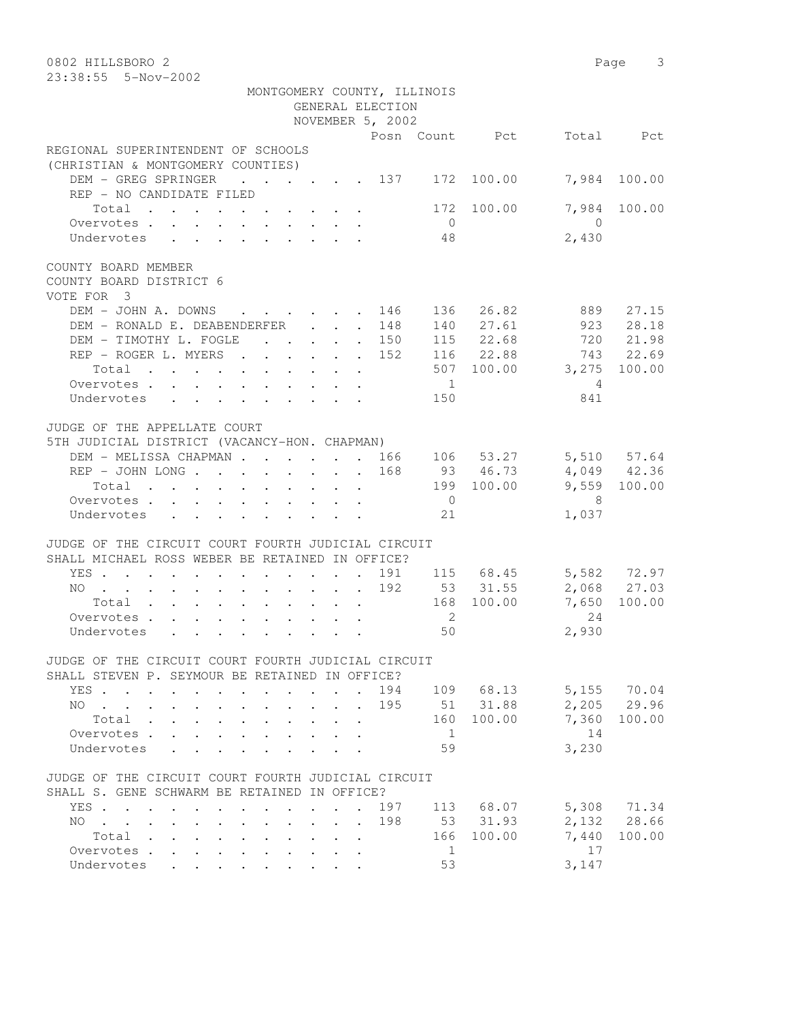| 0802 HILLSBORO 2<br>23:38:55 5-Nov-2002                                                                                                                                                                      |                             |                                   | Page 3               |
|--------------------------------------------------------------------------------------------------------------------------------------------------------------------------------------------------------------|-----------------------------|-----------------------------------|----------------------|
|                                                                                                                                                                                                              | MONTGOMERY COUNTY, ILLINOIS |                                   |                      |
|                                                                                                                                                                                                              | GENERAL ELECTION            |                                   |                      |
|                                                                                                                                                                                                              | NOVEMBER 5, 2002            |                                   |                      |
|                                                                                                                                                                                                              | Posn Count Pct              |                                   | Total Pct            |
| REGIONAL SUPERINTENDENT OF SCHOOLS<br>(CHRISTIAN & MONTGOMERY COUNTIES)                                                                                                                                      |                             |                                   |                      |
| DEM - GREG SPRINGER<br>REP - NO CANDIDATE FILED                                                                                                                                                              | $\cdot$ 137 172             | 100.00                            | 7,984 100.00         |
| Total<br>Overvotes                                                                                                                                                                                           | $\overline{0}$              | 7,984<br>172 100.00<br>$\bigcirc$ | 100.00               |
| Undervotes                                                                                                                                                                                                   | 48                          | 2,430                             |                      |
| COUNTY BOARD MEMBER<br>COUNTY BOARD DISTRICT 6<br>VOTE FOR 3                                                                                                                                                 |                             |                                   |                      |
| DEM - JOHN A. DOWNS                                                                                                                                                                                          | 146                         | 136 26.82<br>889                  | 27.15                |
| DEM - RONALD E. DEABENDERFER                                                                                                                                                                                 | 148<br>$\ddot{\phantom{0}}$ | 140 27.61<br>923                  | 28.18                |
| DEM - TIMOTHY L. FOGLE<br>$\mathbf{r}$ , $\mathbf{r}$ , $\mathbf{r}$ , $\mathbf{r}$ , $\mathbf{r}$                                                                                                           | . 150                       | 115 22.68<br>720                  | 21.98                |
| REP - ROGER L. MYERS                                                                                                                                                                                         | 152                         | 116 22.88<br>743                  | 22.69                |
| Total                                                                                                                                                                                                        |                             | 507 100.00<br>3,275               | 100.00               |
| Overvotes                                                                                                                                                                                                    | $\overline{1}$              | $\overline{4}$                    |                      |
| Undervotes                                                                                                                                                                                                   | 150                         | 841                               |                      |
| JUDGE OF THE APPELLATE COURT<br>5TH JUDICIAL DISTRICT (VACANCY-HON. CHAPMAN)                                                                                                                                 |                             |                                   |                      |
| DEM - MELISSA CHAPMAN 166                                                                                                                                                                                    |                             | 106 53.27                         | 5,510 57.64          |
|                                                                                                                                                                                                              | 168                         | 93 46.73                          | 4,049 42.36          |
| Total                                                                                                                                                                                                        |                             | 199 100.00                        | 9,559 100.00         |
| Overvotes                                                                                                                                                                                                    | $\overline{0}$              | 8                                 |                      |
| Undervotes                                                                                                                                                                                                   | 21                          | 1,037                             |                      |
| JUDGE OF THE CIRCUIT COURT FOURTH JUDICIAL CIRCUIT<br>SHALL MICHAEL ROSS WEBER BE RETAINED IN OFFICE?                                                                                                        |                             |                                   |                      |
| YES                                                                                                                                                                                                          | $\ddot{\phantom{0}}$        | 191 115 68.45                     | 5,582 72.97          |
| NO                                                                                                                                                                                                           | 192                         | 53 31.55                          | 2,068 27.03          |
| Total                                                                                                                                                                                                        |                             | 168 100.00<br>7,650               | 100.00               |
| Overvotes                                                                                                                                                                                                    | $\overline{2}$              | 24                                |                      |
| Undervotes                                                                                                                                                                                                   | 50                          | 2,930                             |                      |
| JUDGE OF THE CIRCUIT COURT FOURTH JUDICIAL CIRCUIT                                                                                                                                                           |                             |                                   |                      |
| SHALL STEVEN P. SEYMOUR BE RETAINED IN OFFICE?                                                                                                                                                               |                             |                                   |                      |
| YES<br>$\ddot{\phantom{0}}$                                                                                                                                                                                  | 194<br>195<br>51            | 109 68.13<br>31.88<br>2,205       | 5,155 70.04<br>29.96 |
| NO.<br>$\mathcal{L}(\mathbf{z})$ , and $\mathcal{L}(\mathbf{z})$ , and<br>$\sim$                                                                                                                             | 160                         | 100.00<br>7,360                   |                      |
| Total<br>Overvotes .                                                                                                                                                                                         | 1                           | 14                                | 100.00               |
| Undervotes                                                                                                                                                                                                   | 59                          | 3,230                             |                      |
|                                                                                                                                                                                                              |                             |                                   |                      |
| JUDGE OF THE CIRCUIT COURT FOURTH JUDICIAL CIRCUIT                                                                                                                                                           |                             |                                   |                      |
| SHALL S. GENE SCHWARM BE RETAINED IN OFFICE?                                                                                                                                                                 |                             |                                   |                      |
| YES<br>$\cdot$ $\cdot$ $\cdot$                                                                                                                                                                               | 197                         | 113 68.07                         | 5,308 71.34          |
| NO.<br>$\mathbf{r}$ , $\mathbf{r}$ , $\mathbf{r}$ , $\mathbf{r}$ , $\mathbf{r}$<br>$\cdot$ $\cdot$<br>$\sim$<br>$\ddot{\phantom{0}}$<br>$\ddot{\phantom{0}}$<br>$\ddot{\phantom{0}}$<br>$\ddot{\phantom{0}}$ | 198                         | 53 31.93                          | 2,132 28.66          |
| Total<br>$\bullet$ .<br>$\mathbf{L}^{\text{max}}$<br>$\ddot{\phantom{0}}$<br>$\mathbf{L}^{\text{max}}$                                                                                                       | 166<br>$\ddot{\phantom{0}}$ | 100.00<br>7,440<br>17             | 100.00               |
| Overvotes<br>$\ddot{\phantom{0}}$<br>$\ddot{\phantom{a}}$<br>$\bullet$<br>Undervotes                                                                                                                         | 1<br>53                     | 3,147                             |                      |
|                                                                                                                                                                                                              |                             |                                   |                      |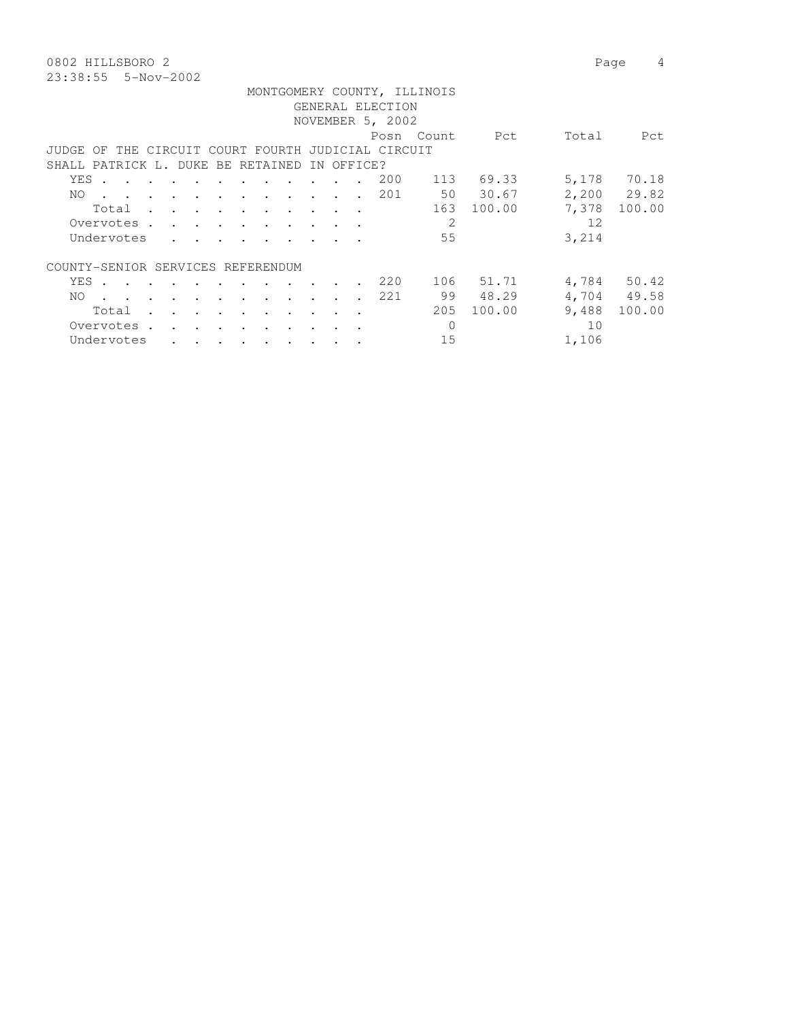0802 HILLSBORO 2 Page 4 23:38:55 5-Nov-2002

|          |            |                      |                   |               |                      |               |                                                                                                                                                                       |                                                                                                                                                                                                                               |                          | GENERAL ELECTION                          | MONTGOMERY COUNTY, ILLINOIS |            |       |             |
|----------|------------|----------------------|-------------------|---------------|----------------------|---------------|-----------------------------------------------------------------------------------------------------------------------------------------------------------------------|-------------------------------------------------------------------------------------------------------------------------------------------------------------------------------------------------------------------------------|--------------------------|-------------------------------------------|-----------------------------|------------|-------|-------------|
|          |            |                      |                   |               |                      |               |                                                                                                                                                                       |                                                                                                                                                                                                                               |                          | NOVEMBER 5, 2002                          |                             |            |       |             |
|          |            |                      |                   |               |                      |               |                                                                                                                                                                       |                                                                                                                                                                                                                               |                          |                                           |                             |            |       |             |
|          |            |                      |                   |               |                      |               |                                                                                                                                                                       |                                                                                                                                                                                                                               |                          |                                           | Posn Count                  | Pct        | Total | Pct         |
| JUDGE OF |            |                      |                   |               |                      |               |                                                                                                                                                                       |                                                                                                                                                                                                                               |                          | THE CIRCUIT COURT FOURTH JUDICIAL CIRCUIT |                             |            |       |             |
|          |            |                      |                   |               |                      |               |                                                                                                                                                                       | SHALL PATRICK L. DUKE BE RETAINED                                                                                                                                                                                             | IN OFFICE?               |                                           |                             |            |       |             |
| YES .    |            |                      |                   |               |                      |               |                                                                                                                                                                       |                                                                                                                                                                                                                               |                          | 200                                       |                             | 113 69.33  |       | 5,178 70.18 |
| NO.      |            |                      |                   |               |                      |               |                                                                                                                                                                       | the contract of the contract of the contract of the contract of the contract of the contract of the contract of                                                                                                               |                          | 201                                       |                             | 50 30.67   |       | 2,200 29.82 |
|          |            |                      |                   |               |                      |               |                                                                                                                                                                       | Total                                                                                                                                                                                                                         |                          |                                           |                             | 163 100.00 | 7,378 | 100.00      |
|          |            |                      |                   |               |                      |               |                                                                                                                                                                       | Overvotes.                                                                                                                                                                                                                    |                          |                                           | 2                           |            | 12    |             |
|          | Undervotes |                      |                   |               |                      |               | $\mathbf{r}$ , $\mathbf{r}$ , $\mathbf{r}$ , $\mathbf{r}$ , $\mathbf{r}$ , $\mathbf{r}$                                                                               |                                                                                                                                                                                                                               |                          |                                           | 55                          |            | 3,214 |             |
|          |            |                      |                   |               |                      |               |                                                                                                                                                                       |                                                                                                                                                                                                                               |                          |                                           |                             |            |       |             |
|          |            |                      |                   |               |                      |               |                                                                                                                                                                       | COUNTY-SENIOR SERVICES REFERENDUM                                                                                                                                                                                             |                          |                                           |                             |            |       |             |
|          |            |                      |                   |               |                      |               | YES                                                                                                                                                                   |                                                                                                                                                                                                                               |                          | 220                                       |                             | 106 51.71  |       | 4,784 50.42 |
| NO.      |            |                      |                   |               |                      |               |                                                                                                                                                                       | . The contract of the contract of the contract of the contract of the contract of the contract of the contract of the contract of the contract of the contract of the contract of the contract of the contract of the contrac |                          | 221                                       |                             | 99 48.29   |       | 4,704 49.58 |
|          | Total      | $\sim$ $\sim$ $\sim$ |                   | $\sim$ $\sim$ | $\sim$ $\sim$ $\sim$ |               | $\sim$ $\sim$ $\sim$ $\sim$                                                                                                                                           |                                                                                                                                                                                                                               | $\overline{\phantom{a}}$ |                                           | 205                         | 100.00     | 9,488 | 100.00      |
|          | Overvotes. |                      | $\cdots$ $\cdots$ |               |                      | $\sim$ $\sim$ |                                                                                                                                                                       |                                                                                                                                                                                                                               |                          |                                           | $\circ$                     |            | 10    |             |
|          | Undervotes |                      |                   |               |                      |               |                                                                                                                                                                       |                                                                                                                                                                                                                               |                          |                                           | 15                          |            | 1,106 |             |
|          |            |                      |                   |               |                      |               | $\begin{array}{cccccccccccccccccc} \bullet & \bullet & \bullet & \bullet & \bullet & \bullet & \bullet & \bullet & \bullet & \bullet & \bullet & \bullet \end{array}$ |                                                                                                                                                                                                                               |                          |                                           |                             |            |       |             |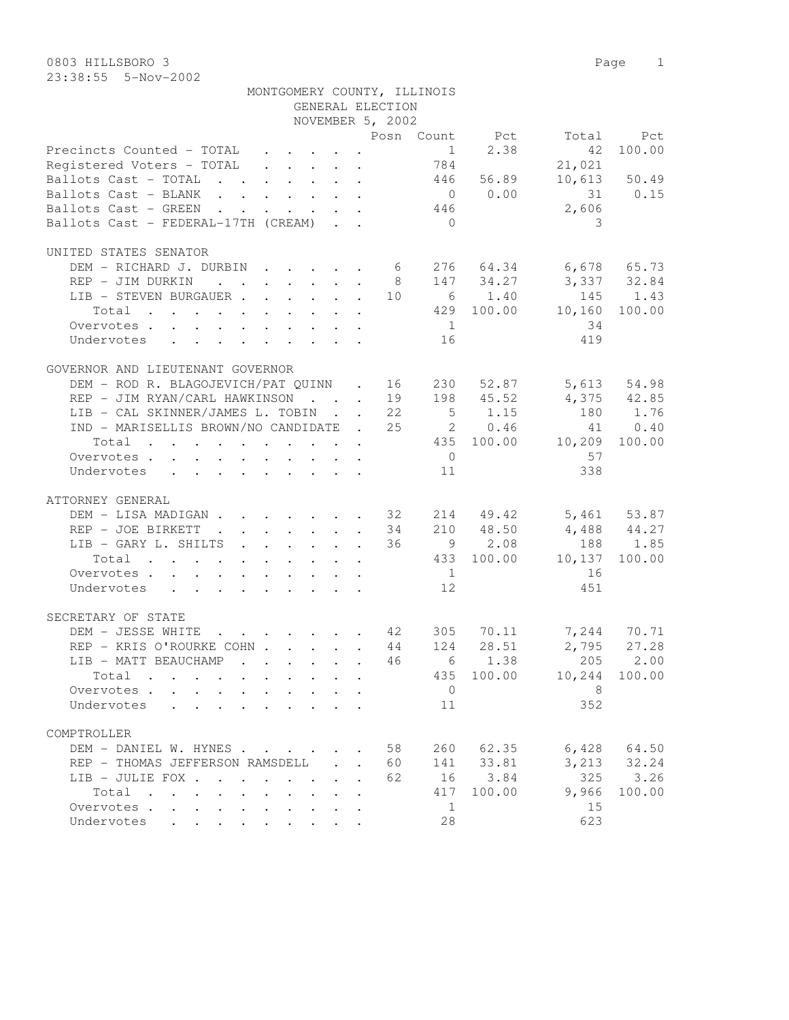|                                                               |                  |    | MONTGOMERY COUNTY, ILLINOIS |           |                          |                 |
|---------------------------------------------------------------|------------------|----|-----------------------------|-----------|--------------------------|-----------------|
|                                                               | GENERAL ELECTION |    |                             |           |                          |                 |
|                                                               | NOVEMBER 5, 2002 |    |                             |           |                          |                 |
|                                                               |                  |    |                             |           | Posn Count Pct Total Pct |                 |
| Precincts Counted - TOTAL $\ldots$ 1 2.38                     |                  |    |                             |           | 42                       | 100.00          |
| Registered Voters - TOTAL 784                                 |                  |    |                             |           | 21,021                   |                 |
| Ballots Cast - TOTAL 446 56.89 10,613 50.49                   |                  |    |                             |           |                          |                 |
| Ballots Cast - BLANK 0 0.00                                   |                  |    |                             |           |                          |                 |
| Ballots Cast - GREEN                                          |                  |    | 446                         |           | $31$ 0.15<br>2,606       |                 |
| Ballots Cast - FEDERAL-17TH (CREAM)                           |                  |    | $\overline{0}$              |           | 3                        |                 |
| UNITED STATES SENATOR                                         |                  |    |                             |           |                          |                 |
| DEM - RICHARD J. DURBIN 6 276 64.34 6,678 65.73               |                  |    |                             |           |                          |                 |
| REP - JIM DURKIN 8 147 34.27 3,337 32.84                      |                  |    |                             |           |                          |                 |
| LIB - STEVEN BURGAUER 10 6 1.40 145 1.43                      |                  |    |                             |           |                          |                 |
| Total 429 100.00 10,160                                       |                  |    |                             |           |                          | 100.00          |
|                                                               |                  |    |                             |           | 34                       |                 |
| Overvotes.                                                    |                  |    | 1                           |           |                          |                 |
| Undervotes                                                    |                  |    | 16                          |           | 419                      |                 |
| GOVERNOR AND LIEUTENANT GOVERNOR                              |                  |    |                             |           |                          |                 |
| DEM - ROD R. BLAGOJEVICH/PAT QUINN . 16 230 52.87 5,613 54.98 |                  |    |                             |           |                          |                 |
| REP - JIM RYAN/CARL HAWKINSON 19 198 45.52 4,375 42.85        |                  |    |                             |           |                          |                 |
| LIB - CAL SKINNER/JAMES L. TOBIN 22 5 1.15 180 1.76           |                  |    |                             |           |                          |                 |
| IND - MARISELLIS BROWN/NO CANDIDATE . 25 2 0.46               |                  |    |                             |           |                          | 41 0.40         |
| Total 435 100.00 10,209 100.00                                |                  |    |                             |           |                          |                 |
| Overvotes $\cdots$ $\cdots$ $\cdots$ $\cdots$                 |                  |    | $\overline{0}$              |           | 57                       |                 |
| Undervotes                                                    |                  |    | 11                          |           | 338                      |                 |
| ATTORNEY GENERAL                                              |                  |    |                             |           |                          |                 |
| DEM - LISA MADIGAN 32 214 49.42 5,461 53.87                   |                  |    |                             |           |                          |                 |
| REP - JOE BIRKETT 34 210 48.50 4,488 44.27                    |                  |    |                             |           |                          |                 |
| LIB - GARY L. SHILTS 36 9 2.08 188 1.85                       |                  |    |                             |           |                          |                 |
| Total 433 100.00 10,137 100.00                                |                  |    |                             |           |                          |                 |
| Overvotes                                                     |                  |    | 1                           |           | 16                       |                 |
| Undervotes                                                    |                  |    | 12                          |           | 451                      |                 |
|                                                               |                  |    |                             |           |                          |                 |
| SECRETARY OF STATE                                            |                  |    |                             |           |                          |                 |
| DEM - JESSE WHITE 42 305 70.11 7,244 70.71                    |                  |    |                             |           |                          |                 |
| REP - KRIS O'ROURKE COHN 44 124 28.51 2,795 27.28             |                  |    |                             |           |                          |                 |
| LIB - MATT BEAUCHAMP                                          |                  |    |                             |           |                          |                 |
| Total                                                         |                  |    |                             |           | 435 100.00 10,244        | 100.00          |
| Overvotes.                                                    |                  |    | $\overline{0}$              |           | 8                        |                 |
| Undervotes                                                    |                  |    | 11                          |           | 352                      |                 |
| COMPTROLLER                                                   |                  |    |                             |           |                          |                 |
| DEM - DANIEL W. HYNES                                         |                  | 58 |                             | 260 62.35 |                          | $6,428$ $64.50$ |
| REP - THOMAS JEFFERSON RAMSDELL                               |                  | 60 |                             | 141 33.81 |                          | $3,213$ $32.24$ |
| LIB - JULIE FOX                                               |                  | 62 |                             | 16 3.84   |                          | 325 3.26        |
| Total                                                         |                  |    | 417                         | 100.00    | 9,966                    | 100.00          |
| Overvotes.                                                    |                  |    | $\mathbf{1}$                |           | 15                       |                 |

Undervotes . . . . . . . . . 28 623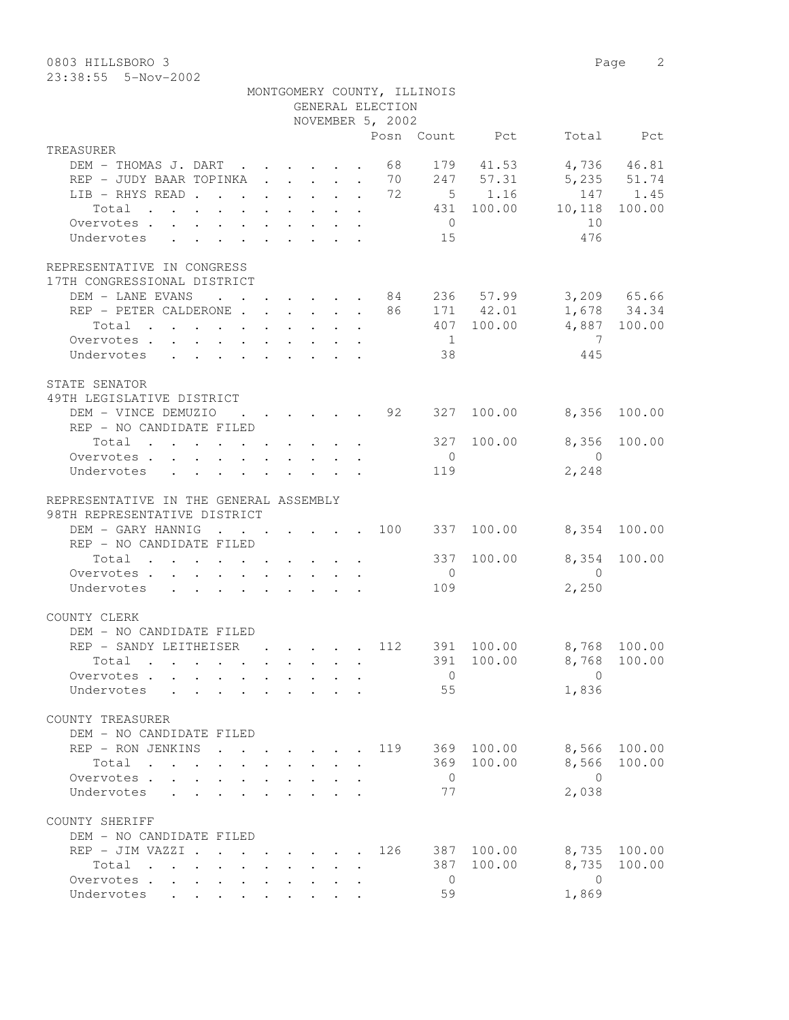0803 HILLSBORO 3 Page 2

| 23:38:55    5-Nov-2002 |                            |  |  |  |                  |                             |                |                                               |     |
|------------------------|----------------------------|--|--|--|------------------|-----------------------------|----------------|-----------------------------------------------|-----|
|                        |                            |  |  |  |                  | MONTGOMERY COUNTY, ILLINOIS |                |                                               |     |
|                        |                            |  |  |  | GENERAL ELECTION |                             |                |                                               |     |
|                        |                            |  |  |  | NOVEMBER 5, 2002 |                             |                |                                               |     |
|                        |                            |  |  |  |                  |                             | Posn Count Pct | Total                                         | Pct |
| TREASURER              |                            |  |  |  |                  |                             |                |                                               |     |
|                        |                            |  |  |  |                  |                             |                | DEM - THOMAS J. DART 68 179 41.53 4,736 46.81 |     |
|                        | REP - JUDY BAAR TOPINKA 70 |  |  |  |                  |                             |                | 247 57.31 5,235 51.74                         |     |
|                        | LIR — RHYS RFAD            |  |  |  |                  |                             |                | $72$ 5 1 1 6 1 4 7 1 4 5                      |     |

| LIB - RHYS READ 72 5 1.16<br>Total 431 100.00 10,118 100.00            |  |  |  |     |                                        |            |                                          | 147 1.45     |
|------------------------------------------------------------------------|--|--|--|-----|----------------------------------------|------------|------------------------------------------|--------------|
| Overvotes                                                              |  |  |  |     |                                        |            | $\begin{array}{c} 10 \\ 476 \end{array}$ |              |
| Undervotes                                                             |  |  |  |     | $\begin{array}{c} 0 \\ 15 \end{array}$ |            | 476                                      |              |
| REPRESENTATIVE IN CONGRESS                                             |  |  |  |     |                                        |            |                                          |              |
| 17TH CONGRESSIONAL DISTRICT                                            |  |  |  |     |                                        |            |                                          |              |
| DEM - LANE EVANS 84 236 57.99 3,209 65.66                              |  |  |  |     |                                        |            |                                          |              |
| REP - PETER CALDERONE 86 171 42.01 1,678 34.34                         |  |  |  |     |                                        |            |                                          |              |
| Total 407 100.00 4,887 100.00                                          |  |  |  |     |                                        |            |                                          |              |
| Overvotes.                                                             |  |  |  |     | 1                                      |            | $\overline{7}$<br>445                    |              |
| Undervotes                                                             |  |  |  |     | 38                                     |            |                                          |              |
| STATE SENATOR                                                          |  |  |  |     |                                        |            |                                          |              |
| 49TH LEGISLATIVE DISTRICT                                              |  |  |  |     |                                        |            |                                          |              |
| DEM - VINCE DEMUZIO<br>REP - NO CANDIDATE FILED                        |  |  |  |     |                                        |            | $\cdot$ 92 327 100.00 8,356 100.00       |              |
| Total $\cdot$                                                          |  |  |  |     |                                        |            | 327 100.00 8,356 100.00                  |              |
| Overvotes                                                              |  |  |  |     | $\overline{0}$                         |            | $\overline{0}$                           |              |
| Undervotes                                                             |  |  |  |     | 119                                    |            | 2,248                                    |              |
| REPRESENTATIVE IN THE GENERAL ASSEMBLY<br>98TH REPRESENTATIVE DISTRICT |  |  |  |     |                                        |            |                                          |              |
| DEM - GARY HANNIG 100 337 100.00 8,354 100.00                          |  |  |  |     |                                        |            |                                          |              |
| REP - NO CANDIDATE FILED                                               |  |  |  |     |                                        |            |                                          |              |
| Total 337 100.00                                                       |  |  |  |     |                                        |            |                                          | 8,354 100.00 |
| Overvotes.                                                             |  |  |  |     | $\overline{0}$                         |            | $\overline{0}$                           |              |
| Undervotes                                                             |  |  |  |     | 109                                    |            | 2,250                                    |              |
| COUNTY CLERK                                                           |  |  |  |     |                                        |            |                                          |              |
| DEM - NO CANDIDATE FILED                                               |  |  |  |     |                                        |            |                                          |              |
| REP - SANDY LEITHEISER 112 391 100.00 8,768 100.00                     |  |  |  |     |                                        |            |                                          |              |
| Total 391 100.00 8,768 100.00                                          |  |  |  |     |                                        |            |                                          |              |
| Overvotes.                                                             |  |  |  |     | $\overline{0}$                         |            | $\overline{0}$                           |              |
| Undervotes 55                                                          |  |  |  |     |                                        |            | 1,836                                    |              |
| COUNTY TREASURER                                                       |  |  |  |     |                                        |            |                                          |              |
| DEM - NO CANDIDATE FILED                                               |  |  |  |     |                                        |            |                                          |              |
| REP - RON JENKINS                                                      |  |  |  |     |                                        |            | $\cdot$ 119 369 100.00 8,566 100.00      |              |
| Total .                                                                |  |  |  |     |                                        |            | 369 100.00 8,566 100.00                  |              |
| Overvotes                                                              |  |  |  |     | $\mathbf{0}$                           |            | $\Omega$                                 |              |
| Undervotes<br>and a strategic control.                                 |  |  |  |     | 77                                     |            | 2,038                                    |              |
| COUNTY SHERIFF                                                         |  |  |  |     |                                        |            |                                          |              |
| DEM - NO CANDIDATE FILED                                               |  |  |  |     |                                        |            |                                          |              |
| REP - JIM VAZZI .                                                      |  |  |  | 126 |                                        | 387 100.00 | 8,735                                    | 100.00       |
| Total                                                                  |  |  |  |     |                                        | 387 100.00 | 8,735                                    | 100.00       |
| Overvotes .<br>$\mathbf{L}^{\text{max}}$                               |  |  |  |     | $\overline{0}$                         |            | $\overline{0}$                           |              |
| Undervotes                                                             |  |  |  |     | 59                                     |            | 1,869                                    |              |
|                                                                        |  |  |  |     |                                        |            |                                          |              |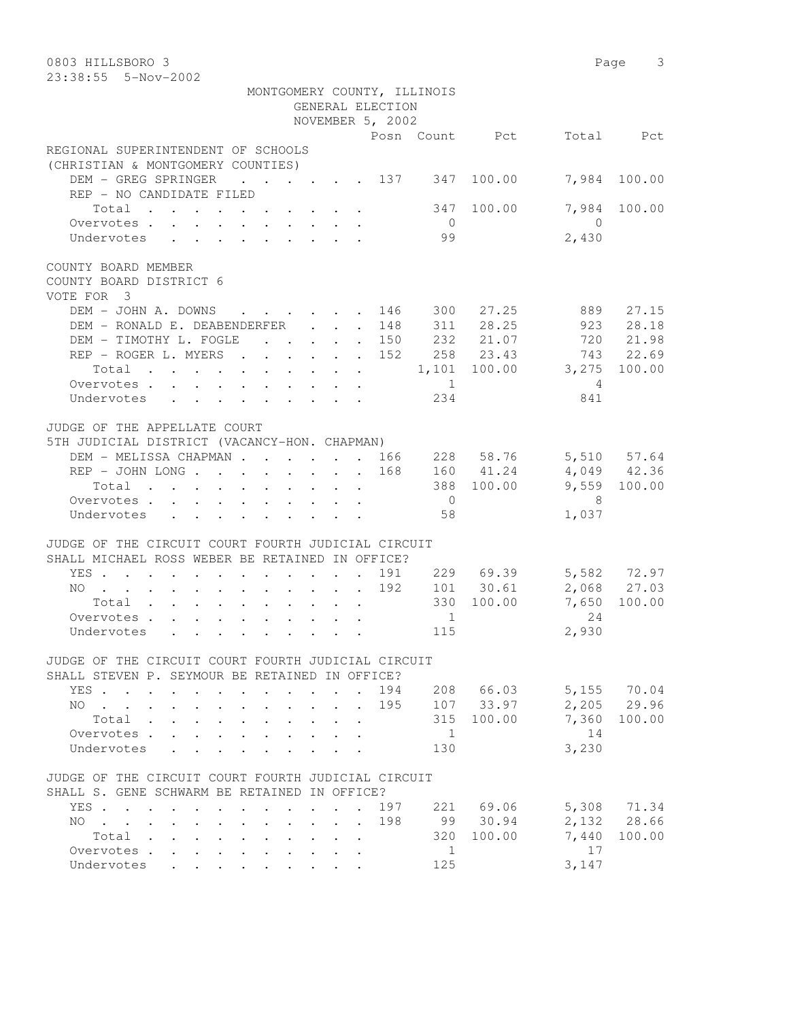| 0803 HILLSBORO 3<br>23:38:55 5-Nov-2002                                                                                                                                                       |                              |                     | Page 3       |
|-----------------------------------------------------------------------------------------------------------------------------------------------------------------------------------------------|------------------------------|---------------------|--------------|
| MONTGOMERY COUNTY, ILLINOIS                                                                                                                                                                   |                              |                     |              |
| GENERAL ELECTION                                                                                                                                                                              |                              |                     |              |
| NOVEMBER 5, 2002                                                                                                                                                                              |                              |                     |              |
|                                                                                                                                                                                               | Posn Count Pct               |                     | Total Pct    |
| REGIONAL SUPERINTENDENT OF SCHOOLS<br>(CHRISTIAN & MONTGOMERY COUNTIES)                                                                                                                       |                              |                     |              |
| DEM - GREG SPRINGER<br>$\cdot$ 137 347<br>REP - NO CANDIDATE FILED                                                                                                                            | 100.00                       | 7,984               | 100.00       |
| Total<br>Overvotes                                                                                                                                                                            | 347 100.00<br>$\overline{0}$ | 7,984<br>$\bigcirc$ | 100.00       |
| Undervotes                                                                                                                                                                                    | 99                           | 2,430               |              |
| COUNTY BOARD MEMBER<br>COUNTY BOARD DISTRICT 6<br>VOTE FOR 3                                                                                                                                  |                              |                     |              |
| DEM - JOHN A. DOWNS<br>146                                                                                                                                                                    | 300 27.25                    | 889                 | 27.15        |
| DEM - RONALD E. DEABENDERFER<br>148<br>$\ddot{\phantom{0}}$                                                                                                                                   | 311 28.25                    | 923                 | 28.18        |
| DEM - TIMOTHY L. FOGLE<br>$\cdot$ $\cdot$ $\cdot$ $\cdot$ $\cdot$ $\cdot$ 150                                                                                                                 | 232 21.07                    | 720                 | 21.98        |
| REP - ROGER L. MYERS<br>152                                                                                                                                                                   | 258 23.43                    | 743                 | 22.69        |
| Total $\cdot$                                                                                                                                                                                 | 1,101 100.00 3,275           |                     | 100.00       |
| 1<br>Overvotes.                                                                                                                                                                               |                              | $\overline{4}$      |              |
| Undervotes                                                                                                                                                                                    | 234                          | 841                 |              |
| JUDGE OF THE APPELLATE COURT<br>5TH JUDICIAL DISTRICT (VACANCY-HON. CHAPMAN)                                                                                                                  |                              |                     |              |
| DEM - MELISSA CHAPMAN 166                                                                                                                                                                     | 228 58.76                    |                     | 5,510 57.64  |
| 168                                                                                                                                                                                           | 160 41.24                    |                     | 4,049 42.36  |
| Total                                                                                                                                                                                         | 388 100.00                   |                     | 9,559 100.00 |
| Overvotes.                                                                                                                                                                                    | $\overline{0}$               | - 8                 |              |
| Undervotes                                                                                                                                                                                    | 58                           | 1,037               |              |
| JUDGE OF THE CIRCUIT COURT FOURTH JUDICIAL CIRCUIT<br>SHALL MICHAEL ROSS WEBER BE RETAINED IN OFFICE?                                                                                         |                              |                     |              |
| YES<br>191<br>$\ddot{\phantom{0}}$                                                                                                                                                            | 229 69.39                    |                     | 5,582 72.97  |
| 192<br>NO                                                                                                                                                                                     | 101 30.61                    |                     | 2,068 27.03  |
| Total $\cdot$                                                                                                                                                                                 | 330 100.00                   | 7,650               | 100.00       |
| Overvotes.                                                                                                                                                                                    | $\mathbf{1}$                 | 24                  |              |
| Undervotes                                                                                                                                                                                    | 115                          | 2,930               |              |
| JUDGE OF THE CIRCUIT COURT FOURTH JUDICIAL CIRCUIT                                                                                                                                            |                              |                     |              |
| SHALL STEVEN P. SEYMOUR BE RETAINED IN OFFICE?<br>194                                                                                                                                         | 208 66.03                    |                     | 5,155 70.04  |
| YES<br>$\sim$<br>195                                                                                                                                                                          | 107 33.97                    | 2,205               | 29.96        |
| NO.<br>and the contract of the con-<br>$\mathbf{L}^{\text{max}}$<br>Total                                                                                                                     | 315<br>100.00                | 7,360               | 100.00       |
| Overvotes .<br>$\mathbf{L}$                                                                                                                                                                   | 1                            | 14                  |              |
| Undervotes                                                                                                                                                                                    | 130                          | 3,230               |              |
| JUDGE OF THE CIRCUIT COURT FOURTH JUDICIAL CIRCUIT                                                                                                                                            |                              |                     |              |
| SHALL S. GENE SCHWARM BE RETAINED IN OFFICE?                                                                                                                                                  |                              |                     |              |
| 197<br>YES<br>$\cdot$ $\cdot$ $\cdot$                                                                                                                                                         | 221 69.06                    |                     | 5,308 71.34  |
| 198<br>NO.<br>$\mathbf{r}$ , and $\mathbf{r}$ , and $\mathbf{r}$ , and $\mathbf{r}$<br>$\mathbf{L}^{\text{max}}$<br>$\cdot$ $\cdot$<br>$\sim$<br>$\ddot{\phantom{0}}$<br>$\ddot{\phantom{0}}$ | 99 30.94                     |                     | 2,132 28.66  |
| Total<br>$\ddot{\phantom{0}}$<br>$\sim$ 100 $\pm$<br>$\sim$ $\sim$<br>$\mathbf{L} = \mathbf{L}$                                                                                               | 320<br>100.00                | 7,440               | 100.00       |
| Overvotes<br>$\mathbf{L}$<br>$\ddot{\phantom{a}}$<br>$\bullet$                                                                                                                                | 1                            | 17                  |              |
| Undervotes                                                                                                                                                                                    | 125                          | 3,147               |              |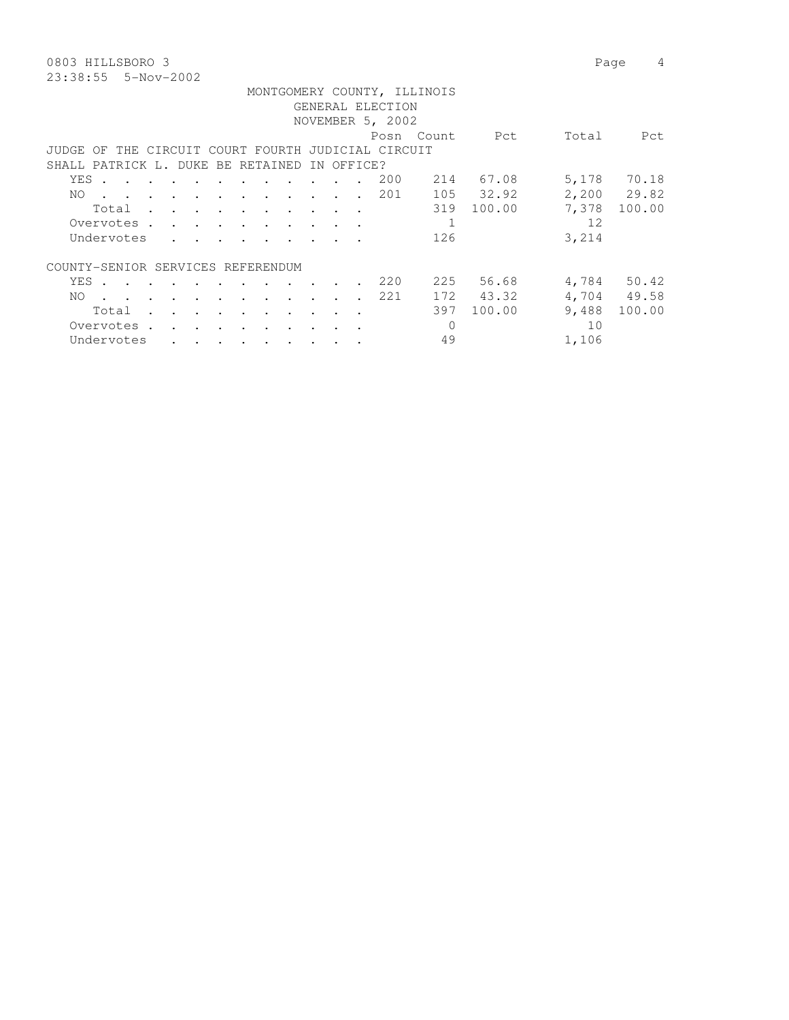0803 HILLSBORO 3 Page 4 23:38:55 5-Nov-2002

|       |       |            |                             |                                                                          |                             |                                                                                                                 |               |            | GENERAL ELECTION                                   | MONTGOMERY COUNTY, ILLINOIS |                 |       |             |
|-------|-------|------------|-----------------------------|--------------------------------------------------------------------------|-----------------------------|-----------------------------------------------------------------------------------------------------------------|---------------|------------|----------------------------------------------------|-----------------------------|-----------------|-------|-------------|
|       |       |            |                             |                                                                          |                             |                                                                                                                 |               |            |                                                    |                             |                 |       |             |
|       |       |            |                             |                                                                          |                             |                                                                                                                 |               |            | NOVEMBER 5, 2002                                   |                             |                 |       |             |
|       |       |            |                             |                                                                          |                             |                                                                                                                 |               |            |                                                    | Posn Count                  | <b>Property</b> | Total | Pct         |
|       |       |            |                             |                                                                          |                             |                                                                                                                 |               |            | JUDGE OF THE CIRCUIT COURT FOURTH JUDICIAL CIRCUIT |                             |                 |       |             |
|       |       |            |                             |                                                                          |                             | SHALL PATRICK L. DUKE BE RETAINED                                                                               |               | IN OFFICE? |                                                    |                             |                 |       |             |
| YES . |       |            |                             |                                                                          |                             |                                                                                                                 |               |            | 200                                                |                             | 214 67.08       |       | 5,178 70.18 |
| NO.   |       |            |                             |                                                                          |                             | the contract of the contract of the contract of the contract of the contract of the contract of the contract of |               |            | 201                                                |                             | 105 32.92       |       | 2,200 29.82 |
|       |       |            |                             |                                                                          |                             | Total                                                                                                           |               |            |                                                    |                             | 319 100.00      | 7,378 | 100.00      |
|       |       |            |                             |                                                                          |                             | Overvotes.                                                                                                      |               |            |                                                    | 1                           |                 | 12    |             |
|       |       | Undervotes |                             | $\mathbf{r}$ , $\mathbf{r}$ , $\mathbf{r}$ , $\mathbf{r}$ , $\mathbf{r}$ |                             |                                                                                                                 |               |            |                                                    | 126                         |                 | 3,214 |             |
|       |       |            |                             | COUNTY-SENIOR SERVICES REFERENDUM                                        |                             |                                                                                                                 |               |            |                                                    |                             |                 |       |             |
|       |       |            |                             | YES                                                                      |                             |                                                                                                                 | $\sim$ $\sim$ |            | 220                                                |                             | 225 56.68       |       | 4,784 50.42 |
| NO.   |       |            |                             |                                                                          |                             | the contract of the contract of the contract of the contract of the contract of the contract of the contract of |               |            | 221                                                |                             | 172 43.32       |       | 4,704 49.58 |
|       | Total |            | $\mathbf{r}$ , $\mathbf{r}$ | $\sim$ $\sim$ $\sim$                                                     | $\sim$ $\sim$ $\sim$ $\sim$ |                                                                                                                 |               | $\sim$     |                                                    | 397                         | 100.00          | 9,488 | 100.00      |
|       |       | Overvotes. |                             |                                                                          |                             |                                                                                                                 |               |            |                                                    | $\Omega$                    |                 | 10    |             |
|       |       | Undervotes |                             | $\mathbf{r}$ , and $\mathbf{r}$ , and $\mathbf{r}$ , and $\mathbf{r}$    |                             |                                                                                                                 |               |            |                                                    | 49                          |                 | 1,106 |             |
|       |       |            |                             |                                                                          |                             |                                                                                                                 |               |            |                                                    |                             |                 |       |             |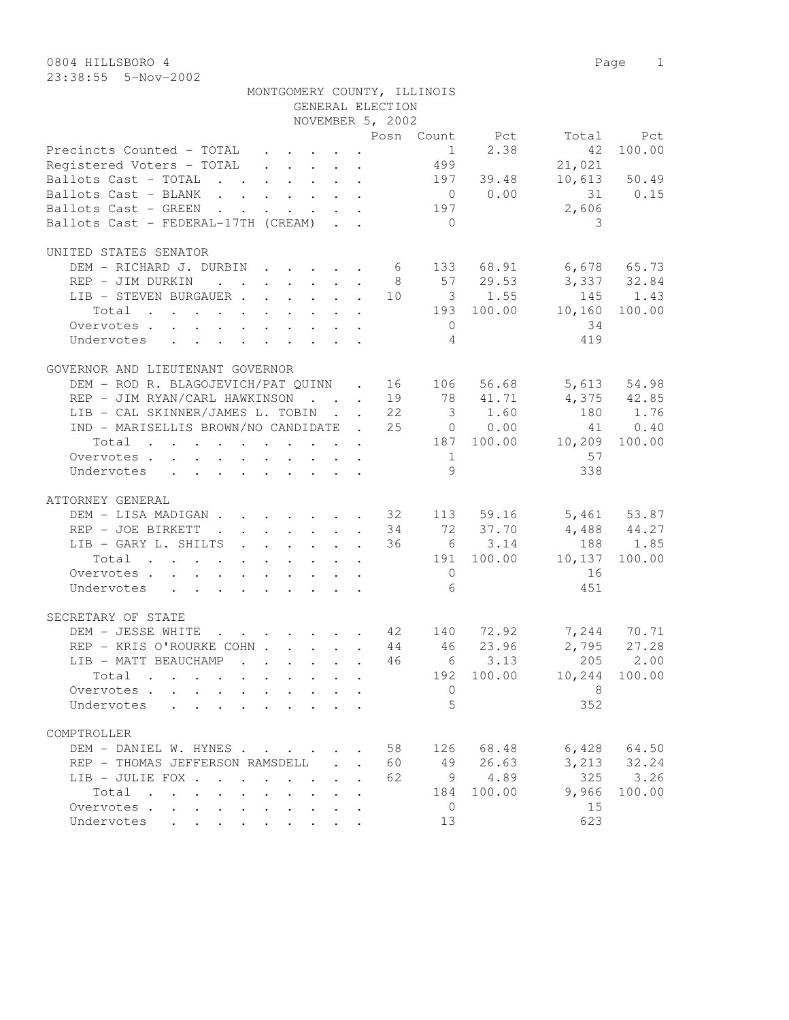| NOVEMBER 5, 2002<br>Posn Count Pct Total Pct<br>$1 2.38$<br>499<br>42<br>100.00<br>Precincts Counted - TOTAL<br>21,021<br>Registered Voters - TOTAL<br>$10,613$ 50.49<br>197 39.48<br>Ballots Cast - TOTAL<br>Ballots Cast - BLANK 0 0.00<br>31 0.15<br>2,606<br>Ballots Cast - GREEN 197<br>Ballots Cast - FEDERAL-17TH (CREAM)<br>$\bigcirc$<br>-3<br>UNITED STATES SENATOR<br>DEM – RICHARD J. DURBIN 6 133 68.91 6,678 65.73<br>REP – JIM DURKIN 8 57 29.53 3,337 32.84<br>LIB – STEVEN BURGAUER 10 3 1.55 145 1.43<br>193 100.00 10,160 100.00<br>Total<br>34<br>Overvotes.<br>$\overline{0}$<br>$\overline{4}$<br>419<br>Undervotes<br>GOVERNOR AND LIEUTENANT GOVERNOR<br>DEM – ROD R. BLAGOJEVICH/PAT QUINN . 16 106 56.68 5,613 54.98<br>REP – JIM RYAN/CARL HAWKINSON 19 78 41.71 4,375 42.85<br>LIB – CAL SKINNER/JAMES L. TOBIN 22 3 1.60 180 1.76<br>LIB - CAL SKINNER/JAMES L. TOBIN 22<br>IND - MARISELLIS BROWN/NO CANDIDATE . 25 0 0.00<br>41 0.40<br>Total 187 100.00 10,209 100.00<br>57<br>$\overline{1}$<br>Overvotes.<br>9<br>338<br>Undervotes<br>ATTORNEY GENERAL<br>DEM - LISA MADIGAN 32 113 59.16 5,461 53.87<br>72 37.70<br>6 3.14<br>$4,488$ $44.27$<br>188 1.85<br>REP - JOE BIRKETT<br>34<br>LIB - GARY L. SHILTS<br>36    6    3.14    100.00<br>191    100.00    10,137    100.00<br>Total<br>Overvotes.<br>$6\overline{6}$<br>451<br>Undervotes<br>SECRETARY OF STATE<br>DEM - JESSE WHITE 42 140 72.92 7,244 70.71<br>46 23.96 2,795 27.28<br>REP - KRIS O'ROURKE COHN 44<br>$\cdot$ 46 6 3.13 205 2.00<br>LIB - MATT BEAUCHAMP<br>10,244 100.00<br>192 100.00<br>$Total \cdot \cdot \cdot \cdot \cdot$<br>Overvotes<br>- 8<br>$\mathbf{0}$<br>$\cdot$ $\cdot$ $\cdot$ $\cdot$<br>$\overline{5}$<br>352<br>Undervotes<br>and the company of the company<br>COMPTROLLER<br>$6,428$ $64.50$<br>DEM - DANIEL W. HYNES<br>58<br>126 68.48<br>49 26.63<br>3, 213 32.24<br>REP - THOMAS JEFFERSON RAMSDELL<br>60<br>$\sim 10^{-10}$<br>$\mathbf{r}$<br>325<br>62<br>$9 \t 4.89$<br>3.26<br>LIB - JULIE FOX<br>100.00<br>9,966<br>100.00<br>Total<br>184<br>15<br>Overvotes<br>$\overline{0}$<br>623<br>13<br>Undervotes | MONTGOMERY COUNTY, ILLINOIS | GENERAL ELECTION |  |  |
|------------------------------------------------------------------------------------------------------------------------------------------------------------------------------------------------------------------------------------------------------------------------------------------------------------------------------------------------------------------------------------------------------------------------------------------------------------------------------------------------------------------------------------------------------------------------------------------------------------------------------------------------------------------------------------------------------------------------------------------------------------------------------------------------------------------------------------------------------------------------------------------------------------------------------------------------------------------------------------------------------------------------------------------------------------------------------------------------------------------------------------------------------------------------------------------------------------------------------------------------------------------------------------------------------------------------------------------------------------------------------------------------------------------------------------------------------------------------------------------------------------------------------------------------------------------------------------------------------------------------------------------------------------------------------------------------------------------------------------------------------------------------------------------------------------------------------------------------------------------------------------------------------------------------------------------------------------------------------------------------------------------------------------------------------------------------------------------------------------------------------------------------------|-----------------------------|------------------|--|--|
|                                                                                                                                                                                                                                                                                                                                                                                                                                                                                                                                                                                                                                                                                                                                                                                                                                                                                                                                                                                                                                                                                                                                                                                                                                                                                                                                                                                                                                                                                                                                                                                                                                                                                                                                                                                                                                                                                                                                                                                                                                                                                                                                                      |                             |                  |  |  |
|                                                                                                                                                                                                                                                                                                                                                                                                                                                                                                                                                                                                                                                                                                                                                                                                                                                                                                                                                                                                                                                                                                                                                                                                                                                                                                                                                                                                                                                                                                                                                                                                                                                                                                                                                                                                                                                                                                                                                                                                                                                                                                                                                      |                             |                  |  |  |
|                                                                                                                                                                                                                                                                                                                                                                                                                                                                                                                                                                                                                                                                                                                                                                                                                                                                                                                                                                                                                                                                                                                                                                                                                                                                                                                                                                                                                                                                                                                                                                                                                                                                                                                                                                                                                                                                                                                                                                                                                                                                                                                                                      |                             |                  |  |  |
|                                                                                                                                                                                                                                                                                                                                                                                                                                                                                                                                                                                                                                                                                                                                                                                                                                                                                                                                                                                                                                                                                                                                                                                                                                                                                                                                                                                                                                                                                                                                                                                                                                                                                                                                                                                                                                                                                                                                                                                                                                                                                                                                                      |                             |                  |  |  |
|                                                                                                                                                                                                                                                                                                                                                                                                                                                                                                                                                                                                                                                                                                                                                                                                                                                                                                                                                                                                                                                                                                                                                                                                                                                                                                                                                                                                                                                                                                                                                                                                                                                                                                                                                                                                                                                                                                                                                                                                                                                                                                                                                      |                             |                  |  |  |
|                                                                                                                                                                                                                                                                                                                                                                                                                                                                                                                                                                                                                                                                                                                                                                                                                                                                                                                                                                                                                                                                                                                                                                                                                                                                                                                                                                                                                                                                                                                                                                                                                                                                                                                                                                                                                                                                                                                                                                                                                                                                                                                                                      |                             |                  |  |  |
|                                                                                                                                                                                                                                                                                                                                                                                                                                                                                                                                                                                                                                                                                                                                                                                                                                                                                                                                                                                                                                                                                                                                                                                                                                                                                                                                                                                                                                                                                                                                                                                                                                                                                                                                                                                                                                                                                                                                                                                                                                                                                                                                                      |                             |                  |  |  |
|                                                                                                                                                                                                                                                                                                                                                                                                                                                                                                                                                                                                                                                                                                                                                                                                                                                                                                                                                                                                                                                                                                                                                                                                                                                                                                                                                                                                                                                                                                                                                                                                                                                                                                                                                                                                                                                                                                                                                                                                                                                                                                                                                      |                             |                  |  |  |
|                                                                                                                                                                                                                                                                                                                                                                                                                                                                                                                                                                                                                                                                                                                                                                                                                                                                                                                                                                                                                                                                                                                                                                                                                                                                                                                                                                                                                                                                                                                                                                                                                                                                                                                                                                                                                                                                                                                                                                                                                                                                                                                                                      |                             |                  |  |  |
|                                                                                                                                                                                                                                                                                                                                                                                                                                                                                                                                                                                                                                                                                                                                                                                                                                                                                                                                                                                                                                                                                                                                                                                                                                                                                                                                                                                                                                                                                                                                                                                                                                                                                                                                                                                                                                                                                                                                                                                                                                                                                                                                                      |                             |                  |  |  |
|                                                                                                                                                                                                                                                                                                                                                                                                                                                                                                                                                                                                                                                                                                                                                                                                                                                                                                                                                                                                                                                                                                                                                                                                                                                                                                                                                                                                                                                                                                                                                                                                                                                                                                                                                                                                                                                                                                                                                                                                                                                                                                                                                      |                             |                  |  |  |
|                                                                                                                                                                                                                                                                                                                                                                                                                                                                                                                                                                                                                                                                                                                                                                                                                                                                                                                                                                                                                                                                                                                                                                                                                                                                                                                                                                                                                                                                                                                                                                                                                                                                                                                                                                                                                                                                                                                                                                                                                                                                                                                                                      |                             |                  |  |  |
|                                                                                                                                                                                                                                                                                                                                                                                                                                                                                                                                                                                                                                                                                                                                                                                                                                                                                                                                                                                                                                                                                                                                                                                                                                                                                                                                                                                                                                                                                                                                                                                                                                                                                                                                                                                                                                                                                                                                                                                                                                                                                                                                                      |                             |                  |  |  |
|                                                                                                                                                                                                                                                                                                                                                                                                                                                                                                                                                                                                                                                                                                                                                                                                                                                                                                                                                                                                                                                                                                                                                                                                                                                                                                                                                                                                                                                                                                                                                                                                                                                                                                                                                                                                                                                                                                                                                                                                                                                                                                                                                      |                             |                  |  |  |
|                                                                                                                                                                                                                                                                                                                                                                                                                                                                                                                                                                                                                                                                                                                                                                                                                                                                                                                                                                                                                                                                                                                                                                                                                                                                                                                                                                                                                                                                                                                                                                                                                                                                                                                                                                                                                                                                                                                                                                                                                                                                                                                                                      |                             |                  |  |  |
|                                                                                                                                                                                                                                                                                                                                                                                                                                                                                                                                                                                                                                                                                                                                                                                                                                                                                                                                                                                                                                                                                                                                                                                                                                                                                                                                                                                                                                                                                                                                                                                                                                                                                                                                                                                                                                                                                                                                                                                                                                                                                                                                                      |                             |                  |  |  |
|                                                                                                                                                                                                                                                                                                                                                                                                                                                                                                                                                                                                                                                                                                                                                                                                                                                                                                                                                                                                                                                                                                                                                                                                                                                                                                                                                                                                                                                                                                                                                                                                                                                                                                                                                                                                                                                                                                                                                                                                                                                                                                                                                      |                             |                  |  |  |
|                                                                                                                                                                                                                                                                                                                                                                                                                                                                                                                                                                                                                                                                                                                                                                                                                                                                                                                                                                                                                                                                                                                                                                                                                                                                                                                                                                                                                                                                                                                                                                                                                                                                                                                                                                                                                                                                                                                                                                                                                                                                                                                                                      |                             |                  |  |  |
|                                                                                                                                                                                                                                                                                                                                                                                                                                                                                                                                                                                                                                                                                                                                                                                                                                                                                                                                                                                                                                                                                                                                                                                                                                                                                                                                                                                                                                                                                                                                                                                                                                                                                                                                                                                                                                                                                                                                                                                                                                                                                                                                                      |                             |                  |  |  |
|                                                                                                                                                                                                                                                                                                                                                                                                                                                                                                                                                                                                                                                                                                                                                                                                                                                                                                                                                                                                                                                                                                                                                                                                                                                                                                                                                                                                                                                                                                                                                                                                                                                                                                                                                                                                                                                                                                                                                                                                                                                                                                                                                      |                             |                  |  |  |
|                                                                                                                                                                                                                                                                                                                                                                                                                                                                                                                                                                                                                                                                                                                                                                                                                                                                                                                                                                                                                                                                                                                                                                                                                                                                                                                                                                                                                                                                                                                                                                                                                                                                                                                                                                                                                                                                                                                                                                                                                                                                                                                                                      |                             |                  |  |  |
|                                                                                                                                                                                                                                                                                                                                                                                                                                                                                                                                                                                                                                                                                                                                                                                                                                                                                                                                                                                                                                                                                                                                                                                                                                                                                                                                                                                                                                                                                                                                                                                                                                                                                                                                                                                                                                                                                                                                                                                                                                                                                                                                                      |                             |                  |  |  |
|                                                                                                                                                                                                                                                                                                                                                                                                                                                                                                                                                                                                                                                                                                                                                                                                                                                                                                                                                                                                                                                                                                                                                                                                                                                                                                                                                                                                                                                                                                                                                                                                                                                                                                                                                                                                                                                                                                                                                                                                                                                                                                                                                      |                             |                  |  |  |
|                                                                                                                                                                                                                                                                                                                                                                                                                                                                                                                                                                                                                                                                                                                                                                                                                                                                                                                                                                                                                                                                                                                                                                                                                                                                                                                                                                                                                                                                                                                                                                                                                                                                                                                                                                                                                                                                                                                                                                                                                                                                                                                                                      |                             |                  |  |  |
|                                                                                                                                                                                                                                                                                                                                                                                                                                                                                                                                                                                                                                                                                                                                                                                                                                                                                                                                                                                                                                                                                                                                                                                                                                                                                                                                                                                                                                                                                                                                                                                                                                                                                                                                                                                                                                                                                                                                                                                                                                                                                                                                                      |                             |                  |  |  |
|                                                                                                                                                                                                                                                                                                                                                                                                                                                                                                                                                                                                                                                                                                                                                                                                                                                                                                                                                                                                                                                                                                                                                                                                                                                                                                                                                                                                                                                                                                                                                                                                                                                                                                                                                                                                                                                                                                                                                                                                                                                                                                                                                      |                             |                  |  |  |
|                                                                                                                                                                                                                                                                                                                                                                                                                                                                                                                                                                                                                                                                                                                                                                                                                                                                                                                                                                                                                                                                                                                                                                                                                                                                                                                                                                                                                                                                                                                                                                                                                                                                                                                                                                                                                                                                                                                                                                                                                                                                                                                                                      |                             |                  |  |  |
|                                                                                                                                                                                                                                                                                                                                                                                                                                                                                                                                                                                                                                                                                                                                                                                                                                                                                                                                                                                                                                                                                                                                                                                                                                                                                                                                                                                                                                                                                                                                                                                                                                                                                                                                                                                                                                                                                                                                                                                                                                                                                                                                                      |                             |                  |  |  |
|                                                                                                                                                                                                                                                                                                                                                                                                                                                                                                                                                                                                                                                                                                                                                                                                                                                                                                                                                                                                                                                                                                                                                                                                                                                                                                                                                                                                                                                                                                                                                                                                                                                                                                                                                                                                                                                                                                                                                                                                                                                                                                                                                      |                             |                  |  |  |
|                                                                                                                                                                                                                                                                                                                                                                                                                                                                                                                                                                                                                                                                                                                                                                                                                                                                                                                                                                                                                                                                                                                                                                                                                                                                                                                                                                                                                                                                                                                                                                                                                                                                                                                                                                                                                                                                                                                                                                                                                                                                                                                                                      |                             |                  |  |  |
|                                                                                                                                                                                                                                                                                                                                                                                                                                                                                                                                                                                                                                                                                                                                                                                                                                                                                                                                                                                                                                                                                                                                                                                                                                                                                                                                                                                                                                                                                                                                                                                                                                                                                                                                                                                                                                                                                                                                                                                                                                                                                                                                                      |                             |                  |  |  |
|                                                                                                                                                                                                                                                                                                                                                                                                                                                                                                                                                                                                                                                                                                                                                                                                                                                                                                                                                                                                                                                                                                                                                                                                                                                                                                                                                                                                                                                                                                                                                                                                                                                                                                                                                                                                                                                                                                                                                                                                                                                                                                                                                      |                             |                  |  |  |
|                                                                                                                                                                                                                                                                                                                                                                                                                                                                                                                                                                                                                                                                                                                                                                                                                                                                                                                                                                                                                                                                                                                                                                                                                                                                                                                                                                                                                                                                                                                                                                                                                                                                                                                                                                                                                                                                                                                                                                                                                                                                                                                                                      |                             |                  |  |  |
|                                                                                                                                                                                                                                                                                                                                                                                                                                                                                                                                                                                                                                                                                                                                                                                                                                                                                                                                                                                                                                                                                                                                                                                                                                                                                                                                                                                                                                                                                                                                                                                                                                                                                                                                                                                                                                                                                                                                                                                                                                                                                                                                                      |                             |                  |  |  |
|                                                                                                                                                                                                                                                                                                                                                                                                                                                                                                                                                                                                                                                                                                                                                                                                                                                                                                                                                                                                                                                                                                                                                                                                                                                                                                                                                                                                                                                                                                                                                                                                                                                                                                                                                                                                                                                                                                                                                                                                                                                                                                                                                      |                             |                  |  |  |
|                                                                                                                                                                                                                                                                                                                                                                                                                                                                                                                                                                                                                                                                                                                                                                                                                                                                                                                                                                                                                                                                                                                                                                                                                                                                                                                                                                                                                                                                                                                                                                                                                                                                                                                                                                                                                                                                                                                                                                                                                                                                                                                                                      |                             |                  |  |  |
|                                                                                                                                                                                                                                                                                                                                                                                                                                                                                                                                                                                                                                                                                                                                                                                                                                                                                                                                                                                                                                                                                                                                                                                                                                                                                                                                                                                                                                                                                                                                                                                                                                                                                                                                                                                                                                                                                                                                                                                                                                                                                                                                                      |                             |                  |  |  |
|                                                                                                                                                                                                                                                                                                                                                                                                                                                                                                                                                                                                                                                                                                                                                                                                                                                                                                                                                                                                                                                                                                                                                                                                                                                                                                                                                                                                                                                                                                                                                                                                                                                                                                                                                                                                                                                                                                                                                                                                                                                                                                                                                      |                             |                  |  |  |
|                                                                                                                                                                                                                                                                                                                                                                                                                                                                                                                                                                                                                                                                                                                                                                                                                                                                                                                                                                                                                                                                                                                                                                                                                                                                                                                                                                                                                                                                                                                                                                                                                                                                                                                                                                                                                                                                                                                                                                                                                                                                                                                                                      |                             |                  |  |  |
|                                                                                                                                                                                                                                                                                                                                                                                                                                                                                                                                                                                                                                                                                                                                                                                                                                                                                                                                                                                                                                                                                                                                                                                                                                                                                                                                                                                                                                                                                                                                                                                                                                                                                                                                                                                                                                                                                                                                                                                                                                                                                                                                                      |                             |                  |  |  |
|                                                                                                                                                                                                                                                                                                                                                                                                                                                                                                                                                                                                                                                                                                                                                                                                                                                                                                                                                                                                                                                                                                                                                                                                                                                                                                                                                                                                                                                                                                                                                                                                                                                                                                                                                                                                                                                                                                                                                                                                                                                                                                                                                      |                             |                  |  |  |
|                                                                                                                                                                                                                                                                                                                                                                                                                                                                                                                                                                                                                                                                                                                                                                                                                                                                                                                                                                                                                                                                                                                                                                                                                                                                                                                                                                                                                                                                                                                                                                                                                                                                                                                                                                                                                                                                                                                                                                                                                                                                                                                                                      |                             |                  |  |  |
|                                                                                                                                                                                                                                                                                                                                                                                                                                                                                                                                                                                                                                                                                                                                                                                                                                                                                                                                                                                                                                                                                                                                                                                                                                                                                                                                                                                                                                                                                                                                                                                                                                                                                                                                                                                                                                                                                                                                                                                                                                                                                                                                                      |                             |                  |  |  |
|                                                                                                                                                                                                                                                                                                                                                                                                                                                                                                                                                                                                                                                                                                                                                                                                                                                                                                                                                                                                                                                                                                                                                                                                                                                                                                                                                                                                                                                                                                                                                                                                                                                                                                                                                                                                                                                                                                                                                                                                                                                                                                                                                      |                             |                  |  |  |
|                                                                                                                                                                                                                                                                                                                                                                                                                                                                                                                                                                                                                                                                                                                                                                                                                                                                                                                                                                                                                                                                                                                                                                                                                                                                                                                                                                                                                                                                                                                                                                                                                                                                                                                                                                                                                                                                                                                                                                                                                                                                                                                                                      |                             |                  |  |  |
|                                                                                                                                                                                                                                                                                                                                                                                                                                                                                                                                                                                                                                                                                                                                                                                                                                                                                                                                                                                                                                                                                                                                                                                                                                                                                                                                                                                                                                                                                                                                                                                                                                                                                                                                                                                                                                                                                                                                                                                                                                                                                                                                                      |                             |                  |  |  |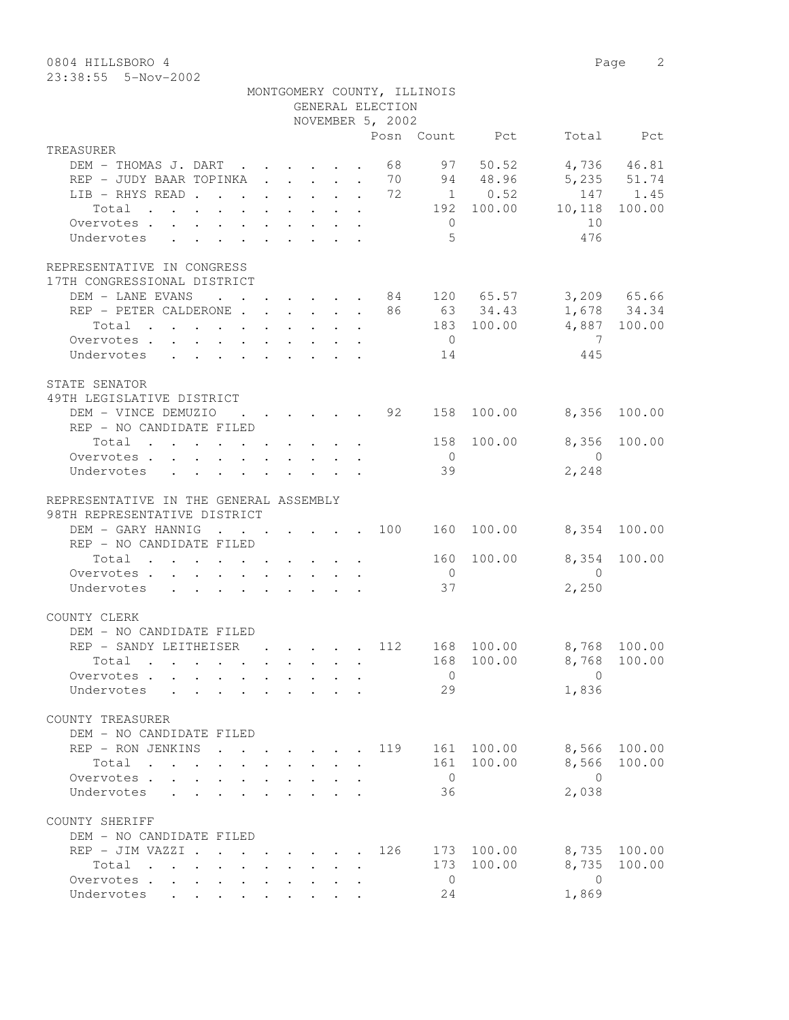0804 HILLSBORO 4 Page 2

23:38:55 5-Nov-2002

|                                                                                                                              |                                                                                                                                                                                                                                   |  |                                                     |              |                  | MONTGOMERY COUNTY, ILLINOIS |                 |                                                                             |              |
|------------------------------------------------------------------------------------------------------------------------------|-----------------------------------------------------------------------------------------------------------------------------------------------------------------------------------------------------------------------------------|--|-----------------------------------------------------|--------------|------------------|-----------------------------|-----------------|-----------------------------------------------------------------------------|--------------|
|                                                                                                                              |                                                                                                                                                                                                                                   |  |                                                     |              | GENERAL ELECTION |                             |                 |                                                                             |              |
|                                                                                                                              |                                                                                                                                                                                                                                   |  |                                                     |              | NOVEMBER 5, 2002 |                             | Posn Count Pct  |                                                                             | Total Pct    |
| TREASURER                                                                                                                    |                                                                                                                                                                                                                                   |  |                                                     |              |                  |                             |                 |                                                                             |              |
| DEM - THOMAS J. DART 68                                                                                                      |                                                                                                                                                                                                                                   |  |                                                     |              |                  |                             | 97 50.52        |                                                                             | 4,736 46.81  |
| REP - JUDY BAAR TOPINKA 70                                                                                                   |                                                                                                                                                                                                                                   |  |                                                     |              |                  |                             | 94 48.96        | 5, 235 51.74                                                                |              |
| LIB - RHYS READ 72                                                                                                           |                                                                                                                                                                                                                                   |  |                                                     |              |                  |                             | $1 \qquad 0.52$ |                                                                             | 147 1.45     |
| Total                                                                                                                        |                                                                                                                                                                                                                                   |  |                                                     |              |                  |                             |                 | $192 \t100.00 \t10,118$                                                     | 100.00       |
| Overvotes                                                                                                                    |                                                                                                                                                                                                                                   |  |                                                     |              |                  | $\overline{0}$              |                 | 10                                                                          |              |
| Undervotes                                                                                                                   |                                                                                                                                                                                                                                   |  |                                                     |              |                  | 5                           |                 | 476                                                                         |              |
|                                                                                                                              |                                                                                                                                                                                                                                   |  |                                                     |              |                  |                             |                 |                                                                             |              |
| REPRESENTATIVE IN CONGRESS                                                                                                   |                                                                                                                                                                                                                                   |  |                                                     |              |                  |                             |                 |                                                                             |              |
| 17TH CONGRESSIONAL DISTRICT                                                                                                  |                                                                                                                                                                                                                                   |  |                                                     |              |                  |                             |                 |                                                                             |              |
| DEM - LANE EVANS                                                                                                             |                                                                                                                                                                                                                                   |  |                                                     |              |                  |                             |                 | $\cdot$ 84 120 65.57 3,209 65.66                                            |              |
| REP - PETER CALDERONE 86 63 34.43 1,678 34.34                                                                                |                                                                                                                                                                                                                                   |  |                                                     |              |                  |                             |                 |                                                                             |              |
| Total $\cdot$                                                                                                                |                                                                                                                                                                                                                                   |  |                                                     |              |                  |                             |                 | 183 100.00 4,887 100.00                                                     |              |
| Overvotes                                                                                                                    |                                                                                                                                                                                                                                   |  |                                                     |              |                  | $\overline{0}$              |                 | $\overline{7}$                                                              |              |
| Undervotes<br>$\mathbf{r}$ , and $\mathbf{r}$ , and $\mathbf{r}$ , and $\mathbf{r}$ , and $\mathbf{r}$                       |                                                                                                                                                                                                                                   |  |                                                     |              |                  | 14                          |                 | 445                                                                         |              |
|                                                                                                                              |                                                                                                                                                                                                                                   |  |                                                     |              |                  |                             |                 |                                                                             |              |
| STATE SENATOR                                                                                                                |                                                                                                                                                                                                                                   |  |                                                     |              |                  |                             |                 |                                                                             |              |
| 49TH LEGISLATIVE DISTRICT                                                                                                    |                                                                                                                                                                                                                                   |  |                                                     |              |                  |                             |                 |                                                                             |              |
| DEM - VINCE DEMUZIO : 92                                                                                                     |                                                                                                                                                                                                                                   |  |                                                     |              |                  | 158                         | 100.00          | 8,356                                                                       | 100.00       |
| REP - NO CANDIDATE FILED                                                                                                     |                                                                                                                                                                                                                                   |  |                                                     |              |                  |                             |                 |                                                                             |              |
| Total $\cdot$                                                                                                                |                                                                                                                                                                                                                                   |  |                                                     |              |                  |                             | 158 100.00      | 8,356                                                                       | 100.00       |
| Overvotes                                                                                                                    |                                                                                                                                                                                                                                   |  |                                                     |              |                  | $\overline{0}$              |                 | $\bigcirc$                                                                  |              |
| Undervotes<br>$\mathbf{r}$ , $\mathbf{r}$ , $\mathbf{r}$ , $\mathbf{r}$ , $\mathbf{r}$ , $\mathbf{r}$                        |                                                                                                                                                                                                                                   |  |                                                     |              |                  | 39                          |                 | 2,248                                                                       |              |
|                                                                                                                              |                                                                                                                                                                                                                                   |  |                                                     |              |                  |                             |                 |                                                                             |              |
| REPRESENTATIVE IN THE GENERAL ASSEMBLY                                                                                       |                                                                                                                                                                                                                                   |  |                                                     |              |                  |                             |                 |                                                                             |              |
| 98TH REPRESENTATIVE DISTRICT                                                                                                 |                                                                                                                                                                                                                                   |  |                                                     |              |                  |                             |                 |                                                                             |              |
| DEM - GARY HANNIG 100 160 100.00                                                                                             |                                                                                                                                                                                                                                   |  |                                                     |              |                  |                             |                 | 8,354 100.00                                                                |              |
| REP - NO CANDIDATE FILED                                                                                                     |                                                                                                                                                                                                                                   |  |                                                     |              |                  |                             |                 |                                                                             |              |
| Total $\cdot$                                                                                                                |                                                                                                                                                                                                                                   |  |                                                     |              |                  | 160                         | 100.00          | 8,354                                                                       | 100.00       |
| Overvotes                                                                                                                    |                                                                                                                                                                                                                                   |  |                                                     |              |                  | $\overline{0}$              |                 | $\overline{0}$                                                              |              |
| Undervotes                                                                                                                   |                                                                                                                                                                                                                                   |  |                                                     |              |                  | 37                          |                 | 2,250                                                                       |              |
| COUNTY CLERK                                                                                                                 |                                                                                                                                                                                                                                   |  |                                                     |              |                  |                             |                 |                                                                             |              |
| DEM - NO CANDIDATE FILED                                                                                                     |                                                                                                                                                                                                                                   |  |                                                     |              |                  |                             |                 |                                                                             |              |
| REP - SANDY LEITHEISER                                                                                                       |                                                                                                                                                                                                                                   |  |                                                     |              |                  |                             |                 | $\cdot$ $\cdot$ $\cdot$ $\cdot$ $\cdot$ $\cdot$ 112 168 100.00 8,768 100.00 |              |
|                                                                                                                              |                                                                                                                                                                                                                                   |  |                                                     |              |                  |                             |                 | 168 100.00 8,768 100.00                                                     |              |
| Overvotes                                                                                                                    |                                                                                                                                                                                                                                   |  |                                                     |              |                  | 0                           |                 | 0                                                                           |              |
|                                                                                                                              |                                                                                                                                                                                                                                   |  |                                                     |              |                  | 29                          |                 | 1,836                                                                       |              |
| Undervotes                                                                                                                   |                                                                                                                                                                                                                                   |  |                                                     |              |                  |                             |                 |                                                                             |              |
| COUNTY TREASURER                                                                                                             |                                                                                                                                                                                                                                   |  |                                                     |              |                  |                             |                 |                                                                             |              |
| DEM - NO CANDIDATE FILED                                                                                                     |                                                                                                                                                                                                                                   |  |                                                     |              |                  |                             |                 |                                                                             |              |
| REP - RON JENKINS                                                                                                            | $\mathbf{r}$ . The set of the set of the set of the set of the set of the set of the set of the set of the set of the set of the set of the set of the set of the set of the set of the set of the set of the set of the set of t |  |                                                     |              | 119              |                             | 161 100.00      | 8,566                                                                       | 100.00       |
| Total                                                                                                                        |                                                                                                                                                                                                                                   |  | $\mathbf{r} = \mathbf{r} + \mathbf{r} + \mathbf{r}$ |              |                  |                             | 161 100.00      | 8,566                                                                       | 100.00       |
| Overvotes.                                                                                                                   |                                                                                                                                                                                                                                   |  |                                                     | $\mathbf{r}$ |                  | $\overline{0}$              |                 | $\overline{0}$                                                              |              |
| Undervotes                                                                                                                   |                                                                                                                                                                                                                                   |  |                                                     |              |                  | 36                          |                 | 2,038                                                                       |              |
|                                                                                                                              |                                                                                                                                                                                                                                   |  |                                                     |              |                  |                             |                 |                                                                             |              |
| COUNTY SHERIFF<br>DEM - NO CANDIDATE FILED                                                                                   |                                                                                                                                                                                                                                   |  |                                                     |              |                  |                             |                 |                                                                             |              |
| REP - JIM VAZZI                                                                                                              |                                                                                                                                                                                                                                   |  |                                                     |              | 126              |                             | 173 100.00      |                                                                             | 8,735 100.00 |
| Total                                                                                                                        |                                                                                                                                                                                                                                   |  |                                                     |              |                  |                             | 173 100.00      | 8,735                                                                       | 100.00       |
| the contract of the contract of the contract of the contract of the contract of the contract of the contract of<br>Overvotes |                                                                                                                                                                                                                                   |  |                                                     |              |                  | $\overline{0}$              |                 | $\overline{0}$                                                              |              |
| Undervotes                                                                                                                   |                                                                                                                                                                                                                                   |  | $\sim$                                              |              |                  | 24                          |                 | 1,869                                                                       |              |
|                                                                                                                              |                                                                                                                                                                                                                                   |  |                                                     |              |                  |                             |                 |                                                                             |              |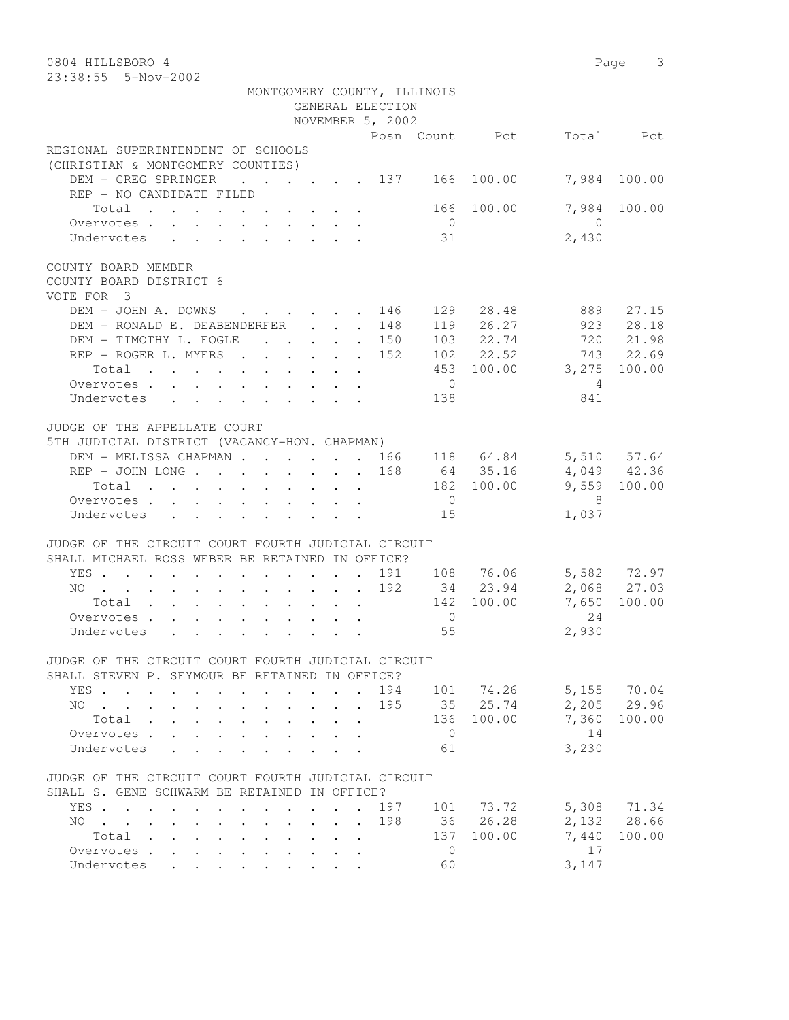| 0804 HILLSBORO 4<br>23:38:55  5-Nov-2002                                                                                                                        |                     | Page 3      |
|-----------------------------------------------------------------------------------------------------------------------------------------------------------------|---------------------|-------------|
| MONTGOMERY COUNTY, ILLINOIS<br>GENERAL ELECTION                                                                                                                 |                     |             |
| NOVEMBER 5, 2002                                                                                                                                                |                     |             |
| Posn Count Pct                                                                                                                                                  |                     | Total Pct   |
| REGIONAL SUPERINTENDENT OF SCHOOLS<br>(CHRISTIAN & MONTGOMERY COUNTIES)                                                                                         |                     |             |
| DEM - GREG SPRINGER<br>$\cdot$ $\cdot$ $\cdot$ $\cdot$ $\cdot$ $\cdot$ 137<br>166<br>100.00<br>REP - NO CANDIDATE FILED                                         | 7,984               | 100.00      |
| 166 100.00<br>Total<br>$\overline{0}$<br>Overvotes                                                                                                              | 7,984<br>$\bigcirc$ | 100.00      |
| 31<br>Undervotes<br>$\mathbf{r}$ , $\mathbf{r}$ , $\mathbf{r}$ , $\mathbf{r}$ , $\mathbf{r}$ , $\mathbf{r}$                                                     | 2,430               |             |
| COUNTY BOARD MEMBER<br>COUNTY BOARD DISTRICT 6<br>VOTE FOR 3                                                                                                    |                     |             |
| DEM - JOHN A. DOWNS<br>129 28.48<br>146                                                                                                                         | 889                 | 27.15       |
| 119 26.27<br>DEM - RONALD E. DEABENDERFER<br>148<br>$\ddot{\phantom{0}}$                                                                                        | 923                 | 28.18       |
| 103 22.74<br>DEM - TIMOTHY L. FOGLE<br>$\mathbf{r}$ , $\mathbf{r}$ , $\mathbf{r}$ , $\mathbf{r}$<br>. 150                                                       | 720                 | 21.98       |
| 102 22.52<br>REP - ROGER L. MYERS<br>152                                                                                                                        | 743                 | 22.69       |
| 453 100.00 3,275<br>Total                                                                                                                                       |                     | 100.00      |
| Overvotes<br>$\overline{0}$                                                                                                                                     | $\overline{4}$      |             |
| Undervotes<br>138                                                                                                                                               | 841                 |             |
| JUDGE OF THE APPELLATE COURT                                                                                                                                    |                     |             |
| 5TH JUDICIAL DISTRICT (VACANCY-HON. CHAPMAN)                                                                                                                    |                     |             |
| 118 64.84 5,510 57.64<br>DEM - MELISSA CHAPMAN<br>166<br>$\mathbf{r}$                                                                                           |                     |             |
| 168<br>64 35.16                                                                                                                                                 | 4,049 42.36         |             |
| 182 100.00<br>Total                                                                                                                                             | 9,559               | 100.00      |
| $\overline{0}$<br>Overvotes                                                                                                                                     | - 8                 |             |
| Undervotes<br>15                                                                                                                                                | 1,037               |             |
| JUDGE OF THE CIRCUIT COURT FOURTH JUDICIAL CIRCUIT<br>SHALL MICHAEL ROSS WEBER BE RETAINED IN OFFICE?                                                           |                     |             |
| 191 108 76.06<br>YES<br>$\sim$                                                                                                                                  |                     | 5,582 72.97 |
| 192<br>34 23.94<br>NO                                                                                                                                           |                     | 2,068 27.03 |
| 142 100.00<br>Total $\cdot$                                                                                                                                     | 7,650               | 100.00      |
| $\overline{0}$<br>Overvotes.                                                                                                                                    | 24                  |             |
| 55<br>Undervotes                                                                                                                                                | 2,930               |             |
| JUDGE OF THE CIRCUIT COURT FOURTH JUDICIAL CIRCUIT                                                                                                              |                     |             |
| SHALL STEVEN P. SEYMOUR BE RETAINED IN OFFICE?                                                                                                                  |                     |             |
| 194<br>101 74.26<br>YES.<br>$\mathbf{r}$ , $\mathbf{r}$ , $\mathbf{r}$ , $\mathbf{r}$                                                                           |                     | 5,155 70.04 |
| 195<br>35 25.74<br>NO.<br>$\mathbf{r}$ , $\mathbf{r}$ , $\mathbf{r}$ , $\mathbf{r}$<br>$\sim$<br>$\bullet$ .<br>$\ddot{\phantom{0}}$<br>$\ddot{\phantom{0}}$    | 2,205               | 29.96       |
| 100.00<br>136<br>Total .<br>$\mathbf{L}^{\text{max}}$<br>$\ddot{\phantom{a}}$<br>$\ddot{\phantom{a}}$<br>$\ddot{\phantom{a}}$<br>$\ddot{\phantom{0}}$           | 7,360               | 100.00      |
| $\overline{0}$<br>Overvotes                                                                                                                                     | 14                  |             |
| Undervotes<br>61                                                                                                                                                | 3,230               |             |
| JUDGE OF THE CIRCUIT COURT FOURTH JUDICIAL CIRCUIT                                                                                                              |                     |             |
| SHALL S. GENE SCHWARM BE RETAINED IN OFFICE?                                                                                                                    |                     |             |
| 197<br>101<br>73.72<br>YES<br>$\mathbf{r}$ , $\mathbf{r}$ , $\mathbf{r}$ , $\mathbf{r}$<br>$\ddot{\phantom{a}}$<br>$\ddot{\phantom{a}}$<br>$\ddot{\phantom{a}}$ |                     | 5,308 71.34 |
| 26.28<br>198<br>36<br>NO.<br>$\cdot$ $\cdot$ $\cdot$ $\cdot$ $\cdot$ $\cdot$ $\cdot$<br>$\mathbf{r}$ , $\mathbf{r}$ , $\mathbf{r}$ , $\mathbf{r}$<br>$\sim$     |                     | 2,132 28.66 |
| 137<br>100.00<br>Total<br>$\cdot$ $\cdot$<br>$\sim$<br>$\mathbf{z} = \mathbf{z}$ .                                                                              | 7,440               | 100.00      |
| Overvotes.<br>0<br>$\cdot$ $\cdot$ $\cdot$<br>$\sim$                                                                                                            | 17                  |             |
| Undervotes<br>60                                                                                                                                                | 3,147               |             |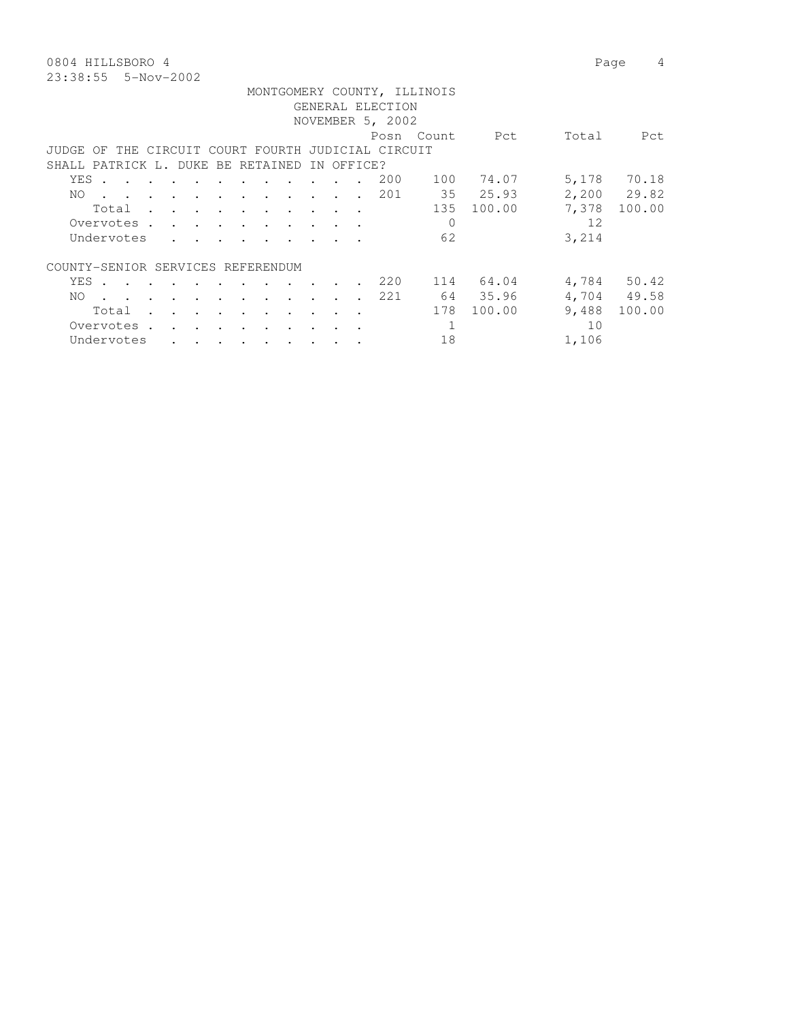0804 HILLSBORO 4 Page 4 23:38:55 5-Nov-2002

|       |            |  |                                            |                                 |                                                                                                                                                             |                                                                                                                 |                          |               |            |                                                    | MONTGOMERY COUNTY, ILLINOIS |                 |       |             |
|-------|------------|--|--------------------------------------------|---------------------------------|-------------------------------------------------------------------------------------------------------------------------------------------------------------|-----------------------------------------------------------------------------------------------------------------|--------------------------|---------------|------------|----------------------------------------------------|-----------------------------|-----------------|-------|-------------|
|       |            |  |                                            |                                 |                                                                                                                                                             |                                                                                                                 |                          |               |            | GENERAL ELECTION                                   |                             |                 |       |             |
|       |            |  |                                            |                                 |                                                                                                                                                             |                                                                                                                 |                          |               |            | NOVEMBER 5, 2002                                   |                             |                 |       |             |
|       |            |  |                                            |                                 |                                                                                                                                                             |                                                                                                                 |                          |               |            |                                                    | Posn Count                  | <b>Property</b> | Total | Pct         |
|       |            |  |                                            |                                 |                                                                                                                                                             |                                                                                                                 |                          |               |            | JUDGE OF THE CIRCUIT COURT FOURTH JUDICIAL CIRCUIT |                             |                 |       |             |
|       |            |  |                                            |                                 |                                                                                                                                                             | SHALL PATRICK L. DUKE BE RETAINED                                                                               |                          |               | IN OFFICE? |                                                    |                             |                 |       |             |
| YES . |            |  |                                            |                                 |                                                                                                                                                             |                                                                                                                 |                          |               |            | 200                                                | 100                         | 74.07           |       | 5,178 70.18 |
| NO.   |            |  |                                            |                                 |                                                                                                                                                             | the contract of the contract of the contract of the contract of the contract of the contract of the contract of |                          |               |            | 201                                                |                             | 35 25.93        |       | 2,200 29.82 |
|       |            |  |                                            |                                 |                                                                                                                                                             | Total                                                                                                           |                          |               |            |                                                    |                             | 135 100.00      | 7,378 | 100.00      |
|       |            |  |                                            |                                 |                                                                                                                                                             | Overvotes.                                                                                                      |                          |               |            |                                                    | $\Omega$                    |                 | 12    |             |
|       | Undervotes |  |                                            |                                 | $\mathbf{r}$ , $\mathbf{r}$ , $\mathbf{r}$ , $\mathbf{r}$ , $\mathbf{r}$                                                                                    |                                                                                                                 |                          |               |            |                                                    | 62                          |                 | 3,214 |             |
|       |            |  |                                            |                                 |                                                                                                                                                             | COUNTY-SENIOR SERVICES REFERENDUM                                                                               |                          |               |            |                                                    |                             |                 |       |             |
|       |            |  |                                            |                                 | YES                                                                                                                                                         |                                                                                                                 | <b>Contract Contract</b> |               |            | 220                                                |                             | 114 64.04       |       | 4,784 50.42 |
| NO.   |            |  |                                            |                                 |                                                                                                                                                             | the contract of the contract of the contract of the contract of the contract of the contract of the contract of |                          |               |            | 221                                                |                             | 64 35.96        |       | 4,704 49.58 |
|       | Total      |  | $\mathbf{r}$ , $\mathbf{r}$ , $\mathbf{r}$ | <b>Contract Contract Street</b> | and the contract of the contract of                                                                                                                         |                                                                                                                 | $\sim$ $\sim$            | $\sim$ $\sim$ |            |                                                    | 178                         | 100.00          | 9,488 | 100.00      |
|       | Overvotes. |  |                                            |                                 |                                                                                                                                                             |                                                                                                                 |                          |               |            |                                                    | 1                           |                 | 10    |             |
|       | Undervotes |  |                                            |                                 | $\begin{array}{cccccccccccccccccc} \bullet & \bullet & \bullet & \bullet & \bullet & \bullet & \bullet & \bullet & \bullet & \bullet & \bullet \end{array}$ |                                                                                                                 |                          |               |            |                                                    | 18                          |                 | 1,106 |             |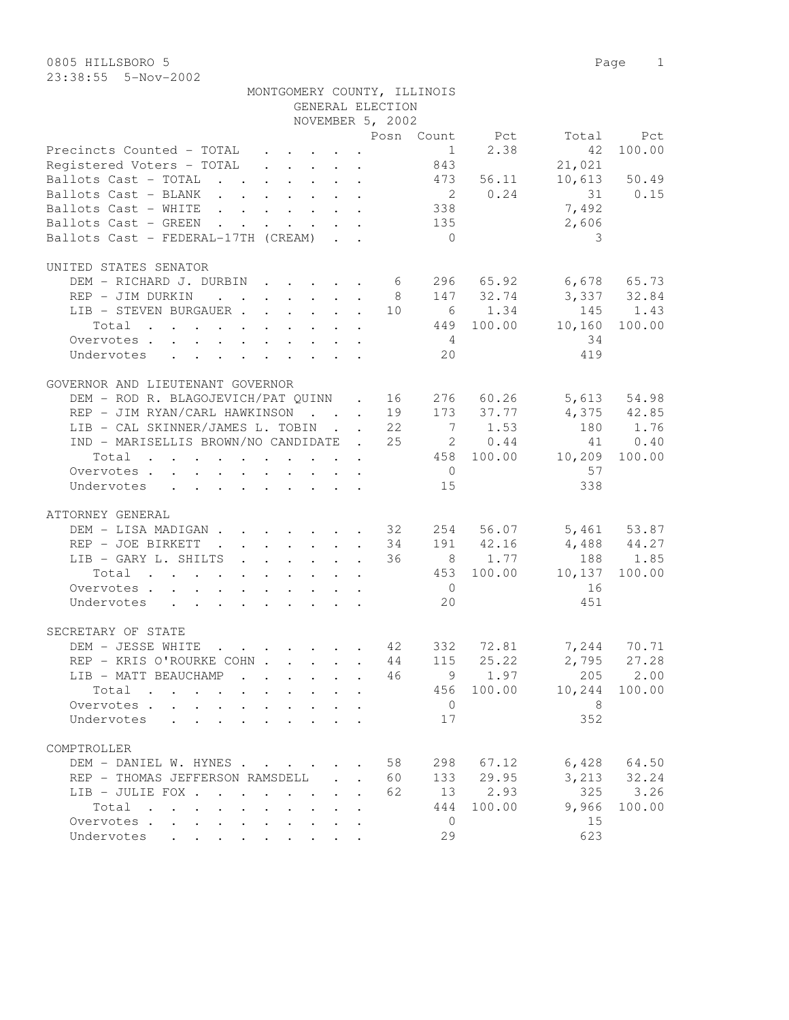| ZJ.JO.JJ JTNUVTZUUZ            |  |  |  |  |                  |                             |                |                                                                                            |              |
|--------------------------------|--|--|--|--|------------------|-----------------------------|----------------|--------------------------------------------------------------------------------------------|--------------|
|                                |  |  |  |  |                  | MONTGOMERY COUNTY, ILLINOIS |                |                                                                                            |              |
|                                |  |  |  |  | GENERAL ELECTION |                             |                |                                                                                            |              |
|                                |  |  |  |  | NOVEMBER 5, 2002 |                             |                |                                                                                            |              |
|                                |  |  |  |  |                  |                             | Posn Count Pct | Total                                                                                      | Pct          |
|                                |  |  |  |  |                  |                             |                | Precincts Counted - TOTAL $\cdot \cdot \cdot \cdot$ . $\cdot \cdot \cdot$ 1 2.38 42 100.00 |              |
| Registered Voters - TOTAL      |  |  |  |  |                  |                             |                | 21,021                                                                                     |              |
| Ballots Cast - TOTAL 473 56.11 |  |  |  |  |                  |                             |                |                                                                                            | 10,613 50.49 |
| Ballots Cast - BLANK           |  |  |  |  |                  |                             |                | 2 0.24 31 0.15                                                                             |              |
| Rallots Cast - WHITE           |  |  |  |  |                  | ろろと                         |                | 7492                                                                                       |              |

| UNITED STATES SENATOR<br>DEM - RICHARD J. DURBIN 6 296 65.92 6,678 65.73<br>8 147 32.74 3,337 32.84<br>REP - JIM DURKIN<br>$\begin{array}{cccccc} 10 & & 6 & & 1.34 & & 145 & & 1.43 \\ & & 449 & 100.00 & & 10,160 & 100.00 \end{array}$<br>LIB - STEVEN BURGAUER<br>Total<br>$4\overline{4}$<br>34<br>Overvotes<br>20<br>419<br>Undervotes<br>GOVERNOR AND LIEUTENANT GOVERNOR<br>DEM - ROD R. BLAGOJEVICH/PAT QUINN . 16 276 60.26 5,613 54.98<br>REP - JIM RYAN/CARL HAWKINSON 19 173 37.77 4,375 42.85<br>LIB - CAL SKINNER/JAMES L. TOBIN 22 7 1.53<br>180 1.76<br>IND - MARISELLIS BROWN/NO CANDIDATE . 25<br>$\begin{array}{cccccc} 25 & \hspace{1.5mm} 2 & \hspace{1.5mm} 0.44 & \hspace{1.5mm} 41 & \hspace{1.5mm} 0.40 \\ 458 & \hspace{1.5mm} 100.00 & \hspace{1.5mm} 10,209 & \hspace{1.5mm} 100.00 \end{array}$<br>Total<br>$\overline{0}$<br>57<br>Overvotes<br>15<br>338<br>Undervotes<br>ATTORNEY GENERAL<br>DEM - LISA MADIGAN 32   254   56.07   5,461   53.87<br>REP - JOE BIRKETT 34   191   42.16   4,488   44.27<br>LIB - GARY L. SHILTS 36 8 1.77 188 1.85<br>Total 453 100.00 10,137 100.00<br>$\overline{0}$<br>16<br>Overvotes.<br>20<br>451<br>Undervotes<br>SECRETARY OF STATE<br>42 332 72.81 7,244 70.71<br>44 115 25.22 2,795 27.28<br>DEM - JESSE WHITE 42<br>REP - KRIS O'ROURKE COHN<br>LIB - MATT BEAUCHAMP 46 9 1.97<br>205 2.00<br>456 100.00 10,244 100.00<br>Total<br>$\overline{0}$<br>8 <sup>8</sup><br>Overvotes<br>352<br>17<br>Undervotes<br>COMPTROLLER<br>DEM - DANIEL W. HYNES 58 298 67.12 6,428 64.50<br>REP - THOMAS JEFFERSON RAMSDELL 60 133 29.95<br>3, 213 32.24<br>325<br>3.26<br>LIB - JULIE FOX<br>62<br>13 2.93<br>444<br>100.00 9,966<br>100.00<br>Total<br>$\overline{0}$<br>15<br>Overvotes.<br>29<br>623<br>Undervotes | Ballots Cast - BLANK 2 0.24 31<br>Ballots Cast - WHITE<br>Ballots Cast - GREEN<br>Ballots Cast - FEDERAL-17TH (CREAM) |  | $\begin{array}{c} 135 \\ 0 \end{array}$ | 338 | 7,492<br>2,606<br>$\overline{\phantom{a}}$ | 0.15 |
|---------------------------------------------------------------------------------------------------------------------------------------------------------------------------------------------------------------------------------------------------------------------------------------------------------------------------------------------------------------------------------------------------------------------------------------------------------------------------------------------------------------------------------------------------------------------------------------------------------------------------------------------------------------------------------------------------------------------------------------------------------------------------------------------------------------------------------------------------------------------------------------------------------------------------------------------------------------------------------------------------------------------------------------------------------------------------------------------------------------------------------------------------------------------------------------------------------------------------------------------------------------------------------------------------------------------------------------------------------------------------------------------------------------------------------------------------------------------------------------------------------------------------------------------------------------------------------------------------------------------------------------------------------------------------------------------------------------------------------------------------------------------------------------|-----------------------------------------------------------------------------------------------------------------------|--|-----------------------------------------|-----|--------------------------------------------|------|
|                                                                                                                                                                                                                                                                                                                                                                                                                                                                                                                                                                                                                                                                                                                                                                                                                                                                                                                                                                                                                                                                                                                                                                                                                                                                                                                                                                                                                                                                                                                                                                                                                                                                                                                                                                                       |                                                                                                                       |  |                                         |     |                                            |      |
|                                                                                                                                                                                                                                                                                                                                                                                                                                                                                                                                                                                                                                                                                                                                                                                                                                                                                                                                                                                                                                                                                                                                                                                                                                                                                                                                                                                                                                                                                                                                                                                                                                                                                                                                                                                       |                                                                                                                       |  |                                         |     |                                            |      |
|                                                                                                                                                                                                                                                                                                                                                                                                                                                                                                                                                                                                                                                                                                                                                                                                                                                                                                                                                                                                                                                                                                                                                                                                                                                                                                                                                                                                                                                                                                                                                                                                                                                                                                                                                                                       |                                                                                                                       |  |                                         |     |                                            |      |
|                                                                                                                                                                                                                                                                                                                                                                                                                                                                                                                                                                                                                                                                                                                                                                                                                                                                                                                                                                                                                                                                                                                                                                                                                                                                                                                                                                                                                                                                                                                                                                                                                                                                                                                                                                                       |                                                                                                                       |  |                                         |     |                                            |      |
|                                                                                                                                                                                                                                                                                                                                                                                                                                                                                                                                                                                                                                                                                                                                                                                                                                                                                                                                                                                                                                                                                                                                                                                                                                                                                                                                                                                                                                                                                                                                                                                                                                                                                                                                                                                       |                                                                                                                       |  |                                         |     |                                            |      |
|                                                                                                                                                                                                                                                                                                                                                                                                                                                                                                                                                                                                                                                                                                                                                                                                                                                                                                                                                                                                                                                                                                                                                                                                                                                                                                                                                                                                                                                                                                                                                                                                                                                                                                                                                                                       |                                                                                                                       |  |                                         |     |                                            |      |
|                                                                                                                                                                                                                                                                                                                                                                                                                                                                                                                                                                                                                                                                                                                                                                                                                                                                                                                                                                                                                                                                                                                                                                                                                                                                                                                                                                                                                                                                                                                                                                                                                                                                                                                                                                                       |                                                                                                                       |  |                                         |     |                                            |      |
|                                                                                                                                                                                                                                                                                                                                                                                                                                                                                                                                                                                                                                                                                                                                                                                                                                                                                                                                                                                                                                                                                                                                                                                                                                                                                                                                                                                                                                                                                                                                                                                                                                                                                                                                                                                       |                                                                                                                       |  |                                         |     |                                            |      |
|                                                                                                                                                                                                                                                                                                                                                                                                                                                                                                                                                                                                                                                                                                                                                                                                                                                                                                                                                                                                                                                                                                                                                                                                                                                                                                                                                                                                                                                                                                                                                                                                                                                                                                                                                                                       |                                                                                                                       |  |                                         |     |                                            |      |
|                                                                                                                                                                                                                                                                                                                                                                                                                                                                                                                                                                                                                                                                                                                                                                                                                                                                                                                                                                                                                                                                                                                                                                                                                                                                                                                                                                                                                                                                                                                                                                                                                                                                                                                                                                                       |                                                                                                                       |  |                                         |     |                                            |      |
|                                                                                                                                                                                                                                                                                                                                                                                                                                                                                                                                                                                                                                                                                                                                                                                                                                                                                                                                                                                                                                                                                                                                                                                                                                                                                                                                                                                                                                                                                                                                                                                                                                                                                                                                                                                       |                                                                                                                       |  |                                         |     |                                            |      |
|                                                                                                                                                                                                                                                                                                                                                                                                                                                                                                                                                                                                                                                                                                                                                                                                                                                                                                                                                                                                                                                                                                                                                                                                                                                                                                                                                                                                                                                                                                                                                                                                                                                                                                                                                                                       |                                                                                                                       |  |                                         |     |                                            |      |
|                                                                                                                                                                                                                                                                                                                                                                                                                                                                                                                                                                                                                                                                                                                                                                                                                                                                                                                                                                                                                                                                                                                                                                                                                                                                                                                                                                                                                                                                                                                                                                                                                                                                                                                                                                                       |                                                                                                                       |  |                                         |     |                                            |      |
|                                                                                                                                                                                                                                                                                                                                                                                                                                                                                                                                                                                                                                                                                                                                                                                                                                                                                                                                                                                                                                                                                                                                                                                                                                                                                                                                                                                                                                                                                                                                                                                                                                                                                                                                                                                       |                                                                                                                       |  |                                         |     |                                            |      |
|                                                                                                                                                                                                                                                                                                                                                                                                                                                                                                                                                                                                                                                                                                                                                                                                                                                                                                                                                                                                                                                                                                                                                                                                                                                                                                                                                                                                                                                                                                                                                                                                                                                                                                                                                                                       |                                                                                                                       |  |                                         |     |                                            |      |
|                                                                                                                                                                                                                                                                                                                                                                                                                                                                                                                                                                                                                                                                                                                                                                                                                                                                                                                                                                                                                                                                                                                                                                                                                                                                                                                                                                                                                                                                                                                                                                                                                                                                                                                                                                                       |                                                                                                                       |  |                                         |     |                                            |      |
|                                                                                                                                                                                                                                                                                                                                                                                                                                                                                                                                                                                                                                                                                                                                                                                                                                                                                                                                                                                                                                                                                                                                                                                                                                                                                                                                                                                                                                                                                                                                                                                                                                                                                                                                                                                       |                                                                                                                       |  |                                         |     |                                            |      |
|                                                                                                                                                                                                                                                                                                                                                                                                                                                                                                                                                                                                                                                                                                                                                                                                                                                                                                                                                                                                                                                                                                                                                                                                                                                                                                                                                                                                                                                                                                                                                                                                                                                                                                                                                                                       |                                                                                                                       |  |                                         |     |                                            |      |
|                                                                                                                                                                                                                                                                                                                                                                                                                                                                                                                                                                                                                                                                                                                                                                                                                                                                                                                                                                                                                                                                                                                                                                                                                                                                                                                                                                                                                                                                                                                                                                                                                                                                                                                                                                                       |                                                                                                                       |  |                                         |     |                                            |      |
|                                                                                                                                                                                                                                                                                                                                                                                                                                                                                                                                                                                                                                                                                                                                                                                                                                                                                                                                                                                                                                                                                                                                                                                                                                                                                                                                                                                                                                                                                                                                                                                                                                                                                                                                                                                       |                                                                                                                       |  |                                         |     |                                            |      |
|                                                                                                                                                                                                                                                                                                                                                                                                                                                                                                                                                                                                                                                                                                                                                                                                                                                                                                                                                                                                                                                                                                                                                                                                                                                                                                                                                                                                                                                                                                                                                                                                                                                                                                                                                                                       |                                                                                                                       |  |                                         |     |                                            |      |
|                                                                                                                                                                                                                                                                                                                                                                                                                                                                                                                                                                                                                                                                                                                                                                                                                                                                                                                                                                                                                                                                                                                                                                                                                                                                                                                                                                                                                                                                                                                                                                                                                                                                                                                                                                                       |                                                                                                                       |  |                                         |     |                                            |      |
|                                                                                                                                                                                                                                                                                                                                                                                                                                                                                                                                                                                                                                                                                                                                                                                                                                                                                                                                                                                                                                                                                                                                                                                                                                                                                                                                                                                                                                                                                                                                                                                                                                                                                                                                                                                       |                                                                                                                       |  |                                         |     |                                            |      |
|                                                                                                                                                                                                                                                                                                                                                                                                                                                                                                                                                                                                                                                                                                                                                                                                                                                                                                                                                                                                                                                                                                                                                                                                                                                                                                                                                                                                                                                                                                                                                                                                                                                                                                                                                                                       |                                                                                                                       |  |                                         |     |                                            |      |
|                                                                                                                                                                                                                                                                                                                                                                                                                                                                                                                                                                                                                                                                                                                                                                                                                                                                                                                                                                                                                                                                                                                                                                                                                                                                                                                                                                                                                                                                                                                                                                                                                                                                                                                                                                                       |                                                                                                                       |  |                                         |     |                                            |      |
|                                                                                                                                                                                                                                                                                                                                                                                                                                                                                                                                                                                                                                                                                                                                                                                                                                                                                                                                                                                                                                                                                                                                                                                                                                                                                                                                                                                                                                                                                                                                                                                                                                                                                                                                                                                       |                                                                                                                       |  |                                         |     |                                            |      |
|                                                                                                                                                                                                                                                                                                                                                                                                                                                                                                                                                                                                                                                                                                                                                                                                                                                                                                                                                                                                                                                                                                                                                                                                                                                                                                                                                                                                                                                                                                                                                                                                                                                                                                                                                                                       |                                                                                                                       |  |                                         |     |                                            |      |
|                                                                                                                                                                                                                                                                                                                                                                                                                                                                                                                                                                                                                                                                                                                                                                                                                                                                                                                                                                                                                                                                                                                                                                                                                                                                                                                                                                                                                                                                                                                                                                                                                                                                                                                                                                                       |                                                                                                                       |  |                                         |     |                                            |      |
|                                                                                                                                                                                                                                                                                                                                                                                                                                                                                                                                                                                                                                                                                                                                                                                                                                                                                                                                                                                                                                                                                                                                                                                                                                                                                                                                                                                                                                                                                                                                                                                                                                                                                                                                                                                       |                                                                                                                       |  |                                         |     |                                            |      |
|                                                                                                                                                                                                                                                                                                                                                                                                                                                                                                                                                                                                                                                                                                                                                                                                                                                                                                                                                                                                                                                                                                                                                                                                                                                                                                                                                                                                                                                                                                                                                                                                                                                                                                                                                                                       |                                                                                                                       |  |                                         |     |                                            |      |
|                                                                                                                                                                                                                                                                                                                                                                                                                                                                                                                                                                                                                                                                                                                                                                                                                                                                                                                                                                                                                                                                                                                                                                                                                                                                                                                                                                                                                                                                                                                                                                                                                                                                                                                                                                                       |                                                                                                                       |  |                                         |     |                                            |      |
|                                                                                                                                                                                                                                                                                                                                                                                                                                                                                                                                                                                                                                                                                                                                                                                                                                                                                                                                                                                                                                                                                                                                                                                                                                                                                                                                                                                                                                                                                                                                                                                                                                                                                                                                                                                       |                                                                                                                       |  |                                         |     |                                            |      |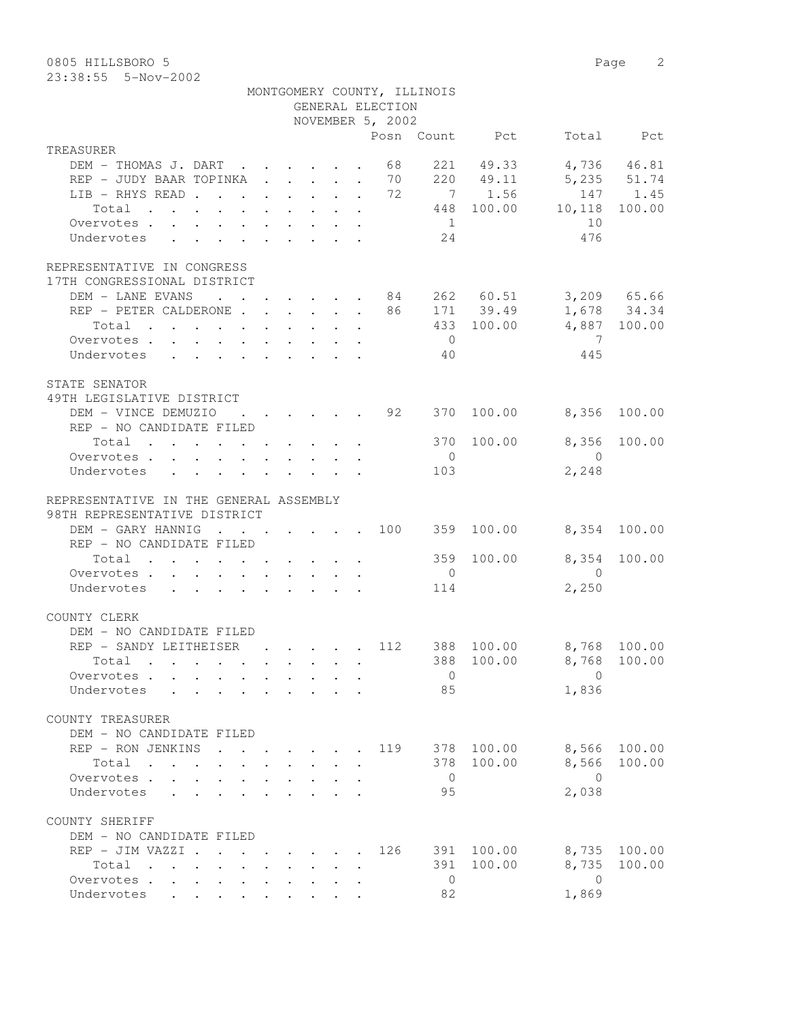0805 HILLSBORO 5 Page 2

23:38:55 5-Nov-2002

|                                                                    |  |  |  |                                                                                                                                                                                                                                      |                      |                  | MONTGOMERY COUNTY, ILLINOIS |                |                                     |              |
|--------------------------------------------------------------------|--|--|--|--------------------------------------------------------------------------------------------------------------------------------------------------------------------------------------------------------------------------------------|----------------------|------------------|-----------------------------|----------------|-------------------------------------|--------------|
|                                                                    |  |  |  |                                                                                                                                                                                                                                      |                      | GENERAL ELECTION |                             |                |                                     |              |
|                                                                    |  |  |  |                                                                                                                                                                                                                                      |                      | NOVEMBER 5, 2002 |                             | Posn Count Pct |                                     | Total Pct    |
| TREASURER                                                          |  |  |  |                                                                                                                                                                                                                                      |                      |                  |                             |                |                                     |              |
| DEM - THOMAS J. DART 68                                            |  |  |  |                                                                                                                                                                                                                                      |                      |                  |                             | 221 49.33      | 4,736 46.81                         |              |
| REP - JUDY BAAR TOPINKA 70                                         |  |  |  |                                                                                                                                                                                                                                      |                      |                  |                             | 220 49.11      | 5, 235 51.74                        |              |
| LIB - RHYS READ 72                                                 |  |  |  |                                                                                                                                                                                                                                      |                      |                  |                             | 7 1.56         |                                     | 147 1.45     |
| Total                                                              |  |  |  |                                                                                                                                                                                                                                      |                      |                  |                             |                | $448$ 100.00 10,118                 | 100.00       |
| Overvotes                                                          |  |  |  |                                                                                                                                                                                                                                      |                      |                  | $\overline{1}$              |                | 10                                  |              |
| Undervotes                                                         |  |  |  |                                                                                                                                                                                                                                      |                      |                  | 24                          |                | 476                                 |              |
| REPRESENTATIVE IN CONGRESS                                         |  |  |  |                                                                                                                                                                                                                                      |                      |                  |                             |                |                                     |              |
| 17TH CONGRESSIONAL DISTRICT                                        |  |  |  |                                                                                                                                                                                                                                      |                      |                  |                             |                |                                     |              |
| DEM - LANE EVANS                                                   |  |  |  |                                                                                                                                                                                                                                      |                      |                  |                             |                | $\cdots$ 84 262 60.51 3,209 65.66   |              |
| REP - PETER CALDERONE 86                                           |  |  |  |                                                                                                                                                                                                                                      |                      |                  |                             |                | 171 39.49 1,678 34.34               |              |
| Total $\cdot$                                                      |  |  |  |                                                                                                                                                                                                                                      |                      |                  |                             |                | 433 100.00 4,887 100.00             |              |
| Overvotes                                                          |  |  |  |                                                                                                                                                                                                                                      |                      |                  | $\overline{0}$              |                | $\overline{7}$                      |              |
| Undervotes                                                         |  |  |  |                                                                                                                                                                                                                                      |                      |                  | -40                         |                | 445                                 |              |
|                                                                    |  |  |  |                                                                                                                                                                                                                                      |                      |                  |                             |                |                                     |              |
| STATE SENATOR<br>49TH LEGISLATIVE DISTRICT                         |  |  |  |                                                                                                                                                                                                                                      |                      |                  |                             |                |                                     |              |
| DEM - VINCE DEMUZIO : 92                                           |  |  |  |                                                                                                                                                                                                                                      |                      |                  | 370                         | 100.00         | 8,356                               | 100.00       |
| REP - NO CANDIDATE FILED                                           |  |  |  |                                                                                                                                                                                                                                      |                      |                  |                             |                |                                     |              |
| Total                                                              |  |  |  |                                                                                                                                                                                                                                      |                      |                  |                             | 370 100.00     | 8,356                               | 100.00       |
| Overvotes                                                          |  |  |  |                                                                                                                                                                                                                                      |                      |                  | $\overline{0}$              |                | $\bigcirc$                          |              |
| Undervotes                                                         |  |  |  | $\mathbf{r}$ , $\mathbf{r}$ , $\mathbf{r}$ , $\mathbf{r}$ , $\mathbf{r}$ , $\mathbf{r}$                                                                                                                                              |                      |                  | 103                         |                | 2,248                               |              |
| REPRESENTATIVE IN THE GENERAL ASSEMBLY                             |  |  |  |                                                                                                                                                                                                                                      |                      |                  |                             |                |                                     |              |
| 98TH REPRESENTATIVE DISTRICT                                       |  |  |  |                                                                                                                                                                                                                                      |                      |                  |                             |                |                                     |              |
| DEM - GARY HANNIG 100 359                                          |  |  |  |                                                                                                                                                                                                                                      |                      |                  |                             | 100.00         | 8,354 100.00                        |              |
| REP - NO CANDIDATE FILED                                           |  |  |  |                                                                                                                                                                                                                                      |                      |                  |                             |                |                                     |              |
| Total                                                              |  |  |  |                                                                                                                                                                                                                                      |                      |                  | 359                         | 100.00         | 8,354                               | 100.00       |
| Overvotes                                                          |  |  |  |                                                                                                                                                                                                                                      |                      |                  | $\overline{0}$              |                | $\overline{0}$                      |              |
| Undervotes                                                         |  |  |  |                                                                                                                                                                                                                                      |                      |                  | 114                         |                | 2,250                               |              |
| COUNTY CLERK                                                       |  |  |  |                                                                                                                                                                                                                                      |                      |                  |                             |                |                                     |              |
| DEM - NO CANDIDATE FILED                                           |  |  |  |                                                                                                                                                                                                                                      |                      |                  |                             |                |                                     |              |
| REP - SANDY LEITHEISER                                             |  |  |  |                                                                                                                                                                                                                                      |                      |                  |                             |                | $\cdot$ 112 388 100.00 8,768 100.00 |              |
| $Total \cdot \cdot \cdot \cdot \cdot \cdot \cdot \cdot \cdot$      |  |  |  |                                                                                                                                                                                                                                      |                      |                  |                             |                | 388 100.00 8,768 100.00             |              |
| Overvotes                                                          |  |  |  |                                                                                                                                                                                                                                      |                      |                  | 0                           |                | 0                                   |              |
| Undervotes                                                         |  |  |  |                                                                                                                                                                                                                                      |                      |                  | 85                          |                | 1,836                               |              |
| COUNTY TREASURER                                                   |  |  |  |                                                                                                                                                                                                                                      |                      |                  |                             |                |                                     |              |
| DEM - NO CANDIDATE FILED                                           |  |  |  |                                                                                                                                                                                                                                      |                      |                  |                             |                |                                     |              |
| REP - RON JENKINS                                                  |  |  |  | <u>na na manang mga sangayon ng mga sangayon ng mga sangayon ng mga sangayon ng mga sangayon ng mga sangayon ng mga sangayon ng mga sangayon ng mga sangayon ng mga sangayon ng mga sangayon ng mga sangayon ng mga sangayon ng </u> |                      | 119              |                             | 378 100.00     | 8,566                               | 100.00       |
| Total                                                              |  |  |  | $\mathbf{r}$ . The set of $\mathbf{r}$                                                                                                                                                                                               |                      |                  |                             | 378 100.00     | 8,566                               | 100.00       |
| Overvotes.                                                         |  |  |  |                                                                                                                                                                                                                                      | $\ddot{\phantom{a}}$ |                  | $\overline{0}$              |                | $\overline{0}$                      |              |
| Undervotes                                                         |  |  |  |                                                                                                                                                                                                                                      |                      |                  | 95                          |                | 2,038                               |              |
| COUNTY SHERIFF                                                     |  |  |  |                                                                                                                                                                                                                                      |                      |                  |                             |                |                                     |              |
| DEM - NO CANDIDATE FILED                                           |  |  |  |                                                                                                                                                                                                                                      |                      |                  |                             |                |                                     |              |
| REP - JIM VAZZI                                                    |  |  |  |                                                                                                                                                                                                                                      |                      | 126              |                             | 391 100.00     |                                     | 8,735 100.00 |
| Total<br>$\mathbf{r}$ , $\mathbf{r}$ , $\mathbf{r}$ , $\mathbf{r}$ |  |  |  |                                                                                                                                                                                                                                      |                      |                  |                             | 391 100.00     | 8,735                               | 100.00       |
| Overvotes                                                          |  |  |  |                                                                                                                                                                                                                                      |                      |                  | $\overline{0}$              |                | $\overline{0}$                      |              |
| Undervotes                                                         |  |  |  |                                                                                                                                                                                                                                      |                      |                  | 82                          |                | 1,869                               |              |
|                                                                    |  |  |  |                                                                                                                                                                                                                                      |                      |                  |                             |                |                                     |              |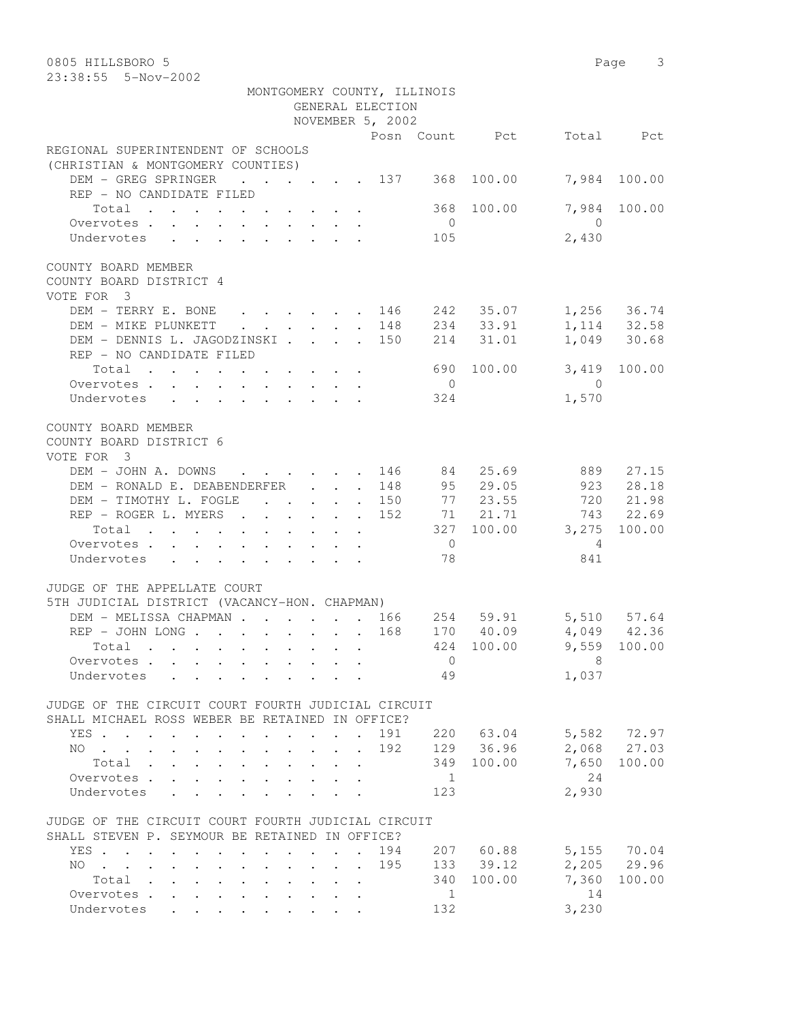| 0805 HILLSBORO 5                                                                          |                |                       | Page 3                       |
|-------------------------------------------------------------------------------------------|----------------|-----------------------|------------------------------|
| 23:38:55  5-Nov-2002                                                                      |                |                       |                              |
| MONTGOMERY COUNTY, ILLINOIS                                                               |                |                       |                              |
| GENERAL ELECTION                                                                          |                |                       |                              |
| NOVEMBER 5, 2002                                                                          |                |                       |                              |
|                                                                                           |                | Posn Count Pct        | Total Pct                    |
| REGIONAL SUPERINTENDENT OF SCHOOLS                                                        |                |                       |                              |
| (CHRISTIAN & MONTGOMERY COUNTIES)                                                         |                |                       |                              |
| DEM - GREG SPRINGER<br>$\cdots$ $\cdots$ $\cdots$ $\cdots$ 137                            |                | 368 100.00            | 7,984<br>100.00              |
| REP - NO CANDIDATE FILED                                                                  |                |                       |                              |
| Total                                                                                     | 368            | 100.00                | 7,984<br>100.00              |
| Overvotes.                                                                                | $\overline{0}$ |                       | $\overline{0}$               |
| Undervotes                                                                                | 105            |                       | 2,430                        |
|                                                                                           |                |                       |                              |
| COUNTY BOARD MEMBER                                                                       |                |                       |                              |
| COUNTY BOARD DISTRICT 4                                                                   |                |                       |                              |
| VOTE FOR 3                                                                                |                |                       |                              |
| DEM - TERRY E. BONE<br>$\cdot$ $\cdot$ $\cdot$ $\cdot$ $\cdot$ $\cdot$ 146                |                | 242 35.07 1,256 36.74 |                              |
| DEM - MIKE PLUNKETT<br>. 148<br>$\mathbf{r}$ , $\mathbf{r}$ , $\mathbf{r}$ , $\mathbf{r}$ |                | 234 33.91             |                              |
| DEM - DENNIS L. JAGODZINSKI 150                                                           |                | 214 31.01             | 1, 114 32.58<br>1, 049 30.68 |
| REP - NO CANDIDATE FILED                                                                  |                |                       |                              |
| Total                                                                                     | 690            | 100.00                | 3,419<br>100.00              |
| Overvotes.                                                                                | $\overline{0}$ |                       | $\overline{0}$               |
| Undervotes                                                                                | 324            |                       | 1,570                        |
|                                                                                           |                |                       |                              |
| COUNTY BOARD MEMBER                                                                       |                |                       |                              |
| COUNTY BOARD DISTRICT 6                                                                   |                |                       |                              |
| VOTE FOR 3                                                                                |                |                       |                              |
| DEM - JOHN A. DOWNS<br>and the contract of the contract of the                            | 84<br>146      | 25.69                 | 889<br>27.15                 |
| DEM - RONALD E. DEABENDERFER                                                              | 148            | 95 29.05              | 923 28.18                    |
| DEM - TIMOTHY L. FOGLE 150                                                                |                | 77 23.55              | 720 21.98                    |
| REP - ROGER L. MYERS                                                                      | 152            | 71 21.71              | 743 22.69                    |
| Total $\cdot$                                                                             |                | 327 100.00 3,275      | 100.00                       |
| Overvotes                                                                                 | $\overline{0}$ |                       | $\overline{4}$               |
| Undervotes                                                                                | 78             |                       | 841                          |
|                                                                                           |                |                       |                              |
| JUDGE OF THE APPELLATE COURT                                                              |                |                       |                              |
| 5TH JUDICIAL DISTRICT (VACANCY-HON. CHAPMAN)                                              |                |                       |                              |
| DEM - MELISSA CHAPMAN 166                                                                 | 254            | 59.91 5,510 57.64     |                              |
| $\cdots$ 168 170 40.09 4,049 42.36<br>REP – JOHN LONG                                     |                |                       |                              |
| Total                                                                                     |                | 424 100.00 9,559      | 100.00                       |
| Overvotes.                                                                                | $\overline{0}$ |                       | $\overline{\phantom{1}}$ 8   |
| Undervotes                                                                                | 49             |                       | 1,037                        |
|                                                                                           |                |                       |                              |
| JUDGE OF THE CIRCUIT COURT FOURTH JUDICIAL CIRCUIT                                        |                |                       |                              |
| SHALL MICHAEL ROSS WEBER BE RETAINED IN OFFICE?                                           |                |                       |                              |
| YES 191 220 63.04                                                                         |                |                       | 5,582 72.97                  |
| . 192<br>NO.                                                                              |                | 129 36.96             | 2,068 27.03                  |
| Total                                                                                     |                | 349 100.00            | 100.00<br>7,650              |
| Overvotes.                                                                                | $\overline{1}$ |                       | 24                           |
| Undervotes                                                                                | 123            |                       | 2,930                        |
|                                                                                           |                |                       |                              |
| JUDGE OF THE CIRCUIT COURT FOURTH JUDICIAL CIRCUIT                                        |                |                       |                              |
| SHALL STEVEN P. SEYMOUR BE RETAINED IN OFFICE?                                            |                |                       |                              |
| YES                                                                                       | 194            | 207 60.88             | 5,155 70.04                  |
| NO 195                                                                                    |                | 133 39.12             | $2,205$ 29.96                |
| Total                                                                                     |                | 340 100.00            | 100.00<br>7,360              |
| Overvotes.                                                                                | $\overline{1}$ |                       | 14                           |
| Undervotes                                                                                | 132            |                       | 3,230                        |
|                                                                                           |                |                       |                              |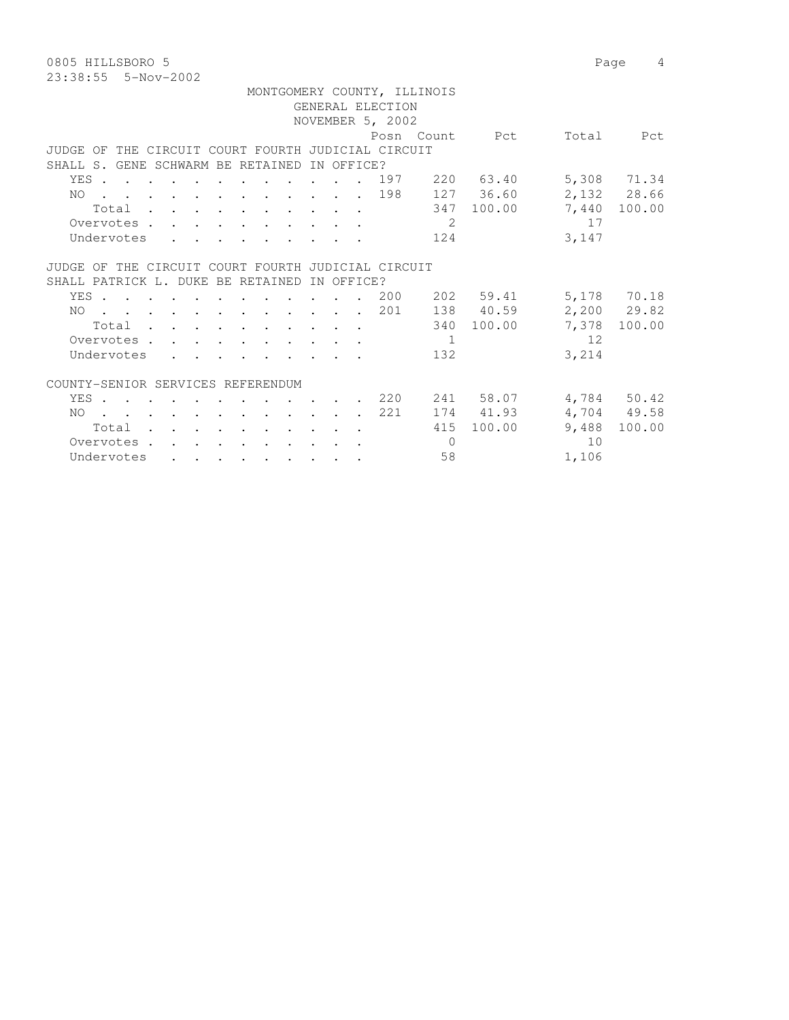0805 HILLSBORO 5 Page 4 23:38:55 5-Nov-2002

| MONTGOMERY COUNTY, ILLINOIS |                                                    |                                                                                          |  |  |  |  |                                            |  |  |            |  |  |                  |            |                |       |               |
|-----------------------------|----------------------------------------------------|------------------------------------------------------------------------------------------|--|--|--|--|--------------------------------------------|--|--|------------|--|--|------------------|------------|----------------|-------|---------------|
| GENERAL ELECTION            |                                                    |                                                                                          |  |  |  |  |                                            |  |  |            |  |  |                  |            |                |       |               |
|                             |                                                    |                                                                                          |  |  |  |  |                                            |  |  |            |  |  | NOVEMBER 5, 2002 |            |                |       |               |
|                             |                                                    |                                                                                          |  |  |  |  |                                            |  |  |            |  |  |                  |            | Posn Count Pct | Total | Pct           |
|                             | JUDGE OF THE CIRCUIT COURT FOURTH JUDICIAL CIRCUIT |                                                                                          |  |  |  |  |                                            |  |  |            |  |  |                  |            |                |       |               |
|                             | SHALL S. GENE SCHWARM BE RETAINED                  |                                                                                          |  |  |  |  |                                            |  |  | IN OFFICE? |  |  |                  |            |                |       |               |
|                             | YES.                                               |                                                                                          |  |  |  |  | $\mathbf{r}$ , $\mathbf{r}$ , $\mathbf{r}$ |  |  |            |  |  | 197              |            | 220 63.40      |       | 5,308 71.34   |
|                             | NO 198                                             |                                                                                          |  |  |  |  |                                            |  |  |            |  |  |                  |            | 127 36.60      |       | 2,132 28.66   |
|                             |                                                    | Total                                                                                    |  |  |  |  |                                            |  |  |            |  |  |                  |            | 347 100.00     |       | 7,440 100.00  |
|                             |                                                    |                                                                                          |  |  |  |  |                                            |  |  |            |  |  |                  | 2          |                | 17    |               |
|                             | Overvotes                                          |                                                                                          |  |  |  |  |                                            |  |  |            |  |  |                  |            |                |       |               |
|                             | Undervotes                                         |                                                                                          |  |  |  |  |                                            |  |  |            |  |  |                  | 124        |                | 3,147 |               |
|                             |                                                    |                                                                                          |  |  |  |  |                                            |  |  |            |  |  |                  |            |                |       |               |
|                             | JUDGE OF THE CIRCUIT COURT FOURTH JUDICIAL CIRCUIT |                                                                                          |  |  |  |  |                                            |  |  |            |  |  |                  |            |                |       |               |
|                             | SHALL PATRICK L. DUKE BE RETAINED                  |                                                                                          |  |  |  |  |                                            |  |  | IN OFFICE? |  |  |                  |            |                |       |               |
|                             | YES                                                |                                                                                          |  |  |  |  |                                            |  |  |            |  |  | 200              |            | 202 59.41      |       | 5,178 70.18   |
|                             | NO.                                                |                                                                                          |  |  |  |  |                                            |  |  |            |  |  | . 201            |            | 138 40.59      |       | $2,200$ 29.82 |
|                             |                                                    | Total                                                                                    |  |  |  |  |                                            |  |  |            |  |  |                  | 340        | 100.00         | 7,378 | 100.00        |
|                             | Overvotes                                          |                                                                                          |  |  |  |  |                                            |  |  |            |  |  |                  | - 1        |                | 12    |               |
|                             | Undervotes                                         |                                                                                          |  |  |  |  |                                            |  |  |            |  |  |                  | 132        |                | 3,214 |               |
|                             |                                                    |                                                                                          |  |  |  |  |                                            |  |  |            |  |  |                  |            |                |       |               |
|                             | COUNTY-SENIOR SERVICES REFERENDUM                  |                                                                                          |  |  |  |  |                                            |  |  |            |  |  |                  |            |                |       |               |
|                             | YES.                                               |                                                                                          |  |  |  |  |                                            |  |  |            |  |  | . . 220          |            | 241 58.07      |       | 4,784 50.42   |
|                             | NO.                                                | $\mathbf{r}$ , and $\mathbf{r}$ , and $\mathbf{r}$ , and $\mathbf{r}$ , and $\mathbf{r}$ |  |  |  |  |                                            |  |  |            |  |  | 221              |            | 174 41.93      |       | 4,704 49.58   |
|                             |                                                    | Total                                                                                    |  |  |  |  |                                            |  |  |            |  |  |                  | 415        | 100.00         | 9,488 | 100.00        |
|                             | Overvotes.                                         |                                                                                          |  |  |  |  |                                            |  |  |            |  |  |                  | $\bigcirc$ |                | 10    |               |
|                             |                                                    |                                                                                          |  |  |  |  |                                            |  |  |            |  |  |                  |            |                |       |               |
|                             | Undervotes                                         |                                                                                          |  |  |  |  |                                            |  |  |            |  |  |                  | 58         |                | 1,106 |               |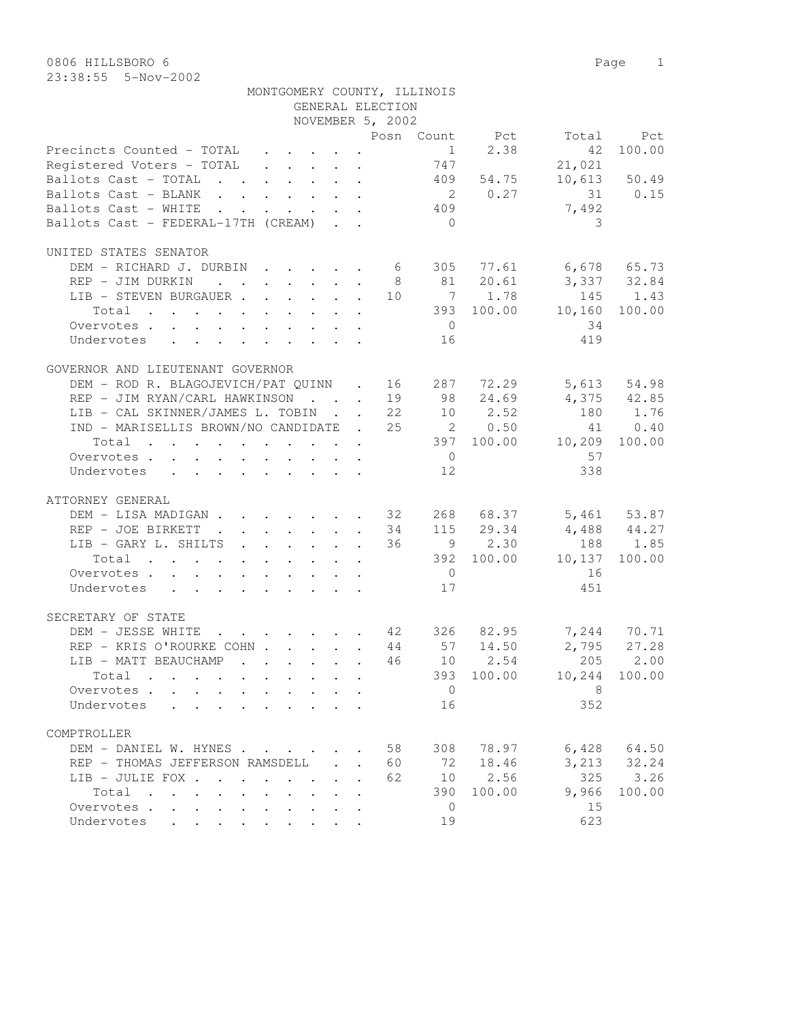|                                                                                                                                                                                |  |        | NOVEMBER 5, 2002 |                |                |                             |                |
|--------------------------------------------------------------------------------------------------------------------------------------------------------------------------------|--|--------|------------------|----------------|----------------|-----------------------------|----------------|
|                                                                                                                                                                                |  |        |                  |                |                |                             | Total Pct      |
|                                                                                                                                                                                |  |        |                  |                |                |                             | 42 100.00      |
| Posn Count Pct<br>Precincts Counted - TOTAL 1 2.38<br>Registered Voters - TOTAL 747<br>Registered Voters - TOTAL                                                               |  |        |                  |                |                | 21,021                      |                |
| Ballots Cast - TOTAL 409 54.75                                                                                                                                                 |  |        |                  |                |                |                             | $10,613$ 50.49 |
| Ballots Cast - BLANK 2 0.27 31 0.15                                                                                                                                            |  |        |                  |                |                |                             |                |
| Ballots Cast - WHITE 409                                                                                                                                                       |  |        |                  |                |                | 7,492                       |                |
| Ballots Cast - FEDERAL-17TH (CREAM)                                                                                                                                            |  |        |                  | $\overline{0}$ |                | 3                           |                |
|                                                                                                                                                                                |  |        |                  |                |                |                             |                |
| UNITED STATES SENATOR                                                                                                                                                          |  |        |                  |                |                |                             |                |
|                                                                                                                                                                                |  |        |                  |                |                |                             |                |
| DEM – RICHARD J. DURBIN 6 305 77.61 6,678 65.73<br>REP – JIM DURKIN 8 81 20.61 3,337 32.84<br>LIB – STEVEN BURGAUER 10 7 1.78 145 1.43                                         |  |        |                  |                |                |                             |                |
|                                                                                                                                                                                |  |        |                  |                |                |                             |                |
|                                                                                                                                                                                |  |        |                  |                |                | $393$ 100.00 10,160 100.00  |                |
| Total                                                                                                                                                                          |  |        |                  |                |                |                             |                |
| Overvotes.                                                                                                                                                                     |  |        |                  | $\overline{0}$ |                | 34                          |                |
| Undervotes 16                                                                                                                                                                  |  |        |                  |                |                | 419                         |                |
|                                                                                                                                                                                |  |        |                  |                |                |                             |                |
| GOVERNOR AND LIEUTENANT GOVERNOR                                                                                                                                               |  |        |                  |                |                |                             |                |
| DEM – ROD R. BLAGOJEVICH/PAT QUINN . 16 287 72.29 5,613 54.98<br>REP – JIM RYAN/CARL HAWKINSON 19 98 24.69 4,375 42.85<br>LIB – CAL SKINNER/JAMES L. TOBIN 22 10 2.52 180 1.76 |  |        |                  |                |                |                             |                |
|                                                                                                                                                                                |  |        |                  |                |                |                             |                |
|                                                                                                                                                                                |  |        |                  |                |                |                             |                |
| IND - MARISELLIS BROWN/NO CANDIDATE . 25 20.50                                                                                                                                 |  |        |                  |                |                |                             | 41 0.40        |
| Total 397 100.00 10,209 100.00                                                                                                                                                 |  |        |                  |                |                |                             |                |
| Overvotes.                                                                                                                                                                     |  |        |                  |                | $\overline{0}$ | 57                          |                |
| Undervotes                                                                                                                                                                     |  |        |                  | 12             |                | 338                         |                |
|                                                                                                                                                                                |  |        |                  |                |                |                             |                |
| ATTORNEY GENERAL                                                                                                                                                               |  |        |                  |                |                |                             |                |
|                                                                                                                                                                                |  |        |                  |                |                |                             |                |
| DEM – LISA MADIGAN 32 268 68.37 5,461 53.87<br>REP – JOE BIRKETT 34 115 29.34 4,488 44.27<br>LIP CAPY L SHILTS                                                                 |  |        |                  |                |                |                             |                |
| LIB - GARY L. SHILTS 36 9 2.30 188 1.85<br>Total 392 100.00 10,137 100.00                                                                                                      |  |        |                  |                |                | $4,488$ $44.27$<br>188 1.85 |                |
|                                                                                                                                                                                |  |        |                  |                |                |                             |                |
|                                                                                                                                                                                |  |        |                  |                |                |                             |                |
| Overvotes.                                                                                                                                                                     |  |        |                  |                | $\overline{0}$ | 16                          |                |
| Undervotes                                                                                                                                                                     |  |        |                  | 17             |                | 451                         |                |
|                                                                                                                                                                                |  |        |                  |                |                |                             |                |
| SECRETARY OF STATE                                                                                                                                                             |  |        |                  |                |                |                             |                |
| DEM - JESSE WHITE 42 326 82.95 7,244 70.71                                                                                                                                     |  |        |                  |                |                |                             |                |
|                                                                                                                                                                                |  |        |                  |                |                | 2,795 27.28                 |                |
| REP - KRIS O'ROURKE COHN 44 57 14.50<br>LIB - MATT BEAUCHAMP 46 10 2.54<br>Total 393 100.00                                                                                    |  |        |                  |                |                |                             | 205 2.00       |
| Total                                                                                                                                                                          |  |        |                  |                |                | 393 100.00 10,244 100.00    |                |
| Overvotes $\cdots$ $\cdots$ $\cdots$ $\cdots$ $\cdots$ $\cdots$ $\cdots$ $\cdots$ $\cdots$ 8                                                                                   |  |        |                  |                |                |                             |                |
| Undervotes<br>$\mathbf{r}$ , and $\mathbf{r}$ , and $\mathbf{r}$ , and $\mathbf{r}$ , and $\mathbf{r}$                                                                         |  |        |                  | 16             |                | 352                         |                |
|                                                                                                                                                                                |  |        |                  |                |                |                             |                |
| COMPTROLLER                                                                                                                                                                    |  |        |                  |                |                |                             |                |
| DEM - DANIEL W. HYNES                                                                                                                                                          |  |        | 58               |                | 308 78.97      | 6,428                       | 64.50          |
| REP - THOMAS JEFFERSON RAMSDELL                                                                                                                                                |  | $\sim$ | 60               | 72             | 18.46          | 3,213                       | 32.24          |
| LIB - JULIE FOX                                                                                                                                                                |  |        | 62               | 10             | 2.56           | 325                         | 3.26           |
| Total                                                                                                                                                                          |  |        |                  | 390            | 100.00         | 9,966                       | 100.00         |
| Overvotes<br>$\mathbf{L}$<br>$\mathbf{L}$                                                                                                                                      |  |        |                  | $\overline{0}$ |                | 15                          |                |
| Undervotes                                                                                                                                                                     |  |        |                  | 19             |                | 623                         |                |
|                                                                                                                                                                                |  |        |                  |                |                |                             |                |

GENERAL ELECTION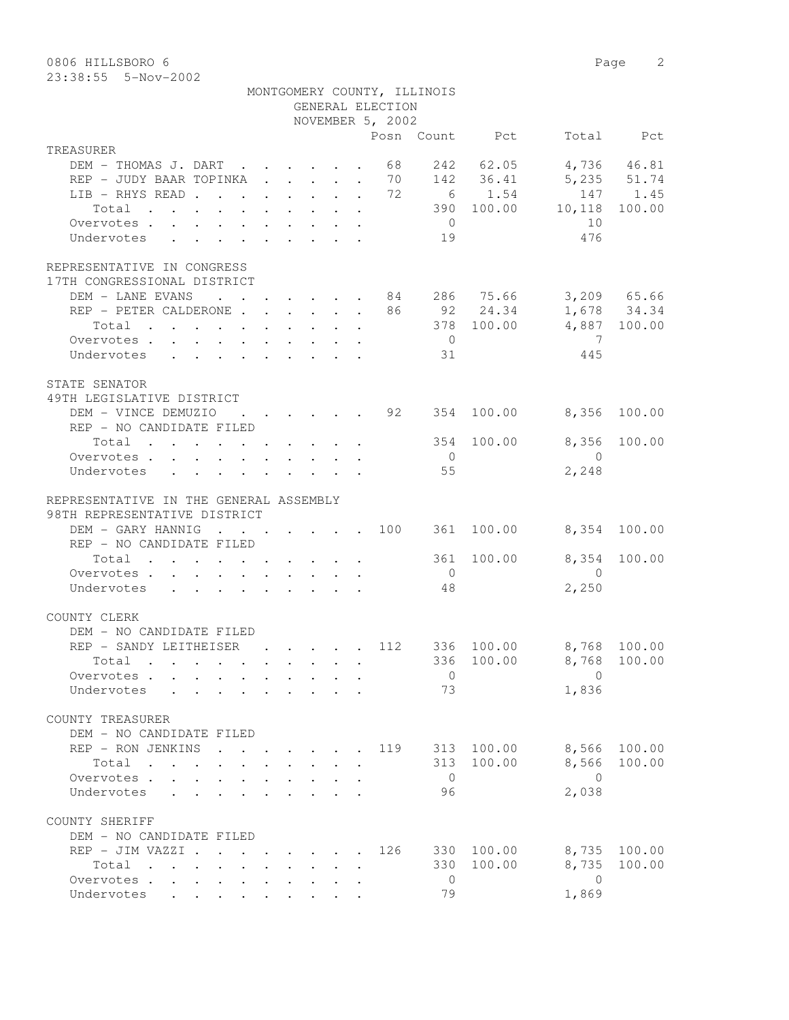0806 HILLSBORO 6 Page 2

|                                                                                                   |  |  | GENERAL ELECTION | MONTGOMERY COUNTY, ILLINOIS |                                                               |                         |              |
|---------------------------------------------------------------------------------------------------|--|--|------------------|-----------------------------|---------------------------------------------------------------|-------------------------|--------------|
|                                                                                                   |  |  | NOVEMBER 5, 2002 |                             |                                                               |                         |              |
|                                                                                                   |  |  |                  |                             | Posn Count Pct                                                |                         | Total Pct    |
| TREASURER                                                                                         |  |  |                  |                             |                                                               |                         | 4,736 46.81  |
| DEM - THOMAS J. DART 68<br>REP - JUDY BAAR TOPINKA 70 142 36.41                                   |  |  |                  |                             | 242 62.05                                                     | 5,235 51.74             |              |
| LIB - RHYS READ 72                                                                                |  |  |                  |                             | 6 1.54                                                        |                         | 147 1.45     |
| Total                                                                                             |  |  |                  |                             |                                                               | 390 100.00 10,118       | 100.00       |
| Overvotes.                                                                                        |  |  |                  | $\overline{0}$              |                                                               | 10                      |              |
| Undervotes                                                                                        |  |  |                  | 19                          |                                                               | 476                     |              |
|                                                                                                   |  |  |                  |                             |                                                               |                         |              |
| REPRESENTATIVE IN CONGRESS<br>17TH CONGRESSIONAL DISTRICT                                         |  |  |                  |                             |                                                               |                         |              |
| DEM - LANE EVANS 84 286 75.66 3,209 65.66                                                         |  |  |                  |                             |                                                               |                         |              |
| REP - PETER CALDERONE 86 92 24.34                                                                 |  |  |                  |                             |                                                               |                         | 1,678 34.34  |
| Total                                                                                             |  |  |                  |                             | 378 100.00                                                    |                         | 4,887 100.00 |
| Overvotes.                                                                                        |  |  |                  | $\overline{0}$              |                                                               | $\overline{7}$          |              |
| Undervotes                                                                                        |  |  |                  | 31                          |                                                               | 445                     |              |
|                                                                                                   |  |  |                  |                             |                                                               |                         |              |
| STATE SENATOR                                                                                     |  |  |                  |                             |                                                               |                         |              |
| 49TH LEGISLATIVE DISTRICT                                                                         |  |  |                  |                             |                                                               |                         |              |
| DEM - VINCE DEMUZIO                                                                               |  |  |                  |                             | $\cdot$ $\cdot$ $\cdot$ $\cdot$ $\cdot$ $\cdot$ 92 354 100.00 | 8,356                   | 100.00       |
| REP - NO CANDIDATE FILED                                                                          |  |  |                  |                             | 354 100.00                                                    | 8,356                   |              |
| Total                                                                                             |  |  |                  |                             |                                                               |                         | 100.00       |
| Overvotes.                                                                                        |  |  |                  | $\overline{0}$<br>55        |                                                               | $\overline{0}$<br>2,248 |              |
| Undervotes                                                                                        |  |  |                  |                             |                                                               |                         |              |
| REPRESENTATIVE IN THE GENERAL ASSEMBLY                                                            |  |  |                  |                             |                                                               |                         |              |
| 98TH REPRESENTATIVE DISTRICT                                                                      |  |  |                  |                             |                                                               |                         |              |
| DEM - GARY HANNIG                                                                                 |  |  |                  |                             | $\cdot$ 100 361 100.00                                        |                         | 8,354 100.00 |
| REP - NO CANDIDATE FILED                                                                          |  |  |                  |                             |                                                               |                         |              |
| Total                                                                                             |  |  |                  | 361                         | 100.00                                                        | 8,354                   | 100.00       |
| Overvotes.                                                                                        |  |  |                  | $\overline{0}$              |                                                               | $\overline{0}$          |              |
| Undervotes                                                                                        |  |  |                  | 48                          |                                                               | 2,250                   |              |
|                                                                                                   |  |  |                  |                             |                                                               |                         |              |
| COUNTY CLERK                                                                                      |  |  |                  |                             |                                                               |                         |              |
| DEM - NO CANDIDATE FILED                                                                          |  |  |                  |                             |                                                               |                         |              |
| REP - SANDY LEITHEISER                                                                            |  |  | . 112            |                             | 336 100.00                                                    | 8,768 100.00            |              |
| Total .                                                                                           |  |  |                  |                             |                                                               | 336 100.00 8,768 100.00 |              |
| Overvotes                                                                                         |  |  |                  | $\overline{0}$              |                                                               | $\Omega$                |              |
| Undervotes                                                                                        |  |  |                  | 73                          |                                                               | 1,836                   |              |
| COUNTY TREASURER                                                                                  |  |  |                  |                             |                                                               |                         |              |
| DEM - NO CANDIDATE FILED                                                                          |  |  |                  |                             |                                                               |                         |              |
| REP - RON JENKINS                                                                                 |  |  | 119              |                             | 313 100.00                                                    | 8,566                   | 100.00       |
| Total                                                                                             |  |  |                  |                             | 313 100.00                                                    | 8,566                   | 100.00       |
| Overvotes                                                                                         |  |  |                  | $\overline{0}$              |                                                               | $\bigcirc$              |              |
| Undervotes                                                                                        |  |  |                  | 96                          |                                                               | 2,038                   |              |
|                                                                                                   |  |  |                  |                             |                                                               |                         |              |
| COUNTY SHERIFF                                                                                    |  |  |                  |                             |                                                               |                         |              |
| DEM - NO CANDIDATE FILED                                                                          |  |  |                  |                             |                                                               |                         |              |
| REP - JIM VAZZI .<br>$\mathbf{r}$ , and $\mathbf{r}$ , and $\mathbf{r}$ , and $\mathbf{r}$        |  |  | 126              |                             | 330 100.00                                                    | 8,735                   | 100.00       |
| Total<br>$\mathbf{r}$ , and $\mathbf{r}$ , and $\mathbf{r}$ , and $\mathbf{r}$ , and $\mathbf{r}$ |  |  |                  | 330                         | 100.00                                                        | 8,735                   | 100.00       |
| Overvotes                                                                                         |  |  |                  | $\overline{0}$              |                                                               | $\overline{0}$          |              |
| Undervotes                                                                                        |  |  |                  | 79                          |                                                               | 1,869                   |              |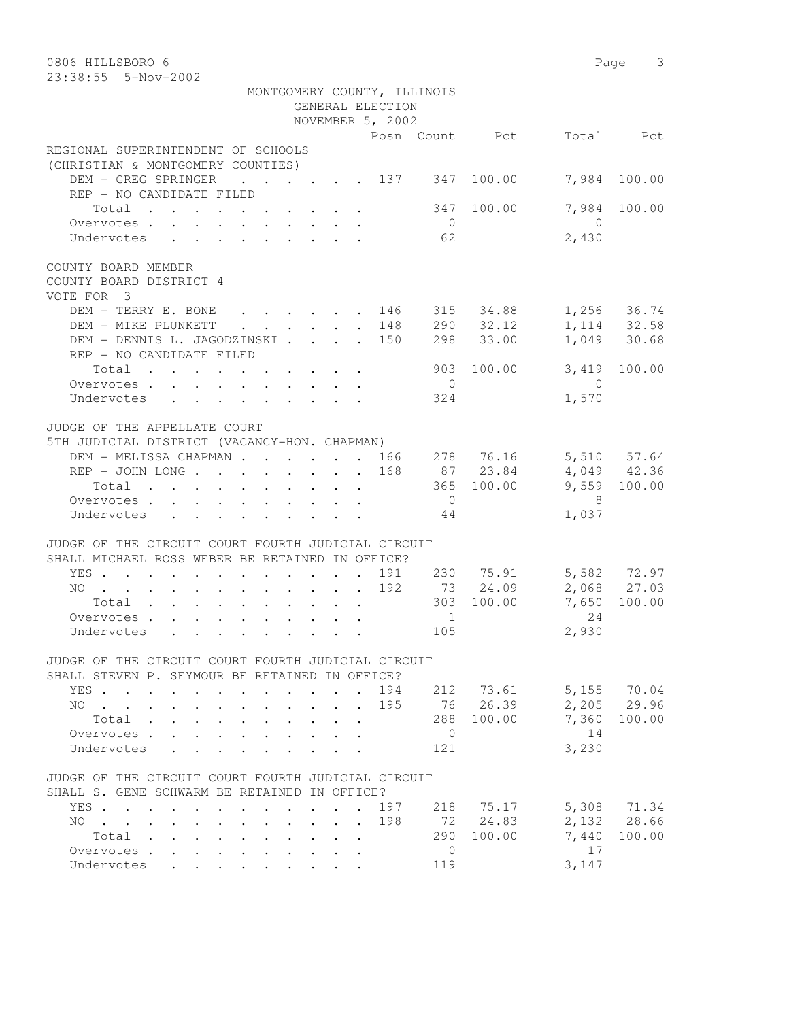| 0806 HILLSBORO 6<br>23:38:55  5-Nov-2002                                                                                                                                                                                                                                                                                                                                               |                       | Page 3                        |        |
|----------------------------------------------------------------------------------------------------------------------------------------------------------------------------------------------------------------------------------------------------------------------------------------------------------------------------------------------------------------------------------------|-----------------------|-------------------------------|--------|
| MONTGOMERY COUNTY, ILLINOIS<br>GENERAL ELECTION                                                                                                                                                                                                                                                                                                                                        |                       |                               |        |
| NOVEMBER 5, 2002                                                                                                                                                                                                                                                                                                                                                                       |                       |                               |        |
|                                                                                                                                                                                                                                                                                                                                                                                        | Posn Count Pct        | Total Pct                     |        |
| REGIONAL SUPERINTENDENT OF SCHOOLS                                                                                                                                                                                                                                                                                                                                                     |                       |                               |        |
| (CHRISTIAN & MONTGOMERY COUNTIES)                                                                                                                                                                                                                                                                                                                                                      |                       |                               |        |
| DEM - GREG SPRINGER<br>$\cdot$ 137 347<br>REP - NO CANDIDATE FILED                                                                                                                                                                                                                                                                                                                     | 100.00                | 7,984<br>100.00               |        |
| Total                                                                                                                                                                                                                                                                                                                                                                                  | 347 100.00            | 7,984<br>100.00               |        |
| Overvotes                                                                                                                                                                                                                                                                                                                                                                              | $\overline{0}$        | $\overline{0}$                |        |
| Undervotes                                                                                                                                                                                                                                                                                                                                                                             | 62                    | 2,430                         |        |
| COUNTY BOARD MEMBER<br>COUNTY BOARD DISTRICT 4<br>VOTE FOR 3                                                                                                                                                                                                                                                                                                                           |                       |                               |        |
| DEM - TERRY E. BONE<br>146<br>$\mathbf{r}$ , $\mathbf{r}$ , $\mathbf{r}$ , $\mathbf{r}$ , $\mathbf{r}$                                                                                                                                                                                                                                                                                 | 315 34.88             | 1,256 36.74                   |        |
| DEM - MIKE PLUNKETT<br>. 148<br>$\cdot$ $\cdot$ $\cdot$ $\cdot$ $\cdot$ $\cdot$ $\cdot$                                                                                                                                                                                                                                                                                                | 290 32.12             | 1, 114 32.58                  |        |
| DEM - DENNIS L. JAGODZINSKI 150                                                                                                                                                                                                                                                                                                                                                        | 298 33.00             | 1,049 30.68                   |        |
| REP - NO CANDIDATE FILED                                                                                                                                                                                                                                                                                                                                                               |                       |                               |        |
| Total                                                                                                                                                                                                                                                                                                                                                                                  | 903 100.00            | 3,419<br>100.00               |        |
| Overvotes                                                                                                                                                                                                                                                                                                                                                                              | $\overline{0}$        | $\overline{0}$                |        |
| $\mathcal{L}^{\mathcal{A}}$ . The set of the set of the set of the set of the set of the set of the set of the set of the set of the set of the set of the set of the set of the set of the set of the set of the set of the set of the s<br>Undervotes                                                                                                                                | 324                   | 1,570                         |        |
| JUDGE OF THE APPELLATE COURT                                                                                                                                                                                                                                                                                                                                                           |                       |                               |        |
| 5TH JUDICIAL DISTRICT (VACANCY-HON. CHAPMAN)                                                                                                                                                                                                                                                                                                                                           |                       |                               |        |
| DEM - MELISSA CHAPMAN<br>166                                                                                                                                                                                                                                                                                                                                                           | 278 76.16 5,510 57.64 |                               |        |
| 168                                                                                                                                                                                                                                                                                                                                                                                    | 87 23.84              | 4,049 42.36                   |        |
| Total                                                                                                                                                                                                                                                                                                                                                                                  | 365 100.00            | 9,559 100.00                  |        |
| Overvotes                                                                                                                                                                                                                                                                                                                                                                              | $\overline{0}$        | - 8                           |        |
| Undervotes                                                                                                                                                                                                                                                                                                                                                                             | 44                    | 1,037                         |        |
| JUDGE OF THE CIRCUIT COURT FOURTH JUDICIAL CIRCUIT                                                                                                                                                                                                                                                                                                                                     |                       |                               |        |
| SHALL MICHAEL ROSS WEBER BE RETAINED IN OFFICE?                                                                                                                                                                                                                                                                                                                                        |                       |                               |        |
| 191<br>YES                                                                                                                                                                                                                                                                                                                                                                             | 230 75.91             | 5,582 72.97                   |        |
| 192<br>NO                                                                                                                                                                                                                                                                                                                                                                              | 73 24.09              | 2,068 27.03                   |        |
| Total $\cdot$                                                                                                                                                                                                                                                                                                                                                                          | 303 100.00            | 100.00<br>7,650               |        |
| Overvotes                                                                                                                                                                                                                                                                                                                                                                              | 1                     | 24                            |        |
| Undervotes                                                                                                                                                                                                                                                                                                                                                                             | 105                   | 2,930                         |        |
| JUDGE OF THE CIRCUIT COURT FOURTH JUDICIAL CIRCUIT                                                                                                                                                                                                                                                                                                                                     |                       |                               |        |
| SHALL STEVEN P. SEYMOUR BE RETAINED IN OFFICE?                                                                                                                                                                                                                                                                                                                                         |                       |                               |        |
| 194<br>YES<br>$\mathbf{r}$ , $\mathbf{r}$ , $\mathbf{r}$<br>195<br>NO.<br>$\mathbf{L}$                                                                                                                                                                                                                                                                                                 | 212 73.61<br>76 26.39 | 5,155 70.04<br>2,205<br>29.96 |        |
| $\cdot$ $\cdot$ $\cdot$ $\cdot$ $\cdot$<br>$\mathbf{L}$<br>$\cdot$ $\cdot$ $\cdot$<br>$\ddot{\phantom{0}}$<br>$\ddot{\phantom{0}}$<br>$\ddot{\phantom{0}}$<br>Total                                                                                                                                                                                                                    | 100.00<br>288         | 7,360                         | 100.00 |
| $\sim$<br>$\mathbf{L}^{\text{max}}$<br>$\bullet$ .<br><br><br><br><br><br><br><br><br><br><br><br><br>Overvotes                                                                                                                                                                                                                                                                        | $\circ$               | 14                            |        |
| Undervotes<br>$\ddot{\phantom{a}}$                                                                                                                                                                                                                                                                                                                                                     | 121                   | 3,230                         |        |
|                                                                                                                                                                                                                                                                                                                                                                                        |                       |                               |        |
| JUDGE OF THE CIRCUIT COURT FOURTH JUDICIAL CIRCUIT                                                                                                                                                                                                                                                                                                                                     |                       |                               |        |
| SHALL S. GENE SCHWARM BE RETAINED IN OFFICE?                                                                                                                                                                                                                                                                                                                                           |                       |                               |        |
| 197<br>YES<br>$\cdot$ $\cdot$ $\cdot$ $\cdot$<br>$\ddot{\phantom{a}}$<br>$\ddot{\phantom{0}}$                                                                                                                                                                                                                                                                                          | 218<br>75.17          | 5,308 71.34                   |        |
| 198<br>NO.<br>$\cdot$<br>$\mathbf{L}$<br>$\cdot$ $\cdot$ $\cdot$ $\cdot$ $\cdot$ $\cdot$<br>$\ddot{\phantom{a}}$<br>$\ddot{\phantom{0}}$                                                                                                                                                                                                                                               | 72<br>24.83           | 2,132 28.66                   |        |
| Total<br>$\cdot$ $\cdot$ $\cdot$<br>$\cdot$ $\cdot$<br>Overvotes                                                                                                                                                                                                                                                                                                                       | 290<br>100.00<br>0    | 7,440<br>17                   | 100.00 |
| $\mathbf{1}$ , $\mathbf{1}$ , $\mathbf{1}$ , $\mathbf{1}$ , $\mathbf{1}$ , $\mathbf{1}$<br>$\ddot{\phantom{a}}$ . The set of the set of the set of the set of the set of the set of the set of the set of the set of the set of the set of the set of the set of the set of the set of the set of the set of the set of the set o<br>$\bullet$<br>Undervotes .<br>$\ddot{\phantom{0}}$ | 119                   | 3,147                         |        |
|                                                                                                                                                                                                                                                                                                                                                                                        |                       |                               |        |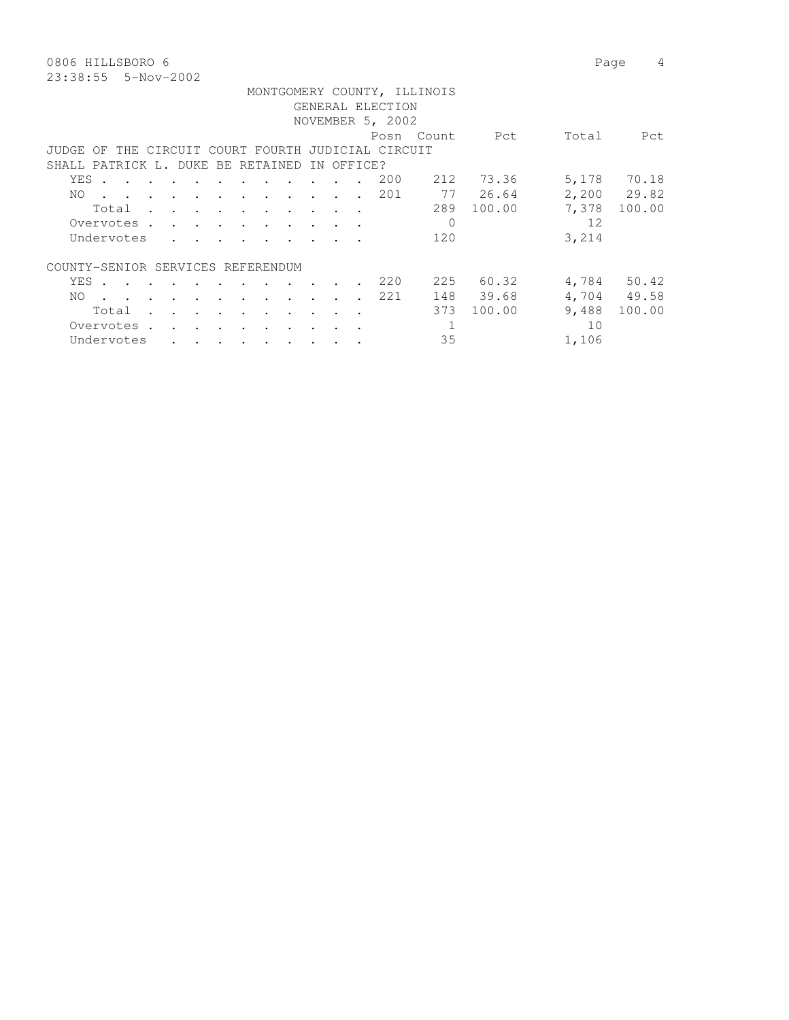0806 HILLSBORO 6 Page 4 23:38:55 5-Nov-2002

|                                   |       |                                                                                                                 |                                                                          |               |                      |                                                                       |               |            | GENERAL ELECTION                                   | MONTGOMERY COUNTY, ILLINOIS |                 |       |             |
|-----------------------------------|-------|-----------------------------------------------------------------------------------------------------------------|--------------------------------------------------------------------------|---------------|----------------------|-----------------------------------------------------------------------|---------------|------------|----------------------------------------------------|-----------------------------|-----------------|-------|-------------|
|                                   |       |                                                                                                                 |                                                                          |               |                      |                                                                       |               |            | NOVEMBER 5, 2002                                   |                             |                 |       |             |
|                                   |       |                                                                                                                 |                                                                          |               |                      |                                                                       |               |            |                                                    | Posn Count                  | <b>Property</b> | Total | Pct         |
|                                   |       |                                                                                                                 |                                                                          |               |                      |                                                                       |               |            | JUDGE OF THE CIRCUIT COURT FOURTH JUDICIAL CIRCUIT |                             |                 |       |             |
| SHALL PATRICK L. DUKE BE RETAINED |       |                                                                                                                 |                                                                          |               |                      |                                                                       |               | IN OFFICE? |                                                    |                             |                 |       |             |
|                                   | YES . |                                                                                                                 |                                                                          |               |                      |                                                                       |               |            | 200                                                |                             | 212 73.36       |       | 5,178 70.18 |
| NO.                               |       | the contract of the contract of the contract of the contract of the contract of the contract of the contract of |                                                                          |               |                      |                                                                       |               |            | 201                                                |                             | 77 26.64        |       | 2,200 29.82 |
|                                   |       | Total                                                                                                           |                                                                          |               |                      |                                                                       |               |            |                                                    |                             | 289 100.00      | 7,378 | 100.00      |
|                                   |       | Overvotes.                                                                                                      |                                                                          |               |                      |                                                                       |               |            |                                                    | $\Omega$                    |                 | 12    |             |
|                                   |       | Undervotes                                                                                                      | $\mathbf{r}$ , $\mathbf{r}$ , $\mathbf{r}$ , $\mathbf{r}$ , $\mathbf{r}$ |               |                      |                                                                       |               |            |                                                    | 120                         |                 | 3,214 |             |
| COUNTY-SENIOR SERVICES REFERENDUM |       |                                                                                                                 |                                                                          |               |                      |                                                                       |               |            |                                                    |                             |                 |       |             |
|                                   |       | YES.                                                                                                            |                                                                          |               |                      |                                                                       | $\sim$ $\sim$ |            | 220                                                |                             | 225 60.32       |       | 4,784 50.42 |
| NO.                               |       | the contract of the contract of the contract of the contract of the contract of the contract of the contract of |                                                                          |               |                      |                                                                       |               |            | 2.2.1                                              | 148                         | 39.68           |       | 4,704 49.58 |
|                                   |       | Total                                                                                                           | $\sim$ $\sim$ $\sim$                                                     | $\sim$ $\sim$ | $\sim$ $\sim$ $\sim$ | $\sim$ $\sim$ $\sim$                                                  |               | $\sim$     |                                                    | 373                         | 100.00          | 9,488 | 100.00      |
|                                   |       | Overvotes.                                                                                                      | $\sim$ $\sim$ $\sim$ $\sim$ $\sim$ $\sim$                                |               |                      |                                                                       |               |            |                                                    | 1                           |                 | 10    |             |
|                                   |       | Undervotes                                                                                                      |                                                                          |               |                      | $\mathbf{r}$ , and $\mathbf{r}$ , and $\mathbf{r}$ , and $\mathbf{r}$ |               |            |                                                    | 35                          |                 | 1,106 |             |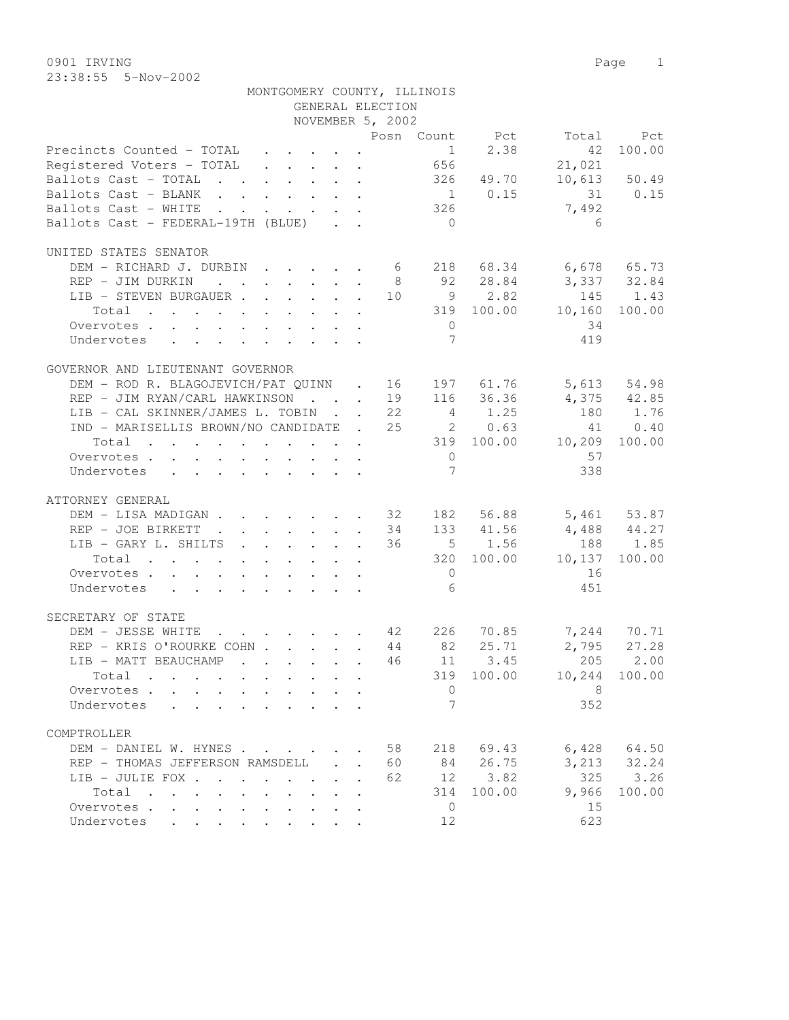0901 IRVING Page 1 23:38:55 5-Nov-2002

|                                                          |                                                                       |                      |                            |                                                                                              | MONTGOMERY COUNTY, ILLINOIS |             |                                  |              |
|----------------------------------------------------------|-----------------------------------------------------------------------|----------------------|----------------------------|----------------------------------------------------------------------------------------------|-----------------------------|-------------|----------------------------------|--------------|
|                                                          |                                                                       |                      |                            | GENERAL ELECTION                                                                             |                             |             |                                  |              |
|                                                          |                                                                       |                      |                            | NOVEMBER 5, 2002                                                                             |                             |             |                                  |              |
|                                                          |                                                                       |                      |                            |                                                                                              |                             |             | Posn Count Pct Total             | Pct          |
| Precincts Counted - TOTAL                                |                                                                       |                      |                            | $\mathbf{u} = \mathbf{u} + \mathbf{u} + \mathbf{u} + \mathbf{u} + \mathbf{u} + \mathbf{u}$ . |                             | $1 \t 2.38$ | 42                               | 100.00       |
| Registered Voters - TOTAL 656                            |                                                                       |                      |                            |                                                                                              |                             |             | 21,021                           |              |
| Ballots Cast - TOTAL 326 49.70                           |                                                                       |                      |                            |                                                                                              |                             |             |                                  | 10,613 50.49 |
| Ballots Cast - BLANK                                     |                                                                       |                      |                            |                                                                                              |                             | $1 \t 0.15$ |                                  | 31 0.15      |
| Ballots Cast - WHITE                                     | $\mathbf{r}$ , and $\mathbf{r}$ , and $\mathbf{r}$ , and $\mathbf{r}$ |                      |                            |                                                                                              | $326$                       |             | 7,492                            |              |
| Ballots Cast - FEDERAL-19TH (BLUE)                       |                                                                       |                      |                            |                                                                                              | $\bigcirc$                  |             | 6                                |              |
|                                                          |                                                                       |                      |                            |                                                                                              |                             |             |                                  |              |
| UNITED STATES SENATOR                                    |                                                                       |                      |                            |                                                                                              |                             |             |                                  |              |
| DEM - RICHARD J. DURBIN 6 218 68.34 6,678 65.73          |                                                                       |                      |                            |                                                                                              |                             |             |                                  |              |
| REP - JIM DURKIN                                         |                                                                       |                      |                            |                                                                                              | 8 <sup>8</sup>              | 92 28.84    | $3,337$ $32.84$                  |              |
| LIB - STEVEN BURGAUER 10 9 2.82                          |                                                                       |                      |                            |                                                                                              |                             |             | 145                              | 1.43         |
| Total $\cdot$                                            |                                                                       |                      |                            |                                                                                              |                             | 319 100.00  | 10,160                           | 100.00       |
| Overvotes                                                |                                                                       |                      |                            |                                                                                              | $\overline{0}$              |             | 34                               |              |
| Undervotes                                               |                                                                       |                      |                            |                                                                                              | $7\phantom{.0}$             |             | 419                              |              |
|                                                          |                                                                       |                      |                            |                                                                                              |                             |             |                                  |              |
| GOVERNOR AND LIEUTENANT GOVERNOR                         |                                                                       |                      |                            |                                                                                              |                             |             |                                  |              |
| DEM - ROD R. BLAGOJEVICH/PAT QUINN . 16 197 61.76        |                                                                       |                      |                            |                                                                                              |                             |             |                                  | 5,613 54.98  |
| REP - JIM RYAN/CARL HAWKINSON 19 116 36.36               |                                                                       |                      |                            |                                                                                              |                             |             | $4,375$ $42.85$                  |              |
| LIB - CAL SKINNER/JAMES L. TOBIN 22                      |                                                                       |                      |                            |                                                                                              |                             | 4 1.25      | 180                              | 1.76         |
| IND - MARISELLIS BROWN/NO CANDIDATE . 25                 |                                                                       |                      |                            |                                                                                              |                             | 2 0.63      |                                  | 41 0.40      |
| Total                                                    |                                                                       |                      |                            |                                                                                              |                             |             | 319 100.00 10,209                | 100.00       |
| Overvotes                                                |                                                                       |                      |                            |                                                                                              | $\overline{0}$              |             | 57                               |              |
| Undervotes                                               |                                                                       |                      |                            |                                                                                              | $7\phantom{.0}$             |             | 338                              |              |
|                                                          |                                                                       |                      |                            |                                                                                              |                             |             |                                  |              |
| ATTORNEY GENERAL                                         |                                                                       |                      |                            |                                                                                              |                             |             |                                  |              |
| DEM - LISA MADIGAN 32 182 56.88 5,461 53.87              |                                                                       |                      |                            |                                                                                              |                             |             |                                  |              |
| REP - JOE BIRKETT 34                                     |                                                                       |                      |                            |                                                                                              |                             | 133 41.56   | 4,488 44.27                      |              |
| LIB - GARY L. SHILTS 36                                  |                                                                       |                      |                            |                                                                                              |                             | $5 \t 1.56$ |                                  | 188 1.85     |
|                                                          |                                                                       |                      |                            |                                                                                              |                             |             |                                  |              |
| Total                                                    |                                                                       |                      |                            |                                                                                              |                             | 320 100.00  | 10,137                           | 100.00       |
| Overvotes                                                |                                                                       |                      |                            |                                                                                              | $\overline{0}$              |             | 16                               |              |
| Undervotes                                               |                                                                       |                      |                            |                                                                                              | 6                           |             | 451                              |              |
|                                                          |                                                                       |                      |                            |                                                                                              |                             |             |                                  |              |
| SECRETARY OF STATE                                       |                                                                       |                      |                            |                                                                                              |                             |             |                                  |              |
| DEM - JESSE WHITE                                        |                                                                       |                      |                            |                                                                                              |                             |             | $\cdot$ 42 226 70.85 7,244 70.71 | 2,795 27.28  |
| REP - KRIS O'ROURKE COHN 44 82 25.71                     |                                                                       |                      |                            |                                                                                              |                             |             |                                  |              |
| LIB - MATT BEAUCHAMP                                     |                                                                       |                      |                            |                                                                                              |                             | 46 11 3.45  | 205 2.00                         |              |
| Total                                                    |                                                                       |                      |                            |                                                                                              | 319                         | 100.00      | 10,244                           | 100.00       |
| Overvotes                                                |                                                                       |                      |                            |                                                                                              | 0                           |             | 8                                |              |
| Undervotes<br>$\sim$ $\sim$                              |                                                                       |                      |                            |                                                                                              | 7                           |             | 352                              |              |
|                                                          |                                                                       |                      |                            |                                                                                              |                             |             |                                  |              |
| COMPTROLLER                                              |                                                                       |                      |                            |                                                                                              |                             |             |                                  |              |
| DEM - DANIEL W. HYNES                                    |                                                                       |                      |                            |                                                                                              | 58<br>218                   | 69.43       | 6,428                            | 64.50        |
| REP - THOMAS JEFFERSON RAMSDELL                          |                                                                       |                      | $\mathcal{L}^{\text{max}}$ | 60                                                                                           | 84                          | 26.75       | 3,213                            | 32.24        |
| LIB - JULIE FOX                                          |                                                                       | $\cdot$ $\cdot$      |                            | 62                                                                                           | 12                          | 3.82        | 325                              | 3.26         |
| Total<br>$\ddot{\phantom{a}}$                            | $\sim$                                                                |                      |                            |                                                                                              | 314                         | 100.00      | 9,966                            | 100.00       |
| Overvotes                                                | $\ddot{\phantom{0}}$                                                  | $\ddot{\phantom{0}}$ |                            |                                                                                              | 0                           |             | 15                               |              |
| Undervotes<br><b>Contract Contract Contract Contract</b> | $\bullet$                                                             |                      |                            |                                                                                              | 12                          |             | 623                              |              |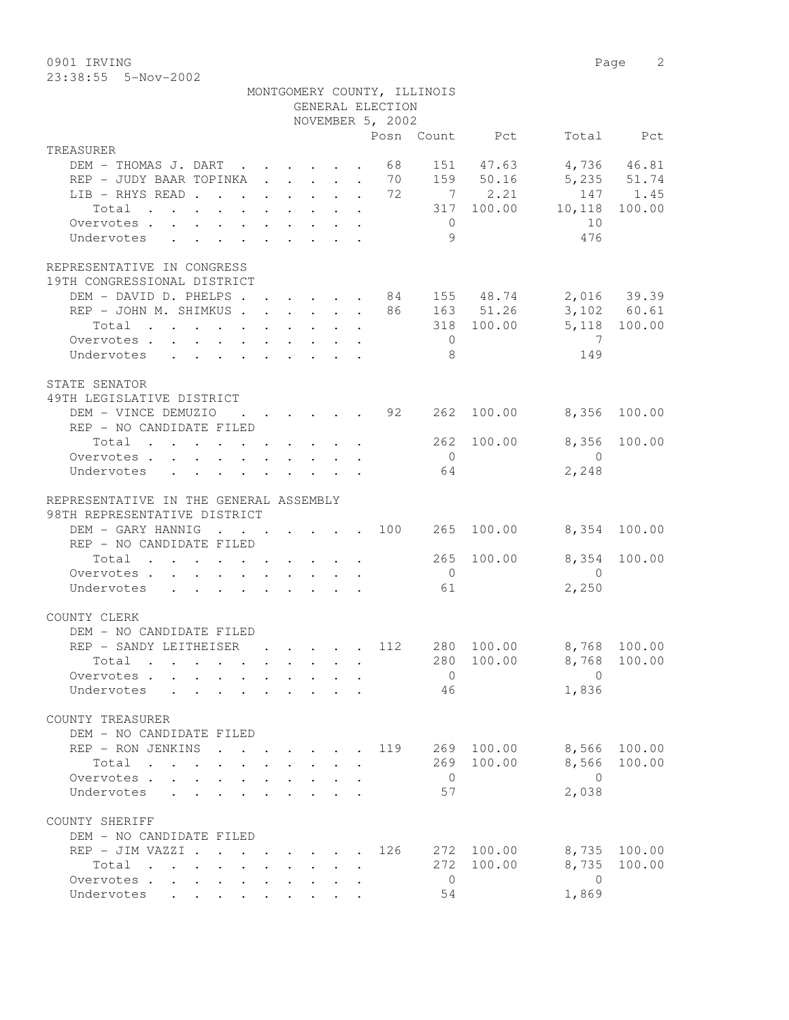23:38:55 5-Nov-2002

|                                                                                                                                                                                                                                        |                                         |  | GENERAL ELECTION                                   | MONTGOMERY COUNTY, ILLINOIS |                        |                                           |                    |
|----------------------------------------------------------------------------------------------------------------------------------------------------------------------------------------------------------------------------------------|-----------------------------------------|--|----------------------------------------------------|-----------------------------|------------------------|-------------------------------------------|--------------------|
|                                                                                                                                                                                                                                        |                                         |  | NOVEMBER 5, 2002                                   |                             |                        |                                           |                    |
|                                                                                                                                                                                                                                        |                                         |  |                                                    |                             | Posn Count Pct         |                                           | Total Pct          |
| TREASURER                                                                                                                                                                                                                              |                                         |  |                                                    |                             |                        |                                           |                    |
| DEM - THOMAS J. DART                                                                                                                                                                                                                   |                                         |  | 68                                                 |                             | 151 47.63              |                                           | 4,736 46.81        |
| REP - JUDY BAAR TOPINKA 70 159 50.16 5,235 51.74                                                                                                                                                                                       |                                         |  |                                                    |                             | 7 2.21                 |                                           |                    |
| LIB - RHYS READ 72                                                                                                                                                                                                                     |                                         |  |                                                    |                             |                        | 317 100.00 10,118                         | 147 1.45<br>100.00 |
| Total                                                                                                                                                                                                                                  |                                         |  |                                                    | $\overline{0}$              |                        | 10                                        |                    |
| Overvotes<br>Undervotes                                                                                                                                                                                                                |                                         |  |                                                    | 9                           |                        | 476                                       |                    |
|                                                                                                                                                                                                                                        |                                         |  |                                                    |                             |                        |                                           |                    |
| REPRESENTATIVE IN CONGRESS                                                                                                                                                                                                             |                                         |  |                                                    |                             |                        |                                           |                    |
| 19TH CONGRESSIONAL DISTRICT                                                                                                                                                                                                            |                                         |  |                                                    |                             |                        |                                           |                    |
| DEM - DAVID D. PHELPS 84 155 48.74 2,016 39.39                                                                                                                                                                                         |                                         |  |                                                    |                             |                        |                                           |                    |
| REP - JOHN M. SHIMKUS 86 163 51.26 3,102 60.61                                                                                                                                                                                         |                                         |  |                                                    |                             |                        |                                           |                    |
| Total<br>$\mathbf{r}$ , and $\mathbf{r}$ , and $\mathbf{r}$ , and $\mathbf{r}$ , and $\mathbf{r}$                                                                                                                                      |                                         |  |                                                    |                             |                        | 318 100.00 5,118 100.00<br>$\overline{7}$ |                    |
| Overvotes                                                                                                                                                                                                                              |                                         |  |                                                    | $\overline{0}$              |                        |                                           |                    |
| Undervotes                                                                                                                                                                                                                             |                                         |  |                                                    | - 8                         |                        | 149                                       |                    |
| STATE SENATOR                                                                                                                                                                                                                          |                                         |  |                                                    |                             |                        |                                           |                    |
| 49TH LEGISLATIVE DISTRICT                                                                                                                                                                                                              |                                         |  |                                                    |                             |                        |                                           |                    |
| DEM - VINCE DEMUZIO                                                                                                                                                                                                                    |                                         |  | $\cdot$ $\cdot$ $\cdot$ $\cdot$ $\cdot$ $\cdot$ 92 |                             | 262 100.00             | 8,356                                     | 100.00             |
| REP - NO CANDIDATE FILED                                                                                                                                                                                                               |                                         |  |                                                    |                             |                        |                                           |                    |
| Total 262 100.00                                                                                                                                                                                                                       |                                         |  |                                                    |                             |                        | 8,356                                     | 100.00             |
| Overvotes                                                                                                                                                                                                                              |                                         |  |                                                    | $\overline{0}$              |                        | $\overline{0}$                            |                    |
| Undervotes                                                                                                                                                                                                                             |                                         |  |                                                    | 64                          |                        | 2,248                                     |                    |
| REPRESENTATIVE IN THE GENERAL ASSEMBLY<br>98TH REPRESENTATIVE DISTRICT                                                                                                                                                                 |                                         |  |                                                    |                             |                        |                                           |                    |
| DEM - GARY HANNIG                                                                                                                                                                                                                      |                                         |  |                                                    |                             | $\cdot$ 100 265 100.00 | 8,354 100.00                              |                    |
| REP - NO CANDIDATE FILED                                                                                                                                                                                                               |                                         |  |                                                    |                             |                        |                                           |                    |
| Total $\cdot$                                                                                                                                                                                                                          |                                         |  |                                                    |                             | 265 100.00             | 8,354 100.00                              |                    |
| Overvotes.                                                                                                                                                                                                                             |                                         |  |                                                    | $\overline{0}$              |                        | $\overline{0}$                            |                    |
| Undervotes 61                                                                                                                                                                                                                          |                                         |  |                                                    |                             |                        | 2,250                                     |                    |
| COUNTY CLERK                                                                                                                                                                                                                           |                                         |  |                                                    |                             |                        |                                           |                    |
| DEM - NO CANDIDATE FILED                                                                                                                                                                                                               |                                         |  |                                                    |                             |                        |                                           |                    |
| REP - SANDY LEITHEISER                                                                                                                                                                                                                 |                                         |  | $\cdots$ $\cdots$ $\frac{112}{2}$                  |                             | 280 100.00             | 8,768 100.00                              |                    |
| Total .                                                                                                                                                                                                                                |                                         |  |                                                    |                             |                        | 280 100.00 8,768 100.00                   |                    |
| Overvotes                                                                                                                                                                                                                              |                                         |  |                                                    | $\overline{0}$              |                        | $\Omega$                                  |                    |
| Undervotes                                                                                                                                                                                                                             |                                         |  |                                                    | 46                          |                        | 1,836                                     |                    |
| COUNTY TREASURER                                                                                                                                                                                                                       |                                         |  |                                                    |                             |                        |                                           |                    |
| DEM - NO CANDIDATE FILED                                                                                                                                                                                                               |                                         |  |                                                    |                             |                        |                                           |                    |
| REP - RON JENKINS<br>$\sim$                                                                                                                                                                                                            |                                         |  | 119                                                |                             | 269 100.00             | 8,566                                     | 100.00             |
| Total                                                                                                                                                                                                                                  |                                         |  |                                                    |                             | 269 100.00             | 8,566                                     | 100.00             |
| Overvotes<br>$\mathbf{A}$                                                                                                                                                                                                              |                                         |  |                                                    | $\overline{0}$              |                        | $\bigcirc$                                |                    |
| Undervotes<br>$\mathbf{L}$                                                                                                                                                                                                             |                                         |  |                                                    | 57                          |                        | 2,038                                     |                    |
| COUNTY SHERIFF                                                                                                                                                                                                                         |                                         |  |                                                    |                             |                        |                                           |                    |
| DEM - NO CANDIDATE FILED                                                                                                                                                                                                               |                                         |  |                                                    |                             |                        |                                           |                    |
| REP - JIM VAZZI .                                                                                                                                                                                                                      | $\cdot$ $\cdot$ $\cdot$ $\cdot$ $\cdot$ |  | 126                                                |                             | 272 100.00             | 8,735                                     | 100.00             |
| Total<br>. The contract of the contract of the contract of the contract of the contract of the contract of the contract of the contract of the contract of the contract of the contract of the contract of the contract of the contrac |                                         |  |                                                    | 272                         | 100.00                 | 8,735                                     | 100.00             |
| Overvotes                                                                                                                                                                                                                              |                                         |  |                                                    | $\overline{0}$              |                        | $\overline{0}$                            |                    |
| Undervotes                                                                                                                                                                                                                             |                                         |  |                                                    | 54                          |                        | 1,869                                     |                    |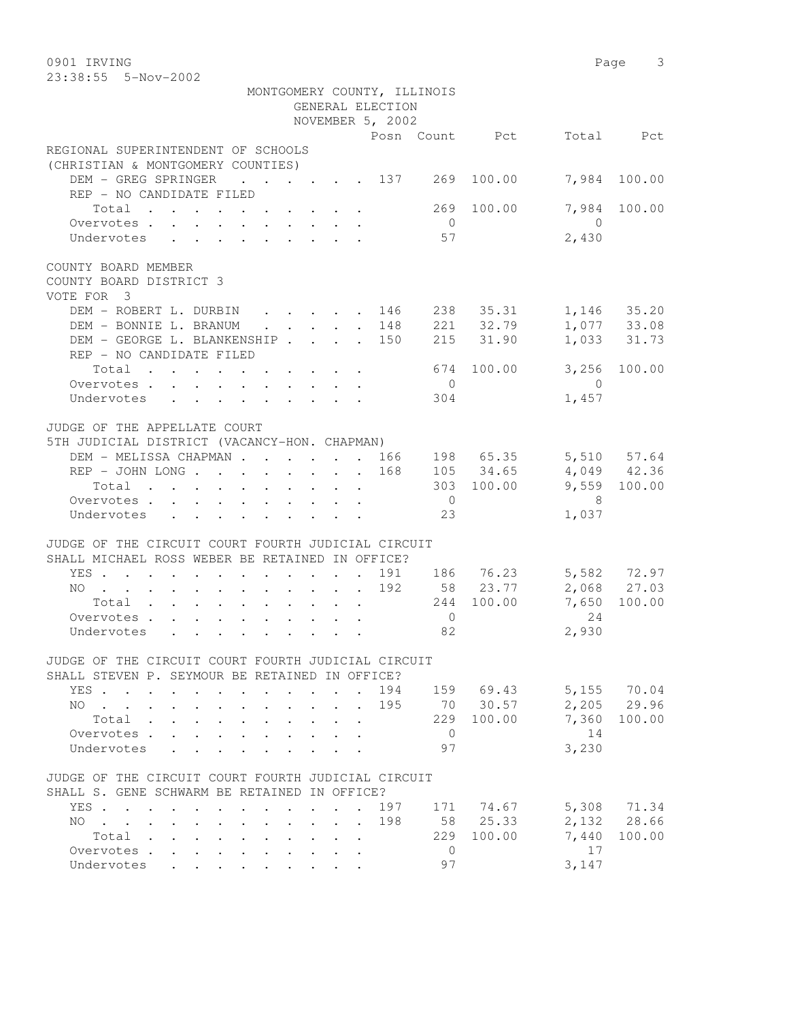0901 IRVING 23

| 23:38:55  5-Nov-2002                                                                                      |                                                         |                                               |                      |                 |              |
|-----------------------------------------------------------------------------------------------------------|---------------------------------------------------------|-----------------------------------------------|----------------------|-----------------|--------------|
|                                                                                                           |                                                         | MONTGOMERY COUNTY, ILLINOIS                   |                      |                 |              |
|                                                                                                           |                                                         | GENERAL ELECTION                              |                      |                 |              |
|                                                                                                           |                                                         | NOVEMBER 5, 2002                              |                      |                 |              |
|                                                                                                           |                                                         | Posn Count Pct                                |                      |                 | Total Pct    |
| REGIONAL SUPERINTENDENT OF SCHOOLS<br>(CHRISTIAN & MONTGOMERY COUNTIES)                                   |                                                         |                                               |                      |                 |              |
| DEM - GREG SPRINGER 137 269<br>REP - NO CANDIDATE FILED                                                   |                                                         |                                               |                      | 100.00<br>7,984 | 100.00       |
| Total 269 100.00                                                                                          |                                                         |                                               |                      |                 | 7,984 100.00 |
| Overvotes.                                                                                                |                                                         |                                               | $\overline{0}$       | $\bigcirc$      |              |
| Undervotes                                                                                                |                                                         |                                               | 57                   | 2,430           |              |
|                                                                                                           |                                                         |                                               |                      |                 |              |
| COUNTY BOARD MEMBER<br>COUNTY BOARD DISTRICT 3<br>VOTE FOR 3                                              |                                                         |                                               |                      |                 |              |
| DEM - ROBERT L. DURBIN 146 238 35.31 1,146 35.20                                                          |                                                         |                                               |                      |                 |              |
| DEM - BONNIE L. BRANUM                                                                                    |                                                         |                                               | 148 221 32.79        |                 | 1,077 33.08  |
| DEM - GEORGE L. BLANKENSHIP 150 215 31.90                                                                 |                                                         |                                               |                      |                 | 1,033 31.73  |
| REP - NO CANDIDATE FILED                                                                                  |                                                         |                                               |                      |                 |              |
| Total                                                                                                     |                                                         |                                               | 674 100.00           |                 | 3,256 100.00 |
| Overvotes                                                                                                 |                                                         |                                               | $\overline{0}$       | $\overline{0}$  |              |
| Undervotes                                                                                                |                                                         |                                               | 304                  | 1,457           |              |
| JUDGE OF THE APPELLATE COURT                                                                              |                                                         |                                               |                      |                 |              |
| 5TH JUDICIAL DISTRICT (VACANCY-HON. CHAPMAN)                                                              |                                                         |                                               |                      |                 |              |
| DEM - MELISSA CHAPMAN 166 198 65.35 5,510 57.64                                                           |                                                         |                                               |                      |                 |              |
| REP - JOHN LONG 168 105 34.65 4,049 42.36                                                                 |                                                         |                                               |                      |                 |              |
| Total $\cdot$                                                                                             |                                                         |                                               |                      | 303 100.00      | 9,559 100.00 |
| Overvotes                                                                                                 |                                                         |                                               | $\overline{0}$       | 8 <sup>8</sup>  |              |
| Undervotes                                                                                                |                                                         |                                               | 23                   | 1,037           |              |
|                                                                                                           |                                                         |                                               |                      |                 |              |
| JUDGE OF THE CIRCUIT COURT FOURTH JUDICIAL CIRCUIT                                                        |                                                         |                                               |                      |                 |              |
| SHALL MICHAEL ROSS WEBER BE RETAINED IN OFFICE?                                                           |                                                         |                                               |                      |                 |              |
| YES.                                                                                                      |                                                         |                                               | 191 186 76.23        |                 | 5,582 72.97  |
| NO 192 58 23.77                                                                                           |                                                         |                                               |                      |                 | 2,068 27.03  |
| Total 244 100.00                                                                                          |                                                         |                                               |                      | 7,650           | 100.00       |
| Overvotes                                                                                                 |                                                         |                                               | $\overline{0}$<br>82 | 24<br>2,930     |              |
| Undervotes                                                                                                |                                                         |                                               |                      |                 |              |
| JUDGE OF THE CIRCUIT COURT FOURTH JUDICIAL CIRCUIT<br>SHALL STEVEN P. SEYMOUR BE RETAINED IN OFFICE?      |                                                         |                                               |                      |                 |              |
| YES.<br>$\ddot{\phantom{a}}$<br>$\sim$<br>$\sim$                                                          | $\cdot$<br>$\ddot{\phantom{a}}$<br>$\ddot{\phantom{a}}$ | 194                                           | 159 69.43            |                 | 5,155 70.04  |
| NO.                                                                                                       | $\ddot{\phantom{0}}$                                    | 195                                           | 70 30.57             |                 | 2,205 29.96  |
| Total<br>$\sim$ $\sim$<br>$\cdot$ $\cdot$ $\cdot$ $\cdot$ $\cdot$<br>$\ddot{\phantom{0}}$                 | $\sim$<br>$\sim$                                        | $\ddot{\phantom{0}}$                          | 229                  | 7,360<br>100.00 | 100.00       |
| Overvotes.<br>$\sim$<br>$\ddot{\phantom{0}}$<br>$\sim$                                                    |                                                         |                                               | $\overline{0}$       | 14              |              |
| Undervotes<br>$\sim$                                                                                      | $\sim$ $\sim$ $\sim$ $\sim$ $\sim$ $\sim$               |                                               | 97                   | 3,230           |              |
|                                                                                                           |                                                         |                                               |                      |                 |              |
| JUDGE OF THE CIRCUIT COURT FOURTH JUDICIAL CIRCUIT<br>SHALL S. GENE SCHWARM BE RETAINED IN OFFICE?        |                                                         |                                               |                      |                 |              |
| YES                                                                                                       | $\mathbf{L}$ and $\mathbf{L}$<br>$\sim$ $\sim$          | 197<br>$\ddot{\phantom{a}}$                   | 171                  | 74.67           | 5,308 71.34  |
| NO.<br>$\mathbf{r}$ , $\mathbf{r}$ , $\mathbf{r}$<br>$\mathbf{L}$<br>$\mathbf{A}$<br>$\sim$               | $\ddot{\phantom{0}}$                                    | 198<br>$\mathbf{r} = \mathbf{r} + \mathbf{r}$ | 58                   | 25.33           | 2,132 28.66  |
| Total<br>$\mathbf{r}$ , $\mathbf{r}$ , $\mathbf{r}$ , $\mathbf{r}$ , $\mathbf{r}$<br>$\ddot{\phantom{0}}$ |                                                         |                                               | 229                  | 7,440<br>100.00 | 100.00       |
| Overvotes                                                                                                 |                                                         |                                               | $\circ$              | 17              |              |
| Undervotes                                                                                                |                                                         |                                               | 97                   | 3,147           |              |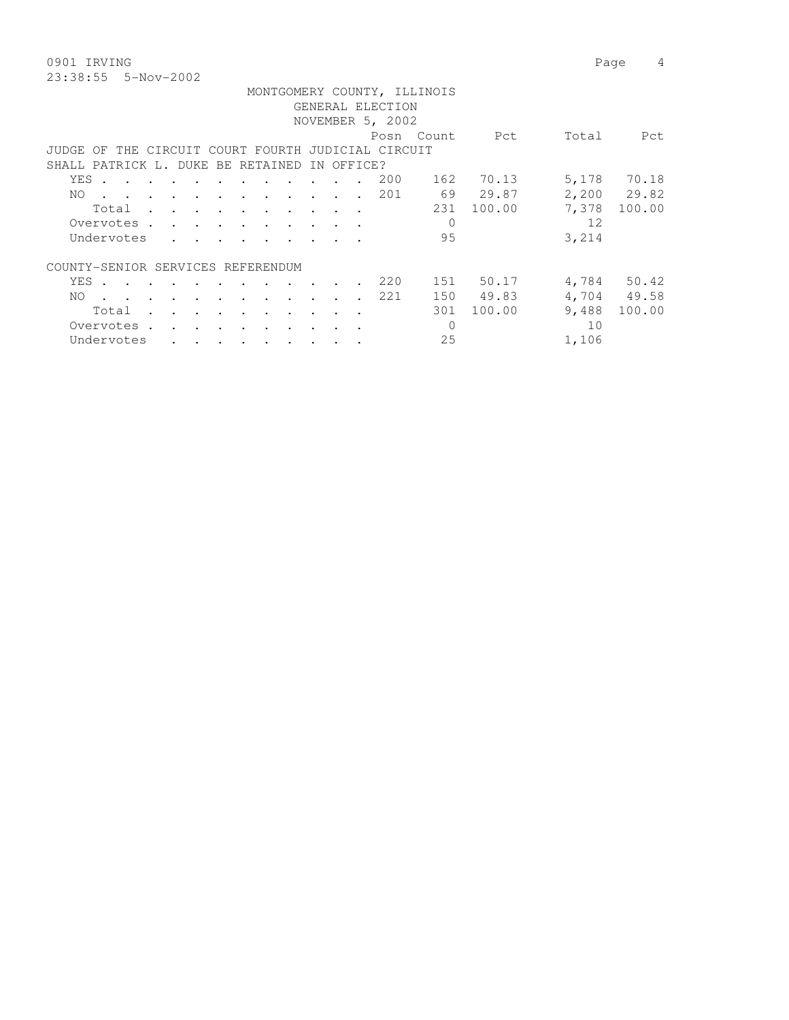| 0901 IRVING |                       |                             |  | Page 4 |  |
|-------------|-----------------------|-----------------------------|--|--------|--|
|             | $23:38:55$ 5-Nov-2002 |                             |  |        |  |
|             |                       | MONTGOMERY COUNTY, ILLINOIS |  |        |  |

|                                              |       |                                                                                                                 |  |                      |                                                                       |                      |                                     |           |                  |                      |                                                    | MONIGOMERI COONII, ILLINOIS |        |       |             |
|----------------------------------------------|-------|-----------------------------------------------------------------------------------------------------------------|--|----------------------|-----------------------------------------------------------------------|----------------------|-------------------------------------|-----------|------------------|----------------------|----------------------------------------------------|-----------------------------|--------|-------|-------------|
|                                              |       |                                                                                                                 |  |                      |                                                                       |                      |                                     |           |                  |                      | GENERAL ELECTION                                   |                             |        |       |             |
|                                              |       |                                                                                                                 |  |                      |                                                                       |                      |                                     |           |                  |                      | NOVEMBER 5, 2002                                   |                             |        |       |             |
|                                              |       |                                                                                                                 |  |                      |                                                                       |                      |                                     |           |                  |                      |                                                    | Posn Count                  | Pct    | Total | Pct         |
|                                              |       |                                                                                                                 |  |                      |                                                                       |                      |                                     |           |                  |                      | JUDGE OF THE CIRCUIT COURT FOURTH JUDICIAL CIRCUIT |                             |        |       |             |
| SHALL PATRICK L. DUKE BE RETAINED IN OFFICE? |       |                                                                                                                 |  |                      |                                                                       |                      |                                     |           |                  |                      |                                                    |                             |        |       |             |
|                                              | YES . | the contract of the contract of the contract of the contract of the contract of the contract of the contract of |  |                      |                                                                       |                      |                                     |           |                  |                      | 200                                                | 162                         | 70.13  | 5,178 | 70.18       |
| NO.                                          |       |                                                                                                                 |  |                      | $\cdots$                                                              |                      | $\cdots$                            |           |                  |                      | 201                                                | 69                          | 29.87  |       | 2,200 29.82 |
|                                              |       | Total                                                                                                           |  |                      |                                                                       |                      |                                     |           |                  |                      |                                                    | 231                         | 100.00 | 7,378 | 100.00      |
|                                              |       | Overvotes .                                                                                                     |  |                      | $\mathbf{r}$ , and $\mathbf{r}$ , and $\mathbf{r}$ , and $\mathbf{r}$ |                      |                                     |           |                  |                      |                                                    | $\Omega$                    |        | 12    |             |
|                                              |       | Undervotes                                                                                                      |  |                      | $\cdot$ $\cdot$ $\cdot$ $\cdot$ $\cdot$ $\cdot$ $\cdot$               |                      |                                     |           |                  |                      |                                                    | 95                          |        | 3,214 |             |
| COUNTY-SENIOR SERVICES REFERENDUM            |       |                                                                                                                 |  |                      |                                                                       |                      |                                     |           |                  |                      |                                                    |                             |        |       |             |
|                                              | YES . | the contract of the contract of the contract of the contract of the contract of the contract of the contract of |  |                      |                                                                       |                      |                                     |           |                  |                      | 220                                                | 151                         | 50.17  |       | 4,784 50.42 |
| NO.                                          |       | $\sim$                                                                                                          |  |                      | $\sim$                                                                | $\sim$               | and the contract of the contract of |           | $\sim$ 100 $\pm$ | $\sim$ $\sim$ $\sim$ | 221                                                | 150                         | 49.83  |       | 4,704 49.58 |
|                                              |       | Total                                                                                                           |  |                      |                                                                       |                      |                                     | $\sim$    |                  |                      |                                                    | 301                         | 100.00 | 9,488 | 100.00      |
|                                              |       | Overvotes.                                                                                                      |  |                      |                                                                       |                      |                                     |           |                  |                      |                                                    | $\Omega$                    |        | 10    |             |
|                                              |       | Undervotes                                                                                                      |  | $\ddot{\phantom{a}}$ | $\sim$ $\sim$ $\sim$                                                  | $\ddot{\phantom{0}}$ | <b>Contract Contract</b>            | $\bullet$ | $\cdot$ $\cdot$  |                      |                                                    | 25                          |        | 1,106 |             |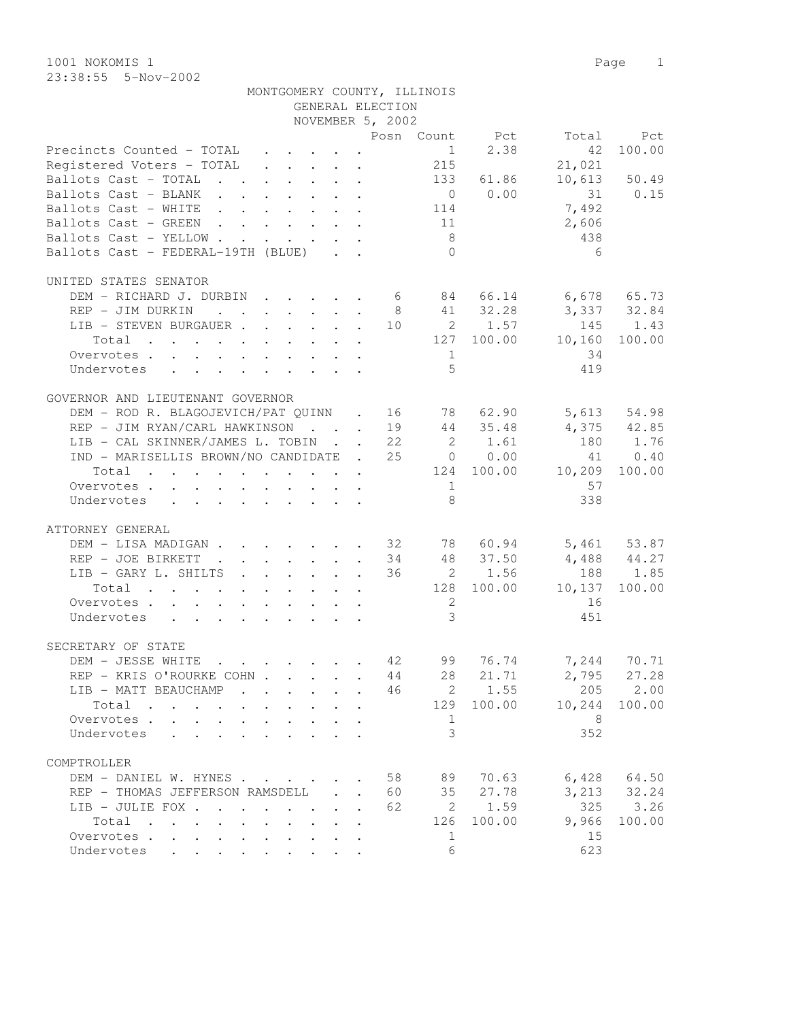1001 NOKOMIS 1 Page 1 23:38:55 5-Nov-2002

| 23:38:55 5-Nov-2002                                                                                                                                                                                                                                                                                                                                                                                                                                                                                                                                                                                                               |  |  |                  |                             |               |                |                                                                                                                                                                                                                                                                                                                                                                                      |
|-----------------------------------------------------------------------------------------------------------------------------------------------------------------------------------------------------------------------------------------------------------------------------------------------------------------------------------------------------------------------------------------------------------------------------------------------------------------------------------------------------------------------------------------------------------------------------------------------------------------------------------|--|--|------------------|-----------------------------|---------------|----------------|--------------------------------------------------------------------------------------------------------------------------------------------------------------------------------------------------------------------------------------------------------------------------------------------------------------------------------------------------------------------------------------|
|                                                                                                                                                                                                                                                                                                                                                                                                                                                                                                                                                                                                                                   |  |  |                  | MONTGOMERY COUNTY, ILLINOIS |               |                |                                                                                                                                                                                                                                                                                                                                                                                      |
|                                                                                                                                                                                                                                                                                                                                                                                                                                                                                                                                                                                                                                   |  |  | GENERAL ELECTION |                             |               |                |                                                                                                                                                                                                                                                                                                                                                                                      |
|                                                                                                                                                                                                                                                                                                                                                                                                                                                                                                                                                                                                                                   |  |  | NOVEMBER 5, 2002 |                             |               |                |                                                                                                                                                                                                                                                                                                                                                                                      |
|                                                                                                                                                                                                                                                                                                                                                                                                                                                                                                                                                                                                                                   |  |  |                  | Posn Count                  | Pct           | Total          | - Pet                                                                                                                                                                                                                                                                                                                                                                                |
| Precincts Counted - TOTAL $\qquad \qquad . \qquad . \qquad . \qquad 1$                                                                                                                                                                                                                                                                                                                                                                                                                                                                                                                                                            |  |  |                  |                             |               | 2.38 42 100.00 |                                                                                                                                                                                                                                                                                                                                                                                      |
| Registered Voters - TOTAL $\quad \cdot \quad \cdot \quad \cdot \quad \cdot \quad \quad \cdot \quad \quad \cdot \quad \quad \cdot \quad \quad \cdot \quad \quad \cdot \quad \quad \cdot \quad \quad \cdot \quad \quad \cdot \quad \quad \cdot \quad \quad \cdot \quad \quad \cdot \quad \quad \cdot \quad \quad \cdot \quad \quad \cdot \quad \cdot \quad \cdot \quad \cdot \quad \cdot \quad \cdot \quad \cdot \quad \cdot \quad \cdot \quad \cdot \quad \cdot \quad \cdot \quad \cdot \quad \cdot \quad \cdot \quad \cdot \quad \cdot \quad \cdot \quad \cdot \quad \cdot \quad \cdot \quad \cdot \quad \cdot \quad \cdot \quad$ |  |  |                  |                             |               | 21,021         |                                                                                                                                                                                                                                                                                                                                                                                      |
| - - - - - - -                                                                                                                                                                                                                                                                                                                                                                                                                                                                                                                                                                                                                     |  |  |                  | $\sim$ $\sim$               | $\sim$ $\sim$ |                | $\overline{a}$ $\overline{a}$ $\overline{a}$ $\overline{a}$ $\overline{a}$ $\overline{a}$ $\overline{a}$ $\overline{a}$ $\overline{a}$ $\overline{a}$ $\overline{a}$ $\overline{a}$ $\overline{a}$ $\overline{a}$ $\overline{a}$ $\overline{a}$ $\overline{a}$ $\overline{a}$ $\overline{a}$ $\overline{a}$ $\overline{a}$ $\overline{a}$ $\overline{a}$ $\overline{a}$ $\overline{$ |

| Registered Voters - TOTAL                                |                                 | 215                     |             | 21,021                  |                 |
|----------------------------------------------------------|---------------------------------|-------------------------|-------------|-------------------------|-----------------|
| Ballots Cast - TOTAL                                     |                                 |                         | 133 61.86   |                         | 10,613 50.49    |
| Ballots Cast - BLANK                                     |                                 |                         | $0 \t 0.00$ | 31 0.15                 |                 |
| Ballots Cast - WHITE 114                                 |                                 |                         |             | 7,492                   |                 |
| Ballots Cast - GREEN 11                                  |                                 |                         |             | 2,606                   |                 |
| Ballots Cast - YELLOW                                    |                                 | 8 <sup>1</sup>          |             | 438                     |                 |
| Ballots Cast - FEDERAL-19TH (BLUE)                       |                                 | $\bigcirc$              |             | - 6                     |                 |
|                                                          |                                 |                         |             |                         |                 |
| UNITED STATES SENATOR                                    |                                 |                         |             |                         |                 |
| DEM - RICHARD J. DURBIN 6 84 66.14 6,678 65.73           |                                 |                         |             |                         |                 |
| REP - JIM DURKIN                                         |                                 |                         | 8 41 32.28  | 3,337 32.84             |                 |
| LIB - STEVEN BURGAUER 10 2 1.57                          |                                 |                         |             |                         | 145 1.43        |
| $\cdot$ 127 100.00 10,160<br>Total                       |                                 |                         |             |                         | 100.00          |
| Overvotes                                                |                                 | $\mathbf{1}$            |             | 34                      |                 |
| Undervotes                                               |                                 | $\overline{5}$          |             | 419                     |                 |
|                                                          |                                 |                         |             |                         |                 |
| GOVERNOR AND LIEUTENANT GOVERNOR                         |                                 |                         |             |                         |                 |
| DEM - ROD R. BLAGOJEVICH/PAT QUINN . 16 78 62.90         |                                 |                         |             |                         | 5,613 54.98     |
| REP - JIM RYAN/CARL HAWKINSON 19 44 35.48                |                                 |                         |             |                         | $4,375$ $42.85$ |
| LIB - CAL SKINNER/JAMES L. TOBIN 22 2 1.61               |                                 |                         |             |                         | 180 1.76        |
| IND - MARISELLIS BROWN/NO CANDIDATE . 25 0 0.00          |                                 |                         |             |                         |                 |
|                                                          |                                 |                         |             |                         | 41 0.40         |
| $\cdot$ 124 100.00 10,209 100.00<br>Total                |                                 |                         |             |                         |                 |
| Overvotes.                                               |                                 | $\overline{1}$          |             | 57                      |                 |
| Undervotes                                               |                                 | 8                       |             | 338                     |                 |
| ATTORNEY GENERAL                                         |                                 |                         |             |                         |                 |
| DEM - LISA MADIGAN 32 78 60.94                           |                                 |                         |             |                         | 5,461 53.87     |
|                                                          |                                 |                         |             | 34 48 37.50 4,488 44.27 |                 |
| REP - JOE BIRKETT                                        |                                 |                         |             |                         | 188 1.85        |
| LIB - GARY L. SHILTS                                     |                                 |                         | 36 2 1.56   |                         |                 |
| Total 128 100.00 10,137                                  |                                 |                         |             |                         | 100.00          |
| Overvotes.                                               |                                 | 2                       |             | 16                      |                 |
| Undervotes                                               |                                 | $\mathcal{S}$           |             | 451                     |                 |
|                                                          |                                 |                         |             |                         |                 |
| SECRETARY OF STATE<br>DEM - JESSE WHITE                  |                                 |                         | 76.74       |                         | 7,244 70.71     |
|                                                          |                                 | 44 28                   |             |                         | $2,795$ 27.28   |
| REP - KRIS O'ROURKE COHN                                 |                                 |                         | 21.71       |                         |                 |
| LIB - MATT BEAUCHAMP                                     |                                 | 46                      | 2 1.55      | 205                     | 2.00            |
| Total 129                                                |                                 |                         | 100.00      | 10,244                  | 100.00          |
| Overvotes.                                               |                                 | $\mathbf{1}$            |             | 8                       |                 |
| Undervotes                                               |                                 | $\overline{\mathbf{3}}$ |             | 352                     |                 |
|                                                          |                                 |                         |             |                         |                 |
| COMPTROLLER                                              |                                 |                         |             |                         |                 |
| DEM - DANIEL W. HYNES                                    |                                 | 58<br>89                | 70.63       | 6,428                   | 64.50           |
| REP - THOMAS JEFFERSON RAMSDELL                          | 60                              | 35                      | 27.78       | 3,213                   | 32.24           |
| LIB - JULIE FOX<br>$\sim$ $\sim$<br>$\ddot{\phantom{a}}$ | 62<br>$\mathbf{r} = \mathbf{r}$ | 2                       | 1.59        | 325                     | 3.26            |
| Total<br>$\mathbf{A}$                                    | $\sim$                          | 126                     | 100.00      | 9,966                   | 100.00          |
| Overvotes<br>$\ddot{\phantom{0}}$<br>$\mathbf{A}$        |                                 | 1                       |             | 15                      |                 |
| Undervotes<br>$\mathbf{L}$                               |                                 | 6                       |             | 623                     |                 |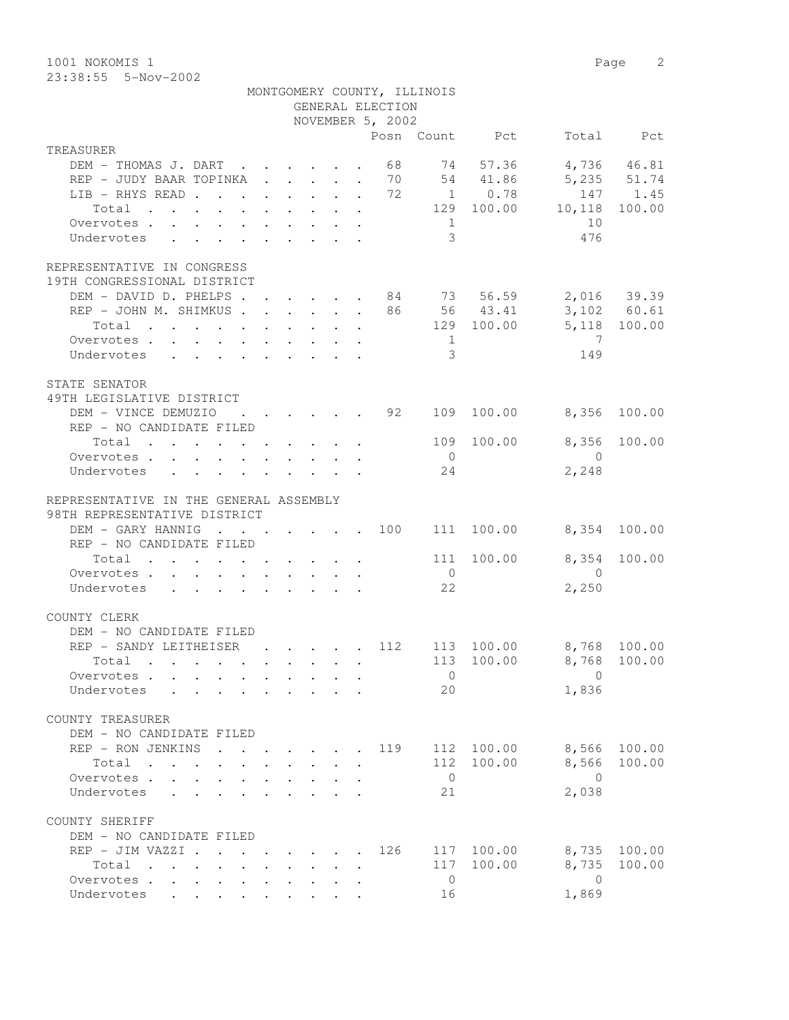1001 NOKOMIS 1 Page 2 23:38:55 5-Nov-2002

|                                                                                                   |                                                         |  | GENERAL ELECTION                                   | MONTGOMERY COUNTY, ILLINOIS          |                |                         |             |
|---------------------------------------------------------------------------------------------------|---------------------------------------------------------|--|----------------------------------------------------|--------------------------------------|----------------|-------------------------|-------------|
|                                                                                                   |                                                         |  | NOVEMBER 5, 2002                                   |                                      |                |                         |             |
|                                                                                                   |                                                         |  |                                                    |                                      | Posn Count Pct |                         | Total Pct   |
| TREASURER                                                                                         |                                                         |  |                                                    |                                      |                |                         |             |
| DEM - THOMAS J. DART 68                                                                           |                                                         |  |                                                    |                                      | 74 57.36       |                         | 4,736 46.81 |
| REP - JUDY BAAR TOPINKA 70 54 41.86                                                               |                                                         |  |                                                    |                                      |                |                         | 5,235 51.74 |
| LIB - RHYS READ 72                                                                                |                                                         |  |                                                    |                                      | 1 0.78         |                         | 147 1.45    |
| Total                                                                                             |                                                         |  |                                                    |                                      |                | 129 100.00 10,118       | 100.00      |
| Overvotes.                                                                                        |                                                         |  |                                                    | $\begin{array}{ccc} & 1 \end{array}$ |                | 10                      |             |
| Undervotes                                                                                        |                                                         |  |                                                    | $\mathcal{S}$                        |                | 476                     |             |
| REPRESENTATIVE IN CONGRESS<br>19TH CONGRESSIONAL DISTRICT                                         |                                                         |  |                                                    |                                      |                |                         |             |
| DEM - DAVID D. PHELPS 84 73 56.59 2,016 39.39                                                     |                                                         |  |                                                    |                                      |                |                         |             |
| REP - JOHN M. SHIMKUS 86 56 43.41 3,102 60.61                                                     |                                                         |  |                                                    |                                      |                |                         |             |
| Total                                                                                             |                                                         |  |                                                    |                                      |                | 129 100.00 5,118 100.00 |             |
| Overvotes                                                                                         |                                                         |  |                                                    | $\overline{1}$                       |                | $\overline{7}$          |             |
| Undervotes                                                                                        |                                                         |  |                                                    | $\mathcal{E}$                        |                | 149                     |             |
|                                                                                                   |                                                         |  |                                                    |                                      |                |                         |             |
| STATE SENATOR<br>49TH LEGISLATIVE DISTRICT                                                        |                                                         |  |                                                    |                                      |                |                         |             |
| DEM - VINCE DEMUZIO                                                                               |                                                         |  | $\cdot$ $\cdot$ $\cdot$ $\cdot$ $\cdot$ $\cdot$ 92 |                                      | 109 100.00     | 8,356                   | 100.00      |
| REP - NO CANDIDATE FILED                                                                          |                                                         |  |                                                    |                                      |                |                         |             |
| Total $\cdot$                                                                                     |                                                         |  |                                                    | 109                                  | 100.00         | 8,356                   | 100.00      |
| Overvotes                                                                                         |                                                         |  |                                                    | $\overline{0}$                       |                | $\overline{0}$          |             |
| Undervotes                                                                                        |                                                         |  |                                                    | 24                                   |                | 2,248                   |             |
| REPRESENTATIVE IN THE GENERAL ASSEMBLY<br>98TH REPRESENTATIVE DISTRICT                            |                                                         |  |                                                    |                                      |                |                         |             |
| DEM - GARY HANNIG 100                                                                             |                                                         |  |                                                    |                                      | 111 100.00     | 8,354 100.00            |             |
| REP - NO CANDIDATE FILED                                                                          |                                                         |  |                                                    |                                      |                |                         |             |
| Total $\cdot$                                                                                     |                                                         |  |                                                    | 111                                  | 100.00         | 8,354                   | 100.00      |
| Overvotes.                                                                                        |                                                         |  |                                                    | $\overline{0}$                       |                | $\overline{0}$          |             |
| Undervotes                                                                                        |                                                         |  |                                                    | 22                                   |                | 2,250                   |             |
| COUNTY CLERK                                                                                      |                                                         |  |                                                    |                                      |                |                         |             |
| DEM - NO CANDIDATE FILED                                                                          |                                                         |  |                                                    |                                      |                |                         |             |
| REP - SANDY LEITHEISER                                                                            |                                                         |  | . 112                                              |                                      | 113 100.00     | 8,768 100.00            |             |
| Total .                                                                                           |                                                         |  |                                                    |                                      |                | 113 100.00 8,768 100.00 |             |
| Overvotes                                                                                         |                                                         |  |                                                    | $\overline{0}$                       |                | $\Omega$                |             |
| Undervotes                                                                                        |                                                         |  |                                                    | 20                                   |                | 1,836                   |             |
| COUNTY TREASURER                                                                                  |                                                         |  |                                                    |                                      |                |                         |             |
| DEM - NO CANDIDATE FILED                                                                          |                                                         |  |                                                    |                                      |                |                         |             |
| REP - RON JENKINS                                                                                 |                                                         |  | 119                                                | 112                                  | 100.00         | 8,566                   | 100.00      |
| Total                                                                                             |                                                         |  |                                                    | 112                                  | 100.00         | 8,566                   | 100.00      |
| Overvotes .<br>$\mathbf{L}$                                                                       |                                                         |  |                                                    | $\overline{0}$                       |                | $\bigcirc$              |             |
| Undervotes                                                                                        |                                                         |  |                                                    | 21                                   |                | 2,038                   |             |
| COUNTY SHERIFF                                                                                    |                                                         |  |                                                    |                                      |                |                         |             |
| DEM - NO CANDIDATE FILED                                                                          |                                                         |  |                                                    |                                      |                |                         |             |
| REP - JIM VAZZI .                                                                                 | $\cdot$ $\cdot$ $\cdot$ $\cdot$ $\cdot$ $\cdot$ $\cdot$ |  | 126                                                | 117                                  | 100.00         | 8,735                   | 100.00      |
| Total<br>$\mathbf{r}$ , and $\mathbf{r}$ , and $\mathbf{r}$ , and $\mathbf{r}$ , and $\mathbf{r}$ |                                                         |  |                                                    | 117                                  | 100.00         | 8,735                   | 100.00      |
| Overvotes                                                                                         |                                                         |  |                                                    | $\overline{0}$                       |                | $\overline{0}$          |             |
| Undervotes                                                                                        |                                                         |  |                                                    | 16                                   |                | 1,869                   |             |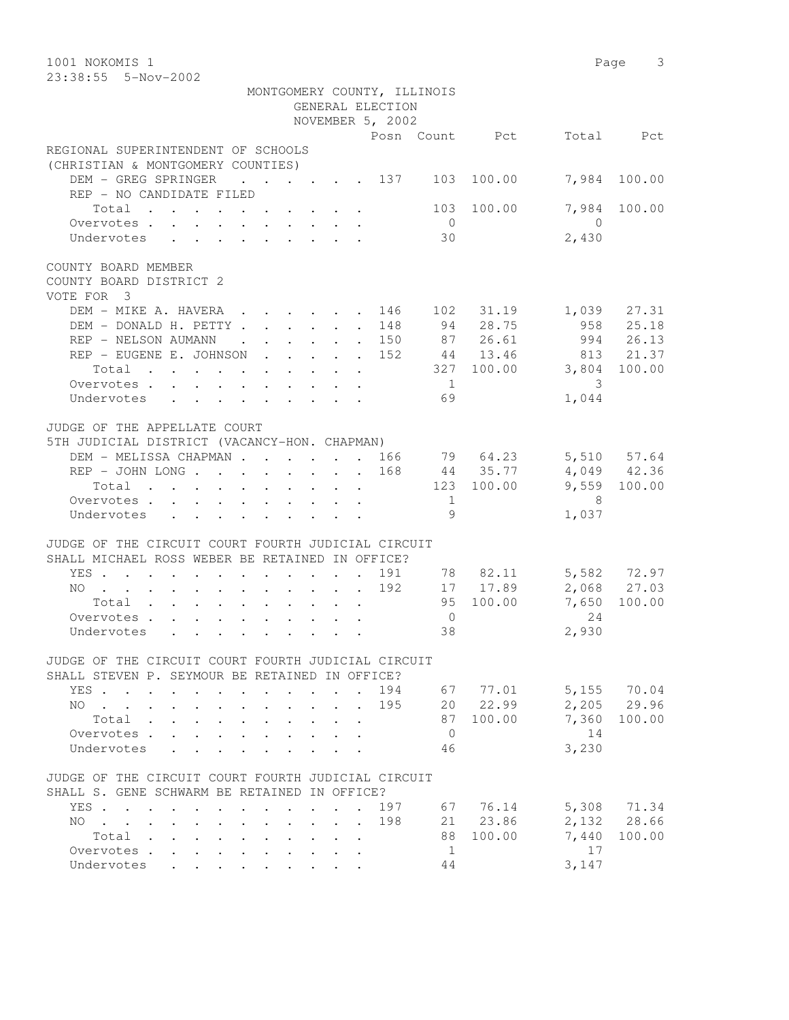| MONTGOMERY COUNTY, ILLINOIS<br>GENERAL ELECTION<br>NOVEMBER 5, 2002<br>Posn Count Pct<br>Total Pct<br>(CHRISTIAN & MONTGOMERY COUNTIES)<br>DEM - GREG SPRINGER<br>$\cdot$ 137<br>103<br>100.00<br>7,984 100.00<br>REP - NO CANDIDATE FILED<br>7,984<br>103 100.00<br>100.00<br>Total<br>Overvotes<br>$\overline{0}$<br>$\bigcirc$<br>2,430<br>Undervotes<br>30<br>$\mathbf{r}$ , $\mathbf{r}$ , $\mathbf{r}$ , $\mathbf{r}$ , $\mathbf{r}$ , $\mathbf{r}$<br>DEM - MIKE A. HAVERA.<br>102 31.19<br>1,039 27.31<br>146<br>$\cdot$ $\cdot$ $\cdot$ $\cdot$ $\cdot$ $\cdot$<br>94 28.75<br>958 25.18<br>DEM - DONALD H. PETTY<br>148<br>$\bullet$ .<br><br><br><br><br><br><br><br><br><br><br><br><br>87 26.61<br>994 26.13<br>REP - NELSON AUMANN<br>. 150<br>$\cdot$ $\cdot$ $\cdot$ $\cdot$ $\cdot$ $\cdot$<br>44 13.46<br>813 21.37<br>REP - EUGENE E. JOHNSON<br>152<br>327 100.00<br>3,804<br>Total<br>100.00<br>$\overline{1}$<br>3<br>Overvotes<br>1,044<br>Undervotes<br>69<br>5TH JUDICIAL DISTRICT (VACANCY-HON. CHAPMAN)<br>5,510 57.64<br>DEM - MELISSA CHAPMAN 166<br>79 64.23<br>4,049 42.36<br>REP - JOHN LONG<br>168<br>44 35.77<br>9,559 100.00<br>123 100.00<br>Total<br>8 <sup>8</sup><br>Overvotes<br>1<br>9<br>1,037<br>Undervotes<br>SHALL MICHAEL ROSS WEBER BE RETAINED IN OFFICE?<br>5,582 72.97<br>191<br>78 82.11<br>YES<br>$\sim$<br>2,068 27.03<br>192<br>17 17.89<br>NO<br>95 100.00<br>7,650<br>100.00<br>Total<br>24<br>$\overline{0}$<br>Overvotes<br>2,930<br>38<br>Undervotes<br>SHALL STEVEN P. SEYMOUR BE RETAINED IN OFFICE?<br>5,155 70.04<br>194<br>67 77.01<br>YES<br>$\sim$<br>$\ddot{\phantom{0}}$<br>20 22.99<br>2,205<br>29.96<br>195<br>NO.<br>and the company of the company<br>$\sim$ $\sim$<br>7,360<br>87<br>100.00<br>100.00<br>Total<br>14<br>Overvotes.<br>$\overline{0}$<br>$\mathbf{L}$<br>3,230<br>46<br>Undervotes<br>SHALL S. GENE SCHWARM BE RETAINED IN OFFICE?<br>76.14<br>5,308 71.34<br>197<br>67<br>YES<br>$\cdot$ $\cdot$ $\cdot$<br>2,132 28.66<br>21 23.86<br>198<br>NO.<br>$\mathbf{r}$ , $\mathbf{r}$ , $\mathbf{r}$ , $\mathbf{r}$ , $\mathbf{r}$<br>$\mathbf{r} = \mathbf{r} \mathbf{r}$ , where $\mathbf{r} = \mathbf{r} \mathbf{r}$<br>$\ddot{\phantom{0}}$<br>$\mathbf{L}$<br>$\sim$<br>88<br>100.00<br>7,440<br>Total<br>100.00<br>$\ddot{\phantom{a}}$ . The set of the set of the set of the set of the set of the set of the set of the set of the set of the set of the set of the set of the set of the set of the set of the set of the set of the set of the set o<br>$\mathbf{L} = \mathbf{L}$<br>1<br>17<br>Overvotes<br>$\mathbf{L} = \mathbf{L}$<br>$\mathbf{r} = \mathbf{r} + \mathbf{r}$ . | 1001 NOKOMIS 1<br>23:38:55 5-Nov-2002                        |       | Page 3 |
|-----------------------------------------------------------------------------------------------------------------------------------------------------------------------------------------------------------------------------------------------------------------------------------------------------------------------------------------------------------------------------------------------------------------------------------------------------------------------------------------------------------------------------------------------------------------------------------------------------------------------------------------------------------------------------------------------------------------------------------------------------------------------------------------------------------------------------------------------------------------------------------------------------------------------------------------------------------------------------------------------------------------------------------------------------------------------------------------------------------------------------------------------------------------------------------------------------------------------------------------------------------------------------------------------------------------------------------------------------------------------------------------------------------------------------------------------------------------------------------------------------------------------------------------------------------------------------------------------------------------------------------------------------------------------------------------------------------------------------------------------------------------------------------------------------------------------------------------------------------------------------------------------------------------------------------------------------------------------------------------------------------------------------------------------------------------------------------------------------------------------------------------------------------------------------------------------------------------------------------------------------------------------------------------------------------------------------------------------------------------------------------------------------------------------------------------------------------------------------------------------------------------------------------------------------------------------------------------------------------------------------------------------------------------------------------|--------------------------------------------------------------|-------|--------|
|                                                                                                                                                                                                                                                                                                                                                                                                                                                                                                                                                                                                                                                                                                                                                                                                                                                                                                                                                                                                                                                                                                                                                                                                                                                                                                                                                                                                                                                                                                                                                                                                                                                                                                                                                                                                                                                                                                                                                                                                                                                                                                                                                                                                                                                                                                                                                                                                                                                                                                                                                                                                                                                                                   |                                                              |       |        |
|                                                                                                                                                                                                                                                                                                                                                                                                                                                                                                                                                                                                                                                                                                                                                                                                                                                                                                                                                                                                                                                                                                                                                                                                                                                                                                                                                                                                                                                                                                                                                                                                                                                                                                                                                                                                                                                                                                                                                                                                                                                                                                                                                                                                                                                                                                                                                                                                                                                                                                                                                                                                                                                                                   |                                                              |       |        |
|                                                                                                                                                                                                                                                                                                                                                                                                                                                                                                                                                                                                                                                                                                                                                                                                                                                                                                                                                                                                                                                                                                                                                                                                                                                                                                                                                                                                                                                                                                                                                                                                                                                                                                                                                                                                                                                                                                                                                                                                                                                                                                                                                                                                                                                                                                                                                                                                                                                                                                                                                                                                                                                                                   |                                                              |       |        |
|                                                                                                                                                                                                                                                                                                                                                                                                                                                                                                                                                                                                                                                                                                                                                                                                                                                                                                                                                                                                                                                                                                                                                                                                                                                                                                                                                                                                                                                                                                                                                                                                                                                                                                                                                                                                                                                                                                                                                                                                                                                                                                                                                                                                                                                                                                                                                                                                                                                                                                                                                                                                                                                                                   |                                                              |       |        |
|                                                                                                                                                                                                                                                                                                                                                                                                                                                                                                                                                                                                                                                                                                                                                                                                                                                                                                                                                                                                                                                                                                                                                                                                                                                                                                                                                                                                                                                                                                                                                                                                                                                                                                                                                                                                                                                                                                                                                                                                                                                                                                                                                                                                                                                                                                                                                                                                                                                                                                                                                                                                                                                                                   | REGIONAL SUPERINTENDENT OF SCHOOLS                           |       |        |
|                                                                                                                                                                                                                                                                                                                                                                                                                                                                                                                                                                                                                                                                                                                                                                                                                                                                                                                                                                                                                                                                                                                                                                                                                                                                                                                                                                                                                                                                                                                                                                                                                                                                                                                                                                                                                                                                                                                                                                                                                                                                                                                                                                                                                                                                                                                                                                                                                                                                                                                                                                                                                                                                                   |                                                              |       |        |
|                                                                                                                                                                                                                                                                                                                                                                                                                                                                                                                                                                                                                                                                                                                                                                                                                                                                                                                                                                                                                                                                                                                                                                                                                                                                                                                                                                                                                                                                                                                                                                                                                                                                                                                                                                                                                                                                                                                                                                                                                                                                                                                                                                                                                                                                                                                                                                                                                                                                                                                                                                                                                                                                                   |                                                              |       |        |
|                                                                                                                                                                                                                                                                                                                                                                                                                                                                                                                                                                                                                                                                                                                                                                                                                                                                                                                                                                                                                                                                                                                                                                                                                                                                                                                                                                                                                                                                                                                                                                                                                                                                                                                                                                                                                                                                                                                                                                                                                                                                                                                                                                                                                                                                                                                                                                                                                                                                                                                                                                                                                                                                                   |                                                              |       |        |
|                                                                                                                                                                                                                                                                                                                                                                                                                                                                                                                                                                                                                                                                                                                                                                                                                                                                                                                                                                                                                                                                                                                                                                                                                                                                                                                                                                                                                                                                                                                                                                                                                                                                                                                                                                                                                                                                                                                                                                                                                                                                                                                                                                                                                                                                                                                                                                                                                                                                                                                                                                                                                                                                                   | COUNTY BOARD MEMBER<br>COUNTY BOARD DISTRICT 2<br>VOTE FOR 3 |       |        |
|                                                                                                                                                                                                                                                                                                                                                                                                                                                                                                                                                                                                                                                                                                                                                                                                                                                                                                                                                                                                                                                                                                                                                                                                                                                                                                                                                                                                                                                                                                                                                                                                                                                                                                                                                                                                                                                                                                                                                                                                                                                                                                                                                                                                                                                                                                                                                                                                                                                                                                                                                                                                                                                                                   |                                                              |       |        |
|                                                                                                                                                                                                                                                                                                                                                                                                                                                                                                                                                                                                                                                                                                                                                                                                                                                                                                                                                                                                                                                                                                                                                                                                                                                                                                                                                                                                                                                                                                                                                                                                                                                                                                                                                                                                                                                                                                                                                                                                                                                                                                                                                                                                                                                                                                                                                                                                                                                                                                                                                                                                                                                                                   |                                                              |       |        |
|                                                                                                                                                                                                                                                                                                                                                                                                                                                                                                                                                                                                                                                                                                                                                                                                                                                                                                                                                                                                                                                                                                                                                                                                                                                                                                                                                                                                                                                                                                                                                                                                                                                                                                                                                                                                                                                                                                                                                                                                                                                                                                                                                                                                                                                                                                                                                                                                                                                                                                                                                                                                                                                                                   |                                                              |       |        |
|                                                                                                                                                                                                                                                                                                                                                                                                                                                                                                                                                                                                                                                                                                                                                                                                                                                                                                                                                                                                                                                                                                                                                                                                                                                                                                                                                                                                                                                                                                                                                                                                                                                                                                                                                                                                                                                                                                                                                                                                                                                                                                                                                                                                                                                                                                                                                                                                                                                                                                                                                                                                                                                                                   |                                                              |       |        |
|                                                                                                                                                                                                                                                                                                                                                                                                                                                                                                                                                                                                                                                                                                                                                                                                                                                                                                                                                                                                                                                                                                                                                                                                                                                                                                                                                                                                                                                                                                                                                                                                                                                                                                                                                                                                                                                                                                                                                                                                                                                                                                                                                                                                                                                                                                                                                                                                                                                                                                                                                                                                                                                                                   |                                                              |       |        |
|                                                                                                                                                                                                                                                                                                                                                                                                                                                                                                                                                                                                                                                                                                                                                                                                                                                                                                                                                                                                                                                                                                                                                                                                                                                                                                                                                                                                                                                                                                                                                                                                                                                                                                                                                                                                                                                                                                                                                                                                                                                                                                                                                                                                                                                                                                                                                                                                                                                                                                                                                                                                                                                                                   |                                                              |       |        |
|                                                                                                                                                                                                                                                                                                                                                                                                                                                                                                                                                                                                                                                                                                                                                                                                                                                                                                                                                                                                                                                                                                                                                                                                                                                                                                                                                                                                                                                                                                                                                                                                                                                                                                                                                                                                                                                                                                                                                                                                                                                                                                                                                                                                                                                                                                                                                                                                                                                                                                                                                                                                                                                                                   |                                                              |       |        |
|                                                                                                                                                                                                                                                                                                                                                                                                                                                                                                                                                                                                                                                                                                                                                                                                                                                                                                                                                                                                                                                                                                                                                                                                                                                                                                                                                                                                                                                                                                                                                                                                                                                                                                                                                                                                                                                                                                                                                                                                                                                                                                                                                                                                                                                                                                                                                                                                                                                                                                                                                                                                                                                                                   | JUDGE OF THE APPELLATE COURT                                 |       |        |
|                                                                                                                                                                                                                                                                                                                                                                                                                                                                                                                                                                                                                                                                                                                                                                                                                                                                                                                                                                                                                                                                                                                                                                                                                                                                                                                                                                                                                                                                                                                                                                                                                                                                                                                                                                                                                                                                                                                                                                                                                                                                                                                                                                                                                                                                                                                                                                                                                                                                                                                                                                                                                                                                                   |                                                              |       |        |
|                                                                                                                                                                                                                                                                                                                                                                                                                                                                                                                                                                                                                                                                                                                                                                                                                                                                                                                                                                                                                                                                                                                                                                                                                                                                                                                                                                                                                                                                                                                                                                                                                                                                                                                                                                                                                                                                                                                                                                                                                                                                                                                                                                                                                                                                                                                                                                                                                                                                                                                                                                                                                                                                                   |                                                              |       |        |
|                                                                                                                                                                                                                                                                                                                                                                                                                                                                                                                                                                                                                                                                                                                                                                                                                                                                                                                                                                                                                                                                                                                                                                                                                                                                                                                                                                                                                                                                                                                                                                                                                                                                                                                                                                                                                                                                                                                                                                                                                                                                                                                                                                                                                                                                                                                                                                                                                                                                                                                                                                                                                                                                                   |                                                              |       |        |
|                                                                                                                                                                                                                                                                                                                                                                                                                                                                                                                                                                                                                                                                                                                                                                                                                                                                                                                                                                                                                                                                                                                                                                                                                                                                                                                                                                                                                                                                                                                                                                                                                                                                                                                                                                                                                                                                                                                                                                                                                                                                                                                                                                                                                                                                                                                                                                                                                                                                                                                                                                                                                                                                                   |                                                              |       |        |
|                                                                                                                                                                                                                                                                                                                                                                                                                                                                                                                                                                                                                                                                                                                                                                                                                                                                                                                                                                                                                                                                                                                                                                                                                                                                                                                                                                                                                                                                                                                                                                                                                                                                                                                                                                                                                                                                                                                                                                                                                                                                                                                                                                                                                                                                                                                                                                                                                                                                                                                                                                                                                                                                                   |                                                              |       |        |
|                                                                                                                                                                                                                                                                                                                                                                                                                                                                                                                                                                                                                                                                                                                                                                                                                                                                                                                                                                                                                                                                                                                                                                                                                                                                                                                                                                                                                                                                                                                                                                                                                                                                                                                                                                                                                                                                                                                                                                                                                                                                                                                                                                                                                                                                                                                                                                                                                                                                                                                                                                                                                                                                                   |                                                              |       |        |
|                                                                                                                                                                                                                                                                                                                                                                                                                                                                                                                                                                                                                                                                                                                                                                                                                                                                                                                                                                                                                                                                                                                                                                                                                                                                                                                                                                                                                                                                                                                                                                                                                                                                                                                                                                                                                                                                                                                                                                                                                                                                                                                                                                                                                                                                                                                                                                                                                                                                                                                                                                                                                                                                                   | JUDGE OF THE CIRCUIT COURT FOURTH JUDICIAL CIRCUIT           |       |        |
|                                                                                                                                                                                                                                                                                                                                                                                                                                                                                                                                                                                                                                                                                                                                                                                                                                                                                                                                                                                                                                                                                                                                                                                                                                                                                                                                                                                                                                                                                                                                                                                                                                                                                                                                                                                                                                                                                                                                                                                                                                                                                                                                                                                                                                                                                                                                                                                                                                                                                                                                                                                                                                                                                   |                                                              |       |        |
|                                                                                                                                                                                                                                                                                                                                                                                                                                                                                                                                                                                                                                                                                                                                                                                                                                                                                                                                                                                                                                                                                                                                                                                                                                                                                                                                                                                                                                                                                                                                                                                                                                                                                                                                                                                                                                                                                                                                                                                                                                                                                                                                                                                                                                                                                                                                                                                                                                                                                                                                                                                                                                                                                   |                                                              |       |        |
|                                                                                                                                                                                                                                                                                                                                                                                                                                                                                                                                                                                                                                                                                                                                                                                                                                                                                                                                                                                                                                                                                                                                                                                                                                                                                                                                                                                                                                                                                                                                                                                                                                                                                                                                                                                                                                                                                                                                                                                                                                                                                                                                                                                                                                                                                                                                                                                                                                                                                                                                                                                                                                                                                   |                                                              |       |        |
|                                                                                                                                                                                                                                                                                                                                                                                                                                                                                                                                                                                                                                                                                                                                                                                                                                                                                                                                                                                                                                                                                                                                                                                                                                                                                                                                                                                                                                                                                                                                                                                                                                                                                                                                                                                                                                                                                                                                                                                                                                                                                                                                                                                                                                                                                                                                                                                                                                                                                                                                                                                                                                                                                   |                                                              |       |        |
|                                                                                                                                                                                                                                                                                                                                                                                                                                                                                                                                                                                                                                                                                                                                                                                                                                                                                                                                                                                                                                                                                                                                                                                                                                                                                                                                                                                                                                                                                                                                                                                                                                                                                                                                                                                                                                                                                                                                                                                                                                                                                                                                                                                                                                                                                                                                                                                                                                                                                                                                                                                                                                                                                   |                                                              |       |        |
|                                                                                                                                                                                                                                                                                                                                                                                                                                                                                                                                                                                                                                                                                                                                                                                                                                                                                                                                                                                                                                                                                                                                                                                                                                                                                                                                                                                                                                                                                                                                                                                                                                                                                                                                                                                                                                                                                                                                                                                                                                                                                                                                                                                                                                                                                                                                                                                                                                                                                                                                                                                                                                                                                   | JUDGE OF THE CIRCUIT COURT FOURTH JUDICIAL CIRCUIT           |       |        |
|                                                                                                                                                                                                                                                                                                                                                                                                                                                                                                                                                                                                                                                                                                                                                                                                                                                                                                                                                                                                                                                                                                                                                                                                                                                                                                                                                                                                                                                                                                                                                                                                                                                                                                                                                                                                                                                                                                                                                                                                                                                                                                                                                                                                                                                                                                                                                                                                                                                                                                                                                                                                                                                                                   |                                                              |       |        |
|                                                                                                                                                                                                                                                                                                                                                                                                                                                                                                                                                                                                                                                                                                                                                                                                                                                                                                                                                                                                                                                                                                                                                                                                                                                                                                                                                                                                                                                                                                                                                                                                                                                                                                                                                                                                                                                                                                                                                                                                                                                                                                                                                                                                                                                                                                                                                                                                                                                                                                                                                                                                                                                                                   |                                                              |       |        |
|                                                                                                                                                                                                                                                                                                                                                                                                                                                                                                                                                                                                                                                                                                                                                                                                                                                                                                                                                                                                                                                                                                                                                                                                                                                                                                                                                                                                                                                                                                                                                                                                                                                                                                                                                                                                                                                                                                                                                                                                                                                                                                                                                                                                                                                                                                                                                                                                                                                                                                                                                                                                                                                                                   |                                                              |       |        |
|                                                                                                                                                                                                                                                                                                                                                                                                                                                                                                                                                                                                                                                                                                                                                                                                                                                                                                                                                                                                                                                                                                                                                                                                                                                                                                                                                                                                                                                                                                                                                                                                                                                                                                                                                                                                                                                                                                                                                                                                                                                                                                                                                                                                                                                                                                                                                                                                                                                                                                                                                                                                                                                                                   |                                                              |       |        |
|                                                                                                                                                                                                                                                                                                                                                                                                                                                                                                                                                                                                                                                                                                                                                                                                                                                                                                                                                                                                                                                                                                                                                                                                                                                                                                                                                                                                                                                                                                                                                                                                                                                                                                                                                                                                                                                                                                                                                                                                                                                                                                                                                                                                                                                                                                                                                                                                                                                                                                                                                                                                                                                                                   |                                                              |       |        |
|                                                                                                                                                                                                                                                                                                                                                                                                                                                                                                                                                                                                                                                                                                                                                                                                                                                                                                                                                                                                                                                                                                                                                                                                                                                                                                                                                                                                                                                                                                                                                                                                                                                                                                                                                                                                                                                                                                                                                                                                                                                                                                                                                                                                                                                                                                                                                                                                                                                                                                                                                                                                                                                                                   |                                                              |       |        |
|                                                                                                                                                                                                                                                                                                                                                                                                                                                                                                                                                                                                                                                                                                                                                                                                                                                                                                                                                                                                                                                                                                                                                                                                                                                                                                                                                                                                                                                                                                                                                                                                                                                                                                                                                                                                                                                                                                                                                                                                                                                                                                                                                                                                                                                                                                                                                                                                                                                                                                                                                                                                                                                                                   | JUDGE OF THE CIRCUIT COURT FOURTH JUDICIAL CIRCUIT           |       |        |
|                                                                                                                                                                                                                                                                                                                                                                                                                                                                                                                                                                                                                                                                                                                                                                                                                                                                                                                                                                                                                                                                                                                                                                                                                                                                                                                                                                                                                                                                                                                                                                                                                                                                                                                                                                                                                                                                                                                                                                                                                                                                                                                                                                                                                                                                                                                                                                                                                                                                                                                                                                                                                                                                                   |                                                              |       |        |
|                                                                                                                                                                                                                                                                                                                                                                                                                                                                                                                                                                                                                                                                                                                                                                                                                                                                                                                                                                                                                                                                                                                                                                                                                                                                                                                                                                                                                                                                                                                                                                                                                                                                                                                                                                                                                                                                                                                                                                                                                                                                                                                                                                                                                                                                                                                                                                                                                                                                                                                                                                                                                                                                                   |                                                              |       |        |
|                                                                                                                                                                                                                                                                                                                                                                                                                                                                                                                                                                                                                                                                                                                                                                                                                                                                                                                                                                                                                                                                                                                                                                                                                                                                                                                                                                                                                                                                                                                                                                                                                                                                                                                                                                                                                                                                                                                                                                                                                                                                                                                                                                                                                                                                                                                                                                                                                                                                                                                                                                                                                                                                                   |                                                              |       |        |
|                                                                                                                                                                                                                                                                                                                                                                                                                                                                                                                                                                                                                                                                                                                                                                                                                                                                                                                                                                                                                                                                                                                                                                                                                                                                                                                                                                                                                                                                                                                                                                                                                                                                                                                                                                                                                                                                                                                                                                                                                                                                                                                                                                                                                                                                                                                                                                                                                                                                                                                                                                                                                                                                                   |                                                              |       |        |
| $\sim$                                                                                                                                                                                                                                                                                                                                                                                                                                                                                                                                                                                                                                                                                                                                                                                                                                                                                                                                                                                                                                                                                                                                                                                                                                                                                                                                                                                                                                                                                                                                                                                                                                                                                                                                                                                                                                                                                                                                                                                                                                                                                                                                                                                                                                                                                                                                                                                                                                                                                                                                                                                                                                                                            | 44<br>Undervotes                                             | 3,147 |        |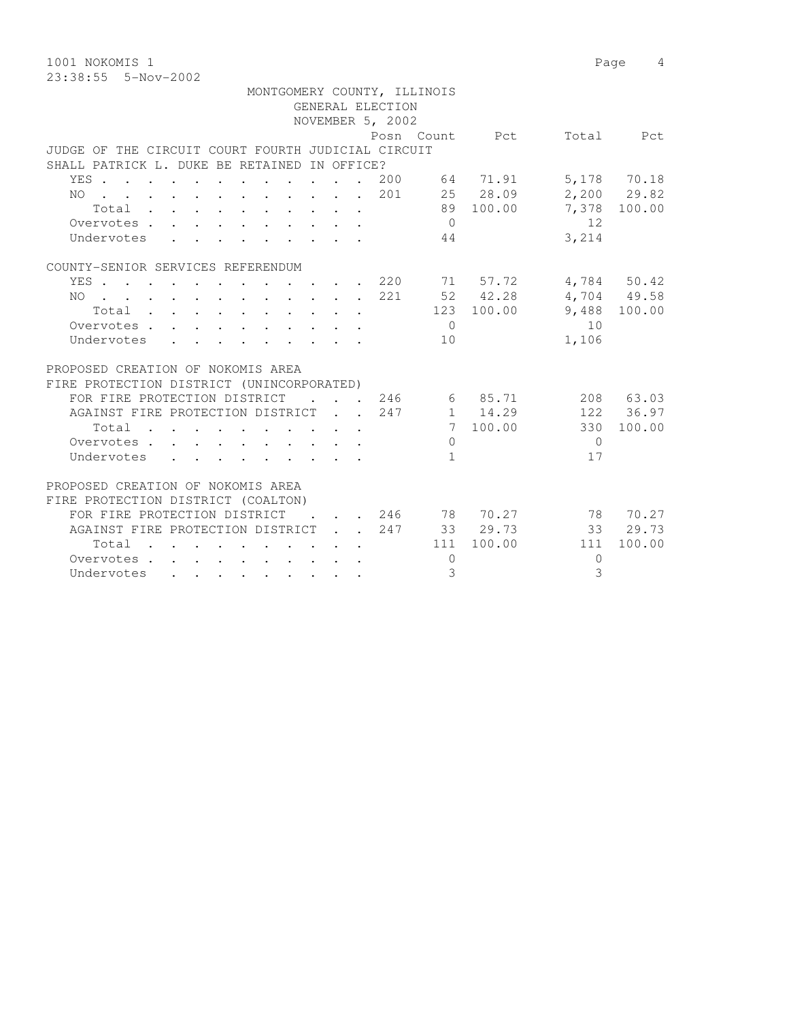1001 NOKOMIS 1 Page 4 23:38:55 5-Nov-2002

PROPOSED CREATION OF NOKOMIS AREA FIRE PROTECTION DISTRICT (COALTON)

Undervotes . . . . . . . . .

|                                                    |                                                                                          |  |  |  | GENERAL ELECTION | MONTGOMERY COUNTY, ILLINOIS |                         |           |               |
|----------------------------------------------------|------------------------------------------------------------------------------------------|--|--|--|------------------|-----------------------------|-------------------------|-----------|---------------|
|                                                    |                                                                                          |  |  |  | NOVEMBER 5, 2002 |                             |                         |           |               |
|                                                    |                                                                                          |  |  |  |                  |                             | Posn Count Pct          | Total     | Pct           |
| JUDGE OF THE CIRCUIT COURT FOURTH JUDICIAL CIRCUIT |                                                                                          |  |  |  |                  |                             |                         |           |               |
| SHALL PATRICK L. DUKE BE RETAINED IN OFFICE?       |                                                                                          |  |  |  |                  |                             |                         |           |               |
| YES 200 64 71.91                                   |                                                                                          |  |  |  |                  |                             |                         |           | 5,178 70.18   |
| NO 201 25 28.09                                    |                                                                                          |  |  |  |                  |                             |                         |           | $2,200$ 29.82 |
| Total                                              |                                                                                          |  |  |  |                  |                             | 89 100.00               |           | 7,378 100.00  |
| Overvotes                                          |                                                                                          |  |  |  |                  | $\bigcirc$                  |                         | 12        |               |
| Undervotes                                         | $\mathbf{r}$ , and $\mathbf{r}$ , and $\mathbf{r}$ , and $\mathbf{r}$ , and $\mathbf{r}$ |  |  |  |                  | 44                          |                         | 3,214     |               |
|                                                    |                                                                                          |  |  |  |                  |                             |                         |           |               |
| COUNTY-SENIOR SERVICES REFERENDUM                  |                                                                                          |  |  |  |                  |                             |                         |           |               |
| YES 220 71 57.72                                   |                                                                                          |  |  |  |                  |                             |                         |           | 4,784 50.42   |
| NO 221 52 42.28                                    |                                                                                          |  |  |  |                  |                             |                         |           | 4,704 49.58   |
| Total $\cdot$                                      |                                                                                          |  |  |  |                  |                             | 123 100.00              |           | 9,488 100.00  |
| Overvotes.                                         |                                                                                          |  |  |  |                  | $\bigcirc$                  |                         | 10        |               |
| Undervotes                                         |                                                                                          |  |  |  |                  | 10                          |                         | 1,106     |               |
|                                                    |                                                                                          |  |  |  |                  |                             |                         |           |               |
| PROPOSED CREATION OF NOKOMIS AREA                  |                                                                                          |  |  |  |                  |                             |                         |           |               |
| FIRE PROTECTION DISTRICT (UNINCORPORATED)          |                                                                                          |  |  |  |                  |                             |                         |           |               |
|                                                    |                                                                                          |  |  |  |                  |                             |                         |           |               |
| FOR FIRE PROTECTION DISTRICT                       |                                                                                          |  |  |  |                  |                             | $\cdot$ , , 246 6 85.71 |           | 208 63.03     |
| AGAINST FIRE PROTECTION DISTRICT 247               |                                                                                          |  |  |  |                  |                             | 1 14.29                 |           | 122 36.97     |
| Total                                              |                                                                                          |  |  |  |                  |                             | 7 100.00                | 330       | 100.00        |
| Overvotes                                          |                                                                                          |  |  |  |                  | $\Omega$                    |                         | $\bigcap$ |               |
| Undervotes                                         | . As a set of the set of the set of the set of the set of $\mathcal{A}$                  |  |  |  |                  | 1                           |                         | 17        |               |

FOR FIRE PROTECTION DISTRICT . . . 246 78 70.27 78 70.27 AGAINST FIRE PROTECTION DISTRICT . . 247 33 29.73 33 29.73 Total . . . . . . . . . . 111 100.00 111 100.00

Overvotes . . . . . . . . . . 0 0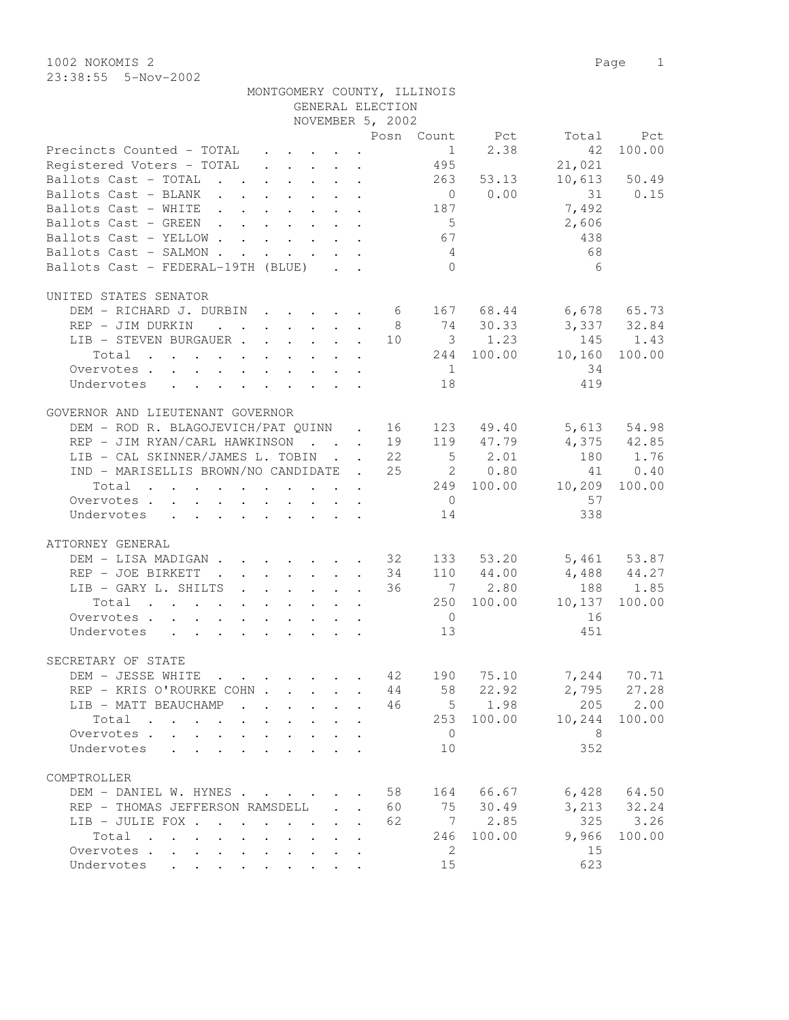| MONTGOMERY COUNTY, ILLINOIS |                  |  |
|-----------------------------|------------------|--|
|                             | GENERAL ELECTION |  |

|                                                 |  |  | NOVEMBER 5, 2002 |                 |                |             |                 |
|-------------------------------------------------|--|--|------------------|-----------------|----------------|-------------|-----------------|
|                                                 |  |  |                  |                 | Posn Count Pct | Total       | Pct             |
| Precincts Counted - TOTAL                       |  |  |                  | 1               | 2.38           | 42          | 100.00          |
| Registered Voters - TOTAL                       |  |  |                  | 495             |                | 21,021      |                 |
| Ballots Cast - TOTAL 263                        |  |  |                  |                 | 53.13          |             | 10,613 50.49    |
| Ballots Cast - BLANK                            |  |  |                  |                 | $0 \t 0.00$    | 31 0.15     |                 |
|                                                 |  |  |                  | 187             |                |             |                 |
| Ballots Cast - WHITE                            |  |  |                  |                 |                | 7,492       |                 |
| Ballots Cast - GREEN                            |  |  |                  | 5 <sup>5</sup>  |                | 2,606       |                 |
| Ballots Cast - YELLOW                           |  |  |                  | 67              |                | 438         |                 |
| Ballots Cast - SALMON                           |  |  |                  | $4\overline{4}$ |                | 68          |                 |
| Ballots Cast - FEDERAL-19TH (BLUE)              |  |  |                  | $\bigcirc$      |                | 6           |                 |
|                                                 |  |  |                  |                 |                |             |                 |
| UNITED STATES SENATOR                           |  |  |                  |                 |                |             |                 |
| DEM - RICHARD J. DURBIN 6 167 68.44 6,678 65.73 |  |  |                  |                 |                |             |                 |
| REP - JIM DURKIN                                |  |  |                  |                 | 8 74 30.33     | 3,337 32.84 |                 |
| LIB - STEVEN BURGAUER 10 3 1.23                 |  |  |                  |                 |                | 145         | 1.43            |
| Total                                           |  |  |                  |                 | 244 100.00     | 10,160      | 100.00          |
| Overvotes                                       |  |  |                  | 1               |                | 34          |                 |
| Undervotes                                      |  |  |                  | 18              |                | 419         |                 |
|                                                 |  |  |                  |                 |                |             |                 |
| GOVERNOR AND LIEUTENANT GOVERNOR                |  |  |                  |                 |                |             |                 |
| DEM - ROD R. BLAGOJEVICH/PAT QUINN . 16         |  |  |                  |                 | 123 49.40      |             | 5,613 54.98     |
| REP - JIM RYAN/CARL HAWKINSON 19 119 47.79      |  |  |                  |                 |                |             | 4,375 42.85     |
| LIB - CAL SKINNER/JAMES L. TOBIN 22             |  |  |                  |                 | $5 \t 2.01$    | 180         | 1.76            |
|                                                 |  |  |                  |                 |                |             |                 |
| IND - MARISELLIS BROWN/NO CANDIDATE . 25 2 0.80 |  |  |                  |                 |                |             | 41 0.40         |
| Total                                           |  |  |                  |                 | 249 100.00     | 10,209      | 100.00          |
| Overvotes                                       |  |  |                  | $\overline{0}$  |                | 57          |                 |
| Undervotes                                      |  |  |                  | 14              |                | 338         |                 |
|                                                 |  |  |                  |                 |                |             |                 |
| ATTORNEY GENERAL                                |  |  |                  |                 |                |             |                 |
| DEM - LISA MADIGAN 32                           |  |  |                  |                 | 133 53.20      |             | 5,461 53.87     |
| REP - JOE BIRKETT<br>. 34                       |  |  |                  |                 | 110 44.00      | 4,488 44.27 |                 |
| LIB - GARY L. SHILTS                            |  |  | 36               |                 | 7 2.80         |             | 188 1.85        |
| Total                                           |  |  |                  |                 | 250 100.00     | 10,137      | 100.00          |
| Overvotes                                       |  |  |                  | $\overline{0}$  |                | 16          |                 |
| Undervotes                                      |  |  |                  | 13              |                | 451         |                 |
|                                                 |  |  |                  |                 |                |             |                 |
| SECRETARY OF STATE                              |  |  |                  |                 |                |             |                 |
| $\cdot$ 42<br>DEM - JESSE WHITE                 |  |  |                  | 190             | 75.10          | 7,244       | 70.71           |
| REP - KRIS O'ROURKE COHN                        |  |  |                  | 44 58           | 22.92          | 2,795       | 27.28           |
| LIB - MATT BEAUCHAMP                            |  |  | 46               |                 | $5 \t 1.98$    | 205         | 2.00            |
|                                                 |  |  |                  |                 | 253 100.00     |             | 100.00          |
| Total                                           |  |  |                  |                 |                | 10,244      |                 |
| Overvotes                                       |  |  |                  | $\overline{0}$  |                | 8           |                 |
| Undervotes                                      |  |  |                  | 10              |                | 352         |                 |
|                                                 |  |  |                  |                 |                |             |                 |
| COMPTROLLER                                     |  |  |                  |                 |                |             |                 |
| DEM - DANIEL W. HYNES                           |  |  | 58               |                 | 164 66.67      |             | $6,428$ $64.50$ |
| REP - THOMAS JEFFERSON RAMSDELL                 |  |  | 60               |                 | 75 30.49       |             | 3, 213 32.24    |
| LIB - JULIE FOX                                 |  |  | 62               |                 | 7 2.85         | 325         | 3.26            |
| Total                                           |  |  |                  | 246             | 100.00         | 9,966       | 100.00          |
| Overvotes                                       |  |  |                  | - 2             |                | 15          |                 |
| Undervotes                                      |  |  |                  | 15              |                | 623         |                 |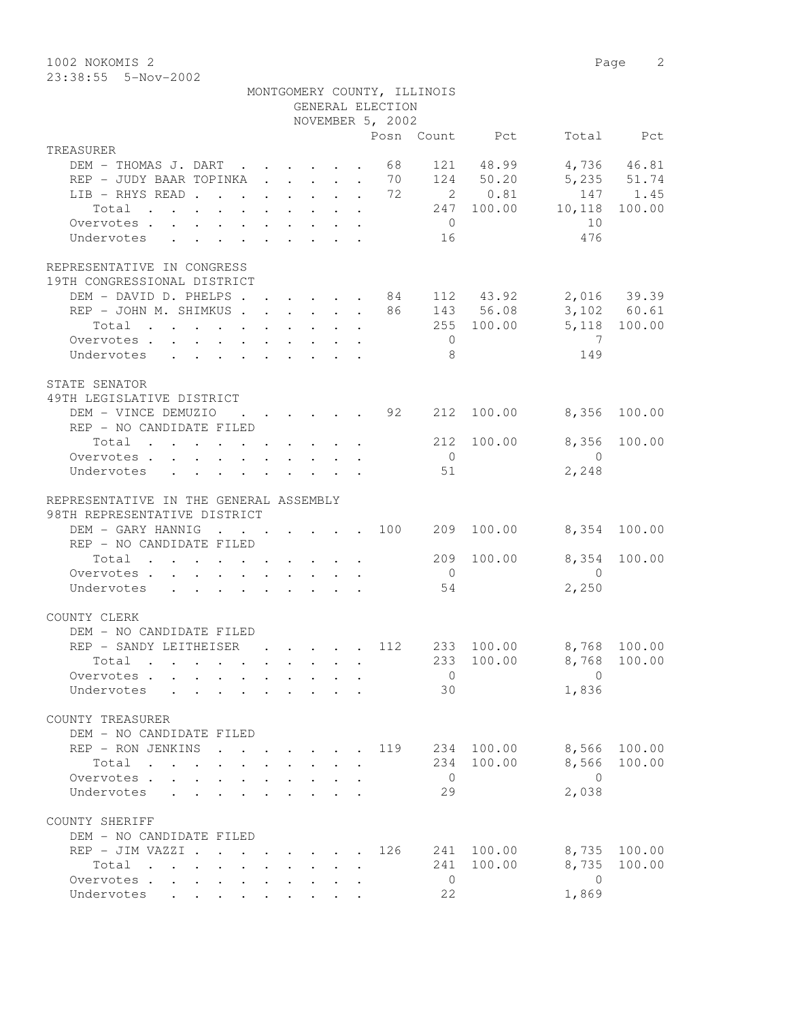1002 NOKOMIS 2 Page 2 23:38:55 5-Nov-2002

|                                                                                                   |                                                         |  |  | GENERAL ELECTION | MONTGOMERY COUNTY, ILLINOIS |                |                             |              |
|---------------------------------------------------------------------------------------------------|---------------------------------------------------------|--|--|------------------|-----------------------------|----------------|-----------------------------|--------------|
|                                                                                                   |                                                         |  |  | NOVEMBER 5, 2002 |                             |                |                             |              |
|                                                                                                   |                                                         |  |  |                  |                             | Posn Count Pct |                             | Total Pct    |
| TREASURER                                                                                         |                                                         |  |  |                  |                             |                |                             |              |
| DEM - THOMAS J. DART 68                                                                           |                                                         |  |  |                  |                             | 121 48.99      |                             | 4,736 46.81  |
| REP - JUDY BAAR TOPINKA 70                                                                        |                                                         |  |  |                  |                             | 124 50.20      |                             | 5,235 51.74  |
| LIB - RHYS READ 72                                                                                |                                                         |  |  |                  |                             | 2 0.81         |                             | 147 1.45     |
| Total                                                                                             |                                                         |  |  |                  |                             |                | 247 100.00 10,118           | 100.00       |
| Overvotes.                                                                                        |                                                         |  |  |                  | $\overline{0}$              |                | 10                          |              |
| Undervotes                                                                                        |                                                         |  |  |                  | 16                          |                | 476                         |              |
| REPRESENTATIVE IN CONGRESS<br>19TH CONGRESSIONAL DISTRICT                                         |                                                         |  |  |                  |                             |                |                             |              |
| DEM - DAVID D. PHELPS 84 112 43.92 2,016 39.39                                                    |                                                         |  |  |                  |                             |                |                             |              |
| REP - JOHN M. SHIMKUS 86 143 56.08 3,102 60.61                                                    |                                                         |  |  |                  |                             |                |                             |              |
| Total                                                                                             |                                                         |  |  |                  |                             |                | 255 100.00 5,118 100.00     |              |
| Overvotes.                                                                                        |                                                         |  |  |                  | $\overline{0}$              |                | $\overline{7}$              |              |
| Undervotes                                                                                        |                                                         |  |  |                  | - 8                         |                | 149                         |              |
|                                                                                                   |                                                         |  |  |                  |                             |                |                             |              |
| STATE SENATOR<br>49TH LEGISLATIVE DISTRICT                                                        |                                                         |  |  |                  |                             |                |                             |              |
| DEM - VINCE DEMUZIO                                                                               |                                                         |  |  |                  |                             |                | $\cdot$ 92 212 100.00 8,356 | 100.00       |
| REP - NO CANDIDATE FILED                                                                          |                                                         |  |  |                  |                             |                |                             |              |
| Total 212                                                                                         |                                                         |  |  |                  |                             | 100.00         |                             | 8,356 100.00 |
| Overvotes                                                                                         |                                                         |  |  |                  | $\overline{0}$              |                | $\overline{0}$              |              |
| Undervotes                                                                                        |                                                         |  |  |                  | 51                          |                | 2,248                       |              |
| REPRESENTATIVE IN THE GENERAL ASSEMBLY<br>98TH REPRESENTATIVE DISTRICT                            |                                                         |  |  |                  |                             |                |                             |              |
| DEM - GARY HANNIG 100                                                                             |                                                         |  |  |                  | 209                         | 100.00         | 8,354 100.00                |              |
| REP - NO CANDIDATE FILED                                                                          |                                                         |  |  |                  |                             |                |                             |              |
| Total                                                                                             |                                                         |  |  |                  | 209                         | 100.00         | 8,354                       | 100.00       |
| Overvotes.                                                                                        |                                                         |  |  |                  | $\overline{0}$              |                | $\overline{0}$              |              |
| Undervotes                                                                                        |                                                         |  |  |                  | 54                          |                | 2,250                       |              |
| COUNTY CLERK                                                                                      |                                                         |  |  |                  |                             |                |                             |              |
| DEM - NO CANDIDATE FILED<br>REP - SANDY LEITHEISER                                                |                                                         |  |  | . 112            |                             |                |                             |              |
|                                                                                                   |                                                         |  |  |                  |                             | 233 100.00     | 8,768 100.00                |              |
| Total .                                                                                           |                                                         |  |  |                  |                             |                | 233 100.00 8,768 100.00     |              |
| Overvotes                                                                                         |                                                         |  |  |                  | $\overline{0}$              |                | $\Omega$                    |              |
| Undervotes                                                                                        |                                                         |  |  |                  | 30                          |                | 1,836                       |              |
| COUNTY TREASURER<br>DEM - NO CANDIDATE FILED                                                      |                                                         |  |  |                  |                             |                |                             |              |
| REP - RON JENKINS                                                                                 |                                                         |  |  | 119              | 234                         | 100.00         | 8,566                       | 100.00       |
| Total                                                                                             |                                                         |  |  |                  | 234                         | 100.00         | 8,566                       | 100.00       |
| Overvotes .<br>$\mathbf{L}$                                                                       |                                                         |  |  |                  | $\overline{0}$              |                | $\bigcirc$                  |              |
| Undervotes                                                                                        |                                                         |  |  |                  | 29                          |                | 2,038                       |              |
|                                                                                                   |                                                         |  |  |                  |                             |                |                             |              |
| COUNTY SHERIFF<br>DEM - NO CANDIDATE FILED                                                        |                                                         |  |  |                  |                             |                |                             |              |
| REP - JIM VAZZI .                                                                                 |                                                         |  |  | 126              | 241                         | 100.00         | 8,735                       | 100.00       |
| Total<br>$\mathbf{r}$ , and $\mathbf{r}$ , and $\mathbf{r}$ , and $\mathbf{r}$ , and $\mathbf{r}$ | $\cdot$ $\cdot$ $\cdot$ $\cdot$ $\cdot$ $\cdot$ $\cdot$ |  |  |                  | 241                         | 100.00         | 8,735                       | 100.00       |
| Overvotes                                                                                         |                                                         |  |  |                  | $\overline{0}$              |                | $\overline{0}$              |              |
| Undervotes                                                                                        |                                                         |  |  |                  | 22                          |                | 1,869                       |              |
|                                                                                                   |                                                         |  |  |                  |                             |                |                             |              |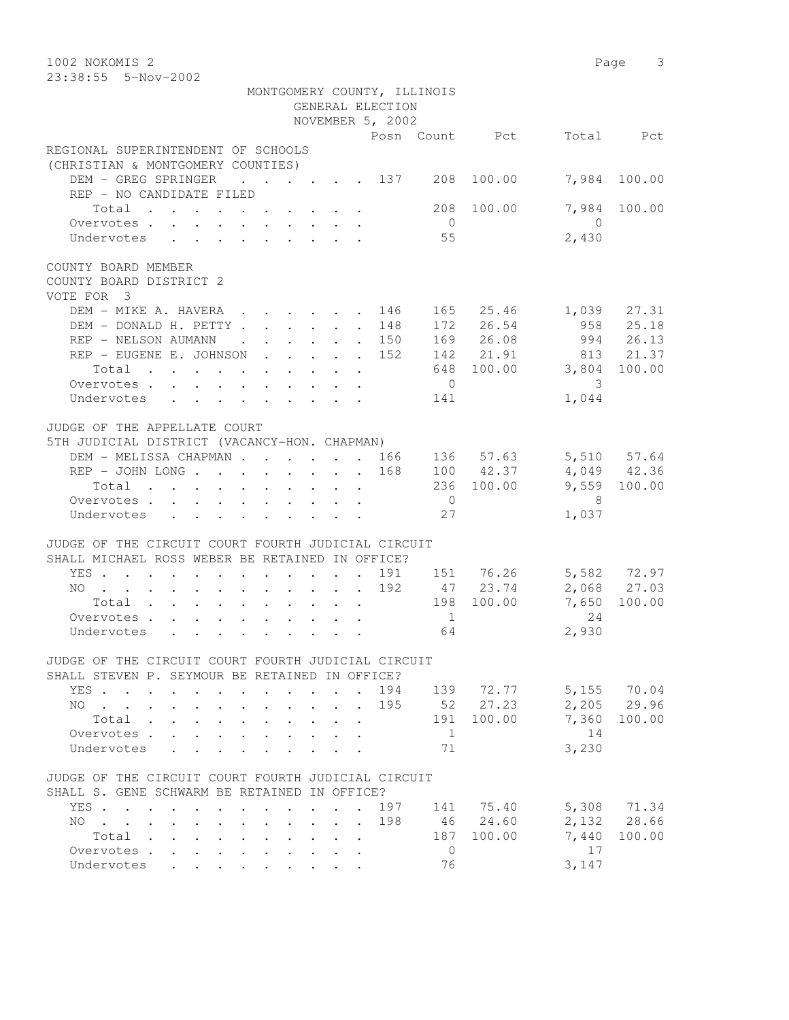| 1002 NOKOMIS 2                                                                                                                                        |            | Page 3                        |
|-------------------------------------------------------------------------------------------------------------------------------------------------------|------------|-------------------------------|
| 23:38:55 5-Nov-2002                                                                                                                                   |            |                               |
| MONTGOMERY COUNTY, ILLINOIS                                                                                                                           |            |                               |
| GENERAL ELECTION                                                                                                                                      |            |                               |
| NOVEMBER 5, 2002                                                                                                                                      |            |                               |
| Posn Count Pct                                                                                                                                        |            | Total Pct                     |
| REGIONAL SUPERINTENDENT OF SCHOOLS<br>(CHRISTIAN & MONTGOMERY COUNTIES)                                                                               |            |                               |
| DEM - GREG SPRINGER<br>$\cdot$ $\cdot$ $\cdot$ $\cdot$ $\cdot$ $\cdot$ 137<br>208<br>REP - NO CANDIDATE FILED                                         | 100.00     | 7,984<br>100.00               |
| Total<br>$\overline{0}$                                                                                                                               | 208 100.00 | 7,984<br>100.00<br>$\bigcirc$ |
| Overvotes<br>55<br>Undervotes                                                                                                                         |            | 2,430                         |
| COUNTY BOARD MEMBER<br>COUNTY BOARD DISTRICT 2<br>VOTE FOR 3                                                                                          |            |                               |
| DEM - MIKE A. HAVERA<br>146<br>$\cdot$ $\cdot$ $\cdot$ $\cdot$ $\cdot$ $\cdot$<br>$\sim 10^{-10}$                                                     | 165 25.46  | 1,039 27.31                   |
| DEM - DONALD H. PETTY.<br>. 148<br>$\mathbf{r}$ , $\mathbf{r}$<br>$\mathbf{r}$                                                                        | 172 26.54  | 958<br>25.18                  |
| REP - NELSON AUMANN<br>. 150<br>$\sim 100$ km s $^{-1}$                                                                                               | 169 26.08  | 994 26.13                     |
| REP - EUGENE E. JOHNSON<br>152                                                                                                                        | 142 21.91  | 813 21.37                     |
| 648<br>Total<br>$\sim$                                                                                                                                | 100.00     | 3,804<br>100.00               |
| Overvotes<br>$\overline{0}$                                                                                                                           |            | 3                             |
| Undervotes<br>141                                                                                                                                     |            | 1,044                         |
|                                                                                                                                                       |            |                               |
| JUDGE OF THE APPELLATE COURT                                                                                                                          |            |                               |
| 5TH JUDICIAL DISTRICT (VACANCY-HON. CHAPMAN)                                                                                                          |            |                               |
| DEM - MELISSA CHAPMAN 166                                                                                                                             | 136 57.63  | 5,510 57.64                   |
| REP - JOHN LONG<br>168                                                                                                                                | 100 42.37  | 4,049 42.36                   |
| Total                                                                                                                                                 | 236 100.00 | 9,559 100.00                  |
| $\overline{0}$<br>Overvotes                                                                                                                           |            | - 8                           |
| Undervotes<br>27                                                                                                                                      |            | 1,037                         |
|                                                                                                                                                       |            |                               |
| JUDGE OF THE CIRCUIT COURT FOURTH JUDICIAL CIRCUIT<br>SHALL MICHAEL ROSS WEBER BE RETAINED IN OFFICE?                                                 |            |                               |
| YES<br>191 151 76.26<br>$\ddot{\phantom{a}}$                                                                                                          |            | 5,582 72.97                   |
| 192<br>NO                                                                                                                                             | 47 23.74   | 2,068 27.03                   |
| Total                                                                                                                                                 | 198 100.00 | 7,650<br>100.00               |
| $\mathbf{1}$<br>Overvotes                                                                                                                             |            | 2.4                           |
| 64<br>Undervotes                                                                                                                                      |            | 2,930                         |
|                                                                                                                                                       |            |                               |
| JUDGE OF THE CIRCUIT COURT FOURTH JUDICIAL CIRCUIT<br>SHALL STEVEN P. SEYMOUR BE RETAINED IN OFFICE?                                                  |            |                               |
| 194<br>YES                                                                                                                                            | 139 72.77  | 5,155 70.04                   |
| 195<br>NO<br>$\ddot{\phantom{0}}$                                                                                                                     | 52 27.23   | 2,205 29.96                   |
| Total<br>191                                                                                                                                          | 100.00     | 7,360<br>100.00               |
| 1<br>Overvotes .<br>$\mathbf{L}$                                                                                                                      |            | 14                            |
|                                                                                                                                                       |            | 3,230                         |
| 71<br>Undervotes                                                                                                                                      |            |                               |
| JUDGE OF THE CIRCUIT COURT FOURTH JUDICIAL CIRCUIT<br>SHALL S. GENE SCHWARM BE RETAINED IN OFFICE?                                                    |            |                               |
| YES<br>197<br>$\cdot$ $\cdot$ $\cdot$                                                                                                                 | 141 75.40  | 5,308 71.34                   |
| 198<br>NO.<br>$\mathbf{r} = \mathbf{r} + \mathbf{r}$                                                                                                  | 46 24.60   | 2,132 28.66                   |
| $\mathbf{r}$ , and $\mathbf{r}$ , and $\mathbf{r}$ , and $\mathbf{r}$<br>$\ddot{\phantom{0}}$<br>$\mathbf{L} = \mathbf{L} \mathbf{L}$<br>Total<br>187 | 100.00     | 7,440<br>100.00               |
| $\cdot$ $\cdot$ $\cdot$ $\cdot$ $\cdot$<br>$\bullet$ . The set of $\bullet$<br>$\ddot{\phantom{0}}$<br>Overvotes<br>$\overline{0}$<br>$\mathbf{L}$    |            | 17                            |
| $\ddot{\phantom{a}}$<br>76<br>Undervotes                                                                                                              |            | 3,147                         |
|                                                                                                                                                       |            |                               |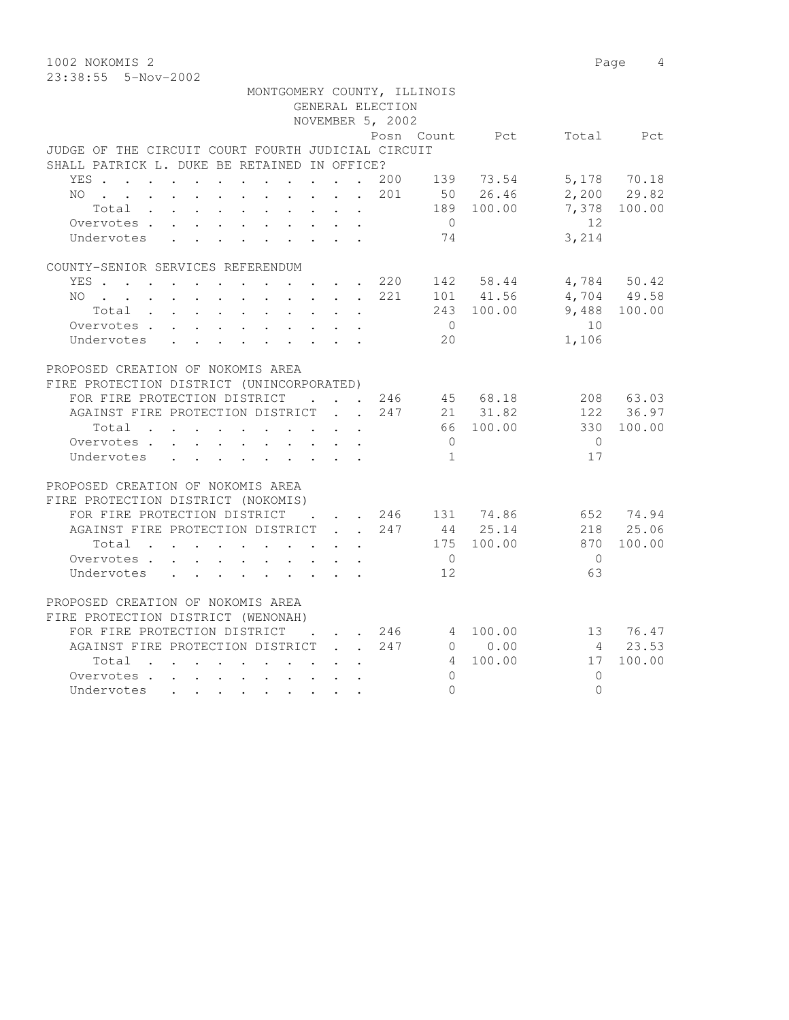1002 NOKOMIS 2 Page 4 23:38:55 5-Nov-2002

 MONTGOMERY COUNTY, ILLINOIS GENERAL ELECTION NOVEMBER 5, 2002 Pct Total Pct JUDGE OF THE CIRCUIT COURT FOURTH JUDICIAL CIRCUIT SHALL PATRICK L. DUKE BE RETAINED IN OFFICE? YES . . . . . . . . . . . . 200 139 73.54 5,178 70.18 NO . . . . . . . . . . . . 201 50 26.46 2,200 29.82 Total . . . . . . . . . . 189 100.00 7,378 100.00 Overvotes . . . . . . . . . . . 0 12<br>
Undervotes . . . . . . . . . . 74 3,214 Undervotes . . . . . . . . . 74 3,214 COUNTY-SENIOR SERVICES REFERENDUM YES . . . . . . . . . . . . 220 142 58.44 4,784 50.42 NO . . . . . . . . . . 221 101 41.56 4,704 49.58 Total . . . . . . . . . . 243 100.00 9,488 100.00 Overvotes . . . . . . . . . . . 0 10 Undervotes . . . . . . . . . 20 1,106 PROPOSED CREATION OF NOKOMIS AREA FIRE PROTECTION DISTRICT (UNINCORPORATED) FOR FIRE PROTECTION DISTRICT . . . 246 45 68.18 208 63.03 AGAINST FIRE PROTECTION DISTRICT . . 247 21 31.82 122 36.97 Total . . . . . . . . . . 66 100.00 330 100.00 Overvotes . . . . . . . . . . . 0<br>Undervotes . . . . . . . . . . . 1 17 Undervotes . . . . . . . . . . 1 17 PROPOSED CREATION OF NOKOMIS AREA FIRE PROTECTION DISTRICT (NOKOMIS) FOR FIRE PROTECTION DISTRICT . . . 246 131 74.86 652 74.94 AGAINST FIRE PROTECTION DISTRICT . . 247 44 25.14 218 25.06 Total . . . . . . . . . . 175 100.00 870 100.00 Overvotes . . . . . . . . . . . 0

| PROPOSED CREATION OF NOKOMIS AREA                                                                               |  |     |          |    |        |
|-----------------------------------------------------------------------------------------------------------------|--|-----|----------|----|--------|
| FIRE PROTECTION DISTRICT (WENONAH)                                                                              |  |     |          |    |        |
| FOR FIRE PROTECTION DISTRICT                                                                                    |  | 246 | 4 100.00 | 13 | 76.47  |
| AGAINST FIRE PROTECTION DISTRICT                                                                                |  | 247 | 0.00     |    | 23.53  |
| Total<br>$\mathbf{r}$ , $\mathbf{r}$ , $\mathbf{r}$ , $\mathbf{r}$ , $\mathbf{r}$ , $\mathbf{r}$ , $\mathbf{r}$ |  |     | 4 100.00 |    | 100.00 |
| Overvotes.<br>$\mathbf{r}$ , and $\mathbf{r}$ , and $\mathbf{r}$ , and $\mathbf{r}$ , and $\mathbf{r}$          |  |     |          |    |        |
| Undervotes<br>$\mathbf{r}$ , $\mathbf{r}$ , $\mathbf{r}$ , $\mathbf{r}$ , $\mathbf{r}$ , $\mathbf{r}$           |  |     |          |    |        |

Undervotes . . . . . . . . . 12 63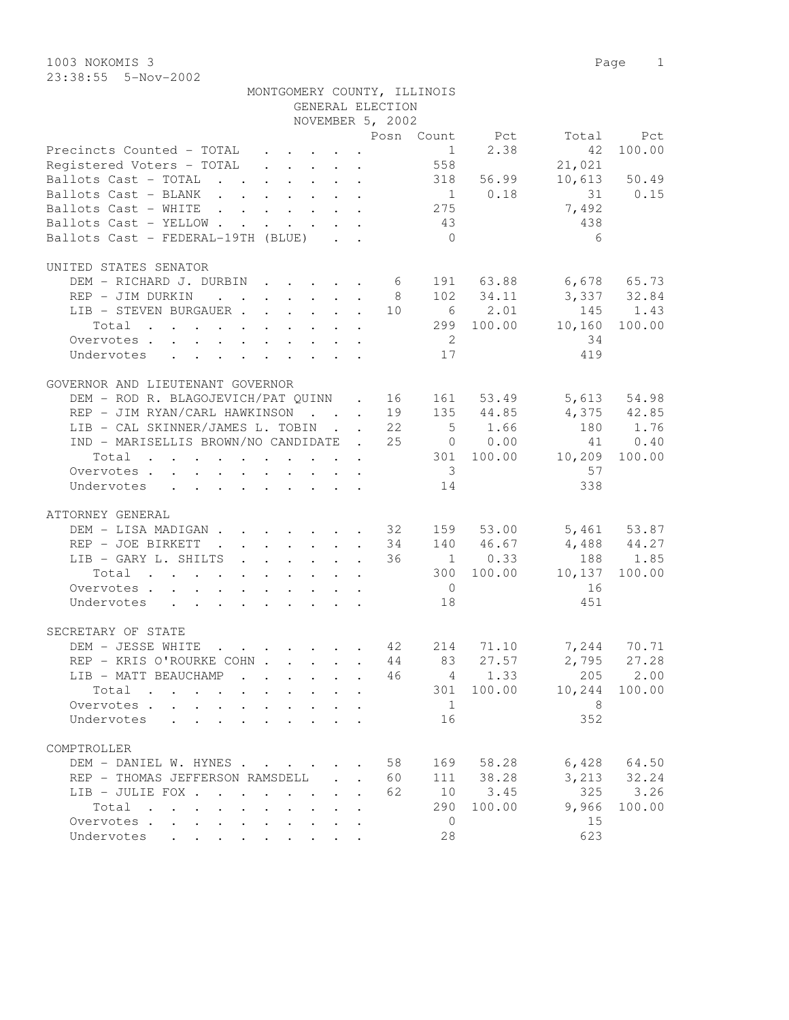1003 NOKOMIS 3 Page 1 23:38:55 5-Nov-2002

| NOVEMBER 5, 2002<br>Posn Count Pct Total Pct<br>Precincts Counted - TOTAL<br>Precincts Counted - TOTAL 1 2.38 42 100.00<br>Registered Voters - TOTAL 558 21,021<br>Ballots Cast - TOTAL 318 56.99 10,613 50.49<br>$\begin{array}{cccc} 1 & 0.18 & 31 & 0.15 \\ 275 & & 7,492 \\ 43 & & & 438 \end{array}$<br>Ballots Cast - BLANK<br>Ballots Cast - WHITE<br>Ballots Cast - YELLOW<br>Ballots Cast - FEDERAL-19TH (BLUE)<br>$\bigcirc$<br>6<br>UNITED STATES SENATOR<br>DEM - RICHARD J. DURBIN 6 191 63.88 6,678 65.73<br>REP - JIM DURKIN 8 102 34.11 3,337 32.84<br>REP - JIM DURKIN |  |
|-----------------------------------------------------------------------------------------------------------------------------------------------------------------------------------------------------------------------------------------------------------------------------------------------------------------------------------------------------------------------------------------------------------------------------------------------------------------------------------------------------------------------------------------------------------------------------------------|--|
|                                                                                                                                                                                                                                                                                                                                                                                                                                                                                                                                                                                         |  |
|                                                                                                                                                                                                                                                                                                                                                                                                                                                                                                                                                                                         |  |
|                                                                                                                                                                                                                                                                                                                                                                                                                                                                                                                                                                                         |  |
|                                                                                                                                                                                                                                                                                                                                                                                                                                                                                                                                                                                         |  |
|                                                                                                                                                                                                                                                                                                                                                                                                                                                                                                                                                                                         |  |
|                                                                                                                                                                                                                                                                                                                                                                                                                                                                                                                                                                                         |  |
|                                                                                                                                                                                                                                                                                                                                                                                                                                                                                                                                                                                         |  |
|                                                                                                                                                                                                                                                                                                                                                                                                                                                                                                                                                                                         |  |
|                                                                                                                                                                                                                                                                                                                                                                                                                                                                                                                                                                                         |  |
|                                                                                                                                                                                                                                                                                                                                                                                                                                                                                                                                                                                         |  |
|                                                                                                                                                                                                                                                                                                                                                                                                                                                                                                                                                                                         |  |
|                                                                                                                                                                                                                                                                                                                                                                                                                                                                                                                                                                                         |  |
|                                                                                                                                                                                                                                                                                                                                                                                                                                                                                                                                                                                         |  |
|                                                                                                                                                                                                                                                                                                                                                                                                                                                                                                                                                                                         |  |
|                                                                                                                                                                                                                                                                                                                                                                                                                                                                                                                                                                                         |  |
|                                                                                                                                                                                                                                                                                                                                                                                                                                                                                                                                                                                         |  |
| GOVERNOR AND LIEUTENANT GOVERNOR                                                                                                                                                                                                                                                                                                                                                                                                                                                                                                                                                        |  |
| DEM – ROD R. BLAGOJEVICH/PAT QUINN . 16 161 53.49 5,613 54.98<br>REP – JIM RYAN/CARL HAWKINSON 19 135 44.85 4,375 42.85                                                                                                                                                                                                                                                                                                                                                                                                                                                                 |  |
|                                                                                                                                                                                                                                                                                                                                                                                                                                                                                                                                                                                         |  |
| LIB - CAL SKINNER/JAMES L. TOBIN 22 5 1.66 180 1.76                                                                                                                                                                                                                                                                                                                                                                                                                                                                                                                                     |  |
| IND - MARISELLIS BROWN/NO CANDIDATE . 25 0 0.00 41 0.40<br>Total 301 100.00 10,209 100.00                                                                                                                                                                                                                                                                                                                                                                                                                                                                                               |  |
|                                                                                                                                                                                                                                                                                                                                                                                                                                                                                                                                                                                         |  |
| $\overline{\mathbf{3}}$<br>57<br>Overvotes                                                                                                                                                                                                                                                                                                                                                                                                                                                                                                                                              |  |
| 338<br>Undervotes<br>14                                                                                                                                                                                                                                                                                                                                                                                                                                                                                                                                                                 |  |
| ATTORNEY GENERAL                                                                                                                                                                                                                                                                                                                                                                                                                                                                                                                                                                        |  |
| DEM - LISA MADIGAN 32 159 53.00 5,461 53.87<br>REP - JOE BIRKETT 34 140 46.67 4,488 44.27                                                                                                                                                                                                                                                                                                                                                                                                                                                                                               |  |
|                                                                                                                                                                                                                                                                                                                                                                                                                                                                                                                                                                                         |  |
| $\begin{tabular}{cccccccccccc} \tt LIB & - \tt GARY & L & SHILTS & . & . & . & . & . & . & 36 & & 1 & 0.33 & & 188 & 1.85 \\ \tt Total & . & . & . & . & . & . & . & . & . & . & . & 300 & 100.00 & & 10,137 & 100.00 \\ \end{tabular}$                                                                                                                                                                                                                                                                                                                                                 |  |
|                                                                                                                                                                                                                                                                                                                                                                                                                                                                                                                                                                                         |  |
| $\overline{0}$<br>16<br>Overvotes.                                                                                                                                                                                                                                                                                                                                                                                                                                                                                                                                                      |  |
| 18<br>451<br>Undervotes                                                                                                                                                                                                                                                                                                                                                                                                                                                                                                                                                                 |  |
| SECRETARY OF STATE                                                                                                                                                                                                                                                                                                                                                                                                                                                                                                                                                                      |  |
| DEM - JESSE WHITE 42 214 71.10 7,244 70.71<br>REP - KRIS O'ROURKE COHN 44 83 27.57 2,795 27.28                                                                                                                                                                                                                                                                                                                                                                                                                                                                                          |  |
|                                                                                                                                                                                                                                                                                                                                                                                                                                                                                                                                                                                         |  |
| LIB - MATT BEAUCHAMP 46 4 1.33 205 2.00                                                                                                                                                                                                                                                                                                                                                                                                                                                                                                                                                 |  |
| 301 100.00 10,244 100.00<br>Total                                                                                                                                                                                                                                                                                                                                                                                                                                                                                                                                                       |  |
| 1<br>8 <sup>8</sup><br>Overvotes.                                                                                                                                                                                                                                                                                                                                                                                                                                                                                                                                                       |  |
| 16<br>352<br>Undervotes                                                                                                                                                                                                                                                                                                                                                                                                                                                                                                                                                                 |  |
| COMPTROLLER                                                                                                                                                                                                                                                                                                                                                                                                                                                                                                                                                                             |  |

| COMPTROLLER                                                             |  |  |  |  |  |     |      |        |       |              |
|-------------------------------------------------------------------------|--|--|--|--|--|-----|------|--------|-------|--------------|
| DEM - DANIEL W. HYNES 58                                                |  |  |  |  |  |     | 169  | 58.28  | 6,428 | 64.50        |
| REP - THOMAS JEFFERSON RAMSDELL                                         |  |  |  |  |  | 60  | 111  | 38.28  | 3,213 | 32.24        |
| LIB - JULIE FOX                                                         |  |  |  |  |  | 62. | 1 () | 3.45   | 325   | 3.26         |
| $Total \quad . \quad . \quad . \quad . \quad . \quad . \quad . \quad .$ |  |  |  |  |  |     | 290  | 100.00 |       | 9,966 100.00 |
| Overvotes                                                               |  |  |  |  |  |     |      |        | -15   |              |
| Undervotes                                                              |  |  |  |  |  |     | 28   |        | 623   |              |

MONTGOMERY COUNTY, ILLINOIS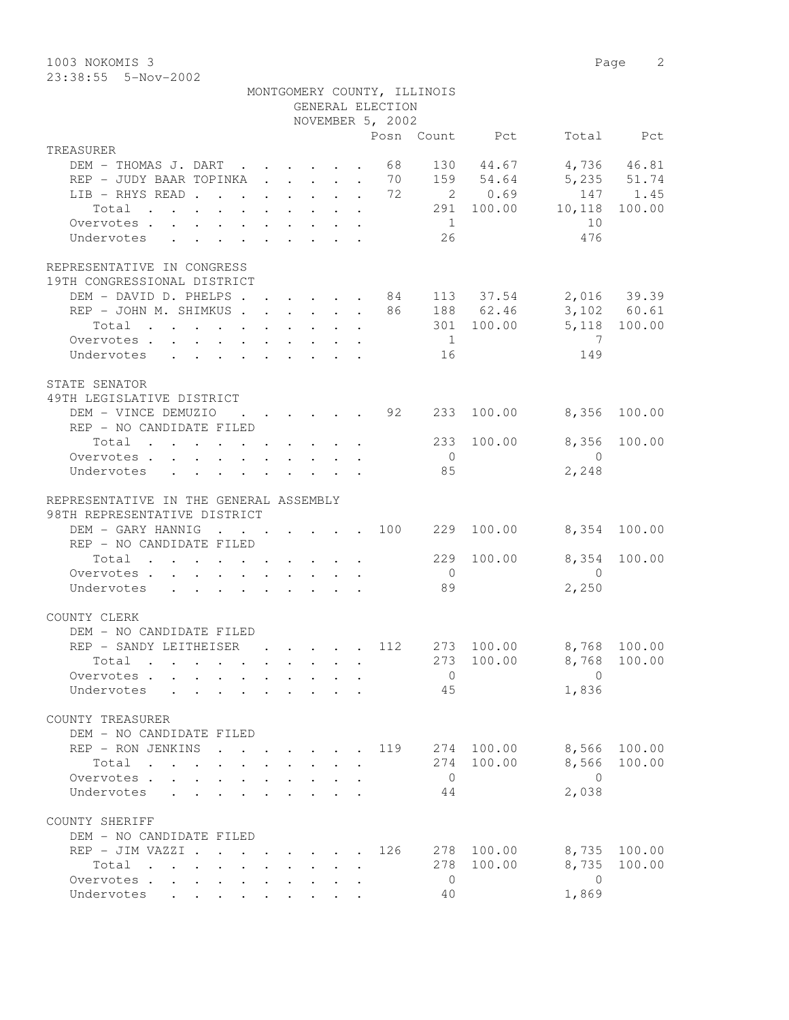1003 NOKOMIS 3 Page 2 23:38:55 5-Nov-2002

|                                                                                                       |                                                                       |  |  | GENERAL ELECTION                                   | MONTGOMERY COUNTY, ILLINOIS |                |                         |              |
|-------------------------------------------------------------------------------------------------------|-----------------------------------------------------------------------|--|--|----------------------------------------------------|-----------------------------|----------------|-------------------------|--------------|
|                                                                                                       |                                                                       |  |  | NOVEMBER 5, 2002                                   |                             |                |                         |              |
|                                                                                                       |                                                                       |  |  |                                                    |                             | Posn Count Pct |                         | Total Pct    |
| TREASURER                                                                                             |                                                                       |  |  |                                                    |                             |                |                         |              |
| DEM - THOMAS J. DART 68                                                                               |                                                                       |  |  |                                                    |                             | 130 44.67      |                         | 4,736 46.81  |
| REP - JUDY BAAR TOPINKA 70                                                                            |                                                                       |  |  |                                                    |                             | 159 54.64      |                         | 5,235 51.74  |
| LIB - RHYS READ 72                                                                                    |                                                                       |  |  |                                                    |                             | 2 0.69         |                         | 147 1.45     |
| Total                                                                                                 |                                                                       |  |  |                                                    |                             |                | 291 100.00 10,118       | 100.00       |
| Overvotes.                                                                                            |                                                                       |  |  |                                                    | $\sim$ 1                    |                | 10                      |              |
| Undervotes                                                                                            |                                                                       |  |  |                                                    | 26                          |                | 476                     |              |
| REPRESENTATIVE IN CONGRESS<br>19TH CONGRESSIONAL DISTRICT                                             |                                                                       |  |  |                                                    |                             |                |                         |              |
| DEM - DAVID D. PHELPS 84 113 37.54 2,016 39.39                                                        |                                                                       |  |  |                                                    |                             |                |                         |              |
| REP - JOHN M. SHIMKUS 86 188 62.46 3,102 60.61                                                        |                                                                       |  |  |                                                    |                             |                |                         |              |
| Total                                                                                                 |                                                                       |  |  |                                                    |                             |                | 301 100.00 5,118 100.00 |              |
| Overvotes                                                                                             |                                                                       |  |  |                                                    | 1                           |                | $\overline{7}$          |              |
| Undervotes 16                                                                                         |                                                                       |  |  |                                                    |                             |                | 149                     |              |
|                                                                                                       |                                                                       |  |  |                                                    |                             |                |                         |              |
| STATE SENATOR<br>49TH LEGISLATIVE DISTRICT                                                            |                                                                       |  |  |                                                    |                             |                |                         |              |
| DEM - VINCE DEMUZIO                                                                                   |                                                                       |  |  | $\cdot$ $\cdot$ $\cdot$ $\cdot$ $\cdot$ $\cdot$ 92 | 233                         |                | 100.00 8,356            | 100.00       |
| REP - NO CANDIDATE FILED                                                                              |                                                                       |  |  |                                                    |                             |                |                         |              |
| Total 233                                                                                             |                                                                       |  |  |                                                    |                             | 100.00         |                         | 8,356 100.00 |
| Overvotes                                                                                             |                                                                       |  |  |                                                    | $\overline{0}$              |                | $\overline{0}$          |              |
| Undervotes                                                                                            |                                                                       |  |  |                                                    | 85                          |                | 2,248                   |              |
| REPRESENTATIVE IN THE GENERAL ASSEMBLY<br>98TH REPRESENTATIVE DISTRICT                                |                                                                       |  |  |                                                    |                             |                |                         |              |
| DEM - GARY HANNIG 100                                                                                 |                                                                       |  |  |                                                    | 229                         | 100.00         | 8,354 100.00            |              |
| REP - NO CANDIDATE FILED                                                                              |                                                                       |  |  |                                                    |                             |                |                         |              |
| Total                                                                                                 |                                                                       |  |  |                                                    | 229                         | 100.00         | 8,354                   | 100.00       |
| Overvotes.                                                                                            |                                                                       |  |  |                                                    | $\overline{0}$              |                | $\overline{0}$          |              |
| Undervotes                                                                                            |                                                                       |  |  |                                                    | 89                          |                | 2,250                   |              |
| COUNTY CLERK<br>DEM - NO CANDIDATE FILED                                                              |                                                                       |  |  |                                                    |                             |                |                         |              |
| REP - SANDY LEITHEISER                                                                                |                                                                       |  |  | . 112                                              |                             | 273 100.00     | 8,768 100.00            |              |
|                                                                                                       |                                                                       |  |  |                                                    |                             |                | 273 100.00 8,768 100.00 |              |
| Total .                                                                                               |                                                                       |  |  |                                                    |                             |                |                         |              |
| Overvotes                                                                                             |                                                                       |  |  |                                                    | $\overline{0}$              |                | $\Omega$                |              |
| Undervotes                                                                                            |                                                                       |  |  |                                                    | 45                          |                | 1,836                   |              |
| COUNTY TREASURER<br>DEM - NO CANDIDATE FILED                                                          |                                                                       |  |  |                                                    |                             |                |                         |              |
| REP - RON JENKINS                                                                                     |                                                                       |  |  | 119                                                |                             | 274 100.00     | 8,566                   | 100.00       |
| Total                                                                                                 |                                                                       |  |  |                                                    | 274                         | 100.00         | 8,566                   | 100.00       |
|                                                                                                       |                                                                       |  |  |                                                    | $\overline{0}$              |                | $\bigcirc$              |              |
| Overvotes .<br>$\mathbf{L}$<br>Undervotes                                                             |                                                                       |  |  |                                                    | 44                          |                | 2,038                   |              |
|                                                                                                       |                                                                       |  |  |                                                    |                             |                |                         |              |
| COUNTY SHERIFF<br>DEM - NO CANDIDATE FILED                                                            |                                                                       |  |  |                                                    |                             |                |                         |              |
| REP - JIM VAZZI .                                                                                     |                                                                       |  |  | 126                                                | 278                         | 100.00         | 8,735                   | 100.00       |
| Total                                                                                                 | $\mathbf{r}$ , and $\mathbf{r}$ , and $\mathbf{r}$ , and $\mathbf{r}$ |  |  |                                                    | 278                         | 100.00         | 8,735                   | 100.00       |
| $\mathbf{r}$ , and $\mathbf{r}$ , and $\mathbf{r}$ , and $\mathbf{r}$ , and $\mathbf{r}$<br>Overvotes |                                                                       |  |  |                                                    | $\overline{0}$              |                | $\overline{0}$          |              |
| Undervotes                                                                                            |                                                                       |  |  |                                                    | 40                          |                | 1,869                   |              |
|                                                                                                       |                                                                       |  |  |                                                    |                             |                |                         |              |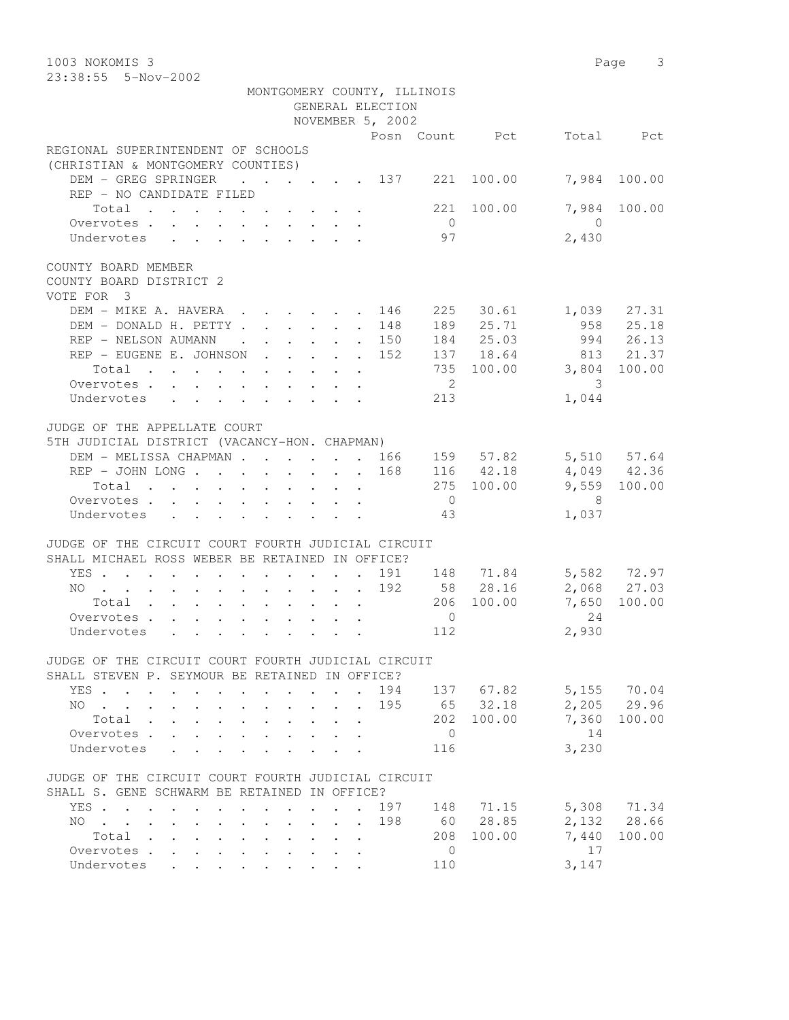| 1003 NOKOMIS 3<br>23:38:55 5-Nov-2002                                                                                                                           | Page 3                    |
|-----------------------------------------------------------------------------------------------------------------------------------------------------------------|---------------------------|
| MONTGOMERY COUNTY, ILLINOIS                                                                                                                                     |                           |
| GENERAL ELECTION                                                                                                                                                |                           |
| NOVEMBER 5, 2002                                                                                                                                                |                           |
| Posn Count Pct                                                                                                                                                  | Total Pct                 |
| REGIONAL SUPERINTENDENT OF SCHOOLS                                                                                                                              |                           |
| (CHRISTIAN & MONTGOMERY COUNTIES)                                                                                                                               |                           |
| DEM - GREG SPRINGER<br>$\cdot$ $\cdot$ $\cdot$ $\cdot$ $\cdot$ $\cdot$ 137<br>221<br>100.00<br>REP - NO CANDIDATE FILED                                         | 7,984<br>100.00           |
| 221 100.00<br>Total                                                                                                                                             | 7,984<br>100.00           |
| $\overline{0}$<br>Overvotes.                                                                                                                                    | $\bigcirc$                |
| 97<br>Undervotes<br>$\mathbf{r}$ , $\mathbf{r}$ , $\mathbf{r}$ , $\mathbf{r}$ , $\mathbf{r}$ , $\mathbf{r}$                                                     | 2,430                     |
| COUNTY BOARD MEMBER<br>COUNTY BOARD DISTRICT 2<br>VOTE FOR 3                                                                                                    |                           |
| DEM - MIKE A. HAVERA<br>225 30.61<br>146                                                                                                                        | 1,039 27.31               |
| 189 25.71<br>DEM - DONALD H. PETTY<br>148<br>$\bullet$ .<br><br><br><br><br><br><br><br><br><br><br><br>                                                        | 958 25.18                 |
| 184 25.03<br>REP - NELSON AUMANN<br>. 150<br>$\mathbf{r}$ , and $\mathbf{r}$ , and $\mathbf{r}$ , and $\mathbf{r}$                                              | 994 26.13                 |
| 137 18.64<br>REP - EUGENE E. JOHNSON<br>152                                                                                                                     | 813 21.37                 |
| 735 100.00<br>Total                                                                                                                                             | 3,804<br>100.00           |
| $\overline{\phantom{a}}$<br>Overvotes                                                                                                                           | 3                         |
| 213<br>Undervotes                                                                                                                                               | 1,044                     |
| JUDGE OF THE APPELLATE COURT                                                                                                                                    |                           |
| 5TH JUDICIAL DISTRICT (VACANCY-HON. CHAPMAN)                                                                                                                    |                           |
| DEM - MELISSA CHAPMAN 166<br>159 57.82                                                                                                                          | 5,510 57.64               |
| 168<br>116 42.18                                                                                                                                                | 4,049 42.36               |
| 275 100.00<br>Total                                                                                                                                             | 9,559 100.00              |
| $\overline{0}$<br>Overvotes                                                                                                                                     | - 8                       |
| Undervotes<br>43                                                                                                                                                | 1,037                     |
| JUDGE OF THE CIRCUIT COURT FOURTH JUDICIAL CIRCUIT<br>SHALL MICHAEL ROSS WEBER BE RETAINED IN OFFICE?                                                           |                           |
| YES<br>$\sim$                                                                                                                                                   | 191 148 71.84 5,582 72.97 |
| 58 28.16<br>192<br>NO                                                                                                                                           | 2,068 27.03               |
| 100.00<br>206<br>Total                                                                                                                                          | 7,650<br>100.00           |
| $\circ$<br>Overvotes                                                                                                                                            | 24                        |
| 112<br>Undervotes                                                                                                                                               | 2,930                     |
| JUDGE OF THE CIRCUIT COURT FOURTH JUDICIAL CIRCUIT                                                                                                              |                           |
| SHALL STEVEN P. SEYMOUR BE RETAINED IN OFFICE?                                                                                                                  |                           |
| 194<br>137 67.82<br>YES.<br>$\cdot$ $\cdot$ $\cdot$ $\cdot$ $\cdot$                                                                                             | 5,155 70.04               |
| 65 32.18<br>195<br>NO.<br>$\cdot$ $\cdot$ $\cdot$ $\cdot$ $\cdot$<br>$\mathbf{L} = \mathbf{L}$<br>$\ddot{\phantom{0}}$<br>$\ddot{\phantom{0}}$<br>100.00<br>202 | 2,205<br>29.96<br>7,360   |
| Total<br>$\mathbf{L}^{\text{max}}$<br>$\ddot{\phantom{a}}$<br>$\ddot{\phantom{0}}$<br>$\sim$<br>$\overline{0}$<br>Overvotes                                     | 100.00<br>14              |
| Undervotes<br>116                                                                                                                                               | 3,230                     |
|                                                                                                                                                                 |                           |
| JUDGE OF THE CIRCUIT COURT FOURTH JUDICIAL CIRCUIT                                                                                                              |                           |
| SHALL S. GENE SCHWARM BE RETAINED IN OFFICE?                                                                                                                    |                           |
| YES<br>197<br>148<br>$\mathbf{r}$ , $\mathbf{r}$ , $\mathbf{r}$<br>$\ddot{\phantom{0}}$<br>$\ddot{\phantom{a}}$<br>$\ddot{\phantom{0}}$                         | 5,308 71.34<br>71.15      |
| 198<br>60<br>NO.<br>$\mathbf{r}$ , $\mathbf{r}$ , $\mathbf{r}$ , $\mathbf{r}$ , $\mathbf{r}$<br>$\cdot$ $\cdot$ $\cdot$ $\cdot$ $\cdot$ $\cdot$ $\cdot$         | 28.85<br>2,132 28.66      |
| 208<br>100.00<br>Total<br>$\cdot$ $\cdot$ $\cdot$<br>$\mathbf{z} = \mathbf{z}$ .                                                                                | 7,440<br>100.00           |
| Overvotes.<br>0<br>$\mathbf{r} = \mathbf{r} + \mathbf{r}$ .<br>$\cdot$ $\cdot$                                                                                  | 17                        |
| Undervotes<br>110                                                                                                                                               | 3,147                     |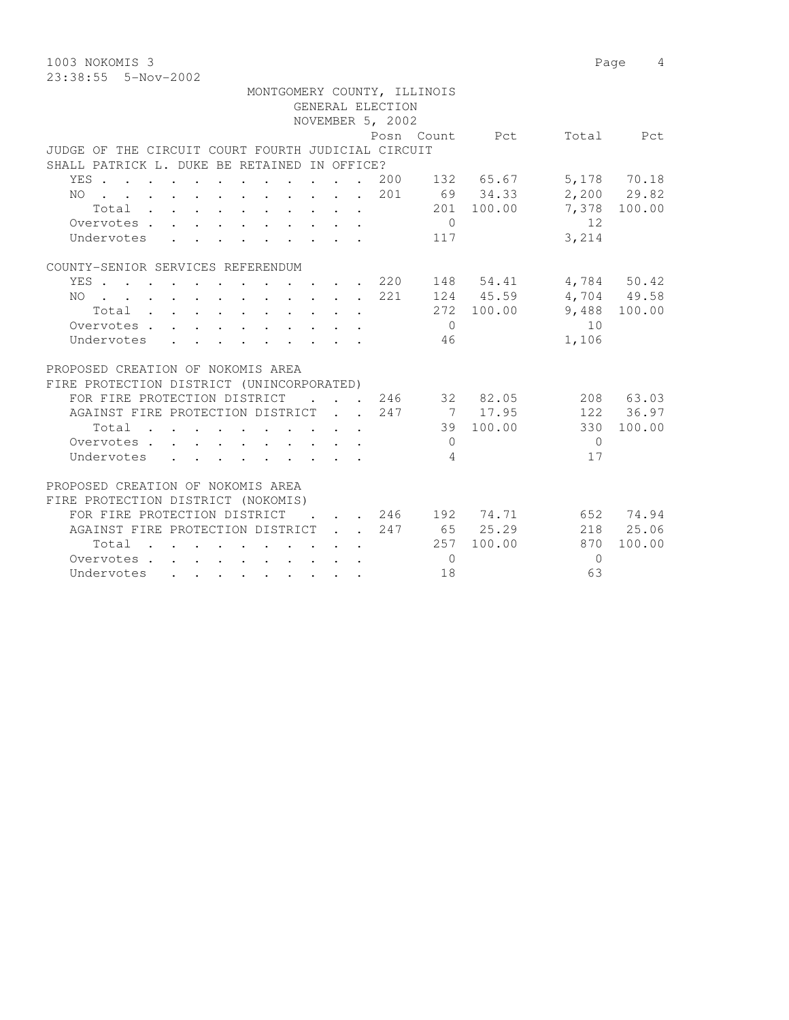1003 NOKOMIS 3 Page 4 23:38:55 5-Nov-2002

|     |                                                    |  |                                                                                                                                                                                                                                                                                                                                                                                                                          |  |  |  |                                                                                                        | MONTGOMERY COUNTY, ILLINOIS |                                      |          |              |
|-----|----------------------------------------------------|--|--------------------------------------------------------------------------------------------------------------------------------------------------------------------------------------------------------------------------------------------------------------------------------------------------------------------------------------------------------------------------------------------------------------------------|--|--|--|--------------------------------------------------------------------------------------------------------|-----------------------------|--------------------------------------|----------|--------------|
|     |                                                    |  |                                                                                                                                                                                                                                                                                                                                                                                                                          |  |  |  | GENERAL ELECTION                                                                                       |                             |                                      |          |              |
|     |                                                    |  |                                                                                                                                                                                                                                                                                                                                                                                                                          |  |  |  | NOVEMBER 5, 2002                                                                                       |                             |                                      |          |              |
|     |                                                    |  |                                                                                                                                                                                                                                                                                                                                                                                                                          |  |  |  |                                                                                                        |                             | Posn Count Pct                       |          | Total Pct    |
|     | JUDGE OF THE CIRCUIT COURT FOURTH JUDICIAL CIRCUIT |  |                                                                                                                                                                                                                                                                                                                                                                                                                          |  |  |  |                                                                                                        |                             |                                      |          |              |
|     | SHALL PATRICK L. DUKE BE RETAINED IN OFFICE?       |  |                                                                                                                                                                                                                                                                                                                                                                                                                          |  |  |  |                                                                                                        |                             |                                      |          |              |
|     | YES 200 132 65.67                                  |  |                                                                                                                                                                                                                                                                                                                                                                                                                          |  |  |  |                                                                                                        |                             |                                      |          | 5,178 70.18  |
| NO  | . 201                                              |  |                                                                                                                                                                                                                                                                                                                                                                                                                          |  |  |  |                                                                                                        |                             | 69 34.33                             |          | 2,200 29.82  |
|     | Total                                              |  |                                                                                                                                                                                                                                                                                                                                                                                                                          |  |  |  |                                                                                                        |                             | 201 100.00                           |          | 7,378 100.00 |
|     | Overvotes                                          |  |                                                                                                                                                                                                                                                                                                                                                                                                                          |  |  |  |                                                                                                        | $\overline{0}$              |                                      | 12       |              |
|     | Undervotes                                         |  |                                                                                                                                                                                                                                                                                                                                                                                                                          |  |  |  |                                                                                                        | 117                         |                                      | 3,214    |              |
|     |                                                    |  |                                                                                                                                                                                                                                                                                                                                                                                                                          |  |  |  |                                                                                                        |                             |                                      |          |              |
|     | COUNTY-SENIOR SERVICES REFERENDUM                  |  |                                                                                                                                                                                                                                                                                                                                                                                                                          |  |  |  |                                                                                                        |                             |                                      |          |              |
|     | YES 220                                            |  |                                                                                                                                                                                                                                                                                                                                                                                                                          |  |  |  |                                                                                                        |                             | 148 54.41                            |          | 4,784 50.42  |
| NO. | . 221                                              |  |                                                                                                                                                                                                                                                                                                                                                                                                                          |  |  |  |                                                                                                        |                             | 124 45.59                            |          | 4,704 49.58  |
|     | Total                                              |  |                                                                                                                                                                                                                                                                                                                                                                                                                          |  |  |  |                                                                                                        |                             | 272 100.00                           |          | 9,488 100.00 |
|     | Overvotes.                                         |  |                                                                                                                                                                                                                                                                                                                                                                                                                          |  |  |  |                                                                                                        | $\bigcirc$                  |                                      | 10       |              |
|     | Undervotes                                         |  |                                                                                                                                                                                                                                                                                                                                                                                                                          |  |  |  |                                                                                                        | 46                          |                                      | 1,106    |              |
|     |                                                    |  |                                                                                                                                                                                                                                                                                                                                                                                                                          |  |  |  |                                                                                                        |                             |                                      |          |              |
|     | PROPOSED CREATION OF NOKOMIS AREA                  |  |                                                                                                                                                                                                                                                                                                                                                                                                                          |  |  |  |                                                                                                        |                             |                                      |          |              |
|     | FIRE PROTECTION DISTRICT (UNINCORPORATED)          |  |                                                                                                                                                                                                                                                                                                                                                                                                                          |  |  |  |                                                                                                        |                             |                                      |          |              |
|     | FOR FIRE PROTECTION DISTRICT                       |  |                                                                                                                                                                                                                                                                                                                                                                                                                          |  |  |  |                                                                                                        |                             | $\cdot$ $\cdot$ $\cdot$ 246 32 82.05 |          | 208 63.03    |
|     | AGAINST FIRE PROTECTION DISTRICT 247               |  |                                                                                                                                                                                                                                                                                                                                                                                                                          |  |  |  |                                                                                                        |                             | 7 17.95                              |          | 122 36.97    |
|     | Total                                              |  |                                                                                                                                                                                                                                                                                                                                                                                                                          |  |  |  |                                                                                                        |                             | 39 100.00                            | 330      | 100.00       |
|     | Overvotes.                                         |  |                                                                                                                                                                                                                                                                                                                                                                                                                          |  |  |  |                                                                                                        | $\Omega$                    |                                      | $\Omega$ |              |
|     | Undervotes                                         |  |                                                                                                                                                                                                                                                                                                                                                                                                                          |  |  |  | $\mathbf{r}$ , $\mathbf{r}$ , $\mathbf{r}$ , $\mathbf{r}$ , $\mathbf{r}$ , $\mathbf{r}$ , $\mathbf{r}$ | 4                           |                                      | 17       |              |
|     | PROPOSED CREATION OF NOKOMIS AREA                  |  |                                                                                                                                                                                                                                                                                                                                                                                                                          |  |  |  |                                                                                                        |                             |                                      |          |              |
|     | FIRE PROTECTION DISTRICT (NOKOMIS)                 |  |                                                                                                                                                                                                                                                                                                                                                                                                                          |  |  |  |                                                                                                        |                             |                                      |          |              |
|     | FOR FIRE PROTECTION DISTRICT                       |  |                                                                                                                                                                                                                                                                                                                                                                                                                          |  |  |  |                                                                                                        |                             | . 246 192 74.71                      |          | 652 74.94    |
|     | AGAINST FIRE PROTECTION DISTRICT                   |  |                                                                                                                                                                                                                                                                                                                                                                                                                          |  |  |  | 247                                                                                                    |                             | 65 25.29                             |          | 218 25.06    |
|     | Total                                              |  |                                                                                                                                                                                                                                                                                                                                                                                                                          |  |  |  |                                                                                                        |                             | 257 100.00                           | 870      | 100.00       |
|     | Overvotes                                          |  |                                                                                                                                                                                                                                                                                                                                                                                                                          |  |  |  |                                                                                                        | $\Omega$                    |                                      | $\Omega$ |              |
|     | Undervotes                                         |  | $\mathbf{a} = \mathbf{a} \mathbf{a} + \mathbf{a} \mathbf{a} + \mathbf{a} \mathbf{a} + \mathbf{a} \mathbf{a} + \mathbf{a} \mathbf{a} + \mathbf{a} \mathbf{a} + \mathbf{a} \mathbf{a} + \mathbf{a} \mathbf{a} + \mathbf{a} \mathbf{a} + \mathbf{a} \mathbf{a} + \mathbf{a} \mathbf{a} + \mathbf{a} \mathbf{a} + \mathbf{a} \mathbf{a} + \mathbf{a} \mathbf{a} + \mathbf{a} \mathbf{a} + \mathbf{a} \mathbf{a} + \mathbf{a$ |  |  |  |                                                                                                        | 18                          |                                      | 63       |              |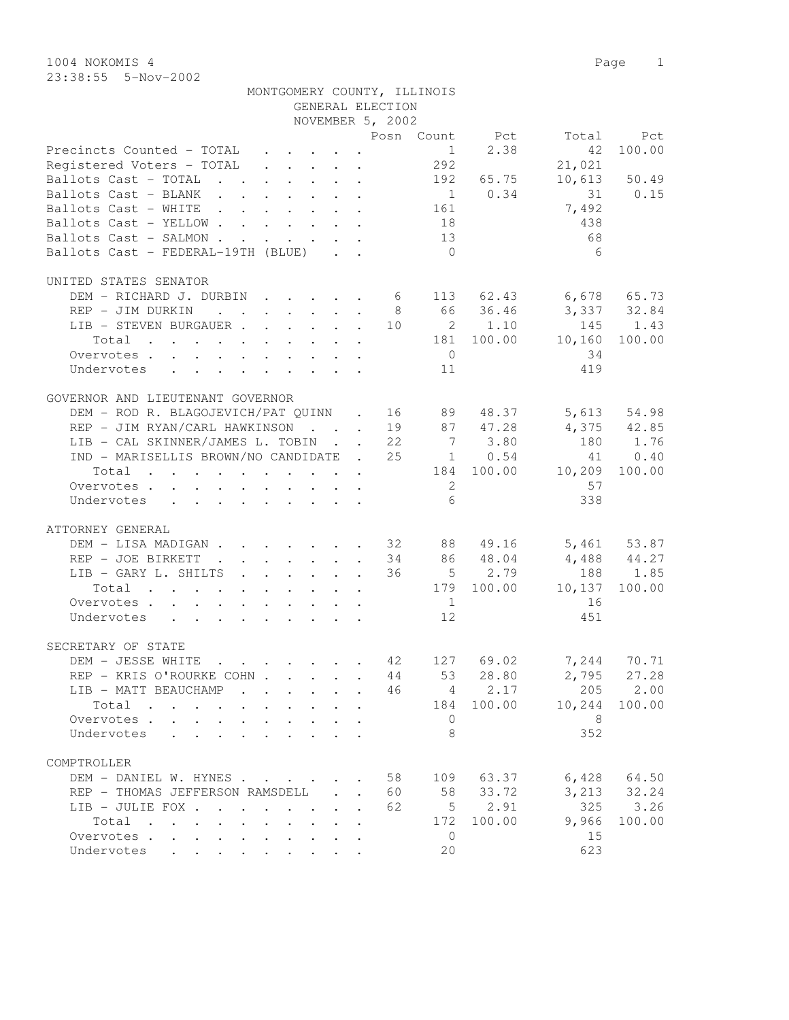1004 NOKOMIS 4 Page 1 23:38:55 5-Nov-2002

| Z3:38:55 5-NOV-ZUUZ                                                                                             |  |  |                  |                             |           |        |              |
|-----------------------------------------------------------------------------------------------------------------|--|--|------------------|-----------------------------|-----------|--------|--------------|
|                                                                                                                 |  |  |                  | MONTGOMERY COUNTY, ILLINOIS |           |        |              |
|                                                                                                                 |  |  | GENERAL ELECTION |                             |           |        |              |
|                                                                                                                 |  |  | NOVEMBER 5, 2002 |                             |           |        |              |
|                                                                                                                 |  |  | Posn             | Count                       | Pct       | Total  | Pct          |
| Precincts Counted - TOTAL                                                                                       |  |  |                  |                             | 1 2.38    | 42     | 100.00       |
| Registered Voters - TOTAL                                                                                       |  |  |                  | 292                         |           | 21,021 |              |
| Ballots Cast - TOTAL<br>$\mathbf{r}$ , $\mathbf{r}$ , $\mathbf{r}$ , $\mathbf{r}$ , $\mathbf{r}$ , $\mathbf{r}$ |  |  |                  | 192                         | 65.75     |        | 10,613 50.49 |
| Ballots Cast - BLANK                                                                                            |  |  |                  | $\overline{1}$              | 0.34      | 31     | 0.15         |
| Ballots Cast - WHITE                                                                                            |  |  |                  | 161                         |           | 7,492  |              |
| Ballots Cast - YELLOW 18                                                                                        |  |  |                  |                             |           | 438    |              |
| Ballots Cast - SALMON                                                                                           |  |  |                  | 13                          |           | 68     |              |
| Ballots Cast - FEDERAL-19TH (BLUE)                                                                              |  |  |                  | $\Omega$                    |           | 6      |              |
| UNITED STATES SENATOR                                                                                           |  |  |                  |                             |           |        |              |
| DEM - RICHARD J. DURBIN                                                                                         |  |  | 6                |                             | 113 62.43 |        | 6,678 65.73  |
|                                                                                                                 |  |  | 8                |                             | 66 36.46  |        | 3,337 32.84  |
| REP - JIM DURKIN                                                                                                |  |  |                  |                             |           |        |              |
| LIB - STEVEN BURGAUER                                                                                           |  |  | 10               |                             | 2 1.10    |        | 145 1.43     |
| Total                                                                                                           |  |  |                  | 181                         | 100.00    | 10,160 | 100.00       |
| Overvotes                                                                                                       |  |  |                  | $\mathbf 0$                 |           | 34     |              |

| Overvotes<br>Undervotes                                                              |    | $\bigcirc$<br>11 |                         | 34<br>419               |                    |
|--------------------------------------------------------------------------------------|----|------------------|-------------------------|-------------------------|--------------------|
| GOVERNOR AND LIEUTENANT GOVERNOR<br>DEM - ROD R. BLAGOJEVICH/PAT QUINN . 16 89 48.37 |    |                  |                         | 5,613                   | 54.98              |
| REP - JIM RYAN/CARL HAWKINSON 19 87 47.28                                            |    |                  |                         |                         | 4,375 42.85        |
| LIB - CAL SKINNER/JAMES L. TOBIN 22 7 3.80                                           |    |                  |                         | 180 1.76                |                    |
| IND - MARISELLIS BROWN/NO CANDIDATE . 25 1 0.54                                      |    |                  |                         |                         | 41 0.40            |
| Total                                                                                |    |                  |                         | 184 100.00 10,209       | 100.00             |
| Overvotes                                                                            |    | $\overline{2}$   |                         | 57                      |                    |
| Undervotes                                                                           |    | 6                |                         | 338                     |                    |
| ATTORNEY GENERAL                                                                     |    |                  |                         |                         |                    |
| DEM - LISA MADIGAN 32 88 49.16                                                       |    |                  |                         |                         | 5,461 53.87        |
| REP - JOE BIRKETT 34 86 48.04                                                        |    |                  |                         |                         | 4,488 44.27        |
| LIB - GARY L. SHILTS<br>Total                                                        |    |                  | 36 5 2.79<br>179 100.00 | 10,137                  | 188 1.85<br>100.00 |
| Overvotes.                                                                           |    | 1                |                         | 16                      |                    |
| Undervotes                                                                           |    | 12 <sup>°</sup>  |                         | 451                     |                    |
| SECRETARY OF STATE                                                                   |    |                  |                         |                         |                    |
| DEM - JESSE WHITE 42 127 69.02                                                       |    |                  |                         |                         | 7,244 70.71        |
| REP - KRIS O'ROURKE COHN 44 53 28.80                                                 |    |                  |                         | 2,795 27.28             |                    |
| LIB - MATT BEAUCHAMP 46 $4$ 2.17                                                     |    |                  |                         |                         | 205 2.00           |
| Total 184 100.00 10,244 100.00                                                       |    |                  |                         |                         |                    |
| Overvotes.                                                                           |    | $\bigcirc$       |                         | $\overline{\mathbf{8}}$ |                    |
| Undervotes                                                                           |    | $\mathcal{B}$    |                         | 352                     |                    |
| COMPTROLLER                                                                          |    |                  |                         |                         |                    |
| DEM - DANIEL W. HYNES 58 109 63.37                                                   |    |                  |                         |                         | 6,428 64.50        |
| REP - THOMAS JEFFERSON RAMSDELL                                                      | 60 |                  | 58 33.72                |                         | $3,213$ $32.24$    |
| LIB - JULIE FOX                                                                      | 62 |                  | $5 \t 2.91$             |                         | 325 3.26           |
| Total $\cdot$                                                                        |    |                  | 172 100.00              | 9,966                   | 100.00             |
| Overvotes.<br>Undervotes                                                             |    | $\Omega$<br>20   |                         | 15<br>623               |                    |
|                                                                                      |    |                  |                         |                         |                    |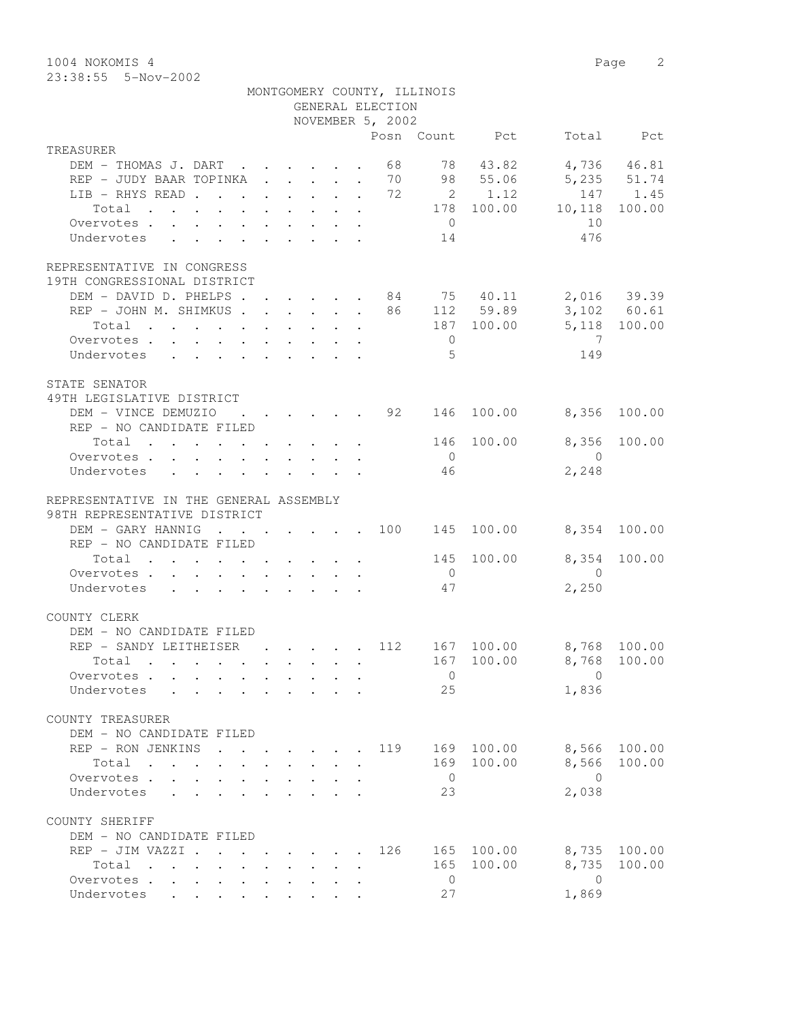1004 NOKOMIS 4 Page 2 23:38:55 5-Nov-2002

|                                                                                   |                                                         |  |  | GENERAL ELECTION | MONTGOMERY COUNTY, ILLINOIS |                |                                     |              |
|-----------------------------------------------------------------------------------|---------------------------------------------------------|--|--|------------------|-----------------------------|----------------|-------------------------------------|--------------|
|                                                                                   |                                                         |  |  | NOVEMBER 5, 2002 |                             |                |                                     |              |
|                                                                                   |                                                         |  |  |                  |                             | Posn Count Pct |                                     | Total Pct    |
| TREASURER                                                                         |                                                         |  |  |                  |                             |                |                                     |              |
| DEM - THOMAS J. DART 68                                                           |                                                         |  |  |                  |                             | 78 43.82       |                                     | 4,736 46.81  |
| REP - JUDY BAAR TOPINKA 70 98 55.06 5,235 51.74                                   |                                                         |  |  |                  |                             |                |                                     |              |
| LIB - RHYS READ 72 2 1.12                                                         |                                                         |  |  |                  |                             |                |                                     | 147 1.45     |
| Total                                                                             |                                                         |  |  |                  |                             |                | 178 100.00 10,118                   | 100.00       |
| Overvotes.                                                                        |                                                         |  |  |                  | $\overline{0}$              |                | 10                                  |              |
| Undervotes                                                                        |                                                         |  |  |                  | 14                          |                | 476                                 |              |
| REPRESENTATIVE IN CONGRESS<br>19TH CONGRESSIONAL DISTRICT                         |                                                         |  |  |                  |                             |                |                                     |              |
| DEM - DAVID D. PHELPS 84 75 40.11 2,016 39.39                                     |                                                         |  |  |                  |                             |                |                                     |              |
| REP - JOHN M. SHIMKUS 86 112 59.89                                                |                                                         |  |  |                  |                             |                |                                     | 3,102 60.61  |
| Total $\cdot$                                                                     |                                                         |  |  |                  |                             |                | 187 100.00 5,118 100.00             |              |
| Overvotes.                                                                        |                                                         |  |  |                  | $\overline{0}$              |                | $\overline{7}$                      |              |
| Undervotes                                                                        |                                                         |  |  |                  | 5                           |                | 149                                 |              |
|                                                                                   |                                                         |  |  |                  |                             |                |                                     |              |
| STATE SENATOR                                                                     |                                                         |  |  |                  |                             |                |                                     |              |
| 49TH LEGISLATIVE DISTRICT                                                         |                                                         |  |  |                  |                             |                |                                     |              |
| DEM - VINCE DEMUZIO                                                               |                                                         |  |  |                  |                             |                | $\cdot$ 92 146 100.00 8,356         | 100.00       |
| REP - NO CANDIDATE FILED                                                          |                                                         |  |  |                  |                             |                |                                     |              |
| Total $\cdot$                                                                     |                                                         |  |  |                  | 146                         | 100.00         |                                     | 8,356 100.00 |
| Overvotes                                                                         |                                                         |  |  |                  | $\overline{0}$              |                | $\overline{0}$                      |              |
| Undervotes                                                                        |                                                         |  |  |                  | 46                          |                | 2,248                               |              |
| REPRESENTATIVE IN THE GENERAL ASSEMBLY<br>98TH REPRESENTATIVE DISTRICT            |                                                         |  |  |                  |                             |                |                                     |              |
| DEM - GARY HANNIG 100 145                                                         |                                                         |  |  |                  |                             | 100.00         | 8,354 100.00                        |              |
| REP - NO CANDIDATE FILED                                                          |                                                         |  |  |                  |                             |                |                                     |              |
| Total $\cdot$                                                                     |                                                         |  |  |                  | 145                         | 100.00         | 8,354                               | 100.00       |
| Overvotes.                                                                        |                                                         |  |  |                  | $\overline{0}$              |                | $\overline{0}$                      |              |
| Undervotes                                                                        |                                                         |  |  |                  | 47                          |                | 2,250                               |              |
| COUNTY CLERK                                                                      |                                                         |  |  |                  |                             |                |                                     |              |
| DEM - NO CANDIDATE FILED                                                          |                                                         |  |  |                  |                             |                |                                     |              |
| REP - SANDY LEITHEISER                                                            |                                                         |  |  |                  |                             |                | $\cdot$ 112 167 100.00 8,768 100.00 |              |
| Total .                                                                           |                                                         |  |  |                  |                             |                | 167 100.00 8,768 100.00             |              |
| Overvotes                                                                         |                                                         |  |  |                  | $\overline{0}$              |                | $\Omega$                            |              |
| Undervotes                                                                        |                                                         |  |  |                  | 25                          |                | 1,836                               |              |
|                                                                                   |                                                         |  |  |                  |                             |                |                                     |              |
| COUNTY TREASURER                                                                  |                                                         |  |  |                  |                             |                |                                     |              |
| DEM - NO CANDIDATE FILED                                                          |                                                         |  |  |                  |                             |                |                                     |              |
| REP - RON JENKINS                                                                 |                                                         |  |  | 119              | 169                         | 100.00         | 8,566                               | 100.00       |
| Total                                                                             |                                                         |  |  |                  | 169                         | 100.00         | 8,566                               | 100.00       |
| Overvotes .<br>$\mathbf{L}$                                                       |                                                         |  |  |                  | $\overline{0}$              |                | $\bigcirc$                          |              |
| Undervotes                                                                        |                                                         |  |  |                  | 23                          |                | 2,038                               |              |
| COUNTY SHERIFF                                                                    |                                                         |  |  |                  |                             |                |                                     |              |
| DEM - NO CANDIDATE FILED                                                          |                                                         |  |  |                  |                             |                |                                     |              |
| REP - JIM VAZZI .                                                                 | $\cdot$ $\cdot$ $\cdot$ $\cdot$ $\cdot$ $\cdot$ $\cdot$ |  |  | 126              | 165                         | 100.00         | 8,735                               | 100.00       |
| Total<br>$\mathbf{r}$ , $\mathbf{r}$ , $\mathbf{r}$ , $\mathbf{r}$ , $\mathbf{r}$ |                                                         |  |  |                  | 165                         | 100.00         | 8,735                               | 100.00       |
| Overvotes                                                                         |                                                         |  |  |                  | $\overline{0}$              |                | $\overline{0}$                      |              |
| Undervotes                                                                        |                                                         |  |  |                  | 27                          |                | 1,869                               |              |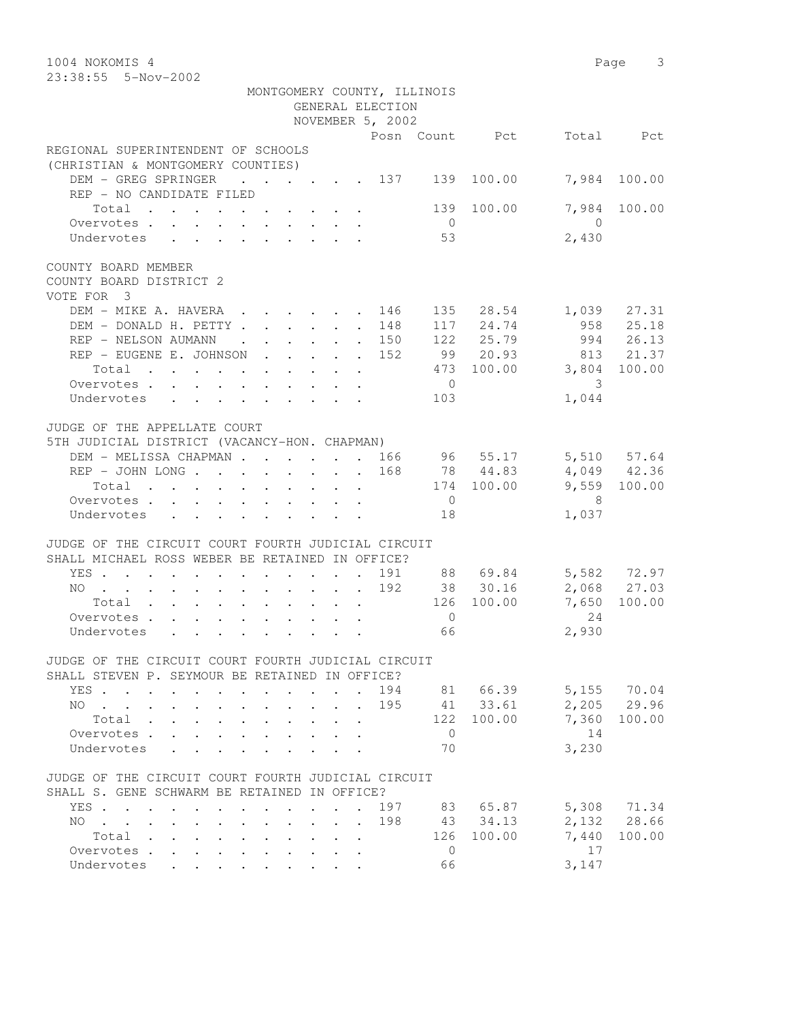| 1004 NOKOMIS 4<br>23:38:55 5-Nov-2002                                                                                                                                                                                                                                                                                                                           |            |                     | Page 3       |
|-----------------------------------------------------------------------------------------------------------------------------------------------------------------------------------------------------------------------------------------------------------------------------------------------------------------------------------------------------------------|------------|---------------------|--------------|
| MONTGOMERY COUNTY, ILLINOIS                                                                                                                                                                                                                                                                                                                                     |            |                     |              |
| GENERAL ELECTION                                                                                                                                                                                                                                                                                                                                                |            |                     |              |
| NOVEMBER 5, 2002                                                                                                                                                                                                                                                                                                                                                |            |                     |              |
| Posn Count Pct                                                                                                                                                                                                                                                                                                                                                  |            |                     | Total Pct    |
| REGIONAL SUPERINTENDENT OF SCHOOLS<br>(CHRISTIAN & MONTGOMERY COUNTIES)                                                                                                                                                                                                                                                                                         |            |                     |              |
| DEM - GREG SPRINGER<br>$\cdot$ $\cdot$ $\cdot$ $\cdot$ $\cdot$ $\cdot$ 137 139<br>REP - NO CANDIDATE FILED                                                                                                                                                                                                                                                      | 100.00     |                     | 7,984 100.00 |
| Total<br>Overvotes<br>$\overline{0}$                                                                                                                                                                                                                                                                                                                            | 139 100.00 | 7,984<br>$\bigcirc$ | 100.00       |
| 53<br>Undervotes                                                                                                                                                                                                                                                                                                                                                |            | 2,430               |              |
| COUNTY BOARD MEMBER<br>COUNTY BOARD DISTRICT 2<br>VOTE FOR 3                                                                                                                                                                                                                                                                                                    |            |                     |              |
| DEM - MIKE A. HAVERA .<br>146<br>$\cdot$ $\cdot$ $\cdot$ $\cdot$ $\cdot$ $\cdot$ $\cdot$                                                                                                                                                                                                                                                                        | 135 28.54  |                     | 1,039 27.31  |
| DEM - DONALD H. PETTY<br>148<br>$\ddot{\phantom{0}}$                                                                                                                                                                                                                                                                                                            | 117 24.74  |                     | 958 25.18    |
| REP - NELSON AUMANN<br>. 150<br>$\mathbf{r}$ , $\mathbf{r}$ , $\mathbf{r}$ , $\mathbf{r}$                                                                                                                                                                                                                                                                       | 122 25.79  |                     | 994 26.13    |
| REP - EUGENE E. JOHNSON<br>152                                                                                                                                                                                                                                                                                                                                  | 99 20.93   |                     | 813 21.37    |
| Total                                                                                                                                                                                                                                                                                                                                                           | 473 100.00 | 3,804               | 100.00       |
| Overvotes<br>$\overline{0}$                                                                                                                                                                                                                                                                                                                                     |            | 3                   |              |
| Undervotes<br>103                                                                                                                                                                                                                                                                                                                                               |            | 1,044               |              |
| JUDGE OF THE APPELLATE COURT                                                                                                                                                                                                                                                                                                                                    |            |                     |              |
| 5TH JUDICIAL DISTRICT (VACANCY-HON. CHAPMAN)                                                                                                                                                                                                                                                                                                                    |            |                     |              |
| DEM - MELISSA CHAPMAN 166                                                                                                                                                                                                                                                                                                                                       | 96 55.17   |                     | 5,510 57.64  |
| REP - JOHN LONG<br>168                                                                                                                                                                                                                                                                                                                                          | 78 44.83   |                     | 4,049 42.36  |
| Total                                                                                                                                                                                                                                                                                                                                                           | 174 100.00 |                     | 9,559 100.00 |
| Overvotes.<br>$\overline{0}$                                                                                                                                                                                                                                                                                                                                    |            | 8                   |              |
| Undervotes<br>18                                                                                                                                                                                                                                                                                                                                                |            | 1,037               |              |
| JUDGE OF THE CIRCUIT COURT FOURTH JUDICIAL CIRCUIT<br>SHALL MICHAEL ROSS WEBER BE RETAINED IN OFFICE?                                                                                                                                                                                                                                                           |            |                     |              |
| 191<br>YES<br>$\ddot{\phantom{0}}$                                                                                                                                                                                                                                                                                                                              | 88 69.84   |                     | 5,582 72.97  |
| 192<br>NO                                                                                                                                                                                                                                                                                                                                                       | 38 30.16   |                     | 2,068 27.03  |
| Total                                                                                                                                                                                                                                                                                                                                                           | 126 100.00 | 7,650               | 100.00       |
| $\overline{0}$<br>Overvotes                                                                                                                                                                                                                                                                                                                                     |            | 24                  |              |
| 66<br>Undervotes                                                                                                                                                                                                                                                                                                                                                |            | 2,930               |              |
| JUDGE OF THE CIRCUIT COURT FOURTH JUDICIAL CIRCUIT                                                                                                                                                                                                                                                                                                              |            |                     |              |
| SHALL STEVEN P. SEYMOUR BE RETAINED IN OFFICE?                                                                                                                                                                                                                                                                                                                  |            |                     |              |
| 194<br>YES<br>$\ddot{\phantom{0}}$<br>$\ddot{\phantom{a}}$                                                                                                                                                                                                                                                                                                      | 81 66.39   |                     | 5,155 70.04  |
| 195<br>NO.<br>and the company of the company<br>$\mathbf{L}^{\text{max}}$                                                                                                                                                                                                                                                                                       | 41 33.61   | 2,205               | 29.96        |
| 122<br>Total                                                                                                                                                                                                                                                                                                                                                    | 100.00     | 7,360               | 100.00       |
| $\overline{0}$<br>Overvotes .                                                                                                                                                                                                                                                                                                                                   |            | 14                  |              |
| 70<br>Undervotes                                                                                                                                                                                                                                                                                                                                                |            | 3,230               |              |
| JUDGE OF THE CIRCUIT COURT FOURTH JUDICIAL CIRCUIT                                                                                                                                                                                                                                                                                                              |            |                     |              |
| SHALL S. GENE SCHWARM BE RETAINED IN OFFICE?                                                                                                                                                                                                                                                                                                                    |            |                     |              |
| 197<br>YES<br>$\cdot$ $\cdot$ $\cdot$                                                                                                                                                                                                                                                                                                                           | 83 65.87   |                     | 5,308 71.34  |
| 198<br>NO.<br>$\mathbf{r}$ , $\mathbf{r}$ , $\mathbf{r}$ , $\mathbf{r}$ , $\mathbf{r}$<br>$\cdot$ $\cdot$<br>$\sim$<br>$\ddot{\phantom{0}}$<br>$\ddot{\phantom{0}}$<br>$\ddot{\phantom{0}}$<br>$\ddot{\phantom{0}}$                                                                                                                                             | 43 34.13   |                     | 2,132 28.66  |
| 126<br>Total<br>$\ddot{\phantom{0}}$<br>$\ddot{\phantom{0}}$<br>$\ddot{\phantom{a}}$ . The set of the set of the set of the set of the set of the set of the set of the set of the set of the set of the set of the set of the set of the set of the set of the set of the set of the set of the set o<br>$\mathbf{L} = \mathbf{L}$<br>Overvotes<br>$\mathbf 0$ | 100.00     | 7,440<br>17         | 100.00       |
| $\ddotsc$<br>$\sim$ 100 $\pm$<br>$\ddot{\phantom{0}}$<br>$\bullet$ . The set of $\bullet$<br>66<br>Undervotes                                                                                                                                                                                                                                                   |            | 3,147               |              |
|                                                                                                                                                                                                                                                                                                                                                                 |            |                     |              |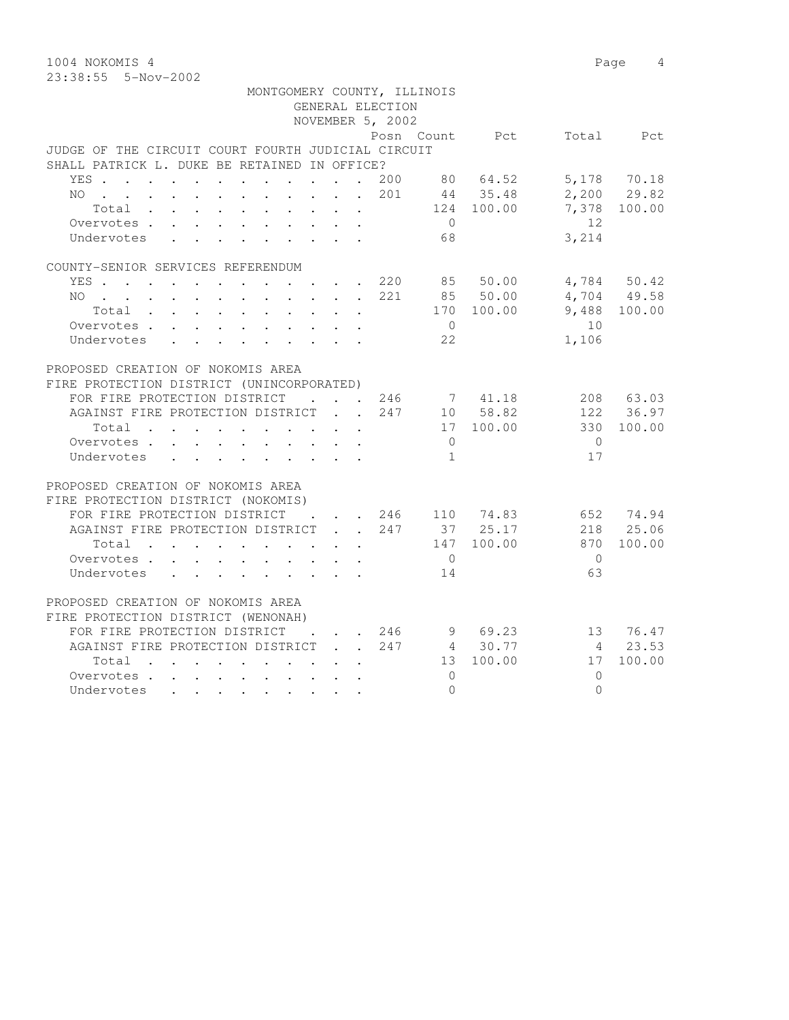23:38:55 5-Nov-2002

| MONTGOMERY COUNTY, ILLINOIS                                                                                                                                                                                                                 |                                            | GENERAL ELECTION<br>NOVEMBER 5, 2002 |                |                          |            |              |
|---------------------------------------------------------------------------------------------------------------------------------------------------------------------------------------------------------------------------------------------|--------------------------------------------|--------------------------------------|----------------|--------------------------|------------|--------------|
|                                                                                                                                                                                                                                             |                                            |                                      | Posn Count     | <b>Pot</b>               |            | Total Pct    |
| JUDGE OF THE CIRCUIT COURT FOURTH JUDICIAL CIRCUIT                                                                                                                                                                                          |                                            |                                      |                |                          |            |              |
| SHALL PATRICK L. DUKE BE RETAINED IN OFFICE?                                                                                                                                                                                                |                                            |                                      |                |                          |            |              |
| YES 200                                                                                                                                                                                                                                     |                                            |                                      |                | 80 64.52                 |            | 5,178 70.18  |
| NO 201                                                                                                                                                                                                                                      |                                            |                                      |                | 44 35.48                 |            | 2,200 29.82  |
| Total $\cdot$                                                                                                                                                                                                                               |                                            |                                      |                | 124 100.00               | 7,378      | 100.00       |
| Overvotes.                                                                                                                                                                                                                                  |                                            |                                      | $\overline{0}$ |                          | 12         |              |
| Undervotes<br>$\mathbf{L}$<br>$\mathbf{r}$ , $\mathbf{r}$ , $\mathbf{r}$ , $\mathbf{r}$ , $\mathbf{r}$<br>$\ddot{\phantom{0}}$<br>$\sim$                                                                                                    |                                            |                                      | 68             |                          | 3,214      |              |
| COUNTY-SENIOR SERVICES REFERENDUM                                                                                                                                                                                                           |                                            |                                      |                |                          |            |              |
| YES 220                                                                                                                                                                                                                                     |                                            |                                      |                | 85 50.00                 |            | 4,784 50.42  |
| NO 221                                                                                                                                                                                                                                      |                                            |                                      |                | 85 50.00                 |            | 4,704 49.58  |
| Total                                                                                                                                                                                                                                       | $\sim$                                     |                                      |                | 170 100.00               |            | 9,488 100.00 |
| Overvotes.                                                                                                                                                                                                                                  |                                            |                                      | $\overline{0}$ |                          | 10         |              |
| Undervotes                                                                                                                                                                                                                                  |                                            |                                      | 22             |                          | 1,106      |              |
| PROPOSED CREATION OF NOKOMIS AREA                                                                                                                                                                                                           |                                            |                                      |                |                          |            |              |
| FIRE PROTECTION DISTRICT (UNINCORPORATED)                                                                                                                                                                                                   |                                            |                                      |                |                          |            |              |
| FOR FIRE PROTECTION DISTRICT 246                                                                                                                                                                                                            |                                            |                                      |                | 7 41.18                  |            | 208 63.03    |
| AGAINST FIRE PROTECTION DISTRICT 247                                                                                                                                                                                                        |                                            |                                      |                | 10 58.82                 |            | 122 36.97    |
| Total                                                                                                                                                                                                                                       |                                            |                                      |                | 17 100.00                | 330        | 100.00       |
| Overvotes.                                                                                                                                                                                                                                  |                                            |                                      | $\bigcirc$     |                          | $\bigcirc$ |              |
| Undervotes                                                                                                                                                                                                                                  |                                            |                                      | $\overline{1}$ |                          | 17         |              |
| PROPOSED CREATION OF NOKOMIS AREA                                                                                                                                                                                                           |                                            |                                      |                |                          |            |              |
| FIRE PROTECTION DISTRICT (NOKOMIS)                                                                                                                                                                                                          |                                            |                                      |                |                          |            |              |
| FOR FIRE PROTECTION DISTRICT                                                                                                                                                                                                                |                                            |                                      |                | $\cdots$ $246$ 110 74.83 |            | 652 74.94    |
| AGAINST FIRE PROTECTION DISTRICT 247                                                                                                                                                                                                        |                                            |                                      |                | 37 25.17                 |            | 218 25.06    |
| Total                                                                                                                                                                                                                                       |                                            |                                      |                | 147 100.00               | 870        | 100.00       |
| Overvotes.                                                                                                                                                                                                                                  |                                            |                                      | $\overline{0}$ |                          | $\bigcirc$ |              |
| Undervotes<br>$\mathbf{r}$ , and $\mathbf{r}$ , and $\mathbf{r}$ , and $\mathbf{r}$ , and $\mathbf{r}$                                                                                                                                      |                                            |                                      | 14             |                          | 63         |              |
| PROPOSED CREATION OF NOKOMIS AREA                                                                                                                                                                                                           |                                            |                                      |                |                          |            |              |
| FIRE PROTECTION DISTRICT (WENONAH)                                                                                                                                                                                                          |                                            |                                      |                |                          |            |              |
| FOR FIRE PROTECTION DISTRICT                                                                                                                                                                                                                | $\mathbf{r}$ , $\mathbf{r}$ , $\mathbf{r}$ |                                      |                | 246 9 69.23              | 13 76.47   |              |
| AGAINST FIRE PROTECTION DISTRICT 247                                                                                                                                                                                                        |                                            |                                      |                | 4 30.77                  |            | 4 23.53      |
| Total                                                                                                                                                                                                                                       |                                            |                                      | 13             | 100.00                   | 17         | 100.00       |
| Overvotes.                                                                                                                                                                                                                                  |                                            |                                      | $\bigcap$      |                          | $\bigcap$  |              |
| Undervotes<br>. The contract of the contract of the contract of the contract of the contract of the contract of the contract of the contract of the contract of the contract of the contract of the contract of the contract of the contrac |                                            |                                      | $\Omega$       |                          | $\Omega$   |              |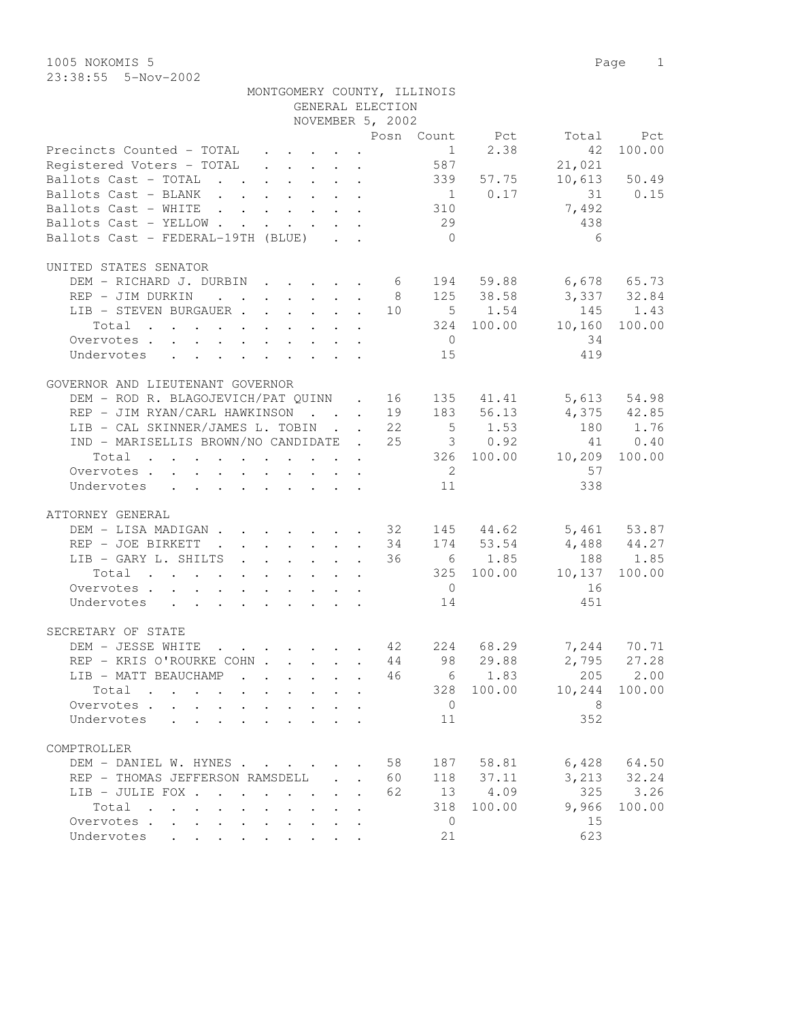1005 NOKOMIS 5 Page 1 23:38:55 5-Nov-2002

|                                                                 |  |                                                       |                      | GENERAL ELECTION | MONTGOMERY COUNTY, ILLINOIS |             |                                |              |
|-----------------------------------------------------------------|--|-------------------------------------------------------|----------------------|------------------|-----------------------------|-------------|--------------------------------|--------------|
|                                                                 |  |                                                       |                      | NOVEMBER 5, 2002 |                             |             |                                |              |
| Precincts Counted - TOTAL $\quad \cdot \quad \cdot \quad \cdot$ |  |                                                       |                      |                  |                             | $1 \t 2.38$ | Posn Count Pct Total Pct<br>42 | 100.00       |
| Registered Voters - TOTAL (a) 587                               |  |                                                       |                      |                  |                             |             | 21,021                         |              |
| Ballots Cast - TOTAL 339 57.75                                  |  |                                                       |                      |                  |                             |             |                                | 10,613 50.49 |
| Ballots Cast - BLANK 1 0.17 31 0.15                             |  |                                                       |                      |                  |                             |             |                                |              |
| Ballots Cast - WHITE                                            |  |                                                       |                      |                  | 310                         |             | 7,492                          |              |
| Ballots Cast - YELLOW                                           |  |                                                       |                      |                  | 29                          |             | 438                            |              |
| Ballots Cast - FEDERAL-19TH (BLUE)                              |  |                                                       |                      |                  | $\overline{0}$              |             | - 6                            |              |
|                                                                 |  |                                                       |                      |                  |                             |             |                                |              |
| UNITED STATES SENATOR                                           |  |                                                       |                      |                  |                             |             |                                |              |
| DEM - RICHARD J. DURBIN 6 194 59.88 6,678 65.73                 |  |                                                       |                      |                  |                             |             |                                |              |
| REP - JIM DURKIN 8 125 38.58 3,337 32.84                        |  |                                                       |                      |                  |                             |             |                                |              |
| LIB - STEVEN BURGAUER 10 5 1.54 145 1.43                        |  |                                                       |                      |                  |                             |             |                                |              |
| Total 324 100.00 10,160                                         |  |                                                       |                      |                  |                             |             |                                | 100.00       |
| Overvotes                                                       |  |                                                       |                      |                  | $\overline{0}$              |             | 34                             |              |
| Undervotes                                                      |  |                                                       |                      |                  | 15                          |             | 419                            |              |
| GOVERNOR AND LIEUTENANT GOVERNOR                                |  |                                                       |                      |                  |                             |             |                                |              |
| DEM - ROD R. BLAGOJEVICH/PAT QUINN . 16 135 41.41 5,613 54.98   |  |                                                       |                      |                  |                             |             |                                |              |
| REP - JIM RYAN/CARL HAWKINSON 19 183 56.13 4,375 42.85          |  |                                                       |                      |                  |                             |             |                                |              |
| LIB - CAL SKINNER/JAMES L. TOBIN 22 5 1.53 180 1.76             |  |                                                       |                      |                  |                             |             |                                |              |
| IND - MARISELLIS BROWN/NO CANDIDATE . 25 3 0.92                 |  |                                                       |                      |                  |                             |             |                                | 41 0.40      |
| Total 326 100.00 10,209                                         |  |                                                       |                      |                  |                             |             |                                | 100.00       |
| Overvotes.                                                      |  |                                                       |                      |                  | $\overline{2}$              |             | 57                             |              |
| Undervotes                                                      |  |                                                       |                      |                  | 11                          |             | 338                            |              |
|                                                                 |  |                                                       |                      |                  |                             |             |                                |              |
| ATTORNEY GENERAL                                                |  |                                                       |                      |                  |                             |             |                                |              |
| DEM - LISA MADIGAN 32 145 44.62 5,461 53.87                     |  |                                                       |                      |                  |                             |             |                                |              |
| REP - JOE BIRKETT 34 174 53.54 4,488 44.27                      |  |                                                       |                      |                  |                             |             |                                |              |
| LIB - GARY L. SHILTS 36 6 1.85 188 1.85                         |  |                                                       |                      |                  |                             |             |                                |              |
| Total 325 100.00 10,137                                         |  |                                                       |                      |                  |                             |             |                                | 100.00       |
| Overvotes                                                       |  |                                                       |                      |                  | $\overline{0}$              |             | 16                             |              |
| Undervotes 14                                                   |  |                                                       |                      |                  |                             |             | 451                            |              |
| SECRETARY OF STATE                                              |  |                                                       |                      |                  |                             |             |                                |              |
| $\cdot$ 42<br>DEM - JESSE WHITE                                 |  |                                                       |                      |                  |                             |             | 224 68.29 7,244 70.71          |              |
| REP - KRIS O'ROURKE COHN 44 98 29.88                            |  |                                                       |                      |                  |                             |             | 2,795                          | 27.28        |
| LIB - MATT BEAUCHAMP                                            |  |                                                       |                      | 46               |                             | 6 1.83      | 205                            | 2.00         |
| Total                                                           |  | $\mathbf{r} = \mathbf{r}$ , $\mathbf{r} = \mathbf{r}$ |                      |                  |                             | 328 100.00  | 10,244                         | 100.00       |
| Overvotes.                                                      |  | $\cdot$ $\cdot$ $\cdot$ $\cdot$ $\cdot$ $\cdot$       | $\ddot{\phantom{a}}$ |                  | $\overline{0}$              |             | - 8                            |              |
| Undervotes                                                      |  | $\cdot$ $\cdot$ $\cdot$ $\cdot$ $\cdot$               |                      |                  | 11                          |             | 352                            |              |
|                                                                 |  |                                                       |                      |                  |                             |             |                                |              |
| COMPTROLLER                                                     |  |                                                       |                      |                  |                             |             |                                |              |
| DEM - DANIEL W. HYNES                                           |  |                                                       |                      | 58               | 187                         | 58.81       | 6,428                          | 64.50        |
| REP - THOMAS JEFFERSON RAMSDELL                                 |  |                                                       |                      | 60               | 118                         | 37.11       | 3,213                          | 32.24        |
| LIB - JULIE FOX                                                 |  |                                                       |                      | 62               | 13                          | 4.09        | 325                            | 3.26         |

Total . . . . . . . . . . 318 100.00 9,966 100.00

Overvotes . . . . . . . . . . . 0 15 Undervotes . . . . . . . . . 21 623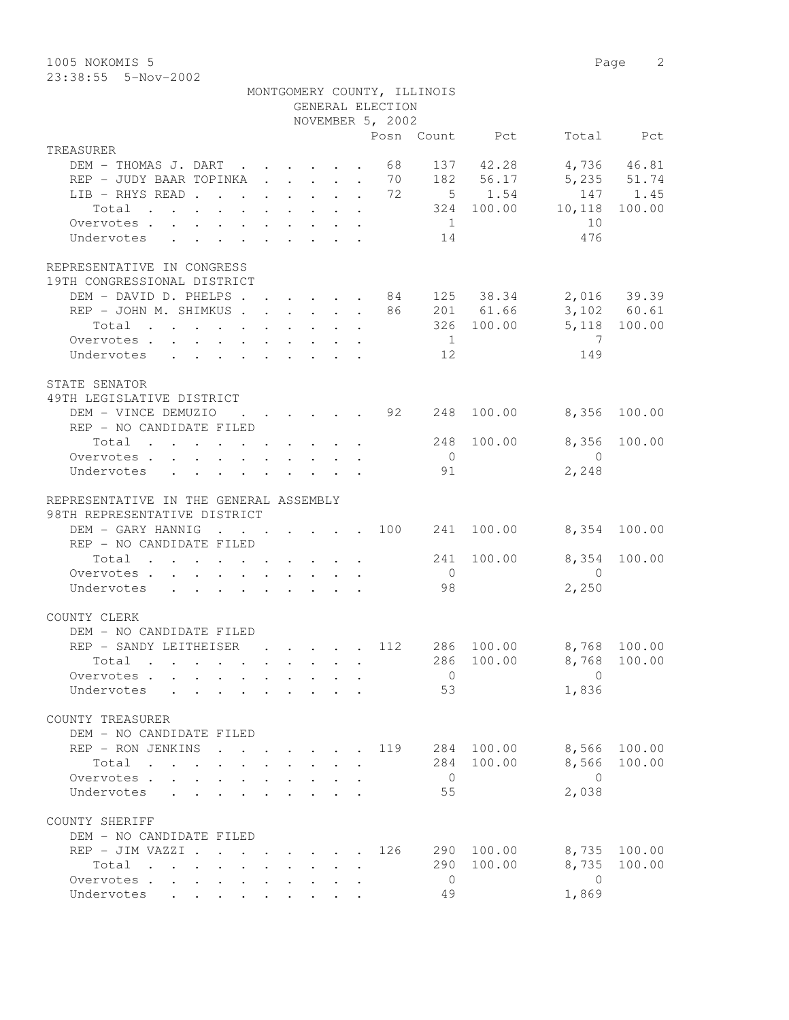1005 NOKOMIS 5 Page 2

|                                                                                                                         |                                                                       |                           |                                                                                           |  | GENERAL ELECTION | MONTGOMERY COUNTY, ILLINOIS |            |                          |        |
|-------------------------------------------------------------------------------------------------------------------------|-----------------------------------------------------------------------|---------------------------|-------------------------------------------------------------------------------------------|--|------------------|-----------------------------|------------|--------------------------|--------|
|                                                                                                                         |                                                                       |                           |                                                                                           |  | NOVEMBER 5, 2002 |                             |            |                          |        |
|                                                                                                                         |                                                                       |                           |                                                                                           |  |                  |                             |            | Posn Count Pct Total Pct |        |
| TREASURER<br>DEM - THOMAS J. DART 68 137 42.28 4,736 46.81                                                              |                                                                       |                           |                                                                                           |  |                  |                             |            |                          |        |
|                                                                                                                         |                                                                       |                           |                                                                                           |  |                  |                             |            |                          |        |
| REP - JUDY BAAR TOPINKA 70 182 56.17 5,235 51.74                                                                        |                                                                       |                           |                                                                                           |  |                  |                             |            |                          |        |
| LIB - RHYS READ 72 5 1.54 147 1.45                                                                                      |                                                                       |                           |                                                                                           |  |                  |                             |            |                          |        |
| Total 324 100.00 10,118                                                                                                 |                                                                       |                           |                                                                                           |  |                  |                             |            |                          | 100.00 |
| Overvotes.                                                                                                              |                                                                       |                           |                                                                                           |  |                  | 1                           |            | 10                       |        |
| Undervotes                                                                                                              |                                                                       |                           |                                                                                           |  |                  | 14                          |            | 476                      |        |
| REPRESENTATIVE IN CONGRESS<br>19TH CONGRESSIONAL DISTRICT                                                               |                                                                       |                           |                                                                                           |  |                  |                             |            |                          |        |
| DEM - DAVID D. PHELPS 84 125 38.34 2,016 39.39                                                                          |                                                                       |                           |                                                                                           |  |                  |                             |            |                          |        |
| REP - JOHN M. SHIMKUS 86 201 61.66 3,102 60.61                                                                          |                                                                       |                           |                                                                                           |  |                  |                             |            |                          |        |
| Total 326 100.00 5,118 100.00                                                                                           |                                                                       |                           |                                                                                           |  |                  |                             |            |                          |        |
| Overvotes                                                                                                               |                                                                       |                           |                                                                                           |  |                  | $\overline{1}$              |            | $\overline{7}$           |        |
| Undervotes 12                                                                                                           |                                                                       |                           |                                                                                           |  |                  |                             |            | 149                      |        |
|                                                                                                                         |                                                                       |                           |                                                                                           |  |                  |                             |            |                          |        |
| STATE SENATOR<br>49TH LEGISLATIVE DISTRICT                                                                              |                                                                       |                           |                                                                                           |  |                  |                             |            |                          |        |
| DEM - VINCE DEMUZIO : 92 248                                                                                            |                                                                       |                           |                                                                                           |  |                  |                             |            | 100.00 8,356             | 100.00 |
| REP - NO CANDIDATE FILED                                                                                                |                                                                       |                           |                                                                                           |  |                  |                             |            |                          |        |
| Total 248 100.00 8,356 100.00                                                                                           |                                                                       |                           |                                                                                           |  |                  |                             |            |                          |        |
| Overvotes.                                                                                                              |                                                                       |                           |                                                                                           |  |                  | $\overline{0}$              |            | $\overline{0}$           |        |
| Undervotes                                                                                                              |                                                                       |                           |                                                                                           |  |                  | 91                          |            | 2,248                    |        |
| REPRESENTATIVE IN THE GENERAL ASSEMBLY<br>98TH REPRESENTATIVE DISTRICT<br>DEM - GARY HANNIG 100 241 100.00 8,354 100.00 |                                                                       |                           |                                                                                           |  |                  |                             |            |                          |        |
| REP - NO CANDIDATE FILED                                                                                                |                                                                       |                           |                                                                                           |  |                  |                             |            |                          |        |
| Total 241 100.00 8,354                                                                                                  |                                                                       |                           |                                                                                           |  |                  |                             |            |                          | 100.00 |
| Overvotes.                                                                                                              |                                                                       |                           |                                                                                           |  |                  | $\overline{0}$              |            | $\overline{0}$           |        |
| Undervotes 98                                                                                                           |                                                                       |                           |                                                                                           |  |                  |                             |            | 2,250                    |        |
| COUNTY CLERK                                                                                                            |                                                                       |                           |                                                                                           |  |                  |                             |            |                          |        |
| DEM - NO CANDIDATE FILED                                                                                                |                                                                       |                           |                                                                                           |  |                  |                             |            |                          |        |
| REP - SANDY LEITHEISER 112 286 100.00 8,768 100.00                                                                      |                                                                       |                           |                                                                                           |  |                  |                             |            |                          |        |
| Total .                                                                                                                 |                                                                       |                           |                                                                                           |  |                  |                             |            | 286 100.00 8,768 100.00  |        |
| Overvotes                                                                                                               |                                                                       | $\mathbf{r} = \mathbf{r}$ |                                                                                           |  |                  | $\overline{0}$              |            | $\overline{0}$           |        |
| Undervotes                                                                                                              |                                                                       |                           | $\mathbf{r} = \mathbf{r} \cdot \mathbf{r}$                                                |  |                  | 53                          |            | 1,836                    |        |
| COUNTY TREASURER                                                                                                        |                                                                       |                           |                                                                                           |  |                  |                             |            |                          |        |
| DEM - NO CANDIDATE FILED                                                                                                |                                                                       |                           |                                                                                           |  |                  |                             |            |                          |        |
| REP - RON JENKINS                                                                                                       |                                                                       |                           |                                                                                           |  | 119              |                             | 284 100.00 | 8,566                    | 100.00 |
| Total                                                                                                                   |                                                                       |                           |                                                                                           |  |                  |                             | 284 100.00 | 8,566                    | 100.00 |
| Overvotes<br>$\mathbf{A}$                                                                                               |                                                                       |                           | $\mathbf{r} = \mathbf{r} \cdot \mathbf{r}$ and $\mathbf{r} = \mathbf{r} \cdot \mathbf{r}$ |  |                  | $\overline{0}$              |            | $\bigcirc$               |        |
| Undervotes<br>$\mathbf{r}$ and $\mathbf{r}$                                                                             |                                                                       |                           |                                                                                           |  |                  | 55                          |            | 2,038                    |        |
| COUNTY SHERIFF                                                                                                          |                                                                       |                           |                                                                                           |  |                  |                             |            |                          |        |
| DEM - NO CANDIDATE FILED                                                                                                |                                                                       |                           |                                                                                           |  |                  |                             |            |                          |        |
| REP - JIM VAZZI .                                                                                                       | $\mathbf{r}$ , and $\mathbf{r}$ , and $\mathbf{r}$ , and $\mathbf{r}$ |                           |                                                                                           |  | 126              | 290                         | 100.00     | 8,735                    | 100.00 |
| Total<br>the contract of the contract of the contract of                                                                |                                                                       |                           |                                                                                           |  |                  | 290                         | 100.00     | 8,735                    | 100.00 |
| Overvotes                                                                                                               |                                                                       |                           |                                                                                           |  |                  | $\overline{0}$              |            | $\overline{0}$           |        |
| Undervotes                                                                                                              |                                                                       |                           |                                                                                           |  |                  | 49                          |            | 1,869                    |        |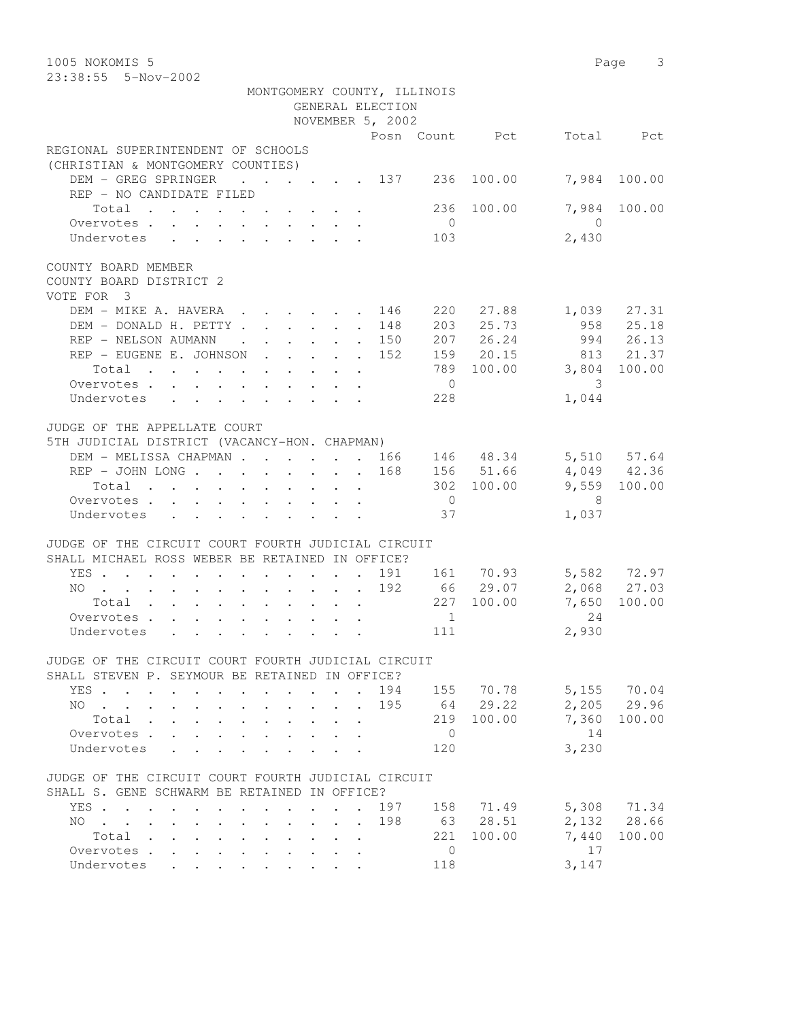1005 NOKOMIS 5 Page 3 23:38:55 5-Nov-2002 MONTGOMERY COUNTY, ILLINOIS GENERAL ELECTION NOVEMBER 5, 2002 Posn Count Pct Total Pct REGIONAL SUPERINTENDENT OF SCHOOLS (CHRISTIAN & MONTGOMERY COUNTIES) DEM - GREG SPRINGER . . . . . 137 236 100.00 7,984 100.00 REP - NO CANDIDATE FILED Total . . . . . . . . . . 236 100.00 7,984 100.00<br>ervotes . . . . . . . . . 0 Overvotes . . . . . . . . . . . 0 0<br>
Undervotes . . . . . . . . . . 103 2,430 Undervotes . . . . . . . . 103 2,430 COUNTY BOARD MEMBER COUNTY BOARD DISTRICT 2 VOTE FOR 3 DEM - MIKE A. HAVERA . . . . . 146 220 27.88 1,039 27.31 DEM - DONALD H. PETTY . . . . . . 148 203 25.73 958 25.18 REP - NELSON AUMANN . . . . . 150 207 26.24 994 26.13 REP - EUGENE E. JOHNSON . . . . 152 159 20.15 813 21.37 Total . . . . . . . . . . 789 100.00 3,804 100.00 Overvotes . . . . . . . . . . . 0 3 Undervotes . . . . . . . . 228 1,044 JUDGE OF THE APPELLATE COURT 5TH JUDICIAL DISTRICT (VACANCY-HON. CHAPMAN) DEM - MELISSA CHAPMAN . . . . . . 166 146 48.34 5,510 57.64 REP - JOHN LONG . . . . . . . 168 156 51.66 4,049 42.36 Total . . . . . . . . . . 302 100.00 9,559 100.00 Overvotes . . . . . . . . . . . 0 8 Undervotes . . . . . . . . . 37 1,037 JUDGE OF THE CIRCUIT COURT FOURTH JUDICIAL CIRCUIT SHALL MICHAEL ROSS WEBER BE RETAINED IN OFFICE? YES . . . . . . . . . . . . 191 161 70.93 5,582 72.97 NO . . . . . . . . . . . . 192 66 29.07 2,068 27.03 Total . . . . . . . . . . 227 100.00 7,650 100.00 Overvotes . . . . . . . . . . . 1 24 Undervotes . . . . . . . . 111 2,930 JUDGE OF THE CIRCUIT COURT FOURTH JUDICIAL CIRCUIT SHALL STEVEN P. SEYMOUR BE RETAINED IN OFFICE? YES . . . . . . . . . . . . 194 155 70.78 5,155 70.04 NO . . . . . . . . . . . . 195 Total . . . . . . . . . . 219 100.00 7,360 100.00 Overvotes . . . . . . . . . . 0 14 Undervotes . . . . . . . . . 120 3,230 JUDGE OF THE CIRCUIT COURT FOURTH JUDICIAL CIRCUIT SHALL S. GENE SCHWARM BE RETAINED IN OFFICE? YES . . . . . . . . . . . . 197 158 71.49 5,308 71.34 NO . . . . . . . . . . . . 198 63 28.51 2,132 28.66 Total . . . . . . . . . . 221 100.00 7,440 100.00 Overvotes . . . . . . . . . . 0 17 Undervotes . . . . . . . . 118 3,147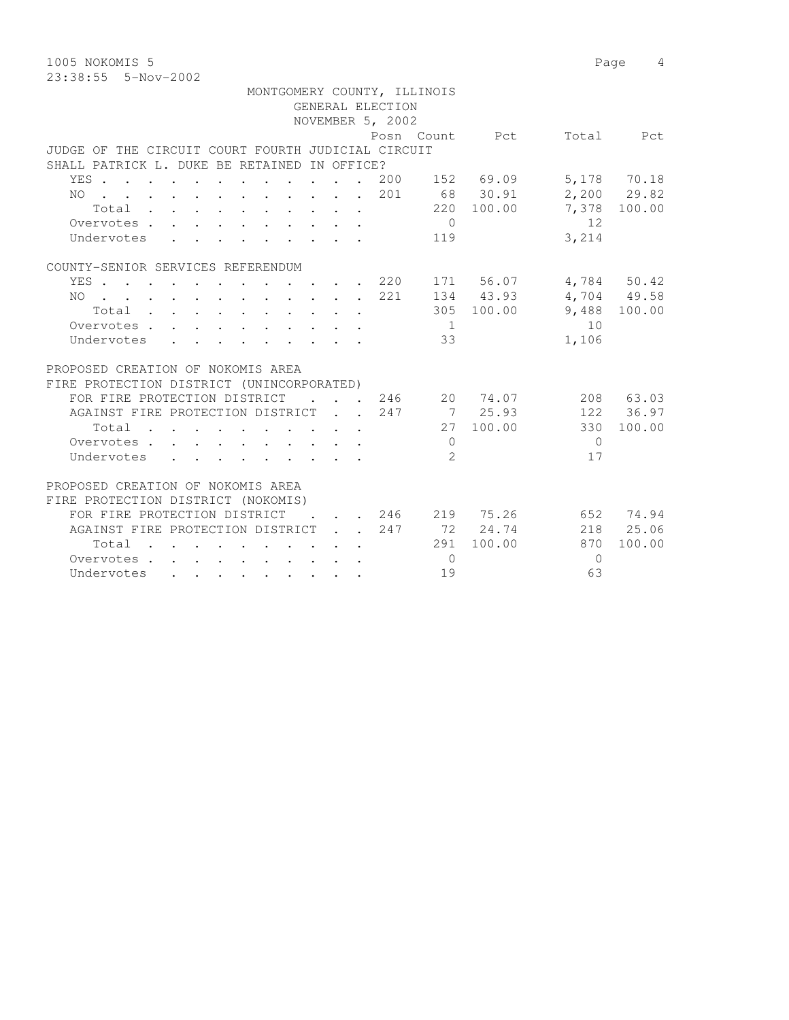1005 NOKOMIS 5 Page 4 23:38:55 5-Nov-2002

|                                                                                                                                                                                                                                                                                                                                                                                                                                                                                            |                                         | MONTGOMERY COUNTY, ILLINOIS |                |                           |            |              |
|--------------------------------------------------------------------------------------------------------------------------------------------------------------------------------------------------------------------------------------------------------------------------------------------------------------------------------------------------------------------------------------------------------------------------------------------------------------------------------------------|-----------------------------------------|-----------------------------|----------------|---------------------------|------------|--------------|
|                                                                                                                                                                                                                                                                                                                                                                                                                                                                                            |                                         | GENERAL ELECTION            |                |                           |            |              |
|                                                                                                                                                                                                                                                                                                                                                                                                                                                                                            |                                         | NOVEMBER 5, 2002            |                |                           |            |              |
|                                                                                                                                                                                                                                                                                                                                                                                                                                                                                            |                                         |                             |                | Posn Count Pct            |            | Total Pct    |
| JUDGE OF THE CIRCUIT COURT FOURTH JUDICIAL CIRCUIT                                                                                                                                                                                                                                                                                                                                                                                                                                         |                                         |                             |                |                           |            |              |
| SHALL PATRICK L. DUKE BE RETAINED IN OFFICE?                                                                                                                                                                                                                                                                                                                                                                                                                                               |                                         |                             |                |                           |            |              |
| YES                                                                                                                                                                                                                                                                                                                                                                                                                                                                                        |                                         | 200                         |                | 152 69.09                 |            | 5,178 70.18  |
| . 201<br>NO                                                                                                                                                                                                                                                                                                                                                                                                                                                                                |                                         |                             |                | 68 30.91                  |            | 2,200 29.82  |
| Total , , , , , , , , , , ,                                                                                                                                                                                                                                                                                                                                                                                                                                                                |                                         |                             |                | 220 100.00                |            | 7,378 100.00 |
| Overvotes.                                                                                                                                                                                                                                                                                                                                                                                                                                                                                 |                                         |                             | $\bigcirc$     |                           | 12         |              |
| Undervotes<br>$\mathbf{r}$ , $\mathbf{r}$ , $\mathbf{r}$ , $\mathbf{r}$ , $\mathbf{r}$ , $\mathbf{r}$                                                                                                                                                                                                                                                                                                                                                                                      |                                         |                             | 119            |                           | 3,214      |              |
| COUNTY-SENIOR SERVICES REFERENDUM                                                                                                                                                                                                                                                                                                                                                                                                                                                          |                                         |                             |                |                           |            |              |
| YES 220                                                                                                                                                                                                                                                                                                                                                                                                                                                                                    |                                         |                             |                | 171 56.07                 |            | 4,784 50.42  |
| NO 221                                                                                                                                                                                                                                                                                                                                                                                                                                                                                     |                                         |                             |                | 134 43.93                 |            | 4,704 49.58  |
| Total                                                                                                                                                                                                                                                                                                                                                                                                                                                                                      |                                         |                             |                | 305 100.00                |            | 9,488 100.00 |
| Overvotes.<br>$\mathbf{1} \qquad \qquad \mathbf{1} \qquad \qquad \mathbf{1} \qquad \qquad \mathbf{1} \qquad \qquad \mathbf{1} \qquad \qquad \mathbf{1} \qquad \qquad \mathbf{1} \qquad \qquad \mathbf{1} \qquad \qquad \mathbf{1} \qquad \qquad \mathbf{1} \qquad \qquad \mathbf{1} \qquad \qquad \mathbf{1} \qquad \qquad \mathbf{1} \qquad \qquad \mathbf{1} \qquad \qquad \mathbf{1} \qquad \qquad \mathbf{1} \qquad \qquad \mathbf{1} \qquad \qquad \mathbf{1} \qquad \qquad \mathbf{$ |                                         |                             | $\mathbf{1}$   |                           | 10         |              |
| Undervotes<br>$\mathbf{r}$ , $\mathbf{r}$ , $\mathbf{r}$ , $\mathbf{r}$ , $\mathbf{r}$ , $\mathbf{r}$                                                                                                                                                                                                                                                                                                                                                                                      |                                         |                             | 33             |                           | 1,106      |              |
| PROPOSED CREATION OF NOKOMIS AREA                                                                                                                                                                                                                                                                                                                                                                                                                                                          |                                         |                             |                |                           |            |              |
| FIRE PROTECTION DISTRICT (UNINCORPORATED)                                                                                                                                                                                                                                                                                                                                                                                                                                                  |                                         |                             |                |                           |            |              |
| FOR FIRE PROTECTION DISTRICT                                                                                                                                                                                                                                                                                                                                                                                                                                                               |                                         |                             |                | 246 20 74.07              |            | 208 63.03    |
| AGAINST FIRE PROTECTION DISTRICT 247                                                                                                                                                                                                                                                                                                                                                                                                                                                       |                                         |                             |                | 7 25.93                   |            | 122 36.97    |
| Total                                                                                                                                                                                                                                                                                                                                                                                                                                                                                      |                                         |                             |                | 27 100.00                 | 330        | 100.00       |
| Overvotes.                                                                                                                                                                                                                                                                                                                                                                                                                                                                                 |                                         |                             | $\overline{0}$ |                           | $\bigcirc$ |              |
| Undervotes                                                                                                                                                                                                                                                                                                                                                                                                                                                                                 |                                         |                             | $\mathfrak{L}$ |                           | 17         |              |
| PROPOSED CREATION OF NOKOMIS AREA                                                                                                                                                                                                                                                                                                                                                                                                                                                          |                                         |                             |                |                           |            |              |
| FIRE PROTECTION DISTRICT (NOKOMIS)                                                                                                                                                                                                                                                                                                                                                                                                                                                         |                                         |                             |                |                           |            |              |
| FOR FIRE PROTECTION DISTRICT                                                                                                                                                                                                                                                                                                                                                                                                                                                               |                                         |                             |                | $\cdot$ , , 246 219 75.26 |            | 652 74.94    |
| AGAINST FIRE PROTECTION DISTRICT 247                                                                                                                                                                                                                                                                                                                                                                                                                                                       |                                         |                             |                | 72 24.74                  |            | 218 25.06    |
| Total                                                                                                                                                                                                                                                                                                                                                                                                                                                                                      |                                         |                             |                | 291 100.00                | 870        | 100.00       |
| Overvotes.                                                                                                                                                                                                                                                                                                                                                                                                                                                                                 | $\cdot$ $\cdot$ $\cdot$ $\cdot$ $\cdot$ |                             | $\bigcirc$     |                           | $\Omega$   |              |
|                                                                                                                                                                                                                                                                                                                                                                                                                                                                                            |                                         |                             | 19             |                           | 63         |              |
| Undervotes                                                                                                                                                                                                                                                                                                                                                                                                                                                                                 |                                         |                             |                |                           |            |              |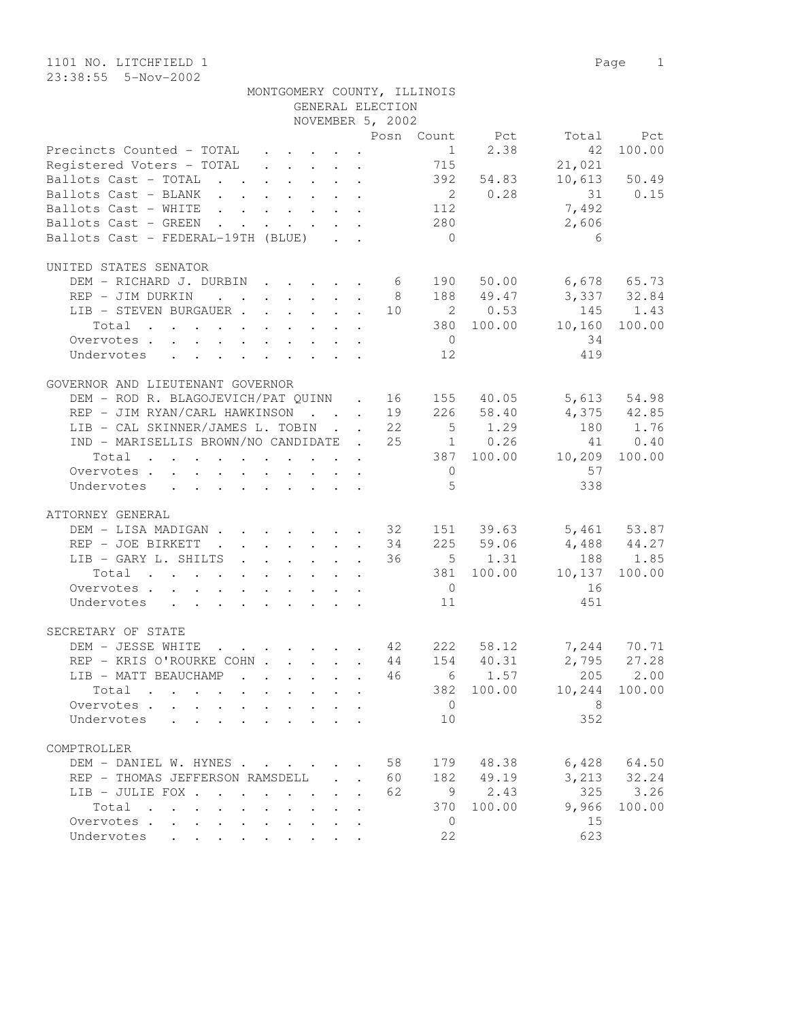COMPTROLLER

| 1101 NO. LITCHFIELD 1<br>23:38:55  5-Nov-2002                                                                                                                                                       |                                            |                                      |                               |                                                     |                                           | $\mathbf{1}$<br>Page                             |
|-----------------------------------------------------------------------------------------------------------------------------------------------------------------------------------------------------|--------------------------------------------|--------------------------------------|-------------------------------|-----------------------------------------------------|-------------------------------------------|--------------------------------------------------|
| MONTGOMERY COUNTY, ILLINOIS                                                                                                                                                                         |                                            | GENERAL ELECTION<br>NOVEMBER 5, 2002 |                               |                                                     |                                           |                                                  |
|                                                                                                                                                                                                     |                                            |                                      |                               | Posn Count Pct                                      | Total Pct                                 |                                                  |
| Precincts Counted - TOTAL<br>Registered Voters - TOTAL<br>Ballots Cast - TOTAL                                                                                                                      | $\ddot{\phantom{a}}$                       |                                      | $\sim$ 1<br>715<br>392        | 2.38<br>54.83                                       | 42<br>21,021<br>10,613                    | 100.00<br>50.49                                  |
| Ballots Cast - BLANK<br>Ballots Cast - WHITE<br>Ballots Cast - GREEN<br>Ballots Cast - FEDERAL-19TH (BLUE)                                                                                          | $\mathbf{r} = \mathbf{r} \cdot \mathbf{r}$ |                                      | 112<br>280<br>$\bigcap$       | 20.28                                               | 31<br>7,492<br>2,606<br>6                 | 0.15                                             |
| UNITED STATES SENATOR<br>DEM - RICHARD J. DURBIN<br>REP - JIM DURKIN<br>LIB - STEVEN BURGAUER<br>$\cdot$ $\cdot$ $\cdot$ $\cdot$ $\cdot$<br>Total                                                   |                                            | 6<br>- 8<br>10                       | 190                           | 50.00<br>188 49.47<br>20.53<br>380 100.00           | 145<br>10,160                             | $6,678$ $65.73$<br>3,337 32.84<br>1.43<br>100.00 |
| Overvotes.<br>Undervotes<br>GOVERNOR AND LIEUTENANT GOVERNOR                                                                                                                                        | $\ddot{\phantom{a}}$                       |                                      | $\bigcirc$<br>12              |                                                     | 34<br>419                                 |                                                  |
| DEM – ROD R. BLAGOJEVICH/PAT QUINN . 16                                                                                                                                                             |                                            |                                      |                               | 155 40.05                                           | 5,613 54.98                               |                                                  |
| REP - JIM RYAN/CARL HAWKINSON                                                                                                                                                                       |                                            | 19                                   |                               | 226 58.40                                           |                                           | 4,375 42.85                                      |
| LIB - CAL SKINNER/JAMES L. TOBIN                                                                                                                                                                    |                                            | 22                                   |                               | $5 \t 1.29$                                         | 180                                       | 1.76                                             |
| IND - MARISELLIS BROWN/NO CANDIDATE . 25                                                                                                                                                            |                                            |                                      |                               | $1 \t 0.26$                                         | 41                                        | 0.40                                             |
| Total<br>Overvotes<br>Undervotes                                                                                                                                                                    |                                            |                                      | $\overline{0}$<br>$5^{\circ}$ | 387 100.00                                          | 10,209<br>57<br>338                       | 100.00                                           |
| ATTORNEY GENERAL                                                                                                                                                                                    |                                            |                                      |                               |                                                     |                                           |                                                  |
| DEM - LISA MADIGAN<br>REP - JOE BIRKETT<br>LIB - GARY L. SHILTS<br>$\mathbf{r}$ , $\mathbf{r}$ , $\mathbf{r}$ , $\mathbf{r}$ , $\mathbf{r}$<br>Total<br>Overvotes.<br>Undervotes                    | $\ddot{\phantom{a}}$                       | 32<br>34<br>36                       | $\overline{0}$<br>11          | 151 39.63<br>225 59.06<br>$5 \t 1.31$<br>381 100.00 | 5,461 53.87<br>188<br>10,137<br>16<br>451 | $4,488$ $44.27$<br>1.85<br>100.00                |
| SECRETARY OF STATE                                                                                                                                                                                  |                                            |                                      |                               |                                                     |                                           |                                                  |
| DEM - JESSE WHITE<br>$\cdots$ 42 222 58.12<br>REP - KRIS O'ROURKE COHN<br>LIB - MATT BEAUCHAMP<br>Total<br>$\mathbf{r}$ , and $\mathbf{r}$ , and $\mathbf{r}$ , and $\mathbf{r}$ , and $\mathbf{r}$ |                                            | 44<br>46                             | 6<br>382                      | 154 40.31<br>1.57<br>100.00                         | 2,795<br>205<br>10,244                    | 7,244 70.71<br>27.28<br>2.00<br>100.00           |
| Overvotes                                                                                                                                                                                           |                                            |                                      | $\bigcap$                     |                                                     | 8                                         |                                                  |

Undervotes . . . . . . . . . 10 352

 DEM - DANIEL W. HYNES . . . . . . 58 179 48.38 6,428 64.50 REP - THOMAS JEFFERSON RAMSDELL . . 60 182 49.19 3,213 32.24 LIB - JULIE FOX . . . . . . . . 62 9 2.43 325 3.26<br>Total . . . . . . . . . 370 100.00 9,966 100.00 Total . . . . . . . . . . . 370 100.00 9,966<br>ervotes . . . . . . . . . . 0 15 Overvotes . . . . . . . . . . . 0 15 Undervotes . . . . . . . . . 22 623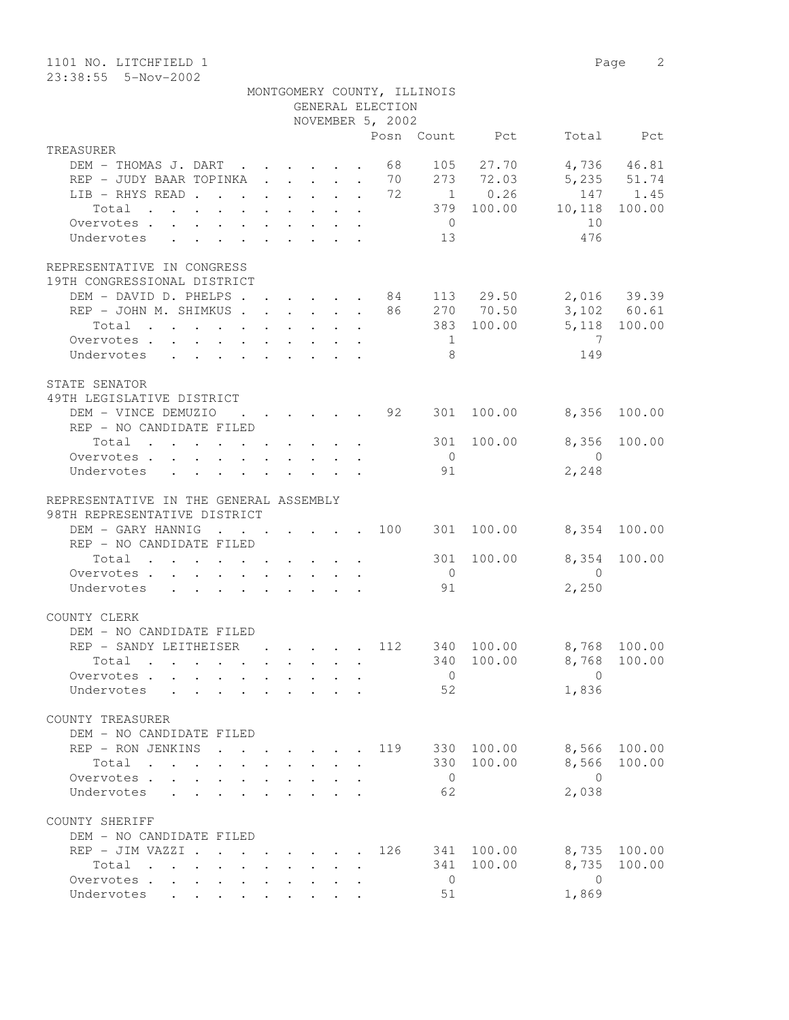| 1101 NO. LITCHFIELD 1<br>23:38:55 5-Nov-2002                                                                                                                                                                                               |                                                                                          |                                                                          |              |                  |                             |                |                         | Page 2       |
|--------------------------------------------------------------------------------------------------------------------------------------------------------------------------------------------------------------------------------------------|------------------------------------------------------------------------------------------|--------------------------------------------------------------------------|--------------|------------------|-----------------------------|----------------|-------------------------|--------------|
|                                                                                                                                                                                                                                            |                                                                                          |                                                                          |              | GENERAL ELECTION | MONTGOMERY COUNTY, ILLINOIS |                |                         |              |
|                                                                                                                                                                                                                                            |                                                                                          |                                                                          |              | NOVEMBER 5, 2002 |                             |                |                         |              |
|                                                                                                                                                                                                                                            |                                                                                          |                                                                          |              |                  |                             | Posn Count Pct |                         | Total Pct    |
| TREASURER                                                                                                                                                                                                                                  |                                                                                          |                                                                          |              |                  |                             |                |                         |              |
| DEM - THOMAS J. DART                                                                                                                                                                                                                       |                                                                                          |                                                                          |              | 68               | 105                         | 27.70          |                         | 4,736 46.81  |
| REP - JUDY BAAR TOPINKA                                                                                                                                                                                                                    |                                                                                          | $\mathbf{r}$ , $\mathbf{r}$ , $\mathbf{r}$ , $\mathbf{r}$ , $\mathbf{r}$ |              | 70               |                             | 273 72.03      |                         | 5,235 51.74  |
| LIB - RHYS READ                                                                                                                                                                                                                            |                                                                                          |                                                                          |              | 72               |                             | $1 \t 0.26$    |                         | 147 1.45     |
| Total<br>$\mathbf{r}$ . The set of the set of the set of the set of the set of the set of the set of the set of the set of the set of the set of the set of the set of the set of the set of the set of the set of the set of the set of t |                                                                                          |                                                                          |              |                  |                             | 379 100.00     | 10,118                  | 100.00       |
| Overvotes                                                                                                                                                                                                                                  |                                                                                          |                                                                          |              |                  | $\overline{0}$              |                | 10                      |              |
| Undervotes                                                                                                                                                                                                                                 |                                                                                          |                                                                          |              |                  | 13                          |                | 476                     |              |
| REPRESENTATIVE IN CONGRESS<br>19TH CONGRESSIONAL DISTRICT<br>DEM - DAVID D. PHELPS                                                                                                                                                         |                                                                                          |                                                                          |              |                  |                             | $84$ 113 29.50 |                         | 2,016 39.39  |
| REP - JOHN M. SHIMKUS                                                                                                                                                                                                                      |                                                                                          |                                                                          |              | 86               |                             | 270 70.50      |                         | 3,102 60.61  |
| Total                                                                                                                                                                                                                                      |                                                                                          |                                                                          |              |                  |                             | 383 100.00     |                         | 5,118 100.00 |
| Overvotes.                                                                                                                                                                                                                                 |                                                                                          |                                                                          |              |                  | 1                           |                | 7                       |              |
| Undervotes                                                                                                                                                                                                                                 |                                                                                          |                                                                          |              |                  | 8                           |                | 149                     |              |
| STATE SENATOR<br>49TH LEGISLATIVE DISTRICT                                                                                                                                                                                                 |                                                                                          |                                                                          |              |                  |                             |                |                         |              |
| DEM - VINCE DEMUZIO<br>REP - NO CANDIDATE FILED                                                                                                                                                                                            |                                                                                          |                                                                          |              | 92               | 301                         | 100.00         | 8,356                   | 100.00       |
| Total                                                                                                                                                                                                                                      |                                                                                          |                                                                          |              |                  | 301                         | 100.00         | 8,356                   | 100.00       |
| Overvotes.                                                                                                                                                                                                                                 |                                                                                          |                                                                          |              |                  | $\bigcirc$                  |                | $\bigcirc$              |              |
| Undervotes                                                                                                                                                                                                                                 |                                                                                          |                                                                          |              |                  | 91                          |                | 2,248                   |              |
|                                                                                                                                                                                                                                            |                                                                                          |                                                                          |              |                  |                             |                |                         |              |
| REPRESENTATIVE IN THE GENERAL ASSEMBLY                                                                                                                                                                                                     |                                                                                          |                                                                          |              |                  |                             |                |                         |              |
| 98TH REPRESENTATIVE DISTRICT                                                                                                                                                                                                               |                                                                                          |                                                                          |              |                  |                             |                |                         |              |
| DEM - GARY HANNIG                                                                                                                                                                                                                          | . 100                                                                                    |                                                                          |              |                  |                             | 301 100.00     |                         | 8,354 100.00 |
| REP - NO CANDIDATE FILED                                                                                                                                                                                                                   |                                                                                          |                                                                          |              |                  |                             |                |                         |              |
| Total                                                                                                                                                                                                                                      |                                                                                          |                                                                          |              |                  | 301                         | 100.00         | 8,354                   | 100.00       |
| Overvotes                                                                                                                                                                                                                                  |                                                                                          |                                                                          |              |                  | $\overline{0}$              |                | $\bigcirc$              |              |
| Undervotes                                                                                                                                                                                                                                 |                                                                                          |                                                                          |              |                  | 91                          |                | 2,250                   |              |
| COUNTY CLERK<br>DEM - NO CANDIDATE FILED                                                                                                                                                                                                   |                                                                                          |                                                                          |              |                  |                             |                |                         |              |
| REP - SANDY LEITHEISER                                                                                                                                                                                                                     |                                                                                          | $\mathbf{r}$ , $\mathbf{r}$ , $\mathbf{r}$ , $\mathbf{r}$                |              |                  |                             | 112 340 100.00 |                         | 8,768 100.00 |
| Total                                                                                                                                                                                                                                      |                                                                                          |                                                                          |              |                  |                             | 340 100.00     | 8,768                   | 100.00       |
| Overvotes                                                                                                                                                                                                                                  |                                                                                          |                                                                          | $\mathbf{L}$ |                  | $\overline{0}$              |                | $\overline{0}$          |              |
| Undervotes                                                                                                                                                                                                                                 |                                                                                          |                                                                          |              |                  | 52                          |                | 1,836                   |              |
|                                                                                                                                                                                                                                            |                                                                                          |                                                                          |              |                  |                             |                |                         |              |
| COUNTY TREASURER                                                                                                                                                                                                                           |                                                                                          |                                                                          |              |                  |                             |                |                         |              |
| DEM - NO CANDIDATE FILED                                                                                                                                                                                                                   |                                                                                          |                                                                          |              |                  |                             |                |                         |              |
| REP - RON JENKINS                                                                                                                                                                                                                          | $\mathbf{r}$ , and $\mathbf{r}$ , and $\mathbf{r}$ , and $\mathbf{r}$ , and $\mathbf{r}$ |                                                                          |              |                  |                             | 119 330 100.00 | 8,566                   | 100.00       |
| Total                                                                                                                                                                                                                                      |                                                                                          |                                                                          |              |                  |                             | 330 100.00     | 8,566                   | 100.00       |
| Overvotes.                                                                                                                                                                                                                                 |                                                                                          |                                                                          |              |                  | $\overline{0}$              |                | $\overline{0}$          |              |
| Undervotes<br>$\sim$ $\sim$                                                                                                                                                                                                                |                                                                                          |                                                                          |              |                  | 62                          |                | 2,038                   |              |
| COUNTY SHERIFF                                                                                                                                                                                                                             |                                                                                          |                                                                          |              |                  |                             |                |                         |              |
| DEM - NO CANDIDATE FILED                                                                                                                                                                                                                   |                                                                                          |                                                                          |              |                  |                             |                |                         |              |
| REP - JIM VAZZI 126                                                                                                                                                                                                                        |                                                                                          |                                                                          |              |                  |                             | 341 100.00     | 8,735                   | 100.00       |
| Total<br>$\mathbf{r}$ . The set of the set of the set of the set of the set of the set of the set of the set of the set of the set of the set of the set of the set of the set of the set of the set of the set of the set of the set of t |                                                                                          |                                                                          |              |                  | 341                         | 100.00         | 8,735                   | 100.00       |
| Overvotes                                                                                                                                                                                                                                  |                                                                                          |                                                                          |              |                  | $\overline{0}$<br>51        |                | $\overline{0}$<br>1,869 |              |
| Undervotes                                                                                                                                                                                                                                 | $\ddot{\phantom{0}}$                                                                     | $\cdot$ $\cdot$ $\cdot$                                                  |              |                  |                             |                |                         |              |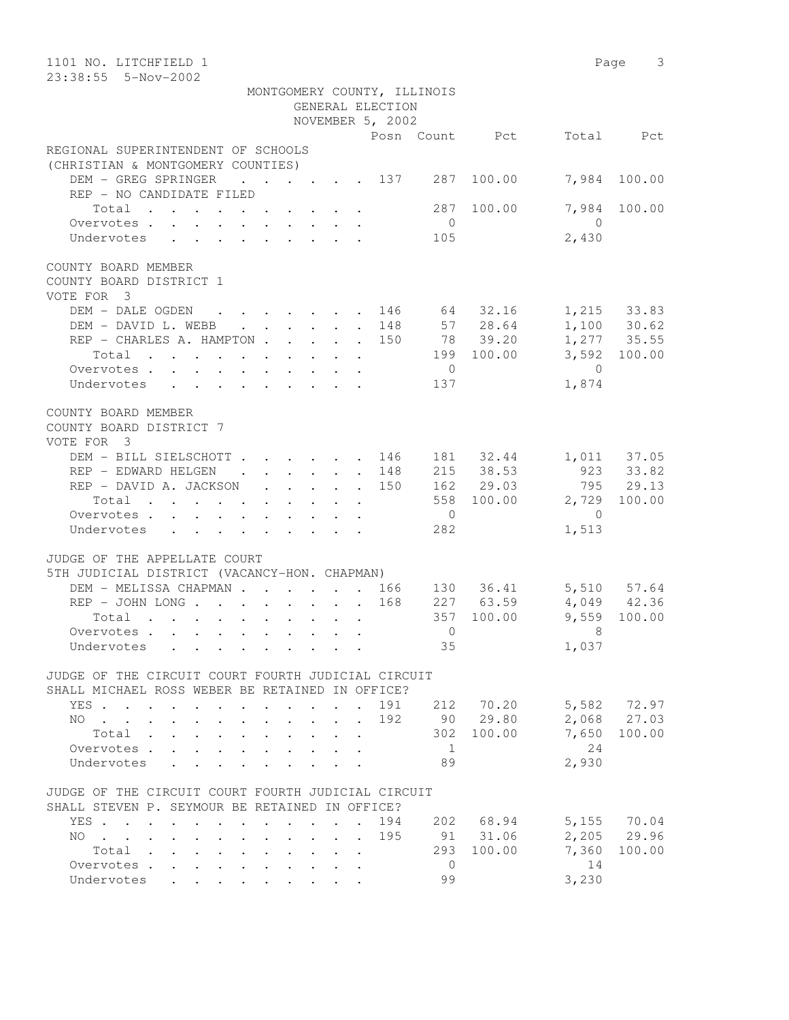| 1101 NO. LITCHFIELD 1                                                                                                                                        |                         | Page 3       |
|--------------------------------------------------------------------------------------------------------------------------------------------------------------|-------------------------|--------------|
| 23:38:55  5-Nov-2002                                                                                                                                         |                         |              |
| MONTGOMERY COUNTY, ILLINOIS                                                                                                                                  |                         |              |
| GENERAL ELECTION                                                                                                                                             |                         |              |
| NOVEMBER 5, 2002                                                                                                                                             |                         |              |
| Posn Count Pct<br>REGIONAL SUPERINTENDENT OF SCHOOLS                                                                                                         |                         | Total Pct    |
| (CHRISTIAN & MONTGOMERY COUNTIES)                                                                                                                            |                         |              |
| DEM - GREG SPRINGER<br>$\cdots$ 137 287 100.00                                                                                                               |                         | 7,984 100.00 |
| REP - NO CANDIDATE FILED                                                                                                                                     |                         |              |
| Total<br>287 100.00                                                                                                                                          |                         | 7,984 100.00 |
| $\overline{0}$<br>Overvotes                                                                                                                                  | $\overline{0}$          |              |
| Undervotes<br>105                                                                                                                                            | 2,430                   |              |
|                                                                                                                                                              |                         |              |
| COUNTY BOARD MEMBER                                                                                                                                          |                         |              |
| COUNTY BOARD DISTRICT 1<br>VOTE FOR 3                                                                                                                        |                         |              |
| DEM – DALE OGDEN 146 64 32.16 1,215 33.83<br>DEM – DAVID L.WEBB 148 57 28.64 1,100 30.62<br>REP – CHARLES A. HAMPTON 150 78 39.20 1,277 35.55                |                         |              |
| DEM - DAVID L. WEBB 148 57 28.64<br>REP - CHARLES A. HAMPTON 150 78 39.20<br>Total 199 100.00                                                                |                         |              |
|                                                                                                                                                              |                         |              |
|                                                                                                                                                              |                         | 3,592 100.00 |
| $\overline{0}$<br>Overvotes.                                                                                                                                 | $\bigcirc$              |              |
| Undervotes<br>137                                                                                                                                            | 1,874                   |              |
| COUNTY BOARD MEMBER                                                                                                                                          |                         |              |
| COUNTY BOARD DISTRICT 7                                                                                                                                      |                         |              |
| VOTE FOR 3                                                                                                                                                   |                         |              |
| DEM - BILL SIELSCHOTT 146 181 32.44 1,011 37.05<br>REP - EDWARD HELGEN 148 215 38.53 923 33.82                                                               |                         |              |
|                                                                                                                                                              |                         |              |
| REP - DAVID A. JACKSON 150                                                                                                                                   | 162 29.03               | 795 29.13    |
| Total                                                                                                                                                        | 558 100.00 2,729 100.00 |              |
| $\overline{0}$<br>Overvotes.                                                                                                                                 | $\overline{0}$          |              |
| 282<br>Undervotes                                                                                                                                            | 1,513                   |              |
| JUDGE OF THE APPELLATE COURT                                                                                                                                 |                         |              |
| 5TH JUDICIAL DISTRICT (VACANCY-HON. CHAPMAN)                                                                                                                 |                         |              |
| DEM - MELISSA CHAPMAN 166 130 36.41 5,510 57.64                                                                                                              |                         |              |
| $227$ 63.59<br>REP - JOHN LONG 168                                                                                                                           | $4,049$ $42.36$         |              |
| 357 100.00<br>Total                                                                                                                                          | $9,559$ 100.00          |              |
|                                                                                                                                                              | $\Omega$ and $\Omega$   |              |
| 35<br>Undervotes                                                                                                                                             | 1,037                   |              |
|                                                                                                                                                              |                         |              |
| JUDGE OF THE CIRCUIT COURT FOURTH JUDICIAL CIRCUIT<br>SHALL MICHAEL ROSS WEBER BE RETAINED IN OFFICE?                                                        |                         |              |
| 191<br>212 70.20<br>YES                                                                                                                                      |                         | 5,582 72.97  |
| 90 29.80<br>192<br>NO.<br>$\sim$ $\sim$ $\sim$ $\sim$                                                                                                        |                         | 2,068 27.03  |
| 302<br>Total<br>$\mathbf{L}$<br>$\mathbf{L}$<br>$\ddot{\phantom{0}}$                                                                                         | 7,650<br>100.00         | 100.00       |
| Overvotes.<br>$\overline{1}$<br>$\ddot{\phantom{a}}$                                                                                                         | 24                      |              |
| 89<br>Undervotes<br>$\mathbf{r}$ $\mathbf{r}$ $\mathbf{r}$                                                                                                   | 2,930                   |              |
|                                                                                                                                                              |                         |              |
| JUDGE OF THE CIRCUIT COURT FOURTH JUDICIAL CIRCUIT                                                                                                           |                         |              |
| SHALL STEVEN P. SEYMOUR BE RETAINED IN OFFICE?                                                                                                               |                         |              |
| 194<br>YES                                                                                                                                                   | 202 68.94               | 5,155 70.04  |
| 91 31.06<br>195<br>NO.<br>$\mathbf{r}$ , and $\mathbf{r}$ , and $\mathbf{r}$ , and $\mathbf{r}$ , and $\mathbf{r}$<br>$\mathbf{r} = \mathbf{r} + \mathbf{r}$ | 7,360                   | 2,205 29.96  |
| 293 100.00<br>Total<br>Overvotes<br>$\overline{0}$                                                                                                           | 14                      | 100.00       |
| $\ddot{\phantom{0}}$<br>$\sim$ $-$<br>99<br>Undervotes<br>$\cdot$ $\cdot$ $\cdot$ $\cdot$ $\cdot$ $\cdot$                                                    | 3,230                   |              |
| $\bullet$ .<br><br><br><br><br><br><br><br><br><br><br><br>                                                                                                  |                         |              |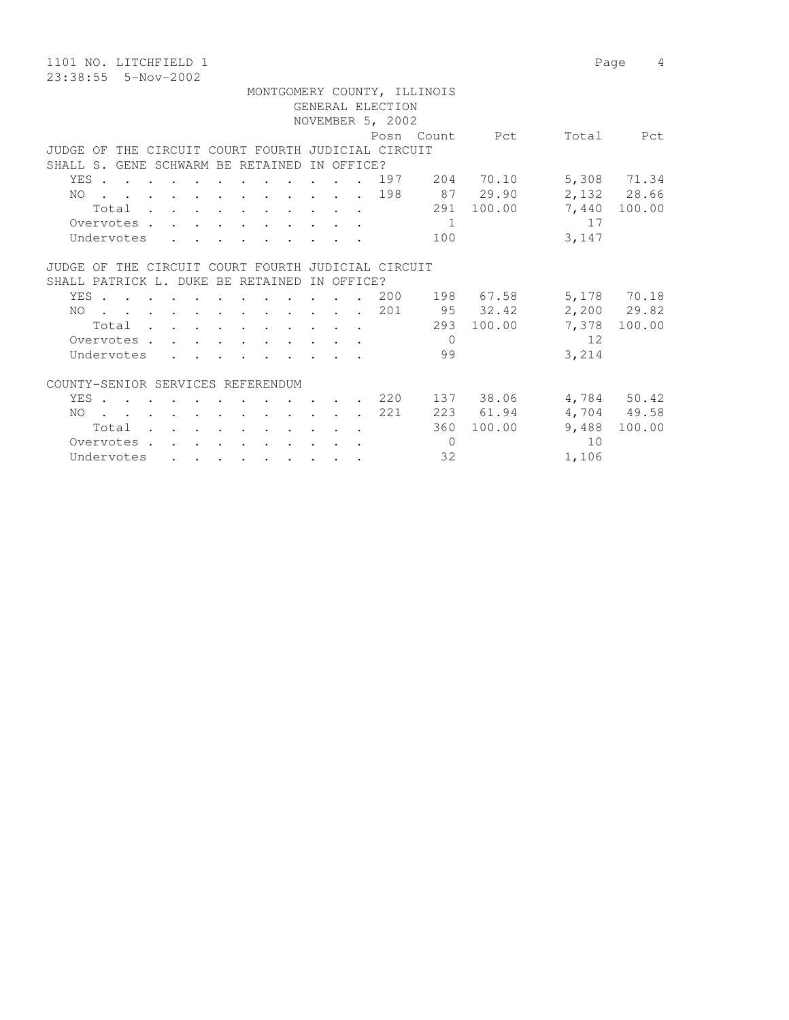1101 NO. LITCHFIELD 1 Page 4 23:38:55 5-Nov-2002

 MONTGOMERY COUNTY, ILLINOIS GENERAL ELECTION NOVEMBER 5, 2002 Posn Count Pct Total Pct JUDGE OF THE CIRCUIT COURT FOURTH JUDICIAL CIRCUIT SHALL S. GENE SCHWARM BE RETAINED IN OFFICE? YES . . . . . . . . . . . . 197 204 70.10 5,308 71.34 NO . . . . . . . . . . . . 198 87 29.90 2,132 28.66 Total . . . . . . . . . . 291 100.00 7,440 100.00 Overvotes . . . . . . . . . . . 1 17 Undervotes . . . . . . . . . 100 3,147 JUDGE OF THE CIRCUIT COURT FOURTH JUDICIAL CIRCUIT SHALL PATRICK L. DUKE BE RETAINED IN OFFICE? YES . . . . . . . . . . . 200 198 67.58 5,178 70.18 NO . . . . . . . . . . . . 201 95 32.42 2,200 29.82 Total . . . . . . . . . . 293 100.00 7,378 100.00 Overvotes . . . . . . . . . . 0 12 Undervotes . . . . . . . . . 99 3,214 COUNTY-SENIOR SERVICES REFERENDUM YES . . . . . . . . . . . . 220 137 38.06 4,784 50.42 NO . . . . . . . . . . . . 221 223 61.94 4,704 49.58 Total . . . . . . . . . . 360 100.00 9,488 100.00 Overvotes . . . . . . . . . . . 0 10 Undervotes . . . . . . . . . 32 1,106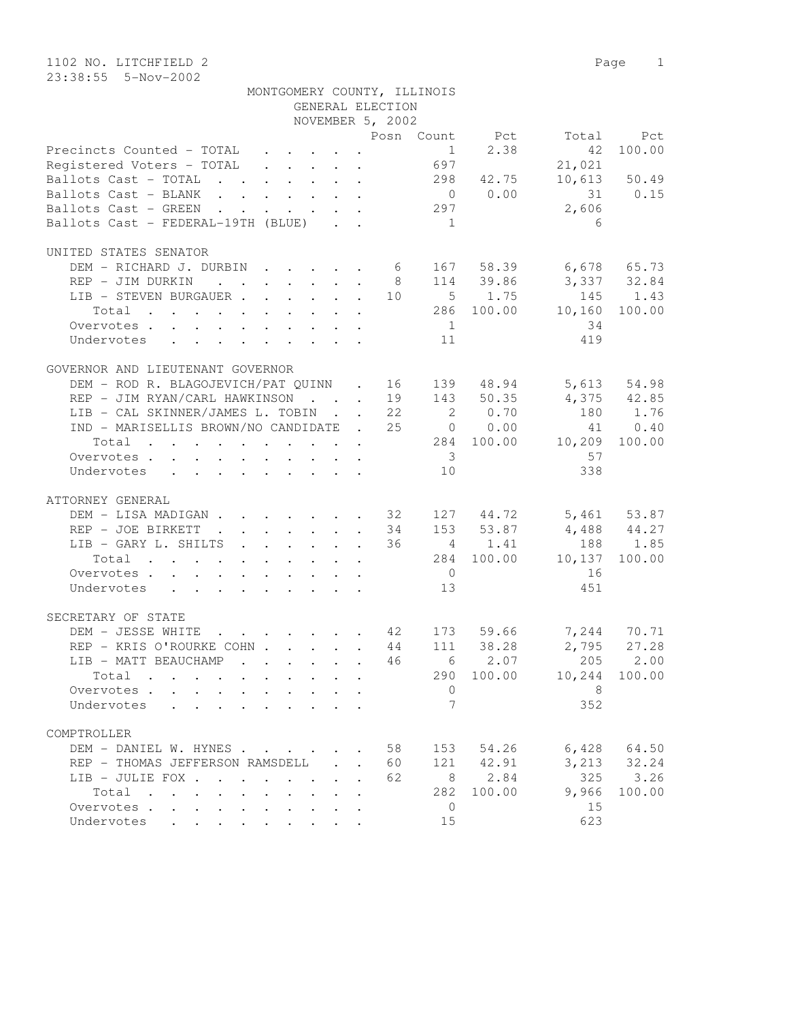|                                                                                                                                                                                |                                         | MONTGOMERY COUNTY, ILLINOIS<br>GENERAL ELECTION |                         |             |                                                               |                 |
|--------------------------------------------------------------------------------------------------------------------------------------------------------------------------------|-----------------------------------------|-------------------------------------------------|-------------------------|-------------|---------------------------------------------------------------|-----------------|
|                                                                                                                                                                                |                                         | NOVEMBER 5, 2002                                |                         |             |                                                               |                 |
|                                                                                                                                                                                |                                         |                                                 |                         |             | Posn Count Pct Total Pct                                      |                 |
| Precincts Counted - TOTAL 1<br>Registered Voters - TOTAL 697                                                                                                                   |                                         |                                                 |                         | $1 \t 2.38$ | 42                                                            | 100.00          |
|                                                                                                                                                                                |                                         |                                                 |                         |             | 21,021                                                        |                 |
| Ballots Cast - TOTAL 298 42.75                                                                                                                                                 |                                         |                                                 |                         |             |                                                               | $10,613$ 50.49  |
| Ballots Cast - BLANK 0 0.00 31 0.15                                                                                                                                            |                                         |                                                 |                         |             |                                                               |                 |
| Ballots Cast - GREEN 297                                                                                                                                                       |                                         |                                                 |                         |             | 2,606                                                         |                 |
| Ballots Cast - FEDERAL-19TH (BLUE)                                                                                                                                             |                                         |                                                 | 1                       |             | - 6                                                           |                 |
|                                                                                                                                                                                |                                         |                                                 |                         |             |                                                               |                 |
| UNITED STATES SENATOR                                                                                                                                                          |                                         |                                                 |                         |             |                                                               |                 |
| DEM - RICHARD J. DURBIN 6 167 58.39 6,678 65.73                                                                                                                                |                                         |                                                 |                         |             |                                                               |                 |
| REP - JIM DURKIN                                                                                                                                                               |                                         | 8 <sup>1</sup>                                  |                         |             | 114 39.86 3,337 32.84                                         |                 |
| LIB - STEVEN BURGAUER 10 5 1.75 145 1.43                                                                                                                                       |                                         |                                                 |                         |             |                                                               |                 |
| Total 286 100.00 10,160 100.00                                                                                                                                                 |                                         |                                                 |                         |             |                                                               |                 |
|                                                                                                                                                                                |                                         |                                                 | $\overline{1}$          |             | 34                                                            |                 |
| Overvotes.                                                                                                                                                                     |                                         |                                                 |                         |             |                                                               |                 |
| Undervotes 11                                                                                                                                                                  |                                         |                                                 |                         |             | 419                                                           |                 |
|                                                                                                                                                                                |                                         |                                                 |                         |             |                                                               |                 |
| GOVERNOR AND LIEUTENANT GOVERNOR                                                                                                                                               |                                         |                                                 |                         |             |                                                               |                 |
| DEM – ROD R. BLAGOJEVICH/PAT QUINN . 16 139 48.94 5,613 54.98<br>REP – JIM RYAN/CARL HAWKINSON 19 143 50.35 4,375 42.85<br>LIB – CAL SKINNER/JAMES L. TOBIN 22 2 0.70 180 1.76 |                                         |                                                 |                         |             |                                                               |                 |
|                                                                                                                                                                                |                                         |                                                 |                         |             |                                                               |                 |
| LIB - CAL SKINNER/JAMES L. TOBIN 22                                                                                                                                            |                                         |                                                 |                         | 2 0.70      |                                                               |                 |
| IND - MARISELLIS BROWN/NO CANDIDATE . 25 0 0.00                                                                                                                                |                                         |                                                 |                         |             |                                                               | 41 0.40         |
| Total 284 100.00 10,209 100.00                                                                                                                                                 |                                         |                                                 |                         |             |                                                               |                 |
| Overvotes.                                                                                                                                                                     |                                         |                                                 | $\overline{\mathbf{3}}$ |             | 57                                                            |                 |
| Undervotes                                                                                                                                                                     |                                         |                                                 | 10                      |             | 338                                                           |                 |
|                                                                                                                                                                                |                                         |                                                 |                         |             |                                                               |                 |
| ATTORNEY GENERAL                                                                                                                                                               |                                         |                                                 |                         |             |                                                               |                 |
| DEM - LISA MADIGAN 32 127 44.72 5,461 53.87                                                                                                                                    |                                         |                                                 |                         |             |                                                               |                 |
|                                                                                                                                                                                |                                         | 34                                              |                         |             | 153 53.87 4,488 44.27                                         |                 |
| REP - JOE BIRKETT<br>LIB - GARY L. SHILTS                                                                                                                                      |                                         | 36                                              |                         | 4 1.41      |                                                               | 188 1.85        |
|                                                                                                                                                                                |                                         |                                                 |                         |             | 284 100.00 10,137 100.00                                      |                 |
| Total                                                                                                                                                                          |                                         |                                                 |                         |             |                                                               |                 |
| Overvotes                                                                                                                                                                      |                                         |                                                 | $\overline{0}$          |             | 16                                                            |                 |
| Undervotes 13                                                                                                                                                                  |                                         |                                                 |                         |             | 451                                                           |                 |
|                                                                                                                                                                                |                                         |                                                 |                         |             |                                                               |                 |
| SECRETARY OF STATE                                                                                                                                                             |                                         |                                                 |                         |             |                                                               |                 |
| DEM - JESSE WHITE                                                                                                                                                              |                                         |                                                 |                         |             | . 42 173 59.66 7,244 70.71<br>XECOHN 44 111 38.28 2,795 27.28 |                 |
| REP - KRIS O'ROURKE COHN 44                                                                                                                                                    |                                         |                                                 |                         |             |                                                               |                 |
| LIB - MATT BEAUCHAMP 46 6 2.07 205 2.00                                                                                                                                        |                                         |                                                 |                         |             |                                                               |                 |
| $Total \cdot \cdot \cdot \cdot \cdot$                                                                                                                                          | $\cdot$ $\cdot$ $\cdot$ $\cdot$ $\cdot$ |                                                 |                         | 290 100.00  |                                                               | 10,244 100.00   |
| Overvotes.                                                                                                                                                                     |                                         | $\mathbf{r}$                                    | $\mathbf{0}$            |             | - 8                                                           |                 |
| Undervotes<br>$\mathbf{r}$ , $\mathbf{r}$ , $\mathbf{r}$ , $\mathbf{r}$ , $\mathbf{r}$ , $\mathbf{r}$ , $\mathbf{r}$                                                           |                                         |                                                 | $7\phantom{.0}$         |             | 352                                                           |                 |
|                                                                                                                                                                                |                                         |                                                 |                         |             |                                                               |                 |
| COMPTROLLER                                                                                                                                                                    |                                         |                                                 |                         |             |                                                               |                 |
| DEM - DANIEL W. HYNES                                                                                                                                                          |                                         | 58                                              |                         | 153 54.26   |                                                               | $6,428$ $64.50$ |
|                                                                                                                                                                                |                                         |                                                 |                         |             |                                                               |                 |
| REP - THOMAS JEFFERSON RAMSDELL.                                                                                                                                               |                                         | 60                                              |                         | 121 42.91   |                                                               | 3, 213 32.24    |
| LIB - JULIE FOX                                                                                                                                                                |                                         | 62                                              |                         | 8 2.84      | 325                                                           | 3.26            |
| Total                                                                                                                                                                          |                                         |                                                 | 282                     | 100.00      | 9,966                                                         | 100.00          |
| Overvotes.                                                                                                                                                                     |                                         |                                                 | $\overline{0}$          |             | 15                                                            |                 |
| Undervotes                                                                                                                                                                     |                                         |                                                 | 15                      |             | 623                                                           |                 |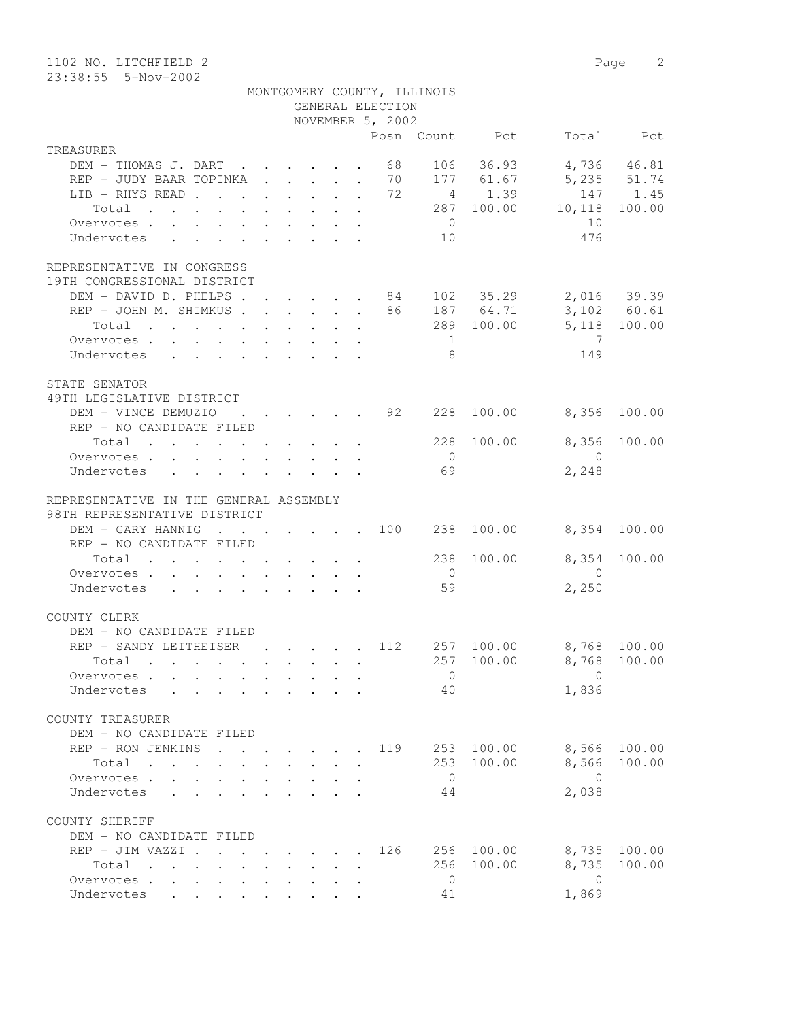| 1102 NO. LITCHFIELD 2<br>23:38:55  5-Nov-2002                                                                                         |                                                                                          |                                                                 |                           |                                                     |                       |                              |                         | Page 2                     |
|---------------------------------------------------------------------------------------------------------------------------------------|------------------------------------------------------------------------------------------|-----------------------------------------------------------------|---------------------------|-----------------------------------------------------|-----------------------|------------------------------|-------------------------|----------------------------|
|                                                                                                                                       |                                                                                          |                                                                 |                           | MONTGOMERY COUNTY, ILLINOIS<br>GENERAL ELECTION     |                       |                              |                         |                            |
|                                                                                                                                       |                                                                                          |                                                                 |                           | NOVEMBER 5, 2002                                    |                       |                              |                         |                            |
|                                                                                                                                       |                                                                                          |                                                                 |                           |                                                     |                       | Posn Count Pct               |                         | Total Pct                  |
| TREASURER                                                                                                                             |                                                                                          |                                                                 |                           |                                                     |                       |                              |                         |                            |
| DEM - THOMAS J. DART                                                                                                                  |                                                                                          |                                                                 |                           | 68                                                  |                       | 106 36.93                    |                         | 4,736 46.81                |
| REP - JUDY BAAR TOPINKA 70 177 61.67                                                                                                  |                                                                                          |                                                                 |                           |                                                     |                       |                              |                         | 5,235 51.74                |
| LIB - RHYS READ.                                                                                                                      | $\mathbf{r}$ , and $\mathbf{r}$ , and $\mathbf{r}$ , and $\mathbf{r}$                    |                                                                 |                           | 72<br>$\mathbf{r}$                                  |                       | 4 1.39<br>287 100.00         | 10,118                  | 147 1.45<br>100.00         |
| Total<br>the contract of the contract of the contract of the contract of the contract of the contract of the contract of<br>Overvotes |                                                                                          |                                                                 |                           |                                                     | $\overline{0}$        |                              | 10                      |                            |
| Undervotes                                                                                                                            |                                                                                          |                                                                 |                           |                                                     | 10                    |                              | 476                     |                            |
|                                                                                                                                       |                                                                                          |                                                                 |                           |                                                     |                       |                              |                         |                            |
| REPRESENTATIVE IN CONGRESS                                                                                                            |                                                                                          |                                                                 |                           |                                                     |                       |                              |                         |                            |
| 19TH CONGRESSIONAL DISTRICT                                                                                                           |                                                                                          |                                                                 |                           |                                                     |                       |                              |                         |                            |
| DEM - DAVID D. PHELPS.<br>REP - JOHN M. SHIMKUS                                                                                       |                                                                                          | $\mathbf{r}$ , $\mathbf{r}$ , $\mathbf{r}$ , $\mathbf{r}$       |                           |                                                     |                       | 84 102 35.29<br>86 187 64.71 |                         | 2,016 39.39<br>3,102 60.61 |
| Total<br>$\mathbf{r}$ , and $\mathbf{r}$ , and $\mathbf{r}$ , and $\mathbf{r}$ , and $\mathbf{r}$ , and $\mathbf{r}$                  |                                                                                          |                                                                 |                           |                                                     |                       | 289 100.00                   |                         | 5,118 100.00               |
| Overvotes                                                                                                                             |                                                                                          |                                                                 |                           |                                                     | 1                     |                              | 7                       |                            |
| Undervotes                                                                                                                            |                                                                                          |                                                                 |                           |                                                     | 8                     |                              | 149                     |                            |
|                                                                                                                                       |                                                                                          |                                                                 |                           |                                                     |                       |                              |                         |                            |
| STATE SENATOR                                                                                                                         |                                                                                          |                                                                 |                           |                                                     |                       |                              |                         |                            |
| 49TH LEGISLATIVE DISTRICT                                                                                                             |                                                                                          |                                                                 |                           |                                                     |                       |                              |                         |                            |
| DEM - VINCE DEMUZIO                                                                                                                   | $\mathbf{r}$ , $\mathbf{r}$ , $\mathbf{r}$ , $\mathbf{r}$ , $\mathbf{r}$                 |                                                                 |                           | 92                                                  | 228                   | 100.00                       | 8,356                   | 100.00                     |
| REP - NO CANDIDATE FILED                                                                                                              |                                                                                          |                                                                 |                           |                                                     |                       |                              |                         |                            |
| Total<br>$\mathcal{A}$ . The second contribution of the second contribution $\mathcal{A}$                                             |                                                                                          |                                                                 |                           |                                                     | 228<br>$\overline{0}$ | 100.00                       | 8,356<br>$\bigcirc$     | 100.00                     |
| Overvotes<br>Undervotes                                                                                                               |                                                                                          |                                                                 |                           |                                                     | 69                    |                              | 2,248                   |                            |
|                                                                                                                                       |                                                                                          |                                                                 |                           |                                                     |                       |                              |                         |                            |
| REPRESENTATIVE IN THE GENERAL ASSEMBLY                                                                                                |                                                                                          |                                                                 |                           |                                                     |                       |                              |                         |                            |
| 98TH REPRESENTATIVE DISTRICT                                                                                                          |                                                                                          |                                                                 |                           |                                                     |                       |                              |                         |                            |
| DEM - GARY HANNIG<br>$\sim$ $\sim$                                                                                                    |                                                                                          |                                                                 |                           | $\cdot$ $\cdot$ $\cdot$ $\cdot$ $\cdot$ $\cdot$ 100 | 238                   | 100.00                       |                         | 8,354 100.00               |
| REP - NO CANDIDATE FILED                                                                                                              |                                                                                          |                                                                 |                           |                                                     |                       |                              |                         |                            |
| Total<br>$\mathcal{A}$ . The second contribution of the second contribution $\mathcal{A}$                                             |                                                                                          |                                                                 |                           |                                                     | 238                   | 100.00                       | 8,354                   | 100.00                     |
| Overvotes.<br>Undervotes                                                                                                              |                                                                                          |                                                                 |                           |                                                     | $\overline{0}$<br>59  |                              | $\bigcirc$<br>2,250     |                            |
|                                                                                                                                       |                                                                                          |                                                                 |                           |                                                     |                       |                              |                         |                            |
| COUNTY CLERK                                                                                                                          |                                                                                          |                                                                 |                           |                                                     |                       |                              |                         |                            |
| DEM - NO CANDIDATE FILED                                                                                                              |                                                                                          |                                                                 |                           |                                                     |                       |                              |                         |                            |
| REP - SANDY LEITHEISER                                                                                                                |                                                                                          | $\mathbf{r} = \mathbf{r} \cdot \mathbf{r}$                      |                           | 112                                                 |                       | 257 100.00                   |                         | 8,768 100.00               |
| Total                                                                                                                                 |                                                                                          | $\mathbf{r}$ and $\mathbf{r}$ and $\mathbf{r}$ and $\mathbf{r}$ |                           |                                                     | 257                   | 100.00                       | 8,768                   | 100.00                     |
| Overvotes.                                                                                                                            |                                                                                          |                                                                 |                           | $\ddot{\phantom{a}}$                                | $\overline{0}$        |                              | $\overline{0}$          |                            |
| Undervotes                                                                                                                            |                                                                                          | and the state of the state                                      |                           |                                                     | 40                    |                              | 1,836                   |                            |
|                                                                                                                                       |                                                                                          |                                                                 |                           |                                                     |                       |                              |                         |                            |
| COUNTY TREASURER                                                                                                                      |                                                                                          |                                                                 |                           |                                                     |                       |                              |                         |                            |
| DEM - NO CANDIDATE FILED                                                                                                              |                                                                                          |                                                                 |                           |                                                     |                       |                              |                         |                            |
| REP - RON JENKINS<br>$\mathbf{r}$ , $\mathbf{r}$ , $\mathbf{r}$ , $\mathbf{r}$                                                        |                                                                                          | $\sim$ $\sim$ $\sim$ $\sim$                                     |                           | <b>Contract Contract Contract</b>                   |                       | 119 253 100.00<br>253 100.00 | 8,566                   | 100.00                     |
| Total<br>Overvotes<br>$\mathcal{L}^{\text{max}}$                                                                                      | $\mathbf{L}$                                                                             |                                                                 |                           |                                                     | $\overline{0}$        |                              | 8,566<br>$\overline{0}$ | 100.00                     |
| Undervotes<br>$\mathbf{L}$<br>$\sim$                                                                                                  |                                                                                          |                                                                 |                           |                                                     | 44                    |                              | 2,038                   |                            |
|                                                                                                                                       |                                                                                          |                                                                 |                           |                                                     |                       |                              |                         |                            |
| COUNTY SHERIFF                                                                                                                        |                                                                                          |                                                                 |                           |                                                     |                       |                              |                         |                            |
| DEM - NO CANDIDATE FILED                                                                                                              |                                                                                          |                                                                 |                           |                                                     |                       |                              |                         |                            |
| REP - JIM VAZZI .                                                                                                                     | $\mathbf{r}$ , and $\mathbf{r}$ , and $\mathbf{r}$ , and $\mathbf{r}$ , and $\mathbf{r}$ |                                                                 |                           | 126                                                 |                       | 256 100.00                   | 8,735                   | 100.00                     |
| Total<br>the contract of the contract of the contract of the contract of the contract of the contract of the contract of              |                                                                                          | $\sim$ $\sim$                                                   | $\mathbf{L} = \mathbf{L}$ |                                                     | 256                   | 100.00                       | 8,735                   | 100.00                     |
| Overvotes<br>Undervotes                                                                                                               |                                                                                          |                                                                 |                           |                                                     | $\overline{0}$<br>41  |                              | $\overline{0}$<br>1,869 |                            |
| $\cdot$ $\cdot$ $\cdot$ $\cdot$ $\cdot$ $\cdot$                                                                                       |                                                                                          |                                                                 |                           |                                                     |                       |                              |                         |                            |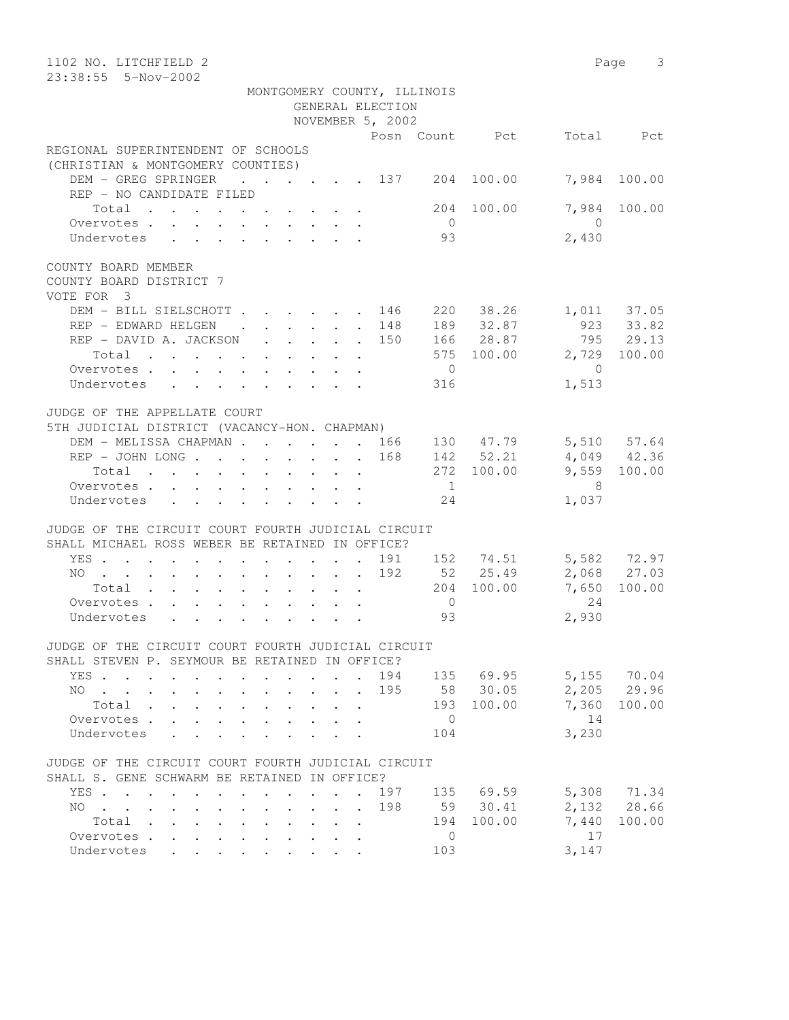| MONTGOMERY COUNTY, ILLINOIS<br>GENERAL ELECTION<br>NOVEMBER 5, 2002<br>Total Pct<br>Posn Count Pct<br>(CHRISTIAN & MONTGOMERY COUNTIES)<br>DEM - GREG SPRINGER<br>$\cdot$ $\cdot$ $\cdot$ $\cdot$ $\cdot$ $\cdot$ $\cdot$ 137 204 100.00<br>7,984<br>100.00<br>REP - NO CANDIDATE FILED<br>7,984<br>Total<br>100.00<br>100.00<br>204<br>Overvotes.<br>$\overline{0}$<br>$\bigcap$<br>93<br>2,430<br>Undervotes<br>DEM - BILL SIELSCHOTT<br>220 38.26<br>1,011 37.05<br>923 33.82<br>. 146<br>REP - EDWARD HELGEN<br>189<br>32.87<br>$\cdot$ $\cdot$ $\cdot$ $\cdot$<br>148<br>$\mathbf{L}$<br>166 28.87<br>795 29.13<br>REP - DAVID A. JACKSON<br>150<br>$\sim$<br>575 100.00<br>2,729<br>100.00<br>Total<br>Overvotes.<br>$\overline{0}$<br>$\overline{0}$<br>1,513<br>Undervotes<br>316<br>JUDGE OF THE APPELLATE COURT<br>5TH JUDICIAL DISTRICT (VACANCY-HON. CHAPMAN)<br>5,510 57.64<br>DEM - MELISSA CHAPMAN 166<br>130 47.79<br>$REF - JOHN$ LONG<br>168<br>142 52.21<br>4,049 42.36<br>9,559 100.00<br>272 100.00<br>Total<br>- 8<br>Overvotes.<br>$\overline{1}$<br>24<br>1,037<br>Undervotes<br>JUDGE OF THE CIRCUIT COURT FOURTH JUDICIAL CIRCUIT<br>SHALL MICHAEL ROSS WEBER BE RETAINED IN OFFICE?<br>5,582 72.97<br>152 74.51<br>YES<br>191<br>192<br>52 25.49<br>2,068 27.03<br>NO<br>100.00<br>204 100.00<br>7,650<br>Total<br>24<br>Overvotes.<br>$\overline{0}$<br>2,930<br>Undervotes<br>93<br>JUDGE OF THE CIRCUIT COURT FOURTH JUDICIAL CIRCUIT<br>SHALL STEVEN P. SEYMOUR BE RETAINED IN OFFICE?<br>5,155 70.04<br>194<br>135 69.95<br>YES<br>58 30.05<br>2,205 29.96<br>195<br>NO.<br>$\sim$ $\sim$<br>100.00<br>7,360<br>Total<br>193<br>100.00<br>14<br>Overvotes .<br>$\overline{0}$<br>3,230<br>Undervotes<br>104<br>JUDGE OF THE CIRCUIT COURT FOURTH JUDICIAL CIRCUIT<br>SHALL S. GENE SCHWARM BE RETAINED IN OFFICE?<br>135 69.59<br>5,308 71.34<br>YES<br>197<br>2,132<br>28.66<br>198<br>59 30.41<br>NO.<br>$\mathbf{r}$ , $\mathbf{r}$ , $\mathbf{r}$<br>7,440<br>Total .<br>194<br>100.00<br>100.00<br>$\overline{0}$<br>17<br>Overvotes .<br>103<br>3,147<br>Undervotes<br>$\mathbb{R}^{\mathbb{Z}}$ | 1102 NO. LITCHFIELD 2<br>23:38:55  5-Nov-2002                | Page 3 |
|----------------------------------------------------------------------------------------------------------------------------------------------------------------------------------------------------------------------------------------------------------------------------------------------------------------------------------------------------------------------------------------------------------------------------------------------------------------------------------------------------------------------------------------------------------------------------------------------------------------------------------------------------------------------------------------------------------------------------------------------------------------------------------------------------------------------------------------------------------------------------------------------------------------------------------------------------------------------------------------------------------------------------------------------------------------------------------------------------------------------------------------------------------------------------------------------------------------------------------------------------------------------------------------------------------------------------------------------------------------------------------------------------------------------------------------------------------------------------------------------------------------------------------------------------------------------------------------------------------------------------------------------------------------------------------------------------------------------------------------------------------------------------------------------------------------------------------------------------------------------------------------------------------------------------------------------------------------------------------------------------------------------------------------------------------------------------------------------------------------------------------------|--------------------------------------------------------------|--------|
|                                                                                                                                                                                                                                                                                                                                                                                                                                                                                                                                                                                                                                                                                                                                                                                                                                                                                                                                                                                                                                                                                                                                                                                                                                                                                                                                                                                                                                                                                                                                                                                                                                                                                                                                                                                                                                                                                                                                                                                                                                                                                                                                        |                                                              |        |
|                                                                                                                                                                                                                                                                                                                                                                                                                                                                                                                                                                                                                                                                                                                                                                                                                                                                                                                                                                                                                                                                                                                                                                                                                                                                                                                                                                                                                                                                                                                                                                                                                                                                                                                                                                                                                                                                                                                                                                                                                                                                                                                                        |                                                              |        |
|                                                                                                                                                                                                                                                                                                                                                                                                                                                                                                                                                                                                                                                                                                                                                                                                                                                                                                                                                                                                                                                                                                                                                                                                                                                                                                                                                                                                                                                                                                                                                                                                                                                                                                                                                                                                                                                                                                                                                                                                                                                                                                                                        |                                                              |        |
|                                                                                                                                                                                                                                                                                                                                                                                                                                                                                                                                                                                                                                                                                                                                                                                                                                                                                                                                                                                                                                                                                                                                                                                                                                                                                                                                                                                                                                                                                                                                                                                                                                                                                                                                                                                                                                                                                                                                                                                                                                                                                                                                        |                                                              |        |
|                                                                                                                                                                                                                                                                                                                                                                                                                                                                                                                                                                                                                                                                                                                                                                                                                                                                                                                                                                                                                                                                                                                                                                                                                                                                                                                                                                                                                                                                                                                                                                                                                                                                                                                                                                                                                                                                                                                                                                                                                                                                                                                                        | REGIONAL SUPERINTENDENT OF SCHOOLS                           |        |
|                                                                                                                                                                                                                                                                                                                                                                                                                                                                                                                                                                                                                                                                                                                                                                                                                                                                                                                                                                                                                                                                                                                                                                                                                                                                                                                                                                                                                                                                                                                                                                                                                                                                                                                                                                                                                                                                                                                                                                                                                                                                                                                                        |                                                              |        |
|                                                                                                                                                                                                                                                                                                                                                                                                                                                                                                                                                                                                                                                                                                                                                                                                                                                                                                                                                                                                                                                                                                                                                                                                                                                                                                                                                                                                                                                                                                                                                                                                                                                                                                                                                                                                                                                                                                                                                                                                                                                                                                                                        |                                                              |        |
|                                                                                                                                                                                                                                                                                                                                                                                                                                                                                                                                                                                                                                                                                                                                                                                                                                                                                                                                                                                                                                                                                                                                                                                                                                                                                                                                                                                                                                                                                                                                                                                                                                                                                                                                                                                                                                                                                                                                                                                                                                                                                                                                        |                                                              |        |
|                                                                                                                                                                                                                                                                                                                                                                                                                                                                                                                                                                                                                                                                                                                                                                                                                                                                                                                                                                                                                                                                                                                                                                                                                                                                                                                                                                                                                                                                                                                                                                                                                                                                                                                                                                                                                                                                                                                                                                                                                                                                                                                                        |                                                              |        |
|                                                                                                                                                                                                                                                                                                                                                                                                                                                                                                                                                                                                                                                                                                                                                                                                                                                                                                                                                                                                                                                                                                                                                                                                                                                                                                                                                                                                                                                                                                                                                                                                                                                                                                                                                                                                                                                                                                                                                                                                                                                                                                                                        | COUNTY BOARD MEMBER<br>COUNTY BOARD DISTRICT 7<br>VOTE FOR 3 |        |
|                                                                                                                                                                                                                                                                                                                                                                                                                                                                                                                                                                                                                                                                                                                                                                                                                                                                                                                                                                                                                                                                                                                                                                                                                                                                                                                                                                                                                                                                                                                                                                                                                                                                                                                                                                                                                                                                                                                                                                                                                                                                                                                                        |                                                              |        |
|                                                                                                                                                                                                                                                                                                                                                                                                                                                                                                                                                                                                                                                                                                                                                                                                                                                                                                                                                                                                                                                                                                                                                                                                                                                                                                                                                                                                                                                                                                                                                                                                                                                                                                                                                                                                                                                                                                                                                                                                                                                                                                                                        |                                                              |        |
|                                                                                                                                                                                                                                                                                                                                                                                                                                                                                                                                                                                                                                                                                                                                                                                                                                                                                                                                                                                                                                                                                                                                                                                                                                                                                                                                                                                                                                                                                                                                                                                                                                                                                                                                                                                                                                                                                                                                                                                                                                                                                                                                        |                                                              |        |
|                                                                                                                                                                                                                                                                                                                                                                                                                                                                                                                                                                                                                                                                                                                                                                                                                                                                                                                                                                                                                                                                                                                                                                                                                                                                                                                                                                                                                                                                                                                                                                                                                                                                                                                                                                                                                                                                                                                                                                                                                                                                                                                                        |                                                              |        |
|                                                                                                                                                                                                                                                                                                                                                                                                                                                                                                                                                                                                                                                                                                                                                                                                                                                                                                                                                                                                                                                                                                                                                                                                                                                                                                                                                                                                                                                                                                                                                                                                                                                                                                                                                                                                                                                                                                                                                                                                                                                                                                                                        |                                                              |        |
|                                                                                                                                                                                                                                                                                                                                                                                                                                                                                                                                                                                                                                                                                                                                                                                                                                                                                                                                                                                                                                                                                                                                                                                                                                                                                                                                                                                                                                                                                                                                                                                                                                                                                                                                                                                                                                                                                                                                                                                                                                                                                                                                        |                                                              |        |
|                                                                                                                                                                                                                                                                                                                                                                                                                                                                                                                                                                                                                                                                                                                                                                                                                                                                                                                                                                                                                                                                                                                                                                                                                                                                                                                                                                                                                                                                                                                                                                                                                                                                                                                                                                                                                                                                                                                                                                                                                                                                                                                                        |                                                              |        |
|                                                                                                                                                                                                                                                                                                                                                                                                                                                                                                                                                                                                                                                                                                                                                                                                                                                                                                                                                                                                                                                                                                                                                                                                                                                                                                                                                                                                                                                                                                                                                                                                                                                                                                                                                                                                                                                                                                                                                                                                                                                                                                                                        |                                                              |        |
|                                                                                                                                                                                                                                                                                                                                                                                                                                                                                                                                                                                                                                                                                                                                                                                                                                                                                                                                                                                                                                                                                                                                                                                                                                                                                                                                                                                                                                                                                                                                                                                                                                                                                                                                                                                                                                                                                                                                                                                                                                                                                                                                        |                                                              |        |
|                                                                                                                                                                                                                                                                                                                                                                                                                                                                                                                                                                                                                                                                                                                                                                                                                                                                                                                                                                                                                                                                                                                                                                                                                                                                                                                                                                                                                                                                                                                                                                                                                                                                                                                                                                                                                                                                                                                                                                                                                                                                                                                                        |                                                              |        |
|                                                                                                                                                                                                                                                                                                                                                                                                                                                                                                                                                                                                                                                                                                                                                                                                                                                                                                                                                                                                                                                                                                                                                                                                                                                                                                                                                                                                                                                                                                                                                                                                                                                                                                                                                                                                                                                                                                                                                                                                                                                                                                                                        |                                                              |        |
|                                                                                                                                                                                                                                                                                                                                                                                                                                                                                                                                                                                                                                                                                                                                                                                                                                                                                                                                                                                                                                                                                                                                                                                                                                                                                                                                                                                                                                                                                                                                                                                                                                                                                                                                                                                                                                                                                                                                                                                                                                                                                                                                        |                                                              |        |
|                                                                                                                                                                                                                                                                                                                                                                                                                                                                                                                                                                                                                                                                                                                                                                                                                                                                                                                                                                                                                                                                                                                                                                                                                                                                                                                                                                                                                                                                                                                                                                                                                                                                                                                                                                                                                                                                                                                                                                                                                                                                                                                                        |                                                              |        |
|                                                                                                                                                                                                                                                                                                                                                                                                                                                                                                                                                                                                                                                                                                                                                                                                                                                                                                                                                                                                                                                                                                                                                                                                                                                                                                                                                                                                                                                                                                                                                                                                                                                                                                                                                                                                                                                                                                                                                                                                                                                                                                                                        |                                                              |        |
|                                                                                                                                                                                                                                                                                                                                                                                                                                                                                                                                                                                                                                                                                                                                                                                                                                                                                                                                                                                                                                                                                                                                                                                                                                                                                                                                                                                                                                                                                                                                                                                                                                                                                                                                                                                                                                                                                                                                                                                                                                                                                                                                        |                                                              |        |
|                                                                                                                                                                                                                                                                                                                                                                                                                                                                                                                                                                                                                                                                                                                                                                                                                                                                                                                                                                                                                                                                                                                                                                                                                                                                                                                                                                                                                                                                                                                                                                                                                                                                                                                                                                                                                                                                                                                                                                                                                                                                                                                                        |                                                              |        |
|                                                                                                                                                                                                                                                                                                                                                                                                                                                                                                                                                                                                                                                                                                                                                                                                                                                                                                                                                                                                                                                                                                                                                                                                                                                                                                                                                                                                                                                                                                                                                                                                                                                                                                                                                                                                                                                                                                                                                                                                                                                                                                                                        |                                                              |        |
|                                                                                                                                                                                                                                                                                                                                                                                                                                                                                                                                                                                                                                                                                                                                                                                                                                                                                                                                                                                                                                                                                                                                                                                                                                                                                                                                                                                                                                                                                                                                                                                                                                                                                                                                                                                                                                                                                                                                                                                                                                                                                                                                        |                                                              |        |
|                                                                                                                                                                                                                                                                                                                                                                                                                                                                                                                                                                                                                                                                                                                                                                                                                                                                                                                                                                                                                                                                                                                                                                                                                                                                                                                                                                                                                                                                                                                                                                                                                                                                                                                                                                                                                                                                                                                                                                                                                                                                                                                                        |                                                              |        |
|                                                                                                                                                                                                                                                                                                                                                                                                                                                                                                                                                                                                                                                                                                                                                                                                                                                                                                                                                                                                                                                                                                                                                                                                                                                                                                                                                                                                                                                                                                                                                                                                                                                                                                                                                                                                                                                                                                                                                                                                                                                                                                                                        |                                                              |        |
|                                                                                                                                                                                                                                                                                                                                                                                                                                                                                                                                                                                                                                                                                                                                                                                                                                                                                                                                                                                                                                                                                                                                                                                                                                                                                                                                                                                                                                                                                                                                                                                                                                                                                                                                                                                                                                                                                                                                                                                                                                                                                                                                        |                                                              |        |
|                                                                                                                                                                                                                                                                                                                                                                                                                                                                                                                                                                                                                                                                                                                                                                                                                                                                                                                                                                                                                                                                                                                                                                                                                                                                                                                                                                                                                                                                                                                                                                                                                                                                                                                                                                                                                                                                                                                                                                                                                                                                                                                                        |                                                              |        |
|                                                                                                                                                                                                                                                                                                                                                                                                                                                                                                                                                                                                                                                                                                                                                                                                                                                                                                                                                                                                                                                                                                                                                                                                                                                                                                                                                                                                                                                                                                                                                                                                                                                                                                                                                                                                                                                                                                                                                                                                                                                                                                                                        |                                                              |        |
|                                                                                                                                                                                                                                                                                                                                                                                                                                                                                                                                                                                                                                                                                                                                                                                                                                                                                                                                                                                                                                                                                                                                                                                                                                                                                                                                                                                                                                                                                                                                                                                                                                                                                                                                                                                                                                                                                                                                                                                                                                                                                                                                        |                                                              |        |
|                                                                                                                                                                                                                                                                                                                                                                                                                                                                                                                                                                                                                                                                                                                                                                                                                                                                                                                                                                                                                                                                                                                                                                                                                                                                                                                                                                                                                                                                                                                                                                                                                                                                                                                                                                                                                                                                                                                                                                                                                                                                                                                                        |                                                              |        |
|                                                                                                                                                                                                                                                                                                                                                                                                                                                                                                                                                                                                                                                                                                                                                                                                                                                                                                                                                                                                                                                                                                                                                                                                                                                                                                                                                                                                                                                                                                                                                                                                                                                                                                                                                                                                                                                                                                                                                                                                                                                                                                                                        |                                                              |        |
|                                                                                                                                                                                                                                                                                                                                                                                                                                                                                                                                                                                                                                                                                                                                                                                                                                                                                                                                                                                                                                                                                                                                                                                                                                                                                                                                                                                                                                                                                                                                                                                                                                                                                                                                                                                                                                                                                                                                                                                                                                                                                                                                        |                                                              |        |
|                                                                                                                                                                                                                                                                                                                                                                                                                                                                                                                                                                                                                                                                                                                                                                                                                                                                                                                                                                                                                                                                                                                                                                                                                                                                                                                                                                                                                                                                                                                                                                                                                                                                                                                                                                                                                                                                                                                                                                                                                                                                                                                                        |                                                              |        |
|                                                                                                                                                                                                                                                                                                                                                                                                                                                                                                                                                                                                                                                                                                                                                                                                                                                                                                                                                                                                                                                                                                                                                                                                                                                                                                                                                                                                                                                                                                                                                                                                                                                                                                                                                                                                                                                                                                                                                                                                                                                                                                                                        |                                                              |        |
|                                                                                                                                                                                                                                                                                                                                                                                                                                                                                                                                                                                                                                                                                                                                                                                                                                                                                                                                                                                                                                                                                                                                                                                                                                                                                                                                                                                                                                                                                                                                                                                                                                                                                                                                                                                                                                                                                                                                                                                                                                                                                                                                        |                                                              |        |
|                                                                                                                                                                                                                                                                                                                                                                                                                                                                                                                                                                                                                                                                                                                                                                                                                                                                                                                                                                                                                                                                                                                                                                                                                                                                                                                                                                                                                                                                                                                                                                                                                                                                                                                                                                                                                                                                                                                                                                                                                                                                                                                                        |                                                              |        |
|                                                                                                                                                                                                                                                                                                                                                                                                                                                                                                                                                                                                                                                                                                                                                                                                                                                                                                                                                                                                                                                                                                                                                                                                                                                                                                                                                                                                                                                                                                                                                                                                                                                                                                                                                                                                                                                                                                                                                                                                                                                                                                                                        |                                                              |        |
|                                                                                                                                                                                                                                                                                                                                                                                                                                                                                                                                                                                                                                                                                                                                                                                                                                                                                                                                                                                                                                                                                                                                                                                                                                                                                                                                                                                                                                                                                                                                                                                                                                                                                                                                                                                                                                                                                                                                                                                                                                                                                                                                        |                                                              |        |
|                                                                                                                                                                                                                                                                                                                                                                                                                                                                                                                                                                                                                                                                                                                                                                                                                                                                                                                                                                                                                                                                                                                                                                                                                                                                                                                                                                                                                                                                                                                                                                                                                                                                                                                                                                                                                                                                                                                                                                                                                                                                                                                                        |                                                              |        |
|                                                                                                                                                                                                                                                                                                                                                                                                                                                                                                                                                                                                                                                                                                                                                                                                                                                                                                                                                                                                                                                                                                                                                                                                                                                                                                                                                                                                                                                                                                                                                                                                                                                                                                                                                                                                                                                                                                                                                                                                                                                                                                                                        |                                                              |        |
|                                                                                                                                                                                                                                                                                                                                                                                                                                                                                                                                                                                                                                                                                                                                                                                                                                                                                                                                                                                                                                                                                                                                                                                                                                                                                                                                                                                                                                                                                                                                                                                                                                                                                                                                                                                                                                                                                                                                                                                                                                                                                                                                        |                                                              |        |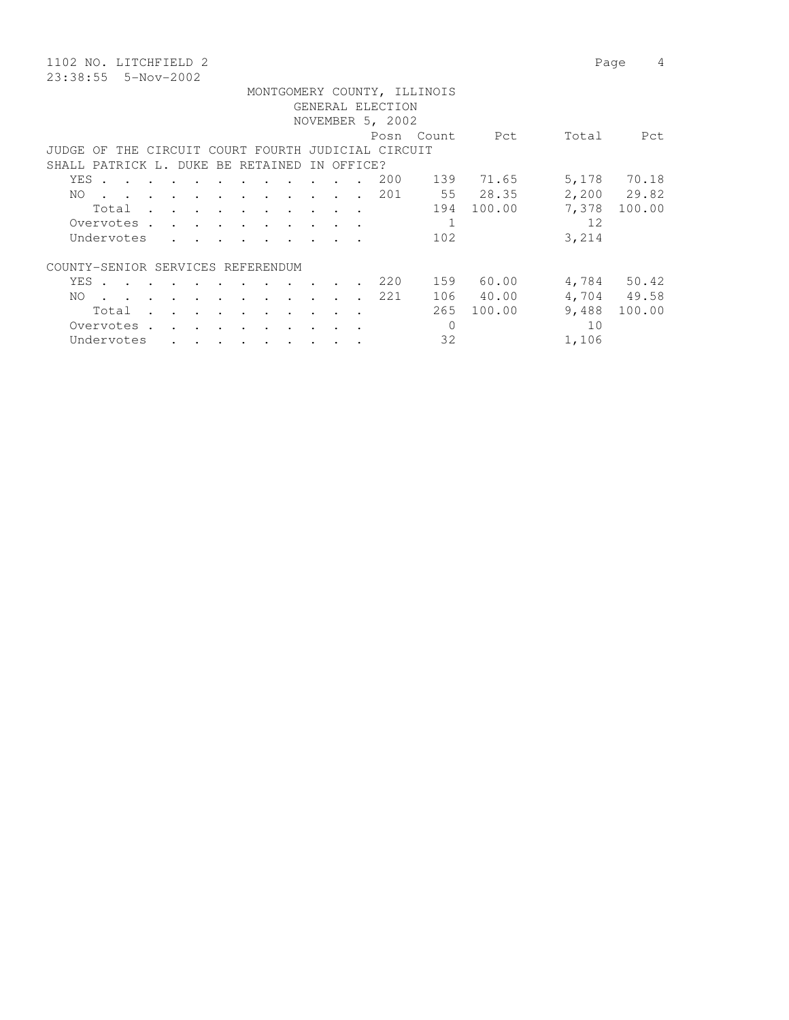23:38:55 5-Nov-2002

1102 NO. LITCHFIELD 2 Page 4 MONTGOMERY COUNTY, ILLINOIS

|                                                    |                                                                                                                                                                                                                                   |  |  |  |                                                                                                                 |                      |        |  |  |                                   |  |                  | MONIGOMERY COONTY, ILLINOIS |           |       |             |
|----------------------------------------------------|-----------------------------------------------------------------------------------------------------------------------------------------------------------------------------------------------------------------------------------|--|--|--|-----------------------------------------------------------------------------------------------------------------|----------------------|--------|--|--|-----------------------------------|--|------------------|-----------------------------|-----------|-------|-------------|
|                                                    |                                                                                                                                                                                                                                   |  |  |  |                                                                                                                 |                      |        |  |  |                                   |  | GENERAL ELECTION |                             |           |       |             |
| NOVEMBER 5, 2002                                   |                                                                                                                                                                                                                                   |  |  |  |                                                                                                                 |                      |        |  |  |                                   |  |                  |                             |           |       |             |
|                                                    |                                                                                                                                                                                                                                   |  |  |  |                                                                                                                 |                      |        |  |  |                                   |  |                  | Posn Count                  | Pct       | Total | Pct         |
| JUDGE OF THE CIRCUIT COURT FOURTH JUDICIAL CIRCUIT |                                                                                                                                                                                                                                   |  |  |  |                                                                                                                 |                      |        |  |  |                                   |  |                  |                             |           |       |             |
| SHALL PATRICK L. DUKE BE RETAINED IN OFFICE?       |                                                                                                                                                                                                                                   |  |  |  |                                                                                                                 |                      |        |  |  |                                   |  |                  |                             |           |       |             |
| YES .                                              | the contract of the contract of the contract of the contract of the contract of the contract of the contract of                                                                                                                   |  |  |  |                                                                                                                 |                      |        |  |  |                                   |  | 200              | 139                         | 71.65     | 5,178 | 70.18       |
| NO.                                                | $\mathbf{r}$ . The contract of the contract of the contract of the contract of the contract of the contract of the contract of the contract of the contract of the contract of the contract of the contract of the contract of th |  |  |  |                                                                                                                 |                      |        |  |  |                                   |  | 201              |                             | 55 28.35  |       | 2,200 29.82 |
|                                                    | Total                                                                                                                                                                                                                             |  |  |  |                                                                                                                 |                      |        |  |  |                                   |  |                  | 194                         | 100.00    | 7,378 | 100.00      |
| Overvotes .                                        |                                                                                                                                                                                                                                   |  |  |  | the contract of the contract of the contract of the contract of the contract of the contract of the contract of |                      |        |  |  |                                   |  |                  | $\mathbf 1$                 |           | 12    |             |
| Undervotes                                         |                                                                                                                                                                                                                                   |  |  |  |                                                                                                                 |                      |        |  |  |                                   |  |                  | 102                         |           | 3,214 |             |
| COUNTY-SENIOR SERVICES REFERENDUM                  |                                                                                                                                                                                                                                   |  |  |  |                                                                                                                 |                      |        |  |  |                                   |  |                  |                             |           |       |             |
| YES .                                              | the contract of the contract of the contract of the contract of the contract of the contract of the contract of                                                                                                                   |  |  |  |                                                                                                                 |                      |        |  |  | <b>Contract Contract Contract</b> |  | 220              | 159                         | 60.00     |       | 4,784 50.42 |
| NO.                                                | the contract of the contract of the contract of the contract of the contract of the contract of the contract of                                                                                                                   |  |  |  |                                                                                                                 |                      |        |  |  |                                   |  | 221              |                             | 106 40.00 |       | 4,704 49.58 |
|                                                    | Total                                                                                                                                                                                                                             |  |  |  |                                                                                                                 |                      |        |  |  |                                   |  |                  | 265                         | 100.00    | 9,488 | 100.00      |
| Overvotes.                                         |                                                                                                                                                                                                                                   |  |  |  |                                                                                                                 | $\ddot{\phantom{a}}$ | $\sim$ |  |  | $\sim$                            |  |                  | $\mathbf 0$                 |           | 10    |             |
| Undervotes                                         |                                                                                                                                                                                                                                   |  |  |  |                                                                                                                 |                      |        |  |  |                                   |  |                  | 32                          |           | 1,106 |             |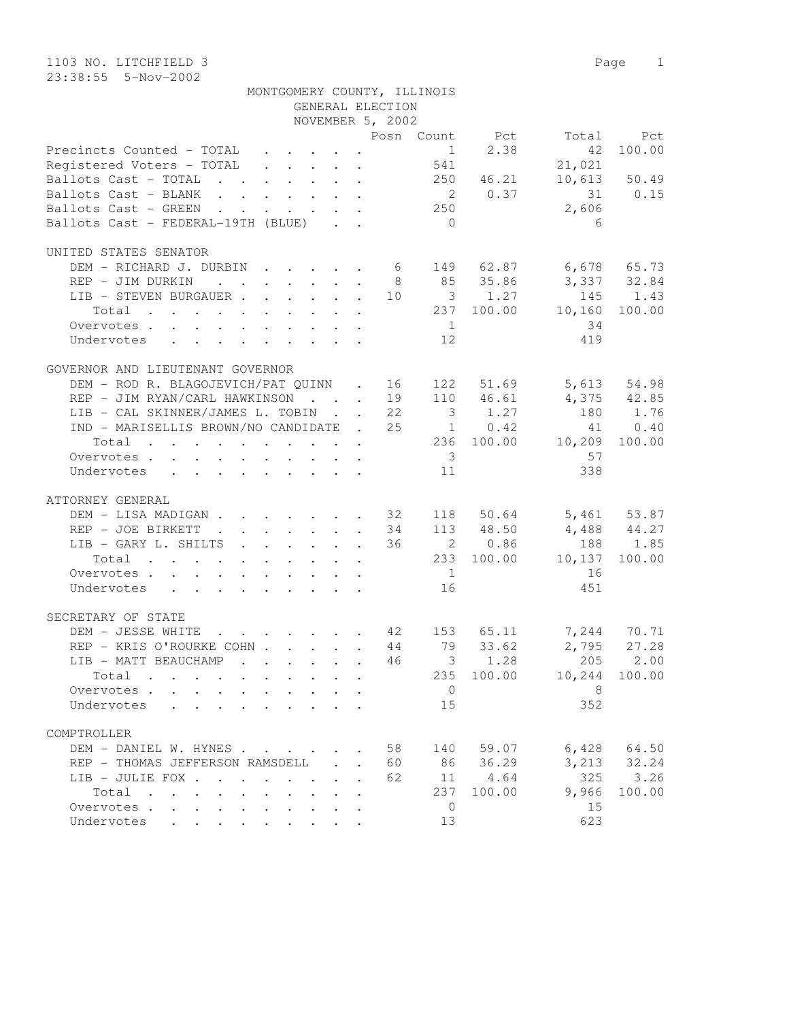| MONTGOMERY COUNTY, ILLINOIS                                                                                             |                                                          | GENERAL ELECTION |                         |            |                          |                 |
|-------------------------------------------------------------------------------------------------------------------------|----------------------------------------------------------|------------------|-------------------------|------------|--------------------------|-----------------|
|                                                                                                                         |                                                          | NOVEMBER 5, 2002 |                         |            |                          |                 |
|                                                                                                                         |                                                          |                  |                         |            | Posn Count Pct Total Pct |                 |
| Precincts Counted - TOTAL $\ldots$ 1 2.38                                                                               |                                                          |                  |                         |            | 42                       | 100.00          |
| Registered Voters - TOTAL 541                                                                                           |                                                          |                  |                         |            | 21,021                   |                 |
| Ballots Cast - TOTAL 250 46.21                                                                                          |                                                          |                  |                         |            |                          | 10,613 50.49    |
| Ballots Cast - BLANK 2 0.37 31 0.15                                                                                     |                                                          |                  |                         |            |                          |                 |
| Ballots Cast - GREEN 250                                                                                                |                                                          |                  |                         |            | 2,606                    |                 |
| Ballots Cast - FEDERAL-19TH (BLUE)                                                                                      |                                                          |                  | $\overline{0}$          |            | - 6                      |                 |
|                                                                                                                         |                                                          |                  |                         |            |                          |                 |
| UNITED STATES SENATOR                                                                                                   |                                                          |                  |                         |            |                          |                 |
| DEM - RICHARD J. DURBIN 6 149 62.87 6,678 65.73                                                                         |                                                          |                  |                         |            |                          |                 |
| REP - JIM DURKIN                                                                                                        |                                                          |                  |                         |            | 8 85 35.86 3,337 32.84   |                 |
| LIB - STEVEN BURGAUER 10 3 1.27 145 1.43                                                                                |                                                          |                  |                         |            |                          |                 |
| Total 237 100.00 10,160 100.00                                                                                          |                                                          |                  |                         |            |                          |                 |
|                                                                                                                         |                                                          |                  |                         |            |                          |                 |
| Overvotes.                                                                                                              |                                                          |                  | $\frac{1}{1}$           |            | 34                       |                 |
| Undervotes 12                                                                                                           |                                                          |                  |                         |            | 419                      |                 |
|                                                                                                                         |                                                          |                  |                         |            |                          |                 |
| GOVERNOR AND LIEUTENANT GOVERNOR                                                                                        |                                                          |                  |                         |            |                          |                 |
| DEM - ROD R. BLAGOJEVICH/PAT QUINN . 16 122 51.69 5,613 54.98<br>REP - JIM RYAN/CARL HAWKINSON 19 110 46.61 4,375 42.85 |                                                          |                  |                         |            |                          |                 |
|                                                                                                                         |                                                          |                  |                         |            |                          |                 |
| LIB - CAL SKINNER/JAMES L. TOBIN 22 3 1.27 180 1.76                                                                     |                                                          |                  |                         |            |                          |                 |
| IND - MARISELLIS BROWN/NO CANDIDATE . 25 1 0.42                                                                         |                                                          |                  |                         |            |                          | 41 0.40         |
| $\cdot$ 236 100.00 10,209 100.00<br>Total                                                                               |                                                          |                  |                         |            |                          |                 |
| Overvotes.                                                                                                              |                                                          |                  | $\overline{\mathbf{3}}$ |            | 57                       |                 |
| Undervotes                                                                                                              |                                                          |                  | 11                      |            | 338                      |                 |
|                                                                                                                         |                                                          |                  |                         |            |                          |                 |
| ATTORNEY GENERAL                                                                                                        |                                                          |                  |                         |            |                          |                 |
| DEM - LISA MADIGAN 32 118 50.64 5,461 53.87                                                                             |                                                          |                  |                         |            |                          |                 |
| REP - JOE BIRKETT                                                                                                       |                                                          |                  |                         |            | 34 113 48.50 4,488 44.27 |                 |
| LIB - GARY L. SHILTS 36 2 0.86 188 1.85                                                                                 |                                                          |                  |                         |            |                          |                 |
| Total 233 100.00 10,137 100.00                                                                                          |                                                          |                  |                         |            |                          |                 |
| Overvotes.                                                                                                              |                                                          |                  | $\overline{1}$          |            | 16                       |                 |
| Undervotes 16                                                                                                           |                                                          |                  |                         |            | 451                      |                 |
|                                                                                                                         |                                                          |                  |                         |            |                          |                 |
| SECRETARY OF STATE                                                                                                      |                                                          |                  |                         |            |                          |                 |
| . 42 153 65.11 7,244 70.71<br>EXECOHN 44 79 33.62 2,795 27.28<br>DEM - JESSE WHITE                                      |                                                          |                  |                         |            |                          |                 |
| REP - KRIS O'ROURKE COHN 44 79                                                                                          |                                                          |                  |                         |            |                          |                 |
| LIB - MATT BEAUCHAMP 46 3 1.28 205 2.00                                                                                 |                                                          |                  |                         |            |                          |                 |
| Total                                                                                                                   |                                                          |                  |                         | 235 100.00 |                          | 10,244 100.00   |
| Overvotes.                                                                                                              |                                                          |                  | $\overline{0}$          |            | 8                        |                 |
| Undervotes                                                                                                              |                                                          |                  | 15                      |            | 352                      |                 |
|                                                                                                                         |                                                          |                  |                         |            |                          |                 |
| COMPTROLLER                                                                                                             |                                                          |                  |                         |            |                          |                 |
| DEM - DANIEL W. HYNES                                                                                                   |                                                          | 58               |                         | 140 59.07  |                          | $6,428$ $64.50$ |
| REP - THOMAS JEFFERSON RAMSDELL .                                                                                       |                                                          | 60               |                         | 86 36.29   |                          | 3, 213 32.24    |
| LIB - JULIE FOX                                                                                                         |                                                          | 62               |                         | 11 4.64    | 325                      | 3.26            |
| Total<br>$\mathbf{L}$                                                                                                   | $\mathcal{L}^{\text{max}}$<br>$\mathcal{L}^{\text{max}}$ | $\mathbf{r}$     | 237                     | 100.00     | 9,966                    | 100.00          |
| Overvotes.                                                                                                              |                                                          |                  | $\overline{0}$          |            | 15                       |                 |
| Undervotes                                                                                                              |                                                          |                  | 13                      |            | 623                      |                 |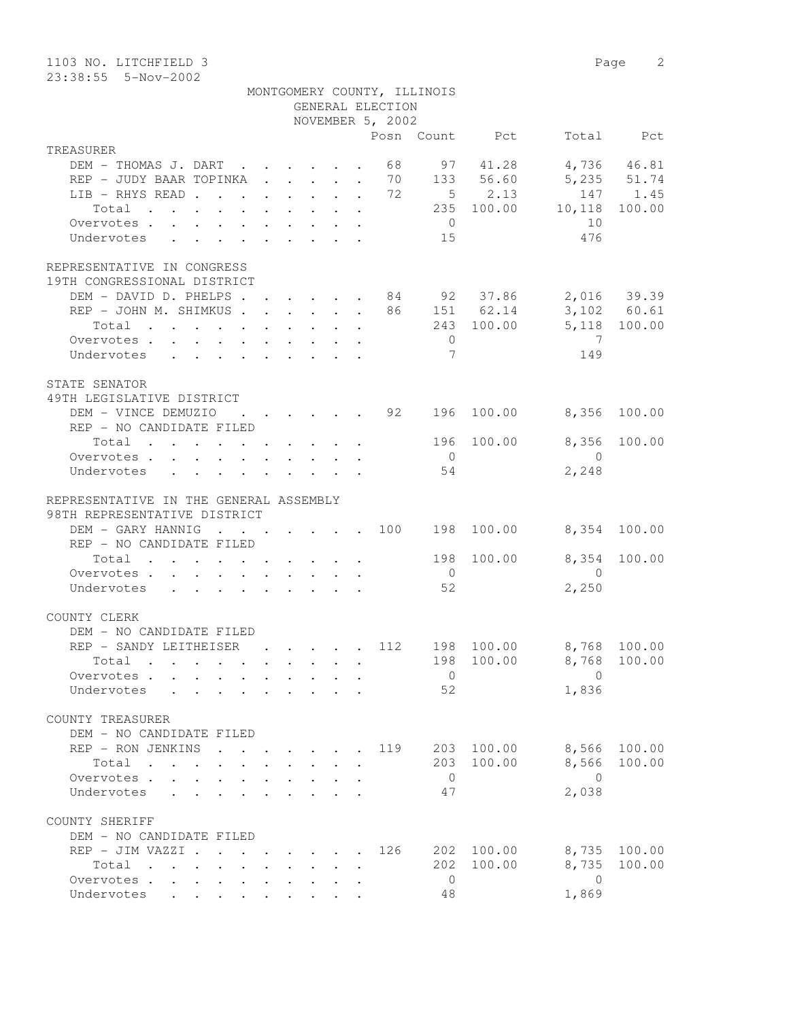| 1103 NO. LITCHFIELD 3                                                  |                                                    |  |                  |     |                             |                        |                         | Page 2       |
|------------------------------------------------------------------------|----------------------------------------------------|--|------------------|-----|-----------------------------|------------------------|-------------------------|--------------|
| 23:38:55  5-Nov-2002                                                   |                                                    |  |                  |     |                             |                        |                         |              |
|                                                                        |                                                    |  | GENERAL ELECTION |     | MONTGOMERY COUNTY, ILLINOIS |                        |                         |              |
|                                                                        |                                                    |  | NOVEMBER 5, 2002 |     |                             |                        |                         |              |
|                                                                        |                                                    |  |                  |     |                             | Posn Count Pct         |                         | Total Pct    |
| TREASURER                                                              |                                                    |  |                  |     |                             |                        |                         |              |
| DEM - THOMAS J. DART 68                                                |                                                    |  |                  |     |                             | 97 41.28               | 4,736 46.81             |              |
| REP - JUDY BAAR TOPINKA 70 133 56.60                                   |                                                    |  |                  |     |                             |                        | 5,235 51.74             |              |
| LIB - RHYS READ 72                                                     |                                                    |  |                  |     |                             | $5 \t 2.13$            |                         | 147 1.45     |
| Total                                                                  |                                                    |  |                  |     |                             |                        | $235$ 100.00 10,118     | 100.00       |
| Overvotes.                                                             |                                                    |  |                  |     | $\overline{0}$              |                        | 10                      |              |
| Undervotes                                                             |                                                    |  |                  |     | 15                          |                        | 476                     |              |
| REPRESENTATIVE IN CONGRESS<br>19TH CONGRESSIONAL DISTRICT              |                                                    |  |                  |     |                             |                        |                         |              |
| DEM - DAVID D. PHELPS 84 92 37.86 2,016 39.39                          |                                                    |  |                  |     |                             |                        |                         |              |
| REP - JOHN M. SHIMKUS 86 151 62.14 3,102 60.61                         |                                                    |  |                  |     |                             |                        |                         |              |
| Total $\cdot$                                                          |                                                    |  |                  |     |                             | 243 100.00             |                         | 5,118 100.00 |
| Overvotes                                                              |                                                    |  |                  |     | $\overline{0}$              |                        | $\overline{7}$          |              |
| Undervotes                                                             |                                                    |  |                  |     | $7\phantom{.0}$             |                        | 149                     |              |
| STATE SENATOR<br>49TH LEGISLATIVE DISTRICT                             |                                                    |  |                  |     |                             |                        |                         |              |
| DEM - VINCE DEMUZIO                                                    | $\cdot$ $\cdot$ $\cdot$ $\cdot$ $\cdot$ $\cdot$ 92 |  |                  |     |                             | 196 100.00             | 8,356 100.00            |              |
| REP - NO CANDIDATE FILED                                               |                                                    |  |                  |     |                             |                        |                         |              |
| Total $\cdot$                                                          |                                                    |  |                  |     |                             |                        | 196 100.00 8,356 100.00 |              |
| Overvotes                                                              |                                                    |  |                  |     | $\overline{0}$              |                        | $\overline{0}$          |              |
| Undervotes                                                             |                                                    |  |                  |     | 54                          |                        | 2,248                   |              |
|                                                                        |                                                    |  |                  |     |                             |                        |                         |              |
| REPRESENTATIVE IN THE GENERAL ASSEMBLY<br>98TH REPRESENTATIVE DISTRICT |                                                    |  |                  |     |                             |                        |                         |              |
| DEM - GARY HANNIG                                                      |                                                    |  |                  |     |                             | $\cdot$ 100 198 100.00 | 8,354 100.00            |              |
| REP - NO CANDIDATE FILED                                               |                                                    |  |                  |     |                             |                        |                         |              |
| Total $\cdot$                                                          |                                                    |  |                  |     | 198                         |                        | 100.00 8,354            | 100.00       |
| Overvotes.                                                             |                                                    |  |                  |     | $\overline{0}$              |                        | $\overline{0}$          |              |
| Undervotes                                                             |                                                    |  |                  |     | 52                          |                        | 2,250                   |              |
|                                                                        |                                                    |  |                  |     |                             |                        |                         |              |
| COUNTY CLERK                                                           |                                                    |  |                  |     |                             |                        |                         |              |
| DEM - NO CANDIDATE FILED                                               |                                                    |  |                  |     |                             |                        |                         |              |
| REP - SANDY LEITHEISER 112                                             |                                                    |  |                  |     | 198                         | 100.00                 |                         | 8,768 100.00 |
| Total $\cdot$                                                          |                                                    |  |                  |     |                             | 198 100.00             | 8,768                   | 100.00       |
| Overvotes                                                              |                                                    |  |                  |     | $\overline{0}$              |                        | $\overline{0}$          |              |
| Undervotes                                                             |                                                    |  |                  |     | 52                          |                        | 1,836                   |              |
|                                                                        |                                                    |  |                  |     |                             |                        |                         |              |
| COUNTY TREASURER                                                       |                                                    |  |                  |     |                             |                        |                         |              |
| DEM - NO CANDIDATE FILED                                               |                                                    |  |                  |     |                             |                        |                         |              |
| REP - RON JENKINS 119 203 100.00 8,566 100.00<br>Total                 |                                                    |  |                  |     |                             | 203 100.00             | 8,566                   | 100.00       |
| Overvotes.                                                             |                                                    |  |                  |     | $\overline{0}$              |                        | $\bigcirc$              |              |
| Undervotes                                                             |                                                    |  |                  |     | 47                          |                        | 2,038                   |              |
|                                                                        |                                                    |  |                  |     |                             |                        |                         |              |
| COUNTY SHERIFF<br>DEM - NO CANDIDATE FILED                             |                                                    |  |                  |     |                             |                        |                         |              |
| REP - JIM VAZZI                                                        |                                                    |  |                  | 126 |                             | 202 100.00             |                         | 8,735 100.00 |
| Total                                                                  |                                                    |  |                  |     |                             | 202 100.00             | 8,735                   | 100.00       |
| Overvotes                                                              |                                                    |  |                  |     | $\overline{0}$              |                        | $\overline{0}$          |              |
| Undervotes                                                             |                                                    |  |                  |     | 48                          |                        | 1,869                   |              |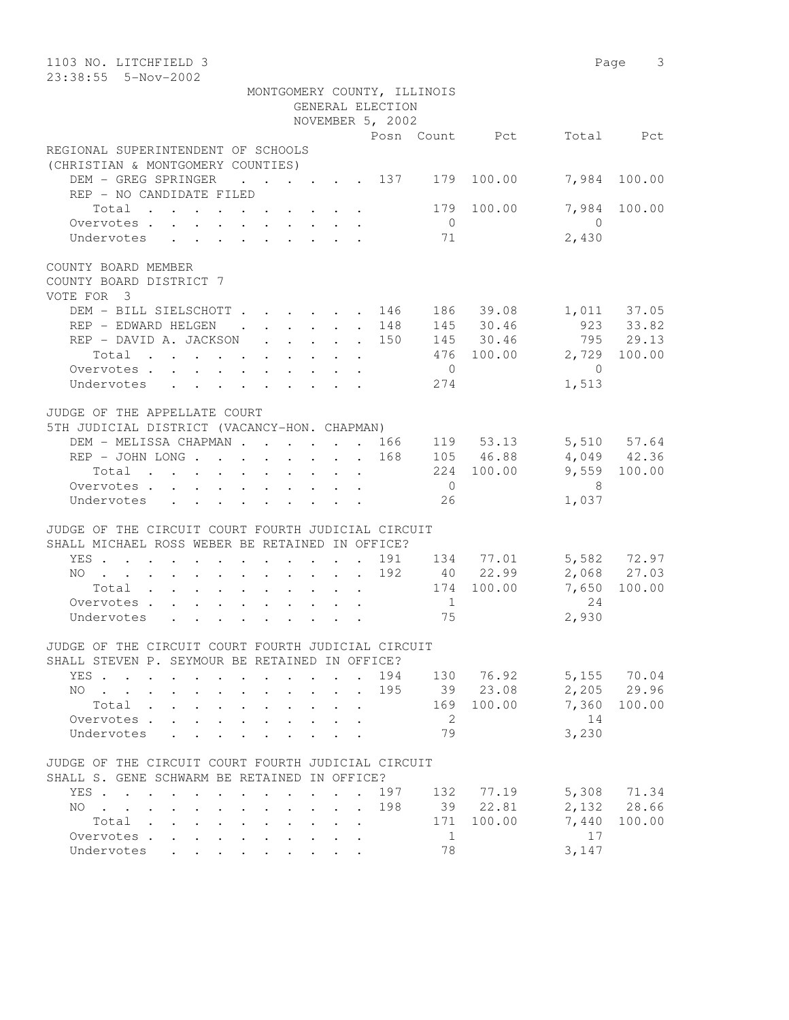| 1103 NO. LITCHFIELD 3<br>23:38:55  5-Nov-2002                                                         |                |                          | 3<br>Page   |
|-------------------------------------------------------------------------------------------------------|----------------|--------------------------|-------------|
| MONTGOMERY COUNTY, ILLINOIS                                                                           |                |                          |             |
| GENERAL ELECTION                                                                                      |                |                          |             |
| NOVEMBER 5, 2002                                                                                      |                |                          |             |
|                                                                                                       | Posn Count Pct |                          | Total Pct   |
| REGIONAL SUPERINTENDENT OF SCHOOLS<br>(CHRISTIAN & MONTGOMERY COUNTIES)                               |                |                          |             |
| DEM - GREG SPRINGER<br>. 137 179 100.00                                                               |                | 7,984                    | 100.00      |
| REP - NO CANDIDATE FILED                                                                              |                |                          |             |
| Total                                                                                                 | 100.00<br>179  | 7,984                    | 100.00      |
| Overvotes.                                                                                            | $\overline{0}$ | $\bigcap$                |             |
| Undervotes                                                                                            | 71             | 2,430                    |             |
| COUNTY BOARD MEMBER<br>COUNTY BOARD DISTRICT 7<br>VOTE FOR 3                                          |                |                          |             |
| DEM - BILL SIELSCHOTT<br>. 146                                                                        | 186 39.08      | 1,011 37.05<br>923 33.82 |             |
| REP - EDWARD HELGEN<br>$\mathbf{r}$ , $\mathbf{r}$ , $\mathbf{r}$<br>148<br>$\mathbf{L}$              | 145 30.46      |                          |             |
| REP - DAVID A. JACKSON<br>150<br>$\sim$                                                               | 145<br>30.46   |                          | 795 29.13   |
| Total                                                                                                 | 476 100.00     | 2,729                    | 100.00      |
| Overvotes.<br>$\overline{0}$                                                                          |                | $\overline{0}$           |             |
| Undervotes                                                                                            | 274            | 1,513                    |             |
| JUDGE OF THE APPELLATE COURT<br>5TH JUDICIAL DISTRICT (VACANCY-HON. CHAPMAN)                          |                |                          |             |
| DEM - MELISSA CHAPMAN 166                                                                             | 119 53.13      | 5,510 57.64              |             |
| $REF - JOHN$ LONG<br>168                                                                              | 105 46.88      | 4,049 42.36              |             |
| Total                                                                                                 | 224 100.00     | 9,559 100.00             |             |
| Overvotes.                                                                                            | $\overline{0}$ | - 8                      |             |
| Undervotes                                                                                            | 26             | 1,037                    |             |
| JUDGE OF THE CIRCUIT COURT FOURTH JUDICIAL CIRCUIT<br>SHALL MICHAEL ROSS WEBER BE RETAINED IN OFFICE? |                |                          |             |
| YES<br>191                                                                                            | 134 77.01      |                          | 5,582 72.97 |
| 192<br>NO                                                                                             | 40 22.99       |                          | 2,068 27.03 |
| Total                                                                                                 | 174 100.00     | 7,650                    | 100.00      |
| Overvotes.                                                                                            | $\overline{1}$ | 24                       |             |
| Undervotes                                                                                            | 75             | 2,930                    |             |
| JUDGE OF THE CIRCUIT COURT FOURTH JUDICIAL CIRCUIT                                                    |                |                          |             |
| SHALL STEVEN P. SEYMOUR BE RETAINED IN OFFICE?                                                        |                |                          |             |
| 194<br>YES                                                                                            | 130 76.92      | 5,155                    | 70.04       |
| 195<br>NO.<br>$\sim$ $\sim$                                                                           | 39 23.08       | 2,205                    | 29.96       |
| Total<br>169                                                                                          | 100.00         | 7,360                    | 100.00      |
| Overvotes.                                                                                            | 2              | 14                       |             |
| Undervotes                                                                                            | 79             | 3,230                    |             |
| JUDGE OF THE CIRCUIT COURT FOURTH JUDICIAL CIRCUIT<br>SHALL S. GENE SCHWARM BE RETAINED IN OFFICE?    |                |                          |             |
| YES<br>197                                                                                            | 132<br>77.19   | 5,308                    | 71.34       |
| 198<br>NO.<br>$\mathbf{r}$ , $\mathbf{r}$ , $\mathbf{r}$ , $\mathbf{r}$                               | 39<br>22.81    | 2,132                    | 28.66       |
| Total .<br>171                                                                                        | 100.00         | 7,440                    | 100.00      |
| Overvotes .                                                                                           | $\mathbf{1}$   | 17                       |             |
| Undervotes<br>$\mathbb{R}^{\mathbb{Z}}$                                                               | 78             | 3,147                    |             |
|                                                                                                       |                |                          |             |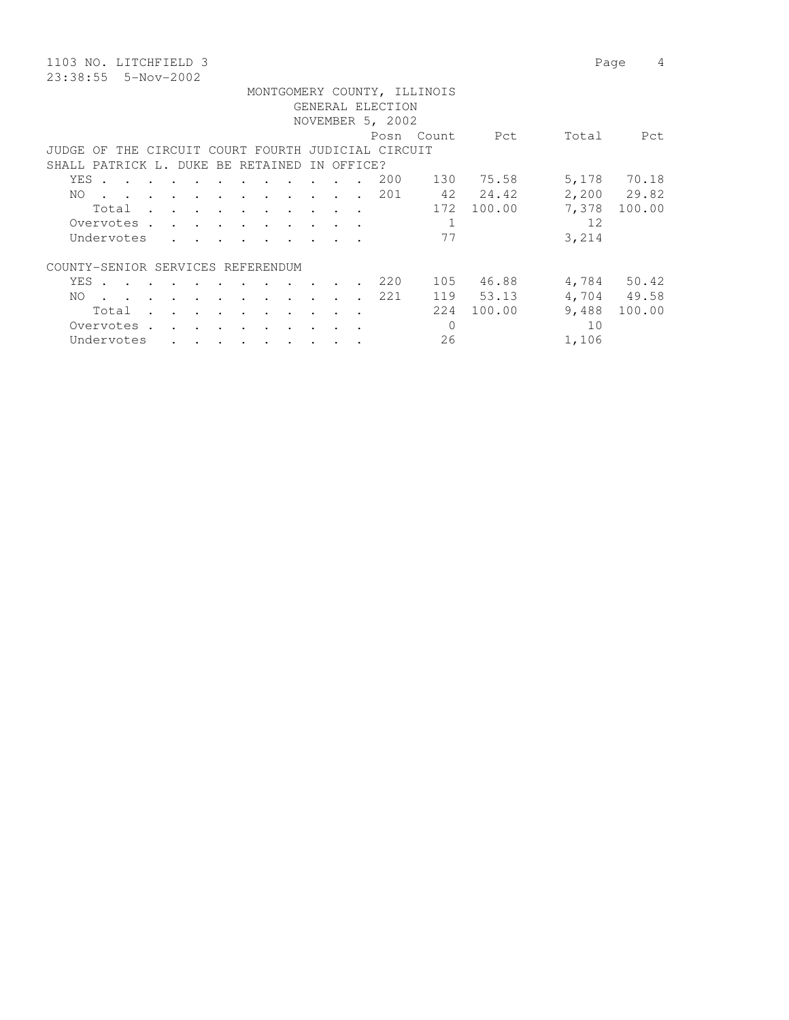23:38:55 5-Nov-2002

1103 NO. LITCHFIELD 3 Page 4

|       |            |  |        |          |                                                                                                                 |                      |                      |                                                                                                                 |        |                 |            |                                                    | MONTGOMERY COUNTY, ILLINOIS |                |       |             |
|-------|------------|--|--------|----------|-----------------------------------------------------------------------------------------------------------------|----------------------|----------------------|-----------------------------------------------------------------------------------------------------------------|--------|-----------------|------------|----------------------------------------------------|-----------------------------|----------------|-------|-------------|
|       |            |  |        |          |                                                                                                                 |                      |                      |                                                                                                                 |        |                 |            | GENERAL ELECTION                                   |                             |                |       |             |
|       |            |  |        |          |                                                                                                                 |                      |                      |                                                                                                                 |        |                 |            | NOVEMBER 5, 2002                                   |                             |                |       |             |
|       |            |  |        |          |                                                                                                                 |                      |                      |                                                                                                                 |        |                 |            |                                                    |                             | Posn Count Pct | Total | Pct         |
|       |            |  |        |          |                                                                                                                 |                      |                      |                                                                                                                 |        |                 |            | JUDGE OF THE CIRCUIT COURT FOURTH JUDICIAL CIRCUIT |                             |                |       |             |
|       |            |  |        |          | SHALL PATRICK L. DUKE BE RETAINED                                                                               |                      |                      |                                                                                                                 |        |                 | IN OFFICE? |                                                    |                             |                |       |             |
| YES . |            |  |        |          |                                                                                                                 |                      |                      |                                                                                                                 | $\sim$ |                 |            | 200                                                |                             | 130 75.58      |       | 5,178 70.18 |
| NO.   |            |  |        |          |                                                                                                                 |                      |                      | the contract of the contract of the contract of the contract of the contract of the contract of the contract of |        |                 |            | 201                                                |                             | 42 24.42       |       | 2,200 29.82 |
|       |            |  |        |          |                                                                                                                 |                      |                      | Total                                                                                                           |        |                 |            |                                                    | 172                         | 100.00         | 7,378 | 100.00      |
|       |            |  |        |          |                                                                                                                 |                      |                      | Overvotes.                                                                                                      |        |                 |            |                                                    | $\mathbf{1}$                |                | 12    |             |
|       |            |  |        |          |                                                                                                                 |                      |                      | Undervotes                                                                                                      |        |                 |            |                                                    | 77                          |                | 3,214 |             |
|       |            |  |        |          |                                                                                                                 |                      |                      |                                                                                                                 |        |                 |            |                                                    |                             |                |       |             |
|       |            |  |        |          | COUNTY-SENIOR SERVICES REFERENDUM                                                                               |                      |                      |                                                                                                                 |        |                 |            |                                                    |                             |                |       |             |
|       |            |  |        |          | YES                                                                                                             |                      |                      |                                                                                                                 |        | $\cdot$ $\cdot$ |            | 220                                                |                             | 105 46.88      |       | 4,784 50.42 |
| NO.   |            |  |        |          | the contract of the contract of the contract of the contract of the contract of the contract of the contract of |                      |                      |                                                                                                                 |        |                 |            | 221                                                |                             | 119 53.13      |       | 4,704 49.58 |
|       | Total      |  |        |          |                                                                                                                 |                      |                      |                                                                                                                 |        |                 |            |                                                    | 2.2.4                       | 100.00         | 9,488 | 100.00      |
|       |            |  |        |          |                                                                                                                 |                      |                      | the contract of the contract of the contract of the contract of the contract of the contract of the contract of |        |                 |            |                                                    |                             |                |       |             |
|       | Overvotes. |  | $\sim$ | $\cdots$ |                                                                                                                 | $\ddot{\phantom{a}}$ | $\ddot{\phantom{a}}$ |                                                                                                                 |        |                 |            |                                                    | 0                           |                | 10    |             |
|       | Undervotes |  |        |          |                                                                                                                 |                      |                      |                                                                                                                 |        |                 |            |                                                    | 26                          |                | 1,106 |             |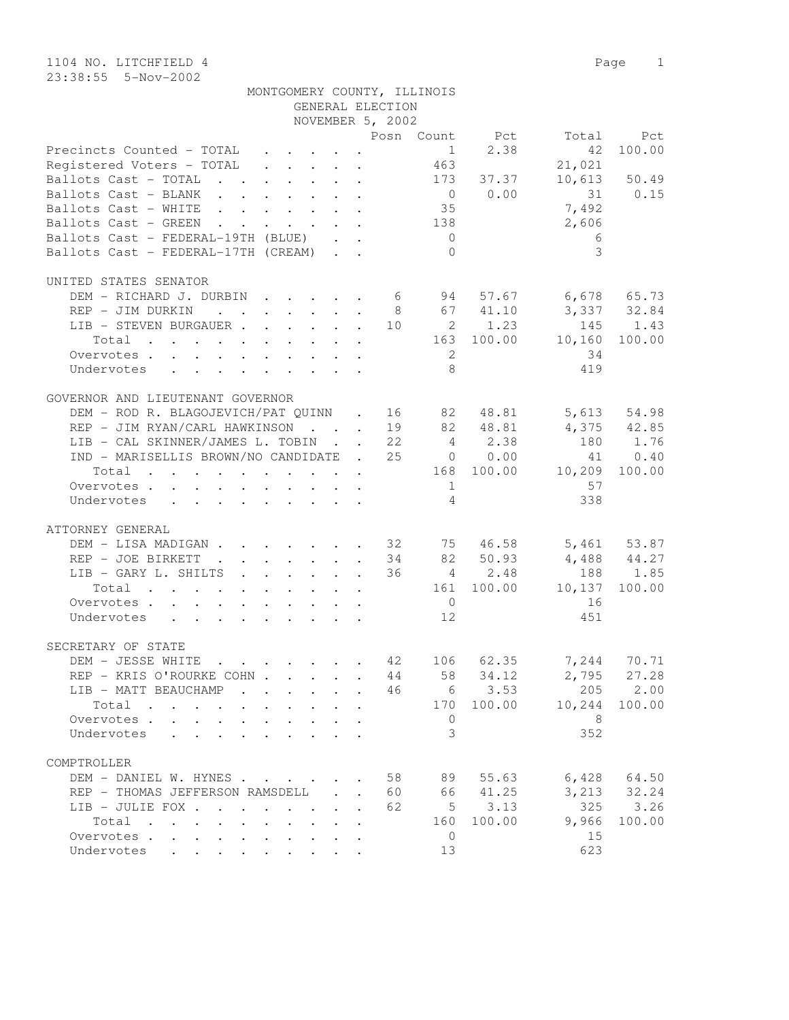| MONTGOMERY COUNTY, ILLINOIS |                  |  |
|-----------------------------|------------------|--|
|                             | GENERAL ELECTION |  |

| Posn Count Pct<br>Total Pct<br>Precincts Counted - TOTAL $\cdot \cdot \cdot \cdot$<br>$1 \t 2.38$<br>100.00<br>42<br>463<br>Registered Voters - TOTAL<br>21,021<br>$10,613$ 50.49<br>Ballots Cast - TOTAL 173 37.37<br>$0 \t 0.00 \t 31 \t 0.15$<br>Ballots Cast - BLANK<br>7,492<br>Ballots Cast - WHITE 35<br>Ballots Cast - GREEN 138<br>2,606<br>Ballots Cast - FEDERAL-19TH (BLUE)<br>$\overline{0}$<br>$\sim$ 6<br>3<br>Ballots Cast - FEDERAL-17TH (CREAM)<br>$\overline{0}$<br>UNITED STATES SENATOR<br>DEM - RICHARD J. DURBIN 6 94 57.67 6,678 65.73<br>3,337 32.84<br>8 67 41.10<br>REP - JIM DURKIN<br>LIB - STEVEN BURGAUER 10 2 1.23 145 1.43<br>$\cdot$ 163 100.00 10,160 100.00<br>Total<br>$\overline{2}$<br>34<br>Overvotes<br>8<br>419<br>Undervotes<br>GOVERNOR AND LIEUTENANT GOVERNOR<br>DEM - ROD R. BLAGOJEVICH/PAT QUINN . 16 82 48.81 5,613 54.98<br>REP - JIM RYAN/CARL HAWKINSON 19 82 48.81 4,375 42.85<br>180 1.76<br>LIB - CAL SKINNER/JAMES L. TOBIN 22 4 2.38<br>IND - MARISELLIS BROWN/NO CANDIDATE . 25 0 0.00<br>41 0.40<br>$\cdot$ 168 100.00 10,209 100.00<br>Total<br>$\mathbf 1$<br>57<br>Overvotes.<br>$\overline{4}$<br>338<br>Undervotes<br>ATTORNEY GENERAL<br>DEM - LISA MADIGAN 32 75 46.58 5,461 53.87<br>34 82 50.93 4,488 44.27<br>REP - JOE BIRKETT<br>188 1.85<br>36 4 2.48<br>LIB - GARY L. SHILTS<br>Total 161 100.00 10,137 100.00<br>$\overline{0}$<br>16<br>Overvotes.<br>451<br>Undervotes 12<br>SECRETARY OF STATE<br>$\cdot$ 42 106 62.35 7,244 70.71<br>DEM - JESSE WHITE<br>$2,795$ 27.28<br>REP - KRIS O'ROURKE COHN 44 58<br>34.12<br>LIB - MATT BEAUCHAMP 46 6 3.53 205 2.00<br>170 100.00<br>10,244 100.00<br>Total $\cdots$<br>8<br>Overvotes.<br>$\mathbf{0}$<br>3<br>352<br>Undervotes<br>COMPTROLLER<br>$6,428$ $64.50$<br>DEM - DANIEL W. HYNES<br>58<br>89<br>55.63<br>3, 213 32.24<br>41.25<br>REP - THOMAS JEFFERSON RAMSDELL<br>60<br>66<br>$\mathcal{L}^{\text{max}}$<br>$\mathbb{R}^{\mathbb{Z}}$<br>3.26<br>3.13<br>325<br>LIB - JULIE FOX<br>62<br>5 <sup>5</sup><br>100.00<br>9,966<br>100.00<br>Total<br>160<br><b>Service Control</b><br>$\mathbf{r}$<br>15<br>Overvotes.<br>$\mathbf{0}$<br>Undervotes |  | NOVEMBER 5, 2002 |  |    |     |  |
|------------------------------------------------------------------------------------------------------------------------------------------------------------------------------------------------------------------------------------------------------------------------------------------------------------------------------------------------------------------------------------------------------------------------------------------------------------------------------------------------------------------------------------------------------------------------------------------------------------------------------------------------------------------------------------------------------------------------------------------------------------------------------------------------------------------------------------------------------------------------------------------------------------------------------------------------------------------------------------------------------------------------------------------------------------------------------------------------------------------------------------------------------------------------------------------------------------------------------------------------------------------------------------------------------------------------------------------------------------------------------------------------------------------------------------------------------------------------------------------------------------------------------------------------------------------------------------------------------------------------------------------------------------------------------------------------------------------------------------------------------------------------------------------------------------------------------------------------------------------------------------------------------------------------------------------------------------------------------------------------------------------------------------------------------------------------------------------------------------------------------------------------------------------------------------------|--|------------------|--|----|-----|--|
|                                                                                                                                                                                                                                                                                                                                                                                                                                                                                                                                                                                                                                                                                                                                                                                                                                                                                                                                                                                                                                                                                                                                                                                                                                                                                                                                                                                                                                                                                                                                                                                                                                                                                                                                                                                                                                                                                                                                                                                                                                                                                                                                                                                          |  |                  |  |    |     |  |
|                                                                                                                                                                                                                                                                                                                                                                                                                                                                                                                                                                                                                                                                                                                                                                                                                                                                                                                                                                                                                                                                                                                                                                                                                                                                                                                                                                                                                                                                                                                                                                                                                                                                                                                                                                                                                                                                                                                                                                                                                                                                                                                                                                                          |  |                  |  |    |     |  |
|                                                                                                                                                                                                                                                                                                                                                                                                                                                                                                                                                                                                                                                                                                                                                                                                                                                                                                                                                                                                                                                                                                                                                                                                                                                                                                                                                                                                                                                                                                                                                                                                                                                                                                                                                                                                                                                                                                                                                                                                                                                                                                                                                                                          |  |                  |  |    |     |  |
|                                                                                                                                                                                                                                                                                                                                                                                                                                                                                                                                                                                                                                                                                                                                                                                                                                                                                                                                                                                                                                                                                                                                                                                                                                                                                                                                                                                                                                                                                                                                                                                                                                                                                                                                                                                                                                                                                                                                                                                                                                                                                                                                                                                          |  |                  |  |    |     |  |
|                                                                                                                                                                                                                                                                                                                                                                                                                                                                                                                                                                                                                                                                                                                                                                                                                                                                                                                                                                                                                                                                                                                                                                                                                                                                                                                                                                                                                                                                                                                                                                                                                                                                                                                                                                                                                                                                                                                                                                                                                                                                                                                                                                                          |  |                  |  |    |     |  |
|                                                                                                                                                                                                                                                                                                                                                                                                                                                                                                                                                                                                                                                                                                                                                                                                                                                                                                                                                                                                                                                                                                                                                                                                                                                                                                                                                                                                                                                                                                                                                                                                                                                                                                                                                                                                                                                                                                                                                                                                                                                                                                                                                                                          |  |                  |  |    |     |  |
|                                                                                                                                                                                                                                                                                                                                                                                                                                                                                                                                                                                                                                                                                                                                                                                                                                                                                                                                                                                                                                                                                                                                                                                                                                                                                                                                                                                                                                                                                                                                                                                                                                                                                                                                                                                                                                                                                                                                                                                                                                                                                                                                                                                          |  |                  |  |    |     |  |
|                                                                                                                                                                                                                                                                                                                                                                                                                                                                                                                                                                                                                                                                                                                                                                                                                                                                                                                                                                                                                                                                                                                                                                                                                                                                                                                                                                                                                                                                                                                                                                                                                                                                                                                                                                                                                                                                                                                                                                                                                                                                                                                                                                                          |  |                  |  |    |     |  |
|                                                                                                                                                                                                                                                                                                                                                                                                                                                                                                                                                                                                                                                                                                                                                                                                                                                                                                                                                                                                                                                                                                                                                                                                                                                                                                                                                                                                                                                                                                                                                                                                                                                                                                                                                                                                                                                                                                                                                                                                                                                                                                                                                                                          |  |                  |  |    |     |  |
|                                                                                                                                                                                                                                                                                                                                                                                                                                                                                                                                                                                                                                                                                                                                                                                                                                                                                                                                                                                                                                                                                                                                                                                                                                                                                                                                                                                                                                                                                                                                                                                                                                                                                                                                                                                                                                                                                                                                                                                                                                                                                                                                                                                          |  |                  |  |    |     |  |
|                                                                                                                                                                                                                                                                                                                                                                                                                                                                                                                                                                                                                                                                                                                                                                                                                                                                                                                                                                                                                                                                                                                                                                                                                                                                                                                                                                                                                                                                                                                                                                                                                                                                                                                                                                                                                                                                                                                                                                                                                                                                                                                                                                                          |  |                  |  |    |     |  |
|                                                                                                                                                                                                                                                                                                                                                                                                                                                                                                                                                                                                                                                                                                                                                                                                                                                                                                                                                                                                                                                                                                                                                                                                                                                                                                                                                                                                                                                                                                                                                                                                                                                                                                                                                                                                                                                                                                                                                                                                                                                                                                                                                                                          |  |                  |  |    |     |  |
|                                                                                                                                                                                                                                                                                                                                                                                                                                                                                                                                                                                                                                                                                                                                                                                                                                                                                                                                                                                                                                                                                                                                                                                                                                                                                                                                                                                                                                                                                                                                                                                                                                                                                                                                                                                                                                                                                                                                                                                                                                                                                                                                                                                          |  |                  |  |    |     |  |
|                                                                                                                                                                                                                                                                                                                                                                                                                                                                                                                                                                                                                                                                                                                                                                                                                                                                                                                                                                                                                                                                                                                                                                                                                                                                                                                                                                                                                                                                                                                                                                                                                                                                                                                                                                                                                                                                                                                                                                                                                                                                                                                                                                                          |  |                  |  |    |     |  |
|                                                                                                                                                                                                                                                                                                                                                                                                                                                                                                                                                                                                                                                                                                                                                                                                                                                                                                                                                                                                                                                                                                                                                                                                                                                                                                                                                                                                                                                                                                                                                                                                                                                                                                                                                                                                                                                                                                                                                                                                                                                                                                                                                                                          |  |                  |  |    |     |  |
|                                                                                                                                                                                                                                                                                                                                                                                                                                                                                                                                                                                                                                                                                                                                                                                                                                                                                                                                                                                                                                                                                                                                                                                                                                                                                                                                                                                                                                                                                                                                                                                                                                                                                                                                                                                                                                                                                                                                                                                                                                                                                                                                                                                          |  |                  |  |    |     |  |
|                                                                                                                                                                                                                                                                                                                                                                                                                                                                                                                                                                                                                                                                                                                                                                                                                                                                                                                                                                                                                                                                                                                                                                                                                                                                                                                                                                                                                                                                                                                                                                                                                                                                                                                                                                                                                                                                                                                                                                                                                                                                                                                                                                                          |  |                  |  |    |     |  |
|                                                                                                                                                                                                                                                                                                                                                                                                                                                                                                                                                                                                                                                                                                                                                                                                                                                                                                                                                                                                                                                                                                                                                                                                                                                                                                                                                                                                                                                                                                                                                                                                                                                                                                                                                                                                                                                                                                                                                                                                                                                                                                                                                                                          |  |                  |  |    |     |  |
|                                                                                                                                                                                                                                                                                                                                                                                                                                                                                                                                                                                                                                                                                                                                                                                                                                                                                                                                                                                                                                                                                                                                                                                                                                                                                                                                                                                                                                                                                                                                                                                                                                                                                                                                                                                                                                                                                                                                                                                                                                                                                                                                                                                          |  |                  |  |    |     |  |
|                                                                                                                                                                                                                                                                                                                                                                                                                                                                                                                                                                                                                                                                                                                                                                                                                                                                                                                                                                                                                                                                                                                                                                                                                                                                                                                                                                                                                                                                                                                                                                                                                                                                                                                                                                                                                                                                                                                                                                                                                                                                                                                                                                                          |  |                  |  |    |     |  |
|                                                                                                                                                                                                                                                                                                                                                                                                                                                                                                                                                                                                                                                                                                                                                                                                                                                                                                                                                                                                                                                                                                                                                                                                                                                                                                                                                                                                                                                                                                                                                                                                                                                                                                                                                                                                                                                                                                                                                                                                                                                                                                                                                                                          |  |                  |  |    |     |  |
|                                                                                                                                                                                                                                                                                                                                                                                                                                                                                                                                                                                                                                                                                                                                                                                                                                                                                                                                                                                                                                                                                                                                                                                                                                                                                                                                                                                                                                                                                                                                                                                                                                                                                                                                                                                                                                                                                                                                                                                                                                                                                                                                                                                          |  |                  |  |    |     |  |
|                                                                                                                                                                                                                                                                                                                                                                                                                                                                                                                                                                                                                                                                                                                                                                                                                                                                                                                                                                                                                                                                                                                                                                                                                                                                                                                                                                                                                                                                                                                                                                                                                                                                                                                                                                                                                                                                                                                                                                                                                                                                                                                                                                                          |  |                  |  |    |     |  |
|                                                                                                                                                                                                                                                                                                                                                                                                                                                                                                                                                                                                                                                                                                                                                                                                                                                                                                                                                                                                                                                                                                                                                                                                                                                                                                                                                                                                                                                                                                                                                                                                                                                                                                                                                                                                                                                                                                                                                                                                                                                                                                                                                                                          |  |                  |  |    |     |  |
|                                                                                                                                                                                                                                                                                                                                                                                                                                                                                                                                                                                                                                                                                                                                                                                                                                                                                                                                                                                                                                                                                                                                                                                                                                                                                                                                                                                                                                                                                                                                                                                                                                                                                                                                                                                                                                                                                                                                                                                                                                                                                                                                                                                          |  |                  |  |    |     |  |
|                                                                                                                                                                                                                                                                                                                                                                                                                                                                                                                                                                                                                                                                                                                                                                                                                                                                                                                                                                                                                                                                                                                                                                                                                                                                                                                                                                                                                                                                                                                                                                                                                                                                                                                                                                                                                                                                                                                                                                                                                                                                                                                                                                                          |  |                  |  |    |     |  |
|                                                                                                                                                                                                                                                                                                                                                                                                                                                                                                                                                                                                                                                                                                                                                                                                                                                                                                                                                                                                                                                                                                                                                                                                                                                                                                                                                                                                                                                                                                                                                                                                                                                                                                                                                                                                                                                                                                                                                                                                                                                                                                                                                                                          |  |                  |  |    |     |  |
|                                                                                                                                                                                                                                                                                                                                                                                                                                                                                                                                                                                                                                                                                                                                                                                                                                                                                                                                                                                                                                                                                                                                                                                                                                                                                                                                                                                                                                                                                                                                                                                                                                                                                                                                                                                                                                                                                                                                                                                                                                                                                                                                                                                          |  |                  |  |    |     |  |
|                                                                                                                                                                                                                                                                                                                                                                                                                                                                                                                                                                                                                                                                                                                                                                                                                                                                                                                                                                                                                                                                                                                                                                                                                                                                                                                                                                                                                                                                                                                                                                                                                                                                                                                                                                                                                                                                                                                                                                                                                                                                                                                                                                                          |  |                  |  |    |     |  |
|                                                                                                                                                                                                                                                                                                                                                                                                                                                                                                                                                                                                                                                                                                                                                                                                                                                                                                                                                                                                                                                                                                                                                                                                                                                                                                                                                                                                                                                                                                                                                                                                                                                                                                                                                                                                                                                                                                                                                                                                                                                                                                                                                                                          |  |                  |  |    |     |  |
|                                                                                                                                                                                                                                                                                                                                                                                                                                                                                                                                                                                                                                                                                                                                                                                                                                                                                                                                                                                                                                                                                                                                                                                                                                                                                                                                                                                                                                                                                                                                                                                                                                                                                                                                                                                                                                                                                                                                                                                                                                                                                                                                                                                          |  |                  |  |    |     |  |
|                                                                                                                                                                                                                                                                                                                                                                                                                                                                                                                                                                                                                                                                                                                                                                                                                                                                                                                                                                                                                                                                                                                                                                                                                                                                                                                                                                                                                                                                                                                                                                                                                                                                                                                                                                                                                                                                                                                                                                                                                                                                                                                                                                                          |  |                  |  |    |     |  |
|                                                                                                                                                                                                                                                                                                                                                                                                                                                                                                                                                                                                                                                                                                                                                                                                                                                                                                                                                                                                                                                                                                                                                                                                                                                                                                                                                                                                                                                                                                                                                                                                                                                                                                                                                                                                                                                                                                                                                                                                                                                                                                                                                                                          |  |                  |  |    |     |  |
|                                                                                                                                                                                                                                                                                                                                                                                                                                                                                                                                                                                                                                                                                                                                                                                                                                                                                                                                                                                                                                                                                                                                                                                                                                                                                                                                                                                                                                                                                                                                                                                                                                                                                                                                                                                                                                                                                                                                                                                                                                                                                                                                                                                          |  |                  |  |    |     |  |
|                                                                                                                                                                                                                                                                                                                                                                                                                                                                                                                                                                                                                                                                                                                                                                                                                                                                                                                                                                                                                                                                                                                                                                                                                                                                                                                                                                                                                                                                                                                                                                                                                                                                                                                                                                                                                                                                                                                                                                                                                                                                                                                                                                                          |  |                  |  |    |     |  |
|                                                                                                                                                                                                                                                                                                                                                                                                                                                                                                                                                                                                                                                                                                                                                                                                                                                                                                                                                                                                                                                                                                                                                                                                                                                                                                                                                                                                                                                                                                                                                                                                                                                                                                                                                                                                                                                                                                                                                                                                                                                                                                                                                                                          |  |                  |  |    |     |  |
|                                                                                                                                                                                                                                                                                                                                                                                                                                                                                                                                                                                                                                                                                                                                                                                                                                                                                                                                                                                                                                                                                                                                                                                                                                                                                                                                                                                                                                                                                                                                                                                                                                                                                                                                                                                                                                                                                                                                                                                                                                                                                                                                                                                          |  |                  |  |    |     |  |
|                                                                                                                                                                                                                                                                                                                                                                                                                                                                                                                                                                                                                                                                                                                                                                                                                                                                                                                                                                                                                                                                                                                                                                                                                                                                                                                                                                                                                                                                                                                                                                                                                                                                                                                                                                                                                                                                                                                                                                                                                                                                                                                                                                                          |  |                  |  |    |     |  |
|                                                                                                                                                                                                                                                                                                                                                                                                                                                                                                                                                                                                                                                                                                                                                                                                                                                                                                                                                                                                                                                                                                                                                                                                                                                                                                                                                                                                                                                                                                                                                                                                                                                                                                                                                                                                                                                                                                                                                                                                                                                                                                                                                                                          |  |                  |  |    |     |  |
|                                                                                                                                                                                                                                                                                                                                                                                                                                                                                                                                                                                                                                                                                                                                                                                                                                                                                                                                                                                                                                                                                                                                                                                                                                                                                                                                                                                                                                                                                                                                                                                                                                                                                                                                                                                                                                                                                                                                                                                                                                                                                                                                                                                          |  |                  |  |    |     |  |
|                                                                                                                                                                                                                                                                                                                                                                                                                                                                                                                                                                                                                                                                                                                                                                                                                                                                                                                                                                                                                                                                                                                                                                                                                                                                                                                                                                                                                                                                                                                                                                                                                                                                                                                                                                                                                                                                                                                                                                                                                                                                                                                                                                                          |  |                  |  |    |     |  |
|                                                                                                                                                                                                                                                                                                                                                                                                                                                                                                                                                                                                                                                                                                                                                                                                                                                                                                                                                                                                                                                                                                                                                                                                                                                                                                                                                                                                                                                                                                                                                                                                                                                                                                                                                                                                                                                                                                                                                                                                                                                                                                                                                                                          |  |                  |  |    |     |  |
|                                                                                                                                                                                                                                                                                                                                                                                                                                                                                                                                                                                                                                                                                                                                                                                                                                                                                                                                                                                                                                                                                                                                                                                                                                                                                                                                                                                                                                                                                                                                                                                                                                                                                                                                                                                                                                                                                                                                                                                                                                                                                                                                                                                          |  |                  |  |    |     |  |
|                                                                                                                                                                                                                                                                                                                                                                                                                                                                                                                                                                                                                                                                                                                                                                                                                                                                                                                                                                                                                                                                                                                                                                                                                                                                                                                                                                                                                                                                                                                                                                                                                                                                                                                                                                                                                                                                                                                                                                                                                                                                                                                                                                                          |  |                  |  |    |     |  |
|                                                                                                                                                                                                                                                                                                                                                                                                                                                                                                                                                                                                                                                                                                                                                                                                                                                                                                                                                                                                                                                                                                                                                                                                                                                                                                                                                                                                                                                                                                                                                                                                                                                                                                                                                                                                                                                                                                                                                                                                                                                                                                                                                                                          |  |                  |  |    |     |  |
|                                                                                                                                                                                                                                                                                                                                                                                                                                                                                                                                                                                                                                                                                                                                                                                                                                                                                                                                                                                                                                                                                                                                                                                                                                                                                                                                                                                                                                                                                                                                                                                                                                                                                                                                                                                                                                                                                                                                                                                                                                                                                                                                                                                          |  |                  |  |    |     |  |
|                                                                                                                                                                                                                                                                                                                                                                                                                                                                                                                                                                                                                                                                                                                                                                                                                                                                                                                                                                                                                                                                                                                                                                                                                                                                                                                                                                                                                                                                                                                                                                                                                                                                                                                                                                                                                                                                                                                                                                                                                                                                                                                                                                                          |  |                  |  |    |     |  |
|                                                                                                                                                                                                                                                                                                                                                                                                                                                                                                                                                                                                                                                                                                                                                                                                                                                                                                                                                                                                                                                                                                                                                                                                                                                                                                                                                                                                                                                                                                                                                                                                                                                                                                                                                                                                                                                                                                                                                                                                                                                                                                                                                                                          |  |                  |  |    |     |  |
|                                                                                                                                                                                                                                                                                                                                                                                                                                                                                                                                                                                                                                                                                                                                                                                                                                                                                                                                                                                                                                                                                                                                                                                                                                                                                                                                                                                                                                                                                                                                                                                                                                                                                                                                                                                                                                                                                                                                                                                                                                                                                                                                                                                          |  |                  |  |    |     |  |
|                                                                                                                                                                                                                                                                                                                                                                                                                                                                                                                                                                                                                                                                                                                                                                                                                                                                                                                                                                                                                                                                                                                                                                                                                                                                                                                                                                                                                                                                                                                                                                                                                                                                                                                                                                                                                                                                                                                                                                                                                                                                                                                                                                                          |  |                  |  | 13 | 623 |  |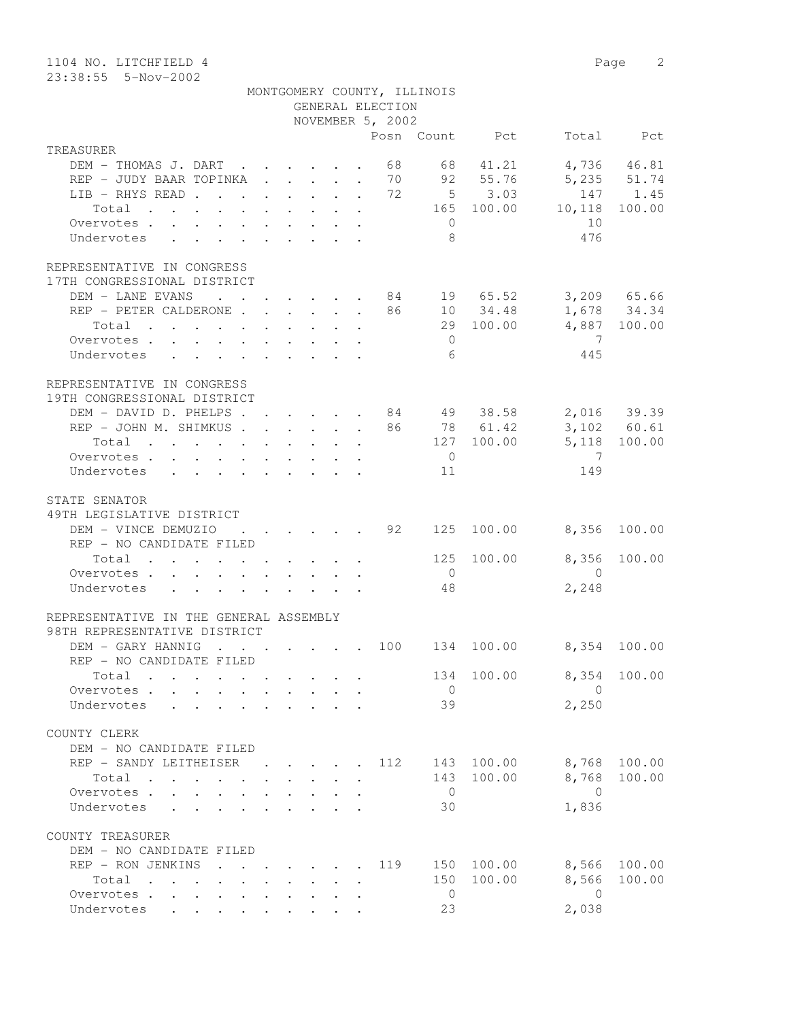| 1104 NO. LITCHFIELD 4                                                                      |                                                                                         |  |                      |                  |                                                        |                |                            | Page 2       |
|--------------------------------------------------------------------------------------------|-----------------------------------------------------------------------------------------|--|----------------------|------------------|--------------------------------------------------------|----------------|----------------------------|--------------|
| 23:38:55  5-Nov-2002                                                                       |                                                                                         |  |                      |                  |                                                        |                |                            |              |
|                                                                                            |                                                                                         |  |                      |                  | MONTGOMERY COUNTY, ILLINOIS                            |                |                            |              |
|                                                                                            |                                                                                         |  |                      | GENERAL ELECTION |                                                        |                |                            |              |
|                                                                                            |                                                                                         |  |                      | NOVEMBER 5, 2002 |                                                        |                |                            |              |
|                                                                                            |                                                                                         |  |                      |                  |                                                        | Posn Count Pct |                            | Total Pct    |
| TREASURER<br>DEM - THOMAS J. DART 68                                                       |                                                                                         |  |                      |                  |                                                        | 68 41.21       |                            | 4,736 46.81  |
|                                                                                            |                                                                                         |  |                      |                  |                                                        |                |                            |              |
| REP - JUDY BAAR TOPINKA 70 92 55.76                                                        |                                                                                         |  |                      |                  |                                                        | $5 \t 3.03$    | 5,235 51.74                | 147 1.45     |
| LIB - RHYS READ 72                                                                         |                                                                                         |  |                      |                  |                                                        |                | $147$<br>165 100.00 10,118 | 100.00       |
| Total<br>Overvotes.                                                                        |                                                                                         |  |                      |                  | $\overline{0}$                                         |                | 10                         |              |
| Undervotes                                                                                 |                                                                                         |  |                      |                  | - 8                                                    |                | 476                        |              |
|                                                                                            |                                                                                         |  |                      |                  |                                                        |                |                            |              |
| REPRESENTATIVE IN CONGRESS                                                                 |                                                                                         |  |                      |                  |                                                        |                |                            |              |
| 17TH CONGRESSIONAL DISTRICT                                                                |                                                                                         |  |                      |                  |                                                        |                |                            |              |
| DEM - LANE EVANS 84 19 65.52 3,209 65.66                                                   |                                                                                         |  |                      |                  |                                                        |                |                            |              |
| REP - PETER CALDERONE 86 10 34.48 1,678 34.34                                              |                                                                                         |  |                      |                  |                                                        |                |                            |              |
| Total                                                                                      |                                                                                         |  |                      |                  |                                                        |                | 29 100.00 4,887 100.00     |              |
| Overvotes                                                                                  |                                                                                         |  |                      |                  | $\overline{0}$                                         |                | $\overline{7}$             |              |
| Undervotes                                                                                 |                                                                                         |  |                      |                  | 6                                                      |                | 445                        |              |
|                                                                                            |                                                                                         |  |                      |                  |                                                        |                |                            |              |
| REPRESENTATIVE IN CONGRESS                                                                 |                                                                                         |  |                      |                  |                                                        |                |                            |              |
| 19TH CONGRESSIONAL DISTRICT                                                                |                                                                                         |  |                      |                  |                                                        |                |                            |              |
| DEM - DAVID D. PHELPS 84 49 38.58 2,016 39.39                                              |                                                                                         |  |                      |                  |                                                        |                |                            |              |
| REP - JOHN M. SHIMKUS 86 78 61.42 3,102 60.61                                              |                                                                                         |  |                      |                  |                                                        |                |                            |              |
| Total 127 100.00 5,118 100.00                                                              |                                                                                         |  |                      |                  |                                                        |                |                            |              |
| Overvotes                                                                                  |                                                                                         |  |                      |                  | $\overline{0}$                                         |                | $\overline{7}$             |              |
| Undervotes                                                                                 |                                                                                         |  |                      |                  | 11                                                     |                | 149                        |              |
| STATE SENATOR<br>49TH LEGISLATIVE DISTRICT                                                 |                                                                                         |  |                      |                  |                                                        |                |                            |              |
| DEM - VINCE DEMUZIO<br>REP - NO CANDIDATE FILED                                            |                                                                                         |  |                      |                  | $\cdot$ $\cdot$ $\cdot$ $\cdot$ $\cdot$ $\cdot$ 92 125 | 100.00         | 8,356 100.00               |              |
| Total $\cdot$                                                                              |                                                                                         |  |                      |                  | 125                                                    | 100.00         | 8,356                      | 100.00       |
| Overvotes.                                                                                 |                                                                                         |  |                      |                  | $\overline{0}$                                         |                | $\sim$ 0                   |              |
| Undervotes                                                                                 |                                                                                         |  |                      |                  | 48                                                     |                | 2,248                      |              |
| REPRESENTATIVE IN THE GENERAL ASSEMBLY                                                     |                                                                                         |  |                      |                  |                                                        |                |                            |              |
| 98TH REPRESENTATIVE DISTRICT                                                               |                                                                                         |  |                      |                  |                                                        |                |                            |              |
| DEM - GARY HANNIG 100 134                                                                  |                                                                                         |  |                      |                  |                                                        | 100.00         |                            | 8,354 100.00 |
| REP - NO CANDIDATE FILED                                                                   |                                                                                         |  |                      |                  |                                                        |                |                            |              |
| Total                                                                                      |                                                                                         |  |                      |                  | 134                                                    | 100.00         | 8,354                      | 100.00       |
| Overvotes.                                                                                 |                                                                                         |  |                      |                  | $\overline{0}$                                         |                | $\overline{0}$             |              |
| Undervotes                                                                                 |                                                                                         |  |                      |                  | 39                                                     |                | 2,250                      |              |
|                                                                                            |                                                                                         |  |                      |                  |                                                        |                |                            |              |
| COUNTY CLERK                                                                               |                                                                                         |  |                      |                  |                                                        |                |                            |              |
| DEM - NO CANDIDATE FILED<br>REP - SANDY LEITHEISER 112 143 100.00 8,768 100.00             |                                                                                         |  |                      |                  |                                                        |                |                            |              |
| Total                                                                                      |                                                                                         |  |                      |                  | 143                                                    | 100.00         | 8,768                      | 100.00       |
| Overvotes                                                                                  |                                                                                         |  |                      |                  | $\overline{0}$                                         |                | $\bigcirc$                 |              |
| Undervotes                                                                                 |                                                                                         |  |                      |                  | 30                                                     |                | 1,836                      |              |
|                                                                                            |                                                                                         |  |                      |                  |                                                        |                |                            |              |
| COUNTY TREASURER                                                                           |                                                                                         |  |                      |                  |                                                        |                |                            |              |
| DEM - NO CANDIDATE FILED                                                                   |                                                                                         |  |                      |                  |                                                        |                |                            |              |
| REP - RON JENKINS<br>$\mathbf{r}$ , and $\mathbf{r}$ , and $\mathbf{r}$ , and $\mathbf{r}$ |                                                                                         |  |                      | 119              |                                                        |                | 150 100.00 8,566 100.00    |              |
| Total                                                                                      | $\mathbf{r}$ , $\mathbf{r}$ , $\mathbf{r}$ , $\mathbf{r}$ , $\mathbf{r}$ , $\mathbf{r}$ |  | $\ddot{\phantom{a}}$ |                  |                                                        | 150 100.00     | 8,566                      | 100.00       |
| Overvotes.                                                                                 |                                                                                         |  |                      |                  | $\overline{0}$<br>23                                   |                | $\overline{0}$             |              |
| Undervotes                                                                                 |                                                                                         |  |                      |                  |                                                        |                | 2,038                      |              |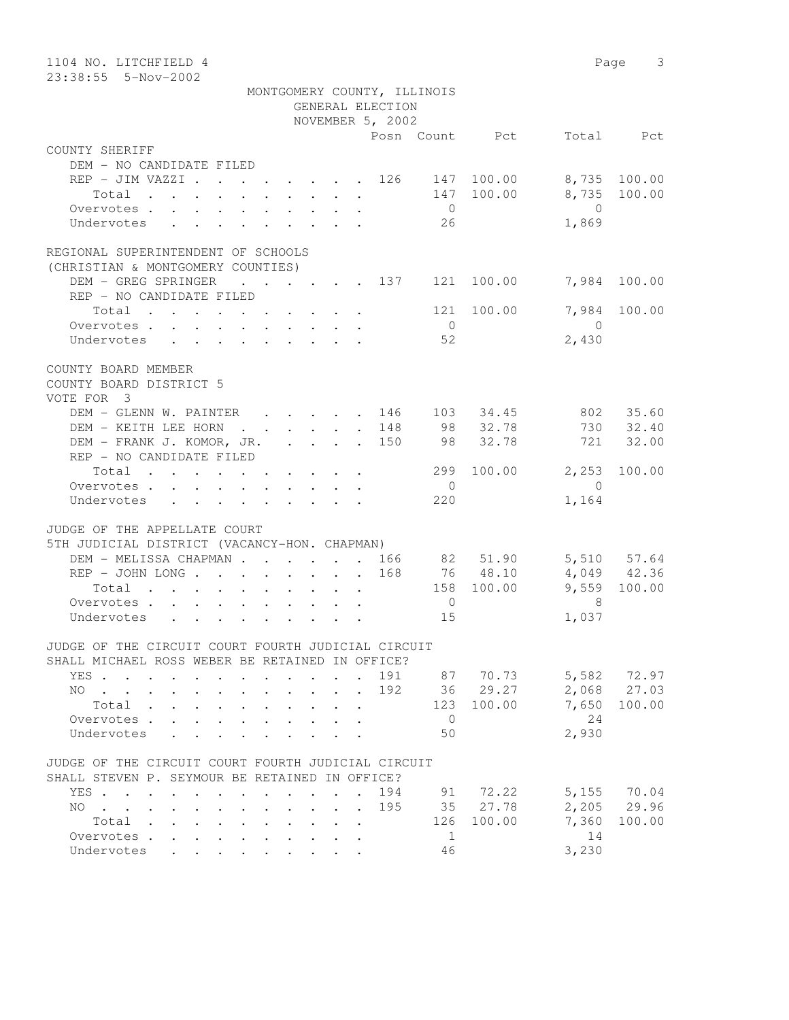| 23:38:55  5-Nov-2002                                                                                                                               |        |
|----------------------------------------------------------------------------------------------------------------------------------------------------|--------|
| MONTGOMERY COUNTY, ILLINOIS                                                                                                                        |        |
| GENERAL ELECTION                                                                                                                                   |        |
| NOVEMBER 5, 2002                                                                                                                                   |        |
| Total Pct<br>Posn Count Pct                                                                                                                        |        |
| COUNTY SHERIFF                                                                                                                                     |        |
| DEM - NO CANDIDATE FILED                                                                                                                           |        |
| REP - JIM VAZZI 126 147 100.00<br>8,735 100.00                                                                                                     |        |
| 8,735 100.00<br>147 100.00<br>Total                                                                                                                |        |
| $\overline{0}$<br>$\overline{0}$<br>Overvotes.                                                                                                     |        |
| 26<br>Undervotes<br>1,869                                                                                                                          |        |
|                                                                                                                                                    |        |
| REGIONAL SUPERINTENDENT OF SCHOOLS                                                                                                                 |        |
| (CHRISTIAN & MONTGOMERY COUNTIES)<br>$\cdot$ $\cdot$ $\cdot$ $\cdot$ $\cdot$ $\cdot$ $\cdot$ 137 121 100.00<br>DEM - GREG SPRINGER<br>7,984 100.00 |        |
| REP - NO CANDIDATE FILED                                                                                                                           |        |
| 121 100.00<br>7,984 100.00<br>Total                                                                                                                |        |
| $\overline{0}$<br>$\bigcirc$<br>Overvotes.                                                                                                         |        |
| 52<br>2,430<br>Undervotes<br>$\mathbf{r}$ , and $\mathbf{r}$ , and $\mathbf{r}$ , and $\mathbf{r}$ , and $\mathbf{r}$                              |        |
|                                                                                                                                                    |        |
| COUNTY BOARD MEMBER                                                                                                                                |        |
| COUNTY BOARD DISTRICT 5                                                                                                                            |        |
| VOTE FOR 3                                                                                                                                         |        |
| 802 35.60<br>DEM - GLENN W. PAINTER<br>103 34.45<br>$\cdot$ $\cdot$ $\cdot$ $\cdot$ $\cdot$ 146                                                    |        |
| 98 32.78<br>730 32.40<br>DEM - KEITH LEE HORN 148                                                                                                  |        |
| DEM - FRANK J. KOMOR, JR. 150<br>32.78<br>721<br>98                                                                                                | 32.00  |
| REP - NO CANDIDATE FILED                                                                                                                           |        |
| 299 100.00 2,253 100.00<br>Total                                                                                                                   |        |
| $\overline{0}$<br>$\overline{0}$<br>Overvotes.                                                                                                     |        |
| 220<br>1,164<br>Undervotes                                                                                                                         |        |
| JUDGE OF THE APPELLATE COURT                                                                                                                       |        |
| 5TH JUDICIAL DISTRICT (VACANCY-HON. CHAPMAN)                                                                                                       |        |
| DEM - MELISSA CHAPMAN 166 82 51.90<br>5,510 57.64                                                                                                  |        |
| 76 48.10<br>4,049 42.36<br>REP - JOHN LONG 168                                                                                                     |        |
| $9,559$ 100.00<br>158 100.00<br>Total                                                                                                              |        |
| - 8<br>Overvotes.<br>$\overline{0}$                                                                                                                |        |
| Undervotes<br>15<br>1,037                                                                                                                          |        |
|                                                                                                                                                    |        |
| JUDGE OF THE CIRCUIT COURT FOURTH JUDICIAL CIRCUIT                                                                                                 |        |
| SHALL MICHAEL ROSS WEBER BE RETAINED IN OFFICE?                                                                                                    |        |
| 191<br>5,582<br>72.97<br>87 70.73<br>YES .                                                                                                         |        |
| 36 29.27<br>2,068<br>27.03<br>192<br>NO.<br>$\ddot{\phantom{a}}$                                                                                   |        |
| 100.00<br>7,650<br>123<br>100.00<br>Total                                                                                                          |        |
| 24<br>Overvotes .<br>$\overline{0}$                                                                                                                |        |
| 2,930<br>50<br>Undervotes                                                                                                                          |        |
|                                                                                                                                                    |        |
| JUDGE OF THE CIRCUIT COURT FOURTH JUDICIAL CIRCUIT<br>SHALL STEVEN P. SEYMOUR BE RETAINED IN OFFICE?                                               |        |
| 72.22<br>5,155<br>70.04<br>YES .<br>194<br>91<br>$\overline{\phantom{a}}$                                                                          |        |
| 2,205<br>29.96<br>195<br>35 27.78<br>NO.<br>$\mathbf{r}$ , $\mathbf{r}$<br>$\ddot{\phantom{a}}$                                                    |        |
| 126<br>100.00<br>7,360<br>Total .                                                                                                                  | 100.00 |
| 14<br>Overvotes .<br>1                                                                                                                             |        |
| 3,230<br>46<br>Undervotes                                                                                                                          |        |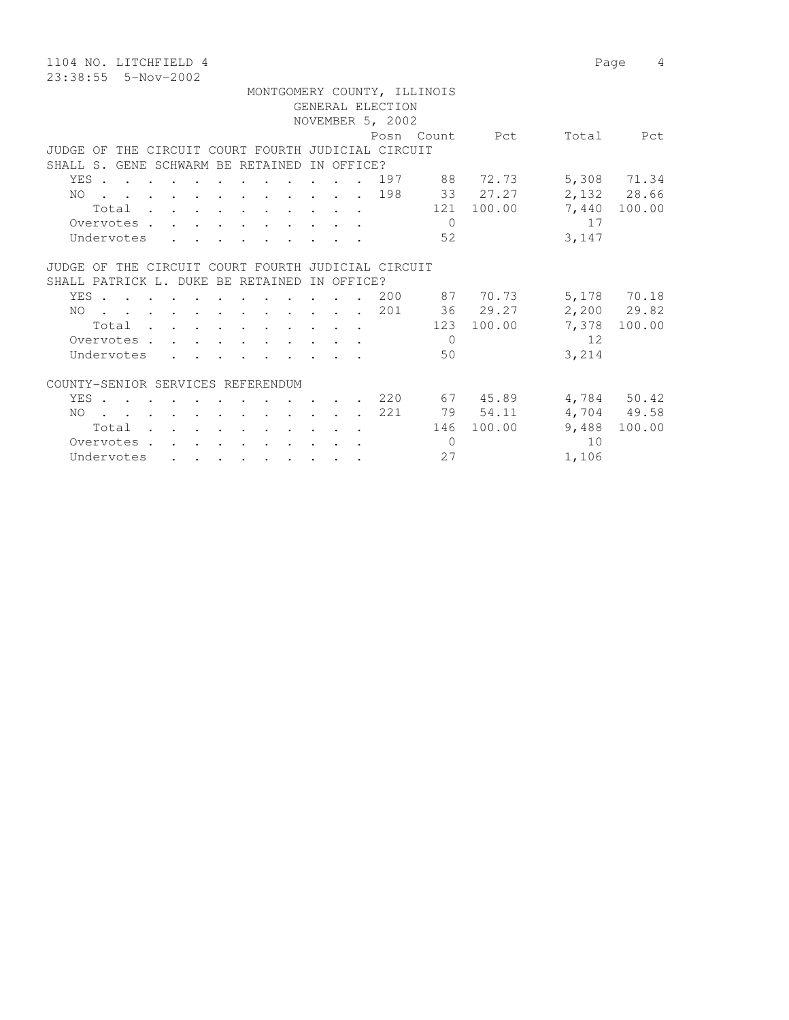1104 NO. LITCHFIELD 4 Page 4 23:38:55 5-Nov-2002

 MONTGOMERY COUNTY, ILLINOIS GENERAL ELECTION NOVEMBER 5, 2002 Posn Count Pct Total Pct JUDGE OF THE CIRCUIT COURT FOURTH JUDICIAL CIRCUIT SHALL S. GENE SCHWARM BE RETAINED IN OFFICE? YES . . . . . . . . . . . . 197 88 72.73 5,308 71.34 NO . . . . . . . . . . . . 198 33 27.27 2,132 28.66 Total . . . . . . . . . . 121 100.00 7,440 100.00 Overvotes . . . . . . . . . . . 0 17 Undervotes . . . . . . . . . . 52 3,147 JUDGE OF THE CIRCUIT COURT FOURTH JUDICIAL CIRCUIT SHALL PATRICK L. DUKE BE RETAINED IN OFFICE? YES . . . . . . . . . . . 200 87 70.73 5,178 70.18 NO . . . . . . . . . . . . 201 36 29.27 2,200 29.82 Total . . . . . . . . . . 123 100.00 7,378 100.00 Total . . . . . . . . . . . . . . . 123 100.00 7,378<br>Overvotes . . . . . . . . . . 0 12<br>Undervotes . . . . . . . . . . 50 3,214 Undervotes . . . . . . . . 50 3,214

## COUNTY-SENIOR SERVICES REFERENDUM

|            |  |  |  |  |  | YES 220 |     | 67 45.89   |       | 4,784 50.42  |
|------------|--|--|--|--|--|---------|-----|------------|-------|--------------|
|            |  |  |  |  |  | NO 221  |     | 79 54.11   |       | 4,704 49.58  |
| Total      |  |  |  |  |  |         |     | 146 100.00 |       | 9,488 100.00 |
| Overvotes. |  |  |  |  |  |         | ( ) |            | - 1 O |              |
| Undervotes |  |  |  |  |  |         | 2.7 |            | 1,106 |              |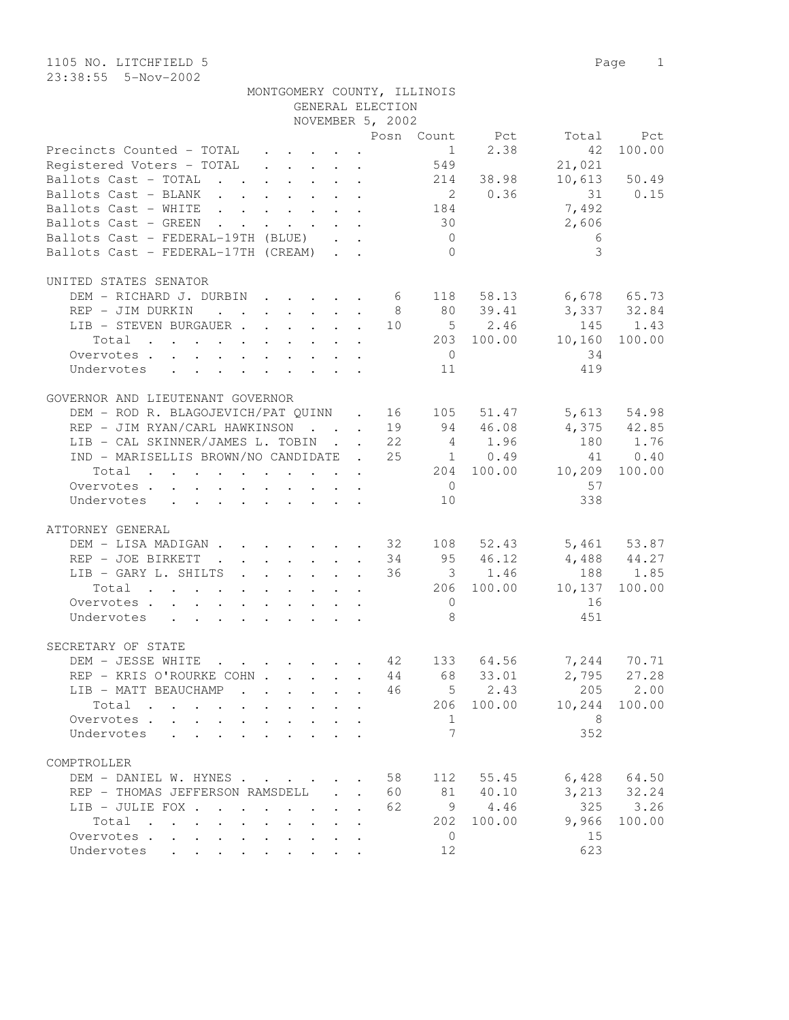1105 NO. LITCHFIELD 5 Page 1 23:38:55 5-Nov-2002

| MONTGOMERY COUNTY, ILLINOIS |                  |  |
|-----------------------------|------------------|--|
|                             | GENERAL ELECTION |  |

|                                                                                                                          |              |                           | NOVEMBER 5, 2002     |                |                |                                                                                        |               |
|--------------------------------------------------------------------------------------------------------------------------|--------------|---------------------------|----------------------|----------------|----------------|----------------------------------------------------------------------------------------|---------------|
|                                                                                                                          |              |                           |                      |                | Posn Count Pct |                                                                                        | Total Pct     |
| Precincts Counted - TOTAL<br>Registered Voters - TOTAL                                                                   |              |                           |                      |                | $1 \t 2.38$    | 42                                                                                     | 100.00        |
|                                                                                                                          |              |                           |                      | 549            |                | 21,021                                                                                 |               |
| Ballots Cast - TOTAL 214 38.98                                                                                           |              |                           |                      |                |                |                                                                                        | 10,613 50.49  |
| Ballots Cast - BLANK 2 0.36 31 0.15                                                                                      |              |                           |                      |                |                |                                                                                        |               |
| Ballots Cast - WHITE 184                                                                                                 |              |                           |                      |                |                | 7,492                                                                                  |               |
| Ballots Cast - GREEN                                                                                                     |              |                           |                      | 30             |                | 2,606                                                                                  |               |
| Ballots Cast - FEDERAL-19TH (BLUE)                                                                                       |              |                           |                      | $\overline{0}$ |                | 6                                                                                      |               |
|                                                                                                                          |              |                           |                      |                |                |                                                                                        |               |
| Ballots Cast - FEDERAL-17TH (CREAM)                                                                                      |              |                           |                      | $\overline{0}$ |                | 3                                                                                      |               |
| UNITED STATES SENATOR                                                                                                    |              |                           |                      |                |                |                                                                                        |               |
| DEM - RICHARD J. DURBIN 6 118 58.13                                                                                      |              |                           |                      |                |                | 6,678 65.73                                                                            |               |
| REP - JIM DURKIN                                                                                                         |              |                           |                      |                | 8 80 39.41     | 3,337 32.84                                                                            |               |
| LIB - STEVEN BURGAUER                                                                                                    |              |                           |                      |                |                | 10 5 2.46 145 1.43                                                                     |               |
|                                                                                                                          |              |                           |                      |                |                |                                                                                        | 100.00        |
| $\cdot$ 203 100.00 10,160<br>Total                                                                                       |              |                           |                      |                |                |                                                                                        |               |
| Overvotes                                                                                                                |              |                           |                      | $\overline{0}$ |                | 34                                                                                     |               |
| Undervotes                                                                                                               |              |                           |                      | 11             |                | 419                                                                                    |               |
| GOVERNOR AND LIEUTENANT GOVERNOR                                                                                         |              |                           |                      |                |                |                                                                                        |               |
| DEM - ROD R. BLAGOJEVICH/PAT QUINN . 16 105                                                                              |              |                           |                      |                | 51.47          |                                                                                        | 5,613 54.98   |
| REP - JIM RYAN/CARL HAWKINSON 19 94 46.08                                                                                |              |                           |                      |                |                | 4,375 42.85                                                                            |               |
| LIB - CAL SKINNER/JAMES L. TOBIN 22 4 1.96                                                                               |              |                           |                      |                |                | 180 1.76                                                                               |               |
|                                                                                                                          |              |                           |                      |                |                |                                                                                        |               |
| IND - MARISELLIS BROWN/NO CANDIDATE . 25 1 0.49                                                                          |              |                           |                      |                |                |                                                                                        | 41 0.40       |
| Total 204 100.00 10,209 100.00                                                                                           |              |                           |                      |                |                |                                                                                        |               |
| Overvotes                                                                                                                |              |                           |                      | $\overline{0}$ |                | 57                                                                                     |               |
| Undervotes                                                                                                               |              |                           |                      | 10             |                | 338                                                                                    |               |
| ATTORNEY GENERAL                                                                                                         |              |                           |                      |                |                |                                                                                        |               |
| DEM - LISA MADIGAN 32 108 52.43 5,461 53.87                                                                              |              |                           |                      |                |                |                                                                                        |               |
| REP - JOE BIRKETT 34 95 46.12                                                                                            |              |                           |                      |                |                | $4,488$ $44.27$                                                                        |               |
| LIB - GARY L. SHILTS                                                                                                     |              |                           |                      |                | 36 3 1.46      |                                                                                        | 188 1.85      |
|                                                                                                                          |              |                           |                      |                |                |                                                                                        |               |
| the contract of the contract of the contract of the contract of the contract of the contract of the contract of<br>Total |              |                           |                      |                |                | 206 100.00 10,137                                                                      | 100.00        |
| Overvotes                                                                                                                |              |                           |                      | $\overline{0}$ |                | 16                                                                                     |               |
| Undervotes                                                                                                               |              |                           |                      | 8              |                | 451                                                                                    |               |
| SECRETARY OF STATE                                                                                                       |              |                           |                      |                |                |                                                                                        |               |
| DEM - JESSE WHITE                                                                                                        |              |                           |                      |                |                | $\cdot \cdot \cdot \cdot \cdot \cdot \cdot \cdot \cdot \cdot 42$ 133 64.56 7,244 70.71 |               |
| REP - KRIS O'ROURKE COHN 44 68                                                                                           |              |                           |                      |                | 33.01          |                                                                                        | $2,795$ 27.28 |
|                                                                                                                          |              |                           |                      |                |                | $\cdot$ 46 5 2.43 205 2.00                                                             |               |
| LIB - MATT BEAUCHAMP                                                                                                     |              |                           |                      |                |                |                                                                                        |               |
| Total                                                                                                                    |              |                           |                      |                | 206 100.00     | 10,244                                                                                 | 100.00        |
| Overvotes.                                                                                                               |              |                           |                      | 1              |                | 8                                                                                      |               |
| Undervotes                                                                                                               |              |                           |                      | 7              |                | 352                                                                                    |               |
| COMPTROLLER                                                                                                              |              |                           |                      |                |                |                                                                                        |               |
|                                                                                                                          |              |                           |                      |                |                |                                                                                        |               |
| DEM - DANIEL W. HYNES                                                                                                    |              |                           | 58                   | 112            | 55.45          | 6,428                                                                                  | 64.50         |
| REP - THOMAS JEFFERSON RAMSDELL                                                                                          |              |                           | 60                   | 81             | 40.10          | 3,213                                                                                  | 32.24         |
| LIB - JULIE FOX                                                                                                          |              | $\mathbf{L}$              | 62<br>$\mathbf{r}$   |                | 9 4.46         | 325                                                                                    | 3.26          |
| Total                                                                                                                    | $\mathbf{L}$ | $\mathbf{r} = \mathbf{r}$ | $\cdot$              | 202            | 100.00         | 9,966                                                                                  | 100.00        |
| Overvotes.                                                                                                               |              |                           | $\ddot{\phantom{a}}$ | $\overline{0}$ |                | 15                                                                                     |               |
| Undervotes                                                                                                               |              |                           |                      | 12             |                | 623                                                                                    |               |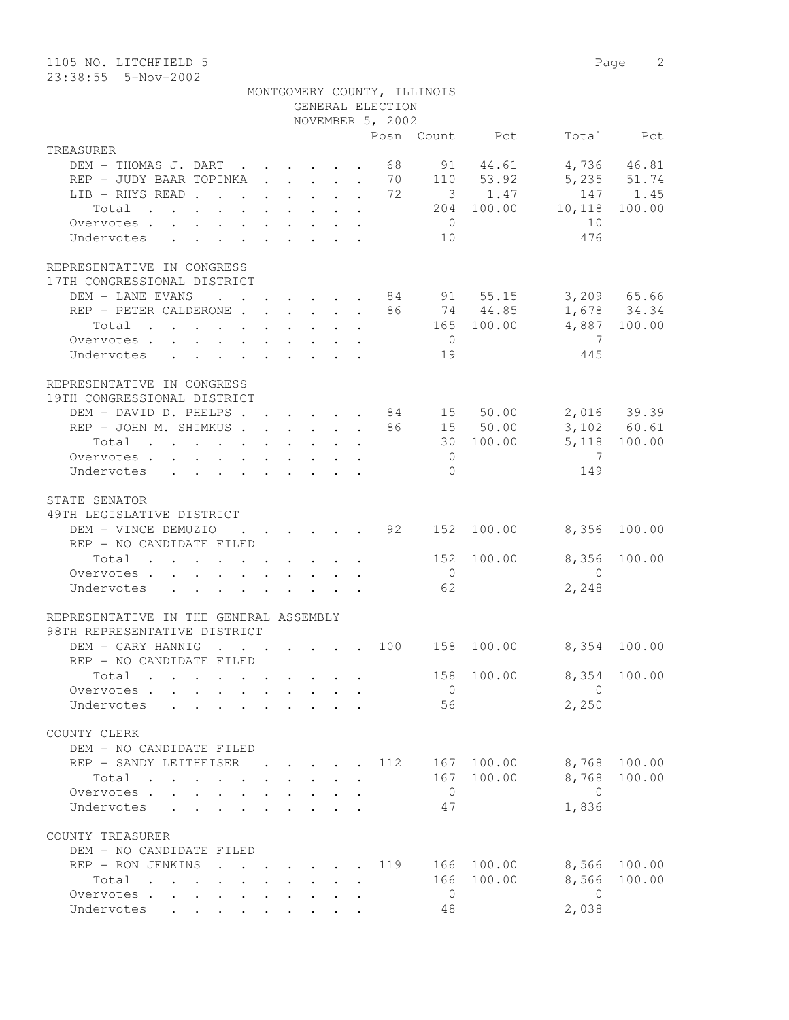| 1105 NO. LITCHFIELD 5<br>23:38:55 5-Nov-2002                                                      |                                                                 |                                            |                                            |              |                  |                             |                        |                | Page<br>2    |
|---------------------------------------------------------------------------------------------------|-----------------------------------------------------------------|--------------------------------------------|--------------------------------------------|--------------|------------------|-----------------------------|------------------------|----------------|--------------|
|                                                                                                   |                                                                 |                                            |                                            |              | GENERAL ELECTION | MONTGOMERY COUNTY, ILLINOIS |                        |                |              |
|                                                                                                   |                                                                 |                                            |                                            |              | NOVEMBER 5, 2002 |                             | Posn Count Pct         |                | Total Pct    |
| TREASURER                                                                                         |                                                                 |                                            |                                            |              |                  |                             |                        |                |              |
| DEM - THOMAS J. DART                                                                              |                                                                 |                                            |                                            |              | 68               |                             | 91 44.61               |                | 4,736 46.81  |
| REP - JUDY BAAR TOPINKA 70 110 53.92                                                              |                                                                 |                                            |                                            |              |                  |                             |                        |                | 5,235 51.74  |
| LIB - RHYS READ                                                                                   |                                                                 |                                            |                                            | $\mathbf{L}$ | 72               |                             | 3 1.47                 |                | 147 1.45     |
| Total<br>the contract of the contract of the contract of                                          |                                                                 |                                            |                                            |              |                  |                             | 204 100.00             | 10,118         | 100.00       |
| Overvotes                                                                                         |                                                                 |                                            |                                            |              |                  | $\overline{0}$              |                        | 10             |              |
| Undervotes                                                                                        |                                                                 |                                            |                                            |              |                  | 10                          |                        | 476            |              |
| REPRESENTATIVE IN CONGRESS                                                                        |                                                                 |                                            |                                            |              |                  |                             |                        |                |              |
| 17TH CONGRESSIONAL DISTRICT                                                                       |                                                                 |                                            |                                            |              |                  |                             |                        |                |              |
| DEM - LANE EVANS                                                                                  | $\cdot$ $\cdot$ $\cdot$ $\cdot$ $\cdot$ $\cdot$ $\cdot$ $\cdot$ |                                            |                                            |              |                  |                             | . 84 91 55.15          |                | 3,209 65.66  |
| REP - PETER CALDERONE                                                                             |                                                                 |                                            |                                            |              |                  |                             | 86 74 44.85            |                | 1,678 34.34  |
| Total<br>$\mathbf{r}$ , and $\mathbf{r}$ , and $\mathbf{r}$ , and $\mathbf{r}$ , and $\mathbf{r}$ |                                                                 |                                            |                                            |              |                  |                             | 165 100.00             |                | 4,887 100.00 |
| Overvotes                                                                                         |                                                                 |                                            |                                            |              |                  | $\overline{0}$              |                        | $\overline{7}$ |              |
| Undervotes                                                                                        |                                                                 |                                            |                                            |              |                  | 19                          |                        | 445            |              |
| REPRESENTATIVE IN CONGRESS                                                                        |                                                                 |                                            |                                            |              |                  |                             |                        |                |              |
| 19TH CONGRESSIONAL DISTRICT                                                                       |                                                                 |                                            |                                            |              |                  |                             |                        |                |              |
| DEM - DAVID D. PHELPS                                                                             |                                                                 |                                            |                                            |              |                  |                             | . 84 15 50.00          |                | 2,016 39.39  |
| REP - JOHN M. SHIMKUS                                                                             |                                                                 |                                            |                                            |              | 86               |                             | 15 50.00               |                | 3,102 60.61  |
| Total                                                                                             |                                                                 |                                            |                                            |              |                  |                             | 30 100.00              |                | 5,118 100.00 |
| Overvotes                                                                                         |                                                                 |                                            |                                            |              |                  | $\overline{0}$              |                        | 7              |              |
| Undervotes                                                                                        |                                                                 |                                            |                                            |              |                  | $\Omega$                    |                        | 149            |              |
| STATE SENATOR                                                                                     |                                                                 |                                            |                                            |              |                  |                             |                        |                |              |
| 49TH LEGISLATIVE DISTRICT                                                                         |                                                                 |                                            |                                            |              |                  |                             |                        |                |              |
| DEM - VINCE DEMUZIO                                                                               |                                                                 |                                            |                                            |              | 92               | 152                         | 100.00                 | 8,356          | 100.00       |
| REP - NO CANDIDATE FILED                                                                          |                                                                 |                                            |                                            |              |                  |                             |                        |                |              |
| Total<br>$\mathcal{A}$ . The second contribution of the second contribution $\mathcal{A}$         |                                                                 |                                            |                                            |              |                  | 152                         | 100.00                 | 8,356          | 100.00       |
| Overvotes.                                                                                        |                                                                 |                                            |                                            |              |                  | $\overline{0}$              |                        | $\bigcirc$     |              |
| Undervotes                                                                                        |                                                                 |                                            |                                            |              |                  | 62                          |                        | 2,248          |              |
| REPRESENTATIVE IN THE GENERAL ASSEMBLY                                                            |                                                                 |                                            |                                            |              |                  |                             |                        |                |              |
| 98TH REPRESENTATIVE DISTRICT                                                                      |                                                                 |                                            |                                            |              |                  |                             |                        |                |              |
| DEM - GARY HANNIG .                                                                               |                                                                 |                                            |                                            |              |                  |                             | $\cdot$ 100 158 100.00 |                | 8,354 100.00 |
| REP - NO CANDIDATE FILED                                                                          |                                                                 |                                            |                                            |              |                  |                             |                        |                |              |
| Total                                                                                             |                                                                 |                                            |                                            |              |                  | 158                         | 100.00                 |                | 8,354 100.00 |
| Overvotes                                                                                         |                                                                 |                                            |                                            |              |                  | $\overline{0}$              |                        | $\overline{0}$ |              |
| Undervotes                                                                                        |                                                                 |                                            |                                            |              |                  | 56                          |                        | 2,250          |              |
| COUNTY CLERK                                                                                      |                                                                 |                                            |                                            |              |                  |                             |                        |                |              |
| DEM - NO CANDIDATE FILED                                                                          |                                                                 |                                            |                                            |              |                  |                             |                        |                |              |
| REP - SANDY LEITHEISER 112 167 100.00                                                             |                                                                 |                                            |                                            |              |                  |                             |                        |                | 8,768 100.00 |
| Total                                                                                             |                                                                 |                                            | $\mathbf{r} = \mathbf{r} \cdot \mathbf{r}$ |              |                  |                             | 167 100.00             |                | 8,768 100.00 |
| Overvotes.                                                                                        |                                                                 | $\mathbf{r}$ , $\mathbf{r}$ , $\mathbf{r}$ |                                            |              |                  | $\overline{0}$              |                        | $\overline{0}$ |              |
| Undervotes                                                                                        |                                                                 |                                            |                                            |              |                  | 47                          |                        | 1,836          |              |
| COUNTY TREASURER                                                                                  |                                                                 |                                            |                                            |              |                  |                             |                        |                |              |
| DEM - NO CANDIDATE FILED                                                                          |                                                                 |                                            |                                            |              |                  |                             |                        |                |              |
| REP - RON JENKINS                                                                                 |                                                                 |                                            |                                            |              | . 119            |                             | 166 100.00             |                | 8,566 100.00 |
| Total                                                                                             |                                                                 |                                            |                                            |              |                  |                             | 166 100.00             | 8,566          | 100.00       |
| Overvotes                                                                                         |                                                                 |                                            |                                            |              |                  | $\overline{0}$              |                        | $\overline{0}$ |              |
| Undervotes                                                                                        |                                                                 |                                            |                                            |              |                  | 48                          |                        | 2,038          |              |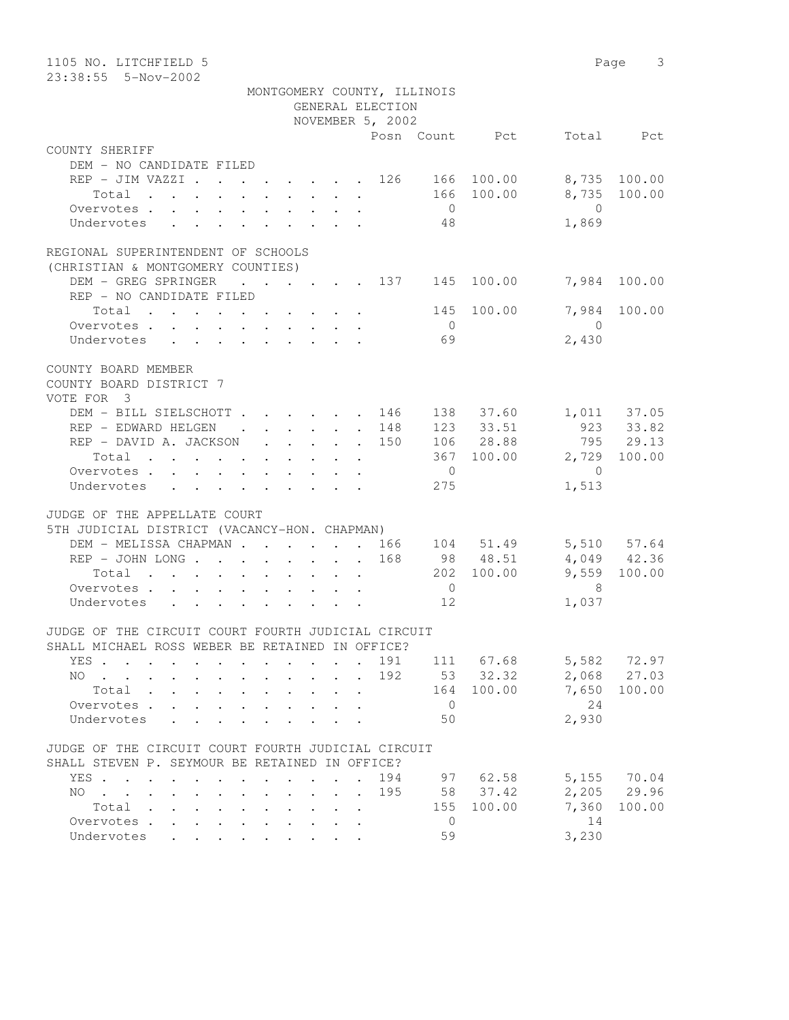| 1105 NO. LITCHFIELD 5<br>23:38:55  5-Nov-2002                                                                                                                                                                                                |                  |                            | Page 3       |
|----------------------------------------------------------------------------------------------------------------------------------------------------------------------------------------------------------------------------------------------|------------------|----------------------------|--------------|
| MONTGOMERY COUNTY, ILLINOIS                                                                                                                                                                                                                  |                  |                            |              |
| GENERAL ELECTION                                                                                                                                                                                                                             |                  |                            |              |
| NOVEMBER 5, 2002                                                                                                                                                                                                                             |                  |                            |              |
|                                                                                                                                                                                                                                              |                  | Posn Count Pct             | Total Pct    |
| COUNTY SHERIFF                                                                                                                                                                                                                               |                  |                            |              |
| DEM - NO CANDIDATE FILED                                                                                                                                                                                                                     |                  |                            |              |
| REP - JIM VAZZI 126 166 100.00                                                                                                                                                                                                               |                  |                            | 8,735 100.00 |
| Total                                                                                                                                                                                                                                        |                  | 166 100.00                 | 8,735 100.00 |
| Overvotes                                                                                                                                                                                                                                    | $\overline{0}$   | $\overline{0}$             |              |
| Undervotes                                                                                                                                                                                                                                   | 48               | 1,869                      |              |
|                                                                                                                                                                                                                                              |                  |                            |              |
| REGIONAL SUPERINTENDENT OF SCHOOLS                                                                                                                                                                                                           |                  |                            |              |
| (CHRISTIAN & MONTGOMERY COUNTIES)                                                                                                                                                                                                            |                  |                            |              |
| $\cdot$ 137 145 100.00 7,984 100.00<br>DEM - GREG SPRINGER                                                                                                                                                                                   |                  |                            |              |
| REP - NO CANDIDATE FILED                                                                                                                                                                                                                     |                  |                            |              |
| Total $\cdot$                                                                                                                                                                                                                                |                  | 145 100.00                 | 7,984 100.00 |
| Overvotes                                                                                                                                                                                                                                    | $\overline{0}$   | $\overline{0}$             |              |
| Undervotes                                                                                                                                                                                                                                   | 69               | 2,430                      |              |
| COUNTY BOARD MEMBER                                                                                                                                                                                                                          |                  |                            |              |
| COUNTY BOARD DISTRICT 7                                                                                                                                                                                                                      |                  |                            |              |
| VOTE FOR 3                                                                                                                                                                                                                                   |                  |                            |              |
| DEM - BILL SIELSCHOTT 146 138 37.60 1,011 37.05                                                                                                                                                                                              |                  |                            |              |
| REP - EDWARD HELGEN 148                                                                                                                                                                                                                      |                  | 123 33.51                  | 923 33.82    |
| REP - DAVID A. JACKSON 150                                                                                                                                                                                                                   |                  | 106 28.88                  | 795 29.13    |
|                                                                                                                                                                                                                                              |                  | 367 100.00                 | 2,729 100.00 |
| Total                                                                                                                                                                                                                                        | $\overline{0}$   |                            |              |
| Overvotes                                                                                                                                                                                                                                    |                  | $\overline{0}$             |              |
| Undervotes                                                                                                                                                                                                                                   | 275              | 1,513                      |              |
| JUDGE OF THE APPELLATE COURT                                                                                                                                                                                                                 |                  |                            |              |
| 5TH JUDICIAL DISTRICT (VACANCY-HON. CHAPMAN)                                                                                                                                                                                                 |                  |                            |              |
| DEM - MELISSA CHAPMAN 166 104 51.49 5,510 57.64                                                                                                                                                                                              |                  |                            |              |
| REP - JOHN LONG 168 98 48.51 4,049 42.36                                                                                                                                                                                                     |                  |                            |              |
| Total $\cdot$                                                                                                                                                                                                                                |                  | 202 100.00                 | 9,559 100.00 |
| Overvotes.                                                                                                                                                                                                                                   | $\overline{0}$   | $\overline{\phantom{1}}$ 8 |              |
| Undervotes                                                                                                                                                                                                                                   | 12               | 1,037                      |              |
|                                                                                                                                                                                                                                              |                  |                            |              |
| JUDGE OF THE CIRCUIT COURT FOURTH JUDICIAL CIRCUIT                                                                                                                                                                                           |                  |                            |              |
| SHALL MICHAEL ROSS WEBER BE RETAINED IN OFFICE?                                                                                                                                                                                              |                  |                            |              |
| YES<br>$\sim$                                                                                                                                                                                                                                | 191<br>111 67.68 |                            | 5,582 72.97  |
| NO.<br><u>in the contract of the contract of the contract of the contract of the contract of the contract of the contract of the contract of the contract of the contract of the contract of the contract of the contract of the contra</u>  | 53 32.32<br>192  |                            | 2,068 27.03  |
| Total                                                                                                                                                                                                                                        | 164              | 100.00<br>7,650            | 100.00       |
| Overvotes                                                                                                                                                                                                                                    | $\overline{0}$   |                            | 24           |
| Undervotes                                                                                                                                                                                                                                   | 50               | 2,930                      |              |
|                                                                                                                                                                                                                                              |                  |                            |              |
| JUDGE OF THE CIRCUIT COURT FOURTH JUDICIAL CIRCUIT                                                                                                                                                                                           |                  |                            |              |
| SHALL STEVEN P. SEYMOUR BE RETAINED IN OFFICE?                                                                                                                                                                                               |                  |                            |              |
| YES.                                                                                                                                                                                                                                         | 194              | 97 62.58                   | 5,155 70.04  |
| NO.<br>$\mathbf{a}$ and $\mathbf{a}$ are a set of the set of the set of the set of the set of the set of the set of the set of the set of the set of the set of the set of the set of the set of the set of the set of the set of the set of | 195<br>58 37.42  |                            | 2,205 29.96  |
| Total                                                                                                                                                                                                                                        | 155              | 7,360<br>100.00            | 100.00       |
| Overvotes                                                                                                                                                                                                                                    | $\overline{0}$   |                            | 14           |
| Undervotes                                                                                                                                                                                                                                   | 59               | 3,230                      |              |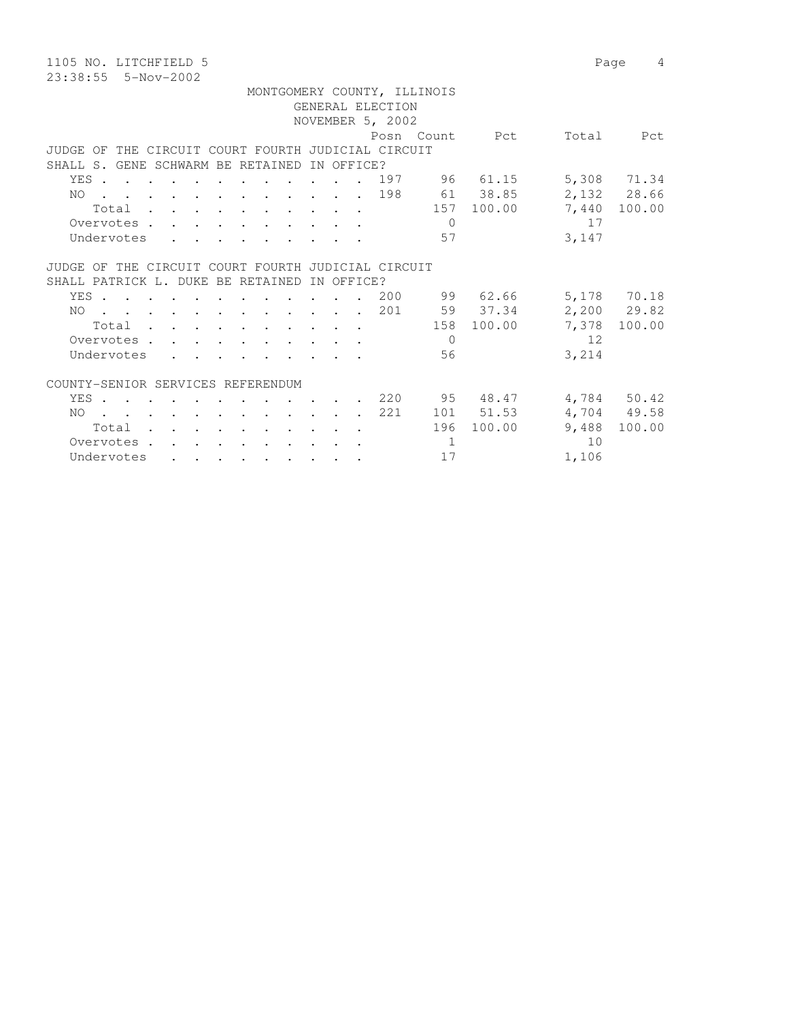1105 NO. LITCHFIELD 5 Page 4 23:38:55 5-Nov-2002

 MONTGOMERY COUNTY, ILLINOIS GENERAL ELECTION NOVEMBER 5, 2002 Posn Count Pct Total Pct JUDGE OF THE CIRCUIT COURT FOURTH JUDICIAL CIRCUIT SHALL S. GENE SCHWARM BE RETAINED IN OFFICE? YES . . . . . . . . . . . . 197 96 61.15 5,308 71.34 NO . . . . . . . . . . . . 198 61 38.85 2,132 28.66 Total . . . . . . . . . . 157 100.00 7,440 100.00 Overvotes . . . . . . . . . . . 0 17 Undervotes . . . . . . . . . 57 3,147 JUDGE OF THE CIRCUIT COURT FOURTH JUDICIAL CIRCUIT SHALL PATRICK L. DUKE BE RETAINED IN OFFICE? YES . . . . . . . . . . . . 200 99 62.66 5,178 70.18<br>NO . . . . . . . . . . . . 201 59 37.34 2,200 29.82<br>Total . . . . . . . . . 158 100.00 7,378 100.00 NO . . . . . . . . . . . . 201 59 37.34<br>Total . . . . . . . . . . 158 100.00  $\begin{tabular}{cccccccccccccc} Total & . & . & . & . & . & . & . & . & . & . & .\\ \end{tabular}$ Overvotes . . . . . . . . . . 0 12 Undervotes . . . . . . . . . 56 3,214 COUNTY-SENIOR SERVICES REFERENDUM YES . . . . . . . . . . . . 220 95 48.47 4,784 50.42 NO . . . . . . . . . . 221 101 51.53 4,704 49.58

Total . . . . . . . . . . 196 100.00 9,488 100.00

Overvotes . . . . . . . . . . . 1 10 Undervotes . . . . . . . . . . 17 1,106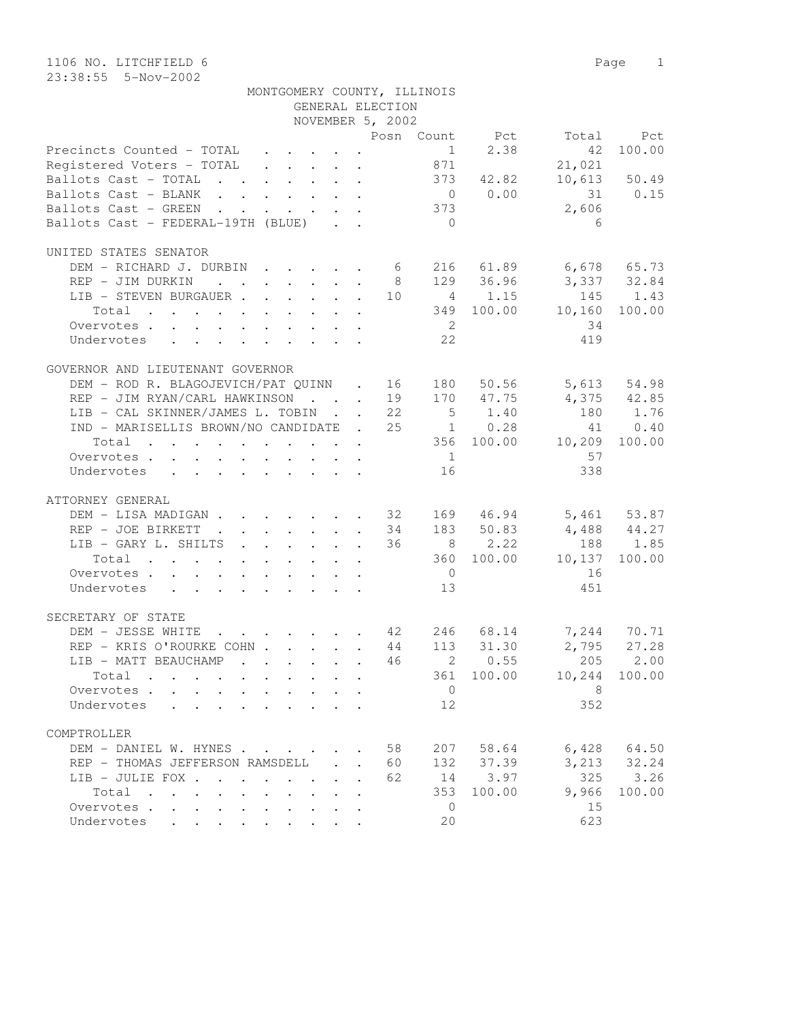|                                                                                                           | MONTGOMERY COUNTY, ILLINOIS                                                             |                  |                |                 |                                  |                 |
|-----------------------------------------------------------------------------------------------------------|-----------------------------------------------------------------------------------------|------------------|----------------|-----------------|----------------------------------|-----------------|
|                                                                                                           |                                                                                         | GENERAL ELECTION |                |                 |                                  |                 |
|                                                                                                           |                                                                                         | NOVEMBER 5, 2002 |                |                 |                                  |                 |
|                                                                                                           |                                                                                         |                  |                |                 | Posn Count Pct Total             | Pct             |
| Precincts Counted - TOTAL 1 2.38                                                                          |                                                                                         |                  |                |                 | 42                               | 100.00          |
| Registered Voters - TOTAL 871                                                                             |                                                                                         |                  |                |                 | 21,021                           |                 |
| Ballots Cast - TOTAL 373 42.82                                                                            |                                                                                         |                  |                |                 |                                  | $10,613$ 50.49  |
| Ballots Cast - BLANK                                                                                      |                                                                                         |                  |                |                 |                                  | 31 0.15         |
| Ballots Cast - GREEN                                                                                      |                                                                                         |                  |                | $0$ 0.00<br>373 | 2,606                            |                 |
| Ballots Cast - FEDERAL-19TH (BLUE)                                                                        |                                                                                         |                  | $\overline{0}$ |                 | 6                                |                 |
|                                                                                                           |                                                                                         |                  |                |                 |                                  |                 |
| UNITED STATES SENATOR                                                                                     |                                                                                         |                  |                |                 |                                  |                 |
| DEM - RICHARD J. DURBIN 6 216 61.89 6,678 65.73                                                           |                                                                                         |                  |                |                 |                                  |                 |
| REP - JIM DURKIN                                                                                          |                                                                                         | 8                |                | 129 36.96       | 3,337 32.84                      |                 |
| LIB - STEVEN BURGAUER                                                                                     |                                                                                         |                  |                | 10 4 1.15       | 145 1.43                         |                 |
| Total<br>. The second contract of the second contract $\mathcal{L}_\text{c}$ , and the second contract of |                                                                                         |                  |                | 349 100.00      | 10,160                           | 100.00          |
| Overvotes                                                                                                 |                                                                                         |                  | $\overline{2}$ |                 | 34                               |                 |
| Undervotes                                                                                                |                                                                                         |                  | 22             |                 | 419                              |                 |
|                                                                                                           |                                                                                         |                  |                |                 |                                  |                 |
| GOVERNOR AND LIEUTENANT GOVERNOR                                                                          |                                                                                         |                  |                |                 |                                  |                 |
| DEM - ROD R. BLAGOJEVICH/PAT QUINN . 16 180                                                               |                                                                                         |                  |                | 50.56           |                                  | 5,613 54.98     |
| REP - JIM RYAN/CARL HAWKINSON 19 170 47.75 4,375 42.85                                                    |                                                                                         |                  |                |                 |                                  |                 |
| LIB - CAL SKINNER/JAMES L. TOBIN 22 5 1.40                                                                |                                                                                         |                  |                |                 | 180 1.76                         |                 |
| IND - MARISELLIS BROWN/NO CANDIDATE . 25 1 0.28                                                           |                                                                                         |                  |                |                 |                                  | 41 0.40         |
| $\cdot$ 356 100.00 10,209 100.00<br>Total                                                                 |                                                                                         |                  |                |                 |                                  |                 |
|                                                                                                           |                                                                                         |                  | 1              |                 |                                  |                 |
| Overvotes.                                                                                                |                                                                                         |                  |                |                 | 57                               |                 |
| Undervotes                                                                                                |                                                                                         |                  | 16             |                 | 338                              |                 |
| ATTORNEY GENERAL                                                                                          |                                                                                         |                  |                |                 |                                  |                 |
| DEM - LISA MADIGAN 32 169 46.94 5,461 53.87                                                               |                                                                                         |                  |                |                 |                                  |                 |
|                                                                                                           |                                                                                         |                  |                |                 |                                  |                 |
| REP - JOE BIRKETT 34 183 50.83 4,488 44.27                                                                |                                                                                         |                  |                |                 |                                  |                 |
| LIB - GARY L. SHILTS                                                                                      |                                                                                         |                  |                | 36 8 2.22       |                                  | 188 1.85        |
| the contract of the contract of the contract of the<br>Total                                              |                                                                                         |                  |                |                 | 360 100.00 10,137                | 100.00          |
| Overvotes                                                                                                 |                                                                                         |                  | $\overline{0}$ |                 | 16                               |                 |
| Undervotes                                                                                                |                                                                                         |                  | 13             |                 | 451                              |                 |
|                                                                                                           |                                                                                         |                  |                |                 |                                  |                 |
| SECRETARY OF STATE                                                                                        |                                                                                         |                  |                |                 |                                  |                 |
| DEM - JESSE WHITE                                                                                         |                                                                                         |                  |                |                 | $\cdot$ 42 246 68.14 7,244 70.71 |                 |
| REP - KRIS O'ROURKE COHN 44 113 31.30                                                                     |                                                                                         |                  |                |                 |                                  | $2,795$ 27.28   |
| LIB - MATT BEAUCHAMP                                                                                      | $\mathbf{r}$ , $\mathbf{r}$ , $\mathbf{r}$ , $\mathbf{r}$ , $\mathbf{r}$ , $\mathbf{r}$ |                  |                |                 | 46 2 0.55 205 2.00               |                 |
| Total                                                                                                     |                                                                                         |                  |                |                 | 361 100.00 10,244                | 100.00          |
| Overvotes                                                                                                 |                                                                                         |                  | $\overline{0}$ |                 | - 8                              |                 |
| Undervotes                                                                                                |                                                                                         |                  | 12             |                 | 352                              |                 |
|                                                                                                           |                                                                                         |                  |                |                 |                                  |                 |
| COMPTROLLER                                                                                               |                                                                                         |                  |                |                 |                                  |                 |
| DEM - DANIEL W. HYNES                                                                                     |                                                                                         | 58               | 207            | 58.64           |                                  | $6,428$ $64.50$ |
| REP - THOMAS JEFFERSON RAMSDELL                                                                           |                                                                                         | 60               | 132            | 37.39           |                                  | $3,213$ $32.24$ |
| LIB - JULIE FOX                                                                                           |                                                                                         | 62               |                | 14 3.97         | 325                              | 3.26            |
| Total                                                                                                     |                                                                                         |                  | 353            | 100.00          | 9,966                            | 100.00          |
| Overvotes.                                                                                                |                                                                                         |                  | $\overline{0}$ |                 | 15                               |                 |
| Undervotes                                                                                                |                                                                                         |                  | 20             |                 | 623                              |                 |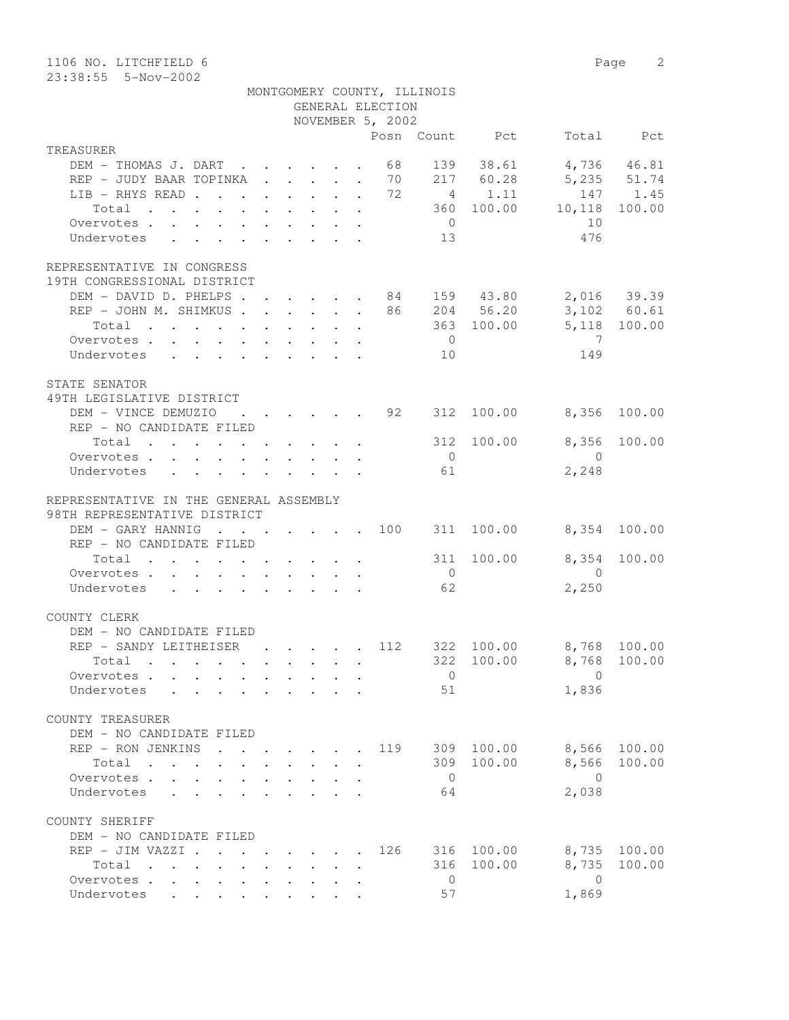| 1106 NO. LITCHFIELD 6                                                     |  |  |        |                                      |                             |                |                                                                           | Page 2       |
|---------------------------------------------------------------------------|--|--|--------|--------------------------------------|-----------------------------|----------------|---------------------------------------------------------------------------|--------------|
| 23:38:55  5-Nov-2002                                                      |  |  |        |                                      |                             |                |                                                                           |              |
|                                                                           |  |  |        |                                      | MONTGOMERY COUNTY, ILLINOIS |                |                                                                           |              |
|                                                                           |  |  |        | GENERAL ELECTION<br>NOVEMBER 5, 2002 |                             |                |                                                                           |              |
|                                                                           |  |  |        |                                      |                             | Posn Count Pct |                                                                           | Total Pct    |
| TREASURER                                                                 |  |  |        |                                      |                             |                |                                                                           |              |
| DEM - THOMAS J. DART 68                                                   |  |  |        |                                      |                             | 139 38.61      | 4,736 46.81                                                               |              |
| REP - JUDY BAAR TOPINKA 70                                                |  |  |        |                                      |                             |                |                                                                           |              |
| LIB - RHYS READ 72                                                        |  |  |        |                                      |                             |                | 217 60.28 5,235 51.74<br>4 1.11 147 1.45                                  |              |
| Total                                                                     |  |  |        |                                      |                             |                | $\begin{array}{cccc} 4 & 1.11 & 147 \\ 360 & 100.00 & 10,118 \end{array}$ | 100.00       |
| Overvotes                                                                 |  |  |        |                                      | $\overline{0}$              |                | 10                                                                        |              |
| Undervotes                                                                |  |  |        |                                      | 13                          |                | 476                                                                       |              |
|                                                                           |  |  |        |                                      |                             |                |                                                                           |              |
| REPRESENTATIVE IN CONGRESS                                                |  |  |        |                                      |                             |                |                                                                           |              |
| 19TH CONGRESSIONAL DISTRICT                                               |  |  |        |                                      |                             |                |                                                                           |              |
| DEM - DAVID D. PHELPS 84 159 43.80 2,016 39.39                            |  |  |        |                                      |                             |                |                                                                           |              |
| REP - JOHN M. SHIMKUS 86 204 56.20                                        |  |  |        |                                      |                             |                |                                                                           | 3,102 60.61  |
| Total                                                                     |  |  |        |                                      |                             | 363 100.00     | 5,118 100.00                                                              |              |
| Overvotes.                                                                |  |  |        |                                      | $\overline{0}$              |                | $\overline{7}$                                                            |              |
| Undervotes                                                                |  |  |        |                                      | 10                          |                | 149                                                                       |              |
|                                                                           |  |  |        |                                      |                             |                |                                                                           |              |
| STATE SENATOR                                                             |  |  |        |                                      |                             |                |                                                                           |              |
| 49TH LEGISLATIVE DISTRICT                                                 |  |  |        |                                      |                             |                |                                                                           |              |
| DEM - VINCE DEMUZIO 92                                                    |  |  |        |                                      |                             |                | 312 100.00 8,356 100.00                                                   |              |
| REP - NO CANDIDATE FILED                                                  |  |  |        |                                      |                             |                |                                                                           |              |
| Total                                                                     |  |  |        |                                      |                             | 312 100.00     |                                                                           | 8,356 100.00 |
| Overvotes.                                                                |  |  |        |                                      | $\overline{0}$              |                | $\overline{0}$                                                            |              |
| Undervotes                                                                |  |  |        |                                      | 61                          |                | 2,248                                                                     |              |
|                                                                           |  |  |        |                                      |                             |                |                                                                           |              |
| REPRESENTATIVE IN THE GENERAL ASSEMBLY                                    |  |  |        |                                      |                             |                |                                                                           |              |
| 98TH REPRESENTATIVE DISTRICT                                              |  |  |        |                                      |                             |                |                                                                           |              |
| DEM - GARY HANNIG 100 311 100.00 8,354 100.00<br>REP - NO CANDIDATE FILED |  |  |        |                                      |                             |                |                                                                           |              |
|                                                                           |  |  |        |                                      |                             |                | 311 100.00 8,354 100.00                                                   |              |
| Total $\cdot$<br>Overvotes                                                |  |  |        |                                      | $\overline{0}$              |                | $\overline{0}$                                                            |              |
| Undervotes                                                                |  |  |        |                                      | 62                          |                | 2,250                                                                     |              |
|                                                                           |  |  |        |                                      |                             |                |                                                                           |              |
| COUNTY CLERK                                                              |  |  |        |                                      |                             |                |                                                                           |              |
| DEM – NO CANDIDATE FILED                                                  |  |  |        |                                      |                             |                |                                                                           |              |
| REP - SANDY LEITHEISER 112 322                                            |  |  |        |                                      |                             | 100.00         |                                                                           | 8,768 100.00 |
| Total                                                                     |  |  |        |                                      |                             |                | 322 100.00 8,768                                                          | 100.00       |
| Overvotes                                                                 |  |  |        |                                      | $\overline{0}$              |                | $\overline{0}$                                                            |              |
| Undervotes                                                                |  |  |        |                                      | 51                          |                | 1,836                                                                     |              |
|                                                                           |  |  |        |                                      |                             |                |                                                                           |              |
| COUNTY TREASURER                                                          |  |  |        |                                      |                             |                |                                                                           |              |
| DEM - NO CANDIDATE FILED                                                  |  |  |        |                                      |                             |                |                                                                           |              |
| REP - RON JENKINS 119 309 100.00 8,566 100.00                             |  |  |        |                                      |                             |                |                                                                           |              |
| Total                                                                     |  |  |        |                                      |                             | 309 100.00     | 8,566                                                                     | 100.00       |
| Overvotes.                                                                |  |  |        |                                      | $\overline{0}$              |                | $\bigcirc$                                                                |              |
| Undervotes                                                                |  |  |        |                                      | 64                          |                | 2,038                                                                     |              |
|                                                                           |  |  |        |                                      |                             |                |                                                                           |              |
| COUNTY SHERIFF                                                            |  |  |        |                                      |                             |                |                                                                           |              |
| DEM - NO CANDIDATE FILED                                                  |  |  |        |                                      |                             |                |                                                                           |              |
| REP - JIM VAZZI 126                                                       |  |  |        |                                      |                             |                | 316 100.00 8,735 100.00                                                   |              |
| Total                                                                     |  |  | $\sim$ |                                      |                             | 316 100.00     | 8,735                                                                     | 100.00       |
| Overvotes                                                                 |  |  |        |                                      | $\overline{0}$              |                | $\overline{0}$                                                            |              |
| Undervotes                                                                |  |  |        |                                      | 57                          |                | 1,869                                                                     |              |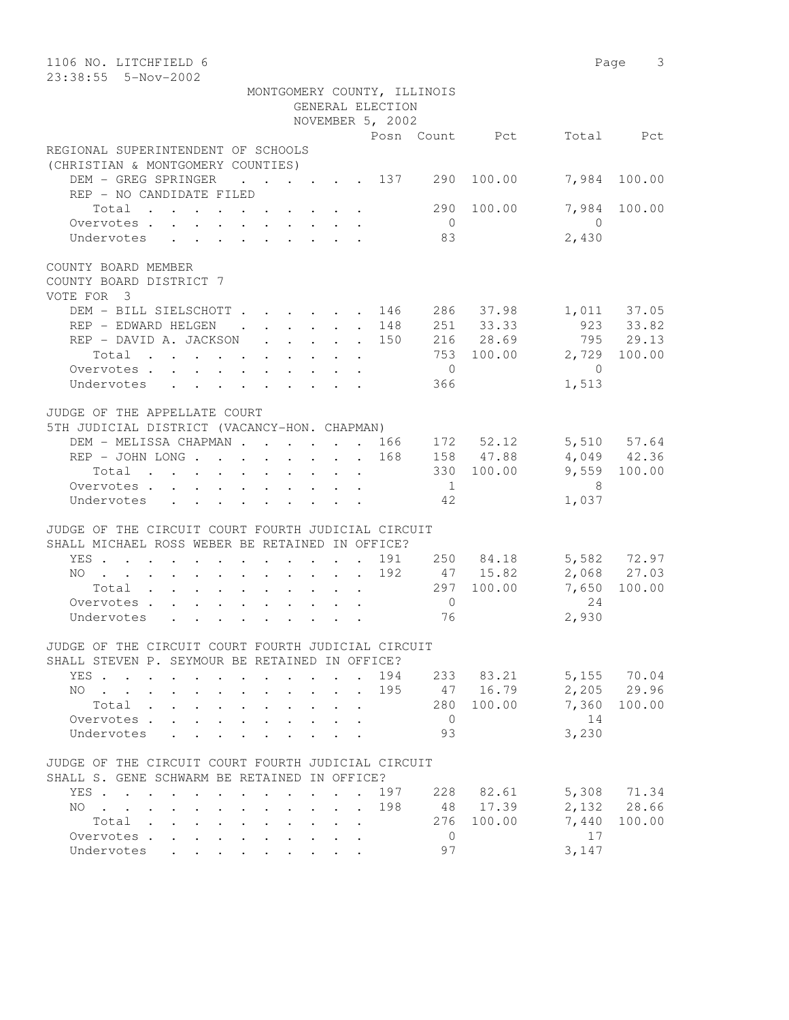| 1106 NO. LITCHFIELD 6<br>23:38:55  5-Nov-2002                                                                                                                                  |                                 | 3<br>Page                     |
|--------------------------------------------------------------------------------------------------------------------------------------------------------------------------------|---------------------------------|-------------------------------|
| MONTGOMERY COUNTY, ILLINOIS                                                                                                                                                    |                                 |                               |
| GENERAL ELECTION                                                                                                                                                               |                                 |                               |
| NOVEMBER 5, 2002                                                                                                                                                               |                                 |                               |
|                                                                                                                                                                                | Posn Count Pct                  | Total<br><b>Port</b>          |
|                                                                                                                                                                                |                                 |                               |
| REGIONAL SUPERINTENDENT OF SCHOOLS<br>(CHRISTIAN & MONTGOMERY COUNTIES)                                                                                                        |                                 |                               |
| DEM - GREG SPRINGER<br>$\cdot$ $\cdot$ $\cdot$ $\cdot$ $\cdot$ $\cdot$ 137<br>REP - NO CANDIDATE FILED                                                                         | 100.00<br>290                   | 7,984<br>100.00               |
| Total<br>Overvotes.                                                                                                                                                            | 290<br>100.00<br>$\overline{0}$ | 7,984<br>100.00<br>$\bigcirc$ |
| Undervotes                                                                                                                                                                     | 83                              | 2,430                         |
| COUNTY BOARD MEMBER<br>COUNTY BOARD DISTRICT 7<br>VOTE FOR 3                                                                                                                   |                                 |                               |
| DEM - BILL SIELSCHOTT<br>. 146                                                                                                                                                 | 286 37.98                       | 1,011 37.05                   |
| REP - EDWARD HELGEN<br>$\mathcal{L}^{\text{max}}$ , and $\mathcal{L}^{\text{max}}$<br>148<br>$\sim$<br>$\ddot{\phantom{a}}$                                                    | 251 33.33                       | $923$ $33.82$                 |
| REP - DAVID A. JACKSON<br>150<br>$\mathbf{L}$                                                                                                                                  | 216 28.69                       | 795 29.13                     |
| Total                                                                                                                                                                          | 753 100.00                      | 2,729<br>100.00               |
| Overvotes.                                                                                                                                                                     | $\overline{0}$                  | $\mathbf{0}$                  |
| Undervotes                                                                                                                                                                     | 366                             | 1,513                         |
|                                                                                                                                                                                |                                 |                               |
| JUDGE OF THE APPELLATE COURT<br>5TH JUDICIAL DISTRICT (VACANCY-HON. CHAPMAN)                                                                                                   |                                 |                               |
| DEM - MELISSA CHAPMAN 166                                                                                                                                                      | 172 52.12                       | 5,510 57.64                   |
| REP - JOHN LONG<br>168                                                                                                                                                         | 158 47.88                       | 4,049 42.36                   |
| $\mathbf{r}$ , $\mathbf{r}$ , $\mathbf{r}$ , $\mathbf{r}$                                                                                                                      |                                 |                               |
| Total<br>$\ddot{\phantom{a}}$                                                                                                                                                  | 330 100.00                      | 100.00<br>9,559               |
| Overvotes.                                                                                                                                                                     | $\overline{1}$                  | - 8                           |
| Undervotes                                                                                                                                                                     | 42                              | 1,037                         |
| JUDGE OF THE CIRCUIT COURT FOURTH JUDICIAL CIRCUIT                                                                                                                             |                                 |                               |
| SHALL MICHAEL ROSS WEBER BE RETAINED IN OFFICE?                                                                                                                                |                                 |                               |
| YES<br>191<br>$\mathbf{r}$ , and $\mathbf{r}$ , and $\mathbf{r}$ , and $\mathbf{r}$                                                                                            | 250 84.18                       | 5,582 72.97                   |
| 192<br>NO<br>$\mathbf{1}^{\prime}$ , and $\mathbf{1}^{\prime}$ , and $\mathbf{1}^{\prime}$ , and $\mathbf{1}^{\prime}$ , and $\mathbf{1}^{\prime}$ , and $\mathbf{1}^{\prime}$ | 47 15.82                        | 2,068 27.03                   |
| Total                                                                                                                                                                          | 100.00<br>297                   | 100.00<br>7,650               |
|                                                                                                                                                                                |                                 |                               |
| Overvotes.                                                                                                                                                                     | $\overline{0}$                  | 24                            |
| Undervotes                                                                                                                                                                     | 76                              | 2,930                         |
| JUDGE OF THE CIRCUIT COURT FOURTH JUDICIAL CIRCUIT<br>SHALL STEVEN P. SEYMOUR BE RETAINED IN OFFICE?                                                                           |                                 |                               |
| YES.<br>194                                                                                                                                                                    | 233 83.21                       | 5,155 70.04                   |
| 195<br>NO.                                                                                                                                                                     | 47 16.79                        | 2,205 29.96                   |
| Total                                                                                                                                                                          | 100.00<br>280                   | 7,360<br>100.00               |
| Overvotes.<br>$\mathbf{L}$<br>$\mathbf{L}$                                                                                                                                     | $\overline{0}$                  | 14                            |
|                                                                                                                                                                                | 93                              | 3,230                         |
| Undervotes<br>$\mathbf{r}$                                                                                                                                                     |                                 |                               |
| JUDGE OF THE CIRCUIT COURT FOURTH JUDICIAL CIRCUIT<br>SHALL S. GENE SCHWARM BE RETAINED IN OFFICE?                                                                             |                                 |                               |
|                                                                                                                                                                                |                                 |                               |
| YES<br>197                                                                                                                                                                     | 228<br>82.61                    | 5,308<br>71.34                |
| 198<br>NO.<br>$\mathbf{r}$ , $\mathbf{r}$ , $\mathbf{r}$                                                                                                                       | 48 17.39                        | 28.66<br>2,132                |
| Total .                                                                                                                                                                        | 276<br>100.00                   | 7,440<br>100.00               |
| Overvotes .<br>$\mathbf{A}$                                                                                                                                                    | $\circ$                         | 17                            |
| Undervotes<br>$\mathbb{R}^{\mathbb{Z}}$                                                                                                                                        | 97                              | 3,147                         |
|                                                                                                                                                                                |                                 |                               |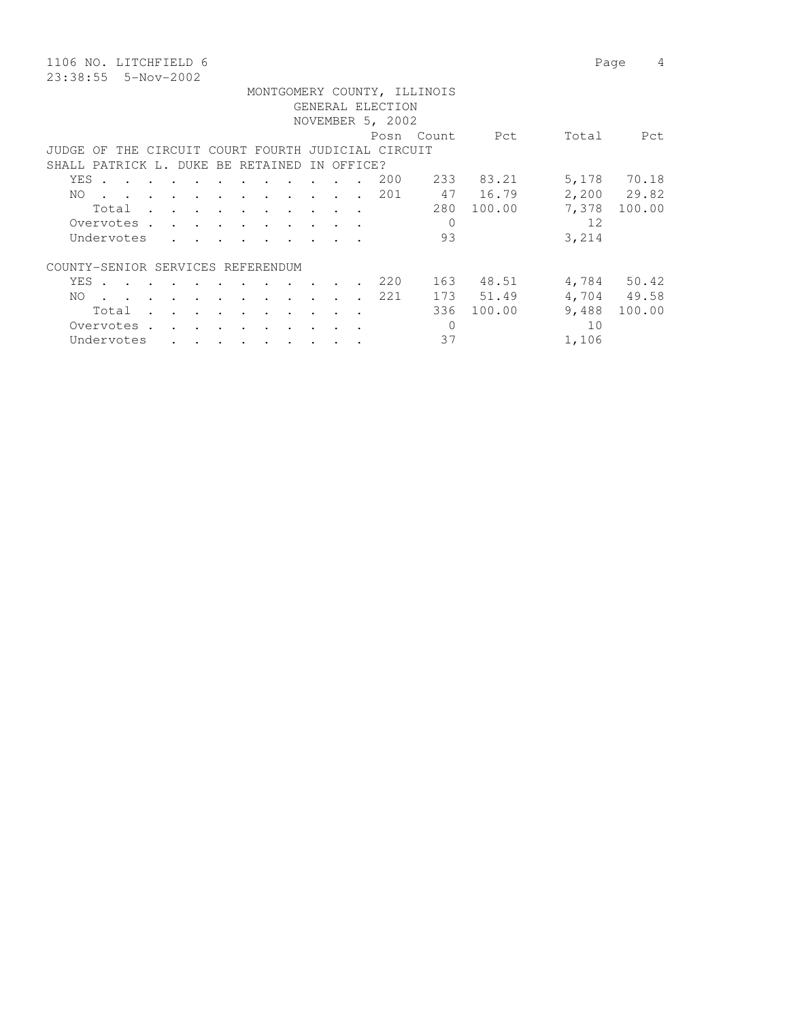1106 NO. LITCHFIELD 6 Page 4 23:38:55 5-Nov-2002

 MONTGOMERY COUNTY, ILLINOIS GENERAL ELECTION NOVEMBER 5, 2002 Posn Count Pct Total Pct JUDGE OF THE CIRCUIT COURT FOURTH JUDICIAL CIRCUIT SHALL PATRICK L. DUKE BE RETAINED IN OFFICE? YES . . . . . . . . . . . . 200 233 83.21 5,178 70.18 NO . . . . . . . . . . . . 201 47 16.79 2,200 29.82 Total . . . . . . . . . . 280 100.00 7,378 100.00 Overvotes . . . . . . . . . . . 0 12 Undervotes . . . . . . . . . 93  $3,214$ COUNTY-SENIOR SERVICES REFERENDUM YES . . . . . . . . . . . 220 163 48.51 4,784 50.42 NO . . . . . . . . . . . . 221 173 51.49 4,704 49.58 Total . . . . . . . . . . 336 100.00 9,488 100.00

Overvotes . . . . . . . . . . 0 10 Undervotes . . . . . . . . . 37 1,106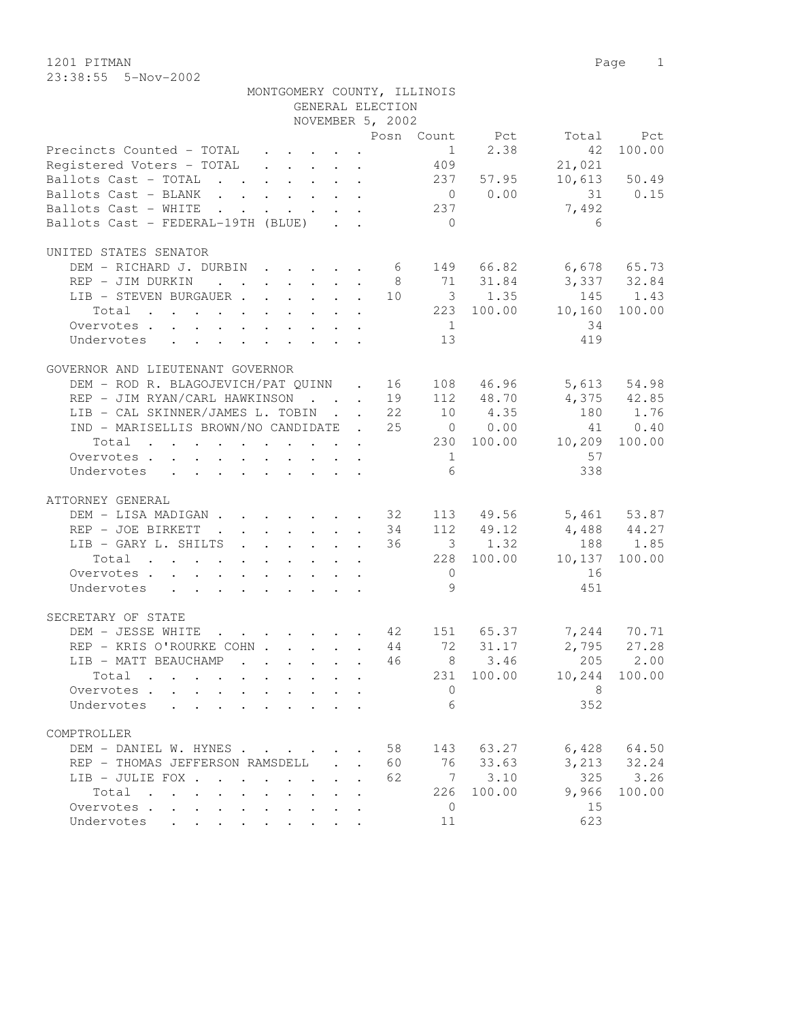1201 PITMAN Page 1 23:38:55 5-Nov-2002

|                                                        | MONTGOMERY COUNTY, ILLINOIS |  | GENERAL ELECTION |                 |                                                          |                                   |                 |
|--------------------------------------------------------|-----------------------------|--|------------------|-----------------|----------------------------------------------------------|-----------------------------------|-----------------|
|                                                        |                             |  | NOVEMBER 5, 2002 |                 |                                                          |                                   |                 |
|                                                        |                             |  |                  |                 |                                                          | Posn Count Pct Total              | Pct             |
| Precincts Counted - TOTAL 1 2.38                       |                             |  |                  |                 |                                                          | 42                                | 100.00          |
| Registered Voters - TOTAL 409                          |                             |  |                  |                 |                                                          | 21,021                            |                 |
|                                                        |                             |  |                  |                 |                                                          |                                   |                 |
| Ballots Cast - TOTAL 237 57.95                         |                             |  |                  |                 |                                                          |                                   | $10,613$ 50.49  |
| Ballots Cast - BLANK                                   |                             |  |                  |                 | $\begin{array}{ccc} & 0 & 0.00 \\ 237 & & & \end{array}$ |                                   | 31 0.15         |
| Ballots Cast - WHITE                                   |                             |  |                  |                 |                                                          | 7,492                             |                 |
| Ballots Cast - FEDERAL-19TH (BLUE)                     |                             |  |                  | $\overline{0}$  |                                                          | 6                                 |                 |
| UNITED STATES SENATOR                                  |                             |  |                  |                 |                                                          |                                   |                 |
| DEM - RICHARD J. DURBIN 6 149 66.82 6,678 65.73        |                             |  |                  |                 |                                                          |                                   |                 |
| REP - JIM DURKIN                                       |                             |  |                  |                 |                                                          | 8 71 31.84 3,337 32.84            |                 |
| LIB - STEVEN BURGAUER 10 3 1.35                        |                             |  |                  |                 |                                                          | 145 1.43                          |                 |
| Total 223 100.00 10,160                                |                             |  |                  |                 |                                                          |                                   | 100.00          |
| Overvotes.                                             |                             |  |                  | 1               |                                                          | 34                                |                 |
| Undervotes                                             |                             |  |                  | 13              |                                                          | 419                               |                 |
|                                                        |                             |  |                  |                 |                                                          |                                   |                 |
| GOVERNOR AND LIEUTENANT GOVERNOR                       |                             |  |                  |                 |                                                          |                                   |                 |
| DEM - ROD R. BLAGOJEVICH/PAT QUINN . 16                |                             |  |                  |                 |                                                          | 108 46.96 5,613 54.98             |                 |
| REP - JIM RYAN/CARL HAWKINSON 19 112 48.70 4,375 42.85 |                             |  |                  |                 |                                                          |                                   |                 |
| LIB - CAL SKINNER/JAMES L. TOBIN 22                    |                             |  |                  |                 |                                                          | 10 4.35 180 1.76                  |                 |
| IND - MARISELLIS BROWN/NO CANDIDATE . 25 0 0.00        |                             |  |                  |                 |                                                          |                                   | 41 0.40         |
| Total 230 100.00 10,209 100.00                         |                             |  |                  |                 |                                                          |                                   |                 |
| Overvotes.                                             |                             |  |                  | 1               |                                                          | 57                                |                 |
| Undervotes                                             |                             |  |                  | $6\overline{6}$ |                                                          | 338                               |                 |
|                                                        |                             |  |                  |                 |                                                          |                                   |                 |
| ATTORNEY GENERAL                                       |                             |  |                  |                 |                                                          |                                   |                 |
| DEM - LISA MADIGAN 32 113 49.56 5,461 53.87            |                             |  |                  |                 |                                                          |                                   |                 |
| REP - JOE BIRKETT 34                                   |                             |  |                  |                 |                                                          | 112 49.12 4,488 44.27             |                 |
| LIB - GARY L. SHILTS 36                                |                             |  |                  |                 | 3 1.32                                                   |                                   | 188 1.85        |
| Total 228 100.00 10,137                                |                             |  |                  |                 |                                                          |                                   | 100.00          |
| Overvotes.                                             |                             |  |                  | $\overline{0}$  |                                                          | 16                                |                 |
| Undervotes                                             |                             |  |                  | 9               |                                                          | 451                               |                 |
| SECRETARY OF STATE                                     |                             |  |                  |                 |                                                          |                                   |                 |
| DEM - JESSE WHITE                                      |                             |  |                  |                 |                                                          | $\cdots$ 42 151 65.37 7,244 70.71 |                 |
| REP - KRIS O'ROURKE COHN 44 72 31.17                   |                             |  |                  |                 |                                                          |                                   | $2,795$ 27.28   |
| LIB - MATT BEAUCHAMP                                   |                             |  |                  |                 |                                                          | 46 8 3.46 205 2.00                |                 |
| Total                                                  |                             |  |                  | 231             | 100.00                                                   | 10,244                            | 100.00          |
| Overvotes.                                             |                             |  |                  | $\circ$         |                                                          | 8                                 |                 |
| Undervotes                                             |                             |  |                  | 6               |                                                          | 352                               |                 |
|                                                        |                             |  |                  |                 |                                                          |                                   |                 |
| COMPTROLLER                                            |                             |  |                  |                 |                                                          |                                   |                 |
| DEM - DANIEL W. HYNES                                  |                             |  | 58               |                 | 143 63.27                                                |                                   | $6,428$ $64.50$ |
| REP - THOMAS JEFFERSON RAMSDELL                        |                             |  | 60               |                 | 76 33.63                                                 |                                   | 3, 213 32.24    |
| LIB - JULIE FOX                                        |                             |  | 62               |                 | 7 3.10                                                   | 325                               | 3.26            |
| Total                                                  |                             |  |                  | 226             | 100.00                                                   | 9,966                             | 100.00          |
| Overvotes                                              |                             |  |                  | $\overline{0}$  |                                                          | 15                                |                 |
| Undervotes                                             |                             |  |                  | 11              |                                                          | 623                               |                 |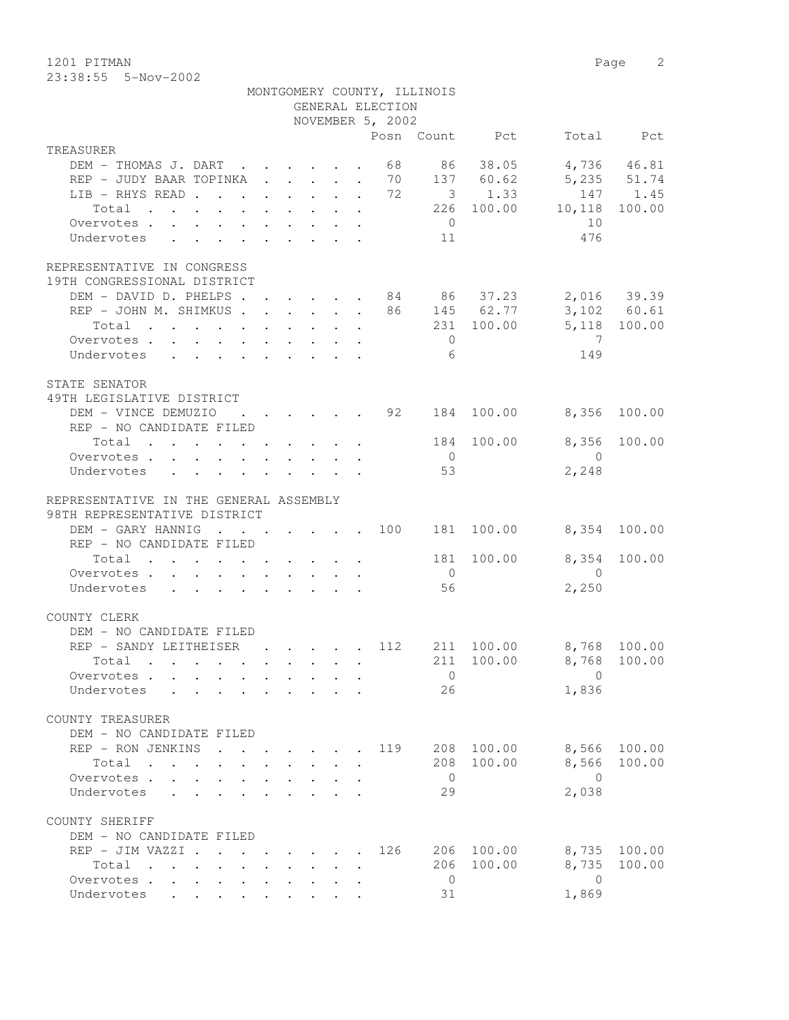23:38:55 5-Nov-2002

|                                                                        |                                                                                                                                     |                                                           | GENERAL ELECTION<br>NOVEMBER 5, 2002 | MONTGOMERY COUNTY, ILLINOIS |                |                                             |              |
|------------------------------------------------------------------------|-------------------------------------------------------------------------------------------------------------------------------------|-----------------------------------------------------------|--------------------------------------|-----------------------------|----------------|---------------------------------------------|--------------|
| TREASURER                                                              |                                                                                                                                     |                                                           |                                      |                             | Posn Count Pct |                                             | Total Pct    |
| DEM - THOMAS J. DART 68 86 38.05                                       |                                                                                                                                     |                                                           |                                      |                             |                |                                             | 4,736 46.81  |
| REP - JUDY BAAR TOPINKA 70 137 60.62                                   |                                                                                                                                     |                                                           |                                      |                             |                | 5,235 51.74                                 |              |
| LIB - RHYS READ 72                                                     |                                                                                                                                     |                                                           |                                      |                             | $3 \t 1.33$    |                                             | 147 1.45     |
| $\cdot$ 226 100.00 10,118 100.00<br>Total                              |                                                                                                                                     |                                                           |                                      |                             |                |                                             |              |
| Overvotes.                                                             |                                                                                                                                     |                                                           |                                      | $\bigcirc$                  |                | 10                                          |              |
| Undervotes                                                             |                                                                                                                                     |                                                           |                                      | 11                          |                | 476                                         |              |
| REPRESENTATIVE IN CONGRESS<br>19TH CONGRESSIONAL DISTRICT              |                                                                                                                                     |                                                           |                                      |                             |                |                                             |              |
| DEM - DAVID D. PHELPS 84 86 37.23                                      |                                                                                                                                     |                                                           |                                      |                             |                |                                             | 2,016 39.39  |
| REP - JOHN M. SHIMKUS 86 145 62.77                                     |                                                                                                                                     |                                                           |                                      |                             |                |                                             | 3,102 60.61  |
| Total                                                                  |                                                                                                                                     |                                                           |                                      |                             | 231 100.00     |                                             | 5,118 100.00 |
| Overvotes.                                                             |                                                                                                                                     |                                                           |                                      | $\overline{0}$              |                | $\overline{7}$                              |              |
| Undervotes                                                             |                                                                                                                                     |                                                           |                                      | 6                           |                | 149                                         |              |
| STATE SENATOR<br>49TH LEGISLATIVE DISTRICT                             |                                                                                                                                     |                                                           |                                      |                             |                |                                             |              |
| DEM - VINCE DEMUZIO                                                    |                                                                                                                                     |                                                           |                                      |                             |                | $\cdot$ 92 184 100.00 8,356 100.00          |              |
| REP - NO CANDIDATE FILED                                               |                                                                                                                                     |                                                           |                                      |                             |                |                                             |              |
| Total 184 100.00                                                       |                                                                                                                                     |                                                           |                                      |                             |                | 8,356                                       | 100.00       |
| Overvotes                                                              |                                                                                                                                     |                                                           |                                      | $\overline{0}$              |                | $\overline{0}$                              |              |
| Undervotes                                                             |                                                                                                                                     |                                                           |                                      | 53                          |                | 2,248                                       |              |
| REPRESENTATIVE IN THE GENERAL ASSEMBLY<br>98TH REPRESENTATIVE DISTRICT |                                                                                                                                     |                                                           |                                      |                             |                |                                             |              |
| DEM - GARY HANNIG 100 181 100.00                                       |                                                                                                                                     |                                                           |                                      |                             |                |                                             | 8,354 100.00 |
| REP - NO CANDIDATE FILED                                               |                                                                                                                                     |                                                           |                                      |                             |                |                                             |              |
| Total<br>Overvotes.                                                    |                                                                                                                                     |                                                           |                                      | $\overline{0}$              | 181 100.00     | $\overline{0}$                              | 8,354 100.00 |
| Undervotes                                                             |                                                                                                                                     |                                                           |                                      | 56                          |                | 2,250                                       |              |
|                                                                        |                                                                                                                                     |                                                           |                                      |                             |                |                                             |              |
| COUNTY CLERK                                                           |                                                                                                                                     |                                                           |                                      |                             |                |                                             |              |
| DEM - NO CANDIDATE FILED                                               |                                                                                                                                     |                                                           |                                      |                             |                |                                             |              |
| REP - SANDY LEITHEISER                                                 |                                                                                                                                     |                                                           |                                      |                             |                | $\cdot$ , , , , 112 211 100.00 8,768 100.00 |              |
| Total .                                                                |                                                                                                                                     |                                                           |                                      |                             |                | 211 100.00 8,768 100.00<br>$\mathbf{0}$     |              |
| Overvotes<br>Undervotes .<br>$\mathbf{L}$                              |                                                                                                                                     |                                                           |                                      | $\overline{0}$<br>26        |                | 1,836                                       |              |
|                                                                        |                                                                                                                                     |                                                           |                                      |                             |                |                                             |              |
| COUNTY TREASURER                                                       |                                                                                                                                     |                                                           |                                      |                             |                |                                             |              |
| DEM - NO CANDIDATE FILED                                               |                                                                                                                                     |                                                           |                                      |                             |                |                                             |              |
| REP - RON JENKINS                                                      |                                                                                                                                     |                                                           | 119                                  | 208                         | 100.00         | 8,566                                       | 100.00       |
| Total<br>$\mathbf{r}$ , $\mathbf{r}$ , $\mathbf{r}$                    |                                                                                                                                     |                                                           |                                      | 208                         | 100.00         | 8,566                                       | 100.00       |
| Overvotes<br>Undervotes                                                |                                                                                                                                     |                                                           |                                      | $\overline{0}$<br>29        |                | $\bigcirc$<br>2,038                         |              |
|                                                                        |                                                                                                                                     |                                                           |                                      |                             |                |                                             |              |
| COUNTY SHERIFF                                                         |                                                                                                                                     |                                                           |                                      |                             |                |                                             |              |
| DEM - NO CANDIDATE FILED                                               |                                                                                                                                     |                                                           |                                      |                             |                |                                             |              |
| REP - JIM VAZZI .                                                      | $\cdot$ $\cdot$ $\cdot$ $\cdot$ $\cdot$ $\cdot$ $\cdot$                                                                             |                                                           | 126                                  | 206                         | 100.00         | 8,735                                       | 100.00       |
| Total<br>$\mathbf{r}$ , $\mathbf{r}$ , $\mathbf{r}$ , $\mathbf{r}$     |                                                                                                                                     | $\mathbf{L}^{\text{max}}$ , and $\mathbf{L}^{\text{max}}$ |                                      | 206                         | 100.00         | 8,735                                       | 100.00       |
| Overvotes                                                              | $\begin{array}{cccccccccccccc} \bullet & \bullet & \bullet & \bullet & \bullet & \bullet & \bullet & \bullet & \bullet \end{array}$ |                                                           |                                      | $\overline{0}$              |                | $\mathbf{0}$                                |              |
| Undervotes                                                             |                                                                                                                                     |                                                           |                                      | 31                          |                | 1,869                                       |              |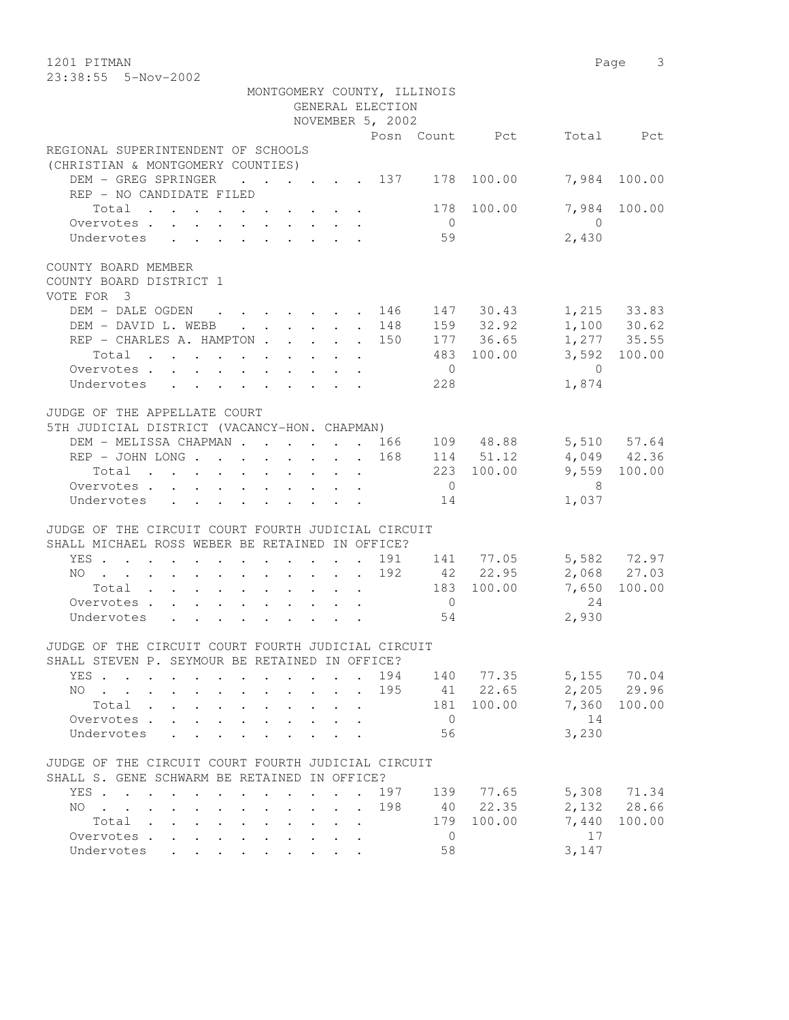1201 PITMAN Page 3 23:38:55 5-Nov-2002

| MONTGOMERY COUNTY, ILLINOIS                                                                          |                           |                                              |     |                |                        |                            |                            |
|------------------------------------------------------------------------------------------------------|---------------------------|----------------------------------------------|-----|----------------|------------------------|----------------------------|----------------------------|
|                                                                                                      |                           | GENERAL ELECTION                             |     |                |                        |                            |                            |
|                                                                                                      |                           | NOVEMBER 5, 2002                             |     |                |                        |                            |                            |
|                                                                                                      |                           |                                              |     |                | Posn Count Pct         |                            | Total Pct                  |
| REGIONAL SUPERINTENDENT OF SCHOOLS                                                                   |                           |                                              |     |                |                        |                            |                            |
| (CHRISTIAN & MONTGOMERY COUNTIES)                                                                    |                           |                                              |     |                |                        |                            | 7,984 100.00               |
| DEM - GREG SPRINGER 137 178 100.00                                                                   |                           |                                              |     |                |                        |                            |                            |
| REP - NO CANDIDATE FILED                                                                             |                           |                                              |     |                |                        |                            |                            |
| Total                                                                                                |                           |                                              |     | $\overline{0}$ | 178 100.00             | $\overline{0}$             | 7,984 100.00               |
| Overvotes.<br>Undervotes                                                                             |                           |                                              |     | 59             |                        |                            |                            |
|                                                                                                      |                           |                                              |     |                |                        | 2,430                      |                            |
| COUNTY BOARD MEMBER                                                                                  |                           |                                              |     |                |                        |                            |                            |
| COUNTY BOARD DISTRICT 1                                                                              |                           |                                              |     |                |                        |                            |                            |
| VOTE FOR 3                                                                                           |                           |                                              |     |                |                        |                            |                            |
|                                                                                                      |                           |                                              |     |                |                        |                            |                            |
| DEM - DALE OGDEN 146 147 30.43<br>DEM - DAVID L. WEBB 148                                            |                           |                                              |     |                |                        | 1,215 33.83                |                            |
| REP - CHARLES A. HAMPTON 150                                                                         |                           |                                              |     |                | 159 32.92<br>177 36.65 |                            | 1,100 30.62<br>1,277 35.55 |
| Total                                                                                                |                           |                                              |     |                | 483 100.00             |                            | 3,592 100.00               |
| Overvotes                                                                                            |                           |                                              |     | $\overline{0}$ |                        | $\bigcirc$                 |                            |
| Undervotes                                                                                           |                           |                                              |     | 228            |                        | 1,874                      |                            |
|                                                                                                      |                           |                                              |     |                |                        |                            |                            |
| JUDGE OF THE APPELLATE COURT                                                                         |                           |                                              |     |                |                        |                            |                            |
| 5TH JUDICIAL DISTRICT (VACANCY-HON. CHAPMAN)                                                         |                           |                                              |     |                |                        |                            |                            |
|                                                                                                      |                           |                                              |     |                |                        |                            |                            |
| DEM - MELISSA CHAPMAN 166 109 48.88                                                                  |                           |                                              |     |                |                        |                            | 5,510 57.64                |
| REP - JOHN LONG 168                                                                                  |                           |                                              |     |                | 114 51.12              |                            | 4,049 42.36                |
| Total                                                                                                |                           |                                              |     |                | 223 100.00             |                            | 9,559 100.00               |
| Overvotes.                                                                                           |                           |                                              |     | $\overline{0}$ |                        | $\overline{\phantom{1}}$ 8 |                            |
| Undervotes                                                                                           |                           |                                              |     | 14             |                        | 1,037                      |                            |
|                                                                                                      |                           |                                              |     |                |                        |                            |                            |
| JUDGE OF THE CIRCUIT COURT FOURTH JUDICIAL CIRCUIT                                                   |                           |                                              |     |                |                        |                            |                            |
| SHALL MICHAEL ROSS WEBER BE RETAINED IN OFFICE?                                                      |                           |                                              |     |                |                        |                            |                            |
| YES                                                                                                  |                           |                                              |     |                | 191 141 77.05          |                            | 5,582 72.97                |
| NO 192                                                                                               |                           |                                              |     |                | 42 22.95               |                            | 2,068 27.03                |
| Total                                                                                                |                           |                                              |     |                | 183 100.00             | 7,650                      | 100.00                     |
| Overvotes                                                                                            |                           |                                              |     | $\overline{0}$ |                        | 24                         |                            |
| Undervotes                                                                                           |                           |                                              |     | 54             |                        | 2,930                      |                            |
|                                                                                                      |                           |                                              |     |                |                        |                            |                            |
| JUDGE OF THE CIRCUIT COURT FOURTH JUDICIAL CIRCUIT                                                   |                           |                                              |     |                |                        |                            |                            |
| SHALL STEVEN P. SEYMOUR BE RETAINED IN OFFICE?                                                       |                           |                                              |     |                |                        |                            |                            |
| YES                                                                                                  |                           |                                              | 194 | 140            | 77.35                  | 5,155                      | 70.04                      |
| $\text{NO}$                                                                                          | $\mathbf{L}$              | $\ddot{\phantom{a}}$<br>$\ddot{\phantom{a}}$ | 195 | 41             | 22.65                  | 2,205                      | 29.96                      |
| Total .                                                                                              |                           |                                              |     | 181            | 100.00                 | 7,360                      | 100.00                     |
| Overvotes.<br>$\mathbf{L}$                                                                           |                           |                                              |     | $\overline{0}$ |                        | 14                         |                            |
| Undervotes                                                                                           |                           |                                              |     | 56             |                        | 3,230                      |                            |
|                                                                                                      |                           |                                              |     |                |                        |                            |                            |
| JUDGE OF THE CIRCUIT COURT FOURTH JUDICIAL CIRCUIT                                                   |                           |                                              |     |                |                        |                            |                            |
| SHALL S. GENE SCHWARM BE RETAINED IN OFFICE?                                                         |                           |                                              |     |                |                        |                            |                            |
| YES<br>$\cdot$                                                                                       | $\sim$ $\sim$             | $\ddot{\phantom{a}}$                         | 197 | 139            | 77.65                  | 5,308                      | 71.34                      |
| NO.<br>$\mathbf{r}$ , $\mathbf{r}$ , $\mathbf{r}$ , $\mathbf{r}$<br>$\bullet$ . The set of $\bullet$ | $\ddot{\phantom{0}}$      | $\ddot{\phantom{a}}$                         | 198 | 40             | 22.35                  | 2,132                      | 28.66                      |
| Total<br>$\ddot{\phantom{a}}$<br>$\sim$                                                              | $\mathbf{L} = \mathbf{L}$ | $\sim$                                       |     | 179            | 100.00                 | 7,440                      | 100.00                     |
| Overvotes<br>$\sim$<br>$\ddot{\phantom{a}}$                                                          |                           |                                              |     | $\mathbf 0$    |                        | 17                         |                            |
| Undervotes<br>$\sim$                                                                                 |                           |                                              |     | 58             |                        | 3,147                      |                            |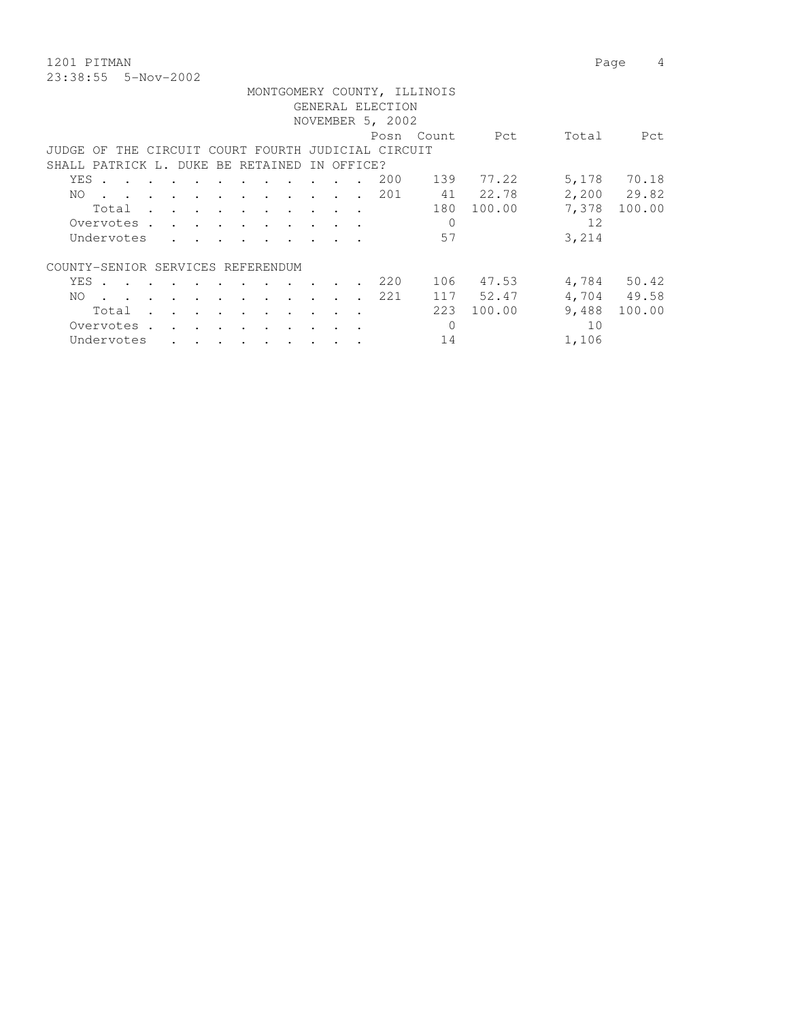1201 PITMAN Page 4 23:38:55 5-Nov-2002

|                                   |       |                                                                                                                 |  |        |                                                                                                                                                                                                                                    |               |                                                 |               |            | GENERAL ELECTION<br>NOVEMBER 5, 2002      | MONTGOMERY COUNTY, ILLINOIS |                |       |             |
|-----------------------------------|-------|-----------------------------------------------------------------------------------------------------------------|--|--------|------------------------------------------------------------------------------------------------------------------------------------------------------------------------------------------------------------------------------------|---------------|-------------------------------------------------|---------------|------------|-------------------------------------------|-----------------------------|----------------|-------|-------------|
|                                   |       |                                                                                                                 |  |        |                                                                                                                                                                                                                                    |               |                                                 |               |            |                                           |                             | Posn Count Pct | Total | Pct         |
| JUDGE.                            | OF.   |                                                                                                                 |  |        |                                                                                                                                                                                                                                    |               |                                                 |               |            | THE CIRCUIT COURT FOURTH JUDICIAL CIRCUIT |                             |                |       |             |
| SHALL PATRICK L. DUKE BE RETAINED |       |                                                                                                                 |  |        |                                                                                                                                                                                                                                    |               |                                                 |               | IN OFFICE? |                                           |                             |                |       |             |
|                                   | YES . |                                                                                                                 |  |        |                                                                                                                                                                                                                                    |               |                                                 |               |            | 200                                       | 139                         | 77.22          | 5,178 | 70.18       |
| NO.                               |       | the contract of the contract of the contract of the contract of the contract of the contract of the contract of |  |        |                                                                                                                                                                                                                                    |               |                                                 |               |            | 201                                       |                             | 41 22.78       |       | 2,200 29.82 |
|                                   |       | Total .                                                                                                         |  |        |                                                                                                                                                                                                                                    |               | the contract of the contract of the contract of |               |            |                                           | 180                         | 100.00         | 7,378 | 100.00      |
|                                   |       | Overvotes .                                                                                                     |  |        |                                                                                                                                                                                                                                    |               | and a series of the contract of the series of   |               |            |                                           | $\mathbf 0$                 |                | 12    |             |
|                                   |       | Undervotes                                                                                                      |  |        |                                                                                                                                                                                                                                    |               |                                                 |               |            |                                           | 57                          |                | 3,214 |             |
| COUNTY-SENIOR SERVICES REFERENDUM |       |                                                                                                                 |  |        |                                                                                                                                                                                                                                    |               |                                                 |               |            |                                           |                             |                |       |             |
|                                   | YES . | the contract of the contract of the contract of the contract of the contract of the contract of the contract of |  |        |                                                                                                                                                                                                                                    |               |                                                 |               |            | 220                                       | 106                         | 47.53          |       | 4,784 50.42 |
| NO.                               |       |                                                                                                                 |  |        | and the contract of the contract of                                                                                                                                                                                                | $\sim$ $\sim$ | $\sim$ $\sim$                                   | $\sim$ $\sim$ |            | 221                                       |                             | 117 52.47      |       | 4,704 49.58 |
|                                   | Total |                                                                                                                 |  | $\sim$ |                                                                                                                                                                                                                                    |               |                                                 |               |            |                                           | 223                         | 100.00         | 9,488 | 100.00      |
|                                   |       | Overvotes .                                                                                                     |  |        | $\bullet$ . In the case of the contract of the contract of the contract of the contract of the contract of the contract of the contract of the contract of the contract of the contract of the contract of the contract of the con |               | $\bullet$                                       | $\sim$ $\sim$ |            |                                           | 0                           |                | 10    |             |

Undervotes . . . . . . . . . 14 1,106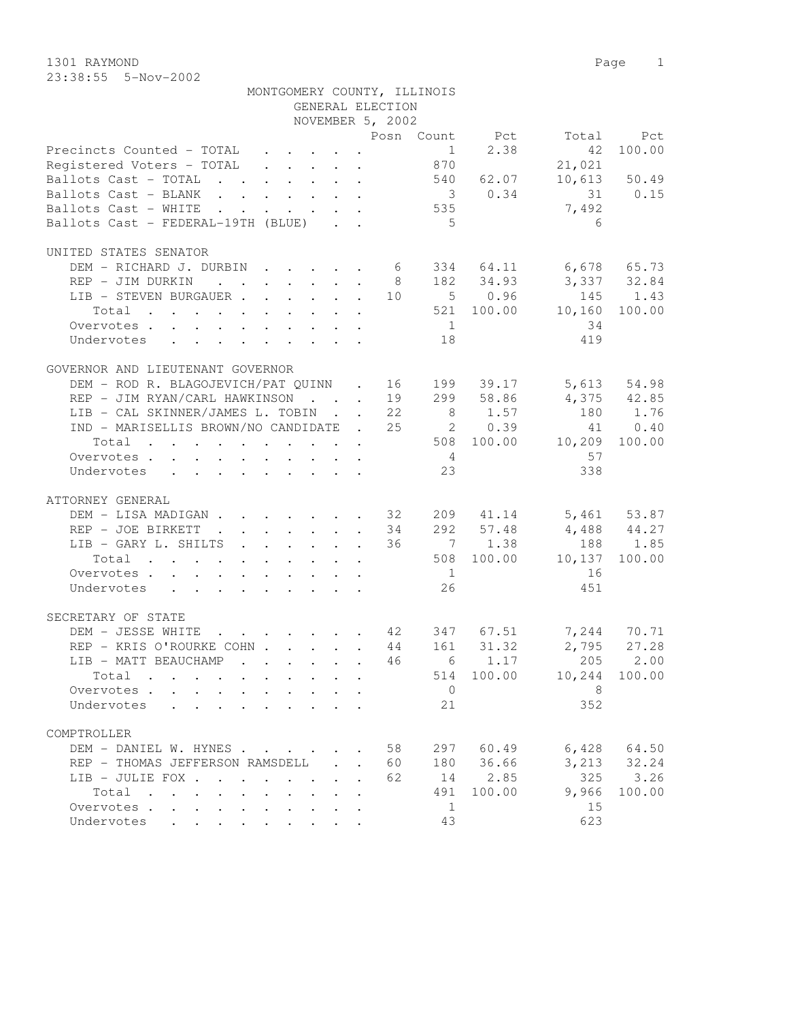1301 RAYMOND Page 1 23:38:55 5-Nov-2002

|                                                                                                                                         |              |              | MONTGOMERY COUNTY, ILLINOIS<br>GENERAL ELECTION<br>NOVEMBER 5, 2002 |                 |                           |                             |                 |
|-----------------------------------------------------------------------------------------------------------------------------------------|--------------|--------------|---------------------------------------------------------------------|-----------------|---------------------------|-----------------------------|-----------------|
|                                                                                                                                         |              |              |                                                                     |                 |                           | Posn Count Pct Total Pct    |                 |
| Precincts Counted - TOTAL                                                                                                               |              |              |                                                                     | 870             | $1 \t 2.38$               | 42                          | 100.00          |
| Registered Voters - TOTAL                                                                                                               |              |              |                                                                     |                 |                           | 21,021                      |                 |
| Ballots Cast - TOTAL                                                                                                                    |              |              |                                                                     |                 | 540 62.07                 |                             | $10,613$ 50.49  |
| Ballots Cast - BLANK 3 0.34                                                                                                             |              |              |                                                                     |                 |                           | 31 0.15                     |                 |
| Ballots Cast - WHITE 535                                                                                                                |              |              |                                                                     |                 |                           | 7,492                       |                 |
| Ballots Cast - FEDERAL-19TH (BLUE)                                                                                                      |              |              |                                                                     | $5^{\circ}$     |                           | 6                           |                 |
| UNITED STATES SENATOR                                                                                                                   |              |              |                                                                     |                 |                           |                             |                 |
| DEM – RICHARD J. DURBIN 6 334 64.11 6,678 65.73<br>REP – JIM DURKIN 8 182 34.93 3,337 32.84<br>LIB – STEVEN BURGAUER 10 5 0.96 145 1.43 |              |              |                                                                     |                 |                           |                             |                 |
|                                                                                                                                         |              |              |                                                                     |                 |                           |                             |                 |
|                                                                                                                                         |              |              |                                                                     |                 |                           |                             |                 |
| Total                                                                                                                                   |              |              |                                                                     |                 |                           | $521$ 100.00 10,160 100.00  |                 |
| Overvotes                                                                                                                               |              |              |                                                                     | 1               |                           | 34                          |                 |
| Undervotes 18                                                                                                                           |              |              |                                                                     |                 |                           | 419                         |                 |
|                                                                                                                                         |              |              |                                                                     |                 |                           |                             |                 |
| GOVERNOR AND LIEUTENANT GOVERNOR                                                                                                        |              |              |                                                                     |                 |                           |                             |                 |
| DEM - ROD R. BLAGOJEVICH/PAT QUINN . 16 199 39.17 5,613 54.98                                                                           |              |              |                                                                     |                 |                           |                             |                 |
| REP - JIM RYAN/CARL HAWKINSON                                                                                                           |              |              |                                                                     |                 | 19 299 58.86<br>22 8 1.57 | $4,375$ $42.85$<br>180 1.76 |                 |
| LIB - CAL SKINNER/JAMES L. TOBIN                                                                                                        |              |              |                                                                     |                 |                           |                             |                 |
| IND - MARISELLIS BROWN/NO CANDIDATE . 25 20.39                                                                                          |              |              |                                                                     |                 |                           |                             | 41 0.40         |
| Total 508 100.00 10,209 100.00                                                                                                          |              |              |                                                                     |                 |                           |                             |                 |
| Overvotes.                                                                                                                              |              |              |                                                                     | $4\overline{4}$ |                           | 57                          |                 |
| Undervotes                                                                                                                              |              |              |                                                                     | 23              |                           | 338                         |                 |
| ATTORNEY GENERAL                                                                                                                        |              |              |                                                                     |                 |                           |                             |                 |
| DEM - LISA MADIGAN 32 209 41.14 5,461 53.87                                                                                             |              |              |                                                                     |                 |                           |                             |                 |
| REP - JOE BIRKETT                                                                                                                       |              |              |                                                                     |                 | 34 292 57.48              |                             |                 |
| LIB - GARY L. SHILTS                                                                                                                    |              |              | 36                                                                  |                 | $7 \t1.38$                | $4,488$ $44.27$<br>188 1.85 |                 |
| Total                                                                                                                                   |              |              |                                                                     |                 |                           | 508 100.00 10,137 100.00    |                 |
| Overvotes.                                                                                                                              |              |              |                                                                     | 1               |                           | 16                          |                 |
| Undervotes                                                                                                                              |              |              |                                                                     | 26              |                           | 451                         |                 |
|                                                                                                                                         |              |              |                                                                     |                 |                           |                             |                 |
| SECRETARY OF STATE                                                                                                                      |              |              |                                                                     |                 |                           |                             |                 |
| DEM - JESSE WHITE 42 347 67.51 7,244 70.71                                                                                              |              |              |                                                                     |                 |                           |                             |                 |
| REP - KRIS O'ROURKE COHN 44 161 31.32                                                                                                   |              |              |                                                                     |                 |                           | 2,795 27.28                 |                 |
| LIB - MATT BEAUCHAMP                                                                                                                    |              |              |                                                                     |                 |                           | $\cdot$ 46 6 1.17 205 2.00  |                 |
| Total                                                                                                                                   |              |              |                                                                     |                 |                           | 514 100.00 10,244 100.00    |                 |
| Overvotes                                                                                                                               | $\mathbf{r}$ |              |                                                                     | $\overline{0}$  |                           | 8                           |                 |
| Undervotes<br>$\mathbf{r}$ , $\mathbf{r}$ , $\mathbf{r}$ , $\mathbf{r}$                                                                 | $1 - 1 - 1$  |              |                                                                     | 21              |                           | 352                         |                 |
| COMPTROLLER                                                                                                                             |              |              |                                                                     |                 |                           |                             |                 |
| DEM - DANIEL W. HYNES                                                                                                                   |              |              | 58<br>$\sim$                                                        |                 | 297 60.49                 |                             | $6,428$ $64.50$ |
| REP - THOMAS JEFFERSON RAMSDELL                                                                                                         |              | $\mathbf{A}$ | 60<br>$\ddot{\phantom{a}}$                                          |                 | 180 36.66                 |                             | 3, 213 32.24    |
| LIB - JULIE FOX                                                                                                                         |              |              | 62                                                                  |                 | 14 2.85                   | 325                         | 3.26            |
| Total                                                                                                                                   |              |              |                                                                     | 491             | 100.00                    | 9,966                       | 100.00          |
| Overvotes<br>$\sim$                                                                                                                     |              |              |                                                                     | 1               |                           | 15                          |                 |
| Undervotes                                                                                                                              |              |              |                                                                     | 43              |                           | 623                         |                 |
|                                                                                                                                         |              |              |                                                                     |                 |                           |                             |                 |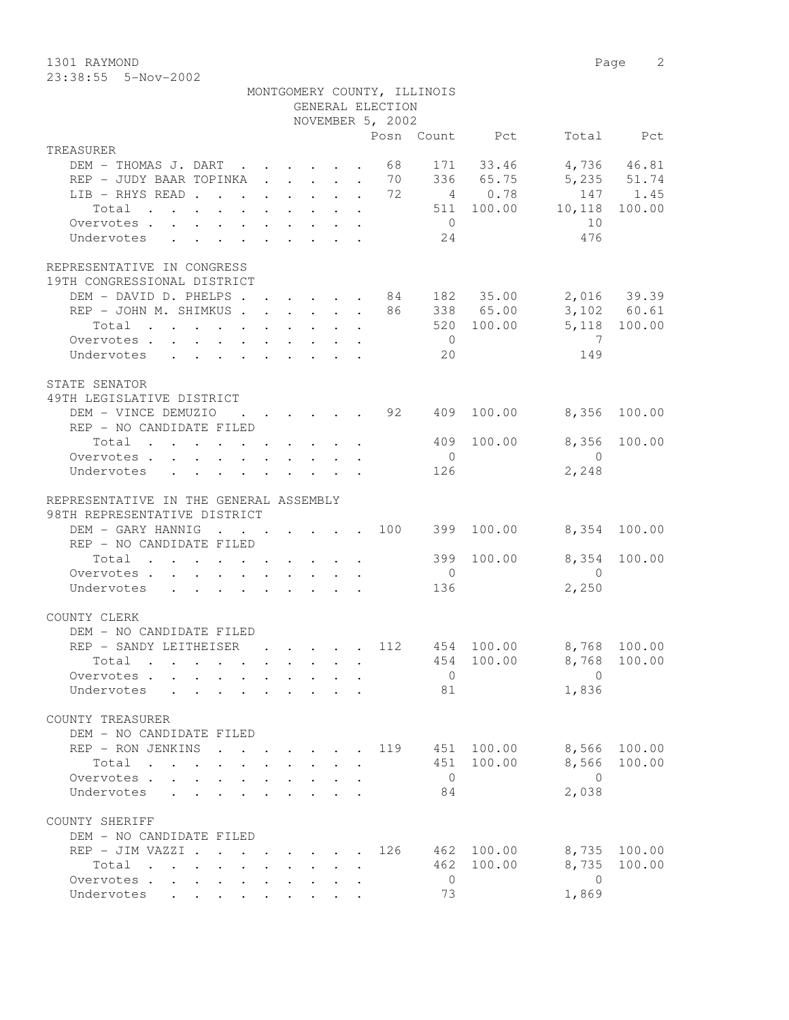1301 RAYMOND Page 2 23:38:55 5-Nov-2002

|                                                                                                                                                                                                                                        |  |  |  |  |  |                                                            | MONTGOMERY COUNTY, ILLINOIS |                                                                     |                                             |              |
|----------------------------------------------------------------------------------------------------------------------------------------------------------------------------------------------------------------------------------------|--|--|--|--|--|------------------------------------------------------------|-----------------------------|---------------------------------------------------------------------|---------------------------------------------|--------------|
| GENERAL ELECTION<br>NOVEMBER 5, 2002                                                                                                                                                                                                   |  |  |  |  |  |                                                            |                             |                                                                     |                                             |              |
|                                                                                                                                                                                                                                        |  |  |  |  |  |                                                            |                             |                                                                     |                                             |              |
| TREASURER                                                                                                                                                                                                                              |  |  |  |  |  |                                                            |                             | Posn Count Pct                                                      |                                             | Total Pct    |
| DEM - THOMAS J. DART                                                                                                                                                                                                                   |  |  |  |  |  | 68                                                         |                             | 171 33.46                                                           |                                             | 4,736 46.81  |
| REP - JUDY BAAR TOPINKA                                                                                                                                                                                                                |  |  |  |  |  | 70                                                         |                             | 336 65.75                                                           | 5, 235 51.74                                |              |
| LIB - RHYS READ                                                                                                                                                                                                                        |  |  |  |  |  | 72                                                         |                             | $\begin{array}{ccc} 2 & 03.75 \\ 4 & 0.78 \\ 511 & 100 \end{array}$ |                                             | 147 1.45     |
| Total                                                                                                                                                                                                                                  |  |  |  |  |  |                                                            |                             |                                                                     | 511 100.00 10,118                           | 100.00       |
| Overvotes.                                                                                                                                                                                                                             |  |  |  |  |  |                                                            | $\overline{0}$              |                                                                     | 10                                          |              |
| Undervotes                                                                                                                                                                                                                             |  |  |  |  |  |                                                            | 24                          |                                                                     | 476                                         |              |
|                                                                                                                                                                                                                                        |  |  |  |  |  |                                                            |                             |                                                                     |                                             |              |
| REPRESENTATIVE IN CONGRESS                                                                                                                                                                                                             |  |  |  |  |  |                                                            |                             |                                                                     |                                             |              |
| 19TH CONGRESSIONAL DISTRICT                                                                                                                                                                                                            |  |  |  |  |  |                                                            |                             |                                                                     |                                             |              |
| DEM - DAVID D. PHELPS 84 182 35.00 2,016 39.39                                                                                                                                                                                         |  |  |  |  |  |                                                            |                             |                                                                     |                                             |              |
| REP - JOHN M. SHIMKUS                                                                                                                                                                                                                  |  |  |  |  |  |                                                            |                             | 338 65.00                                                           |                                             | 3,102 60.61  |
| Total                                                                                                                                                                                                                                  |  |  |  |  |  |                                                            |                             | 520 100.00                                                          |                                             | 5,118 100.00 |
| Overvotes.                                                                                                                                                                                                                             |  |  |  |  |  |                                                            | $\overline{0}$              |                                                                     | $\overline{7}$                              |              |
| Undervotes                                                                                                                                                                                                                             |  |  |  |  |  |                                                            | 20                          |                                                                     | 149                                         |              |
|                                                                                                                                                                                                                                        |  |  |  |  |  |                                                            |                             |                                                                     |                                             |              |
| STATE SENATOR                                                                                                                                                                                                                          |  |  |  |  |  |                                                            |                             |                                                                     |                                             |              |
| 49TH LEGISLATIVE DISTRICT                                                                                                                                                                                                              |  |  |  |  |  |                                                            |                             |                                                                     |                                             |              |
| DEM - VINCE DEMUZIO                                                                                                                                                                                                                    |  |  |  |  |  | $\cdot$ $\cdot$ $\cdot$ $\cdot$ $\cdot$ $\cdot$ $\cdot$ 92 | 409                         | 100.00                                                              | 8,356                                       | 100.00       |
| REP - NO CANDIDATE FILED                                                                                                                                                                                                               |  |  |  |  |  |                                                            |                             |                                                                     |                                             |              |
| Total                                                                                                                                                                                                                                  |  |  |  |  |  |                                                            |                             | 409 100.00                                                          |                                             | 8,356 100.00 |
| Overvotes.                                                                                                                                                                                                                             |  |  |  |  |  |                                                            | $\overline{0}$              |                                                                     | $\bigcirc$                                  |              |
| Undervotes                                                                                                                                                                                                                             |  |  |  |  |  |                                                            | 126                         |                                                                     | 2,248                                       |              |
| REPRESENTATIVE IN THE GENERAL ASSEMBLY                                                                                                                                                                                                 |  |  |  |  |  |                                                            |                             |                                                                     |                                             |              |
| 98TH REPRESENTATIVE DISTRICT                                                                                                                                                                                                           |  |  |  |  |  |                                                            |                             |                                                                     |                                             |              |
| DEM - GARY HANNIG                                                                                                                                                                                                                      |  |  |  |  |  |                                                            |                             | $\cdot$ 100 399 100.00                                              |                                             | 8,354 100.00 |
| REP - NO CANDIDATE FILED                                                                                                                                                                                                               |  |  |  |  |  |                                                            |                             |                                                                     |                                             |              |
| Total                                                                                                                                                                                                                                  |  |  |  |  |  |                                                            |                             | 399 100.00                                                          | 8,354                                       | 100.00       |
| Overvotes                                                                                                                                                                                                                              |  |  |  |  |  |                                                            | $\overline{0}$              |                                                                     | $\overline{0}$                              |              |
| Undervotes                                                                                                                                                                                                                             |  |  |  |  |  |                                                            | 136                         |                                                                     | 2,250                                       |              |
|                                                                                                                                                                                                                                        |  |  |  |  |  |                                                            |                             |                                                                     |                                             |              |
| COUNTY CLERK                                                                                                                                                                                                                           |  |  |  |  |  |                                                            |                             |                                                                     |                                             |              |
| DEM - NO CANDIDATE FILED                                                                                                                                                                                                               |  |  |  |  |  |                                                            |                             |                                                                     |                                             |              |
| REP - SANDY LEITHEISER                                                                                                                                                                                                                 |  |  |  |  |  |                                                            |                             |                                                                     | $\cdot$ , , , , 112 454 100.00 8,768 100.00 |              |
| Total<br>. The contract of the contract of the contract of the contract of the contract of the contract of the contract of the contract of the contract of the contract of the contract of the contract of the contract of the contrac |  |  |  |  |  |                                                            |                             | 454 100.00                                                          | 8,768 100.00                                |              |
| Overvotes                                                                                                                                                                                                                              |  |  |  |  |  |                                                            | $\overline{0}$              |                                                                     | $\mathbf{0}$                                |              |
| Undervotes                                                                                                                                                                                                                             |  |  |  |  |  |                                                            | 81                          |                                                                     | 1,836                                       |              |
|                                                                                                                                                                                                                                        |  |  |  |  |  |                                                            |                             |                                                                     |                                             |              |
| COUNTY TREASURER                                                                                                                                                                                                                       |  |  |  |  |  |                                                            |                             |                                                                     |                                             |              |
| DEM - NO CANDIDATE FILED                                                                                                                                                                                                               |  |  |  |  |  |                                                            |                             |                                                                     |                                             |              |
| REP - RON JENKINS 119 451 100.00                                                                                                                                                                                                       |  |  |  |  |  |                                                            |                             |                                                                     | 8,566                                       | 100.00       |
|                                                                                                                                                                                                                                        |  |  |  |  |  |                                                            | 451                         | 100.00                                                              | 8,566                                       | 100.00       |
| Overvotes.                                                                                                                                                                                                                             |  |  |  |  |  |                                                            | $\overline{0}$              |                                                                     | $\overline{0}$                              |              |
| Undervotes                                                                                                                                                                                                                             |  |  |  |  |  |                                                            | 84                          |                                                                     | 2,038                                       |              |
|                                                                                                                                                                                                                                        |  |  |  |  |  |                                                            |                             |                                                                     |                                             |              |
| COUNTY SHERIFF                                                                                                                                                                                                                         |  |  |  |  |  |                                                            |                             |                                                                     |                                             |              |
| DEM - NO CANDIDATE FILED                                                                                                                                                                                                               |  |  |  |  |  |                                                            |                             |                                                                     |                                             |              |
| REP - JIM VAZZI                                                                                                                                                                                                                        |  |  |  |  |  | 126                                                        |                             | 462 100.00                                                          |                                             | 8,735 100.00 |
| Total , , , , , , , ,                                                                                                                                                                                                                  |  |  |  |  |  |                                                            | 462                         | 100.00                                                              | 8,735                                       | 100.00       |
| Overvotes.                                                                                                                                                                                                                             |  |  |  |  |  |                                                            | $\overline{0}$              |                                                                     | $\bigcirc$                                  |              |
| Undervotes                                                                                                                                                                                                                             |  |  |  |  |  |                                                            | 73                          |                                                                     | 1,869                                       |              |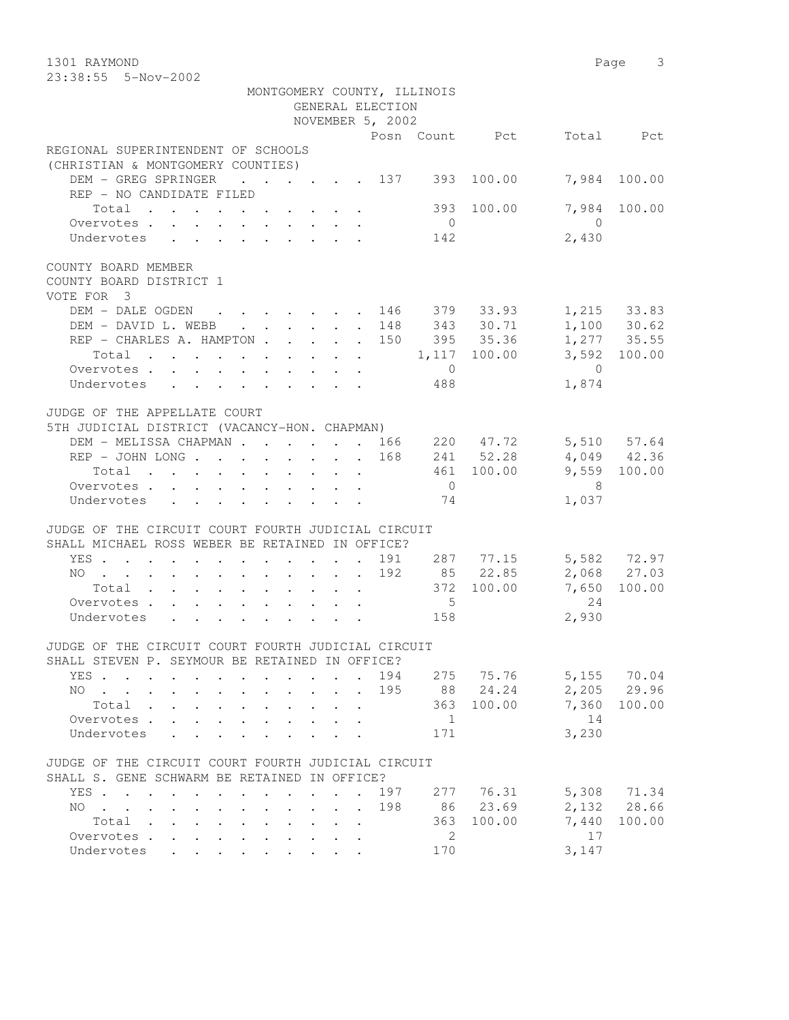1301 RAYMOND Page 3 23:38:55 5-Nov-2002

|                                                                                                                          |                      | MONTGOMERY COUNTY, ILLINOIS |                |                            |
|--------------------------------------------------------------------------------------------------------------------------|----------------------|-----------------------------|----------------|----------------------------|
|                                                                                                                          | GENERAL ELECTION     |                             |                |                            |
|                                                                                                                          | NOVEMBER 5, 2002     |                             |                |                            |
|                                                                                                                          |                      |                             | Posn Count Pct | Total Pct                  |
| REGIONAL SUPERINTENDENT OF SCHOOLS                                                                                       |                      |                             |                |                            |
| (CHRISTIAN & MONTGOMERY COUNTIES)                                                                                        |                      |                             |                |                            |
| DEM - GREG SPRINGER 137 393 100.00                                                                                       |                      |                             |                | 7,984 100.00               |
| REP - NO CANDIDATE FILED                                                                                                 |                      |                             |                |                            |
| Total                                                                                                                    |                      |                             | 393 100.00     | 7,984 100.00               |
| Overvotes.                                                                                                               |                      | $\overline{0}$              |                | $\overline{0}$             |
| Undervotes                                                                                                               |                      | 142                         |                | 2,430                      |
| COUNTY BOARD MEMBER                                                                                                      |                      |                             |                |                            |
| COUNTY BOARD DISTRICT 1                                                                                                  |                      |                             |                |                            |
| VOTE FOR 3                                                                                                               |                      |                             |                |                            |
| DEM - DALE OGDEN 146 379 33.93 1,215 33.83                                                                               |                      |                             |                |                            |
| DEM - DAVID L. WEBB 148 343 30.71                                                                                        |                      |                             |                | $1,100$ 30.62              |
| REP - CHARLES A. HAMPTON 150 395 35.36                                                                                   |                      |                             |                | 1,277 35.55                |
| Total 1,117 100.00                                                                                                       |                      |                             |                | 3,592 100.00               |
| Overvotes.                                                                                                               |                      | $\overline{0}$              |                | $\bigcirc$                 |
| Undervotes                                                                                                               |                      | 488                         |                | 1,874                      |
|                                                                                                                          |                      |                             |                |                            |
| JUDGE OF THE APPELLATE COURT                                                                                             |                      |                             |                |                            |
| 5TH JUDICIAL DISTRICT (VACANCY-HON. CHAPMAN)                                                                             |                      |                             |                |                            |
| DEM - MELISSA CHAPMAN 166 220 47.72                                                                                      |                      |                             |                | 5,510 57.64                |
| REP - JOHN LONG 168 241 52.28                                                                                            |                      |                             |                | 4,049 42.36                |
| Total                                                                                                                    |                      |                             | 461 100.00     | 9,559 100.00               |
| Overvotes.                                                                                                               |                      | $\overline{0}$              |                | $\overline{\phantom{1}}$ 8 |
| Undervotes                                                                                                               |                      | 74                          |                | 1,037                      |
|                                                                                                                          |                      |                             |                |                            |
| JUDGE OF THE CIRCUIT COURT FOURTH JUDICIAL CIRCUIT                                                                       |                      |                             |                |                            |
| SHALL MICHAEL ROSS WEBER BE RETAINED IN OFFICE?                                                                          |                      |                             |                |                            |
| YES 191 287 77.15                                                                                                        |                      |                             |                | 5,582 72.97                |
| NO 192 85 22.85                                                                                                          |                      |                             |                | 2,068 27.03                |
| Total $\cdot$                                                                                                            |                      |                             | 372 100.00     | 7,650<br>100.00            |
| Overvotes                                                                                                                |                      | $5^{\circ}$                 |                | 24                         |
| Undervotes                                                                                                               |                      | 158                         |                | 2,930                      |
|                                                                                                                          |                      |                             |                |                            |
| JUDGE OF THE CIRCUIT COURT FOURTH JUDICIAL CIRCUIT                                                                       |                      |                             |                |                            |
| SHALL STEVEN P. SEYMOUR BE RETAINED IN OFFICE?                                                                           |                      |                             |                |                            |
| YES                                                                                                                      |                      | 275<br>194                  | 75.76          | 70.04<br>5,155             |
| NO<br>$\ddot{\phantom{0}}$                                                                                               | $\sim$               | 88<br>195                   | 24.24          | 2,205<br>29.96             |
| Total .<br>$\mathbf{r}$ , $\mathbf{r}$ , $\mathbf{r}$<br>$\ddot{\phantom{0}}$<br>$\bullet$ .<br><br><br><br><br><br><br> |                      | 363                         | 100.00         | 7,360<br>100.00            |
| Overvotes .                                                                                                              |                      | 1                           |                | 14                         |
| Undervotes                                                                                                               |                      | 171                         |                | 3,230                      |
|                                                                                                                          |                      |                             |                |                            |
| JUDGE OF THE CIRCUIT COURT FOURTH JUDICIAL CIRCUIT                                                                       |                      |                             |                |                            |
| SHALL S. GENE SCHWARM BE RETAINED IN OFFICE?                                                                             |                      |                             |                |                            |
| YES.<br>$\mathbf{r}$ , $\mathbf{r}$ , $\mathbf{r}$ , $\mathbf{r}$                                                        | $\ddot{\phantom{a}}$ | 197<br>277                  | 76.31          | 5,308<br>71.34             |
| NO.<br>$\mathbf{r}$ , and $\mathbf{r}$ , and $\mathbf{r}$ , and $\mathbf{r}$ , and $\mathbf{r}$                          |                      | 198<br>86                   | 23.69          | 2,132<br>28.66             |
| Total                                                                                                                    |                      | 363                         | 100.00         | 7,440<br>100.00            |
| Overvotes                                                                                                                |                      | 2                           |                | 17                         |
| Undervotes                                                                                                               |                      | 170                         |                | 3,147                      |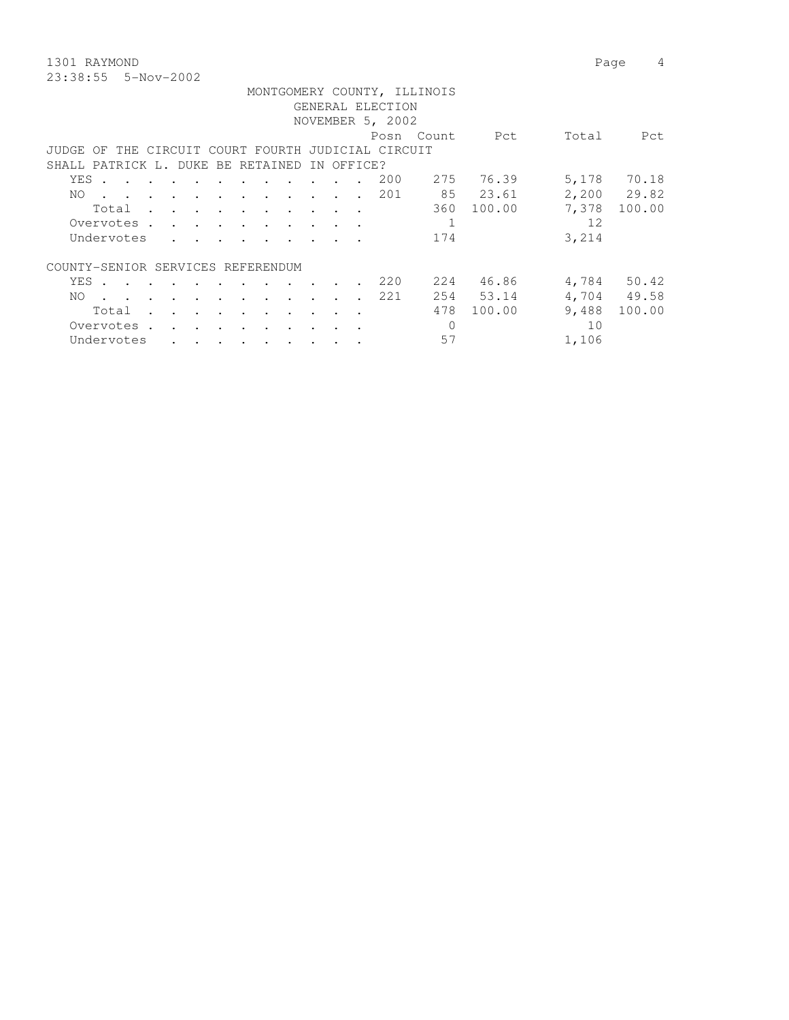1301 RAYMOND Page 4 23:38:55 5-Nov-2002

|                                                    |                                        |           |               |               |                      |                                                                                          |           |                      |  |                  | MONTGOMERY COUNTY, ILLINOIS |           |       |             |
|----------------------------------------------------|----------------------------------------|-----------|---------------|---------------|----------------------|------------------------------------------------------------------------------------------|-----------|----------------------|--|------------------|-----------------------------|-----------|-------|-------------|
|                                                    |                                        |           |               |               |                      |                                                                                          |           |                      |  | GENERAL ELECTION |                             |           |       |             |
|                                                    |                                        |           |               |               |                      |                                                                                          |           |                      |  | NOVEMBER 5, 2002 |                             |           |       |             |
|                                                    |                                        |           |               |               |                      |                                                                                          |           |                      |  |                  | Posn Count                  | Pct       | Total | Pct         |
| JUDGE OF THE CIRCUIT COURT FOURTH JUDICIAL CIRCUIT |                                        |           |               |               |                      |                                                                                          |           |                      |  |                  |                             |           |       |             |
| SHALL PATRICK L. DUKE BE RETAINED IN OFFICE?       |                                        |           |               |               |                      |                                                                                          |           |                      |  |                  |                             |           |       |             |
| YES .                                              |                                        |           |               | $\sim$ $\sim$ | $\ddot{\phantom{1}}$ |                                                                                          |           | $\sim$ 100 $\sim$    |  | 200              | 275                         | 76.39     | 5,178 | 70.18       |
| NO.<br>$\sim$ $\sim$ $\sim$                        |                                        |           |               |               |                      | $\mathbf{r}$ , and $\mathbf{r}$ , and $\mathbf{r}$ , and $\mathbf{r}$ , and $\mathbf{r}$ |           |                      |  | . 201            |                             | 85 23.61  |       | 2,200 29.82 |
| Total .                                            |                                        |           |               |               |                      | $\mathbf{r}$ , and $\mathbf{r}$ , and $\mathbf{r}$ , and $\mathbf{r}$                    |           |                      |  |                  | 360                         | 100.00    | 7,378 | 100.00      |
| Overvotes                                          |                                        |           |               |               |                      |                                                                                          |           |                      |  |                  |                             |           | 12    |             |
| Undervotes                                         |                                        |           |               |               |                      |                                                                                          |           |                      |  |                  | 174                         |           | 3,214 |             |
|                                                    |                                        |           |               |               |                      |                                                                                          |           |                      |  |                  |                             |           |       |             |
| COUNTY-SENIOR SERVICES REFERENDUM                  |                                        |           |               |               |                      |                                                                                          |           |                      |  |                  |                             |           |       |             |
| YES                                                |                                        |           |               |               |                      |                                                                                          |           |                      |  | 220              | 224                         | 46.86     | 4,784 | 50.42       |
| NO.                                                | $\mathbf{r}$ . The set of $\mathbf{r}$ |           | $\sim$        | $\sim$        |                      | $\cdot$ $\cdot$                                                                          | $\cdot$   | $\ddot{\phantom{a}}$ |  | 221              |                             | 254 53.14 |       | 4,704 49.58 |
| Total                                              |                                        |           |               |               | $\bullet$            |                                                                                          |           | $\cdot$              |  |                  | 478                         | 100.00    | 9,488 | 100.00      |
| Overvotes.                                         |                                        | $\bullet$ | $\sim$ $\sim$ | $\sim$ $\sim$ | $\sim$ $\sim$        |                                                                                          | $\bullet$ | $\ddot{\phantom{1}}$ |  |                  |                             |           | 10    |             |

Undervotes . . . . . . . . . 57 1,106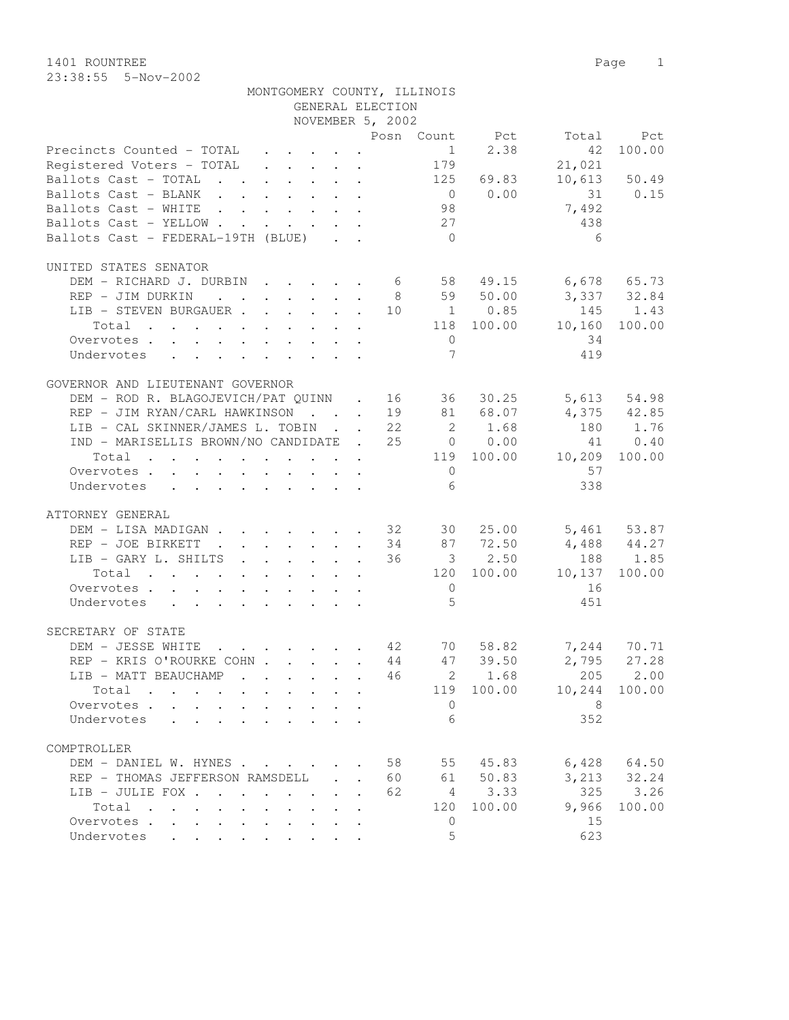23:38:55 5-Nov-2002

|                                                                                                                          | MONTGOMERY COUNTY, ILLINOIS |                  |                |             |                      |                 |
|--------------------------------------------------------------------------------------------------------------------------|-----------------------------|------------------|----------------|-------------|----------------------|-----------------|
|                                                                                                                          |                             | GENERAL ELECTION |                |             |                      |                 |
|                                                                                                                          |                             | NOVEMBER 5, 2002 |                |             |                      |                 |
|                                                                                                                          |                             |                  |                |             | Posn Count Pct Total | Pct             |
| Precincts Counted - TOTAL                                                                                                |                             |                  | 1              | 2.38        | 42                   | 100.00          |
| Registered Voters - TOTAL                                                                                                |                             |                  | 179            |             | 21,021               |                 |
| Ballots Cast - TOTAL 125                                                                                                 |                             |                  |                | 69.83       |                      | 10,613 50.49    |
| Ballots Cast - BLANK                                                                                                     |                             |                  |                | $0 \t 0.00$ |                      | 31 0.15         |
| Ballots Cast - WHITE                                                                                                     |                             |                  | 98             |             | 7,492                |                 |
| Ballots Cast - YELLOW                                                                                                    |                             |                  | 27             |             | 438                  |                 |
| Ballots Cast - FEDERAL-19TH (BLUE)                                                                                       |                             |                  | $\bigcirc$     |             | 6                    |                 |
| UNITED STATES SENATOR                                                                                                    |                             |                  |                |             |                      |                 |
| DEM - RICHARD J. DURBIN 6 58 49.15                                                                                       |                             |                  |                |             | $6,678$ $65.73$      |                 |
| REP - JIM DURKIN                                                                                                         |                             |                  |                | 8 59 50.00  | 3,337 32.84          |                 |
|                                                                                                                          |                             |                  |                |             |                      |                 |
| LIB - STEVEN BURGAUER 10 1 0.85                                                                                          |                             |                  |                |             |                      | 145 1.43        |
| Total                                                                                                                    |                             |                  |                | 118 100.00  | 10,160               | 100.00          |
| Overvotes                                                                                                                |                             |                  | $\overline{0}$ |             | 34                   |                 |
| Undervotes                                                                                                               |                             |                  | $\overline{7}$ |             | 419                  |                 |
| GOVERNOR AND LIEUTENANT GOVERNOR                                                                                         |                             |                  |                |             |                      |                 |
| DEM - ROD R. BLAGOJEVICH/PAT QUINN . 16 36 30.25                                                                         |                             |                  |                |             |                      | 5,613 54.98     |
| REP - JIM RYAN/CARL HAWKINSON 19 81 68.07                                                                                |                             |                  |                |             |                      | 4,375 42.85     |
| LIB - CAL SKINNER/JAMES L. TOBIN 22                                                                                      |                             |                  |                | 2 1.68      |                      | 180 1.76        |
| IND - MARISELLIS BROWN/NO CANDIDATE . 25 0 0.00                                                                          |                             |                  |                |             |                      | 41 0.40         |
|                                                                                                                          |                             |                  |                | 119 100.00  |                      | 100.00          |
| Total<br>. The simple state is a strong state of the state $\mathcal{A}$ is a strong state of the state $\mathcal{A}$    |                             |                  |                |             | 10,209               |                 |
| Overvotes                                                                                                                |                             |                  | $\overline{0}$ |             | 57                   |                 |
| Undervotes                                                                                                               |                             |                  | 6              |             | 338                  |                 |
| ATTORNEY GENERAL                                                                                                         |                             |                  |                |             |                      |                 |
| DEM - LISA MADIGAN 32 30 25.00                                                                                           |                             |                  |                |             |                      | 5,461 53.87     |
| REP - JOE BIRKETT 34 87 72.50                                                                                            |                             |                  |                |             | $4,488$ $44.27$      |                 |
| LIB - GARY L. SHILTS                                                                                                     |                             | 36               |                | $3 \t 2.50$ |                      | 188 1.85        |
| Total<br>. The contribution of the contribution of the contribution $\mathcal{L}_\mathcal{A}$                            |                             |                  |                | 120 100.00  | 10, 137              | 100.00          |
| Overvotes                                                                                                                |                             |                  | $\overline{0}$ |             | 16                   |                 |
|                                                                                                                          |                             |                  | 5              |             | 451                  |                 |
| Undervotes                                                                                                               |                             |                  |                |             |                      |                 |
| SECRETARY OF STATE                                                                                                       |                             |                  |                |             |                      |                 |
| DEM - JESSE WHITE                                                                                                        | $\cdot$ 42                  |                  | 70             | 58.82       | 7,244                | 70.71           |
| REP - KRIS O'ROURKE COHN                                                                                                 |                             | 44               |                | 47 39.50    | 2,795                | 27.28           |
| LIB - MATT BEAUCHAMP                                                                                                     |                             | 46               |                | 2 1.68      | 205                  | 2.00            |
| Total<br>the contract of the contract of the contract of the contract of the contract of the contract of the contract of |                             |                  |                | 119 100.00  | 10,244               | 100.00          |
| Overvotes                                                                                                                |                             | $\bullet$        | $\circ$        |             | 8                    |                 |
| Undervotes                                                                                                               |                             |                  | 6              |             | 352                  |                 |
|                                                                                                                          |                             |                  |                |             |                      |                 |
| COMPTROLLER                                                                                                              |                             |                  |                |             |                      |                 |
| DEM - DANIEL W. HYNES                                                                                                    |                             |                  | 58             | 55 45.83    |                      | $6,428$ $64.50$ |
| REP - THOMAS JEFFERSON RAMSDELL                                                                                          |                             | 60               |                | 61 50.83    |                      | 3, 213 32.24    |
| LIB - JULIE FOX                                                                                                          |                             | 62               |                | 4 3.33      | 325                  | 3.26            |
| Total                                                                                                                    |                             |                  | 120            | 100.00      | 9,966                | 100.00          |
| Overvotes                                                                                                                |                             |                  | 0              |             | 15                   |                 |
| Undervotes                                                                                                               |                             |                  | 5              |             | 623                  |                 |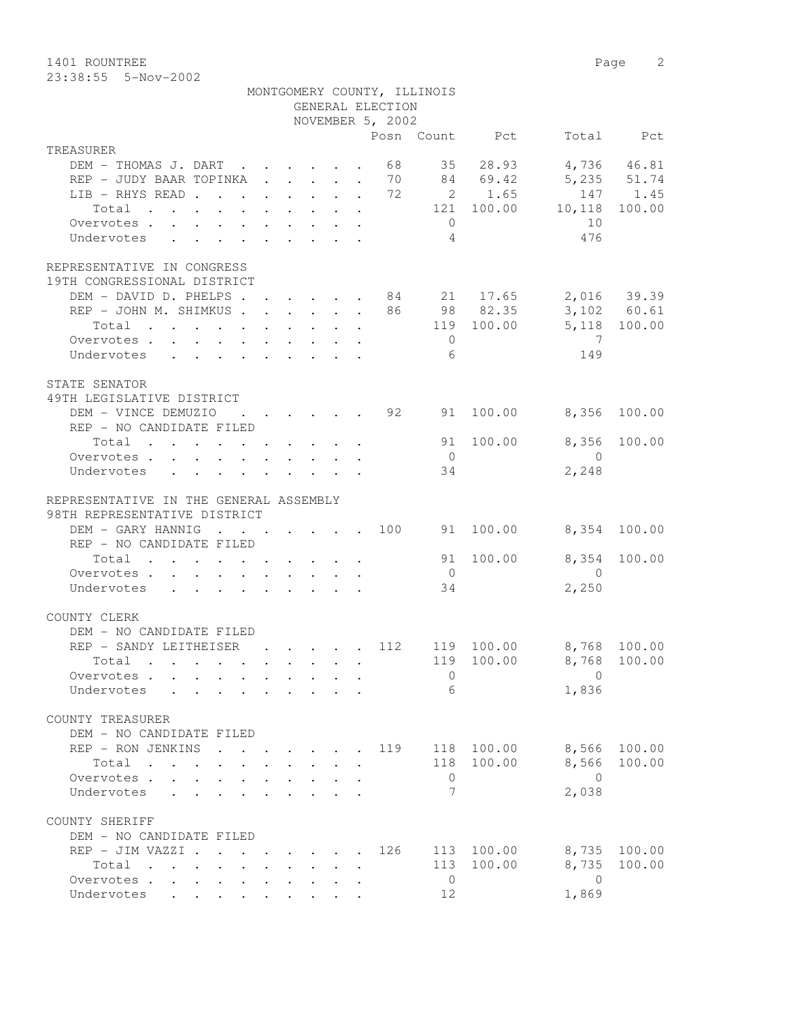1401 ROUNTREE Page 2 23:38:55 5-Nov-2002

|                                                                                                                      |              |                           |        |                                                    | MONTGOMERY COUNTY, ILLINOIS |                |                         |              |
|----------------------------------------------------------------------------------------------------------------------|--------------|---------------------------|--------|----------------------------------------------------|-----------------------------|----------------|-------------------------|--------------|
|                                                                                                                      |              |                           |        | GENERAL ELECTION<br>NOVEMBER 5, 2002               |                             |                |                         |              |
|                                                                                                                      |              |                           |        |                                                    |                             | Posn Count Pct |                         | Total Pct    |
| TREASURER                                                                                                            |              |                           |        |                                                    |                             |                |                         |              |
| DEM - THOMAS J. DART 68                                                                                              |              |                           |        |                                                    |                             | 35 28.93       |                         | 4,736 46.81  |
| REP - JUDY BAAR TOPINKA 70 84 69.42                                                                                  |              |                           |        |                                                    |                             |                | 5,235 51.74             |              |
| LIB - RHYS READ 72 2 1.65                                                                                            |              |                           |        |                                                    |                             |                |                         | 147 1.45     |
| Total $\cdots$                                                                                                       |              |                           |        |                                                    |                             | 121 100.00     | 10,118                  | 100.00       |
| Overvotes                                                                                                            |              |                           |        |                                                    | $\overline{0}$              |                | 10                      |              |
| Undervotes<br>$\mathbf{r}$ , $\mathbf{r}$ , $\mathbf{r}$ , $\mathbf{r}$ , $\mathbf{r}$ , $\mathbf{r}$ , $\mathbf{r}$ |              |                           |        |                                                    | $\overline{4}$              |                | 476                     |              |
| REPRESENTATIVE IN CONGRESS                                                                                           |              |                           |        |                                                    |                             |                |                         |              |
| 19TH CONGRESSIONAL DISTRICT                                                                                          |              |                           |        |                                                    |                             |                |                         |              |
| DEM - DAVID D. PHELPS 84 21 17.65 2,016 39.39                                                                        |              |                           |        |                                                    |                             |                |                         |              |
| REP - JOHN M. SHIMKUS 86 98 82.35                                                                                    |              |                           |        |                                                    |                             |                | $3,102$ 60.61           |              |
| Total 119 100.00                                                                                                     |              |                           |        |                                                    |                             |                |                         | 5,118 100.00 |
| Overvotes                                                                                                            |              |                           |        |                                                    | $\overline{0}$              |                | $\overline{7}$          |              |
| Undervotes                                                                                                           |              |                           |        |                                                    | 6                           |                | 149                     |              |
|                                                                                                                      |              |                           |        |                                                    |                             |                |                         |              |
| STATE SENATOR                                                                                                        |              |                           |        |                                                    |                             |                |                         |              |
| 49TH LEGISLATIVE DISTRICT                                                                                            |              |                           |        |                                                    |                             |                |                         |              |
| DEM - VINCE DEMUZIO                                                                                                  |              |                           |        | $\cdot$ $\cdot$ $\cdot$ $\cdot$ $\cdot$ $\cdot$ 92 | 91                          | 100.00         | 8,356                   | 100.00       |
| REP - NO CANDIDATE FILED                                                                                             |              |                           |        |                                                    |                             |                |                         |              |
| Total $\cdot$                                                                                                        |              |                           |        |                                                    |                             | 91 100.00      | 8,356                   | 100.00       |
| Overvotes<br>Undervotes                                                                                              |              |                           |        |                                                    | $\overline{0}$<br>34        |                | $\bigcirc$<br>2,248     |              |
|                                                                                                                      |              |                           |        |                                                    |                             |                |                         |              |
| REPRESENTATIVE IN THE GENERAL ASSEMBLY                                                                               |              |                           |        |                                                    |                             |                |                         |              |
| 98TH REPRESENTATIVE DISTRICT                                                                                         |              |                           |        |                                                    |                             |                |                         |              |
| DEM - GARY HANNIG 100 91 100.00                                                                                      |              |                           |        |                                                    |                             |                | 8,354 100.00            |              |
| REP - NO CANDIDATE FILED                                                                                             |              |                           |        |                                                    |                             |                |                         |              |
| Total                                                                                                                |              |                           |        |                                                    |                             | 91 100.00      | 8,354                   | 100.00       |
| Overvotes                                                                                                            |              |                           |        |                                                    | $\overline{0}$              |                | $\overline{0}$          |              |
| Undervotes                                                                                                           |              |                           |        |                                                    | 34                          |                | 2,250                   |              |
|                                                                                                                      |              |                           |        |                                                    |                             |                |                         |              |
| COUNTY CLERK                                                                                                         |              |                           |        |                                                    |                             |                |                         |              |
| DEM - NO CANDIDATE FILED                                                                                             |              |                           |        |                                                    |                             |                |                         |              |
| REP - SANDY LEITHEISER                                                                                               |              |                           |        | . 112                                              |                             |                | 119 100.00 8,768 100.00 |              |
| Total                                                                                                                |              |                           |        |                                                    |                             |                | 119 100.00 8,768 100.00 |              |
| Overvotes                                                                                                            |              |                           |        |                                                    | $\Omega$                    |                | $\Omega$                |              |
| Undervotes                                                                                                           |              |                           |        |                                                    | 6                           |                | 1,836                   |              |
| COUNTY TREASURER                                                                                                     |              |                           |        |                                                    |                             |                |                         |              |
| DEM - NO CANDIDATE FILED                                                                                             |              |                           |        |                                                    |                             |                |                         |              |
| REP - RON JENKINS 119 118 100.00                                                                                     |              |                           |        |                                                    |                             |                |                         | 8,566 100.00 |
| Total                                                                                                                | $\mathbf{L}$ | $\mathbf{r} = \mathbf{r}$ | $\sim$ |                                                    |                             | 118 100.00     |                         | 8,566 100.00 |
| Overvotes                                                                                                            |              |                           |        |                                                    | $\overline{0}$              |                | $\bigcirc$              |              |
| Undervotes                                                                                                           |              |                           |        |                                                    | $7\phantom{.0}$             |                | 2,038                   |              |
|                                                                                                                      |              |                           |        |                                                    |                             |                |                         |              |
| COUNTY SHERIFF                                                                                                       |              |                           |        |                                                    |                             |                |                         |              |
| DEM - NO CANDIDATE FILED                                                                                             |              |                           |        |                                                    |                             |                |                         |              |
| REP - JIM VAZZI                                                                                                      |              |                           |        | 126                                                |                             | 113 100.00     |                         | 8,735 100.00 |
| Total                                                                                                                |              |                           |        |                                                    |                             | 113 100.00     |                         | 8,735 100.00 |
| Overvotes.                                                                                                           |              |                           |        |                                                    | $\overline{0}$              |                | $\overline{0}$          |              |
| Undervotes                                                                                                           |              |                           |        |                                                    | 12                          |                | 1,869                   |              |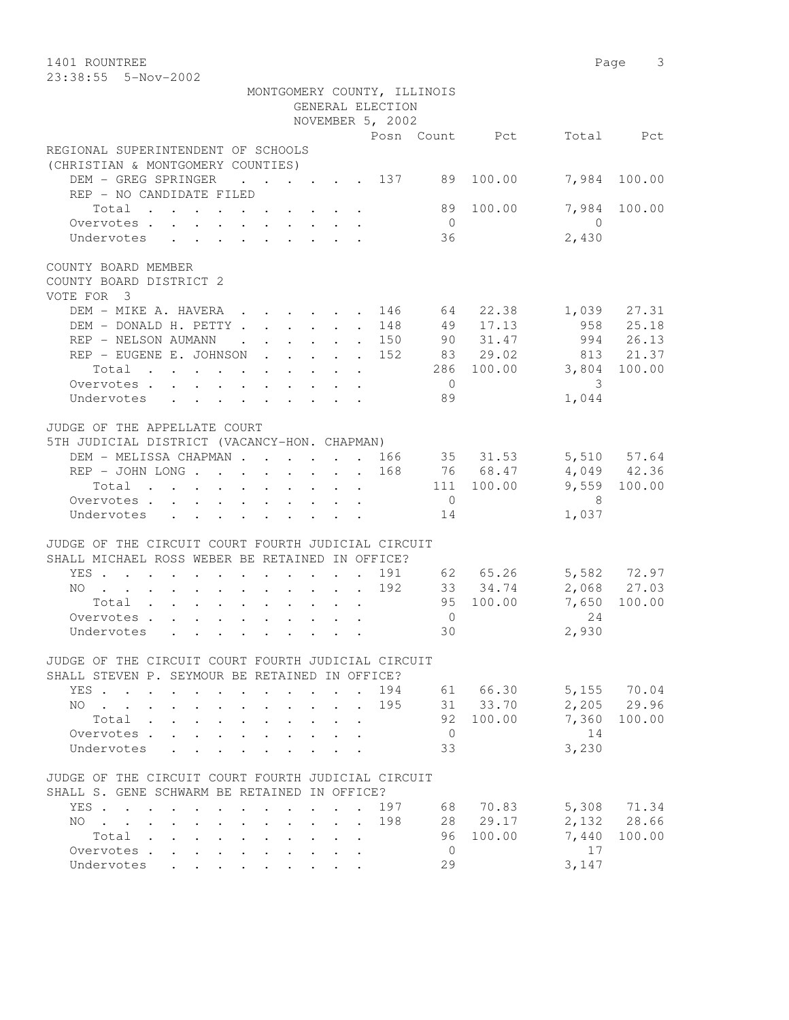1401 ROUNTREE Page 3 23:38:55 5-Nov-2002

|                                                                                                                                                                                                                                                                                                                                                                                                                                                                                                        |                  | MONTGOMERY COUNTY, ILLINOIS                              |                |                            |
|--------------------------------------------------------------------------------------------------------------------------------------------------------------------------------------------------------------------------------------------------------------------------------------------------------------------------------------------------------------------------------------------------------------------------------------------------------------------------------------------------------|------------------|----------------------------------------------------------|----------------|----------------------------|
|                                                                                                                                                                                                                                                                                                                                                                                                                                                                                                        | GENERAL ELECTION |                                                          |                |                            |
|                                                                                                                                                                                                                                                                                                                                                                                                                                                                                                        | NOVEMBER 5, 2002 |                                                          |                |                            |
|                                                                                                                                                                                                                                                                                                                                                                                                                                                                                                        |                  |                                                          | Posn Count Pct | Total Pct                  |
| REGIONAL SUPERINTENDENT OF SCHOOLS                                                                                                                                                                                                                                                                                                                                                                                                                                                                     |                  |                                                          |                |                            |
| (CHRISTIAN & MONTGOMERY COUNTIES)                                                                                                                                                                                                                                                                                                                                                                                                                                                                      |                  |                                                          |                |                            |
| DEM - GREG SPRINGER 137                                                                                                                                                                                                                                                                                                                                                                                                                                                                                |                  |                                                          | 89 100.00      | 7,984 100.00               |
| REP - NO CANDIDATE FILED                                                                                                                                                                                                                                                                                                                                                                                                                                                                               |                  |                                                          |                |                            |
| Total                                                                                                                                                                                                                                                                                                                                                                                                                                                                                                  |                  |                                                          | 89 100.00      | 7,984 100.00               |
| Overvotes                                                                                                                                                                                                                                                                                                                                                                                                                                                                                              |                  | $\overline{0}$                                           |                | $\overline{0}$             |
| Undervotes                                                                                                                                                                                                                                                                                                                                                                                                                                                                                             |                  | 36                                                       |                | 2,430                      |
| COUNTY BOARD MEMBER                                                                                                                                                                                                                                                                                                                                                                                                                                                                                    |                  |                                                          |                |                            |
| COUNTY BOARD DISTRICT 2                                                                                                                                                                                                                                                                                                                                                                                                                                                                                |                  |                                                          |                |                            |
| VOTE FOR 3                                                                                                                                                                                                                                                                                                                                                                                                                                                                                             |                  |                                                          |                |                            |
|                                                                                                                                                                                                                                                                                                                                                                                                                                                                                                        |                  |                                                          |                | 27.31                      |
| DEM – MIKE A. HAVERA 146 64 22.38                                                                                                                                                                                                                                                                                                                                                                                                                                                                      |                  |                                                          |                | 1,039                      |
| DEM - DONALD H. PETTY 148                                                                                                                                                                                                                                                                                                                                                                                                                                                                              |                  | 49<br>$\cdot \cdot \cdot \cdot \cdot \cdot 150$ 90 31.47 | 17.13          | 958 25.18<br>994 26.13     |
| REP - NELSON AUMANN                                                                                                                                                                                                                                                                                                                                                                                                                                                                                    |                  |                                                          |                |                            |
| REP - EUGENE E. JOHNSON 152 83 29.02                                                                                                                                                                                                                                                                                                                                                                                                                                                                   |                  |                                                          |                | 813 21.37                  |
| Total 286 100.00                                                                                                                                                                                                                                                                                                                                                                                                                                                                                       |                  |                                                          |                | 3,804 100.00               |
| Overvotes.                                                                                                                                                                                                                                                                                                                                                                                                                                                                                             |                  | $\overline{0}$                                           |                | 3                          |
| Undervotes                                                                                                                                                                                                                                                                                                                                                                                                                                                                                             |                  | 89                                                       |                | 1,044                      |
|                                                                                                                                                                                                                                                                                                                                                                                                                                                                                                        |                  |                                                          |                |                            |
| JUDGE OF THE APPELLATE COURT                                                                                                                                                                                                                                                                                                                                                                                                                                                                           |                  |                                                          |                |                            |
| 5TH JUDICIAL DISTRICT (VACANCY-HON. CHAPMAN)                                                                                                                                                                                                                                                                                                                                                                                                                                                           |                  |                                                          |                |                            |
| DEM - MELISSA CHAPMAN 166 35 31.53 5,510 57.64                                                                                                                                                                                                                                                                                                                                                                                                                                                         |                  |                                                          |                |                            |
| REP - JOHN LONG 168 76 68.47                                                                                                                                                                                                                                                                                                                                                                                                                                                                           |                  |                                                          |                | 4,049 42.36                |
| Total                                                                                                                                                                                                                                                                                                                                                                                                                                                                                                  |                  |                                                          | 111 100.00     | 9,559 100.00               |
| Overvotes.                                                                                                                                                                                                                                                                                                                                                                                                                                                                                             |                  | $\overline{0}$                                           |                | 8 <sup>8</sup>             |
| Undervotes                                                                                                                                                                                                                                                                                                                                                                                                                                                                                             |                  | 14                                                       |                | 1,037                      |
|                                                                                                                                                                                                                                                                                                                                                                                                                                                                                                        |                  |                                                          |                |                            |
| JUDGE OF THE CIRCUIT COURT FOURTH JUDICIAL CIRCUIT                                                                                                                                                                                                                                                                                                                                                                                                                                                     |                  |                                                          |                |                            |
| SHALL MICHAEL ROSS WEBER BE RETAINED IN OFFICE?                                                                                                                                                                                                                                                                                                                                                                                                                                                        |                  |                                                          |                |                            |
| YES 191 62 65.26                                                                                                                                                                                                                                                                                                                                                                                                                                                                                       |                  |                                                          |                |                            |
| $\therefore$ $\therefore$ $\therefore$ $\therefore$ $\therefore$ $\therefore$ $\therefore$ $\therefore$ $\therefore$ $\therefore$ $\therefore$ $\therefore$ $\therefore$ $\therefore$ $\therefore$ $\therefore$ $\therefore$ $\therefore$ $\therefore$ $\therefore$ $\therefore$ $\therefore$ $\therefore$ $\therefore$ $\therefore$ $\therefore$ $\therefore$ $\therefore$ $\therefore$ $\therefore$ $\therefore$ $\therefore$ $\therefore$ $\therefore$ $\therefore$ $\therefore$ $\therefore$<br>NO |                  |                                                          |                | 5,582 72.97<br>2,068 27.03 |
| Total                                                                                                                                                                                                                                                                                                                                                                                                                                                                                                  |                  |                                                          | 95 100.00      | 100.00<br>7,650            |
| Overvotes.                                                                                                                                                                                                                                                                                                                                                                                                                                                                                             |                  | $\overline{0}$                                           |                | 24                         |
|                                                                                                                                                                                                                                                                                                                                                                                                                                                                                                        |                  |                                                          |                |                            |
| Undervotes                                                                                                                                                                                                                                                                                                                                                                                                                                                                                             |                  | 30                                                       |                | 2,930                      |
|                                                                                                                                                                                                                                                                                                                                                                                                                                                                                                        |                  |                                                          |                |                            |
| JUDGE OF THE CIRCUIT COURT FOURTH JUDICIAL CIRCUIT                                                                                                                                                                                                                                                                                                                                                                                                                                                     |                  |                                                          |                |                            |
| SHALL STEVEN P. SEYMOUR BE RETAINED IN OFFICE?                                                                                                                                                                                                                                                                                                                                                                                                                                                         |                  |                                                          |                |                            |
| YES .<br>$\sim$ 100 $\mu$                                                                                                                                                                                                                                                                                                                                                                                                                                                                              |                  | 194                                                      | 61 66.30       | 5,155 70.04                |
| NO.                                                                                                                                                                                                                                                                                                                                                                                                                                                                                                    |                  | 195                                                      | 31 33.70       | 2,205<br>29.96             |
| Total<br>$\mathbf{A}$<br>$\mathbf{L}$                                                                                                                                                                                                                                                                                                                                                                                                                                                                  |                  | 92                                                       | 100.00         | 7,360<br>100.00            |
| Overvotes.<br>$\mathbf{L}$<br>$\mathbf{L}$<br>$\sim$                                                                                                                                                                                                                                                                                                                                                                                                                                                   |                  | $\overline{0}$                                           |                | 14                         |
| Undervotes<br>$\mathbf{r}$<br>$\mathbb{R}^2$                                                                                                                                                                                                                                                                                                                                                                                                                                                           |                  | 33                                                       |                | 3,230                      |
|                                                                                                                                                                                                                                                                                                                                                                                                                                                                                                        |                  |                                                          |                |                            |
| JUDGE OF THE CIRCUIT COURT FOURTH JUDICIAL CIRCUIT                                                                                                                                                                                                                                                                                                                                                                                                                                                     |                  |                                                          |                |                            |
| SHALL S. GENE SCHWARM BE RETAINED IN OFFICE?                                                                                                                                                                                                                                                                                                                                                                                                                                                           |                  |                                                          |                |                            |
| YES<br><b>Contract Contract</b><br>$\mathbf{r}$                                                                                                                                                                                                                                                                                                                                                                                                                                                        | $\sim$           | 68<br>197                                                | 70.83          | 5,308<br>71.34             |
| NO L<br>$\mathbf{r} = \mathbf{r}$                                                                                                                                                                                                                                                                                                                                                                                                                                                                      |                  | 198<br>28                                                | 29.17          | 28.66<br>2,132             |
| Total<br>$\sim$ $\sim$                                                                                                                                                                                                                                                                                                                                                                                                                                                                                 |                  | 96                                                       | 100.00         | 7,440<br>100.00            |
| Overvotes .<br>$\mathbf{L}$<br>$\mathbf{A}^{\mathbf{r}}$                                                                                                                                                                                                                                                                                                                                                                                                                                               |                  | $\overline{0}$                                           |                | 17                         |
| Undervotes                                                                                                                                                                                                                                                                                                                                                                                                                                                                                             |                  | 29                                                       |                | 3,147                      |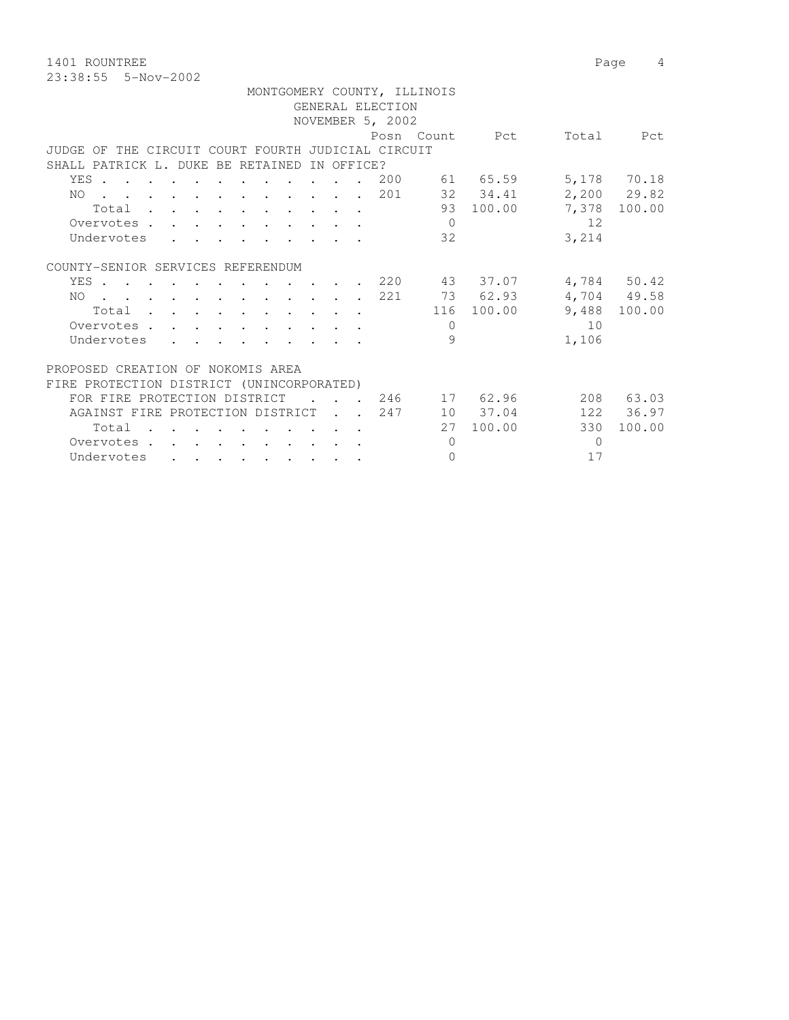1401 ROUNTREE Page 4 23:38:55 5-Nov-2002

|                                                    |  |                                                                                          |  |                  |            |                          |                  | MONTGOMERY COUNTY, ILLINOIS |                |          |               |
|----------------------------------------------------|--|------------------------------------------------------------------------------------------|--|------------------|------------|--------------------------|------------------|-----------------------------|----------------|----------|---------------|
|                                                    |  |                                                                                          |  |                  |            |                          | GENERAL ELECTION |                             |                |          |               |
|                                                    |  |                                                                                          |  |                  |            |                          | NOVEMBER 5, 2002 |                             |                |          |               |
|                                                    |  |                                                                                          |  |                  |            |                          |                  |                             | Posn Count Pct | Total    | Pct           |
| JUDGE OF THE CIRCUIT COURT FOURTH JUDICIAL CIRCUIT |  |                                                                                          |  |                  |            |                          |                  |                             |                |          |               |
| SHALL PATRICK L. DUKE BE RETAINED                  |  |                                                                                          |  |                  | IN OFFICE? |                          |                  |                             |                |          |               |
| YES.                                               |  |                                                                                          |  |                  |            |                          | 200              |                             | 61 65.59       |          | 5,178 70.18   |
| . 201<br>NO.                                       |  |                                                                                          |  |                  |            |                          |                  |                             | 32 34.41       |          | $2,200$ 29.82 |
| Total                                              |  |                                                                                          |  |                  |            |                          |                  |                             | 93 100.00      | 7,378    | 100.00        |
| Overvotes                                          |  |                                                                                          |  |                  |            |                          |                  | $\bigcirc$                  |                | 12       |               |
| Undervotes                                         |  |                                                                                          |  |                  |            |                          |                  | 32                          |                | 3,214    |               |
|                                                    |  |                                                                                          |  |                  |            |                          |                  |                             |                |          |               |
| COUNTY-SENIOR SERVICES REFERENDUM                  |  |                                                                                          |  |                  |            |                          |                  |                             |                |          |               |
| YES                                                |  |                                                                                          |  |                  |            |                          |                  |                             | 220 43 37.07   |          | 4,784 50.42   |
| . 221<br>NO.                                       |  |                                                                                          |  |                  |            |                          |                  |                             | 73 62.93       |          | 4,704 49.58   |
| Total                                              |  |                                                                                          |  |                  |            |                          |                  |                             | 116 100.00     | 9,488    | 100.00        |
| Overvotes.                                         |  |                                                                                          |  |                  |            |                          |                  | $\Omega$                    |                | 10       |               |
| Undervotes                                         |  | $\mathbf{r}$ , and $\mathbf{r}$ , and $\mathbf{r}$ , and $\mathbf{r}$                    |  |                  |            |                          |                  | 9                           |                | 1,106    |               |
|                                                    |  |                                                                                          |  |                  |            |                          |                  |                             |                |          |               |
| PROPOSED CREATION OF NOKOMIS AREA                  |  |                                                                                          |  |                  |            |                          |                  |                             |                |          |               |
| FIRE PROTECTION DISTRICT (UNINCORPORATED)          |  |                                                                                          |  |                  |            |                          |                  |                             |                |          |               |
| FOR FIRE PROTECTION DISTRICT                       |  |                                                                                          |  | $\sim$ 100 $\pm$ |            | <b>Contract Contract</b> |                  |                             | 246 17 62.96   |          | 208 63.03     |
| AGAINST FIRE PROTECTION DISTRICT 247               |  |                                                                                          |  |                  |            |                          |                  |                             | 10 37.04       |          | 122 36.97     |
| Total                                              |  | $\mathbf{r}$ , and $\mathbf{r}$ , and $\mathbf{r}$ , and $\mathbf{r}$ , and $\mathbf{r}$ |  |                  |            |                          |                  | 27                          | 100.00         | 330      | 100.00        |
| Overvotes.                                         |  |                                                                                          |  |                  |            |                          |                  | $\Omega$                    |                | $\Omega$ |               |
|                                                    |  |                                                                                          |  |                  |            |                          |                  | $\Omega$                    |                | 17       |               |
| Undervotes                                         |  |                                                                                          |  |                  |            |                          |                  |                             |                |          |               |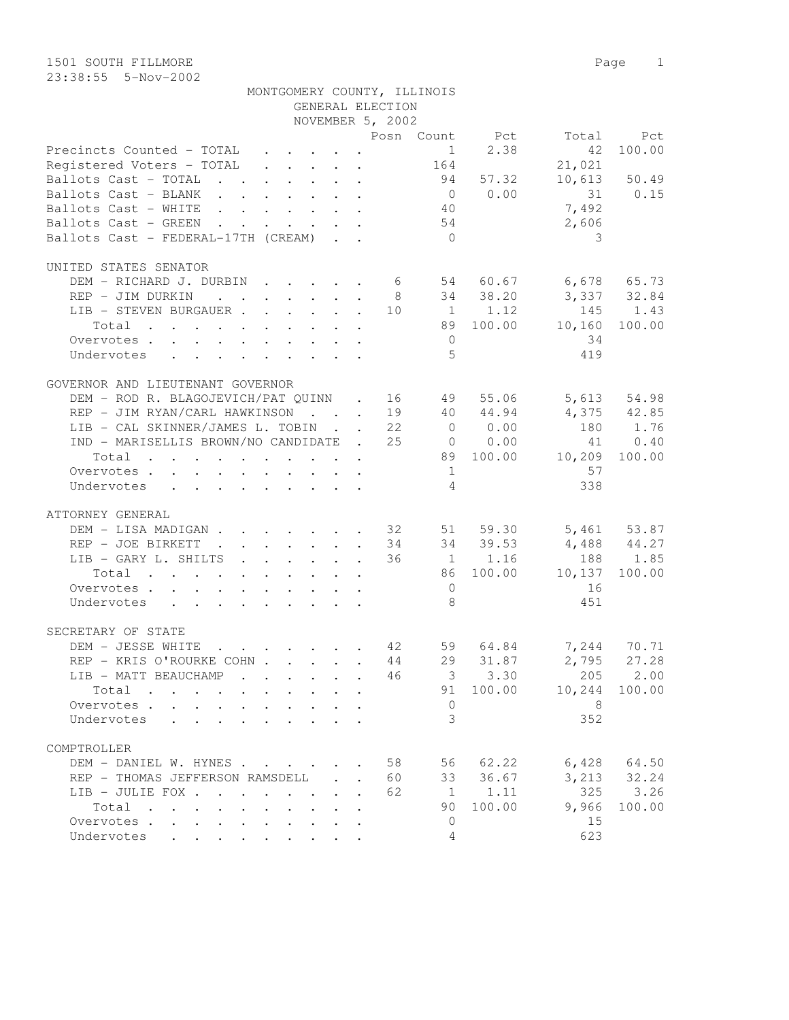| $23:38:55$ $5-Nov-2002$                                                                                                                 |  |  |                  |                             |                |                      |              |
|-----------------------------------------------------------------------------------------------------------------------------------------|--|--|------------------|-----------------------------|----------------|----------------------|--------------|
|                                                                                                                                         |  |  |                  | MONTGOMERY COUNTY, ILLINOIS |                |                      |              |
|                                                                                                                                         |  |  | GENERAL ELECTION |                             |                |                      |              |
|                                                                                                                                         |  |  | NOVEMBER 5, 2002 |                             |                |                      |              |
|                                                                                                                                         |  |  |                  | Posn Count                  | Pct            | Total                | Pct          |
| Precincts Counted - TOTAL                                                                                                               |  |  |                  |                             | $1 \quad 2.38$ | 42                   | 100.00       |
| Registered Voters - TOTAL                                                                                                               |  |  |                  | 164                         |                | 21,021               |              |
| Ballots Cast - TOTAL                                                                                                                    |  |  |                  | 94                          | 57.32          |                      | 10,613 50.49 |
| Ballots Cast - BLANK<br>the contract of the contract of the contract of the contract of the contract of the contract of the contract of |  |  |                  | $\bigcirc$                  |                | $0.00$ 31 $0.15$     |              |
| Ballots Cast - WHITE<br>$\mathbf{r}$ , and $\mathbf{r}$ , and $\mathbf{r}$ , and $\mathbf{r}$ , and $\mathbf{r}$                        |  |  |                  | 40                          |                | 7,492                |              |
| Ballots Cast - GREEN<br>$\mathbf{r}$ , and $\mathbf{r}$ , and $\mathbf{r}$ , and $\mathbf{r}$                                           |  |  |                  | 54                          |                | 2,606                |              |
| Ballots Cast - FEDERAL-17TH (CREAM)                                                                                                     |  |  |                  | $\Omega$                    |                | 3                    |              |
| UNITED STATES SENATOR                                                                                                                   |  |  |                  |                             |                |                      |              |
| DEM - RICHARD J. DURBIN                                                                                                                 |  |  | 6                |                             |                | 54 60.67 6,678 65.73 |              |
| REP - JIM DURKIN<br>the contract of the contract of the contract of the contract of the contract of                                     |  |  | - 8              |                             | 34 38.20       |                      | 3,337 32.84  |
| LIB - STEVEN BURGAUER                                                                                                                   |  |  | 10               |                             | 1 1.12         |                      | 145 1.43     |
| Total                                                                                                                                   |  |  |                  | 89                          | 100.00         | 10,160               | 100.00       |
| Overvotes                                                                                                                               |  |  |                  | $\mathbf{0}$                |                | 34                   |              |
| Undervotes                                                                                                                              |  |  |                  | 5                           |                | 419                  |              |
|                                                                                                                                         |  |  |                  |                             |                |                      |              |
|                                                                                                                                         |  |  |                  |                             |                |                      |              |

| GOVERNOR AND LIEUTENANT GOVERNOR                                                                                     |    |                |             |        |                 |
|----------------------------------------------------------------------------------------------------------------------|----|----------------|-------------|--------|-----------------|
| DEM - ROD R. BLAGOJEVICH/PAT QUINN . 16                                                                              |    | 49             | 55.06       |        | 5,613 54.98     |
| REP - JIM RYAN/CARL HAWKINSON 19                                                                                     |    |                | 40 44.94    |        | 4,375 42.85     |
| LIB - CAL SKINNER/JAMES L. TOBIN 22                                                                                  |    | $\Omega$       | 0.00        |        | 180 1.76        |
| IND - MARISELLIS BROWN/NO CANDIDATE . 25                                                                             |    |                | $0 \t 0.00$ |        | 41 0.40         |
| Total                                                                                                                |    |                | 89 100.00   | 10,209 | 100.00          |
| Overvotes                                                                                                            |    | 1              |             | 57     |                 |
| Undervotes                                                                                                           |    | $\overline{4}$ |             | 338    |                 |
|                                                                                                                      |    |                |             |        |                 |
| ATTORNEY GENERAL                                                                                                     |    |                |             |        |                 |
| DEM - LISA MADIGAN 32                                                                                                |    |                | 51 59.30    |        | 5,461 53.87     |
| REP - JOE BIRKETT<br>$\cdot$ $\cdot$ $\cdot$ $\cdot$ $\cdot$ $\cdot$ $\cdot$ 34<br><b>Contract</b>                   |    |                | 34 39.53    |        | 4,488 44.27     |
| LIB - GARY L. SHILTS 36                                                                                              |    |                | 1 1.16      |        | 188 1.85        |
| Total                                                                                                                |    |                | 86 100.00   | 10,137 | 100.00          |
| Overvotes.                                                                                                           |    | $\Omega$       |             | 16     |                 |
| Undervotes                                                                                                           |    | 8              |             | 451    |                 |
|                                                                                                                      |    |                |             |        |                 |
| SECRETARY OF STATE                                                                                                   |    |                |             |        |                 |
| DEM - JESSE WHITE<br>. 42                                                                                            |    |                | 59 64.84    |        | 7,244 70.71     |
| REP - KRIS O'ROURKE COHN 44                                                                                          |    |                | 29 31.87    |        | 2,795 27.28     |
| LIB - MATT BEAUCHAMP 46                                                                                              |    |                | $3 \t3.30$  |        | 205 2.00        |
| Total                                                                                                                |    |                | 91 100.00   | 10,244 | 100.00          |
| Overvotes.                                                                                                           |    | $\overline{0}$ |             | 8      |                 |
| Undervotes                                                                                                           |    | 3              |             | 352    |                 |
|                                                                                                                      |    |                |             |        |                 |
| COMPTROLLER                                                                                                          |    |                |             |        |                 |
| DEM - DANIEL W. HYNES 58                                                                                             |    |                | 56 62.22    |        | $6,428$ $64.50$ |
| REP - THOMAS JEFFERSON RAMSDELL 60                                                                                   |    |                | 33 36.67    |        | 3, 213 32.24    |
| LIB - JULIE FOX                                                                                                      | 62 |                | 1 1.11      |        | 325 3.26        |
| Total<br>$\mathbf{r}$ , and $\mathbf{r}$ , and $\mathbf{r}$ , and $\mathbf{r}$ , and $\mathbf{r}$ , and $\mathbf{r}$ |    |                | 90 100.00   | 9,966  | 100.00          |
| Overvotes                                                                                                            |    | $\bigcap$      |             | 15     |                 |

Undervotes . . . . . . . . . 4 623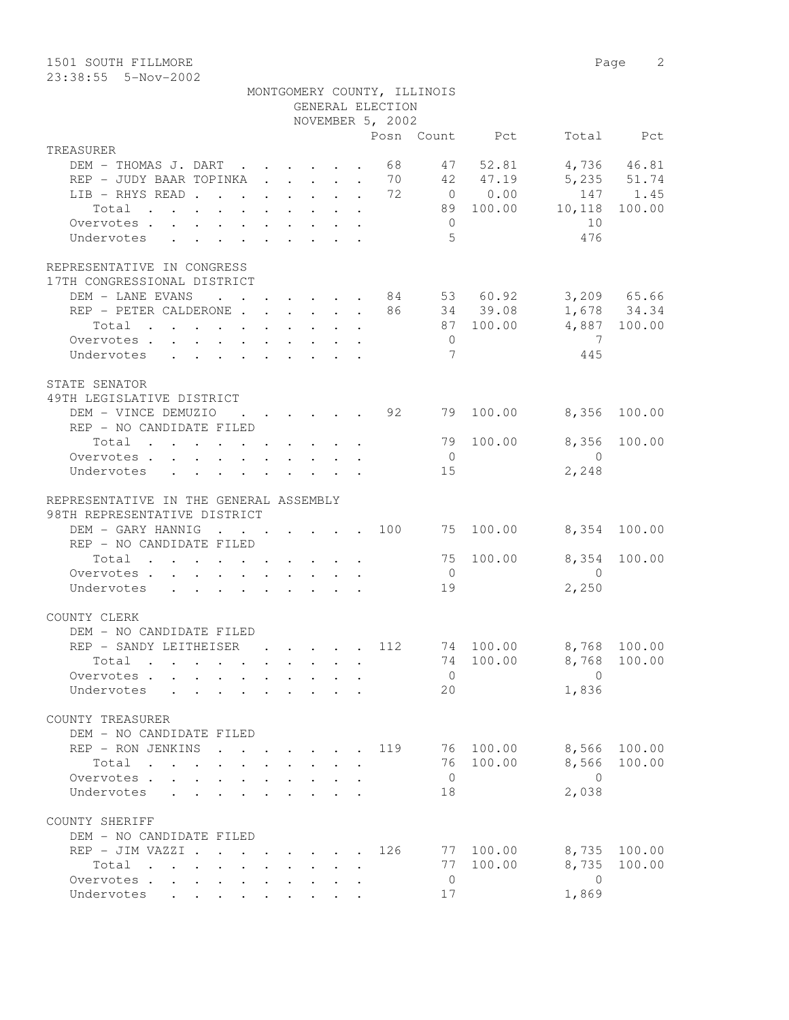1501 SOUTH FILLMORE 2

|                                                                                                                          |  |  | GENERAL ELECTION<br>NOVEMBER 5, 2002 | MONTGOMERY COUNTY, ILLINOIS |                |                                    |              |
|--------------------------------------------------------------------------------------------------------------------------|--|--|--------------------------------------|-----------------------------|----------------|------------------------------------|--------------|
|                                                                                                                          |  |  |                                      |                             | Posn Count Pct |                                    | Total Pct    |
| TREASURER                                                                                                                |  |  |                                      |                             |                |                                    |              |
| DEM - THOMAS J. DART 68 47 52.81                                                                                         |  |  |                                      |                             |                |                                    | 4,736 46.81  |
| REP - JUDY BAAR TOPINKA 70 42 47.19                                                                                      |  |  |                                      |                             |                | 5,235 51.74                        |              |
| LIB - RHYS READ 72                                                                                                       |  |  |                                      |                             | 0 0.00         |                                    | 147 1.45     |
| Total                                                                                                                    |  |  |                                      |                             |                | 89 100.00 10,118                   | 100.00       |
| Overvotes                                                                                                                |  |  |                                      | $\overline{0}$              |                | 10                                 |              |
| Undervotes                                                                                                               |  |  |                                      | $5^{\circ}$                 |                | 476                                |              |
| REPRESENTATIVE IN CONGRESS                                                                                               |  |  |                                      |                             |                |                                    |              |
| 17TH CONGRESSIONAL DISTRICT                                                                                              |  |  |                                      |                             |                |                                    |              |
| DEM - LANE EVANS                                                                                                         |  |  |                                      |                             |                | $\cdot$ 84 53 60.92 3,209 65.66    |              |
| REP - PETER CALDERONE 86 34 39.08 1,678 34.34                                                                            |  |  |                                      |                             |                |                                    |              |
| Total                                                                                                                    |  |  |                                      |                             | 87 100.00      | 4,887 100.00                       |              |
| Overvotes                                                                                                                |  |  |                                      | $\overline{0}$              |                | $\overline{7}$                     |              |
| Undervotes                                                                                                               |  |  |                                      | 7                           |                | 445                                |              |
| STATE SENATOR<br>49TH LEGISLATIVE DISTRICT                                                                               |  |  |                                      |                             |                |                                    |              |
| DEM - VINCE DEMUZIO                                                                                                      |  |  | $\cdot$ 92                           | 79                          | 100.00         | 8,356                              | 100.00       |
| REP - NO CANDIDATE FILED                                                                                                 |  |  |                                      |                             |                |                                    |              |
| Total                                                                                                                    |  |  |                                      |                             | 79 100.00      |                                    | 8,356 100.00 |
| Overvotes.                                                                                                               |  |  |                                      | $\overline{0}$              |                | $\bigcirc$                         |              |
| Undervotes<br>$\ddot{\phantom{0}}$                                                                                       |  |  |                                      | 15                          |                | 2,248                              |              |
| REPRESENTATIVE IN THE GENERAL ASSEMBLY<br>98TH REPRESENTATIVE DISTRICT                                                   |  |  |                                      |                             |                |                                    |              |
| DEM - GARY HANNIG                                                                                                        |  |  |                                      |                             |                | $\cdot$ 100 75 100.00 8,354 100.00 |              |
| REP - NO CANDIDATE FILED                                                                                                 |  |  |                                      |                             |                |                                    |              |
| Total                                                                                                                    |  |  |                                      | 75                          | 100.00         |                                    | 8,354 100.00 |
| Overvotes.                                                                                                               |  |  |                                      | $\overline{0}$              |                | $\overline{0}$                     |              |
| Undervotes                                                                                                               |  |  |                                      | 19                          |                | 2,250                              |              |
| COUNTY CLERK                                                                                                             |  |  |                                      |                             |                |                                    |              |
| DEM - NO CANDIDATE FILED                                                                                                 |  |  |                                      |                             |                |                                    |              |
| REP - SANDY LEITHEISER 112                                                                                               |  |  |                                      |                             |                | 74 100.00 8,768 100.00             |              |
| Total<br>the contract of the contract of the contract of the contract of the contract of the contract of the contract of |  |  |                                      | 74                          | 100.00         | 8,768                              | 100.00       |

| Undervotes                                 |                                               |                        |                                            |                      |     | 20 |        | 1,836 |        |
|--------------------------------------------|-----------------------------------------------|------------------------|--------------------------------------------|----------------------|-----|----|--------|-------|--------|
| COUNTY TREASURER                           |                                               |                        |                                            |                      |     |    |        |       |        |
| DEM - NO CANDIDATE FILED                   |                                               |                        |                                            |                      |     |    |        |       |        |
| REP - RON JENKINS                          | $\mathbf{L}$                                  |                        | and the state of the state of the state of |                      | 119 | 76 | 100.00 | 8,566 | 100.00 |
| Total<br>$\sim$<br>$\sim$<br>$\sim$ $\sim$ | $\sim$<br>$\cdot$                             | $\cdot$<br>$\cdot$     |                                            |                      |     | 76 | 100.00 | 8,566 | 100.00 |
| Overvotes<br>$\sim$                        | $\bullet$<br>$\bullet$                        | $\bullet$              |                                            |                      |     | 0  |        | 0     |        |
| Undervotes                                 |                                               |                        |                                            |                      |     | 18 |        | 2,038 |        |
| COUNTY SHERIFF                             |                                               |                        |                                            |                      |     |    |        |       |        |
| DEM - NO CANDIDATE FILED                   |                                               |                        |                                            |                      |     |    |        |       |        |
| REP - JIM VAZZI .                          | $\mathbf{r}$ . The set of $\mathbf{r}$        |                        |                                            | $\ddot{\phantom{a}}$ | 126 | 77 | 100.00 | 8,735 | 100.00 |
| Total<br>$\cdot$                           | $\cdot$<br>$\ddot{\phantom{a}}$               | $\bullet$              |                                            |                      |     | 77 | 100.00 | 8,735 | 100.00 |
| Overvotes.                                 | $\bullet$                                     |                        |                                            |                      |     |    |        |       |        |
| Undervotes<br>$\bullet$<br>$\bullet$       | $\bullet$ . The set of $\bullet$<br>$\bullet$ | $\bullet$<br>$\bullet$ |                                            |                      |     | 17 |        | 1,869 |        |

Overvotes . . . . . . . . . . 0 0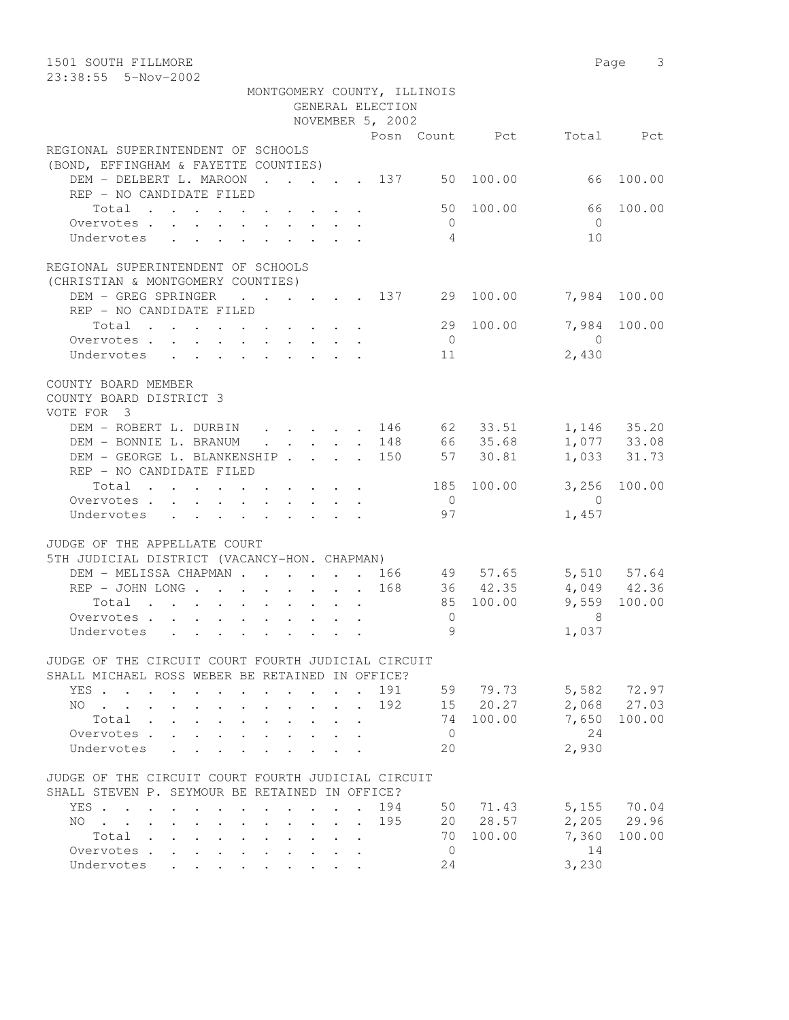| 1501 SOUTH FILLMORE                                                                                                       |                                     |         |                             |                 |                                    |                | Page 3       |
|---------------------------------------------------------------------------------------------------------------------------|-------------------------------------|---------|-----------------------------|-----------------|------------------------------------|----------------|--------------|
| 23:38:55  5-Nov-2002                                                                                                      |                                     |         |                             |                 |                                    |                |              |
|                                                                                                                           | GENERAL ELECTION                    |         | MONTGOMERY COUNTY, ILLINOIS |                 |                                    |                |              |
|                                                                                                                           | NOVEMBER 5, 2002                    |         |                             |                 |                                    |                |              |
|                                                                                                                           |                                     |         |                             |                 |                                    |                |              |
| REGIONAL SUPERINTENDENT OF SCHOOLS                                                                                        |                                     |         |                             |                 | Posn Count Pct                     |                | Total Pct    |
|                                                                                                                           |                                     |         |                             |                 |                                    |                |              |
| (BOND, EFFINGHAM & FAYETTE COUNTIES)                                                                                      |                                     |         |                             |                 |                                    |                | 100.00       |
| DEM - DELBERT L. MAROON 137 50 100.00                                                                                     |                                     |         |                             |                 |                                    | 66             |              |
| REP - NO CANDIDATE FILED                                                                                                  |                                     |         |                             |                 |                                    |                |              |
| Total                                                                                                                     |                                     |         |                             |                 | 50 100.00                          | 66             | 100.00       |
| Overvotes                                                                                                                 |                                     |         |                             | $\overline{0}$  |                                    | $\bigcirc$     |              |
| Undervotes                                                                                                                |                                     |         |                             | 4               |                                    | 10             |              |
| REGIONAL SUPERINTENDENT OF SCHOOLS                                                                                        |                                     |         |                             |                 |                                    |                |              |
| (CHRISTIAN & MONTGOMERY COUNTIES)                                                                                         |                                     |         |                             |                 |                                    |                |              |
| DEM - GREG SPRINGER                                                                                                       |                                     |         |                             |                 | $\cdot$ 137 29 100.00 7,984 100.00 |                |              |
| REP - NO CANDIDATE FILED                                                                                                  |                                     |         |                             |                 |                                    |                |              |
| Total                                                                                                                     |                                     |         |                             |                 | 29 100.00                          | 7,984          | 100.00       |
| Overvotes                                                                                                                 |                                     |         |                             | $\overline{0}$  |                                    | $\overline{0}$ |              |
| Undervotes                                                                                                                |                                     |         |                             | 11              |                                    | 2,430          |              |
| COUNTY BOARD MEMBER                                                                                                       |                                     |         |                             |                 |                                    |                |              |
| COUNTY BOARD DISTRICT 3                                                                                                   |                                     |         |                             |                 |                                    |                |              |
| VOTE FOR 3                                                                                                                |                                     |         |                             |                 |                                    |                |              |
| DEM - ROBERT L. DURBIN 146 62 33.51 1,146 35.20                                                                           |                                     |         |                             |                 |                                    |                |              |
|                                                                                                                           |                                     |         |                             |                 |                                    |                |              |
| DEM - BONNIE L. BRANUM                                                                                                    | $\cdot \cdot \cdot \cdot \cdot 148$ |         |                             |                 | 66 35.68                           |                | 1,077 33.08  |
| DEM - GEORGE L. BLANKENSHIP 150                                                                                           |                                     |         |                             | 57              | 30.81                              |                | 1,033 31.73  |
| REP - NO CANDIDATE FILED                                                                                                  |                                     |         |                             |                 |                                    |                |              |
| Total                                                                                                                     |                                     |         |                             |                 | 185 100.00                         |                | 3,256 100.00 |
| Overvotes                                                                                                                 |                                     |         |                             | $\overline{0}$  |                                    | $\overline{0}$ |              |
| Undervotes                                                                                                                |                                     |         |                             | 97              |                                    | 1,457          |              |
| JUDGE OF THE APPELLATE COURT                                                                                              |                                     |         |                             |                 |                                    |                |              |
| 5TH JUDICIAL DISTRICT (VACANCY-HON. CHAPMAN)                                                                              |                                     |         |                             |                 |                                    |                |              |
| DEM - MELISSA CHAPMAN 166 49 57.65 5,510 57.64                                                                            |                                     |         |                             |                 |                                    |                |              |
| REP - JOHN LONG 168                                                                                                       |                                     |         |                             |                 | 36 42.35                           | 4,049 42.36    |              |
| Total                                                                                                                     |                                     |         |                             |                 | 85 100.00                          | 9,559 100.00   |              |
| Overvotes                                                                                                                 |                                     |         |                             | $\mathbf{0}$    |                                    | 8              |              |
| Undervotes                                                                                                                |                                     |         |                             | $Q_{\parallel}$ |                                    | 1,037          |              |
|                                                                                                                           |                                     |         |                             |                 |                                    |                |              |
| JUDGE OF THE CIRCUIT COURT FOURTH JUDICIAL CIRCUIT                                                                        |                                     |         |                             |                 |                                    |                |              |
| SHALL MICHAEL ROSS WEBER BE RETAINED IN OFFICE?                                                                           |                                     |         |                             |                 |                                    |                |              |
| YES.                                                                                                                      |                                     |         | 191                         |                 | 59 79.73                           |                | 5,582 72.97  |
| NO                                                                                                                        |                                     | $\cdot$ | 192                         |                 | 15 20.27                           |                | 2,068 27.03  |
| Total .<br>$\mathbf{1}^{\prime}$ , $\mathbf{1}^{\prime}$ , $\mathbf{1}^{\prime}$ , $\mathbf{1}^{\prime}$                  |                                     |         |                             |                 | 74 100.00                          | 7,650          | 100.00       |
| Overvotes .<br>$\mathbf{L}$                                                                                               |                                     |         |                             | $\overline{0}$  |                                    | 24             |              |
| Undervotes                                                                                                                |                                     |         |                             | 20              |                                    | 2,930          |              |
|                                                                                                                           |                                     |         |                             |                 |                                    |                |              |
| JUDGE OF THE CIRCUIT COURT FOURTH JUDICIAL CIRCUIT                                                                        |                                     |         |                             |                 |                                    |                |              |
| SHALL STEVEN P. SEYMOUR BE RETAINED IN OFFICE?                                                                            |                                     |         |                             |                 |                                    |                |              |
| YES                                                                                                                       |                                     |         | 194                         |                 | 50 71.43                           |                | 5,155 70.04  |
| NO.<br>$\mathbf{r}$ , $\mathbf{r}$ , $\mathbf{r}$ , $\mathbf{r}$<br>$\mathbf{L}$ and $\mathbf{L}$<br>$\ddot{\phantom{0}}$ | $\cdot$ $\cdot$ $\cdot$ $\cdot$     |         | 195                         |                 | 20 28.57                           |                | 2,205 29.96  |
| Total                                                                                                                     |                                     |         |                             | 70              | 100.00                             | 7,360          | 100.00       |
| Overvotes                                                                                                                 |                                     |         |                             | $\overline{0}$  |                                    | 14             |              |
| Undervotes                                                                                                                |                                     |         |                             | 24              |                                    | 3,230          |              |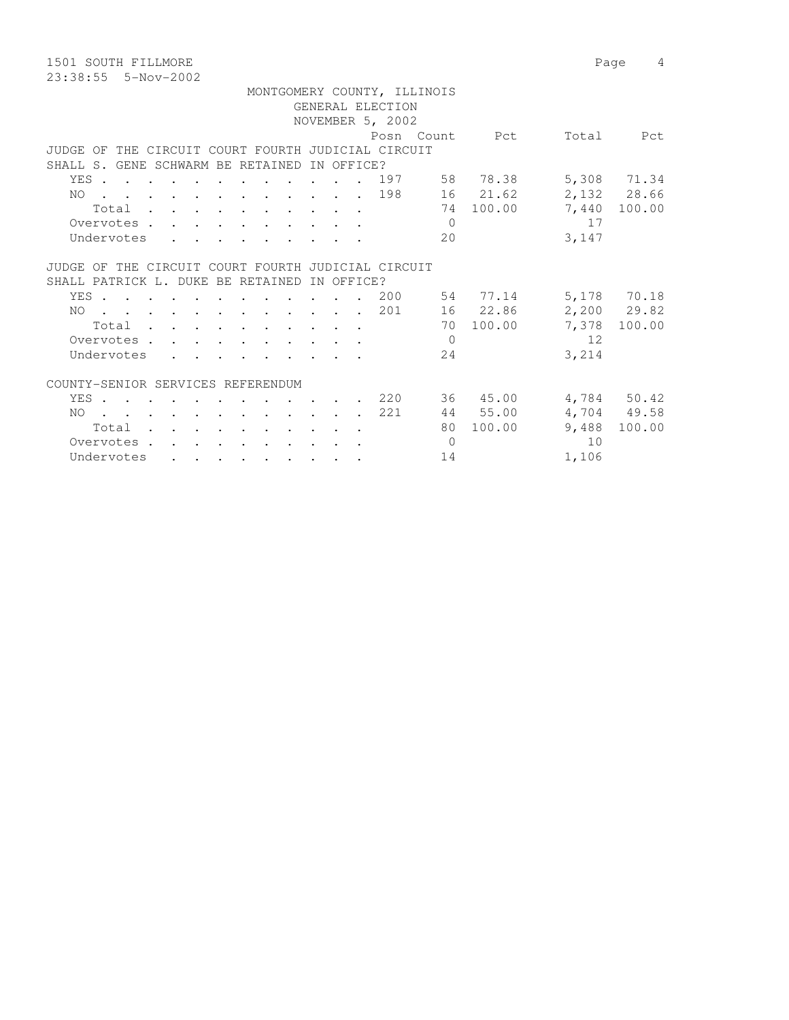1501 SOUTH FILLMORE 2008 2009 12:00 Page 4 23:38:55 5-Nov-2002

|                                                    |                                                                                                                 |  |  |  |  |            |                  | MONTGOMERY COUNTY, ILLINOIS |                              |       |              |
|----------------------------------------------------|-----------------------------------------------------------------------------------------------------------------|--|--|--|--|------------|------------------|-----------------------------|------------------------------|-------|--------------|
|                                                    |                                                                                                                 |  |  |  |  |            | GENERAL ELECTION |                             |                              |       |              |
|                                                    |                                                                                                                 |  |  |  |  |            | NOVEMBER 5, 2002 |                             |                              |       |              |
|                                                    |                                                                                                                 |  |  |  |  |            |                  |                             | Posn Count Pct               | Total | Pct          |
| JUDGE OF THE CIRCUIT COURT FOURTH JUDICIAL CIRCUIT |                                                                                                                 |  |  |  |  |            |                  |                             |                              |       |              |
| SHALL S. GENE SCHWARM BE RETAINED                  |                                                                                                                 |  |  |  |  | IN OFFICE? |                  |                             |                              |       |              |
| YES                                                |                                                                                                                 |  |  |  |  |            |                  |                             | 197 58 78.38                 |       | 5,308 71.34  |
| NO 198                                             |                                                                                                                 |  |  |  |  |            |                  |                             | 16 21.62                     |       | 2,132 28.66  |
|                                                    | Total                                                                                                           |  |  |  |  |            |                  |                             | 74 100.00                    |       | 7,440 100.00 |
| Overvotes                                          |                                                                                                                 |  |  |  |  |            |                  | $\overline{0}$              |                              | 17    |              |
| Undervotes                                         |                                                                                                                 |  |  |  |  |            |                  | 20                          |                              | 3,147 |              |
|                                                    |                                                                                                                 |  |  |  |  |            |                  |                             |                              |       |              |
| JUDGE OF THE CIRCUIT COURT FOURTH JUDICIAL CIRCUIT |                                                                                                                 |  |  |  |  |            |                  |                             |                              |       |              |
| SHALL PATRICK L. DUKE BE RETAINED                  |                                                                                                                 |  |  |  |  | IN OFFICE? |                  |                             |                              |       |              |
| YES 200                                            |                                                                                                                 |  |  |  |  |            |                  |                             | 54 77.14                     |       | 5,178 70.18  |
| NO.                                                |                                                                                                                 |  |  |  |  |            | . 201            |                             | 16 22.86                     |       | 2,200 29.82  |
|                                                    | Total                                                                                                           |  |  |  |  |            |                  |                             | 70 100.00                    | 7,378 | 100.00       |
| Overvotes                                          |                                                                                                                 |  |  |  |  |            |                  | $\Omega$                    |                              | 12    |              |
| Undervotes                                         |                                                                                                                 |  |  |  |  |            |                  | 24                          |                              | 3,214 |              |
|                                                    |                                                                                                                 |  |  |  |  |            |                  |                             |                              |       |              |
| COUNTY-SENIOR SERVICES REFERENDUM                  |                                                                                                                 |  |  |  |  |            |                  |                             |                              |       |              |
| YES                                                |                                                                                                                 |  |  |  |  |            |                  |                             | $\cdot$ $\cdot$ 220 36 45.00 |       | 4,784 50.42  |
| NO.                                                | the contract of the contract of the contract of the contract of the contract of the contract of the contract of |  |  |  |  |            | 221              |                             | 44 55.00                     |       | 4,704 49.58  |
|                                                    | Total                                                                                                           |  |  |  |  |            |                  |                             | 80 100.00                    | 9,488 | 100.00       |
| Overvotes.                                         |                                                                                                                 |  |  |  |  |            |                  | $\Omega$                    |                              | 10    |              |
| Undervotes                                         |                                                                                                                 |  |  |  |  |            |                  | 14                          |                              | 1,106 |              |
|                                                    |                                                                                                                 |  |  |  |  |            |                  |                             |                              |       |              |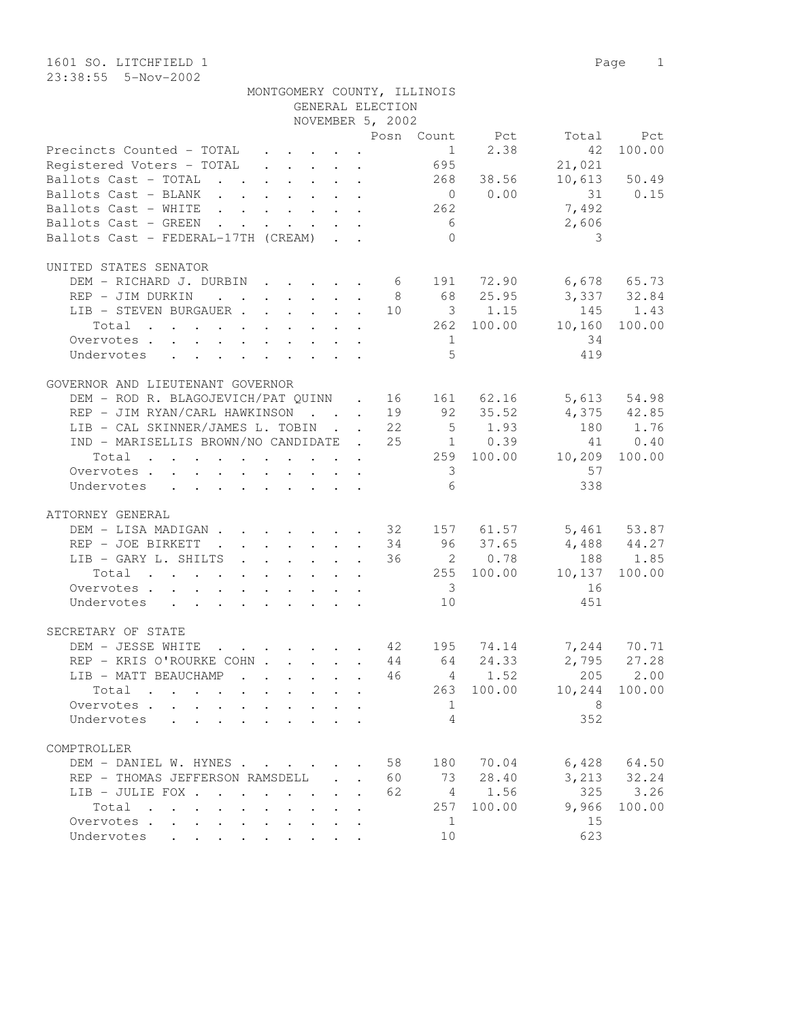1601 SO. LITCHFIELD 1 Page 1 23:38:55 5-Nov-2002

| MONTGOMERY COUNTY, ILLINOIS |  |  |
|-----------------------------|--|--|
|-----------------------------|--|--|

|                                                               |                                         |              |                            | GENERAL ELECTION                |                         |                |                                                                                                                                                                                                                                     |                 |
|---------------------------------------------------------------|-----------------------------------------|--------------|----------------------------|---------------------------------|-------------------------|----------------|-------------------------------------------------------------------------------------------------------------------------------------------------------------------------------------------------------------------------------------|-----------------|
|                                                               |                                         |              |                            | NOVEMBER 5, 2002                |                         |                |                                                                                                                                                                                                                                     |                 |
|                                                               |                                         |              |                            |                                 |                         | Posn Count Pct |                                                                                                                                                                                                                                     | Total Pct       |
| Precincts Counted - TOTAL<br>Registered Voters - TOTAL        |                                         |              |                            |                                 |                         | $1 \t 2.38$    | 42                                                                                                                                                                                                                                  | 100.00          |
|                                                               |                                         |              |                            |                                 | 695                     |                | 21,021                                                                                                                                                                                                                              |                 |
| Ballots Cast - TOTAL 268 38.56                                |                                         |              |                            |                                 |                         |                |                                                                                                                                                                                                                                     | $10,613$ 50.49  |
| Ballots Cast - BLANK                                          |                                         |              |                            |                                 |                         | $0 \t 0.00$    | 31 0.15                                                                                                                                                                                                                             |                 |
| Ballots Cast - WHITE 262                                      |                                         |              |                            |                                 |                         |                | 7,492                                                                                                                                                                                                                               |                 |
| Ballots Cast - GREEN                                          |                                         |              |                            |                                 | $6\overline{6}$         |                | 2,606                                                                                                                                                                                                                               |                 |
| Ballots Cast - FEDERAL-17TH (CREAM)                           |                                         |              |                            |                                 | $\bigcirc$              |                | 3                                                                                                                                                                                                                                   |                 |
|                                                               |                                         |              |                            |                                 |                         |                |                                                                                                                                                                                                                                     |                 |
| UNITED STATES SENATOR                                         |                                         |              |                            |                                 |                         |                |                                                                                                                                                                                                                                     |                 |
| DEM - RICHARD J. DURBIN 6 191 72.90 6,678 65.73               |                                         |              |                            |                                 |                         |                |                                                                                                                                                                                                                                     |                 |
| REP - JIM DURKIN                                              |                                         |              |                            |                                 |                         |                | 8 68 25.95 3,337 32.84                                                                                                                                                                                                              |                 |
| LIB - STEVEN BURGAUER 10 3 1.15 145 1.43                      |                                         |              |                            |                                 |                         |                |                                                                                                                                                                                                                                     |                 |
| Total 262 100.00 10,160 100.00                                |                                         |              |                            |                                 |                         |                |                                                                                                                                                                                                                                     |                 |
| Overvotes.                                                    |                                         |              |                            |                                 | $\frac{1}{2}$           |                | 34                                                                                                                                                                                                                                  |                 |
| Undervotes                                                    |                                         |              |                            |                                 | $5^{\circ}$             |                | 419                                                                                                                                                                                                                                 |                 |
|                                                               |                                         |              |                            |                                 |                         |                |                                                                                                                                                                                                                                     |                 |
| GOVERNOR AND LIEUTENANT GOVERNOR                              |                                         |              |                            |                                 |                         |                |                                                                                                                                                                                                                                     |                 |
| DEM - ROD R. BLAGOJEVICH/PAT QUINN . 16 161 62.16 5,613 54.98 |                                         |              |                            |                                 |                         |                |                                                                                                                                                                                                                                     |                 |
| REP - JIM RYAN/CARL HAWKINSON 19 92 35.52                     |                                         |              |                            |                                 |                         |                | $4,375$ $42.85$                                                                                                                                                                                                                     |                 |
| LIB - CAL SKINNER/JAMES L. TOBIN 22                           |                                         |              |                            |                                 |                         | $5 \t 1.93$    | 180 1.76                                                                                                                                                                                                                            |                 |
| IND - MARISELLIS BROWN/NO CANDIDATE . 25 1 0.39               |                                         |              |                            |                                 |                         |                |                                                                                                                                                                                                                                     | 41 0.40         |
| $\cdot$ 259 100.00<br>Total                                   |                                         |              |                            |                                 |                         |                |                                                                                                                                                                                                                                     | 10,209 100.00   |
| Overvotes.                                                    |                                         |              |                            |                                 | $\overline{\mathbf{3}}$ |                | 57                                                                                                                                                                                                                                  |                 |
| Undervotes                                                    |                                         |              |                            |                                 | $6\overline{6}$         |                | 338                                                                                                                                                                                                                                 |                 |
|                                                               |                                         |              |                            |                                 |                         |                |                                                                                                                                                                                                                                     |                 |
| ATTORNEY GENERAL                                              |                                         |              |                            |                                 |                         |                |                                                                                                                                                                                                                                     |                 |
| DEM - LISA MADIGAN 32 157 61.57 5,461 53.87                   |                                         |              |                            |                                 |                         |                |                                                                                                                                                                                                                                     |                 |
| REP - JOE BIRKETT                                             |                                         |              |                            |                                 |                         | 34 96 37.65    | $4,488$ $44.27$                                                                                                                                                                                                                     |                 |
| LIB - GARY L. SHILTS                                          |                                         |              |                            |                                 |                         | 36 2 0.78      | 188 1.85                                                                                                                                                                                                                            |                 |
| Total                                                         |                                         |              |                            |                                 |                         |                | 255 100.00 10,137 100.00                                                                                                                                                                                                            |                 |
|                                                               |                                         |              |                            |                                 | $\overline{\mathbf{3}}$ |                | 16                                                                                                                                                                                                                                  |                 |
| Overvotes                                                     |                                         |              |                            |                                 |                         |                |                                                                                                                                                                                                                                     |                 |
| Undervotes                                                    |                                         |              |                            |                                 | 10                      |                | 451                                                                                                                                                                                                                                 |                 |
| SECRETARY OF STATE                                            |                                         |              |                            |                                 |                         |                |                                                                                                                                                                                                                                     |                 |
| DEM - JESSE WHITE<br><b>Contract</b>                          |                                         |              |                            |                                 |                         |                |                                                                                                                                                                                                                                     |                 |
| REP - KRIS O'ROURKE COHN 44 64                                |                                         |              |                            |                                 |                         |                | The Correlation of the Correlation of the Correlation of the Correlation of the Correlation of the Correlation<br>Correlation of the Correlation of the Correlation of the Correlation of the Correlation of the Correlation of<br> |                 |
|                                                               |                                         |              |                            |                                 |                         |                |                                                                                                                                                                                                                                     |                 |
| LIB - MATT BEAUCHAMP 46 4 1.52 205 2.00                       |                                         |              |                            |                                 |                         |                |                                                                                                                                                                                                                                     |                 |
| Total                                                         | $\cdot$ $\cdot$ $\cdot$ $\cdot$ $\cdot$ |              |                            |                                 |                         | 263 100.00     |                                                                                                                                                                                                                                     | 10,244 100.00   |
| Overvotes.                                                    |                                         |              |                            |                                 | 1                       |                | 8                                                                                                                                                                                                                                   |                 |
| Undervotes                                                    |                                         |              |                            |                                 | 4                       |                | 352                                                                                                                                                                                                                                 |                 |
|                                                               |                                         |              |                            |                                 |                         |                |                                                                                                                                                                                                                                     |                 |
| COMPTROLLER                                                   |                                         |              |                            |                                 |                         |                |                                                                                                                                                                                                                                     |                 |
| DEM - DANIEL W. HYNES                                         |                                         |              |                            | 58                              |                         | 180 70.04      |                                                                                                                                                                                                                                     | $6,428$ $64.50$ |
| REP - THOMAS JEFFERSON RAMSDELL                               |                                         |              | $\mathcal{L}^{\text{max}}$ | 60<br>$\mathbb{R}^{\mathbb{Z}}$ | 73                      | 28.40          |                                                                                                                                                                                                                                     | 3, 213 32.24    |
| LIB - JULIE FOX                                               |                                         |              |                            | 62                              | $4\overline{4}$         | 1.56           | 325                                                                                                                                                                                                                                 | 3.26            |
| Total                                                         | $\mathbf{L}$                            | $\mathbf{L}$ | $\mathbf{L}$               | $\mathbf{r}$                    | 257                     | 100.00         | 9,966                                                                                                                                                                                                                               | 100.00          |
| Overvotes.                                                    |                                         |              |                            | $\mathbf{r}$                    | $\overline{1}$          |                | 15                                                                                                                                                                                                                                  |                 |
| Undervotes                                                    |                                         |              |                            |                                 | 10                      |                | 623                                                                                                                                                                                                                                 |                 |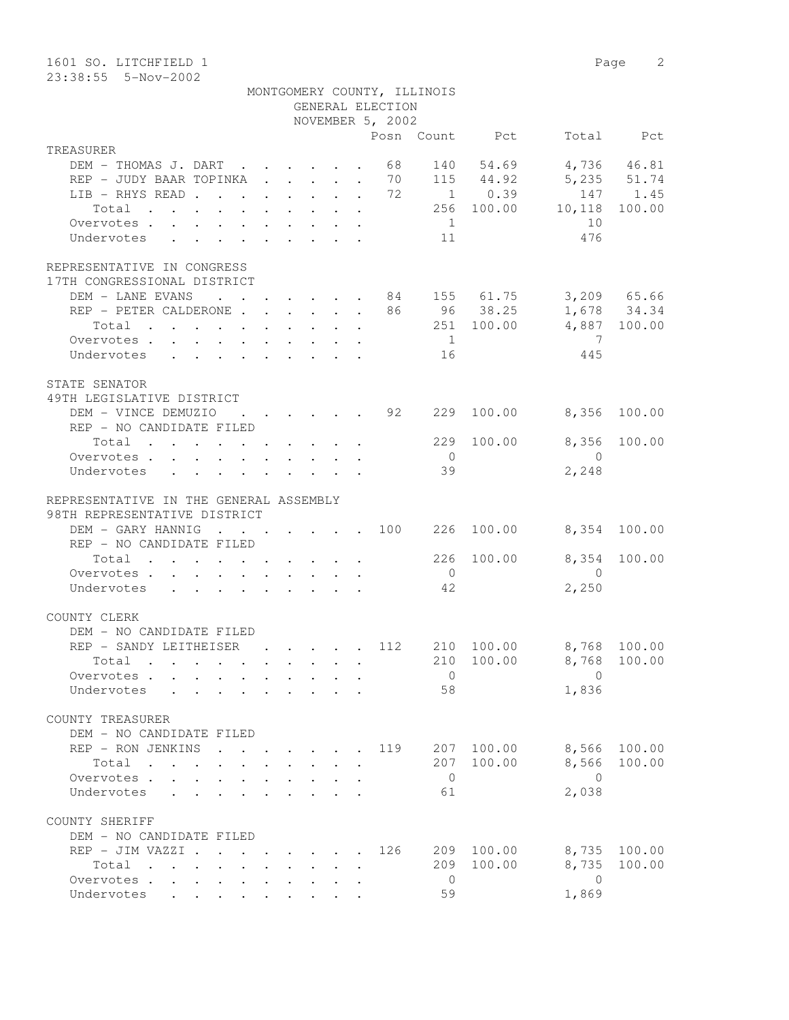| 1601 SO. LITCHFIELD 1<br>$23:38:55$ 5-Nov-2002                                                                       |                                                                                         |                                            |              |                      |                                                    |                |                | Page                       | 2            |
|----------------------------------------------------------------------------------------------------------------------|-----------------------------------------------------------------------------------------|--------------------------------------------|--------------|----------------------|----------------------------------------------------|----------------|----------------|----------------------------|--------------|
|                                                                                                                      |                                                                                         |                                            |              |                      | MONTGOMERY COUNTY, ILLINOIS<br>GENERAL ELECTION    |                |                |                            |              |
|                                                                                                                      |                                                                                         |                                            |              |                      | NOVEMBER 5, 2002                                   |                |                |                            |              |
|                                                                                                                      |                                                                                         |                                            |              |                      |                                                    |                | Posn Count Pct |                            | Total Pct    |
| TREASURER                                                                                                            |                                                                                         |                                            |              |                      |                                                    |                |                |                            |              |
| DEM - THOMAS J. DART 68                                                                                              |                                                                                         |                                            |              |                      |                                                    |                |                | 140 54.69 4,736 46.81      |              |
| REP - JUDY BAAR TOPINKA 70                                                                                           |                                                                                         |                                            |              |                      |                                                    |                |                | 115 44.92 5,235 51.74      |              |
| LIB - RHYS READ 72                                                                                                   |                                                                                         |                                            |              |                      |                                                    |                | $1 \t 0.39$    |                            | 147 1.45     |
| Total                                                                                                                |                                                                                         |                                            |              |                      |                                                    |                |                | 256 100.00 10,118 100.00   |              |
| Overvotes                                                                                                            |                                                                                         |                                            |              |                      |                                                    | $\overline{1}$ |                | 10                         |              |
| Undervotes<br>$\mathbf{r}$ , $\mathbf{r}$ , $\mathbf{r}$ , $\mathbf{r}$ , $\mathbf{r}$ , $\mathbf{r}$ , $\mathbf{r}$ |                                                                                         |                                            |              |                      |                                                    | 11             |                | 476                        |              |
|                                                                                                                      |                                                                                         |                                            |              |                      |                                                    |                |                |                            |              |
| REPRESENTATIVE IN CONGRESS<br>17TH CONGRESSIONAL DISTRICT                                                            |                                                                                         |                                            |              |                      |                                                    |                |                |                            |              |
| DEM - LANE EVANS                                                                                                     |                                                                                         |                                            |              |                      |                                                    |                |                | . 84 155 61.75 3,209 65.66 |              |
| REP - PETER CALDERONE 86 96 38.25 1,678 34.34                                                                        |                                                                                         |                                            |              |                      |                                                    |                |                |                            |              |
| Total                                                                                                                |                                                                                         |                                            |              |                      |                                                    |                |                | 251 100.00 4,887 100.00    |              |
| Overvotes                                                                                                            |                                                                                         |                                            |              |                      |                                                    | $\overline{1}$ |                | 7                          |              |
| Undervotes                                                                                                           |                                                                                         |                                            |              |                      |                                                    | 16             |                | 445                        |              |
| STATE SENATOR<br>49TH LEGISLATIVE DISTRICT                                                                           |                                                                                         |                                            |              |                      |                                                    |                |                |                            |              |
| DEM - VINCE DEMUZIO                                                                                                  |                                                                                         |                                            |              |                      | $\cdot$ $\cdot$ $\cdot$ $\cdot$ $\cdot$ $\cdot$ 92 | 229            |                | 100.00 8,356               | 100.00       |
| REP - NO CANDIDATE FILED                                                                                             |                                                                                         |                                            |              |                      |                                                    |                |                |                            |              |
| Total                                                                                                                |                                                                                         |                                            |              |                      |                                                    | 229            | 100.00         | 8,356                      | 100.00       |
| Overvotes                                                                                                            |                                                                                         |                                            |              |                      |                                                    | $\overline{0}$ |                | $\Omega$                   |              |
| Undervotes                                                                                                           |                                                                                         |                                            |              |                      |                                                    | 39             |                | 2,248                      |              |
|                                                                                                                      |                                                                                         |                                            |              |                      |                                                    |                |                |                            |              |
| REPRESENTATIVE IN THE GENERAL ASSEMBLY                                                                               |                                                                                         |                                            |              |                      |                                                    |                |                |                            |              |
| 98TH REPRESENTATIVE DISTRICT                                                                                         |                                                                                         |                                            |              |                      |                                                    |                |                |                            |              |
| DEM - GARY HANNIG                                                                                                    |                                                                                         |                                            |              |                      | . 100                                              | 226            |                | 100.00 8,354 100.00        |              |
| REP - NO CANDIDATE FILED                                                                                             |                                                                                         |                                            |              |                      |                                                    |                |                |                            |              |
| Total                                                                                                                |                                                                                         |                                            |              |                      |                                                    | 226            |                | 100.00 8,354               | 100.00       |
| Overvotes                                                                                                            |                                                                                         |                                            |              |                      |                                                    | $\overline{0}$ |                | $\Omega$                   |              |
| Undervotes                                                                                                           |                                                                                         |                                            |              |                      |                                                    | 42             |                | 2,250                      |              |
|                                                                                                                      |                                                                                         |                                            |              |                      |                                                    |                |                |                            |              |
| COUNTY CLERK                                                                                                         |                                                                                         |                                            |              |                      |                                                    |                |                |                            |              |
| DEM - NO CANDIDATE FILED                                                                                             |                                                                                         |                                            |              |                      |                                                    |                |                |                            |              |
| REP - SANDY LEITHEISER (COMP. 112)                                                                                   |                                                                                         |                                            |              |                      |                                                    |                |                | 210 100.00 8,768 100.00    |              |
| Total                                                                                                                |                                                                                         |                                            |              | $\ddot{\phantom{a}}$ |                                                    | 210            | 100.00         | 8,768                      | 100.00       |
| Overvotes.                                                                                                           |                                                                                         |                                            |              |                      |                                                    | $\overline{0}$ |                | $\bigcirc$                 |              |
| Undervotes                                                                                                           |                                                                                         |                                            |              |                      |                                                    | 58             |                | 1,836                      |              |
|                                                                                                                      |                                                                                         |                                            |              |                      |                                                    |                |                |                            |              |
| COUNTY TREASURER                                                                                                     |                                                                                         |                                            |              |                      |                                                    |                |                |                            |              |
| DEM - NO CANDIDATE FILED                                                                                             |                                                                                         |                                            |              |                      |                                                    |                |                |                            |              |
| REP - RON JENKINS                                                                                                    |                                                                                         | $\mathbf{r}$ , $\mathbf{r}$ , $\mathbf{r}$ |              |                      | 119                                                | 207            | 100.00         | 8,566 100.00               |              |
| Total                                                                                                                |                                                                                         |                                            | $\mathbf{L}$ | $\cdot$              |                                                    | 207            | 100.00         |                            | 8,566 100.00 |
| Overvotes.                                                                                                           |                                                                                         |                                            |              |                      |                                                    | $\overline{0}$ |                | $\bigcirc$                 |              |
| $\mathbf{r}$ , $\mathbf{r}$ , $\mathbf{r}$<br>Undervotes                                                             | $\mathbf{r} = \mathbf{r} \cdot \mathbf{r}$ , $\mathbf{r} = \mathbf{r} \cdot \mathbf{r}$ |                                            |              |                      |                                                    | 61             |                | 2,038                      |              |
|                                                                                                                      |                                                                                         |                                            |              |                      |                                                    |                |                |                            |              |
| COUNTY SHERIFF<br>DEM - NO CANDIDATE FILED                                                                           |                                                                                         |                                            |              |                      |                                                    |                |                |                            |              |
| REP - JIM VAZZI                                                                                                      |                                                                                         |                                            |              |                      | . 126                                              | 209            | 100.00         |                            | 8,735 100.00 |
| Total                                                                                                                |                                                                                         |                                            |              |                      |                                                    | 209            | 100.00         | 8,735                      | 100.00       |
| Overvotes                                                                                                            |                                                                                         |                                            |              |                      |                                                    | $\overline{0}$ |                | $\circ$                    |              |
| Undervotes                                                                                                           |                                                                                         |                                            |              |                      |                                                    | 59             |                | 1,869                      |              |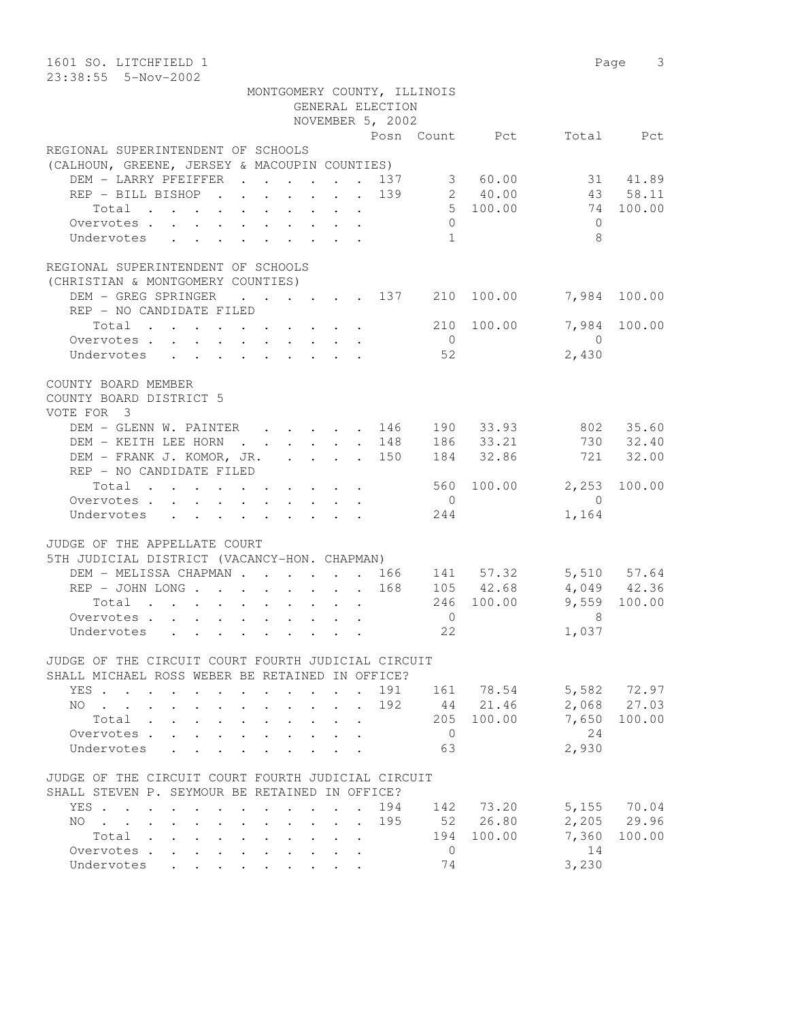| 1601 SO. LITCHFIELD 1<br>23:38:55  5-Nov-2002                                                                                      |                                 |                                      |                    |                    |                  | Page 3       |
|------------------------------------------------------------------------------------------------------------------------------------|---------------------------------|--------------------------------------|--------------------|--------------------|------------------|--------------|
| MONTGOMERY COUNTY, ILLINOIS                                                                                                        |                                 | GENERAL ELECTION<br>NOVEMBER 5, 2002 |                    |                    |                  |              |
|                                                                                                                                    |                                 |                                      |                    |                    |                  |              |
| REGIONAL SUPERINTENDENT OF SCHOOLS                                                                                                 |                                 |                                      |                    | Posn Count Pct     |                  | Total Pct    |
| (CALHOUN, GREENE, JERSEY & MACOUPIN COUNTIES)                                                                                      |                                 |                                      |                    |                    |                  |              |
| DEM - LARRY PFEIFFER 137                                                                                                           |                                 |                                      |                    |                    |                  | 31 41.89     |
| REP - BILL BISHOP 139                                                                                                              |                                 |                                      |                    | 3 60.00<br>2 40.00 |                  | 43 58.11     |
| Total                                                                                                                              |                                 |                                      |                    | 5 100.00           |                  | 74 100.00    |
| Overvotes                                                                                                                          |                                 |                                      | $\circ$            |                    | $\Omega$         |              |
| Undervotes                                                                                                                         |                                 |                                      | 1                  |                    | 8                |              |
|                                                                                                                                    |                                 |                                      |                    |                    |                  |              |
| REGIONAL SUPERINTENDENT OF SCHOOLS                                                                                                 |                                 |                                      |                    |                    |                  |              |
| (CHRISTIAN & MONTGOMERY COUNTIES)<br>DEM - GREG SPRINGER<br>$\cdot$ $\cdot$ $\cdot$ $\cdot$ $\cdot$ $\cdot$ $\cdot$ 137 210 100.00 |                                 |                                      |                    |                    |                  | 7,984 100.00 |
| REP - NO CANDIDATE FILED                                                                                                           |                                 |                                      |                    |                    |                  |              |
| Total                                                                                                                              |                                 |                                      |                    | 210 100.00         | 7,984            | 100.00       |
| Overvotes.                                                                                                                         |                                 |                                      | $\overline{0}$     |                    | $\overline{0}$   |              |
| Undervotes                                                                                                                         |                                 |                                      | 52                 |                    | 2,430            |              |
|                                                                                                                                    |                                 |                                      |                    |                    |                  |              |
| COUNTY BOARD MEMBER                                                                                                                |                                 |                                      |                    |                    |                  |              |
| COUNTY BOARD DISTRICT 5                                                                                                            |                                 |                                      |                    |                    |                  |              |
| VOTE FOR 3                                                                                                                         |                                 |                                      |                    |                    |                  |              |
| DEM - GLENN W. PAINTER                                                                                                             |                                 | 146                                  |                    | 190 33.93          |                  | 802 35.60    |
| DEM - KEITH LEE HORN 148                                                                                                           |                                 |                                      |                    | 186 33.21          |                  | 730 32.40    |
| DEM - FRANK J. KOMOR, JR. 150                                                                                                      |                                 |                                      |                    | 184 32.86          | 721              | 32.00        |
| REP - NO CANDIDATE FILED                                                                                                           |                                 |                                      |                    |                    |                  |              |
| Total                                                                                                                              |                                 |                                      |                    |                    | 560 100.00 2,253 | 100.00       |
| Overvotes                                                                                                                          |                                 |                                      | $\overline{0}$     |                    | $\overline{0}$   |              |
| Undervotes                                                                                                                         |                                 |                                      | 244                |                    | 1,164            |              |
|                                                                                                                                    |                                 |                                      |                    |                    |                  |              |
| JUDGE OF THE APPELLATE COURT                                                                                                       |                                 |                                      |                    |                    |                  |              |
| 5TH JUDICIAL DISTRICT (VACANCY-HON. CHAPMAN)                                                                                       |                                 |                                      |                    |                    |                  |              |
| DEM - MELISSA CHAPMAN 166                                                                                                          |                                 |                                      |                    | 141 57.32          |                  | 5,510 57.64  |
| REP - JOHN LONG 168                                                                                                                |                                 |                                      |                    | 105 42.68          |                  | 4,049 42.36  |
| Total                                                                                                                              |                                 |                                      |                    | 246 100.00         |                  | 9,559 100.00 |
| Overvotes.                                                                                                                         |                                 |                                      | $\mathbf{0}$<br>22 |                    | 8                |              |
| Undervotes                                                                                                                         |                                 |                                      |                    |                    | 1,037            |              |
| JUDGE OF THE CIRCUIT COURT FOURTH JUDICIAL CIRCUIT                                                                                 |                                 |                                      |                    |                    |                  |              |
| SHALL MICHAEL ROSS WEBER BE RETAINED IN OFFICE?                                                                                    |                                 |                                      |                    |                    |                  |              |
| YES                                                                                                                                |                                 | $\sim$                               |                    | 191 161 78.54      |                  | 5,582 72.97  |
| NO.                                                                                                                                |                                 | 192                                  |                    | 44 21.46           |                  | 2,068 27.03  |
| Total .<br>$\mathbf{L}$<br>$\mathbf{L}$                                                                                            | $\Delta \sim 10^4$              |                                      |                    | 205 100.00         |                  | 7,650 100.00 |
| Overvotes<br>$\mathbf{L}$<br>$\mathbf{L}^{\text{max}}$                                                                             |                                 |                                      | $\overline{0}$     |                    | 24               |              |
| Undervotes<br>$\mathbf{A}$                                                                                                         |                                 |                                      | 63                 |                    | 2,930            |              |
|                                                                                                                                    |                                 |                                      |                    |                    |                  |              |
| JUDGE OF THE CIRCUIT COURT FOURTH JUDICIAL CIRCUIT                                                                                 |                                 |                                      |                    |                    |                  |              |
| SHALL STEVEN P. SEYMOUR BE RETAINED IN OFFICE?                                                                                     |                                 |                                      |                    |                    |                  |              |
| YES.                                                                                                                               |                                 | 194                                  |                    | 142 73.20          |                  | 5,155 70.04  |
| $NO \t . \t . \t . \t .$<br>$\sim$<br>$\ddot{\phantom{0}}$<br>$\sim$                                                               | $\cdot$ $\cdot$ $\cdot$ $\cdot$ | 195                                  |                    | 52 26.80           |                  | 2,205 29.96  |
| Total                                                                                                                              |                                 |                                      |                    | 194 100.00         | 7,360            | 100.00       |
| Overvotes<br>$\sim$                                                                                                                |                                 |                                      | $\overline{0}$     |                    | 14               |              |
| Undervotes                                                                                                                         |                                 |                                      | 74                 |                    | 3,230            |              |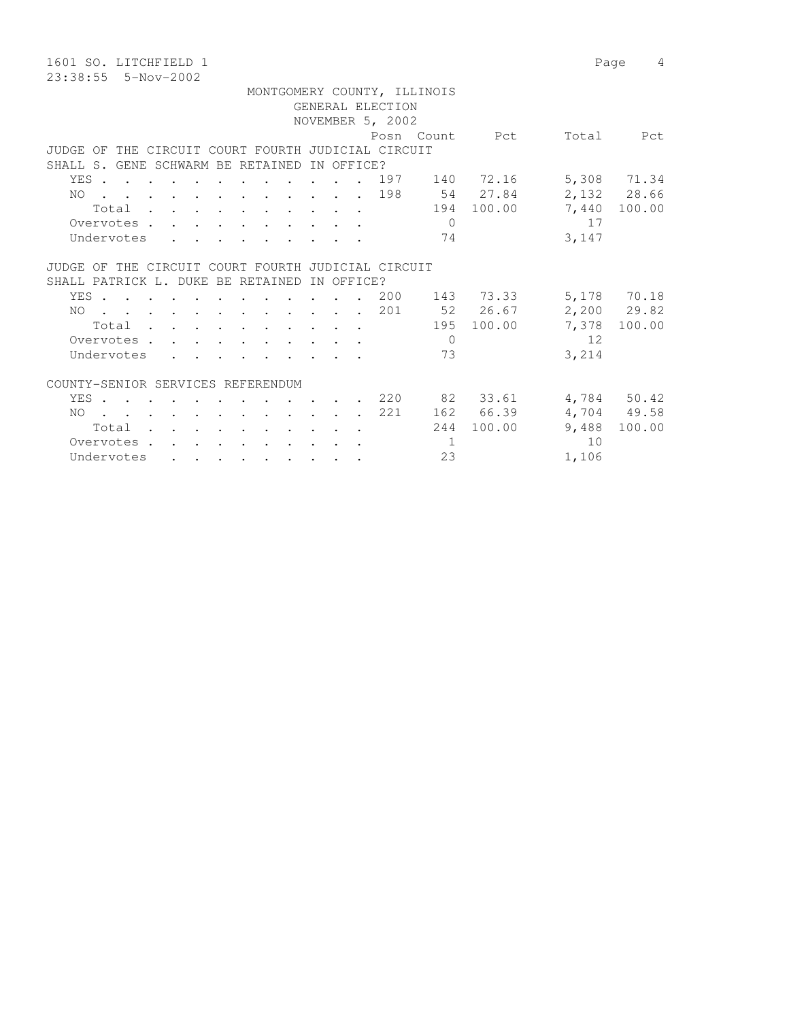1601 SO. LITCHFIELD 1 Page 4 23:38:55 5-Nov-2002

 MONTGOMERY COUNTY, ILLINOIS GENERAL ELECTION NOVEMBER 5, 2002 Posn Count Pct Total Pct JUDGE OF THE CIRCUIT COURT FOURTH JUDICIAL CIRCUIT SHALL S. GENE SCHWARM BE RETAINED IN OFFICE? YES . . . . . . . . . . . . 197 140 72.16 5,308 71.34 NO . . . . . . . . . . . . 198 54 27.84 2,132 28.66 Total . . . . . . . . . . 194 100.00 7,440 100.00 Overvotes . . . . . . . . . . . 0 17 Undervotes . . . . . . . . . 74 3,147 JUDGE OF THE CIRCUIT COURT FOURTH JUDICIAL CIRCUIT SHALL PATRICK L. DUKE BE RETAINED IN OFFICE? YES . . . . . . . . . . . 200 143 73.33 5,178 70.18 NO . . . . . . . . . . . . 201 52 26.67 2,200 29.82 Total . . . . . . . . . . 195 100.00 7,378 100.00 Overvotes . . . . . . . . . . 0 12 Undervotes . . . . . . . . . 73 3,214 COUNTY-SENIOR SERVICES REFERENDUM YES . . . . . . . . . . . . 220 82 33.61 4,784 50.42 NO . . . . . . . . . . . . 221 162 66.39 4,704 49.58 Total . . . . . . . . . . 244 100.00 9,488 100.00 Overvotes . . . . . . . . . . . 1 10<br>
Undervotes . . . . . . . . . 23 1,106 Undervotes . . . . . . . . . 23 1,106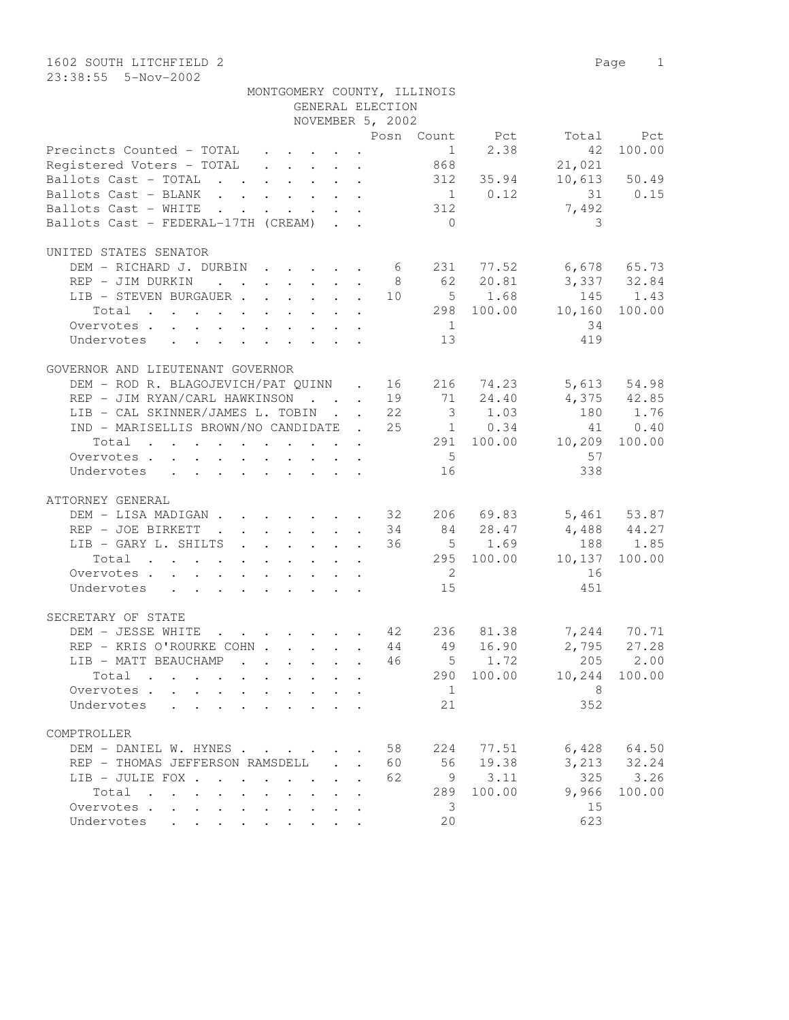1602 SOUTH LITCHFIELD 2 Page 1 23:38:55 5-Nov-2002

| MONTGOMERY COUNTY, ILLINOIS                                                                                     |                  |                |                      |                      |                 |
|-----------------------------------------------------------------------------------------------------------------|------------------|----------------|----------------------|----------------------|-----------------|
|                                                                                                                 | GENERAL ELECTION |                |                      |                      |                 |
|                                                                                                                 | NOVEMBER 5, 2002 |                |                      | Posn Count Pct Total |                 |
| Precincts Counted - TOTAL                                                                                       |                  |                | 1 2.38               | 42                   | Pct<br>100.00   |
| Registered Voters - TOTAL 868                                                                                   |                  |                |                      |                      |                 |
| Ballots Cast - TOTAL 312 35.94                                                                                  |                  |                |                      | 21,021               |                 |
|                                                                                                                 |                  |                |                      |                      | $10,613$ 50.49  |
| Ballots Cast - BLANK                                                                                            |                  |                | $\frac{1}{312}$ 0.12 | 31 0.15<br>7,492     |                 |
| Ballots Cast - WHITE<br>Ballots Cast - FEDERAL-17TH (CREAM)                                                     |                  | $\bigcirc$     |                      | 3                    |                 |
|                                                                                                                 |                  |                |                      |                      |                 |
| UNITED STATES SENATOR                                                                                           |                  |                |                      |                      |                 |
| DEM - RICHARD J. DURBIN 6 231 77.52 6,678 65.73                                                                 |                  |                |                      |                      |                 |
| REP - JIM DURKIN                                                                                                |                  |                | 8 62 20.81           | 3,337 32.84          |                 |
| LIB - STEVEN BURGAUER                                                                                           |                  |                | 10 5 1.68            | 145 1.43             |                 |
| $\cdot$ 298 100.00 10,160<br>Total                                                                              |                  |                |                      |                      | 100.00          |
| Overvotes                                                                                                       |                  | 1              |                      | 34                   |                 |
| Undervotes                                                                                                      |                  | 13             |                      | 419                  |                 |
|                                                                                                                 |                  |                |                      |                      |                 |
| GOVERNOR AND LIEUTENANT GOVERNOR                                                                                |                  |                |                      |                      |                 |
| DEM - ROD R. BLAGOJEVICH/PAT QUINN . 16 216 74.23                                                               |                  |                |                      |                      | 5,613 54.98     |
| REP - JIM RYAN/CARL HAWKINSON 19 71 24.40                                                                       |                  |                |                      | $4,375$ $42.85$      |                 |
| LIB - CAL SKINNER/JAMES L. TOBIN 22 3 1.03                                                                      |                  |                |                      | 180 1.76             |                 |
| IND - MARISELLIS BROWN/NO CANDIDATE . 25 1 0.34                                                                 |                  |                |                      |                      | 41 0.40         |
| $\cdot$ 291 100.00 10,209 100.00<br>Total                                                                       |                  |                |                      |                      |                 |
| Overvotes                                                                                                       |                  | 5 <sup>5</sup> |                      | 57                   |                 |
| Undervotes                                                                                                      |                  | 16             |                      | 338                  |                 |
|                                                                                                                 |                  |                |                      |                      |                 |
| ATTORNEY GENERAL                                                                                                |                  |                |                      |                      |                 |
| DEM - LISA MADIGAN 32 206 69.83 5,461 53.87                                                                     |                  |                |                      |                      |                 |
| REP - JOE BIRKETT 34 84 28.47                                                                                   |                  |                |                      | 4,488 44.27          |                 |
| LIB - GARY L. SHILTS                                                                                            |                  |                | 36 5 1.69            |                      | 188 1.85        |
| the contract of the contract of the contract of the<br>Total                                                    |                  |                |                      | 295 100.00 10,137    | 100.00          |
| Overvotes                                                                                                       |                  | $\overline{2}$ |                      | 16                   |                 |
| Undervotes                                                                                                      |                  | 15             |                      | 451                  |                 |
|                                                                                                                 |                  |                |                      |                      |                 |
| SECRETARY OF STATE                                                                                              |                  |                |                      |                      |                 |
| $\cdot$ 42 236 81.38<br>DEM - JESSE WHITE                                                                       |                  |                |                      |                      | 7,244 70.71     |
| REP - KRIS O'ROURKE COHN 44 49 16.90                                                                            |                  |                |                      |                      | $2,795$ 27.28   |
| LIB - MATT BEAUCHAMP<br>$\mathbf{r}$ , $\mathbf{r}$ , $\mathbf{r}$ , $\mathbf{r}$ , $\mathbf{r}$ , $\mathbf{r}$ |                  |                |                      | 46 5 1.72 205 2.00   |                 |
| Total                                                                                                           |                  |                |                      | 290 100.00 10,244    | 100.00          |
| Overvotes                                                                                                       |                  | $\overline{1}$ |                      | - 8                  |                 |
| Undervotes                                                                                                      |                  | 21             |                      | 352                  |                 |
|                                                                                                                 |                  |                |                      |                      |                 |
| COMPTROLLER                                                                                                     |                  |                |                      |                      |                 |
| DEM - DANIEL W. HYNES                                                                                           | 58               | 224            | 77.51                |                      | $6,428$ $64.50$ |
| REP - THOMAS JEFFERSON RAMSDELL                                                                                 | 60               | 56             | 19.38                |                      | $3,213$ $32.24$ |
| LIB - JULIE FOX                                                                                                 | 62               |                | 9 3.11               | 325                  | 3.26            |
| Total                                                                                                           |                  | 289            | 100.00               | 9,966                | 100.00          |
| Overvotes                                                                                                       |                  | - 3            |                      | 15                   |                 |
| Undervotes                                                                                                      |                  | 20             |                      | 623                  |                 |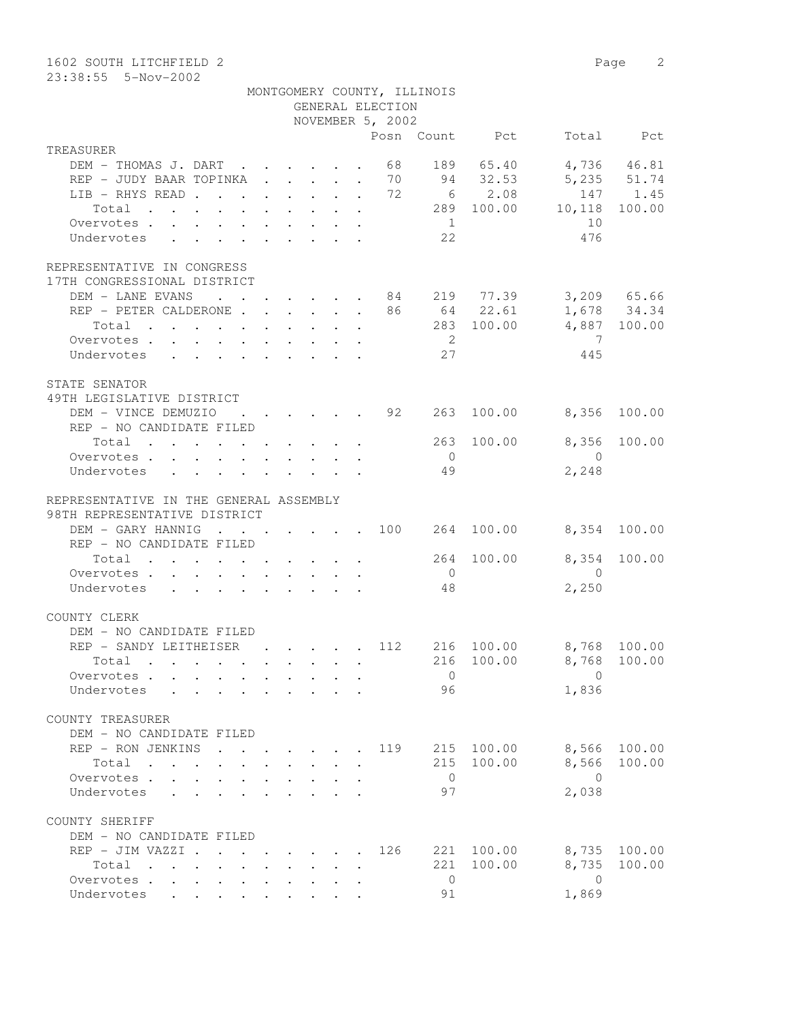1602 SOUTH LITCHFIELD 2 Page 2

23:38:55 5-Nov-2002

| MONTGOMERY COUNTY, ILLINOIS |                  |  |
|-----------------------------|------------------|--|
|                             | GENERAL ELECTION |  |

|                                                                                                        | GENERAL ELECITON<br>NOVEMBER 5, 2002                      |                                                               |                     |              |
|--------------------------------------------------------------------------------------------------------|-----------------------------------------------------------|---------------------------------------------------------------|---------------------|--------------|
|                                                                                                        |                                                           | Posn Count Pct                                                |                     | Total Pct    |
| TREASURER                                                                                              |                                                           |                                                               |                     |              |
| DEM - THOMAS J. DART 68 189 65.40                                                                      |                                                           |                                                               | 4,736 46.81         |              |
| REP - JUDY BAAR TOPINKA 70 94 32.53                                                                    |                                                           |                                                               | 5,235 51.74         |              |
| LIB - RHYS READ 72                                                                                     |                                                           |                                                               | 6 2.08              | 147 1.45     |
| Total                                                                                                  |                                                           | 289 100.00                                                    |                     |              |
|                                                                                                        |                                                           | 1                                                             | 10,118 100.00<br>10 |              |
| Overvotes.<br>Undervotes                                                                               |                                                           | 22                                                            | 476                 |              |
| $\mathbf{r}$ , $\mathbf{r}$ , $\mathbf{r}$ , $\mathbf{r}$ , $\mathbf{r}$ , $\mathbf{r}$ , $\mathbf{r}$ |                                                           |                                                               |                     |              |
|                                                                                                        |                                                           |                                                               |                     |              |
| REPRESENTATIVE IN CONGRESS                                                                             |                                                           |                                                               |                     |              |
| 17TH CONGRESSIONAL DISTRICT                                                                            |                                                           |                                                               |                     |              |
| DEM - LANE EVANS 84 219 77.39                                                                          |                                                           |                                                               |                     | 3,209 65.66  |
| REP - PETER CALDERONE 86 64 22.61                                                                      |                                                           |                                                               |                     | 1,678 34.34  |
| Total                                                                                                  |                                                           |                                                               | 283 100.00          | 4,887 100.00 |
| Overvotes                                                                                              |                                                           | $\overline{2}$                                                | $\overline{7}$      |              |
| Undervotes                                                                                             |                                                           | 27                                                            | 445                 |              |
|                                                                                                        |                                                           |                                                               |                     |              |
| STATE SENATOR                                                                                          |                                                           |                                                               |                     |              |
| 49TH LEGISLATIVE DISTRICT                                                                              |                                                           |                                                               |                     |              |
| DEM - VINCE DEMUZIO                                                                                    |                                                           | $\cdot$ $\cdot$ $\cdot$ $\cdot$ $\cdot$ $\cdot$ 92 263 100.00 | 8,356 100.00        |              |
| REP - NO CANDIDATE FILED                                                                               |                                                           |                                                               |                     |              |
| Total $\cdot$                                                                                          |                                                           |                                                               | 8,356<br>263 100.00 | 100.00       |
| Overvotes.                                                                                             |                                                           | $\overline{0}$                                                | $\overline{0}$      |              |
| Undervotes                                                                                             |                                                           | 49                                                            | 2,248               |              |
|                                                                                                        |                                                           |                                                               |                     |              |
| REPRESENTATIVE IN THE GENERAL ASSEMBLY                                                                 |                                                           |                                                               |                     |              |
| 98TH REPRESENTATIVE DISTRICT                                                                           |                                                           |                                                               |                     |              |
| DEM - GARY HANNIG                                                                                      |                                                           | $\cdot$ 100 264 100.00                                        | 8,354 100.00        |              |
| REP - NO CANDIDATE FILED                                                                               |                                                           |                                                               |                     |              |
| Total 264 100.00                                                                                       |                                                           |                                                               |                     | 8,354 100.00 |
| Overvotes.                                                                                             |                                                           | $\overline{0}$                                                | $\bigcirc$          |              |
| Undervotes                                                                                             |                                                           | 48                                                            | 2,250               |              |
|                                                                                                        |                                                           |                                                               |                     |              |
| COUNTY CLERK                                                                                           |                                                           |                                                               |                     |              |
| DEM - NO CANDIDATE FILED                                                                               |                                                           |                                                               |                     |              |
| REP - SANDY LEITHEISER 112 216 100.00 8,768 100.00                                                     |                                                           |                                                               |                     |              |
| Total $\cdot$                                                                                          |                                                           | 216                                                           | 8,768<br>100.00     | 100.00       |
| Overvotes                                                                                              |                                                           | $\mathbf{0}$                                                  | $\circ$             |              |
|                                                                                                        |                                                           | 96                                                            | 1,836               |              |
| Undervotes<br>$\cdot$                                                                                  |                                                           |                                                               |                     |              |
|                                                                                                        |                                                           |                                                               |                     |              |
| COUNTY TREASURER                                                                                       |                                                           |                                                               |                     |              |
| DEM - NO CANDIDATE FILED                                                                               |                                                           |                                                               |                     |              |
| REP - RON JENKINS<br>$\sim$ $\sim$                                                                     | $\mathbf{r}$ and $\mathbf{r}$ and $\mathbf{r}$            | 119                                                           | 215 100.00          | 8,566 100.00 |
| Total<br>$\mathbf{r} = \mathbf{r} + \mathbf{r}$                                                        |                                                           |                                                               | 8,566<br>215 100.00 | 100.00       |
| Overvotes                                                                                              | $\mathbf{r} = \mathbf{r}$<br>$\mathbf{L}$<br>$\mathbf{r}$ | $\overline{0}$                                                | $\bigcirc$          |              |
| Undervotes                                                                                             | $\cdot$ $\cdot$ $\cdot$ $\cdot$ $\cdot$                   | 97                                                            | 2,038               |              |
|                                                                                                        |                                                           |                                                               |                     |              |
| COUNTY SHERIFF                                                                                         |                                                           |                                                               |                     |              |
| DEM - NO CANDIDATE FILED                                                                               |                                                           |                                                               |                     |              |
| REP - JIM VAZZI                                                                                        |                                                           | 126                                                           | 221 100.00<br>8,735 | 100.00       |
| Total                                                                                                  |                                                           | 221                                                           | 100.00<br>8,735     | 100.00       |
| Overvotes<br>$\mathbf{L}$ and $\mathbf{L}$                                                             |                                                           | $\overline{0}$                                                | $\overline{0}$      |              |
| Undervotes<br>$\mathbf{r}$ $\mathbf{r}$ $\mathbf{r}$ $\mathbf{r}$                                      |                                                           | 91                                                            | 1,869               |              |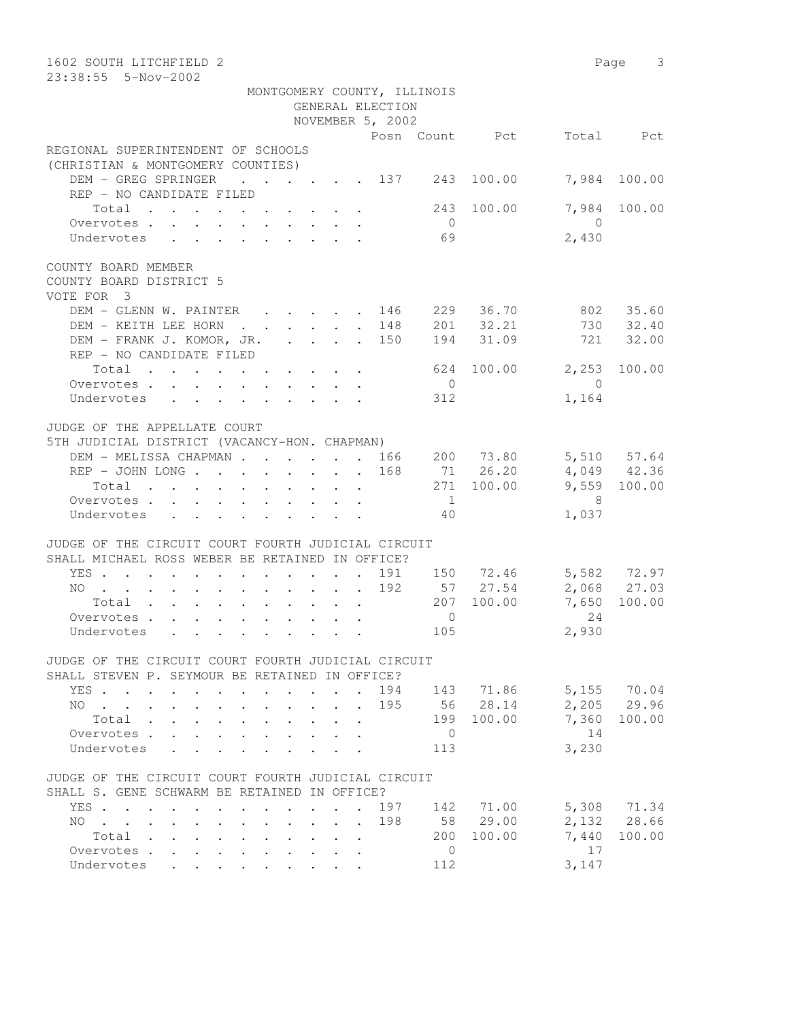| 1602 SOUTH LITCHFIELD 2<br>23:38:55  5-Nov-2002                                                       |                                            |                                 |                                                                     |                       |                |                            | Page 3       |
|-------------------------------------------------------------------------------------------------------|--------------------------------------------|---------------------------------|---------------------------------------------------------------------|-----------------------|----------------|----------------------------|--------------|
|                                                                                                       |                                            |                                 | MONTGOMERY COUNTY, ILLINOIS<br>GENERAL ELECTION<br>NOVEMBER 5, 2002 |                       |                |                            |              |
|                                                                                                       |                                            |                                 |                                                                     |                       | Posn Count Pct |                            | Total Pct    |
| REGIONAL SUPERINTENDENT OF SCHOOLS<br>(CHRISTIAN & MONTGOMERY COUNTIES)                               |                                            |                                 |                                                                     |                       |                |                            |              |
| DEM - GREG SPRINGER<br>REP - NO CANDIDATE FILED                                                       |                                            |                                 | $\cdot \cdot \cdot \cdot \cdot \cdot \cdot 137$ 243                 |                       | 100.00         | 7,984                      | 100.00       |
| Total<br>Overvotes.                                                                                   |                                            |                                 |                                                                     | 243<br>$\overline{0}$ | 100.00         | 7,984<br>$\bigcirc$        | 100.00       |
| Undervotes                                                                                            |                                            |                                 |                                                                     | 69                    |                | 2,430                      |              |
| COUNTY BOARD MEMBER<br>COUNTY BOARD DISTRICT 5<br>VOTE FOR 3                                          |                                            |                                 |                                                                     |                       |                |                            |              |
| DEM - GLENN W. PAINTER 146                                                                            |                                            |                                 |                                                                     |                       | 229 36.70      | 802                        | 35.60        |
| DEM - KEITH LEE HORN<br>. 148                                                                         |                                            |                                 |                                                                     | 201                   | 32.21          |                            | 730 32.40    |
| DEM - FRANK J. KOMOR, JR. 150<br>REP - NO CANDIDATE FILED                                             |                                            |                                 |                                                                     | 194                   | 31.09          |                            | 721 32.00    |
| Total                                                                                                 |                                            |                                 |                                                                     | 624                   | 100.00         | 2,253                      | 100.00       |
| Overvotes.                                                                                            |                                            |                                 |                                                                     | $\overline{0}$        |                | $\bigcirc$                 |              |
| Undervotes                                                                                            |                                            |                                 |                                                                     | 312                   |                | 1,164                      |              |
| JUDGE OF THE APPELLATE COURT<br>5TH JUDICIAL DISTRICT (VACANCY-HON. CHAPMAN)                          |                                            |                                 |                                                                     |                       |                |                            |              |
| DEM - MELISSA CHAPMAN 166                                                                             |                                            |                                 |                                                                     |                       | 200 73.80      |                            | 5,510 57.64  |
| REP - JOHN LONG                                                                                       |                                            |                                 | 168                                                                 |                       | 71 26.20       |                            | 4,049 42.36  |
| Total                                                                                                 |                                            |                                 |                                                                     |                       | 271 100.00     |                            | 9,559 100.00 |
| Overvotes.                                                                                            |                                            |                                 |                                                                     | $\overline{1}$        |                | $\overline{\phantom{1}}$ 8 |              |
| Undervotes                                                                                            |                                            |                                 |                                                                     | 40                    |                | 1,037                      |              |
| JUDGE OF THE CIRCUIT COURT FOURTH JUDICIAL CIRCUIT<br>SHALL MICHAEL ROSS WEBER BE RETAINED IN OFFICE? |                                            |                                 |                                                                     |                       |                |                            |              |
| YES                                                                                                   |                                            |                                 |                                                                     |                       | 191 150 72.46  |                            | 5,582 72.97  |
| NO                                                                                                    |                                            |                                 | 192                                                                 |                       | 57 27.54       |                            | 2,068 27.03  |
| Total                                                                                                 |                                            |                                 |                                                                     |                       | 207 100.00     |                            | 7,650 100.00 |
| Overvotes                                                                                             |                                            |                                 |                                                                     | $\mathbf{0}$          |                | 24                         |              |
| Undervotes                                                                                            |                                            |                                 |                                                                     | 105                   |                | 2,930                      |              |
| JUDGE OF THE CIRCUIT COURT FOURTH JUDICIAL CIRCUIT<br>SHALL STEVEN P. SEYMOUR BE RETAINED IN OFFICE?  |                                            |                                 |                                                                     |                       |                |                            |              |
| YES                                                                                                   |                                            |                                 |                                                                     |                       | 194 143 71.86  |                            | 5,155 70.04  |
| $NO \t . \t . \t .$                                                                                   |                                            |                                 | 195                                                                 |                       | 56 28.14       |                            | 2,205 29.96  |
| Total                                                                                                 |                                            |                                 |                                                                     |                       | 199 100.00     | 7,360                      | 100.00       |
| Overvotes                                                                                             |                                            |                                 |                                                                     | $\overline{0}$        |                | 14                         |              |
| Undervotes<br>$\mathbf{L} = \mathbf{L}$                                                               |                                            |                                 |                                                                     | 113                   |                | 3,230                      |              |
| JUDGE OF THE CIRCUIT COURT FOURTH JUDICIAL CIRCUIT<br>SHALL S. GENE SCHWARM BE RETAINED IN OFFICE?    |                                            |                                 |                                                                     |                       |                |                            |              |
| YES                                                                                                   |                                            |                                 | 197                                                                 |                       | 142 71.00      |                            | 5,308 71.34  |
| $NO$<br>$\ddot{\phantom{a}}$ . The set of $\ddot{\phantom{a}}$                                        | $\mathbf{r} = \mathbf{r} \cdot \mathbf{r}$ |                                 | 198                                                                 |                       | 58 29.00       |                            | 2,132 28.66  |
| Total                                                                                                 |                                            | $\cdot$ $\cdot$ $\cdot$ $\cdot$ |                                                                     |                       | 200 100.00     | 7,440                      | 100.00       |
| Overvotes.                                                                                            |                                            |                                 |                                                                     | $\overline{0}$        |                | 17                         |              |
| Undervotes<br>$\mathbf{L} = \mathbf{L} \mathbf{L}$                                                    |                                            |                                 |                                                                     | 112                   |                | 3,147                      |              |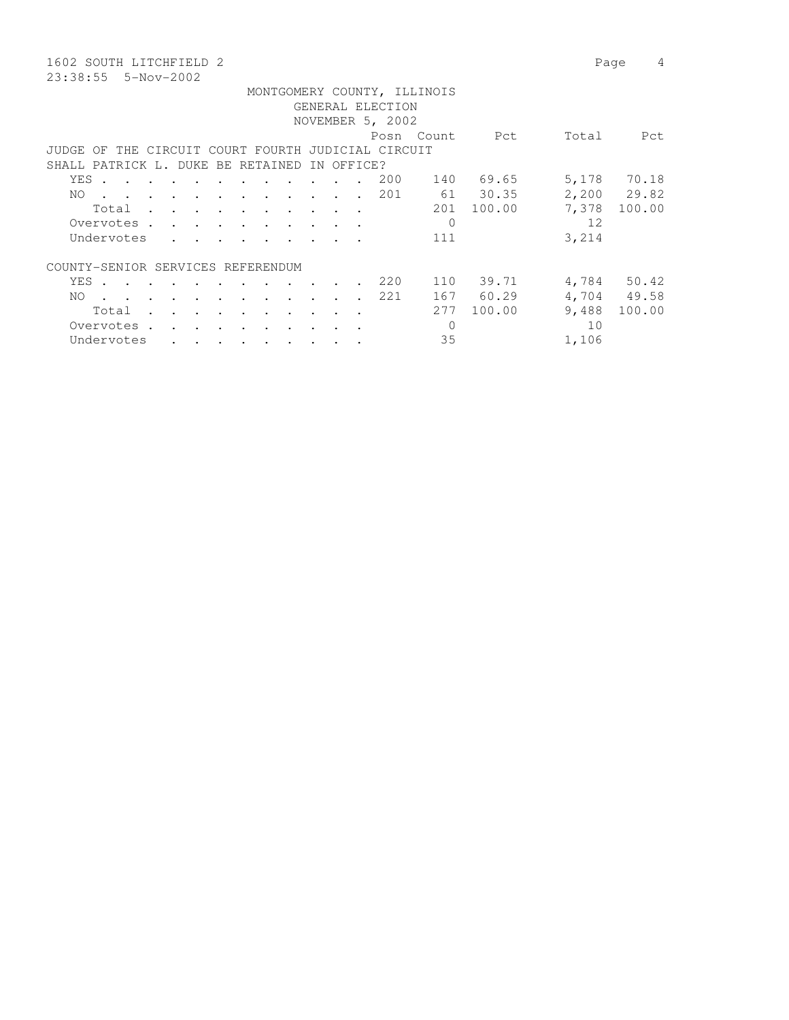1602 SOUTH LITCHFIELD 2 Page 4 23:38:55 5-Nov-2002

|       |       |                                                                                                                 |               |  |                                                                                                                                                                                                                                               |                      |                      |                                   |                          |            |                                           | MONTGOMERY COUNTY, ILLINOIS |          |       |             |
|-------|-------|-----------------------------------------------------------------------------------------------------------------|---------------|--|-----------------------------------------------------------------------------------------------------------------------------------------------------------------------------------------------------------------------------------------------|----------------------|----------------------|-----------------------------------|--------------------------|------------|-------------------------------------------|-----------------------------|----------|-------|-------------|
|       |       |                                                                                                                 |               |  |                                                                                                                                                                                                                                               |                      |                      |                                   |                          |            | GENERAL ELECTION                          |                             |          |       |             |
|       |       |                                                                                                                 |               |  |                                                                                                                                                                                                                                               |                      |                      |                                   |                          |            | NOVEMBER 5, 2002                          |                             |          |       |             |
|       |       |                                                                                                                 |               |  |                                                                                                                                                                                                                                               |                      |                      |                                   |                          |            |                                           | Posn Count                  | Pct      | Total | Pct         |
| JUDGE | OF    |                                                                                                                 |               |  |                                                                                                                                                                                                                                               |                      |                      |                                   |                          |            | THE CIRCUIT COURT FOURTH JUDICIAL CIRCUIT |                             |          |       |             |
|       |       | SHALL PATRICK L. DUKE BE RETAINED                                                                               |               |  |                                                                                                                                                                                                                                               |                      |                      |                                   |                          | IN OFFICE? |                                           |                             |          |       |             |
|       |       |                                                                                                                 |               |  |                                                                                                                                                                                                                                               |                      |                      |                                   |                          |            |                                           |                             |          |       |             |
|       | YES . | $\mathbf{r}$ , and $\mathbf{r}$ , and $\mathbf{r}$ , and $\mathbf{r}$                                           |               |  |                                                                                                                                                                                                                                               | $\ddot{\phantom{a}}$ | $\sim$ $\sim$ $\sim$ | $\cdot$                           |                          |            | 200                                       | 140                         | 69.65    | 5,178 | 70.18       |
| NO.   |       | $\mathbf{r}$ , and $\mathbf{r}$ , and $\mathbf{r}$ , and $\mathbf{r}$ , and $\mathbf{r}$                        |               |  |                                                                                                                                                                                                                                               |                      |                      |                                   | $\sim$                   |            | 201                                       |                             | 61 30.35 |       | 2,200 29.82 |
|       |       | Total                                                                                                           |               |  |                                                                                                                                                                                                                                               |                      |                      |                                   | $\overline{\phantom{a}}$ |            |                                           | 201                         | 100.00   | 7,378 | 100.00      |
|       |       | Overvotes                                                                                                       |               |  |                                                                                                                                                                                                                                               |                      |                      |                                   |                          |            |                                           | $\mathbf{0}$                |          | 12    |             |
|       |       | Undervotes                                                                                                      |               |  |                                                                                                                                                                                                                                               |                      |                      |                                   |                          |            |                                           | 111                         |          | 3,214 |             |
|       |       | COUNTY-SENIOR SERVICES REFERENDUM                                                                               |               |  |                                                                                                                                                                                                                                               |                      |                      |                                   |                          |            |                                           |                             |          |       |             |
|       |       |                                                                                                                 |               |  |                                                                                                                                                                                                                                               |                      |                      |                                   |                          |            |                                           |                             |          |       |             |
|       | YES . | $\cdots$                                                                                                        |               |  |                                                                                                                                                                                                                                               |                      |                      |                                   |                          |            | 220                                       | 110                         | 39.71    |       | 4,784 50.42 |
| NO.   |       | the contract of the contract of the contract of the contract of the contract of the contract of the contract of |               |  |                                                                                                                                                                                                                                               |                      |                      |                                   | $\ddot{\phantom{0}}$     |            | 221                                       | 167                         | 60.29    |       | 4,704 49.58 |
|       |       | Total                                                                                                           | $\sim$ $\sim$ |  |                                                                                                                                                                                                                                               |                      | $\ddot{\phantom{1}}$ | <b>Contract Contract Contract</b> |                          |            |                                           | 2.77                        | 100.00   | 9,488 | 100.00      |
|       |       | Overvotes.                                                                                                      |               |  | $\mathcal{L}(\mathbf{r},\mathbf{r})$ . The contract of the contract of the contract of the contract of the contract of the contract of the contract of the contract of the contract of the contract of the contract of the contract of the co | $\ddot{\phantom{a}}$ |                      |                                   |                          |            |                                           | $\Omega$                    |          | 10    |             |
|       |       | Undervotes                                                                                                      |               |  | $\bullet$ . In the case of the contract of the contract of the contract of the contract of the contract of the contract of the contract of the contract of the contract of the contract of the contract of the contract of the con            |                      |                      | $\sim$ $\sim$ $\sim$ $\sim$       |                          |            |                                           | 35                          |          | 1,106 |             |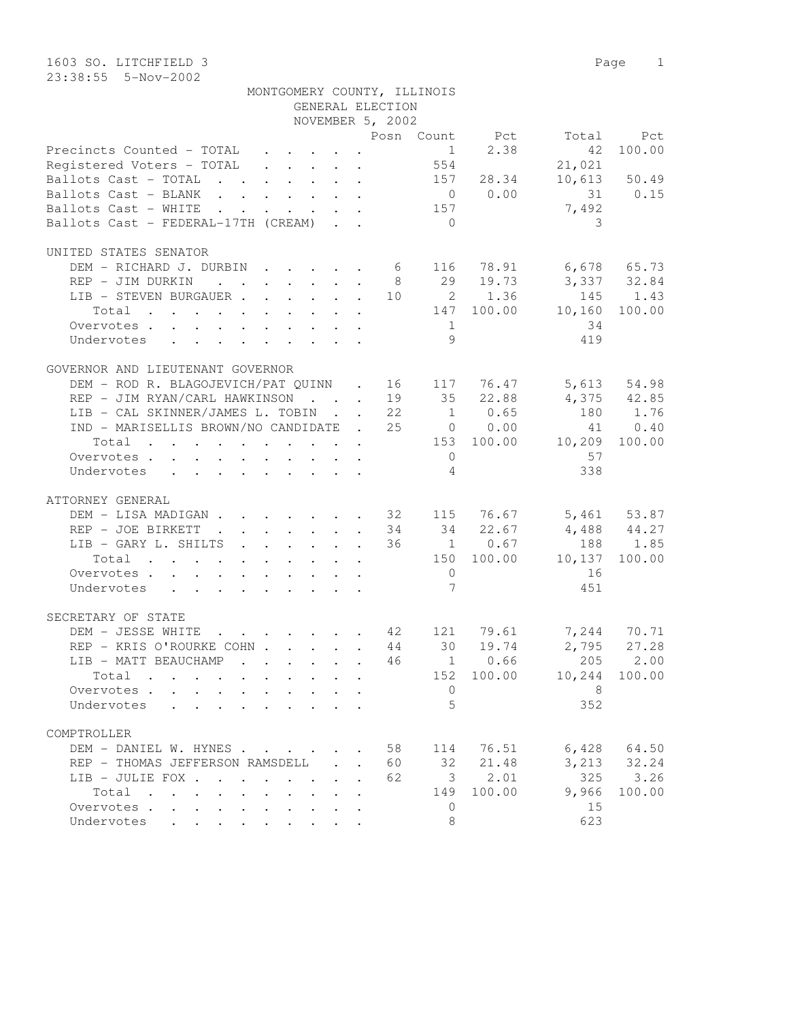|                                                                                                                                                                               |                                         | GENERAL ELECTION | MONTGOMERY COUNTY, ILLINOIS       |             |               |                 |
|-------------------------------------------------------------------------------------------------------------------------------------------------------------------------------|-----------------------------------------|------------------|-----------------------------------|-------------|---------------|-----------------|
|                                                                                                                                                                               |                                         | NOVEMBER 5, 2002 |                                   |             |               |                 |
|                                                                                                                                                                               |                                         |                  | Posn Count Pct Total Pct          |             |               |                 |
| Precincts Counted - TOTAL 1<br>Registered Voters - TOTAL 554                                                                                                                  |                                         |                  |                                   | $1 \t 2.38$ | 42            | 100.00          |
|                                                                                                                                                                               |                                         |                  |                                   |             | 21,021        |                 |
| Ballots Cast - TOTAL 157 28.34                                                                                                                                                |                                         |                  |                                   |             |               | $10,613$ 50.49  |
| Ballots Cast - BLANK 0 0.00 31 0.15                                                                                                                                           |                                         |                  |                                   |             |               |                 |
| Ballots Cast - WHITE 157                                                                                                                                                      |                                         |                  |                                   |             | 7,492         |                 |
| Ballots Cast - FEDERAL-17TH (CREAM)                                                                                                                                           |                                         |                  | $\overline{0}$                    |             | 3             |                 |
| UNITED STATES SENATOR                                                                                                                                                         |                                         |                  |                                   |             |               |                 |
| DEM - RICHARD J. DURBIN 6 116 78.91 6,678 65.73                                                                                                                               |                                         |                  |                                   |             |               |                 |
| REP - JIM DURKIN                                                                                                                                                              |                                         |                  | 8 29 19.73 3,337 32.84            |             |               |                 |
| LIB - STEVEN BURGAUER 10 2 1.36 145 1.43                                                                                                                                      |                                         |                  |                                   |             |               |                 |
| Total 147 100.00 10,160 100.00                                                                                                                                                |                                         |                  |                                   |             |               |                 |
| Overvotes.                                                                                                                                                                    |                                         |                  | 1                                 |             | 34            |                 |
| Undervotes                                                                                                                                                                    |                                         |                  | 9                                 |             | 419           |                 |
| GOVERNOR AND LIEUTENANT GOVERNOR                                                                                                                                              |                                         |                  |                                   |             |               |                 |
|                                                                                                                                                                               |                                         |                  |                                   |             |               |                 |
| DEM – ROD R. BLAGOJEVICH/PAT QUINN . 16 117 76.47 5,613 54.98<br>REP – JIM RYAN/CARL HAWKINSON 19 35 22.88 4,375 42.85<br>LIB – CAL SKINNER/JAMES L. TOBIN 22 1 0.65 180 1.76 |                                         |                  |                                   |             |               |                 |
|                                                                                                                                                                               |                                         |                  |                                   |             |               |                 |
| IND - MARISELLIS BROWN/NO CANDIDATE . 25 0 0.00                                                                                                                               |                                         |                  |                                   |             |               | 41 0.40         |
| Total 153 100.00 10,209 100.00                                                                                                                                                |                                         |                  |                                   |             |               |                 |
| Overvotes.                                                                                                                                                                    |                                         |                  | $\overline{0}$                    |             | 57            |                 |
| Undervotes                                                                                                                                                                    |                                         |                  | $\sim$ 4                          |             | 338           |                 |
|                                                                                                                                                                               |                                         |                  |                                   |             |               |                 |
| ATTORNEY GENERAL                                                                                                                                                              |                                         |                  |                                   |             |               |                 |
| DEM - LISA MADIGAN 32 115 76.67 5,461 53.87                                                                                                                                   |                                         |                  |                                   |             |               |                 |
| REP - JOE BIRKETT                                                                                                                                                             |                                         |                  | $34$ $34$ $22.67$ $4,488$ $44.27$ |             |               |                 |
| LIB - GARY L. SHILTS                                                                                                                                                          |                                         |                  | 36                                | 1 0.67      |               | 188 1.85        |
| Total                                                                                                                                                                         |                                         |                  | 150 100.00 10,137 100.00          |             |               |                 |
| Overvotes.                                                                                                                                                                    |                                         |                  | $\overline{0}$                    |             | 16            |                 |
| Undervotes                                                                                                                                                                    |                                         |                  | $\overline{7}$                    |             | 451           |                 |
| SECRETARY OF STATE                                                                                                                                                            |                                         |                  |                                   |             |               |                 |
| DEM - JESSE WHITE 42 121 79.61 7,244 70.71<br>REP - KRIS O'ROURKE COHN 44 30 19.74 2,795 27.28                                                                                |                                         |                  |                                   |             |               |                 |
|                                                                                                                                                                               |                                         |                  |                                   |             |               |                 |
| LIB - MATT BEAUCHAMP 46   1   0.66   205   2.00                                                                                                                               |                                         |                  |                                   |             |               |                 |
| $Total \cdot \cdot \cdot \cdot \cdot$                                                                                                                                         | $\cdot$ $\cdot$ $\cdot$ $\cdot$ $\cdot$ |                  |                                   | 152 100.00  | 10,244 100.00 |                 |
| Overvotes.                                                                                                                                                                    |                                         | $\mathbf{r}$     | $\mathbf{0}$                      |             | 8             |                 |
| Undervotes<br>$\mathbf{r}$ , and $\mathbf{r}$ , and $\mathbf{r}$ , and $\mathbf{r}$ , and $\mathbf{r}$                                                                        |                                         |                  | 5                                 |             | 352           |                 |
| COMPTROLLER                                                                                                                                                                   |                                         |                  |                                   |             |               |                 |
| DEM - DANIEL W. HYNES                                                                                                                                                         |                                         |                  | 58                                | 114 76.51   |               | $6,428$ $64.50$ |
| REP - THOMAS JEFFERSON RAMSDELL                                                                                                                                               |                                         | $\sim$           | 32<br>60                          | 21.48       | 3,213         | 32.24           |
| LIB - JULIE FOX                                                                                                                                                               |                                         |                  | 62                                | 3, 2.01     | 325           | 3.26            |
| Total                                                                                                                                                                         | $\mathbf{L}$                            |                  | 149                               | 100.00      | 9,966         | 100.00          |
| Overvotes.                                                                                                                                                                    |                                         |                  | $\mathbf{0}$                      |             | 15            |                 |
| Undervotes                                                                                                                                                                    |                                         |                  | 8                                 |             | 623           |                 |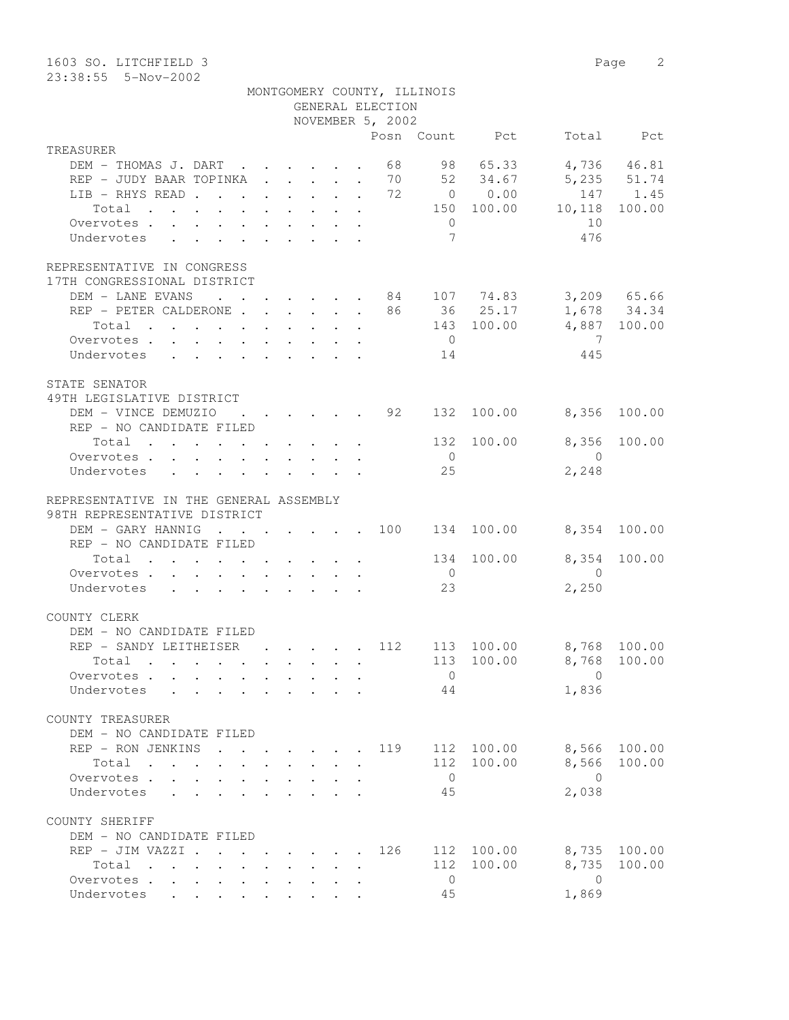| 1603 SO. LITCHFIELD 3<br>23:38:55  5-Nov-2002                                                                                                                                                                                               |                                                                                          |                                                           |                                                           |                                                 |                |                                                 |                         | 2<br>Page          |
|---------------------------------------------------------------------------------------------------------------------------------------------------------------------------------------------------------------------------------------------|------------------------------------------------------------------------------------------|-----------------------------------------------------------|-----------------------------------------------------------|-------------------------------------------------|----------------|-------------------------------------------------|-------------------------|--------------------|
|                                                                                                                                                                                                                                             |                                                                                          |                                                           |                                                           | MONTGOMERY COUNTY, ILLINOIS<br>GENERAL ELECTION |                |                                                 |                         |                    |
|                                                                                                                                                                                                                                             |                                                                                          |                                                           |                                                           | NOVEMBER 5, 2002                                |                |                                                 |                         |                    |
|                                                                                                                                                                                                                                             |                                                                                          |                                                           |                                                           |                                                 |                | Posn Count Pct                                  |                         | Total Pct          |
| TREASURER                                                                                                                                                                                                                                   |                                                                                          |                                                           |                                                           |                                                 |                |                                                 |                         |                    |
| DEM - THOMAS J. DART                                                                                                                                                                                                                        |                                                                                          |                                                           |                                                           | 68                                              |                | 98 65.33                                        |                         | 4,736 46.81        |
| REP - JUDY BAAR TOPINKA 70 52 34.67                                                                                                                                                                                                         |                                                                                          |                                                           |                                                           |                                                 |                |                                                 |                         | 5,235 51.74        |
| LIB - RHYS READ.                                                                                                                                                                                                                            | $\mathbf{r}$ , $\mathbf{r}$ , $\mathbf{r}$ , $\mathbf{r}$ , $\mathbf{r}$ , $\mathbf{r}$  |                                                           |                                                           | 72<br>$\ddot{\phantom{0}}$                      |                | $\begin{array}{ccc} & & 0 & & 0.00 \end{array}$ |                         | 147 1.45<br>100.00 |
| Total<br>the contract of the contract of the contract of the contract of the contract of the contract of the contract of                                                                                                                    |                                                                                          |                                                           |                                                           |                                                 | $\overline{0}$ | 150 100.00                                      | 10,118<br>10            |                    |
| Overvotes<br>Undervotes<br>$\mathbf{r}$ , $\mathbf{r}$ , $\mathbf{r}$ , $\mathbf{r}$ , $\mathbf{r}$ , $\mathbf{r}$                                                                                                                          |                                                                                          |                                                           |                                                           |                                                 | 7              |                                                 | 476                     |                    |
|                                                                                                                                                                                                                                             |                                                                                          |                                                           |                                                           |                                                 |                |                                                 |                         |                    |
| REPRESENTATIVE IN CONGRESS<br>17TH CONGRESSIONAL DISTRICT                                                                                                                                                                                   |                                                                                          |                                                           |                                                           |                                                 |                |                                                 |                         |                    |
| DEM - LANE EVANS                                                                                                                                                                                                                            | $\mathbf{r}$ , $\mathbf{r}$ , $\mathbf{r}$ , $\mathbf{r}$ , $\mathbf{r}$                 |                                                           |                                                           |                                                 |                | . 84 107 74.83                                  |                         | 3,209 65.66        |
| REP - PETER CALDERONE                                                                                                                                                                                                                       |                                                                                          |                                                           |                                                           |                                                 |                | 86 36 25.17                                     |                         | 1,678 34.34        |
| Total<br>$\mathbf{r}$ , and $\mathbf{r}$ , and $\mathbf{r}$ , and $\mathbf{r}$ , and $\mathbf{r}$ , and $\mathbf{r}$                                                                                                                        |                                                                                          |                                                           |                                                           |                                                 |                | 143 100.00                                      |                         | 4,887 100.00       |
| Overvotes                                                                                                                                                                                                                                   |                                                                                          |                                                           |                                                           |                                                 | $\overline{0}$ |                                                 | 7                       |                    |
| Undervotes                                                                                                                                                                                                                                  |                                                                                          |                                                           |                                                           |                                                 | 14             |                                                 | 445                     |                    |
| STATE SENATOR                                                                                                                                                                                                                               |                                                                                          |                                                           |                                                           |                                                 |                |                                                 |                         |                    |
| 49TH LEGISLATIVE DISTRICT                                                                                                                                                                                                                   |                                                                                          |                                                           |                                                           |                                                 |                |                                                 |                         |                    |
| DEM - VINCE DEMUZIO                                                                                                                                                                                                                         | $\cdots$                                                                                 |                                                           |                                                           | 92                                              | 132            | 100.00                                          | 8,356                   | 100.00             |
| REP - NO CANDIDATE FILED                                                                                                                                                                                                                    |                                                                                          |                                                           |                                                           |                                                 |                |                                                 |                         |                    |
| Total<br>the contract of the contract of the contract of                                                                                                                                                                                    |                                                                                          |                                                           |                                                           |                                                 | 132            | 100.00                                          | 8,356                   | 100.00             |
| Overvotes.                                                                                                                                                                                                                                  |                                                                                          |                                                           |                                                           |                                                 | $\overline{0}$ |                                                 | $\bigcirc$              |                    |
| Undervotes                                                                                                                                                                                                                                  |                                                                                          |                                                           |                                                           |                                                 | 25             |                                                 | 2,248                   |                    |
| REPRESENTATIVE IN THE GENERAL ASSEMBLY                                                                                                                                                                                                      |                                                                                          |                                                           |                                                           |                                                 |                |                                                 |                         |                    |
| 98TH REPRESENTATIVE DISTRICT                                                                                                                                                                                                                |                                                                                          |                                                           |                                                           |                                                 |                |                                                 |                         |                    |
| DEM - GARY HANNIG<br>$\sim$                                                                                                                                                                                                                 | $\mathbf{z} = \mathbf{z} + \mathbf{z}$                                                   |                                                           |                                                           | $\cdot$ $\cdot$ $\cdot$ $\cdot$ 100             |                | 134 100.00                                      |                         | 8,354 100.00       |
| REP - NO CANDIDATE FILED                                                                                                                                                                                                                    |                                                                                          |                                                           |                                                           |                                                 |                |                                                 |                         |                    |
| Total<br>$\mathcal{A}$ . The set of the set of the set of the set of the set of the set of the set of the set of the set of the set of the set of the set of the set of the set of the set of the set of the set of the set of the set of t |                                                                                          |                                                           |                                                           |                                                 | 134            | 100.00                                          | 8,354                   | 100.00             |
| Overvotes.                                                                                                                                                                                                                                  |                                                                                          |                                                           |                                                           |                                                 | $\overline{0}$ |                                                 | $\bigcirc$              |                    |
| Undervotes                                                                                                                                                                                                                                  |                                                                                          |                                                           |                                                           |                                                 | 23             |                                                 | 2,250                   |                    |
|                                                                                                                                                                                                                                             |                                                                                          |                                                           |                                                           |                                                 |                |                                                 |                         |                    |
| COUNTY CLERK                                                                                                                                                                                                                                |                                                                                          |                                                           |                                                           |                                                 |                |                                                 |                         |                    |
| DEM - NO CANDIDATE FILED                                                                                                                                                                                                                    |                                                                                          |                                                           |                                                           |                                                 |                |                                                 |                         |                    |
| REP - SANDY LEITHEISER                                                                                                                                                                                                                      |                                                                                          | $\cdot$ $\cdot$ $\cdot$ $\cdot$ $\cdot$                   |                                                           | 112                                             |                | 113 100.00<br>113 100.00                        |                         | 8,768 100.00       |
| Total<br>Overvotes                                                                                                                                                                                                                          |                                                                                          | $\mathbf{r}$ , $\mathbf{r}$ , $\mathbf{r}$ , $\mathbf{r}$ |                                                           |                                                 | $\overline{0}$ |                                                 | 8,768<br>$\overline{0}$ | 100.00             |
| Undervotes                                                                                                                                                                                                                                  |                                                                                          | and the state of the state of                             |                                                           | $\ddot{\phantom{a}}$                            | 44             |                                                 | 1,836                   |                    |
|                                                                                                                                                                                                                                             |                                                                                          |                                                           |                                                           |                                                 |                |                                                 |                         |                    |
| COUNTY TREASURER                                                                                                                                                                                                                            |                                                                                          |                                                           |                                                           |                                                 |                |                                                 |                         |                    |
| DEM - NO CANDIDATE FILED                                                                                                                                                                                                                    |                                                                                          |                                                           |                                                           |                                                 |                |                                                 |                         |                    |
| REP - RON JENKINS                                                                                                                                                                                                                           | $\mathbf{r}$ , and $\mathbf{r}$ , and $\mathbf{r}$ , and $\mathbf{r}$                    |                                                           |                                                           | 119                                             |                | 112 100.00                                      | 8,566                   | 100.00             |
| Total                                                                                                                                                                                                                                       |                                                                                          |                                                           |                                                           |                                                 |                | 112 100.00                                      | 8,566                   | 100.00             |
| Overvotes<br>$\mathbf{L}$                                                                                                                                                                                                                   | $\mathbf{L}$                                                                             |                                                           |                                                           |                                                 | $\overline{0}$ |                                                 | $\overline{0}$          |                    |
| Undervotes<br>$\mathbf{L}$<br>$\mathbf{r}$                                                                                                                                                                                                  |                                                                                          |                                                           |                                                           |                                                 | 45             |                                                 | 2,038                   |                    |
| COUNTY SHERIFF                                                                                                                                                                                                                              |                                                                                          |                                                           |                                                           |                                                 |                |                                                 |                         |                    |
| DEM - NO CANDIDATE FILED                                                                                                                                                                                                                    |                                                                                          |                                                           |                                                           |                                                 |                |                                                 |                         |                    |
| REP - JIM VAZZI .                                                                                                                                                                                                                           | $\mathbf{r}$ , and $\mathbf{r}$ , and $\mathbf{r}$ , and $\mathbf{r}$ , and $\mathbf{r}$ |                                                           |                                                           | 126                                             |                | 112 100.00                                      | 8,735                   | 100.00             |
| Total<br>the contract of the contract of the contract of the contract of the contract of the contract of the contract of                                                                                                                    |                                                                                          | $\sim$ $\sim$                                             | $\mathbf{L}^{\text{max}}$ , and $\mathbf{L}^{\text{max}}$ |                                                 | 112            | 100.00                                          | 8,735                   | 100.00             |
| Overvotes                                                                                                                                                                                                                                   |                                                                                          |                                                           |                                                           |                                                 | $\overline{0}$ |                                                 | $\overline{0}$          |                    |
| Undervotes<br>$\cdot$ $\cdot$ $\cdot$ $\cdot$ $\cdot$ $\cdot$                                                                                                                                                                               |                                                                                          |                                                           |                                                           |                                                 | 45             |                                                 | 1,869                   |                    |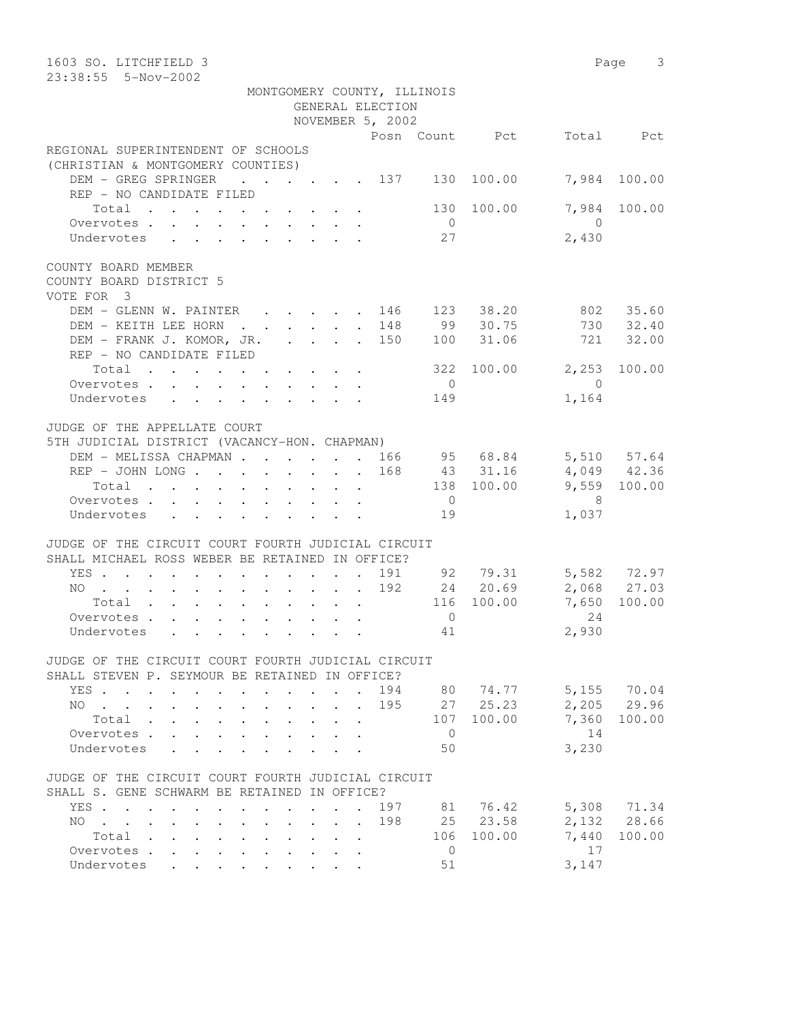| 1603 SO. LITCHFIELD 3<br>23:38:55  5-Nov-2002                                                         |                                                           |                                         |                  |                             |                |                            | Page 3                     |
|-------------------------------------------------------------------------------------------------------|-----------------------------------------------------------|-----------------------------------------|------------------|-----------------------------|----------------|----------------------------|----------------------------|
|                                                                                                       |                                                           |                                         | GENERAL ELECTION | MONTGOMERY COUNTY, ILLINOIS |                |                            |                            |
|                                                                                                       |                                                           |                                         | NOVEMBER 5, 2002 |                             |                |                            |                            |
| REGIONAL SUPERINTENDENT OF SCHOOLS                                                                    |                                                           |                                         |                  |                             | Posn Count Pct |                            | Total Pct                  |
| (CHRISTIAN & MONTGOMERY COUNTIES)                                                                     |                                                           |                                         |                  |                             |                |                            |                            |
| DEM - GREG SPRINGER<br>$\cdot$ 137 130 100.00<br>REP - NO CANDIDATE FILED                             |                                                           |                                         |                  |                             |                |                            | 7,984 100.00               |
| Total<br>Overvotes.                                                                                   |                                                           |                                         |                  | $\overline{0}$              | 130 100.00     | 7,984<br>$\overline{0}$    | 100.00                     |
| Undervotes                                                                                            |                                                           |                                         |                  | 27                          |                | 2,430                      |                            |
| COUNTY BOARD MEMBER<br>COUNTY BOARD DISTRICT 5<br>VOTE FOR 3                                          |                                                           |                                         |                  |                             |                |                            |                            |
| DEM - GLENN W. PAINTER 146                                                                            |                                                           |                                         |                  |                             | 123 38.20      |                            | 802 35.60                  |
| DEM - KEITH LEE HORN                                                                                  |                                                           |                                         | . 148            | 99                          | 30.75          |                            | 730 32.40                  |
| DEM - FRANK J. KOMOR, JR. 150<br>REP - NO CANDIDATE FILED                                             |                                                           |                                         |                  | 100                         | 31.06          |                            | 721 32.00                  |
| Total                                                                                                 |                                                           |                                         |                  | 322                         | 100.00         | 2,253                      | 100.00                     |
| Overvotes                                                                                             |                                                           |                                         |                  | $\overline{0}$              |                | $\bigcirc$                 |                            |
| Undervotes                                                                                            |                                                           |                                         |                  | 149                         |                | 1,164                      |                            |
| JUDGE OF THE APPELLATE COURT<br>5TH JUDICIAL DISTRICT (VACANCY-HON. CHAPMAN)                          |                                                           |                                         |                  |                             |                |                            |                            |
| DEM - MELISSA CHAPMAN 166 95 68.84                                                                    |                                                           |                                         |                  |                             |                |                            | 5,510 57.64                |
| REP - JOHN LONG 168                                                                                   |                                                           |                                         |                  |                             | 43 31.16       | $4,049$ $42.36$            |                            |
| Total                                                                                                 |                                                           |                                         |                  |                             | 138 100.00     |                            | 9,559 100.00               |
| Overvotes.                                                                                            |                                                           |                                         |                  | $\overline{0}$              |                | $\overline{\phantom{1}}^8$ |                            |
| Undervotes                                                                                            |                                                           |                                         |                  | 19                          |                | 1,037                      |                            |
| JUDGE OF THE CIRCUIT COURT FOURTH JUDICIAL CIRCUIT<br>SHALL MICHAEL ROSS WEBER BE RETAINED IN OFFICE? |                                                           |                                         |                  |                             |                |                            |                            |
| YES                                                                                                   |                                                           |                                         |                  |                             | 191 92 79.31   |                            |                            |
| NO                                                                                                    |                                                           |                                         | 192              |                             | 24 20.69       |                            | 5,582 72.97<br>2,068 27.03 |
| Total                                                                                                 |                                                           |                                         |                  |                             | 116 100.00     | 7,650                      | 100.00                     |
| Overvotes.                                                                                            |                                                           |                                         |                  | $\overline{0}$              |                | 2.4                        |                            |
| Undervotes                                                                                            |                                                           |                                         |                  | 41                          |                | 2,930                      |                            |
| JUDGE OF THE CIRCUIT COURT FOURTH JUDICIAL CIRCUIT<br>SHALL STEVEN P. SEYMOUR BE RETAINED IN OFFICE?  |                                                           |                                         |                  |                             |                |                            |                            |
| YES                                                                                                   |                                                           | $\sim$                                  |                  |                             | 194 80 74.77   |                            | 5,155 70.04                |
| NO                                                                                                    |                                                           |                                         | 195              |                             | 27 25.23       |                            | 2,205 29.96                |
| Total .<br>$\mathbf{r}$<br>$\mathbf{L}^{\text{max}}$<br>$\mathbf{L}^{\text{max}}$                     |                                                           |                                         |                  |                             | 107 100.00     |                            | 7,360 100.00               |
| Overvotes<br>$\mathcal{L}^{\text{max}}$                                                               |                                                           |                                         |                  | $\overline{0}$              |                | 14                         |                            |
| Undervotes<br>$\ddot{\phantom{a}}$                                                                    |                                                           |                                         |                  | 50                          |                | 3,230                      |                            |
| JUDGE OF THE CIRCUIT COURT FOURTH JUDICIAL CIRCUIT<br>SHALL S. GENE SCHWARM BE RETAINED IN OFFICE?    |                                                           |                                         |                  |                             |                |                            |                            |
| YES                                                                                                   |                                                           |                                         | 197              |                             | 81 76.42       |                            | 5,308 71.34                |
| $NO \t . \t . \t .$<br>$\sim$<br>$\ddot{\phantom{0}}$                                                 |                                                           | $\cdot$ $\cdot$ $\cdot$ $\cdot$ $\cdot$ | 198              |                             | 25 23.58       |                            | 2,132 28.66                |
| Total                                                                                                 |                                                           |                                         |                  |                             | 106 100.00     | 7,440                      | 100.00                     |
| Overvotes<br>$\ddot{\phantom{0}}$<br>$\mathbf{L}^{\text{max}}$<br>$\ddot{\phantom{0}}$<br>$\sim$      |                                                           |                                         |                  | $\overline{0}$              |                | 17                         |                            |
| Undervotes                                                                                            | $\mathbf{r}$ , $\mathbf{r}$ , $\mathbf{r}$ , $\mathbf{r}$ |                                         |                  | 51                          |                | 3,147                      |                            |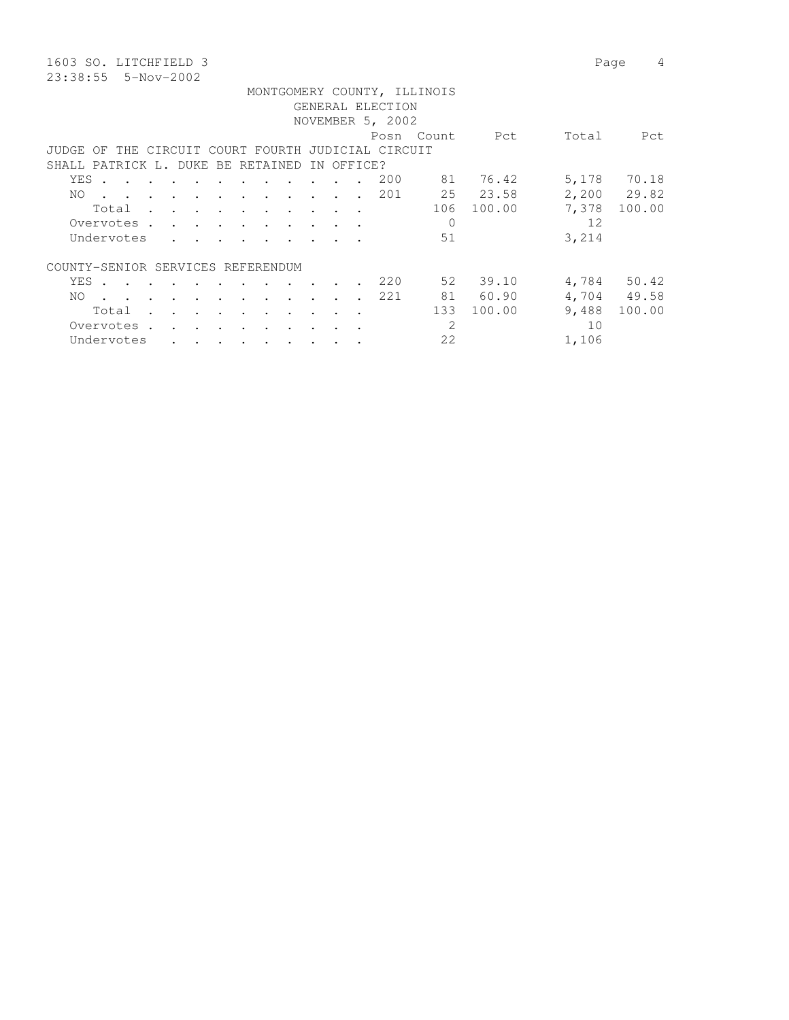1603 SO. LITCHFIELD 3 Page 4 23:38:55 5-Nov-2002

|     |                                                                                                                 |  |  |                                                                                                                                                                                                                                   |  |                                                                                                                 |  | GENERAL ELECTION<br>NOVEMBER 5, 2002 | MONTGOMERY COUNTY, ILLINOIS |            |       |             |
|-----|-----------------------------------------------------------------------------------------------------------------|--|--|-----------------------------------------------------------------------------------------------------------------------------------------------------------------------------------------------------------------------------------|--|-----------------------------------------------------------------------------------------------------------------|--|--------------------------------------|-----------------------------|------------|-------|-------------|
|     |                                                                                                                 |  |  |                                                                                                                                                                                                                                   |  |                                                                                                                 |  |                                      | Posn Count                  | Pct        | Total | Pct         |
|     | JUDGE OF THE CIRCUIT COURT FOURTH JUDICIAL CIRCUIT                                                              |  |  |                                                                                                                                                                                                                                   |  |                                                                                                                 |  |                                      |                             |            |       |             |
|     | SHALL PATRICK L. DUKE BE RETAINED IN OFFICE?                                                                    |  |  |                                                                                                                                                                                                                                   |  |                                                                                                                 |  |                                      |                             |            |       |             |
|     | YES .                                                                                                           |  |  | the contract of the contract of the contract of the contract of the contract of the contract of the contract of                                                                                                                   |  |                                                                                                                 |  | 200                                  |                             | 81 76.42   |       | 5,178 70.18 |
| NO. | the contract of the contract of the contract of the contract of the contract of the contract of the contract of |  |  |                                                                                                                                                                                                                                   |  |                                                                                                                 |  | 201                                  |                             | 25 23.58   |       | 2,200 29.82 |
|     | Total                                                                                                           |  |  |                                                                                                                                                                                                                                   |  |                                                                                                                 |  |                                      |                             | 106 100.00 | 7,378 | 100.00      |
|     | Overvotes                                                                                                       |  |  |                                                                                                                                                                                                                                   |  |                                                                                                                 |  |                                      | 0                           |            | 12    |             |
|     | Undervotes                                                                                                      |  |  |                                                                                                                                                                                                                                   |  |                                                                                                                 |  |                                      | 51                          |            | 3,214 |             |
|     | COUNTY-SENIOR SERVICES REFERENDUM                                                                               |  |  |                                                                                                                                                                                                                                   |  |                                                                                                                 |  |                                      |                             |            |       |             |
|     | YES .                                                                                                           |  |  | the contract of the contract of the con-                                                                                                                                                                                          |  |                                                                                                                 |  | 220                                  |                             | 52 39.10   |       | 4,784 50.42 |
| NO. | the contract of the contract of the contract of the contract of the contract of the contract of the contract of |  |  |                                                                                                                                                                                                                                   |  |                                                                                                                 |  | 221                                  |                             | 81 60.90   |       | 4,704 49.58 |
|     | Total                                                                                                           |  |  |                                                                                                                                                                                                                                   |  | the contract of the contract of the contract of the contract of the contract of the contract of the contract of |  |                                      | 133                         | 100.00     | 9,488 | 100.00      |
|     | Overvotes.                                                                                                      |  |  | $\mathbf{r}$ . The contract of the contract of the contract of the contract of the contract of the contract of the contract of the contract of the contract of the contract of the contract of the contract of the contract of th |  |                                                                                                                 |  |                                      | $\mathcal{L}$               |            | 10    |             |
|     | Undervotes                                                                                                      |  |  | $\cdot$ $\cdot$ $\cdot$ $\cdot$ $\cdot$ $\cdot$ $\cdot$                                                                                                                                                                           |  |                                                                                                                 |  |                                      | 22                          |            | 1,106 |             |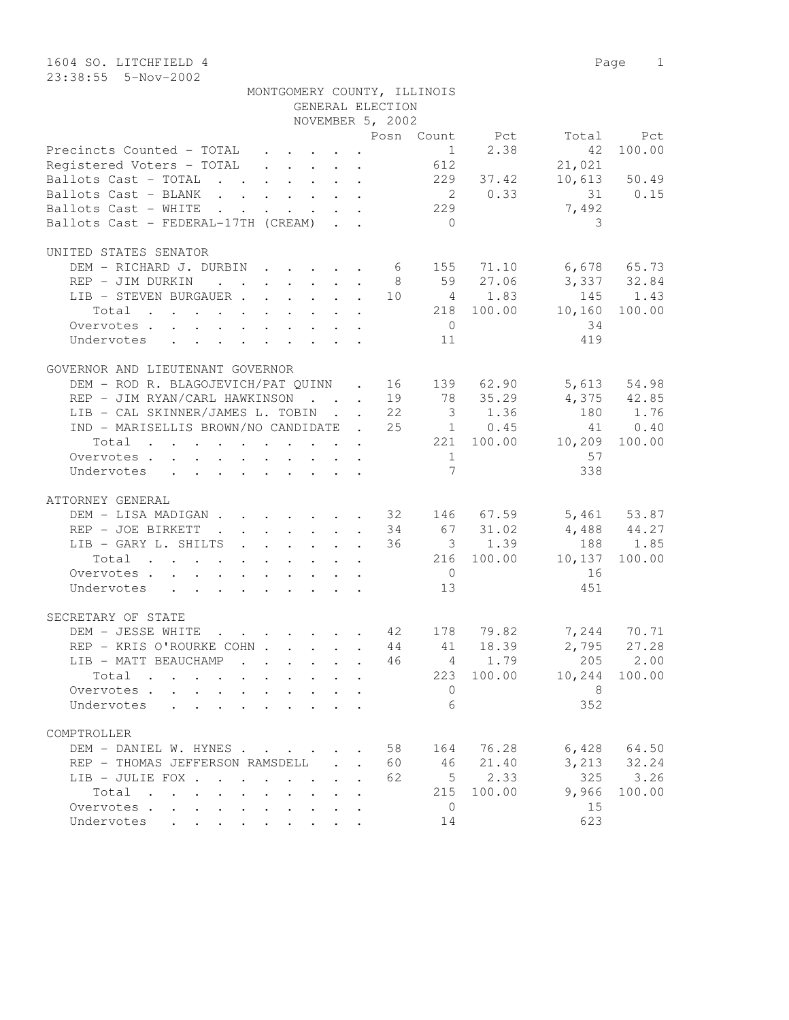|                                                                                                                                                                                                                                                       |                                            | MONTGOMERY COUNTY, ILLINOIS     |                 |            |                      |              |
|-------------------------------------------------------------------------------------------------------------------------------------------------------------------------------------------------------------------------------------------------------|--------------------------------------------|---------------------------------|-----------------|------------|----------------------|--------------|
|                                                                                                                                                                                                                                                       |                                            | GENERAL ELECTION                |                 |            |                      |              |
|                                                                                                                                                                                                                                                       |                                            | NOVEMBER 5, 2002                |                 |            |                      |              |
|                                                                                                                                                                                                                                                       |                                            |                                 |                 |            | Posn Count Pct Total | Pct          |
| Precincts Counted - TOTAL                                                                                                                                                                                                                             |                                            |                                 | 1               | 2.38       | 42                   | 100.00       |
| Registered Voters - TOTAL                                                                                                                                                                                                                             |                                            |                                 | 612             |            | 21,021               |              |
| Ballots Cast - TOTAL                                                                                                                                                                                                                                  |                                            |                                 | 229             | 37.42      |                      | 10,613 50.49 |
| Ballots Cast - BLANK                                                                                                                                                                                                                                  |                                            |                                 |                 | 2 0.33     |                      | 31 0.15      |
| Ballots Cast - WHITE<br>. The contract of the contract of the contract of the contract of the contract of the contract of the contract of the contract of the contract of the contract of the contract of the contract of the contract of the contrac |                                            |                                 | 229             |            | 7,492                |              |
| Ballots Cast - FEDERAL-17TH (CREAM)                                                                                                                                                                                                                   |                                            |                                 | $\bigcirc$      |            | 3                    |              |
|                                                                                                                                                                                                                                                       |                                            |                                 |                 |            |                      |              |
| UNITED STATES SENATOR                                                                                                                                                                                                                                 |                                            |                                 |                 |            |                      |              |
| DEM - RICHARD J. DURBIN 6 155 71.10                                                                                                                                                                                                                   |                                            |                                 |                 |            | 6,678 65.73          |              |
| REP - JIM DURKIN                                                                                                                                                                                                                                      |                                            | 8 <sup>8</sup>                  |                 | 59 27.06   | 3,337 32.84          |              |
| LIB - STEVEN BURGAUER 10                                                                                                                                                                                                                              |                                            |                                 |                 | 4 1.83     | 145                  | 1.43         |
| Total                                                                                                                                                                                                                                                 |                                            |                                 |                 | 218 100.00 | 10,160               | 100.00       |
| Overvotes.                                                                                                                                                                                                                                            |                                            |                                 | $\overline{0}$  |            | 34                   |              |
| Undervotes<br>$\mathbf{r}$ , and $\mathbf{r}$ , and $\mathbf{r}$ , and $\mathbf{r}$ , and $\mathbf{r}$                                                                                                                                                |                                            |                                 | 11              |            | 419                  |              |
|                                                                                                                                                                                                                                                       |                                            |                                 |                 |            |                      |              |
| GOVERNOR AND LIEUTENANT GOVERNOR                                                                                                                                                                                                                      |                                            |                                 |                 |            |                      |              |
| DEM - ROD R. BLAGOJEVICH/PAT QUINN . 16 139 62.90                                                                                                                                                                                                     |                                            |                                 |                 |            |                      | 5,613 54.98  |
| REP - JIM RYAN/CARL HAWKINSON 19                                                                                                                                                                                                                      |                                            |                                 |                 | 78 35.29   |                      | 4,375 42.85  |
| LIB - CAL SKINNER/JAMES L. TOBIN 22                                                                                                                                                                                                                   |                                            |                                 |                 | 3 1.36     | 180                  | 1.76         |
| IND - MARISELLIS BROWN/NO CANDIDATE . 25 1 0.45                                                                                                                                                                                                       |                                            |                                 |                 |            | 41                   | 0.40         |
| Total                                                                                                                                                                                                                                                 |                                            |                                 |                 | 221 100.00 | 10,209               | 100.00       |
| Overvotes                                                                                                                                                                                                                                             |                                            |                                 | 1               |            | 57                   |              |
| Undervotes<br>$\mathbf{r}$ , $\mathbf{r}$ , $\mathbf{r}$ , $\mathbf{r}$ , $\mathbf{r}$ , $\mathbf{r}$                                                                                                                                                 |                                            |                                 | $7\overline{ }$ |            | 338                  |              |
|                                                                                                                                                                                                                                                       |                                            |                                 |                 |            |                      |              |
| ATTORNEY GENERAL                                                                                                                                                                                                                                      |                                            |                                 |                 |            |                      |              |
| DEM - LISA MADIGAN 32 146 67.59 5,461 53.87                                                                                                                                                                                                           |                                            |                                 |                 |            |                      |              |
| REP - JOE BIRKETT<br>. 34                                                                                                                                                                                                                             |                                            |                                 |                 | 67 31.02   | $4,488$ $44.27$      |              |
| LIB - GARY L. SHILTS 36                                                                                                                                                                                                                               |                                            |                                 |                 | 3 1.39     | 188                  | 1.85         |
| Total                                                                                                                                                                                                                                                 |                                            |                                 |                 | 216 100.00 | 10,137               | 100.00       |
| Overvotes.                                                                                                                                                                                                                                            |                                            |                                 | $\overline{0}$  |            | 16                   |              |
| Undervotes                                                                                                                                                                                                                                            |                                            |                                 | 13              |            | 451                  |              |
|                                                                                                                                                                                                                                                       |                                            |                                 |                 |            |                      |              |
| SECRETARY OF STATE                                                                                                                                                                                                                                    |                                            |                                 |                 |            |                      |              |
| DEM - JESSE WHITE<br>. 42 178                                                                                                                                                                                                                         |                                            |                                 |                 | 79.82      |                      | 7,244 70.71  |
| REP - KRIS O'ROURKE COHN 44                                                                                                                                                                                                                           |                                            |                                 | 41              | 18.39      | 2,795                | 27.28        |
| LIB - MATT BEAUCHAMP                                                                                                                                                                                                                                  |                                            | 46                              | 4               | 1.79       | 205                  | 2.00         |
| Total                                                                                                                                                                                                                                                 |                                            |                                 |                 |            |                      |              |
|                                                                                                                                                                                                                                                       |                                            |                                 | 223             | 100.00     | 10,244               | 100.00       |
| Overvotes .                                                                                                                                                                                                                                           |                                            |                                 | 0               |            | 8                    |              |
| Undervotes                                                                                                                                                                                                                                            |                                            |                                 | 6               |            | 352                  |              |
| COMPTROLLER                                                                                                                                                                                                                                           |                                            |                                 |                 |            |                      |              |
|                                                                                                                                                                                                                                                       |                                            |                                 |                 |            |                      |              |
| DEM - DANIEL W. HYNES                                                                                                                                                                                                                                 |                                            | 58                              | 164             | 76.28      | 6,428                | 64.50        |
| REP - THOMAS JEFFERSON RAMSDELL                                                                                                                                                                                                                       |                                            | 60<br>$\mathbf{L} = \mathbf{L}$ | 46              | 21.40      | 3,213                | 32.24        |
| LIB - JULIE FOX .<br><b>Contract Contract Contract</b>                                                                                                                                                                                                | $\sim$ $\sim$<br>$\mathbf{L}^{\text{max}}$ | 62                              | 5               | 2.33       | 325                  | 3.26         |
| Total<br>$\sim$ $\sim$<br>$\mathbf{r}$ , $\mathbf{r}$ , $\mathbf{r}$ , $\mathbf{r}$<br>$\ddot{\phantom{a}}$                                                                                                                                           |                                            |                                 | 215             | 100.00     | 9,966                | 100.00       |
| Overvotes<br>$\ddot{\phantom{a}}$                                                                                                                                                                                                                     |                                            |                                 | 0               |            | 15                   |              |
| Undervotes<br>$\mathbf{r}$ , $\mathbf{r}$ , $\mathbf{r}$                                                                                                                                                                                              |                                            |                                 | 14              |            | 623                  |              |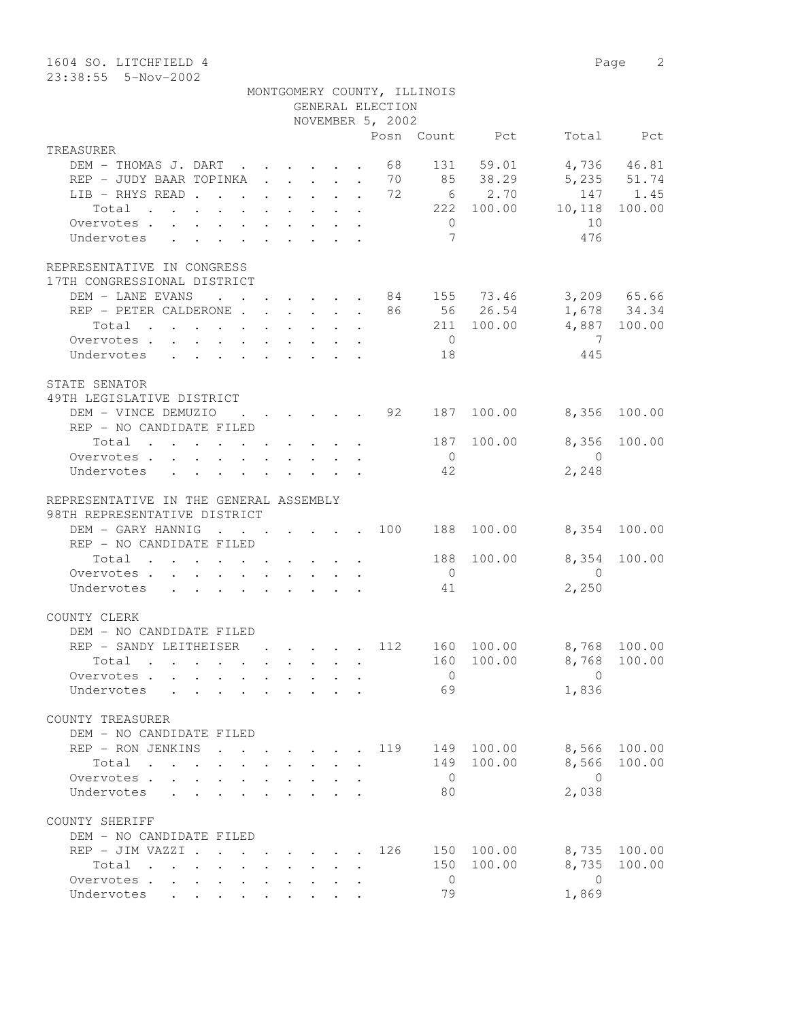| 1604 SO. LITCHFIELD 4<br>23:38:55 5-Nov-2002                                                      |                                                                          |                                                           |                                                           |  |                                                 |                |                |                | Page 2       |
|---------------------------------------------------------------------------------------------------|--------------------------------------------------------------------------|-----------------------------------------------------------|-----------------------------------------------------------|--|-------------------------------------------------|----------------|----------------|----------------|--------------|
|                                                                                                   |                                                                          |                                                           |                                                           |  | MONTGOMERY COUNTY, ILLINOIS<br>GENERAL ELECTION |                |                |                |              |
|                                                                                                   |                                                                          |                                                           |                                                           |  | NOVEMBER 5, 2002                                |                |                |                |              |
|                                                                                                   |                                                                          |                                                           |                                                           |  |                                                 |                | Posn Count Pct |                | Total Pct    |
| TREASURER                                                                                         |                                                                          |                                                           |                                                           |  |                                                 |                |                |                |              |
| DEM - THOMAS J. DART                                                                              | $\mathbf{r}$ , $\mathbf{r}$ , $\mathbf{r}$ , $\mathbf{r}$ , $\mathbf{r}$ |                                                           |                                                           |  | 68                                              | 131            | 59.01          |                | 4,736 46.81  |
| REP - JUDY BAAR TOPINKA                                                                           |                                                                          | $\mathbf{r}$ , $\mathbf{r}$ , $\mathbf{r}$ , $\mathbf{r}$ |                                                           |  | 70                                              |                | 85 38.29       |                | 5,235 51.74  |
| LIB - RHYS READ                                                                                   |                                                                          |                                                           |                                                           |  | 72                                              |                | 6 2.70         |                | 147 1.45     |
| Total<br>$\mathbf{r}$ , and $\mathbf{r}$ , and $\mathbf{r}$ , and $\mathbf{r}$ , and $\mathbf{r}$ |                                                                          |                                                           |                                                           |  |                                                 |                | 222 100.00     | 10,118         | 100.00       |
| Overvotes                                                                                         |                                                                          |                                                           |                                                           |  |                                                 | $\overline{0}$ |                | 10             |              |
| Undervotes                                                                                        |                                                                          |                                                           |                                                           |  |                                                 | 7              |                | 476            |              |
| REPRESENTATIVE IN CONGRESS<br>17TH CONGRESSIONAL DISTRICT<br>DEM - LANE EVANS                     | $\ddot{\phantom{a}}$                                                     |                                                           |                                                           |  |                                                 |                | 84 155 73.46   |                | 3,209 65.66  |
| REP - PETER CALDERONE                                                                             |                                                                          |                                                           |                                                           |  | 86                                              |                | 56 26.54       |                | 1,678 34.34  |
| Total                                                                                             |                                                                          |                                                           |                                                           |  |                                                 |                | 211 100.00     |                | 4,887 100.00 |
| Overvotes.                                                                                        |                                                                          |                                                           |                                                           |  |                                                 | $\overline{0}$ |                | 7              |              |
| Undervotes                                                                                        |                                                                          |                                                           |                                                           |  |                                                 | 18             |                | 445            |              |
|                                                                                                   |                                                                          |                                                           |                                                           |  |                                                 |                |                |                |              |
| STATE SENATOR                                                                                     |                                                                          |                                                           |                                                           |  |                                                 |                |                |                |              |
| 49TH LEGISLATIVE DISTRICT                                                                         |                                                                          |                                                           |                                                           |  |                                                 |                |                |                |              |
| DEM - VINCE DEMUZIO                                                                               |                                                                          | $\mathbf{r} = \mathbf{r}$ and $\mathbf{r} = \mathbf{r}$   |                                                           |  | 92                                              | 187            | 100.00         | 8,356          | 100.00       |
| REP - NO CANDIDATE FILED                                                                          |                                                                          |                                                           |                                                           |  |                                                 |                |                |                |              |
| Total                                                                                             |                                                                          |                                                           |                                                           |  |                                                 | 187            | 100.00         | 8,356          | 100.00       |
| Overvotes.                                                                                        |                                                                          |                                                           |                                                           |  |                                                 | $\overline{0}$ |                | $\bigcirc$     |              |
| Undervotes                                                                                        |                                                                          |                                                           |                                                           |  |                                                 | 42             |                | 2,248          |              |
| REPRESENTATIVE IN THE GENERAL ASSEMBLY                                                            |                                                                          |                                                           |                                                           |  |                                                 |                |                |                |              |
| 98TH REPRESENTATIVE DISTRICT                                                                      |                                                                          |                                                           |                                                           |  |                                                 |                |                |                |              |
| DEM - GARY HANNIG                                                                                 | $\cdot$ $\cdot$ $\cdot$ $\cdot$ $\cdot$ $\cdot$ $\cdot$ $\cdot$          |                                                           |                                                           |  | 100                                             |                | 188 100.00     |                | 8,354 100.00 |
| REP - NO CANDIDATE FILED                                                                          |                                                                          |                                                           |                                                           |  |                                                 |                |                |                |              |
| Total                                                                                             |                                                                          |                                                           |                                                           |  |                                                 |                | 188 100.00     | 8,354          | 100.00       |
| Overvotes.                                                                                        |                                                                          |                                                           |                                                           |  |                                                 | $\overline{0}$ |                | $\bigcirc$     |              |
| Undervotes                                                                                        |                                                                          |                                                           |                                                           |  |                                                 | 41             |                | 2,250          |              |
|                                                                                                   |                                                                          |                                                           |                                                           |  |                                                 |                |                |                |              |
| COUNTY CLERK                                                                                      |                                                                          |                                                           |                                                           |  |                                                 |                |                |                |              |
| DEM - NO CANDIDATE FILED                                                                          |                                                                          |                                                           |                                                           |  |                                                 |                |                |                |              |
| REP - SANDY LEITHEISER                                                                            |                                                                          |                                                           |                                                           |  | 112                                             |                | 160 100.00     |                | 8,768 100.00 |
| Total                                                                                             |                                                                          | $\ddot{\phantom{a}}$ . $\ddot{\phantom{a}}$               |                                                           |  |                                                 |                | 160 100.00     | 8,768          | 100.00       |
| Overvotes                                                                                         |                                                                          |                                                           | $\mathbf{L}$                                              |  |                                                 | $\overline{0}$ |                | $\overline{0}$ |              |
| Undervotes<br>$\sim$                                                                              |                                                                          |                                                           |                                                           |  |                                                 | 69             |                | 1,836          |              |
| COUNTY TREASURER                                                                                  |                                                                          |                                                           |                                                           |  |                                                 |                |                |                |              |
| DEM - NO CANDIDATE FILED                                                                          |                                                                          |                                                           |                                                           |  |                                                 |                |                |                |              |
| REP - RON JENKINS                                                                                 |                                                                          |                                                           |                                                           |  | 119                                             | 149            | 100.00         | 8,566          | 100.00       |
| $\sim$ $\sim$<br>Total                                                                            |                                                                          |                                                           |                                                           |  |                                                 | 149            | 100.00         | 8,566          | 100.00       |
| Overvotes                                                                                         |                                                                          |                                                           |                                                           |  |                                                 | $\overline{0}$ |                | $\overline{0}$ |              |
| Undervotes<br>$\sim$                                                                              |                                                                          |                                                           |                                                           |  |                                                 | 80             |                | 2,038          |              |
|                                                                                                   |                                                                          |                                                           |                                                           |  |                                                 |                |                |                |              |
| COUNTY SHERIFF                                                                                    |                                                                          |                                                           |                                                           |  |                                                 |                |                |                |              |
| DEM - NO CANDIDATE FILED                                                                          |                                                                          |                                                           |                                                           |  |                                                 |                |                |                |              |
| REP - JIM VAZZI                                                                                   |                                                                          |                                                           |                                                           |  | 126                                             |                | 150 100.00     | 8,735          | 100.00       |
| Total<br>$\mathbf{r}$ , $\mathbf{r}$ , $\mathbf{r}$ , $\mathbf{r}$ , $\mathbf{r}$                 |                                                                          | $\mathbf{L}^{\text{max}}$                                 | $\mathbf{r}$ , $\mathbf{r}$ , $\mathbf{r}$ , $\mathbf{r}$ |  |                                                 | 150            | 100.00         | 8,735          | 100.00       |
| Overvotes                                                                                         |                                                                          |                                                           |                                                           |  |                                                 | $\overline{0}$ |                | $\mathbf{0}$   |              |
| Undervotes<br>$\mathbf{L}$                                                                        | $\bullet$ .<br><br><br><br><br><br><br><br><br><br><br><br>              |                                                           |                                                           |  |                                                 | 79             |                | 1,869          |              |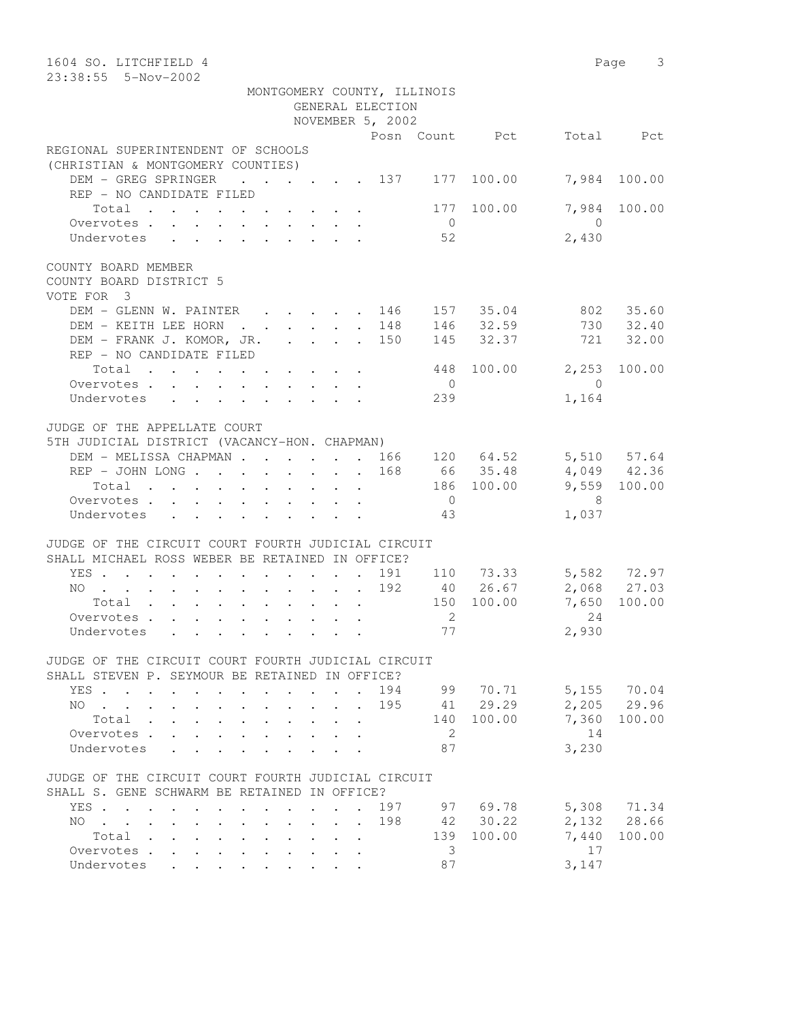| 1604 SO. LITCHFIELD 4<br>23:38:55  5-Nov-2002                                                                                                                                                                                                   |                                     |                                       | Page 3                     |
|-------------------------------------------------------------------------------------------------------------------------------------------------------------------------------------------------------------------------------------------------|-------------------------------------|---------------------------------------|----------------------------|
| MONTGOMERY COUNTY, ILLINOIS                                                                                                                                                                                                                     |                                     |                                       |                            |
|                                                                                                                                                                                                                                                 | GENERAL ELECTION                    |                                       |                            |
|                                                                                                                                                                                                                                                 | NOVEMBER 5, 2002                    |                                       |                            |
| REGIONAL SUPERINTENDENT OF SCHOOLS                                                                                                                                                                                                              | Posn Count Pct                      |                                       | Total Pct                  |
| (CHRISTIAN & MONTGOMERY COUNTIES)                                                                                                                                                                                                               |                                     |                                       |                            |
| DEM - GREG SPRINGER<br>$\cdot$ 137 177 100.00<br>REP - NO CANDIDATE FILED                                                                                                                                                                       |                                     |                                       | 7,984 100.00               |
| Total<br>Overvotes.                                                                                                                                                                                                                             | $\overline{0}$                      | 7,984<br>177 100.00<br>$\overline{0}$ | 100.00                     |
| Undervotes                                                                                                                                                                                                                                      | 52                                  | 2,430                                 |                            |
| COUNTY BOARD MEMBER<br>COUNTY BOARD DISTRICT 5<br>VOTE FOR 3                                                                                                                                                                                    |                                     |                                       |                            |
| DEM - GLENN W. PAINTER 146                                                                                                                                                                                                                      |                                     | 157 35.04                             | 802 35.60                  |
| DEM - KEITH LEE HORN                                                                                                                                                                                                                            | . 148                               | $146$ $32.59$                         | 730 32.40                  |
| DEM - FRANK J. KOMOR, JR. 150<br>REP - NO CANDIDATE FILED                                                                                                                                                                                       |                                     | 145 32.37                             | 721 32.00                  |
| Total                                                                                                                                                                                                                                           | 448                                 | 100.00<br>2,253                       | 100.00                     |
| Overvotes.                                                                                                                                                                                                                                      | $\overline{0}$                      | $\overline{0}$                        |                            |
| Undervotes                                                                                                                                                                                                                                      | 239                                 | 1,164                                 |                            |
|                                                                                                                                                                                                                                                 |                                     |                                       |                            |
| JUDGE OF THE APPELLATE COURT<br>5TH JUDICIAL DISTRICT (VACANCY-HON. CHAPMAN)                                                                                                                                                                    |                                     |                                       |                            |
| DEM - MELISSA CHAPMAN 166 120 64.52                                                                                                                                                                                                             |                                     |                                       | 5,510 57.64                |
| REP - JOHN LONG                                                                                                                                                                                                                                 | 168                                 | 66 35.48                              | $4,049$ $42.36$            |
| Total                                                                                                                                                                                                                                           |                                     | 186 100.00                            | 9,559 100.00               |
| Overvotes.                                                                                                                                                                                                                                      | $\overline{0}$                      | $\overline{\phantom{1}}$ 8            |                            |
| Undervotes                                                                                                                                                                                                                                      | 43                                  | 1,037                                 |                            |
|                                                                                                                                                                                                                                                 |                                     |                                       |                            |
| JUDGE OF THE CIRCUIT COURT FOURTH JUDICIAL CIRCUIT<br>SHALL MICHAEL ROSS WEBER BE RETAINED IN OFFICE?                                                                                                                                           |                                     |                                       |                            |
| YES                                                                                                                                                                                                                                             | 191 110 73.33                       |                                       | 5,582 72.97<br>2,068 27.03 |
| NO<br>$\mathcal{A}^{\mathcal{A}}$ . The contribution of the contribution of the contribution of the contribution of the contribution of the contribution of the contribution of the contribution of the contribution of the contribution of the | 192                                 | 40 26.67                              |                            |
| Total                                                                                                                                                                                                                                           |                                     | 150 100.00<br>7,650                   | 100.00                     |
| Overvotes.                                                                                                                                                                                                                                      | 2                                   | 24                                    |                            |
| Undervotes                                                                                                                                                                                                                                      |                                     | 2,930<br>77 — 20                      |                            |
| JUDGE OF THE CIRCUIT COURT FOURTH JUDICIAL CIRCUIT                                                                                                                                                                                              |                                     |                                       |                            |
| SHALL STEVEN P. SEYMOUR BE RETAINED IN OFFICE?                                                                                                                                                                                                  |                                     |                                       |                            |
| YES<br>NO                                                                                                                                                                                                                                       | 194 99 70.71<br>$\mathbf{r}$<br>195 | 41 29.29                              | 5,155 70.04<br>2,205 29.96 |
| Total .<br>$\sim$<br>$\mathbf{L}^{\text{max}}$<br>$\mathcal{L}^{\text{max}}$                                                                                                                                                                    |                                     | 140 100.00                            | 7,360 100.00               |
| Overvotes<br>$\mathcal{L}^{\text{max}}$                                                                                                                                                                                                         | 2                                   | 14                                    |                            |
| Undervotes<br>$\ddot{\phantom{a}}$                                                                                                                                                                                                              | 87                                  | 3,230                                 |                            |
| JUDGE OF THE CIRCUIT COURT FOURTH JUDICIAL CIRCUIT                                                                                                                                                                                              |                                     |                                       |                            |
| SHALL S. GENE SCHWARM BE RETAINED IN OFFICE?                                                                                                                                                                                                    |                                     |                                       |                            |
| YES                                                                                                                                                                                                                                             | 197                                 | 97 69.78                              | 5,308 71.34                |
| $NO \t . \t . \t .$<br>$\cdot$ $\cdot$ $\cdot$ $\cdot$ $\cdot$<br>$\bullet$ .<br>$\ddot{\phantom{0}}$                                                                                                                                           | 198                                 | 42 30.22                              | 2,132 28.66                |
| Total                                                                                                                                                                                                                                           |                                     | 139 100.00<br>7,440                   | 100.00                     |
| Overvotes<br>$\ddot{\phantom{0}}$<br>$\mathbf{L}^{\text{max}}$<br>$\ddot{\phantom{0}}$<br>Undervotes<br>$\mathbf{L} = \mathbf{L} \mathbf{L}$<br><b>Service</b> State                                                                            | 3<br>87                             | 17<br>3,147                           |                            |
|                                                                                                                                                                                                                                                 |                                     |                                       |                            |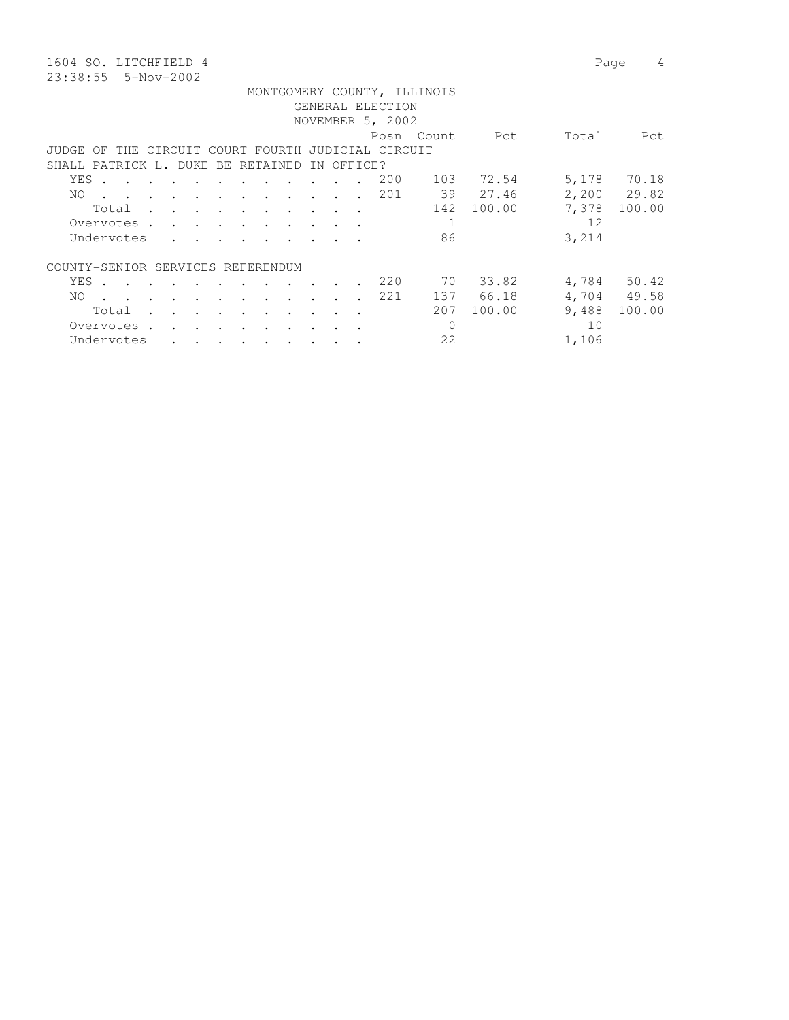1604 SO. LITCHFIELD 4 Page 4 23:38:55 5-Nov-2002

|       |                                                                                                                 |                                     |          |                                                                                 |                      |        |                                                                                                                                                                                                                                      |    |        |                          |                                                    | MONTGOMERY COUNTY, ILLINOIS |            |       |             |
|-------|-----------------------------------------------------------------------------------------------------------------|-------------------------------------|----------|---------------------------------------------------------------------------------|----------------------|--------|--------------------------------------------------------------------------------------------------------------------------------------------------------------------------------------------------------------------------------------|----|--------|--------------------------|----------------------------------------------------|-----------------------------|------------|-------|-------------|
|       |                                                                                                                 |                                     |          |                                                                                 |                      |        |                                                                                                                                                                                                                                      |    |        |                          | GENERAL ELECTION                                   |                             |            |       |             |
|       |                                                                                                                 |                                     |          |                                                                                 |                      |        |                                                                                                                                                                                                                                      |    |        |                          | NOVEMBER 5, 2002                                   |                             |            |       |             |
|       |                                                                                                                 |                                     |          |                                                                                 |                      |        |                                                                                                                                                                                                                                      |    |        |                          |                                                    | Posn Count                  | Pct        | Total | Pct         |
|       |                                                                                                                 |                                     |          |                                                                                 |                      |        |                                                                                                                                                                                                                                      |    |        |                          | JUDGE OF THE CIRCUIT COURT FOURTH JUDICIAL CIRCUIT |                             |            |       |             |
|       | SHALL PATRICK L. DUKE BE RETAINED                                                                               |                                     |          |                                                                                 |                      |        |                                                                                                                                                                                                                                      | ΙN |        | OFFICE?                  |                                                    |                             |            |       |             |
| YES . |                                                                                                                 | and the contract of the contract of |          | $\mathcal{L}(\mathbf{r},\mathbf{r})$ , and $\mathcal{L}(\mathbf{r},\mathbf{r})$ |                      |        |                                                                                                                                                                                                                                      |    |        |                          | 200                                                |                             | 103 72.54  |       | 5,178 70.18 |
| NO.   | the contract of the contract of the contract of the contract of the contract of the contract of the contract of |                                     |          |                                                                                 |                      |        |                                                                                                                                                                                                                                      |    |        |                          | 201                                                |                             | 39 27.46   |       | 2,200 29.82 |
|       | Total                                                                                                           |                                     |          |                                                                                 |                      |        |                                                                                                                                                                                                                                      |    |        |                          |                                                    |                             | 142 100.00 | 7,378 | 100.00      |
|       |                                                                                                                 |                                     |          |                                                                                 |                      |        | the contract of the contract of the contract of the contract of the contract of the contract of the contract of                                                                                                                      |    |        |                          |                                                    |                             |            |       |             |
|       | Overvotes.                                                                                                      |                                     |          |                                                                                 |                      |        |                                                                                                                                                                                                                                      |    |        |                          |                                                    |                             |            | 12    |             |
|       | Undervotes                                                                                                      |                                     |          |                                                                                 |                      |        | <u>in the contract of the contract of the contract of the contract of the contract of the contract of the contract of the contract of the contract of the contract of the contract of the contract of the contract of the contra</u> |    |        |                          |                                                    | 86                          |            | 3,214 |             |
|       | COUNTY-SENIOR SERVICES REFERENDUM                                                                               |                                     |          |                                                                                 |                      |        |                                                                                                                                                                                                                                      |    |        |                          |                                                    |                             |            |       |             |
|       | YES.                                                                                                            |                                     |          |                                                                                 |                      |        |                                                                                                                                                                                                                                      |    |        |                          | 220                                                |                             | 70 33.82   |       | 4,784 50.42 |
|       |                                                                                                                 |                                     |          |                                                                                 |                      |        | $\sim$                                                                                                                                                                                                                               |    |        | $\cdot$ $\cdot$          |                                                    |                             |            |       |             |
| NO.   | the contract of the contract of the contract of the contract of the contract of the contract of the contract of |                                     |          |                                                                                 |                      |        |                                                                                                                                                                                                                                      |    |        |                          | 221                                                |                             | 137 66.18  |       | 4,704 49.58 |
|       | Total                                                                                                           |                                     |          |                                                                                 |                      |        | the contract of the contract of the contract of the contract of the contract of the contract of the contract of                                                                                                                      |    |        |                          |                                                    | 207                         | 100.00     | 9,488 | 100.00      |
|       | Overvotes.                                                                                                      |                                     | $\cdots$ |                                                                                 | $\ddot{\phantom{a}}$ | $\sim$ |                                                                                                                                                                                                                                      |    | $\sim$ | $\overline{\phantom{a}}$ |                                                    | 0                           |            | 10    |             |
|       | Undervotes                                                                                                      |                                     |          |                                                                                 |                      |        |                                                                                                                                                                                                                                      |    |        |                          |                                                    | 22                          |            | 1,106 |             |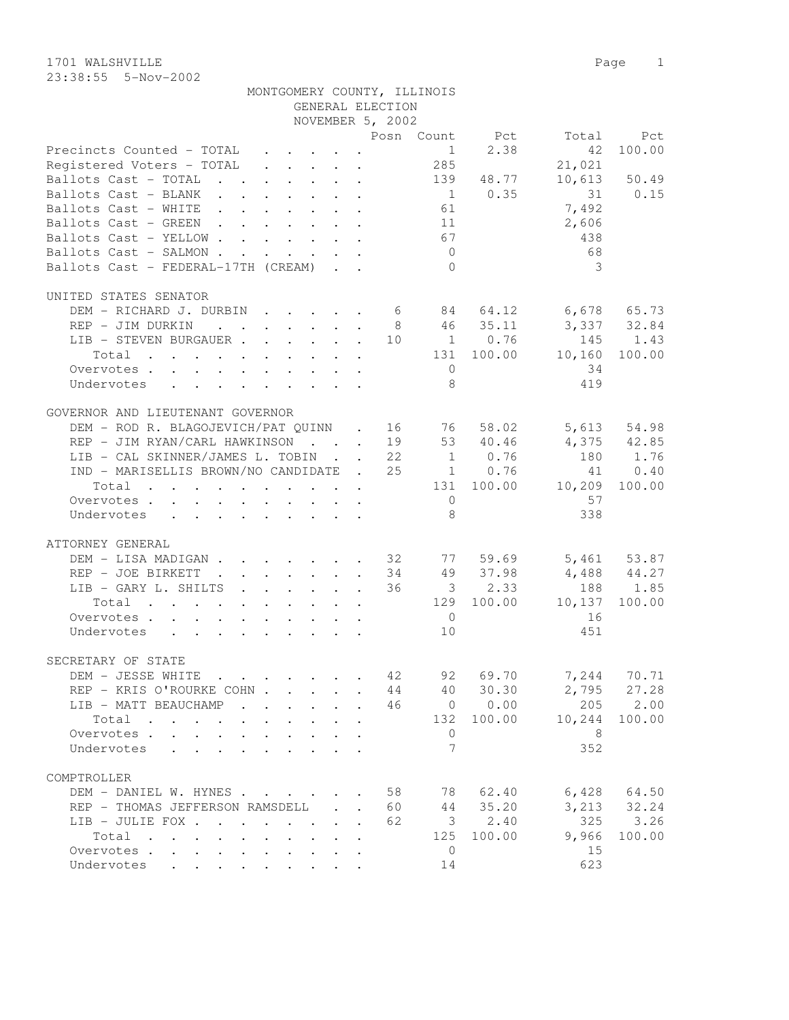| MONTGOMERY COUNTY, ILLINOIS                                                             |                                         |    |                         |                |                 |              |
|-----------------------------------------------------------------------------------------|-----------------------------------------|----|-------------------------|----------------|-----------------|--------------|
|                                                                                         | GENERAL ELECTION                        |    |                         |                |                 |              |
|                                                                                         | NOVEMBER 5, 2002                        |    |                         |                |                 |              |
|                                                                                         |                                         |    |                         | Posn Count Pct | Total           | Pct          |
| Precincts Counted - TOTAL                                                               |                                         |    | 1                       | 2.38           | 42              | 100.00       |
| Registered Voters - TOTAL                                                               |                                         |    | 285                     |                | 21,021          |              |
| Ballots Cast - TOTAL 139 48.77                                                          |                                         |    |                         |                |                 | 10,613 50.49 |
| Ballots Cast - BLANK                                                                    |                                         |    |                         | $1 \t 0.35$    | 31              | 0.15         |
| Ballots Cast - WHITE                                                                    |                                         |    | 61                      |                | 7,492           |              |
| Ballots Cast - GREEN                                                                    |                                         |    | 11                      |                | 2,606           |              |
| Ballots Cast - YELLOW                                                                   |                                         |    | 67                      |                | 438             |              |
| Ballots Cast - SALMON                                                                   | $\cdot$ $\cdot$ $\cdot$ $\cdot$ $\cdot$ |    | $\overline{0}$          |                | 68              |              |
| Ballots Cast - FEDERAL-17TH (CREAM)                                                     |                                         |    | $\bigcirc$              |                | 3               |              |
|                                                                                         |                                         |    |                         |                |                 |              |
| UNITED STATES SENATOR                                                                   |                                         |    |                         |                |                 |              |
| DEM - RICHARD J. DURBIN 6 84 64.12 6,678 65.73                                          |                                         |    |                         |                |                 |              |
| REP - JIM DURKIN                                                                        |                                         |    |                         | 8 46 35.11     | 3,337 32.84     |              |
| LIB - STEVEN BURGAUER 10 1 0.76                                                         |                                         |    |                         |                | 145             | 1.43         |
| Total                                                                                   |                                         |    |                         | 131 100.00     | 10,160          | 100.00       |
| Overvotes.                                                                              |                                         |    | $\overline{0}$          |                | 34              |              |
| Undervotes                                                                              |                                         |    | 8                       |                | 419             |              |
| $\mathbf{r}$ , $\mathbf{r}$ , $\mathbf{r}$ , $\mathbf{r}$ , $\mathbf{r}$ , $\mathbf{r}$ |                                         |    |                         |                |                 |              |
|                                                                                         |                                         |    |                         |                |                 |              |
| GOVERNOR AND LIEUTENANT GOVERNOR                                                        |                                         |    |                         |                |                 |              |
| DEM - ROD R. BLAGOJEVICH/PAT QUINN . 16 76 58.02                                        |                                         |    |                         |                |                 | 5,613 54.98  |
| REP - JIM RYAN/CARL HAWKINSON 19                                                        |                                         |    |                         | 53 40.46       |                 | 4,375 42.85  |
| LIB - CAL SKINNER/JAMES L. TOBIN 22                                                     |                                         |    |                         | $1 \t 0.76$    | 180             | 1.76         |
| IND - MARISELLIS BROWN/NO CANDIDATE . 25                                                |                                         |    |                         | 1 0.76         | 41              | 0.40         |
| Total                                                                                   |                                         |    |                         | 131 100.00     | 10,209          | 100.00       |
| Overvotes                                                                               |                                         |    | $\overline{0}$          |                | 57              |              |
| Undervotes                                                                              |                                         |    | 8                       |                | 338             |              |
|                                                                                         |                                         |    |                         |                |                 |              |
| ATTORNEY GENERAL                                                                        |                                         |    |                         |                |                 |              |
| DEM - LISA MADIGAN 32 77 59.69                                                          |                                         |    |                         |                |                 | 5,461 53.87  |
| REP - JOE BIRKETT<br>$\cdot$ 34                                                         |                                         |    |                         | 49 37.98       | $4,488$ $44.27$ |              |
| LIB - GARY L. SHILTS 36                                                                 |                                         |    |                         | $3 \t 2.33$    |                 | 188 1.85     |
| Total                                                                                   |                                         |    |                         | 129 100.00     | 10,137          | 100.00       |
| Overvotes                                                                               |                                         |    | $\overline{0}$          |                | 16              |              |
| Undervotes                                                                              |                                         |    | 10                      |                | 451             |              |
|                                                                                         |                                         |    |                         |                |                 |              |
| SECRETARY OF STATE                                                                      |                                         |    |                         |                |                 |              |
| DEM - JESSE WHITE                                                                       |                                         | 42 | 92                      | 69.70          | 7,244           | 70.71        |
| REP - KRIS O'ROURKE COHN                                                                |                                         | 44 |                         | 40 30.30       | 2,795           | 27.28        |
| LIB - MATT BEAUCHAMP                                                                    | $\ddot{\phantom{a}}$                    | 46 |                         | 0 0.00         | 205             | 2.00         |
| Total<br>the contract of the contract of the contract of                                |                                         |    | 132                     | 100.00         | 10,244          | 100.00       |
| Overvotes.                                                                              |                                         |    | $\circ$                 |                | - 8             |              |
|                                                                                         |                                         |    | 7                       |                |                 |              |
| Undervotes                                                                              |                                         |    |                         |                | 352             |              |
|                                                                                         |                                         |    |                         |                |                 |              |
| COMPTROLLER                                                                             |                                         |    |                         |                |                 |              |
| DEM - DANIEL W. HYNES                                                                   |                                         | 58 | 78                      | 62.40          | 6,428           | 64.50        |
| REP - THOMAS JEFFERSON RAMSDELL                                                         |                                         | 60 | 44                      | 35.20          | 3,213           | 32.24        |
| LIB - JULIE FOX                                                                         |                                         | 62 | $\overline{\mathbf{3}}$ | 2.40           | 325             | 3.26         |
| Total                                                                                   |                                         |    | 125                     | 100.00         | 9,966           | 100.00       |
| Overvotes                                                                               |                                         |    | $\overline{0}$          |                | 15              |              |
| Undervotes                                                                              |                                         |    | 14                      |                | 623             |              |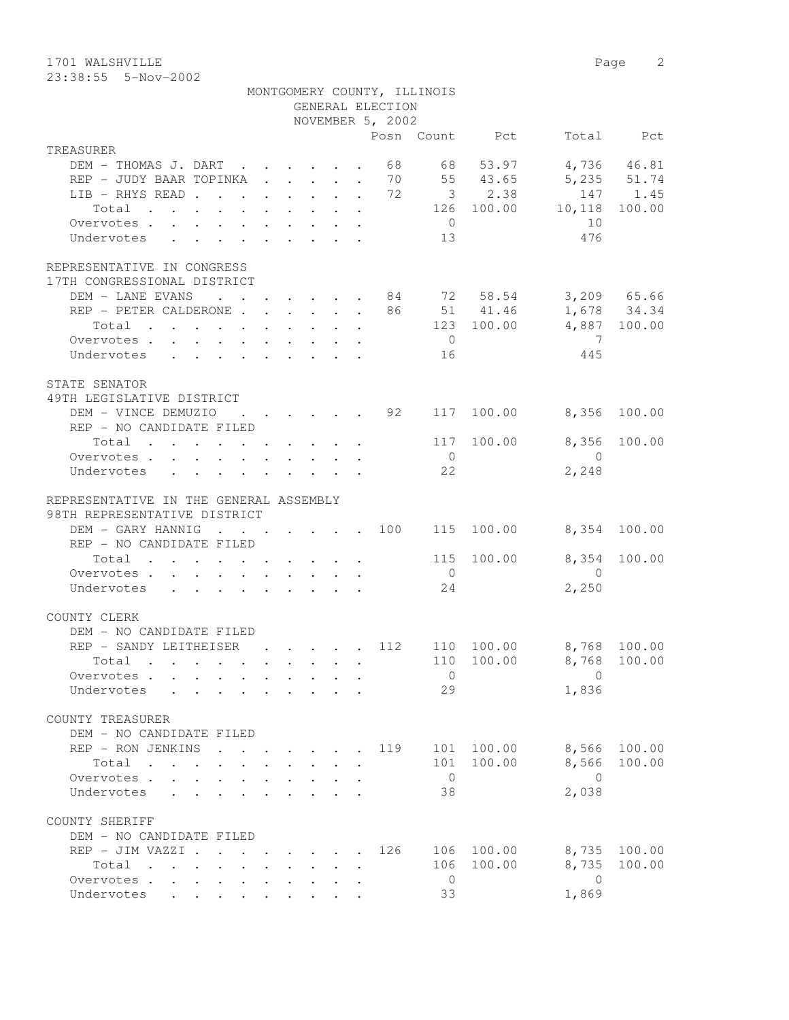1701 WALSHVILLE 2 23:38:55 5-Nov-2002

|                                                                                                               |                                                                          |  | GENERAL ELECTION                            | MONTGOMERY COUNTY, ILLINOIS |                      |                         |                  |
|---------------------------------------------------------------------------------------------------------------|--------------------------------------------------------------------------|--|---------------------------------------------|-----------------------------|----------------------|-------------------------|------------------|
|                                                                                                               |                                                                          |  | NOVEMBER 5, 2002                            |                             |                      |                         |                  |
| TREASURER                                                                                                     |                                                                          |  |                                             |                             | Posn Count Pct       |                         | Total Pct        |
| DEM - THOMAS J. DART                                                                                          |                                                                          |  | 68                                          |                             | 68 53.97             |                         | 4,736 46.81      |
| REP - JUDY BAAR TOPINKA 70 55 43.65                                                                           |                                                                          |  |                                             |                             |                      |                         | 5,235 51.74      |
| LIB - RHYS READ 72 3 2.38                                                                                     |                                                                          |  |                                             |                             |                      |                         | 147 1.45         |
| Total                                                                                                         |                                                                          |  |                                             |                             | 126 100.00           | 10,118                  | 100.00           |
| Overvotes.                                                                                                    |                                                                          |  |                                             | $\overline{0}$              |                      | 10                      |                  |
| Undervotes                                                                                                    |                                                                          |  |                                             | 13                          |                      | 476                     |                  |
| REPRESENTATIVE IN CONGRESS                                                                                    |                                                                          |  |                                             |                             |                      |                         |                  |
| 17TH CONGRESSIONAL DISTRICT                                                                                   |                                                                          |  |                                             |                             |                      |                         |                  |
| DEM - LANE EVANS 84 72 58.54 3,209 65.66                                                                      |                                                                          |  |                                             |                             |                      |                         |                  |
| REP - PETER CALDERONE 86 51 41.46                                                                             |                                                                          |  |                                             |                             |                      |                         | 1,678 34.34      |
| Total<br>$\mathbf{r}$ , and $\mathbf{r}$ , and $\mathbf{r}$ , and $\mathbf{r}$ , and $\mathbf{r}$             |                                                                          |  |                                             |                             | 123 100.00           |                         | 4,887 100.00     |
| Overvotes                                                                                                     |                                                                          |  |                                             | $\overline{0}$              |                      | $\overline{7}$          |                  |
| Undervotes                                                                                                    |                                                                          |  |                                             | 16                          |                      | 445                     |                  |
| STATE SENATOR                                                                                                 |                                                                          |  |                                             |                             |                      |                         |                  |
| 49TH LEGISLATIVE DISTRICT                                                                                     |                                                                          |  | .92                                         |                             |                      |                         |                  |
| DEM - VINCE DEMUZIO<br>REP - NO CANDIDATE FILED                                                               | $\mathbf{r}$ , $\mathbf{r}$ , $\mathbf{r}$ , $\mathbf{r}$ , $\mathbf{r}$ |  |                                             |                             | 117 100.00           | 8,356                   | 100.00           |
| Total $\cdot$                                                                                                 |                                                                          |  |                                             | 117                         | 100.00               | 8,356                   | 100.00           |
| Overvotes                                                                                                     |                                                                          |  |                                             | $\overline{0}$              |                      | $\overline{0}$          |                  |
| Undervotes                                                                                                    |                                                                          |  |                                             | 22                          |                      | 2,248                   |                  |
|                                                                                                               |                                                                          |  |                                             |                             |                      |                         |                  |
| REPRESENTATIVE IN THE GENERAL ASSEMBLY<br>98TH REPRESENTATIVE DISTRICT                                        |                                                                          |  |                                             |                             |                      |                         |                  |
| DEM - GARY HANNIG                                                                                             |                                                                          |  |                                             |                             | 115 100.00           |                         | 8,354 100.00     |
| REP - NO CANDIDATE FILED                                                                                      |                                                                          |  |                                             |                             |                      |                         |                  |
| Total $\cdot$                                                                                                 |                                                                          |  |                                             |                             | 115 100.00           | 8,354                   | 100.00           |
| Overvotes                                                                                                     |                                                                          |  |                                             | $\overline{0}$              |                      | $\overline{0}$          |                  |
| Undervotes                                                                                                    |                                                                          |  |                                             | 24                          |                      | 2,250                   |                  |
| COUNTY CLERK                                                                                                  |                                                                          |  |                                             |                             |                      |                         |                  |
| DEM - NO CANDIDATE FILED                                                                                      |                                                                          |  |                                             |                             |                      |                         |                  |
| REP - SANDY LEITHEISER                                                                                        |                                                                          |  | $\cdot$ $\cdot$ $\cdot$ $\cdot$ $\cdot$ 112 |                             | 110 100.00           | 8,768 100.00            |                  |
| Total .                                                                                                       |                                                                          |  |                                             |                             |                      | 110 100.00 8,768 100.00 |                  |
| Overvotes                                                                                                     |                                                                          |  |                                             | $\overline{0}$              |                      | $\Omega$                |                  |
| Undervotes<br>$\mathbf{r}$                                                                                    |                                                                          |  |                                             | 29                          |                      | 1,836                   |                  |
| COUNTY TREASURER                                                                                              |                                                                          |  |                                             |                             |                      |                         |                  |
| DEM - NO CANDIDATE FILED                                                                                      |                                                                          |  |                                             |                             |                      | 8,566                   |                  |
| REP - RON JENKINS<br>$\sim$<br>Total                                                                          |                                                                          |  | 119                                         | 101                         | 100.00<br>101 100.00 | 8,566                   | 100.00<br>100.00 |
|                                                                                                               |                                                                          |  |                                             | $\overline{0}$              |                      | $\bigcirc$              |                  |
|                                                                                                               |                                                                          |  |                                             |                             |                      |                         |                  |
| Overvotes<br>$\mathbf{L}$                                                                                     |                                                                          |  |                                             |                             |                      |                         |                  |
| Undervotes<br>$\mathbf{L}$                                                                                    |                                                                          |  |                                             | 38                          |                      | 2,038                   |                  |
| COUNTY SHERIFF                                                                                                |                                                                          |  |                                             |                             |                      |                         |                  |
| DEM - NO CANDIDATE FILED                                                                                      |                                                                          |  |                                             |                             |                      |                         |                  |
| REP - JIM VAZZI .                                                                                             | $\cdot$ $\cdot$ $\cdot$ $\cdot$ $\cdot$                                  |  | 126                                         |                             | 106 100.00           | 8,735                   | 100.00           |
| Total<br>$\mathbf{r}$ , $\mathbf{r}$ , $\mathbf{r}$ , $\mathbf{r}$ , $\mathbf{r}$ , $\mathbf{r}$<br>Overvotes |                                                                          |  |                                             | 106<br>$\overline{0}$       | 100.00               | 8,735<br>$\overline{0}$ | 100.00           |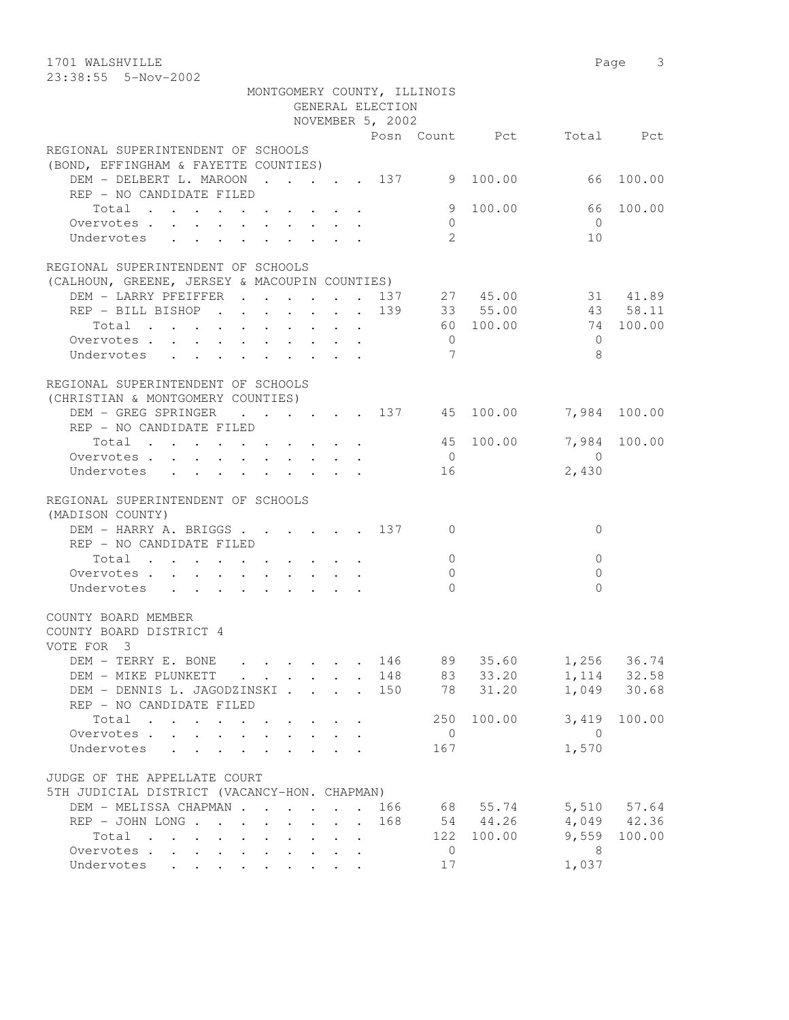1701 WALSHVILLE 2008 Page 3 23:38:55 5-Nov-2002

| MONTGOMERY COUNTY, ILLINOIS<br>GENERAL ELECTION                            |  |                 |              |                                                  |              |
|----------------------------------------------------------------------------|--|-----------------|--------------|--------------------------------------------------|--------------|
| NOVEMBER 5, 2002                                                           |  |                 |              |                                                  |              |
|                                                                            |  |                 |              | Posn Count Pct Total Pct                         |              |
| REGIONAL SUPERINTENDENT OF SCHOOLS<br>(BOND, EFFINGHAM & FAYETTE COUNTIES) |  |                 |              |                                                  |              |
| DEM - DELBERT L. MAROON 137 9                                              |  |                 | 100.00       | 66 100.00                                        |              |
| REP - NO CANDIDATE FILED                                                   |  |                 |              |                                                  |              |
| Total                                                                      |  | 9               | 100.00       | 66                                               | 100.00       |
| Overvotes.                                                                 |  | $\overline{0}$  |              | $\bigcirc$                                       |              |
| Undervotes                                                                 |  | 2               |              | 10                                               |              |
| REGIONAL SUPERINTENDENT OF SCHOOLS                                         |  |                 |              |                                                  |              |
| (CALHOUN, GREENE, JERSEY & MACOUPIN COUNTIES)                              |  |                 |              |                                                  |              |
| DEM - LARRY PFEIFFER 137 27 45.00 31 41.89                                 |  |                 |              |                                                  |              |
| REP - BILL BISHOP 139 33 55.00 43 58.11                                    |  |                 |              |                                                  |              |
| Total 60 100.00 74 100.00                                                  |  |                 |              |                                                  |              |
| Overvotes                                                                  |  | $\overline{0}$  |              | $\overline{0}$                                   |              |
| Undervotes                                                                 |  | $7\phantom{.0}$ |              | 8                                                |              |
| REGIONAL SUPERINTENDENT OF SCHOOLS                                         |  |                 |              |                                                  |              |
| (CHRISTIAN & MONTGOMERY COUNTIES)                                          |  |                 |              |                                                  |              |
| DEM - GREG SPRINGER 137 45 100.00                                          |  |                 |              |                                                  | 7,984 100.00 |
| REP - NO CANDIDATE FILED                                                   |  |                 |              |                                                  |              |
| Total $\cdot$                                                              |  |                 | 45 100.00    |                                                  | 7,984 100.00 |
| Overvotes.                                                                 |  | $\overline{0}$  |              | $\bigcirc$                                       |              |
| Undervotes                                                                 |  | 16              |              | 2,430                                            |              |
| REGIONAL SUPERINTENDENT OF SCHOOLS                                         |  |                 |              |                                                  |              |
| (MADISON COUNTY)                                                           |  |                 |              |                                                  |              |
| DEM - HARRY A. BRIGGS 137                                                  |  | $\overline{0}$  |              | $\mathbf{0}$                                     |              |
| REP - NO CANDIDATE FILED                                                   |  |                 |              |                                                  |              |
| Total $\cdot$                                                              |  | $\circ$         |              | $\mathbf{0}$                                     |              |
| Overvotes.                                                                 |  | $\mathbf{0}$    |              | $\mathbf{0}$                                     |              |
| Undervotes                                                                 |  | $\bigcap$       |              | $\Omega$                                         |              |
| COUNTY BOARD MEMBER                                                        |  |                 |              |                                                  |              |
| COUNTY BOARD DISTRICT 4<br>VOTE FOR 3                                      |  |                 |              |                                                  |              |
| DEM - TERRY E. BONE                                                        |  |                 |              | $\cdot$ $\cdot$ $\cdot$ 146 89 35.60 1,256 36.74 |              |
| DEM - MIKE PLUNKETT 148                                                    |  |                 | 83 33.20     |                                                  | 1, 114 32.58 |
| DEM - DENNIS L. JAGODZINSKI 150 78 31.20                                   |  |                 |              |                                                  | 1,049 30.68  |
| REP - NO CANDIDATE FILED                                                   |  |                 |              |                                                  |              |
| Total                                                                      |  |                 | 250 100.00   |                                                  | 3,419 100.00 |
| Overvotes                                                                  |  | $\overline{0}$  |              | $\overline{0}$                                   |              |
| Undervotes                                                                 |  | 167             |              | 1,570                                            |              |
|                                                                            |  |                 |              |                                                  |              |
| JUDGE OF THE APPELLATE COURT                                               |  |                 |              |                                                  |              |
| 5TH JUDICIAL DISTRICT (VACANCY-HON. CHAPMAN)                               |  |                 |              |                                                  |              |
| DEM - MELISSA CHAPMAN 166 68 55.74                                         |  |                 |              |                                                  | 5,510 57.64  |
| REP - JOHN LONG                                                            |  |                 | 168 54 44.26 |                                                  | 4,049 42.36  |
| Total $\cdot$                                                              |  |                 | 122 100.00   |                                                  | 9,559 100.00 |
| Overvotes                                                                  |  | $\overline{0}$  |              | 8 <sup>8</sup>                                   |              |
| Undervotes                                                                 |  | 17              |              | 1,037                                            |              |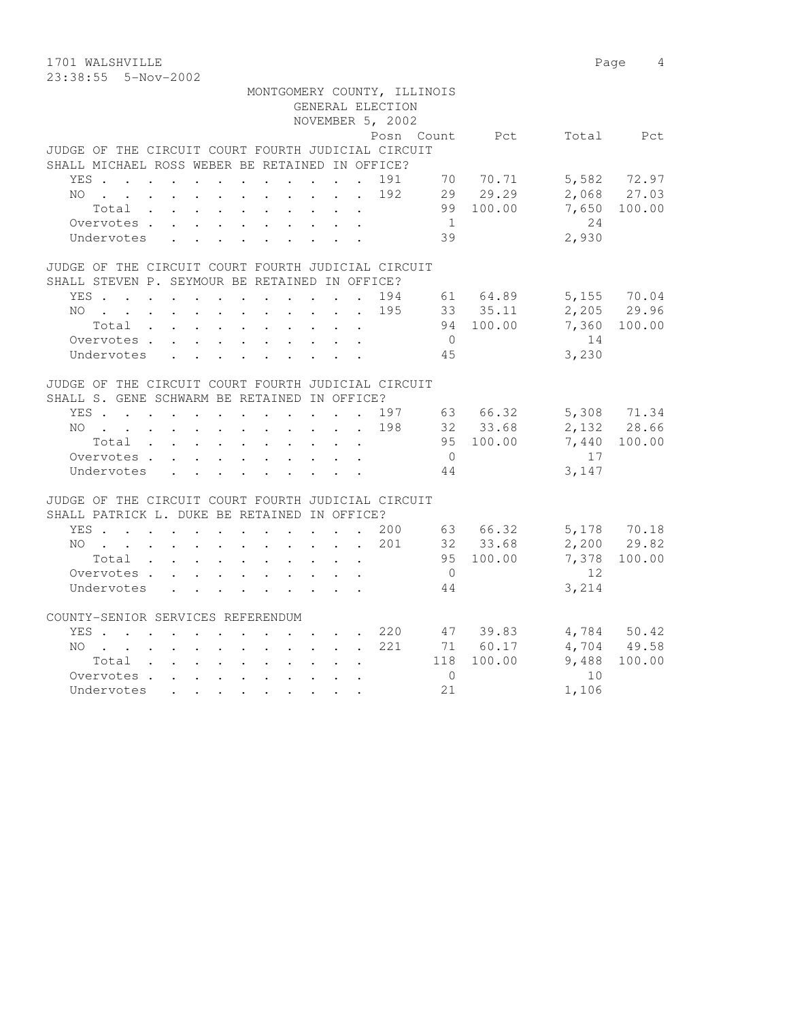1701 WALSHVILLE 2008 Page 4 23:38:55 5-Nov-2002

|                                                    |       |            |  |                                                                                                                 |  |  |  |                  | MONTGOMERY COUNTY, ILLINOIS |                |       |             |
|----------------------------------------------------|-------|------------|--|-----------------------------------------------------------------------------------------------------------------|--|--|--|------------------|-----------------------------|----------------|-------|-------------|
|                                                    |       |            |  |                                                                                                                 |  |  |  | GENERAL ELECTION |                             |                |       |             |
|                                                    |       |            |  |                                                                                                                 |  |  |  | NOVEMBER 5, 2002 |                             |                |       |             |
|                                                    |       |            |  |                                                                                                                 |  |  |  |                  |                             | Posn Count Pct | Total | Pct.        |
| JUDGE OF THE CIRCUIT COURT FOURTH JUDICIAL CIRCUIT |       |            |  |                                                                                                                 |  |  |  |                  |                             |                |       |             |
| SHALL MICHAEL ROSS WEBER BE RETAINED IN OFFICE?    |       |            |  |                                                                                                                 |  |  |  |                  |                             |                |       |             |
|                                                    | YES . |            |  |                                                                                                                 |  |  |  | . 191            | - 70                        | 70.71          |       | 5,582 72.97 |
| NO.                                                |       |            |  |                                                                                                                 |  |  |  | . 192            | 29                          | 29.29          |       | 2,068 27.03 |
|                                                    |       | Total .    |  | the contract of the contract of the contract of the contract of the contract of the contract of the contract of |  |  |  |                  | 99                          | 100.00         | 7,650 | 100.00      |
|                                                    |       | Overvotes. |  |                                                                                                                 |  |  |  |                  |                             |                | 2.4   |             |
|                                                    |       | Undervotes |  |                                                                                                                 |  |  |  |                  | 39                          |                | 2,930 |             |
|                                                    |       |            |  |                                                                                                                 |  |  |  |                  |                             |                |       |             |

|                                                |                                                                     |  |  |  |  |  | JUDGE OF THE CIRCUIT COURT FOURTH JUDICIAL CIRCUIT |                  |           |             |              |
|------------------------------------------------|---------------------------------------------------------------------|--|--|--|--|--|----------------------------------------------------|------------------|-----------|-------------|--------------|
| SHALL STEVEN P. SEYMOUR BE RETAINED IN OFFICE? |                                                                     |  |  |  |  |  |                                                    |                  |           |             |              |
|                                                |                                                                     |  |  |  |  |  | YES. 194                                           | 61 —             | 64.89     |             | 5,155 70.04  |
|                                                |                                                                     |  |  |  |  |  | NO. 195                                            |                  | 33 35.11  | 2,205 29.96 |              |
|                                                | $Total \cdot \cdot \cdot \cdot \cdot \cdot \cdot \cdot \cdot \cdot$ |  |  |  |  |  |                                                    |                  | 94 100.00 |             | 7,360 100.00 |
|                                                | Overvotes.                                                          |  |  |  |  |  |                                                    | $\left( \right)$ |           | 14          |              |
|                                                | Undervotes                                                          |  |  |  |  |  |                                                    | 45               |           | 3,230       |              |

## JUDGE OF THE CIRCUIT COURT FOURTH JUDICIAL CIRCUIT

| SHALL S. GENE SCHWARM BE RETAINED IN OFFICE? |       |                                                                                          |                                                                                                                 |  |  |                                                                                                                 |  |                                                    |    |        |       |             |
|----------------------------------------------|-------|------------------------------------------------------------------------------------------|-----------------------------------------------------------------------------------------------------------------|--|--|-----------------------------------------------------------------------------------------------------------------|--|----------------------------------------------------|----|--------|-------|-------------|
| YES .                                        |       |                                                                                          | $\mathbf{r}$ , and $\mathbf{r}$ , and $\mathbf{r}$ , and $\mathbf{r}$ , and $\mathbf{r}$                        |  |  |                                                                                                                 |  | 197                                                | 63 | 66.32  |       | 5,308 71.34 |
| NO.                                          |       |                                                                                          | the contract of the contract of the contract of the contract of the contract of the contract of the contract of |  |  |                                                                                                                 |  | 198                                                | 32 | 33.68  |       | 2,132 28.66 |
|                                              | Total |                                                                                          | the contract of the contract of the contract of the contract of the contract of the contract of the contract of |  |  |                                                                                                                 |  |                                                    | 95 | 100.00 | 7,440 | 100.00      |
|                                              |       | Overvotes.                                                                               | the contract of the contract of the contract of the contract of the contract of the contract of the contract of |  |  |                                                                                                                 |  |                                                    |    |        | 17    |             |
|                                              |       | Undervotes                                                                               |                                                                                                                 |  |  | $\mathbf{r}$ , and $\mathbf{r}$ , and $\mathbf{r}$ , and $\mathbf{r}$ , and $\mathbf{r}$                        |  |                                                    | 44 |        | 3,147 |             |
|                                              |       |                                                                                          |                                                                                                                 |  |  |                                                                                                                 |  |                                                    |    |        |       |             |
|                                              |       |                                                                                          |                                                                                                                 |  |  |                                                                                                                 |  | JUDGE OF THE CIRCUIT COURT FOURTH JUDICIAL CIRCUIT |    |        |       |             |
| SHALL PATRICK L. DUKE BE RETAINED IN OFFICE? |       |                                                                                          |                                                                                                                 |  |  |                                                                                                                 |  |                                                    |    |        |       |             |
| YES .                                        |       | $\mathbf{r}$ , and $\mathbf{r}$ , and $\mathbf{r}$ , and $\mathbf{r}$ , and $\mathbf{r}$ |                                                                                                                 |  |  |                                                                                                                 |  | 200                                                | 63 | 66.32  | 5,178 | 70.18       |
| NO.                                          |       | $\sim$                                                                                   | $\mathbf{r}$ , and $\mathbf{r}$ , and $\mathbf{r}$ , and $\mathbf{r}$ , and $\mathbf{r}$                        |  |  |                                                                                                                 |  | 201                                                | 32 | 33.68  |       | 2,200 29.82 |
|                                              | Total |                                                                                          | the contract of the contract of the contract of the contract of the contract of the contract of the contract of |  |  |                                                                                                                 |  |                                                    | 95 | 100.00 | 7,378 | 100.00      |
|                                              |       | Overvotes                                                                                | $\sim$                                                                                                          |  |  | the contract of the contract of the contract of the contract of the contract of the contract of the contract of |  |                                                    |    |        | 12    |             |

|                                   | Undervotes |  |       |  |  |  |  |        | 44  |        | 3,214 |        |
|-----------------------------------|------------|--|-------|--|--|--|--|--------|-----|--------|-------|--------|
| COUNTY-SENIOR SERVICES REFERENDUM |            |  |       |  |  |  |  |        |     |        |       |        |
|                                   | YES.       |  |       |  |  |  |  | 220    | 47  | 39.83  | 4,784 | 50.42  |
|                                   |            |  |       |  |  |  |  | NO 221 | 71  | 60.17  | 4,704 | 49.58  |
|                                   |            |  | Total |  |  |  |  |        | 118 | 100.00 | 9,488 | 100.00 |
|                                   | Overvotes. |  |       |  |  |  |  |        |     |        | 10    |        |
|                                   | Undervotes |  |       |  |  |  |  |        | 21  |        | 1,106 |        |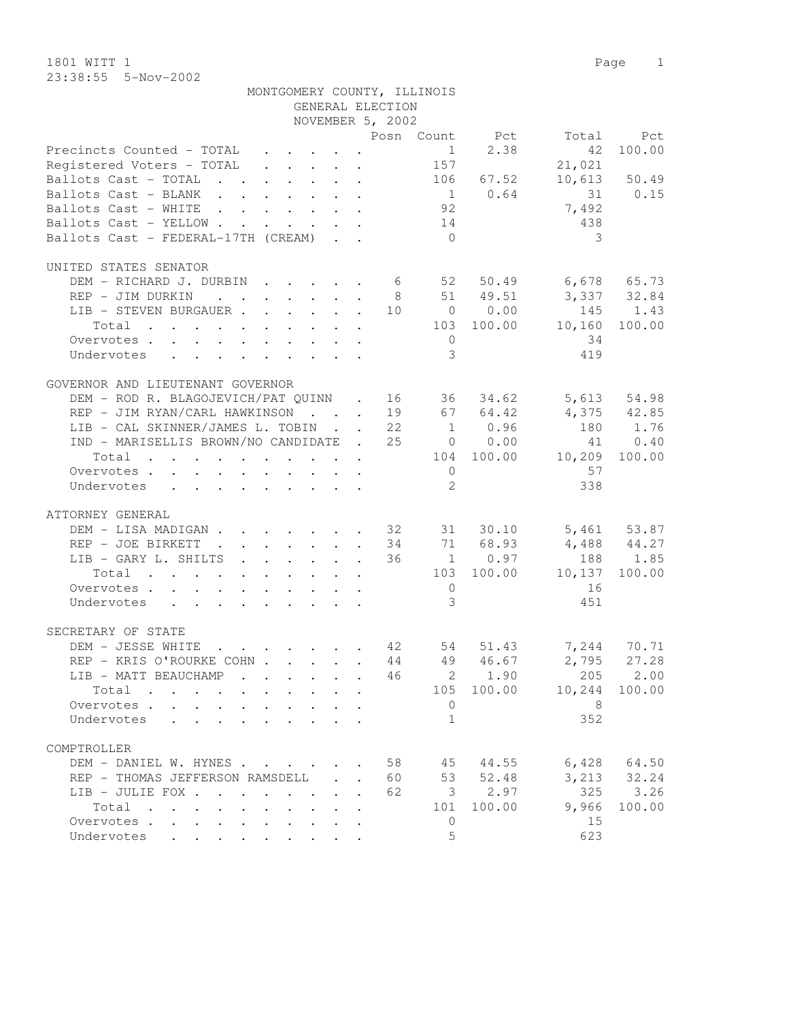1801 WITT 1 Page 1 23:38:55 5-Nov-2002

|                                                                              |              |                                                                                                                 |                           | NOVEMBER 5, 2002 |                |                |                          |                 |
|------------------------------------------------------------------------------|--------------|-----------------------------------------------------------------------------------------------------------------|---------------------------|------------------|----------------|----------------|--------------------------|-----------------|
|                                                                              |              |                                                                                                                 |                           |                  |                | Posn Count Pct | Total                    | Pct             |
| Precincts Counted - TOTAL                                                    |              |                                                                                                                 |                           |                  |                | $1 \t 2.38$    | 42                       | 100.00          |
| Registered Voters - TOTAL 157                                                |              |                                                                                                                 |                           |                  |                |                | 21,021                   |                 |
| Ballots Cast - TOTAL 106 67.52                                               |              |                                                                                                                 |                           |                  |                |                |                          | $10,613$ 50.49  |
| Ballots Cast - BLANK                                                         |              |                                                                                                                 |                           |                  |                | $1 \t 0.64$    | 31 0.15                  |                 |
| Ballots Cast - WHITE                                                         |              |                                                                                                                 |                           |                  | 92             |                | 7,492                    |                 |
| Ballots Cast - YELLOW                                                        |              |                                                                                                                 |                           |                  | 14             |                | 438                      |                 |
| Ballots Cast - FEDERAL-17TH (CREAM)                                          |              |                                                                                                                 |                           |                  | $\overline{0}$ |                | 3                        |                 |
|                                                                              |              |                                                                                                                 |                           |                  |                |                |                          |                 |
| UNITED STATES SENATOR                                                        |              |                                                                                                                 |                           |                  |                |                |                          |                 |
| DEM - RICHARD J. DURBIN 6                                                    |              |                                                                                                                 |                           |                  |                | 52 50.49       | $6,678$ $65.73$          |                 |
| REP - JIM DURKIN                                                             |              |                                                                                                                 |                           |                  |                | 8 51 49.51     | 3, 337 32.84             |                 |
|                                                                              |              |                                                                                                                 |                           |                  |                | 10 0 0.00      |                          |                 |
| LIB - STEVEN BURGAUER                                                        |              |                                                                                                                 |                           |                  |                |                | 145 1.43                 |                 |
| Total<br>. The simple state is a set of the state of the state $\mathcal{A}$ |              |                                                                                                                 |                           |                  |                | 103 100.00     | 10,160                   | 100.00          |
| Overvotes                                                                    |              |                                                                                                                 |                           |                  | $\overline{0}$ |                | 34                       |                 |
| Undervotes                                                                   |              |                                                                                                                 |                           |                  | 3              |                | 419                      |                 |
|                                                                              |              |                                                                                                                 |                           |                  |                |                |                          |                 |
| GOVERNOR AND LIEUTENANT GOVERNOR                                             |              |                                                                                                                 |                           |                  |                |                |                          |                 |
| DEM - ROD R. BLAGOJEVICH/PAT QUINN . 16 36 34.62 5,613 54.98                 |              |                                                                                                                 |                           |                  |                |                |                          |                 |
| REP - JIM RYAN/CARL HAWKINSON 19 67 64.42                                    |              |                                                                                                                 |                           |                  |                |                | 4,375 42.85              |                 |
| LIB - CAL SKINNER/JAMES L. TOBIN 22 1 0.96                                   |              |                                                                                                                 |                           |                  |                |                |                          | 180 1.76        |
| IND - MARISELLIS BROWN/NO CANDIDATE . 25 0 0.00                              |              |                                                                                                                 |                           |                  |                |                |                          | 41 0.40         |
| $\cdot$ 104 100.00<br>Total                                                  |              |                                                                                                                 |                           |                  |                |                | 10,209                   | 100.00          |
| Overvotes                                                                    |              |                                                                                                                 |                           |                  | $\overline{0}$ |                | 57                       |                 |
| Undervotes                                                                   |              |                                                                                                                 |                           |                  | $2^{\circ}$    |                | 338                      |                 |
|                                                                              |              |                                                                                                                 |                           |                  |                |                |                          |                 |
| ATTORNEY GENERAL                                                             |              |                                                                                                                 |                           |                  |                |                |                          |                 |
| DEM - LISA MADIGAN 32 31 30.10 5,461 53.87                                   |              |                                                                                                                 |                           |                  |                |                |                          |                 |
| REP - JOE BIRKETT                                                            |              |                                                                                                                 |                           |                  |                | 34 71 68.93    | $4,488$ $44.27$          |                 |
| LIB - GARY L. SHILTS                                                         |              |                                                                                                                 |                           |                  |                | 36 1 0.97      |                          | 188 1.85        |
| Total                                                                        |              |                                                                                                                 |                           |                  |                | 103 100.00     | 10,137                   | 100.00          |
| Overvotes                                                                    |              |                                                                                                                 |                           |                  | $\overline{0}$ |                | 16                       |                 |
| Undervotes                                                                   |              |                                                                                                                 |                           |                  | $\mathcal{E}$  |                | 451                      |                 |
|                                                                              |              |                                                                                                                 |                           |                  |                |                |                          |                 |
| SECRETARY OF STATE                                                           |              |                                                                                                                 |                           |                  |                |                |                          |                 |
| DEM - JESSE WHITE                                                            |              |                                                                                                                 |                           |                  |                |                | 54 51.43 7,244 70.71     |                 |
| REP - KRIS O'ROURKE COHN                                                     |              |                                                                                                                 |                           |                  |                | 44 49 46.67    |                          | $2,795$ 27.28   |
| LIB - MATT BEAUCHAMP                                                         |              | $\mathbf{r}$ , $\mathbf{r}$ , $\mathbf{r}$ , $\mathbf{r}$ , $\mathbf{r}$                                        |                           |                  |                | 46 2 1.90      | 205                      | 2.00            |
| Total                                                                        |              | the contract of the contract of the contract of the contract of the contract of the contract of the contract of |                           |                  |                |                | 105 100.00 10,244 100.00 |                 |
| Overvotes.                                                                   |              |                                                                                                                 |                           |                  | $\Omega$       |                | 8                        |                 |
| Undervotes                                                                   |              |                                                                                                                 |                           |                  | $\mathbf{1}$   |                | 352                      |                 |
|                                                                              |              |                                                                                                                 |                           |                  |                |                |                          |                 |
| COMPTROLLER                                                                  |              |                                                                                                                 |                           |                  |                |                |                          |                 |
| DEM - DANIEL W. HYNES                                                        |              |                                                                                                                 |                           | 58               |                | 45 44.55       |                          | $6,428$ $64.50$ |
| REP - THOMAS JEFFERSON RAMSDELL                                              |              | $\mathcal{L}^{\text{max}}$                                                                                      | $\sim$                    | 60               |                | 53 52.48       |                          | 3, 213 32.24    |
| LIB - JULIE FOX                                                              |              |                                                                                                                 | $\mathbf{L} = \mathbf{L}$ | 62               |                | 3, 2.97        | 325                      | 3.26            |
| Total                                                                        | $\mathbf{r}$ | $\sim$<br>$\sim$                                                                                                |                           |                  | 101            | 100.00         | 9,966                    | 100.00          |
|                                                                              |              |                                                                                                                 | $\mathbf{r}$              |                  |                |                |                          |                 |
| Overvotes.                                                                   |              |                                                                                                                 |                           |                  | $\overline{0}$ |                | 15                       |                 |
| Undervotes                                                                   |              |                                                                                                                 |                           |                  | 5              |                | 623                      |                 |

GENERAL ELECTION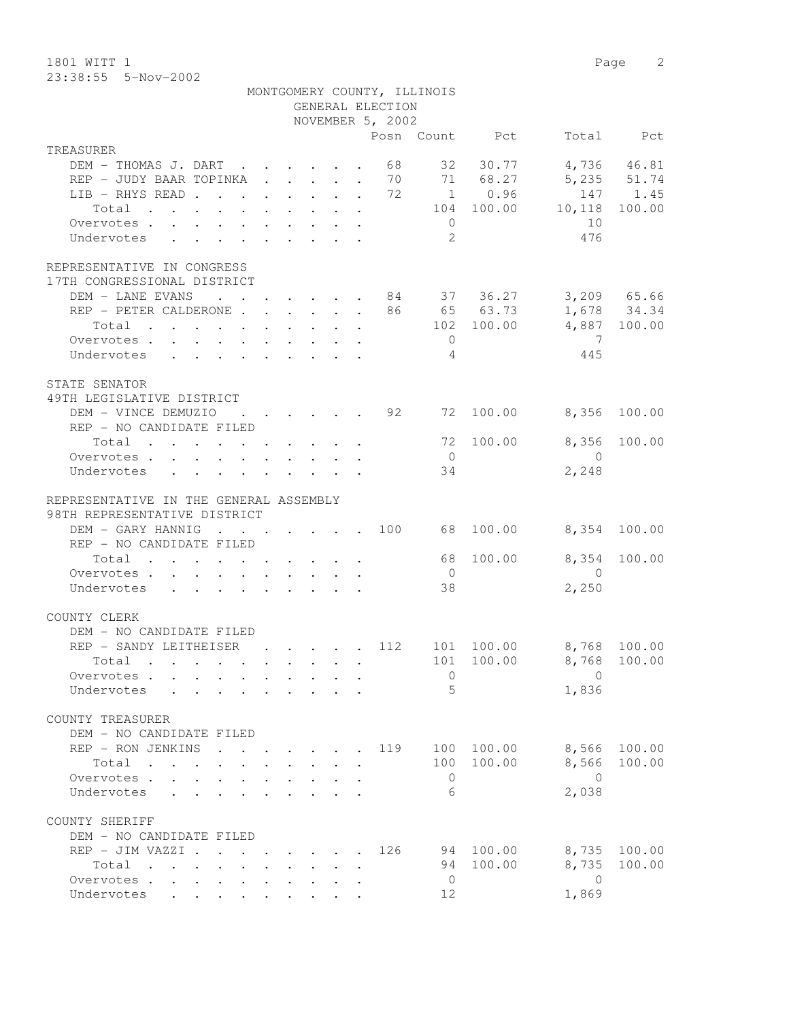1801 WITT 1 Page 2 23:38:55 5-Nov-2002

|                                                                                   |                                                                 |  | GENERAL ELECTION                                            | MONTGOMERY COUNTY, ILLINOIS |                |                                 |             |
|-----------------------------------------------------------------------------------|-----------------------------------------------------------------|--|-------------------------------------------------------------|-----------------------------|----------------|---------------------------------|-------------|
|                                                                                   |                                                                 |  | NOVEMBER 5, 2002                                            |                             |                |                                 |             |
|                                                                                   |                                                                 |  |                                                             |                             | Posn Count Pct |                                 | Total Pct   |
| TREASURER                                                                         |                                                                 |  |                                                             |                             |                |                                 |             |
| DEM - THOMAS J. DART 68                                                           |                                                                 |  |                                                             |                             | 32 30.77       |                                 | 4,736 46.81 |
| REP - JUDY BAAR TOPINKA 70 71 68.27                                               |                                                                 |  |                                                             |                             |                |                                 | 5,235 51.74 |
| LIB - RHYS READ 72                                                                |                                                                 |  |                                                             |                             | 1 0.96         |                                 | 147 1.45    |
| Total                                                                             |                                                                 |  |                                                             |                             | 104 100.00     | 10,118                          | 100.00      |
| Overvotes.                                                                        |                                                                 |  |                                                             | $\overline{0}$              |                | 10                              |             |
| Undervotes                                                                        |                                                                 |  |                                                             | 2                           |                | 476                             |             |
| REPRESENTATIVE IN CONGRESS<br>17TH CONGRESSIONAL DISTRICT                         |                                                                 |  |                                                             |                             |                |                                 |             |
| DEM - LANE EVANS                                                                  |                                                                 |  |                                                             |                             |                | $\cdot$ 84 37 36.27 3,209 65.66 |             |
| REP - PETER CALDERONE 86 65 63.73                                                 |                                                                 |  |                                                             |                             |                |                                 | 1,678 34.34 |
| Total                                                                             |                                                                 |  |                                                             |                             |                | 102 100.00 4,887 100.00         |             |
| Overvotes                                                                         |                                                                 |  |                                                             | $\overline{0}$              |                | $\overline{7}$                  |             |
| Undervotes                                                                        |                                                                 |  |                                                             | 4                           |                | 445                             |             |
|                                                                                   |                                                                 |  |                                                             |                             |                |                                 |             |
| STATE SENATOR<br>49TH LEGISLATIVE DISTRICT                                        |                                                                 |  |                                                             |                             |                |                                 |             |
| DEM - VINCE DEMUZIO                                                               |                                                                 |  | $\cdot$ $\cdot$ $\cdot$ $\cdot$ $\cdot$ $\cdot$ 92          |                             | 72 100.00      | 8,356                           | 100.00      |
| REP - NO CANDIDATE FILED                                                          |                                                                 |  |                                                             |                             |                |                                 |             |
| Total                                                                             |                                                                 |  |                                                             |                             | 72 100.00      | 8,356                           | 100.00      |
| Overvotes                                                                         |                                                                 |  |                                                             | $\overline{0}$              |                | $\overline{0}$                  |             |
| Undervotes                                                                        |                                                                 |  |                                                             | 34                          |                | 2,248                           |             |
|                                                                                   |                                                                 |  |                                                             |                             |                |                                 |             |
| REPRESENTATIVE IN THE GENERAL ASSEMBLY                                            |                                                                 |  |                                                             |                             |                |                                 |             |
| 98TH REPRESENTATIVE DISTRICT                                                      |                                                                 |  |                                                             |                             |                |                                 |             |
| DEM - GARY HANNIG<br>$\sim$ $\sim$                                                |                                                                 |  | $\cdot$ $\cdot$ $\cdot$ $\cdot$ $\cdot$ $\cdot$ $\cdot$ 100 | 68                          | 100.00         | 8,354 100.00                    |             |
| REP - NO CANDIDATE FILED                                                          |                                                                 |  |                                                             |                             |                |                                 |             |
| Total                                                                             |                                                                 |  |                                                             | 68                          | 100.00         | 8,354                           | 100.00      |
| Overvotes.                                                                        |                                                                 |  |                                                             | $\overline{0}$              |                | $\overline{0}$                  |             |
| Undervotes                                                                        |                                                                 |  |                                                             | 38                          |                | 2,250                           |             |
| COUNTY CLERK                                                                      |                                                                 |  |                                                             |                             |                |                                 |             |
| DEM - NO CANDIDATE FILED                                                          |                                                                 |  |                                                             |                             |                |                                 |             |
| REP - SANDY LEITHEISER                                                            |                                                                 |  | . 112                                                       |                             | 101 100.00     | 8,768 100.00                    |             |
| Total .                                                                           |                                                                 |  |                                                             |                             |                | 101 100.00 8,768 100.00         |             |
| Overvotes                                                                         |                                                                 |  |                                                             | $\mathbf{0}$                |                | $\Omega$                        |             |
| Undervotes                                                                        |                                                                 |  |                                                             | 5                           |                | 1,836                           |             |
| COUNTY TREASURER                                                                  |                                                                 |  |                                                             |                             |                |                                 |             |
| DEM - NO CANDIDATE FILED                                                          |                                                                 |  |                                                             |                             |                |                                 |             |
| REP - RON JENKINS                                                                 |                                                                 |  | 119                                                         |                             | 100 100.00     | 8,566                           | 100.00      |
| Total                                                                             |                                                                 |  |                                                             | 100                         | 100.00         | 8,566                           | 100.00      |
| Overvotes .<br>$\sim$                                                             |                                                                 |  |                                                             | $\overline{0}$              |                | $\bigcirc$                      |             |
| Undervotes                                                                        |                                                                 |  |                                                             | 6                           |                | 2,038                           |             |
| COUNTY SHERIFF                                                                    |                                                                 |  |                                                             |                             |                |                                 |             |
| DEM - NO CANDIDATE FILED                                                          |                                                                 |  |                                                             |                             |                |                                 |             |
| REP - JIM VAZZI .                                                                 | $\cdot$ $\cdot$ $\cdot$ $\cdot$ $\cdot$ $\cdot$ $\cdot$ $\cdot$ |  | 126                                                         | 94                          | 100.00         | 8,735                           | 100.00      |
| Total<br>$\mathbf{r}$ , $\mathbf{r}$ , $\mathbf{r}$ , $\mathbf{r}$ , $\mathbf{r}$ |                                                                 |  |                                                             | 94                          | 100.00         | 8,735                           | 100.00      |
| Overvotes                                                                         |                                                                 |  |                                                             | $\overline{0}$              |                | $\overline{0}$                  |             |
| Undervotes                                                                        |                                                                 |  |                                                             | 12                          |                | 1,869                           |             |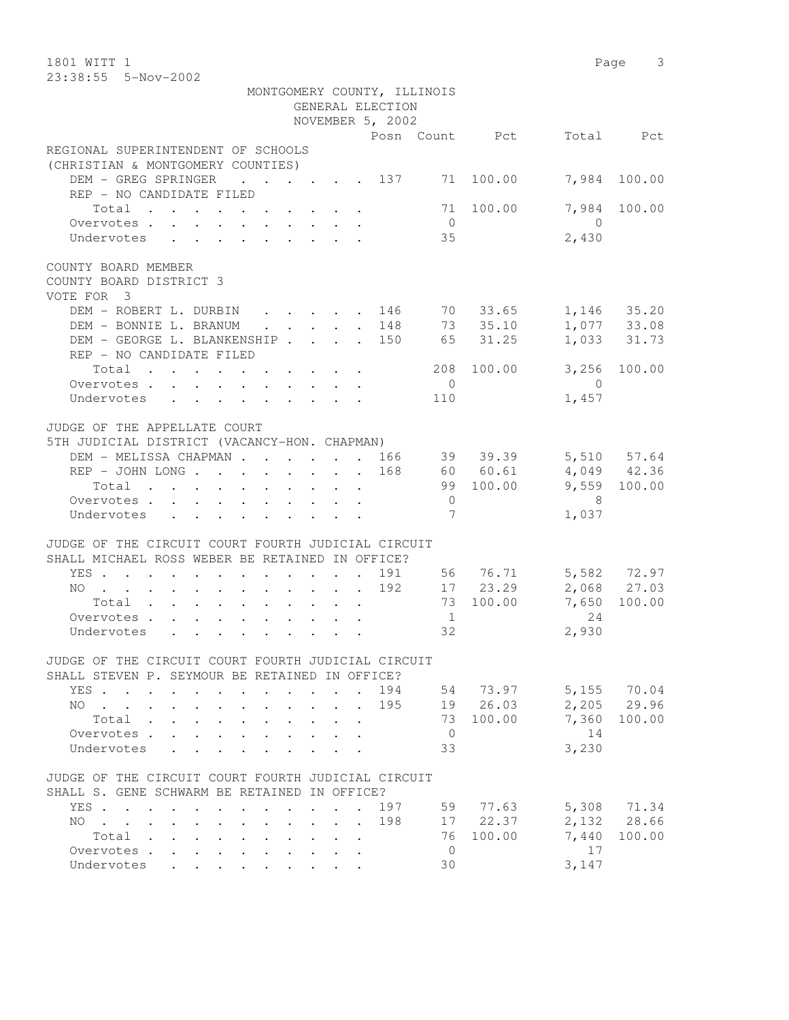| 1801 WITT 1<br>23:38:55  5-Nov-2002                                                                                                           |                       |                     | Page 3       |
|-----------------------------------------------------------------------------------------------------------------------------------------------|-----------------------|---------------------|--------------|
| MONTGOMERY COUNTY, ILLINOIS<br>GENERAL ELECTION                                                                                               |                       |                     |              |
| NOVEMBER 5, 2002                                                                                                                              |                       |                     |              |
|                                                                                                                                               | Posn Count Pct        |                     | Total Pct    |
| REGIONAL SUPERINTENDENT OF SCHOOLS<br>(CHRISTIAN & MONTGOMERY COUNTIES)                                                                       |                       |                     |              |
| DEM - GREG SPRINGER<br>$\cdots$ 137 71<br>REP - NO CANDIDATE FILED                                                                            | 100.00                | 7,984               | 100.00       |
| Total                                                                                                                                         | 71 100.00             | 7,984               | 100.00       |
| Overvotes.<br>Undervotes                                                                                                                      | $\overline{0}$<br>35  | $\bigcirc$<br>2,430 |              |
|                                                                                                                                               |                       |                     |              |
| COUNTY BOARD MEMBER<br>COUNTY BOARD DISTRICT 3<br>VOTE FOR 3                                                                                  |                       |                     |              |
| DEM - ROBERT L. DURBIN 146 70 33.65                                                                                                           |                       |                     | 1,146 35.20  |
| $\cdot$ 148 73 35.10<br>DEM - BONNIE L. BRANUM                                                                                                |                       |                     | 1,077 33.08  |
| DEM - GEORGE L. BLANKENSHIP 150<br>REP - NO CANDIDATE FILED                                                                                   | 65 31.25              |                     | 1,033 31.73  |
| Total                                                                                                                                         | 208 100.00            |                     | 3,256 100.00 |
| Overvotes                                                                                                                                     | $\overline{0}$        | $\overline{0}$      |              |
| Undervotes                                                                                                                                    | 110                   | 1,457               |              |
| JUDGE OF THE APPELLATE COURT<br>5TH JUDICIAL DISTRICT (VACANCY-HON. CHAPMAN)                                                                  |                       |                     |              |
| DEM - MELISSA CHAPMAN 166 39 39.39 5,510 57.64                                                                                                |                       |                     |              |
| 168                                                                                                                                           | 60 60.61<br>99 100.00 | 4,049 42.36         | 9,559 100.00 |
| Total $\cdot$<br>Overvotes                                                                                                                    | $\overline{0}$        | - 8                 |              |
| Undervotes                                                                                                                                    | 7                     | 1,037               |              |
|                                                                                                                                               |                       |                     |              |
| JUDGE OF THE CIRCUIT COURT FOURTH JUDICIAL CIRCUIT<br>SHALL MICHAEL ROSS WEBER BE RETAINED IN OFFICE?                                         |                       |                     |              |
| YES                                                                                                                                           | 191 56 76.71          |                     | 5,582 72.97  |
| . 192 17 23.29<br>NO.                                                                                                                         |                       | 2,068 27.03         |              |
| Total 73 100.00                                                                                                                               |                       | 7,650               | 100.00       |
| Overvotes                                                                                                                                     | 1                     | 24                  |              |
| Undervotes                                                                                                                                    | 32                    | 2,930               |              |
| JUDGE OF THE CIRCUIT COURT FOURTH JUDICIAL CIRCUIT<br>SHALL STEVEN P. SEYMOUR BE RETAINED IN OFFICE?                                          |                       |                     |              |
| YES<br>194                                                                                                                                    | 54 73.97              |                     | 5,155 70.04  |
| 195<br>NO<br>$\mathbf{r} = \mathbf{r}$ and $\mathbf{r} = \mathbf{r}$<br>$\mathbf{L}$                                                          | 19 26.03              |                     | 2,205 29.96  |
| Total                                                                                                                                         | 73 100.00             | 7,360               | 100.00       |
| Overvotes                                                                                                                                     | $\overline{0}$        | 14                  |              |
| Undervotes                                                                                                                                    | 33                    | 3,230               |              |
| JUDGE OF THE CIRCUIT COURT FOURTH JUDICIAL CIRCUIT<br>SHALL S. GENE SCHWARM BE RETAINED IN OFFICE?                                            |                       |                     |              |
| YES<br>197<br>$\mathbf{r}$ , and $\mathbf{r}$ , and $\mathbf{r}$ , and $\mathbf{r}$<br>$\sim$                                                 | 59                    | 77.63               | 5,308 71.34  |
| NO.<br>198<br><u>in the second contract of the second second</u><br>$\mathbf{r}$ , $\mathbf{r}$ , $\mathbf{r}$ , $\mathbf{r}$<br>$\mathbf{L}$ | 17 22.37              |                     | 2,132 28.66  |
| Total                                                                                                                                         | 76<br>100.00          | 7,440               | 100.00       |
| Overvotes.                                                                                                                                    | $\overline{0}$        | 17                  |              |
| Undervotes                                                                                                                                    | 30                    | 3,147               |              |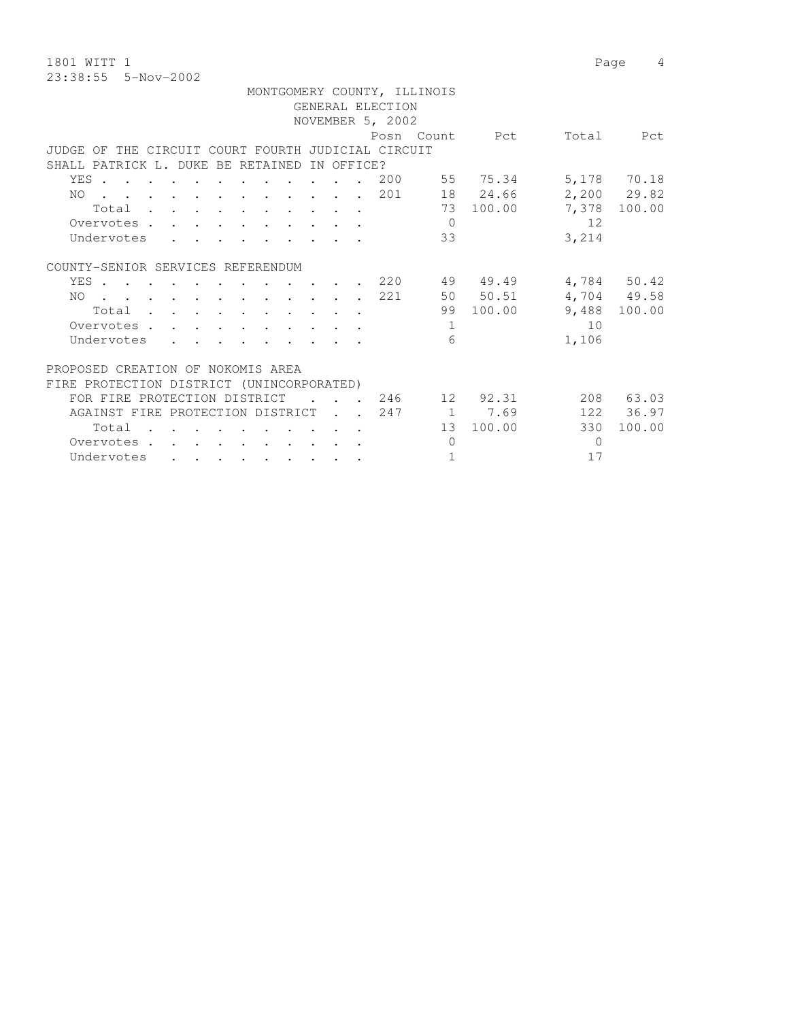1801 WITT 1 Page 4 23:38:55 5-Nov-2002

|                                                    |  |                             |                  | MONTGOMERY COUNTY, ILLINOIS |                              |          |               |
|----------------------------------------------------|--|-----------------------------|------------------|-----------------------------|------------------------------|----------|---------------|
|                                                    |  |                             | GENERAL ELECTION |                             |                              |          |               |
|                                                    |  |                             | NOVEMBER 5, 2002 |                             |                              |          |               |
|                                                    |  |                             |                  |                             | Posn Count Pct               |          | Total Pct     |
| JUDGE OF THE CIRCUIT COURT FOURTH JUDICIAL CIRCUIT |  |                             |                  |                             |                              |          |               |
| SHALL PATRICK L. DUKE BE RETAINED IN OFFICE?       |  |                             |                  |                             |                              |          |               |
| YES 200 55 75.34                                   |  |                             |                  |                             |                              |          | 5,178 70.18   |
| . 201 18 24.66<br>NO                               |  |                             |                  |                             |                              |          | $2,200$ 29.82 |
| Total                                              |  |                             |                  |                             | 73 100.00                    | 7,378    | 100.00        |
| Overvotes                                          |  |                             |                  | $\Omega$                    |                              | 12       |               |
| Undervotes                                         |  |                             |                  | 33                          |                              | 3,214    |               |
| COUNTY-SENIOR SERVICES REFERENDUM                  |  |                             |                  |                             |                              |          |               |
| YES .                                              |  |                             |                  |                             | $\cdot$ $\cdot$ 220 49 49.49 |          | 4,784 50.42   |
| NO 221                                             |  |                             |                  |                             | 50 50.51                     |          | 4,704 49.58   |
| Total                                              |  |                             |                  |                             | 99 100.00                    |          | 9,488 100.00  |
| Overvotes                                          |  |                             |                  | $\mathbf{1}$                |                              | 10       |               |
| Undervotes                                         |  |                             |                  | 6                           |                              | 1,106    |               |
| PROPOSED CREATION OF NOKOMIS AREA                  |  |                             |                  |                             |                              |          |               |
| FIRE PROTECTION DISTRICT (UNINCORPORATED)          |  |                             |                  |                             |                              |          |               |
| FOR FIRE PROTECTION DISTRICT                       |  |                             |                  |                             | . 246 12 92.31               |          | 208 63.03     |
| AGAINST FIRE PROTECTION DISTRICT 247               |  |                             |                  |                             | 1 7.69                       |          | 122 36.97     |
| Total                                              |  | $\sim$ $\sim$ $\sim$ $\sim$ |                  |                             | 13 100.00                    | 330      | 100.00        |
| Overvotes                                          |  |                             |                  | $\Omega$                    |                              | $\Omega$ |               |

Undervotes . . . . . . . . . . 1 17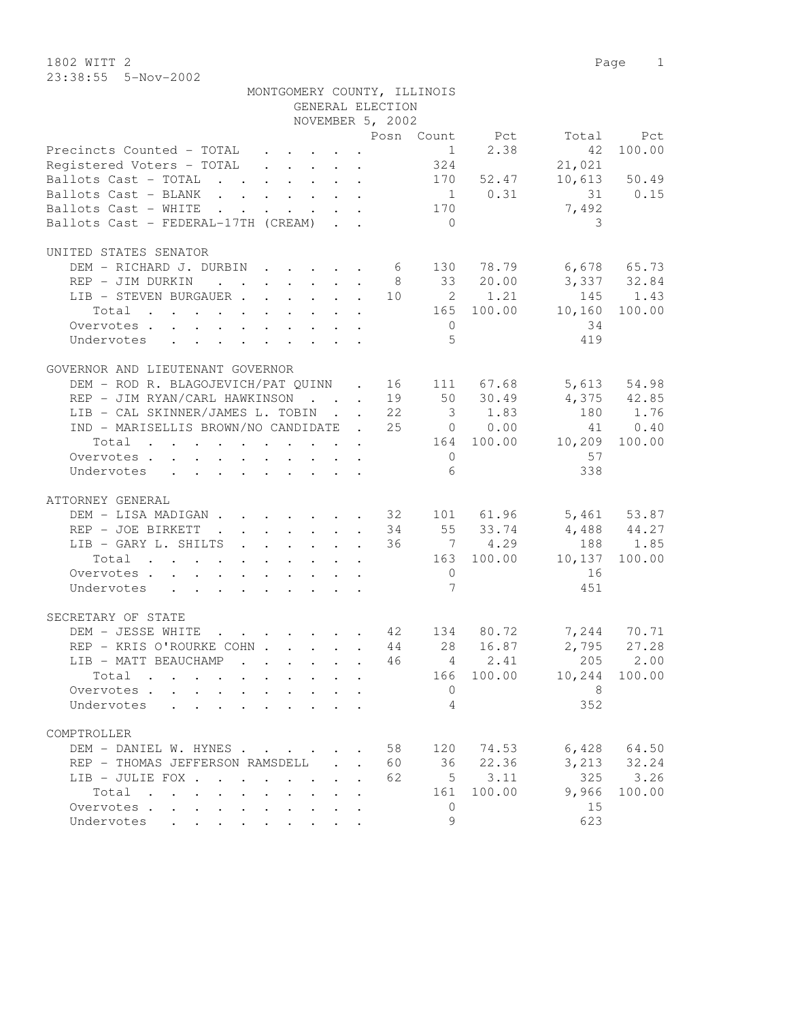1802 WITT 2 Page 1 23:38:55 5-Nov-2002

|                                                                                                         |                                                                                                                                                                                                                                                                                                                                                                                                                        |              | MONTGOMERY COUNTY, ILLINOIS |                 |             |                      |              |
|---------------------------------------------------------------------------------------------------------|------------------------------------------------------------------------------------------------------------------------------------------------------------------------------------------------------------------------------------------------------------------------------------------------------------------------------------------------------------------------------------------------------------------------|--------------|-----------------------------|-----------------|-------------|----------------------|--------------|
|                                                                                                         |                                                                                                                                                                                                                                                                                                                                                                                                                        |              | GENERAL ELECTION            |                 |             |                      |              |
|                                                                                                         |                                                                                                                                                                                                                                                                                                                                                                                                                        |              | NOVEMBER 5, 2002            |                 |             |                      |              |
|                                                                                                         |                                                                                                                                                                                                                                                                                                                                                                                                                        |              |                             |                 |             | Posn Count Pct Total | Pct          |
| Precincts Counted - TOTAL                                                                               | $\mathbf{1}=\mathbf{1}=\mathbf{1}=\mathbf{1}=\mathbf{1}=\mathbf{1}=\mathbf{1}=\mathbf{1}=\mathbf{1}=\mathbf{1}=\mathbf{1}=\mathbf{1}=\mathbf{1}=\mathbf{1}=\mathbf{1}=\mathbf{1}=\mathbf{1}=\mathbf{1}=\mathbf{1}=\mathbf{1}=\mathbf{1}=\mathbf{1}=\mathbf{1}=\mathbf{1}=\mathbf{1}=\mathbf{1}=\mathbf{1}=\mathbf{1}=\mathbf{1}=\mathbf{1}=\mathbf{1}=\mathbf{1}=\mathbf{1}=\mathbf{1}=\mathbf{1}=\mathbf{1}=\mathbf{$ |              |                             | 1               | 2.38        | 42                   | 100.00       |
| Registered Voters - TOTAL                                                                               |                                                                                                                                                                                                                                                                                                                                                                                                                        |              |                             | 324             |             | 21,021               |              |
| Ballots Cast - TOTAL                                                                                    |                                                                                                                                                                                                                                                                                                                                                                                                                        |              |                             |                 | 170 52.47   |                      | 10,613 50.49 |
| Ballots Cast - BLANK                                                                                    |                                                                                                                                                                                                                                                                                                                                                                                                                        |              |                             |                 | $1 \t 0.31$ |                      | 31 0.15      |
| Ballots Cast - WHITE<br>$\mathbf{r}$ , $\mathbf{r}$ , $\mathbf{r}$ , $\mathbf{r}$                       | $\mathbf{r} = \mathbf{r} + \mathbf{r} + \mathbf{r} + \mathbf{r}$                                                                                                                                                                                                                                                                                                                                                       |              |                             | 170             |             | 7,492                |              |
| Ballots Cast - FEDERAL-17TH (CREAM)                                                                     |                                                                                                                                                                                                                                                                                                                                                                                                                        |              |                             | $\bigcirc$      |             | 3                    |              |
|                                                                                                         |                                                                                                                                                                                                                                                                                                                                                                                                                        |              |                             |                 |             |                      |              |
| UNITED STATES SENATOR                                                                                   |                                                                                                                                                                                                                                                                                                                                                                                                                        |              |                             |                 |             |                      |              |
| DEM - RICHARD J. DURBIN 6 130 78.79 6,678 65.73                                                         |                                                                                                                                                                                                                                                                                                                                                                                                                        |              |                             |                 |             |                      |              |
| REP - JIM DURKIN                                                                                        |                                                                                                                                                                                                                                                                                                                                                                                                                        |              |                             |                 | 8 33 20.00  | 3,337 32.84          |              |
| $\hbox{LIB - STEVEN BURGAUER 10 \hskip 2.2cm 2 \hskip 2.2cm 1.21$                                       |                                                                                                                                                                                                                                                                                                                                                                                                                        |              |                             |                 |             | 145                  | 1.43         |
| Total                                                                                                   |                                                                                                                                                                                                                                                                                                                                                                                                                        |              |                             |                 | 165 100.00  | 10,160               | 100.00       |
| Overvotes                                                                                               |                                                                                                                                                                                                                                                                                                                                                                                                                        |              |                             | $\overline{0}$  |             | 34                   |              |
| Undervotes<br>$\mathbf{r}$ , $\mathbf{r}$ , $\mathbf{r}$ , $\mathbf{r}$ , $\mathbf{r}$ , $\mathbf{r}$   |                                                                                                                                                                                                                                                                                                                                                                                                                        |              |                             | $\overline{5}$  |             | 419                  |              |
|                                                                                                         |                                                                                                                                                                                                                                                                                                                                                                                                                        |              |                             |                 |             |                      |              |
| GOVERNOR AND LIEUTENANT GOVERNOR                                                                        |                                                                                                                                                                                                                                                                                                                                                                                                                        |              |                             |                 |             |                      |              |
| DEM - ROD R. BLAGOJEVICH/PAT QUINN . 16 111 67.68                                                       |                                                                                                                                                                                                                                                                                                                                                                                                                        |              |                             |                 |             | 5,613                | 54.98        |
|                                                                                                         |                                                                                                                                                                                                                                                                                                                                                                                                                        |              |                             |                 |             |                      |              |
| REP - JIM RYAN/CARL HAWKINSON 19 50 30.49                                                               |                                                                                                                                                                                                                                                                                                                                                                                                                        |              |                             |                 |             | $4,375$ $42.85$      |              |
| LIB - CAL SKINNER/JAMES L. TOBIN 22                                                                     |                                                                                                                                                                                                                                                                                                                                                                                                                        |              |                             |                 | 3 1.83      | 180                  | 1.76         |
| IND - MARISELLIS BROWN/NO CANDIDATE . 25 0 0.00                                                         |                                                                                                                                                                                                                                                                                                                                                                                                                        |              |                             |                 |             | 41                   | 0.40         |
| Total                                                                                                   |                                                                                                                                                                                                                                                                                                                                                                                                                        |              |                             |                 |             | 164 100.00 10,209    | 100.00       |
| Overvotes                                                                                               |                                                                                                                                                                                                                                                                                                                                                                                                                        |              |                             | $\overline{0}$  |             | 57                   |              |
| Undervotes<br>$\mathbf{r}$ , and $\mathbf{r}$ , and $\mathbf{r}$ , and $\mathbf{r}$ , and $\mathbf{r}$  |                                                                                                                                                                                                                                                                                                                                                                                                                        |              |                             | 6               |             | 338                  |              |
|                                                                                                         |                                                                                                                                                                                                                                                                                                                                                                                                                        |              |                             |                 |             |                      |              |
| ATTORNEY GENERAL                                                                                        |                                                                                                                                                                                                                                                                                                                                                                                                                        |              |                             |                 |             |                      |              |
| DEM - LISA MADIGAN 32 101 61.96 5,461 53.87                                                             |                                                                                                                                                                                                                                                                                                                                                                                                                        |              |                             |                 |             |                      |              |
| REP - JOE BIRKETT<br>$\cdot$ 34 55 33.74                                                                |                                                                                                                                                                                                                                                                                                                                                                                                                        |              |                             |                 |             | 4,488 44.27          |              |
| LIB - GARY L. SHILTS 36 7 4.29                                                                          |                                                                                                                                                                                                                                                                                                                                                                                                                        |              |                             |                 |             | 188                  | 1.85         |
| Total                                                                                                   |                                                                                                                                                                                                                                                                                                                                                                                                                        |              |                             |                 | 163 100.00  | 10,137               | 100.00       |
| Overvotes                                                                                               |                                                                                                                                                                                                                                                                                                                                                                                                                        |              |                             | $\overline{0}$  |             | 16                   |              |
| Undervotes                                                                                              |                                                                                                                                                                                                                                                                                                                                                                                                                        |              |                             | $7\phantom{.0}$ |             | 451                  |              |
|                                                                                                         |                                                                                                                                                                                                                                                                                                                                                                                                                        |              |                             |                 |             |                      |              |
| SECRETARY OF STATE                                                                                      |                                                                                                                                                                                                                                                                                                                                                                                                                        |              |                             |                 |             |                      |              |
| DEM - JESSE WHITE 42 134                                                                                |                                                                                                                                                                                                                                                                                                                                                                                                                        |              |                             |                 | 80.72       |                      | 7,244 70.71  |
| REP - KRIS O'ROURKE COHN 44 28                                                                          |                                                                                                                                                                                                                                                                                                                                                                                                                        |              |                             |                 | 16.87       | 2,795                | 27.28        |
| LIB - MATT BEAUCHAMP                                                                                    |                                                                                                                                                                                                                                                                                                                                                                                                                        |              | 46                          |                 | 4 2.41      | 205                  | 2.00         |
| Total                                                                                                   |                                                                                                                                                                                                                                                                                                                                                                                                                        |              |                             | 166             | 100.00      | 10,244               | 100.00       |
| Overvotes .                                                                                             |                                                                                                                                                                                                                                                                                                                                                                                                                        |              |                             | $\overline{0}$  |             | 8                    |              |
| Undervotes                                                                                              |                                                                                                                                                                                                                                                                                                                                                                                                                        |              |                             | 4               |             | 352                  |              |
|                                                                                                         |                                                                                                                                                                                                                                                                                                                                                                                                                        |              |                             |                 |             |                      |              |
| COMPTROLLER                                                                                             |                                                                                                                                                                                                                                                                                                                                                                                                                        |              |                             |                 |             |                      |              |
|                                                                                                         |                                                                                                                                                                                                                                                                                                                                                                                                                        |              | 58                          |                 | 74.53       | 6,428                | 64.50        |
| DEM - DANIEL W. HYNES                                                                                   |                                                                                                                                                                                                                                                                                                                                                                                                                        |              |                             | 120             |             | 3,213                |              |
| REP - THOMAS JEFFERSON RAMSDELL                                                                         |                                                                                                                                                                                                                                                                                                                                                                                                                        | $\mathbf{r}$ | 60                          | 36              | 22.36       |                      | 32.24        |
| LIB - JULIE FOX .<br>$\cdot$ $\cdot$                                                                    |                                                                                                                                                                                                                                                                                                                                                                                                                        | $\sim$       | 62                          | 5               | 3.11        | 325                  | 3.26         |
| Total<br>$\overline{\phantom{a}}$<br>$\mathbf{r}$ , $\mathbf{r}$ , $\mathbf{r}$<br>$\ddot{\phantom{0}}$ |                                                                                                                                                                                                                                                                                                                                                                                                                        |              |                             | 161             | 100.00      | 9,966                | 100.00       |
| Overvotes<br>$\sim$ $\sim$                                                                              |                                                                                                                                                                                                                                                                                                                                                                                                                        |              |                             | 0               |             | 15                   |              |
| Undervotes<br>$\ddot{\phantom{0}}$<br>$\ddot{\phantom{0}}$<br>$\bullet$                                 |                                                                                                                                                                                                                                                                                                                                                                                                                        |              |                             | 9               |             | 623                  |              |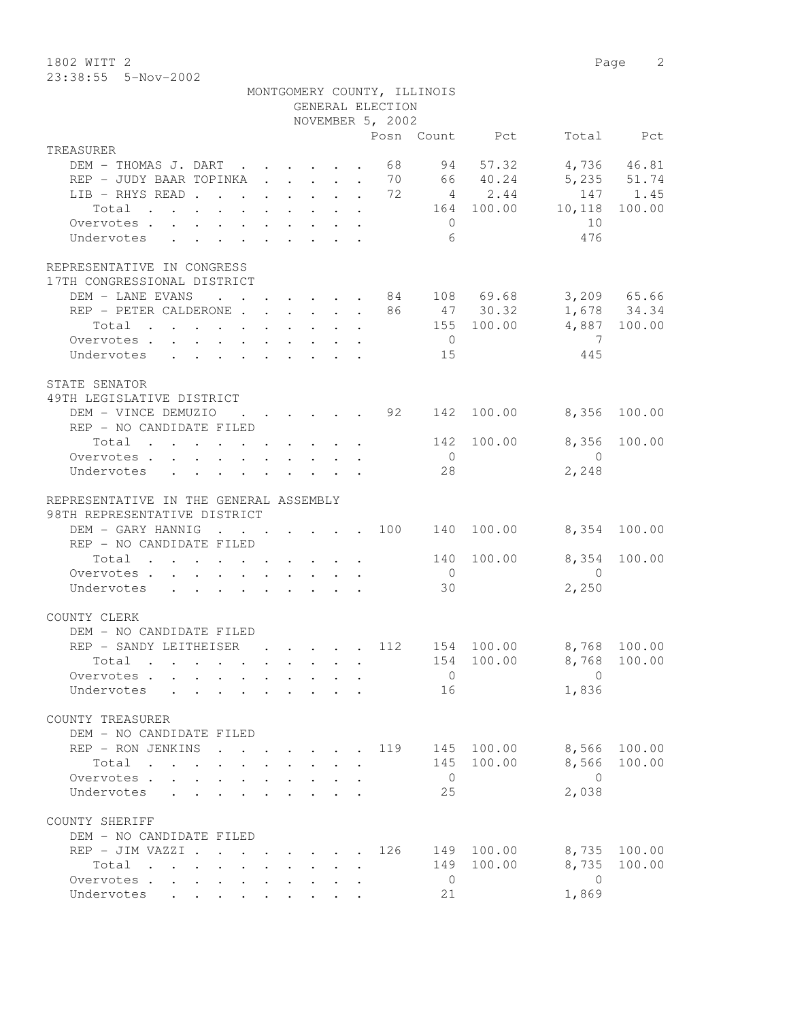1802 WITT 2 Page 2 23:38:55 5-Nov-2002

|                                                                                   |                                                                       |                                                         |                      | MONTGOMERY COUNTY, ILLINOIS<br>GENERAL ELECTION<br>NOVEMBER 5, 2002 |                 |                |                         |              |
|-----------------------------------------------------------------------------------|-----------------------------------------------------------------------|---------------------------------------------------------|----------------------|---------------------------------------------------------------------|-----------------|----------------|-------------------------|--------------|
| TREASURER                                                                         |                                                                       |                                                         |                      |                                                                     |                 | Posn Count Pct |                         | Total Pct    |
|                                                                                   |                                                                       |                                                         |                      |                                                                     |                 |                |                         |              |
| DEM - THOMAS J. DART 68 94                                                        |                                                                       |                                                         |                      |                                                                     |                 | 57.32          |                         | 4,736 46.81  |
| REP - JUDY BAAR TOPINKA 70 66 40.24 5,235 51.74                                   |                                                                       |                                                         |                      |                                                                     |                 |                |                         |              |
| LIB - RHYS READ 72 4 2.44                                                         |                                                                       |                                                         |                      |                                                                     |                 |                |                         | 147 1.45     |
| Total 164 100.00 10,118 100.00                                                    |                                                                       |                                                         |                      |                                                                     |                 |                |                         |              |
| Overvotes.                                                                        |                                                                       |                                                         |                      |                                                                     | $\overline{0}$  |                | 10                      |              |
| Undervotes                                                                        |                                                                       |                                                         |                      |                                                                     | $6\overline{6}$ |                | 476                     |              |
| REPRESENTATIVE IN CONGRESS<br>17TH CONGRESSIONAL DISTRICT                         |                                                                       |                                                         |                      |                                                                     |                 |                |                         |              |
| DEM - LANE EVANS 84 108 69.68                                                     |                                                                       |                                                         |                      |                                                                     |                 |                |                         | 3,209 65.66  |
| REP - PETER CALDERONE 86 47 30.32                                                 |                                                                       |                                                         |                      |                                                                     |                 |                |                         | 1,678 34.34  |
| Total                                                                             |                                                                       |                                                         |                      |                                                                     |                 |                | 155 100.00 4,887 100.00 |              |
| Overvotes.                                                                        |                                                                       |                                                         |                      |                                                                     | $\overline{0}$  |                | $\overline{7}$          |              |
| Undervotes 15                                                                     |                                                                       |                                                         |                      |                                                                     |                 |                | 445                     |              |
|                                                                                   |                                                                       |                                                         |                      |                                                                     |                 |                |                         |              |
| STATE SENATOR<br>49TH LEGISLATIVE DISTRICT                                        |                                                                       |                                                         |                      |                                                                     |                 |                |                         |              |
| DEM - VINCE DEMUZIO : : : : : 92 142 100.00 8,356 100.00                          |                                                                       |                                                         |                      |                                                                     |                 |                |                         |              |
| REP - NO CANDIDATE FILED                                                          |                                                                       |                                                         |                      |                                                                     |                 |                |                         |              |
| Total $\cdot$                                                                     |                                                                       |                                                         |                      |                                                                     |                 | 142 100.00     |                         | 8,356 100.00 |
| Overvotes                                                                         |                                                                       |                                                         |                      |                                                                     | $\overline{0}$  |                | $\overline{0}$          |              |
| Undervotes                                                                        |                                                                       |                                                         |                      |                                                                     | 28              |                | 2,248                   |              |
| REPRESENTATIVE IN THE GENERAL ASSEMBLY<br>98TH REPRESENTATIVE DISTRICT            |                                                                       |                                                         |                      |                                                                     |                 |                |                         |              |
| DEM - GARY HANNIG 100 140 100.00<br>REP - NO CANDIDATE FILED                      |                                                                       |                                                         |                      |                                                                     |                 |                |                         | 8,354 100.00 |
| Total                                                                             |                                                                       |                                                         |                      |                                                                     |                 | 140 100.00     |                         | 8,354 100.00 |
| Overvotes.                                                                        |                                                                       |                                                         |                      |                                                                     | $\overline{0}$  |                | $\overline{0}$          |              |
| Undervotes                                                                        |                                                                       |                                                         |                      |                                                                     | 30              |                | 2,250                   |              |
|                                                                                   |                                                                       |                                                         |                      |                                                                     |                 |                |                         |              |
| COUNTY CLERK                                                                      |                                                                       |                                                         |                      |                                                                     |                 |                |                         |              |
| DEM - NO CANDIDATE FILED                                                          |                                                                       |                                                         |                      |                                                                     |                 |                |                         |              |
| REP - SANDY LEITHEISER 112 154 100.00 8,768 100.00                                |                                                                       |                                                         |                      |                                                                     |                 |                |                         |              |
| Total                                                                             |                                                                       |                                                         |                      |                                                                     |                 |                | 154 100.00 8,768 100.00 |              |
| Overvotes                                                                         |                                                                       |                                                         |                      |                                                                     | $\overline{0}$  |                | $\mathbf{0}$            |              |
| Undervotes .                                                                      |                                                                       |                                                         |                      |                                                                     | 16              |                | 1,836                   |              |
| COUNTY TREASURER<br>DEM - NO CANDIDATE FILED                                      |                                                                       |                                                         |                      |                                                                     |                 |                |                         |              |
| REP - RON JENKINS                                                                 |                                                                       |                                                         |                      | 119                                                                 |                 | 145 100.00     | 8,566                   | 100.00       |
| Total                                                                             | $\mathbf{r}$ , and $\mathbf{r}$ , and $\mathbf{r}$ , and $\mathbf{r}$ |                                                         |                      |                                                                     |                 | 145 100.00     | 8,566                   | 100.00       |
| Overvotes.                                                                        |                                                                       |                                                         |                      |                                                                     | $\overline{0}$  |                | $\overline{0}$          |              |
| Undervotes<br>$\sim$                                                              |                                                                       |                                                         |                      |                                                                     | 25              |                | 2,038                   |              |
| COUNTY SHERIFF<br>DEM - NO CANDIDATE FILED                                        |                                                                       |                                                         |                      |                                                                     |                 |                |                         |              |
| REP - JIM VAZZI                                                                   |                                                                       |                                                         |                      | 126                                                                 |                 | 149 100.00     | 8,735                   | 100.00       |
| Total<br>$\mathbf{r}$ , $\mathbf{r}$ , $\mathbf{r}$ , $\mathbf{r}$ , $\mathbf{r}$ |                                                                       |                                                         | $\ddot{\phantom{0}}$ |                                                                     | 149             | 100.00         | 8,735                   | 100.00       |
| Overvotes                                                                         |                                                                       | $\cdot$ $\cdot$ $\cdot$ $\cdot$ $\cdot$ $\cdot$ $\cdot$ |                      |                                                                     | $\overline{0}$  |                | $\overline{0}$          |              |
| Undervotes .<br>$\sim$                                                            |                                                                       |                                                         |                      |                                                                     | 21              |                | 1,869                   |              |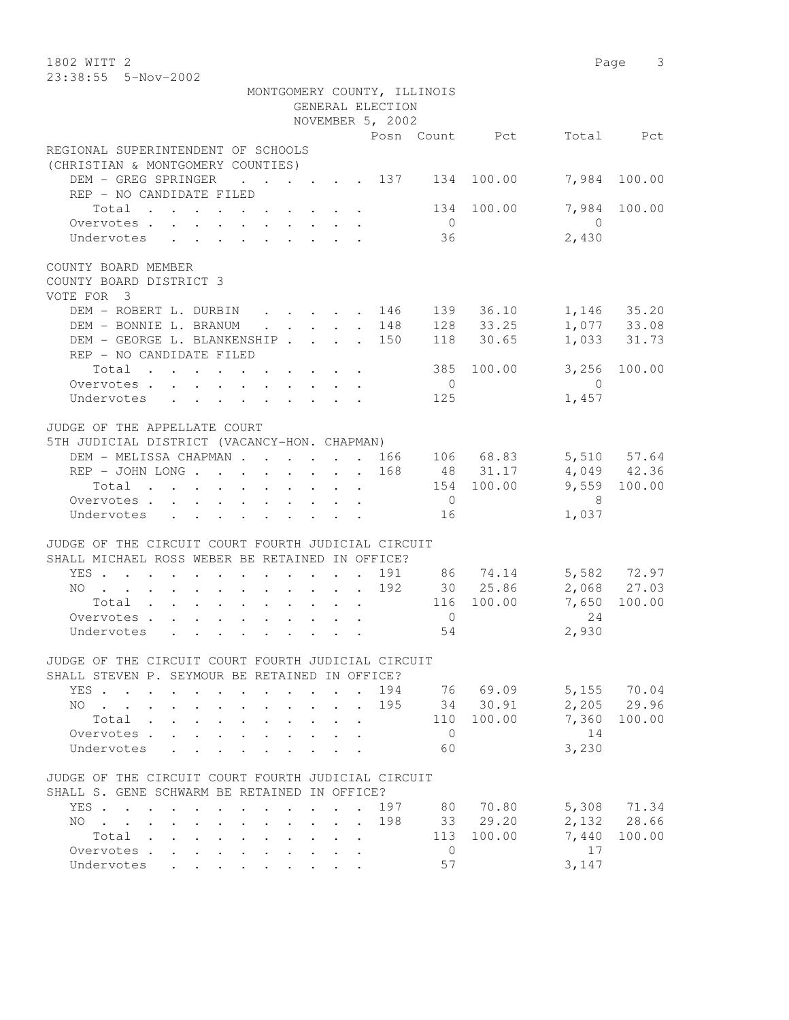1802 WITT 2 Page 3 23:38:55 5-Nov-2002 MONTGOMERY COUNTY, ILLINOIS GENERAL ELECTION NOVEMBER 5, 2002 Posn Count Pct Total Pct REGIONAL SUPERINTENDENT OF SCHOOLS (CHRISTIAN & MONTGOMERY COUNTIES) DEM - GREG SPRINGER . . . . . 137 134 100.00 7,984 100.00 REP - NO CANDIDATE FILED Total . . . . . . . . . . 134 100.00 7,984 100.00 Overvotes . . . . . . . . . . 0 0 Undervotes . . . . . . . . . 36 2,430 COUNTY BOARD MEMBER

COUNTY BOARD DISTRICT 3 VOTE FOR 3

| DEM - ROBERT L. DURBIN                                              |  |  |  |  | 146 | 139 | 36.10      | 1,146 | 35.20  |
|---------------------------------------------------------------------|--|--|--|--|-----|-----|------------|-------|--------|
| DEM - BONNIE L. BRANUM                                              |  |  |  |  | 148 | 128 | 33.25      | 1,077 | 33.08  |
| DEM - GEORGE L. BLANKENSHIP 150                                     |  |  |  |  |     | 118 | 30.65      | 1,033 | 31.73  |
| REP - NO CANDIDATE FILED                                            |  |  |  |  |     |     |            |       |        |
| $Total \cdot \cdot \cdot \cdot \cdot \cdot \cdot \cdot \cdot \cdot$ |  |  |  |  |     |     | 385 100.00 | 3,256 | 100.00 |
| Overvotes.                                                          |  |  |  |  |     |     |            |       |        |
| Undervotes                                                          |  |  |  |  |     | 125 |            | 1,457 |        |
| JUDGE OF THE APPELLATE COURT                                        |  |  |  |  |     |     |            |       |        |
| 5TH JUDICIAL DISTRICT (VACANCY-HON. CHAPMAN)                        |  |  |  |  |     |     |            |       |        |
| DEM - MELISSA CHAPMAN                                               |  |  |  |  | 166 | 106 | 68.83      | 5,510 | 57.64  |

| REP - JOHN LONG 168 |  |  |  |  |                  | 48 31.17   |       | 4,049 42.36  |
|---------------------|--|--|--|--|------------------|------------|-------|--------------|
| Total               |  |  |  |  |                  | 154 100.00 |       | 9,559 100.00 |
| Overvotes           |  |  |  |  | $\left( \right)$ |            |       |              |
| Undervotes          |  |  |  |  | 16               |            | 1,037 |              |
|                     |  |  |  |  |                  |            |       |              |

## JUDGE OF THE CIRCUIT COURT FOURTH JUDICIAL CIRCUIT

| SHALL MICHAEL ROSS WEBER BE RETAINED IN OFFICE? |      |        |  |  |  |  |                                                               |                |            |              |             |
|-------------------------------------------------|------|--------|--|--|--|--|---------------------------------------------------------------|----------------|------------|--------------|-------------|
|                                                 |      |        |  |  |  |  | YES. 191                                                      |                | 86 74.14   | 5,582 72.97  |             |
|                                                 |      |        |  |  |  |  | NO 192                                                        |                | 30 25.86   |              | 2,068 27.03 |
|                                                 |      |        |  |  |  |  | $Total \cdot \cdot \cdot \cdot \cdot \cdot \cdot \cdot \cdot$ |                | 116 100.00 | 7,650 100.00 |             |
|                                                 |      |        |  |  |  |  | Overvotes                                                     | $\overline{0}$ |            | 24           |             |
|                                                 |      |        |  |  |  |  |                                                               | 54             |            | 2,930        |             |
|                                                 |      |        |  |  |  |  |                                                               |                |            |              |             |
| JUDGE.                                          | THE. | CIRCII |  |  |  |  | COURT FOURTH JUDICIAL CIRCUIT                                 |                |            |              |             |

## SHALL STEVEN P. SEYMOUR BE RETAINED IN OFFICE?

|  | ANNIA AIANAN F. AAINAAN DA MAININA IN AFFIAA. |  |  |  |  |  |                                                    |          |          |              |  |
|--|-----------------------------------------------|--|--|--|--|--|----------------------------------------------------|----------|----------|--------------|--|
|  |                                               |  |  |  |  |  | YES. 194                                           |          | 76 69.09 | 5,155 70.04  |  |
|  |                                               |  |  |  |  |  | NO 195                                             |          | 34 30.91 | 2,205 29.96  |  |
|  |                                               |  |  |  |  |  | Total 110                                          |          | 100.00   | 7,360 100.00 |  |
|  |                                               |  |  |  |  |  | Overvotes                                          | $\cup$ 0 |          | 14           |  |
|  |                                               |  |  |  |  |  | Undervotes 60                                      |          |          | 3,230        |  |
|  |                                               |  |  |  |  |  |                                                    |          |          |              |  |
|  |                                               |  |  |  |  |  | JUDGE OF THE CIRCUIT COURT FOURTH JUDICIAL CIRCUIT |          |          |              |  |
|  | SHALL S. GENE SCHWARM BE RETAINED IN OFFICE?  |  |  |  |  |  |                                                    |          |          |              |  |

|            |       |  |  |  |  |  | YES. 197 |     | 80 70.80   |       | 5,308 71.34  |
|------------|-------|--|--|--|--|--|----------|-----|------------|-------|--------------|
|            |       |  |  |  |  |  | NO 198   |     | 33 29.20   |       | 2,132 28.66  |
|            | Total |  |  |  |  |  |          |     | 113 100.00 |       | 7,440 100.00 |
| Overvotes. |       |  |  |  |  |  |          | ( ) |            |       |              |
| Undervotes |       |  |  |  |  |  |          | 57  |            | 3.147 |              |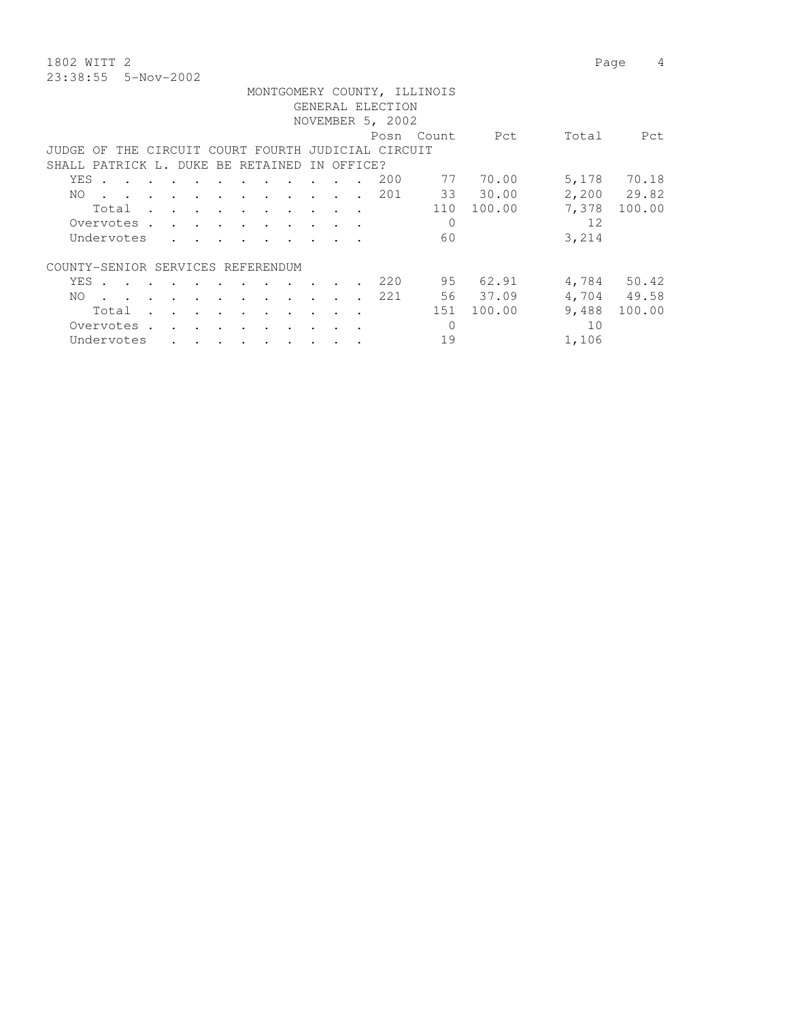1802 WITT 2 Page 4 23:38:55 5-Nov-2002

|     |                                                                                                        |  |        |                                                                          |         |                                                                                                                 |               |            | GENERAL ELECTION<br>NOVEMBER 5, 2002 | MONTGOMERY COUNTY, ILLINOIS |            |       |             |
|-----|--------------------------------------------------------------------------------------------------------|--|--------|--------------------------------------------------------------------------|---------|-----------------------------------------------------------------------------------------------------------------|---------------|------------|--------------------------------------|-----------------------------|------------|-------|-------------|
|     |                                                                                                        |  |        |                                                                          |         |                                                                                                                 |               |            |                                      | Posn Count                  | Pct        | Total | Pct         |
|     | JUDGE OF THE CIRCUIT COURT FOURTH JUDICIAL CIRCUIT                                                     |  |        |                                                                          |         |                                                                                                                 |               |            |                                      |                             |            |       |             |
|     | SHALL PATRICK L. DUKE BE RETAINED                                                                      |  |        |                                                                          |         |                                                                                                                 |               | IN OFFICE? |                                      |                             |            |       |             |
|     | YES .                                                                                                  |  | $\sim$ | $\sim$                                                                   | $\cdot$ |                                                                                                                 |               |            | 200                                  | 77                          | 70.00      | 5,178 | 70.18       |
| NO. | $\mathbf{r}$ , $\mathbf{r}$ , $\mathbf{r}$ , $\mathbf{r}$ , $\mathbf{r}$ , $\mathbf{r}$ , $\mathbf{r}$ |  |        |                                                                          |         |                                                                                                                 |               | $\sim$     | 201                                  |                             | 33 30.00   |       | 2,200 29.82 |
|     | Total                                                                                                  |  |        |                                                                          |         |                                                                                                                 |               |            |                                      |                             | 110 100.00 | 7,378 | 100.00      |
|     | Overvotes                                                                                              |  |        |                                                                          |         |                                                                                                                 |               |            |                                      | $\mathbf 0$                 |            | 12.   |             |
|     | Undervotes                                                                                             |  |        |                                                                          |         |                                                                                                                 |               |            |                                      | 60                          |            | 3,214 |             |
|     | COUNTY-SENIOR SERVICES REFERENDUM                                                                      |  |        |                                                                          |         |                                                                                                                 |               |            |                                      |                             |            |       |             |
|     | YES .                                                                                                  |  |        |                                                                          |         | the contract of the contract of the contract of the contract of the contract of the contract of the contract of |               |            | 220                                  |                             | 95 62.91   |       | 4,784 50.42 |
| NO. | $\cdot$ $\cdot$                                                                                        |  |        |                                                                          |         | the contract of the contract of the contract of the contract of the contract of the contract of the contract of |               |            | 221                                  |                             | 56 37.09   |       | 4,704 49.58 |
|     | Total                                                                                                  |  |        |                                                                          |         | $\sim$                                                                                                          | $\sim$ $\sim$ | $\cdot$    |                                      | 151                         | 100.00     | 9,488 | 100.00      |
|     | Overvotes.                                                                                             |  |        | and the state of the state of the state of                               |         |                                                                                                                 |               |            |                                      | $\Omega$                    |            | 10    |             |
|     | Undervotes                                                                                             |  |        | $\mathbf{r} = \mathbf{r} \cdot \mathbf{r} = \mathbf{r} \cdot \mathbf{r}$ |         |                                                                                                                 |               |            |                                      | 19                          |            | 1,106 |             |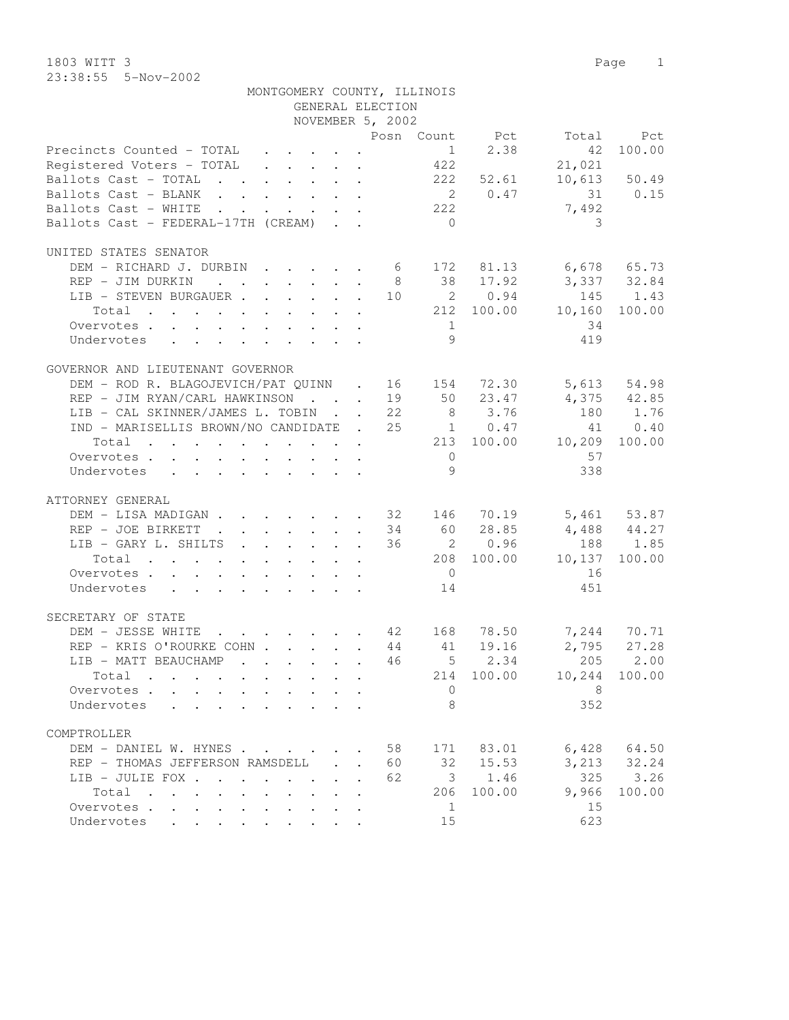1803 WITT 3 Page 1 23:38:55 5-Nov-2002

| MONTGOMERY COUNTY, ILLINOIS                                                                                                             |              |                    |                 |            |                      |              |
|-----------------------------------------------------------------------------------------------------------------------------------------|--------------|--------------------|-----------------|------------|----------------------|--------------|
|                                                                                                                                         |              | GENERAL ELECTION   |                 |            |                      |              |
|                                                                                                                                         |              | NOVEMBER 5, 2002   |                 |            |                      |              |
|                                                                                                                                         |              |                    |                 |            | Posn Count Pct Total | Pct          |
| Precincts Counted - TOTAL                                                                                                               |              |                    | 1               | 2.38       | 42                   | 100.00       |
| Registered Voters - TOTAL                                                                                                               |              |                    | 422             |            | 21,021               |              |
| Ballots Cast - TOTAL                                                                                                                    |              |                    | 222             | 52.61      |                      | 10,613 50.49 |
| Ballots Cast - BLANK                                                                                                                    |              |                    |                 | 2 0.47     |                      | 31 0.15      |
| Ballots Cast - WHITE<br>the contract of the contract of the contract of the contract of the contract of the contract of the contract of |              |                    | 222             |            | 7,492                |              |
| Ballots Cast - FEDERAL-17TH (CREAM)                                                                                                     |              |                    | $\overline{0}$  |            | 3                    |              |
|                                                                                                                                         |              |                    |                 |            |                      |              |
| UNITED STATES SENATOR                                                                                                                   |              |                    |                 |            |                      |              |
| DEM - RICHARD J. DURBIN 6 172 81.13 6,678 65.73                                                                                         |              |                    |                 |            |                      |              |
| REP - JIM DURKIN                                                                                                                        |              |                    |                 | 8 38 17.92 | 3,337 32.84          |              |
| LIB - STEVEN BURGAUER 10 2 0.94                                                                                                         |              |                    |                 |            | 145                  | 1.43         |
| Total                                                                                                                                   |              |                    |                 | 212 100.00 | 10,160               | 100.00       |
| Overvotes.                                                                                                                              |              |                    | 1               |            | 34                   |              |
| Undervotes<br>design and a state of the state of                                                                                        |              |                    | Q               |            | 419                  |              |
|                                                                                                                                         |              |                    |                 |            |                      |              |
| GOVERNOR AND LIEUTENANT GOVERNOR                                                                                                        |              |                    |                 |            |                      |              |
| DEM - ROD R. BLAGOJEVICH/PAT QUINN . 16 154 72.30                                                                                       |              |                    |                 |            | 5,613                | 54.98        |
| REP - JIM RYAN/CARL HAWKINSON 19 50 23.47                                                                                               |              |                    |                 |            |                      | 4,375 42.85  |
| LIB - CAL SKINNER/JAMES L. TOBIN 22                                                                                                     |              |                    |                 | 8 3.76     | 180                  | 1.76         |
| IND - MARISELLIS BROWN/NO CANDIDATE . 25 1 0.47                                                                                         |              |                    |                 |            | 41                   | 0.40         |
| Total                                                                                                                                   |              |                    |                 | 213 100.00 | 10,209               | 100.00       |
| Overvotes                                                                                                                               |              |                    | $\overline{0}$  |            | 57                   |              |
| Undervotes<br>$\mathbf{r}$ , and $\mathbf{r}$ , and $\mathbf{r}$ , and $\mathbf{r}$ , and $\mathbf{r}$                                  |              |                    | 9               |            | 338                  |              |
|                                                                                                                                         |              |                    |                 |            |                      |              |
| ATTORNEY GENERAL                                                                                                                        |              |                    |                 |            |                      |              |
| DEM - LISA MADIGAN 32 146 70.19 5,461 53.87                                                                                             |              |                    |                 |            |                      |              |
| REP - JOE BIRKETT<br>$\cdot$ 34                                                                                                         |              |                    |                 | 60 28.85   | 4,488 44.27          |              |
| LIB - GARY L. SHILTS                                                                                                                    |              | 36                 |                 | 2 0.96     | 188                  | 1.85         |
| Total                                                                                                                                   |              |                    |                 | 208 100.00 | 10,137               | 100.00       |
| Overvotes                                                                                                                               |              |                    | $\overline{0}$  |            | 16                   |              |
| Undervotes                                                                                                                              |              |                    | 14              |            | 451                  |              |
|                                                                                                                                         |              |                    |                 |            |                      |              |
| SECRETARY OF STATE                                                                                                                      |              |                    |                 |            |                      |              |
| DEM - JESSE WHITE<br>. 42 168                                                                                                           |              |                    |                 | 78.50      |                      | 7,244 70.71  |
| REP - KRIS O'ROURKE COHN 44                                                                                                             |              |                    | 41              | 19.16      | 2,795                | 27.28        |
| LIB - MATT BEAUCHAMP                                                                                                                    |              | 46                 | $5\phantom{.0}$ | 2.34       | 205                  | 2.00         |
| Total                                                                                                                                   |              |                    | 214             | 100.00     | 10,244               | 100.00       |
| Overvotes .                                                                                                                             |              |                    | $\mathbf 0$     |            | 8                    |              |
| Undervotes                                                                                                                              |              |                    | 8               |            | 352                  |              |
|                                                                                                                                         |              |                    |                 |            |                      |              |
| COMPTROLLER                                                                                                                             |              |                    |                 |            |                      |              |
| DEM - DANIEL W. HYNES                                                                                                                   |              | 58                 | 171             | 83.01      | 6,428                | 64.50        |
| REP - THOMAS JEFFERSON RAMSDELL                                                                                                         | $\mathbf{L}$ | 60<br>$\mathbf{r}$ | 32              | 15.53      | 3,213                | 32.24        |
| LIB - JULIE FOX .<br>$\ddot{\phantom{0}}$<br>$\ddot{\phantom{a}}$<br>$\sim$ 100 $\sim$                                                  |              | 62                 | 3               | 1.46       | 325                  | 3.26         |
| Total<br>$\sim$<br>$\cdot$ $\cdot$ $\cdot$ $\cdot$ $\cdot$ $\cdot$<br>$\ddot{\phantom{0}}$                                              |              |                    | 206             | 100.00     | 9,966                | 100.00       |
| Overvotes<br>$\ddot{\phantom{0}}$<br>$\bullet$<br>$\ddot{\phantom{a}}$                                                                  |              |                    | 1               |            | 15                   |              |
| Undervotes<br>and the contract of the con-                                                                                              |              |                    | 15              |            | 623                  |              |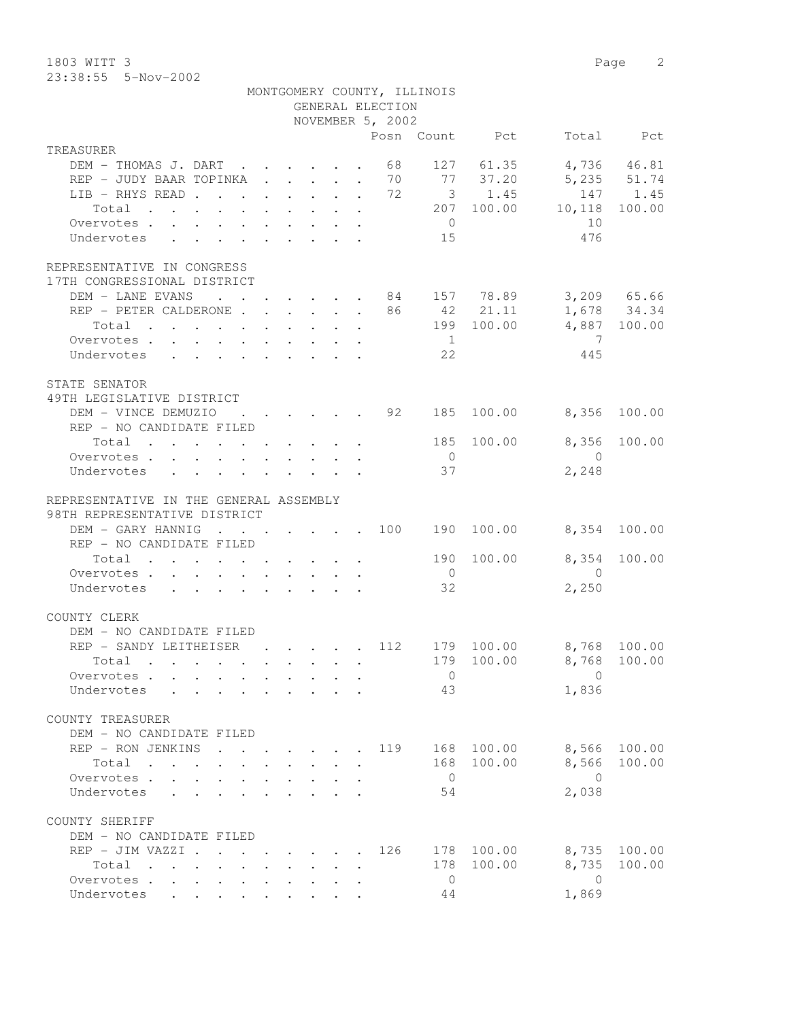1803 WITT 3 Page 2 23:38:55 5-Nov-2002

|                                                                                                   |                                                | GENERAL ELECTION | MONTGOMERY COUNTY, ILLINOIS |                                                                       |                         |                  |
|---------------------------------------------------------------------------------------------------|------------------------------------------------|------------------|-----------------------------|-----------------------------------------------------------------------|-------------------------|------------------|
|                                                                                                   |                                                | NOVEMBER 5, 2002 |                             | Posn Count Pct                                                        |                         | Total Pct        |
| TREASURER                                                                                         |                                                |                  |                             |                                                                       |                         |                  |
| DEM - THOMAS J. DART                                                                              |                                                | 68               |                             | 127 61.35                                                             |                         | 4,736 46.81      |
| REP - JUDY BAAR TOPINKA 70 77 37.20                                                               |                                                |                  |                             |                                                                       |                         | 5,235 51.74      |
| LIB - RHYS READ 72 3 1.45                                                                         |                                                |                  |                             |                                                                       |                         | 147 1.45         |
| Total                                                                                             |                                                |                  |                             |                                                                       | 207 100.00 10,118       | 100.00           |
| Overvotes                                                                                         |                                                |                  | $\overline{0}$              |                                                                       | 10                      |                  |
| Undervotes                                                                                        |                                                |                  | 15                          |                                                                       | 476                     |                  |
| REPRESENTATIVE IN CONGRESS                                                                        |                                                |                  |                             |                                                                       |                         |                  |
| 17TH CONGRESSIONAL DISTRICT                                                                       |                                                |                  |                             |                                                                       |                         |                  |
| DEM - LANE EVANS 84 157 78.89 3,209 65.66                                                         |                                                |                  |                             |                                                                       |                         |                  |
| REP - PETER CALDERONE $\cdots$ 86 42 21.11                                                        |                                                |                  |                             |                                                                       |                         | 1,678 34.34      |
| Total<br>$\mathbf{r}$ , and $\mathbf{r}$ , and $\mathbf{r}$ , and $\mathbf{r}$ , and $\mathbf{r}$ |                                                |                  |                             |                                                                       | 199 100.00 4,887 100.00 |                  |
| Overvotes                                                                                         |                                                |                  | $\frac{1}{2}$               |                                                                       | $\overline{7}$          |                  |
| Undervotes                                                                                        |                                                |                  | 22                          |                                                                       | 445                     |                  |
| STATE SENATOR                                                                                     |                                                |                  |                             |                                                                       |                         |                  |
| 49TH LEGISLATIVE DISTRICT                                                                         |                                                |                  |                             |                                                                       |                         |                  |
| DEM - VINCE DEMUZIO                                                                               |                                                |                  |                             | $\cdot$ $\cdot$ $\cdot$ $\cdot$ $\cdot$ $\cdot$ $\cdot$ 92 185 100.00 | 8,356                   | 100.00           |
| REP - NO CANDIDATE FILED                                                                          |                                                |                  |                             |                                                                       |                         |                  |
| Total $\cdot$                                                                                     |                                                |                  | 185                         | 100.00                                                                | 8,356                   | 100.00           |
| Overvotes                                                                                         |                                                |                  | $\overline{0}$              |                                                                       | $\overline{0}$          |                  |
| Undervotes                                                                                        |                                                |                  | 37                          |                                                                       | 2,248                   |                  |
| REPRESENTATIVE IN THE GENERAL ASSEMBLY                                                            |                                                |                  |                             |                                                                       |                         |                  |
| 98TH REPRESENTATIVE DISTRICT                                                                      |                                                |                  |                             |                                                                       |                         |                  |
| DEM - GARY HANNIG                                                                                 |                                                |                  |                             | $\cdot$ 100 190 100.00                                                |                         | 8,354 100.00     |
| REP - NO CANDIDATE FILED                                                                          |                                                |                  |                             |                                                                       |                         |                  |
| Total $\cdot$                                                                                     |                                                |                  |                             | 190 100.00                                                            |                         | 8,354 100.00     |
| Overvotes.                                                                                        |                                                |                  | $\overline{0}$              |                                                                       | $\overline{0}$          |                  |
| Undervotes                                                                                        |                                                |                  | 32                          |                                                                       | 2,250                   |                  |
| COUNTY CLERK                                                                                      |                                                |                  |                             |                                                                       |                         |                  |
| DEM - NO CANDIDATE FILED                                                                          |                                                |                  |                             |                                                                       |                         |                  |
| REP - SANDY LEITHEISER                                                                            | . 112                                          |                  |                             | 179 100.00                                                            | 8,768 100.00            |                  |
| Total .                                                                                           |                                                |                  |                             |                                                                       | 179 100.00 8,768 100.00 |                  |
| Overvotes                                                                                         |                                                |                  | $\overline{0}$              |                                                                       | $\Omega$                |                  |
| Undervotes                                                                                        | $\mathbf{r}$ and $\mathbf{r}$ and $\mathbf{r}$ |                  | 43                          |                                                                       | 1,836                   |                  |
|                                                                                                   |                                                |                  |                             |                                                                       |                         |                  |
| COUNTY TREASURER                                                                                  |                                                |                  |                             |                                                                       |                         |                  |
| DEM - NO CANDIDATE FILED<br>REP - RON JENKINS<br>$\sim$                                           |                                                | 119              |                             | 168 100.00                                                            | 8,566                   | 100.00           |
| Total                                                                                             |                                                |                  |                             | 168 100.00                                                            | 8,566                   | 100.00           |
| Overvotes<br>$\mathbf{A}$                                                                         |                                                |                  | $\overline{0}$              |                                                                       | $\bigcirc$              |                  |
| Undervotes<br>$\mathcal{L}^{\text{max}}$                                                          |                                                |                  | 54                          |                                                                       | 2,038                   |                  |
|                                                                                                   |                                                |                  |                             |                                                                       |                         |                  |
| COUNTY SHERIFF                                                                                    |                                                |                  |                             |                                                                       |                         |                  |
| DEM - NO CANDIDATE FILED                                                                          |                                                |                  |                             |                                                                       |                         |                  |
| REP - JIM VAZZI .<br>Total                                                                        | $\cdot$ $\cdot$ $\cdot$ $\cdot$ $\cdot$        | 126              | 178                         | 178 100.00<br>100.00                                                  | 8,735<br>8,735          | 100.00<br>100.00 |
| $\mathbf{r}$ , and $\mathbf{r}$ , and $\mathbf{r}$ , and $\mathbf{r}$<br>Overvotes.               |                                                |                  | $\overline{0}$              |                                                                       | $\overline{0}$          |                  |
| Undervotes                                                                                        |                                                |                  | 44                          |                                                                       | 1,869                   |                  |
|                                                                                                   |                                                |                  |                             |                                                                       |                         |                  |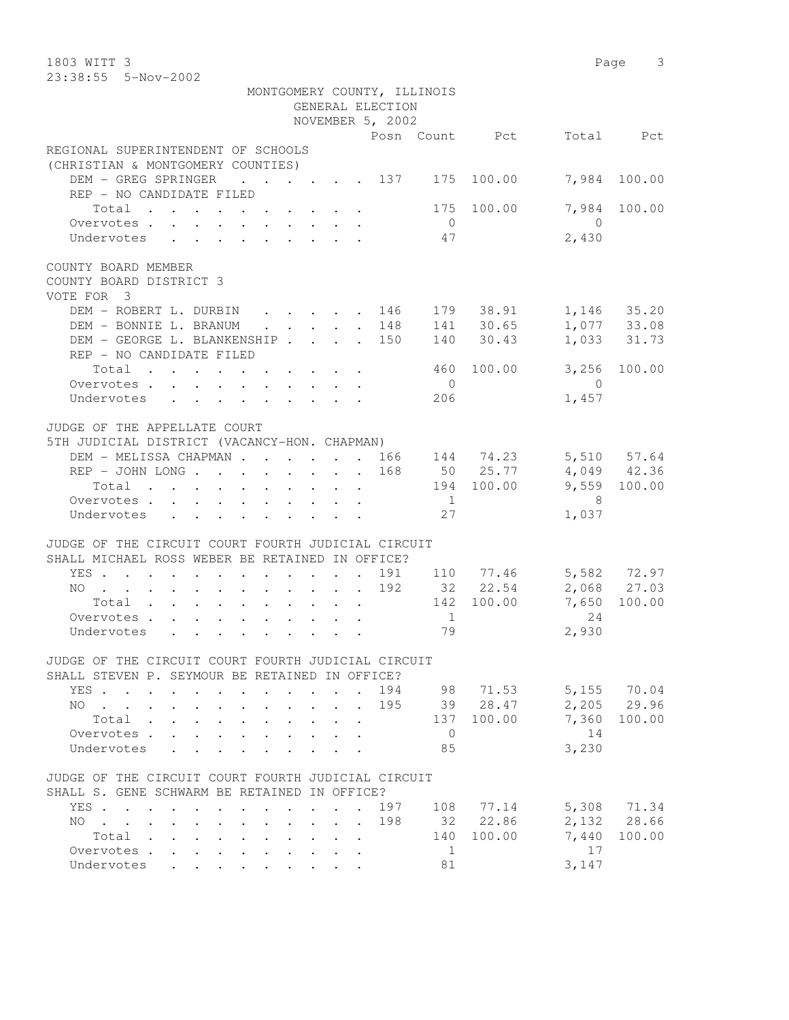| 1803 WITT 3                                                                                            |                | Page 3          |  |
|--------------------------------------------------------------------------------------------------------|----------------|-----------------|--|
| 23:38:55  5-Nov-2002                                                                                   |                |                 |  |
| MONTGOMERY COUNTY, ILLINOIS                                                                            |                |                 |  |
| GENERAL ELECTION                                                                                       |                |                 |  |
| NOVEMBER 5, 2002                                                                                       |                |                 |  |
|                                                                                                        | Posn Count Pct | Total Pct       |  |
| REGIONAL SUPERINTENDENT OF SCHOOLS                                                                     |                |                 |  |
| (CHRISTIAN & MONTGOMERY COUNTIES)                                                                      |                |                 |  |
| DEM - GREG SPRINGER 137 175 100.00                                                                     |                | 7,984 100.00    |  |
| REP - NO CANDIDATE FILED                                                                               |                |                 |  |
| Total 175 100.00                                                                                       |                | 7,984 100.00    |  |
| Overvotes                                                                                              | $\overline{0}$ | $\bigcirc$      |  |
| Undervotes                                                                                             | 47             | 2,430           |  |
|                                                                                                        |                |                 |  |
| COUNTY BOARD MEMBER                                                                                    |                |                 |  |
| COUNTY BOARD DISTRICT 3                                                                                |                |                 |  |
| VOTE FOR 3                                                                                             |                |                 |  |
| DEM - ROBERT L. DURBIN 146 179 38.91 1,146 35.20                                                       |                |                 |  |
| $\cdot$ $\cdot$ $\cdot$ $\cdot$ $\cdot$ 148 141 30.65<br>DEM - BONNIE L. BRANUM                        |                | 1,077 33.08     |  |
| DEM - GEORGE L. BLANKENSHIP 150 140 30.43                                                              |                | 1,033 31.73     |  |
| REP - NO CANDIDATE FILED                                                                               |                |                 |  |
| Total                                                                                                  | 460 100.00     | 3,256 100.00    |  |
| Overvotes.                                                                                             | $\overline{0}$ | $\overline{0}$  |  |
| Undervotes<br>$\mathbf{r}$ , and $\mathbf{r}$ , and $\mathbf{r}$ , and $\mathbf{r}$ , and $\mathbf{r}$ | 206            | 1,457           |  |
|                                                                                                        |                |                 |  |
| JUDGE OF THE APPELLATE COURT                                                                           |                |                 |  |
| 5TH JUDICIAL DISTRICT (VACANCY-HON. CHAPMAN)                                                           |                |                 |  |
| DEM - MELISSA CHAPMAN 166 144 74.23 5,510 57.64                                                        |                |                 |  |
| REP - JOHN LONG 168 50 25.77 4,049 42.36                                                               |                |                 |  |
|                                                                                                        | 194 100.00     | 9,559 100.00    |  |
| Total $\cdot$                                                                                          | $\overline{1}$ |                 |  |
| Overvotes                                                                                              |                | 8               |  |
| Undervotes<br>$\cdot$ $\cdot$ $\cdot$ $\cdot$ $\cdot$                                                  | 27             | 1,037           |  |
|                                                                                                        |                |                 |  |
| JUDGE OF THE CIRCUIT COURT FOURTH JUDICIAL CIRCUIT                                                     |                |                 |  |
| SHALL MICHAEL ROSS WEBER BE RETAINED IN OFFICE?                                                        |                |                 |  |
| YES 191 110 77.46 5,582 72.97                                                                          |                |                 |  |
| NO 192 32 22.54                                                                                        |                | 2,068 27.03     |  |
| Total 142 100.00                                                                                       |                | 7,650 100.00    |  |
| Overvotes                                                                                              | $\frac{1}{2}$  | 2.4             |  |
| Undervotes                                                                                             | 79             | 2,930           |  |
|                                                                                                        |                |                 |  |
| JUDGE OF THE CIRCUIT COURT FOURTH JUDICIAL CIRCUIT                                                     |                |                 |  |
| SHALL STEVEN P. SEYMOUR BE RETAINED IN OFFICE?                                                         |                |                 |  |
| YES.                                                                                                   | 194 98 71.53   | 5,155 70.04     |  |
| NO 195 39 28.47                                                                                        |                | 2,205 29.96     |  |
| Total                                                                                                  | 137 100.00     | 7,360<br>100.00 |  |
| Overvotes.                                                                                             | $\overline{0}$ | 14              |  |
| Undervotes<br>$\mathbf{r}$ , and $\mathbf{r}$ , and $\mathbf{r}$ , and $\mathbf{r}$ , and $\mathbf{r}$ | 85             | 3,230           |  |
|                                                                                                        |                |                 |  |
| JUDGE OF THE CIRCUIT COURT FOURTH JUDICIAL CIRCUIT                                                     |                |                 |  |
| SHALL S. GENE SCHWARM BE RETAINED IN OFFICE?                                                           |                |                 |  |
| YES 197                                                                                                | 108 77.14      | 5,308 71.34     |  |
| . 198<br>NO.                                                                                           | 32 22.86       | 2,132 28.66     |  |
| Total                                                                                                  | 100.00<br>140  | 7,440<br>100.00 |  |
| Overvotes.                                                                                             | 1              | 17              |  |
| Undervotes                                                                                             | 81             | 3,147           |  |
|                                                                                                        |                |                 |  |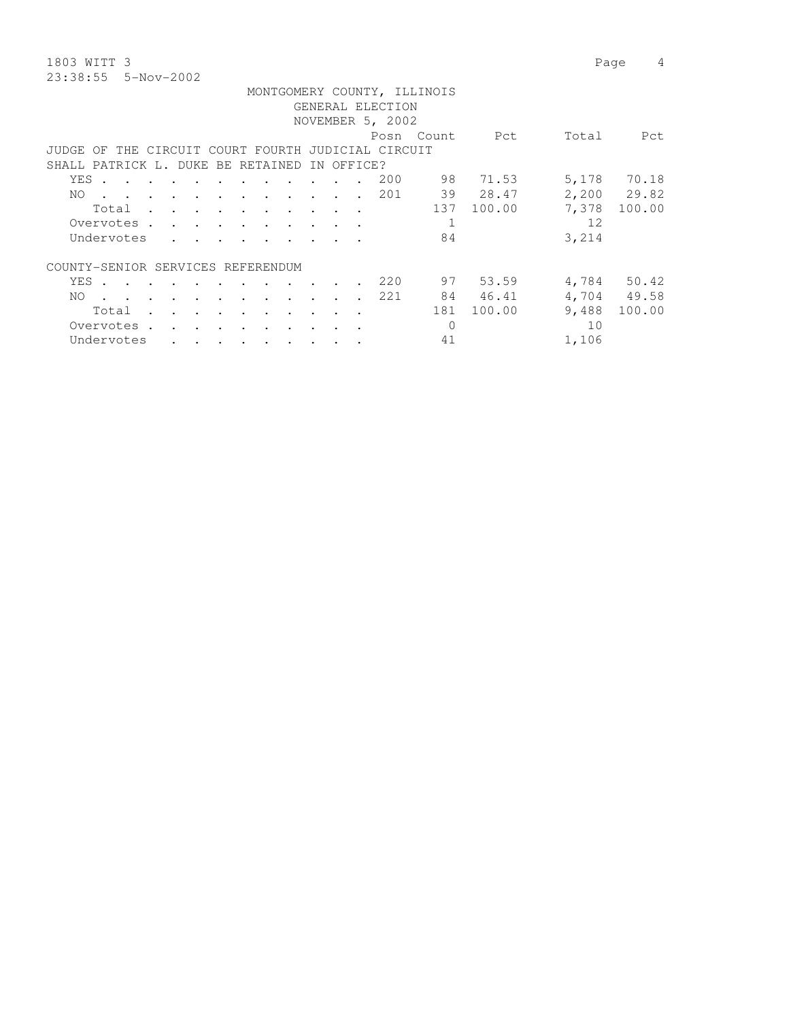1803 WITT 3 Page 4 23:38:55 5-Nov-2002

|                                                    |                                                                                                                 |        |               |                      |                                                                       |  |                      |  |                                    |        |                      |     | MONTGOMERY COUNTY, ILLINOIS |          |       |             |
|----------------------------------------------------|-----------------------------------------------------------------------------------------------------------------|--------|---------------|----------------------|-----------------------------------------------------------------------|--|----------------------|--|------------------------------------|--------|----------------------|-----|-----------------------------|----------|-------|-------------|
|                                                    | GENERAL ELECTION                                                                                                |        |               |                      |                                                                       |  |                      |  |                                    |        |                      |     |                             |          |       |             |
|                                                    | NOVEMBER 5, 2002                                                                                                |        |               |                      |                                                                       |  |                      |  |                                    |        |                      |     |                             |          |       |             |
| Posn Count<br>Pct<br>Total<br>Pct.                 |                                                                                                                 |        |               |                      |                                                                       |  |                      |  |                                    |        |                      |     |                             |          |       |             |
| JUDGE OF THE CIRCUIT COURT FOURTH JUDICIAL CIRCUIT |                                                                                                                 |        |               |                      |                                                                       |  |                      |  |                                    |        |                      |     |                             |          |       |             |
|                                                    | SHALL PATRICK L. DUKE BE RETAINED<br>IN OFFICE?                                                                 |        |               |                      |                                                                       |  |                      |  |                                    |        |                      |     |                             |          |       |             |
| YES                                                | $\sim$                                                                                                          |        |               |                      |                                                                       |  |                      |  |                                    |        |                      | 200 |                             | 98 71.53 | 5,178 | 70.18       |
| NO.                                                | the contract of the contract of the contract of the contract of the contract of the contract of the contract of |        |               |                      |                                                                       |  | $\ddot{\phantom{a}}$ |  | $\sim$ $\sim$ $\sim$ $\sim$ $\sim$ | $\sim$ | $\ddot{\phantom{a}}$ | 201 |                             | 39 28.47 |       | 2,200 29.82 |
|                                                    | Total                                                                                                           | $\sim$ | $\sim$        |                      |                                                                       |  | $\bullet$            |  |                                    |        | $\sim$               |     | 137                         | 100.00   | 7,378 | 100.00      |
|                                                    | Overvotes.                                                                                                      |        |               |                      | $\mathbf{r}$ , and $\mathbf{r}$ , and $\mathbf{r}$ , and $\mathbf{r}$ |  |                      |  |                                    |        |                      |     | 1                           |          | 12.   |             |
|                                                    | Undervotes                                                                                                      |        | $\sim$        |                      |                                                                       |  |                      |  |                                    |        |                      |     | 84                          |          | 3,214 |             |
|                                                    |                                                                                                                 |        |               |                      |                                                                       |  |                      |  |                                    |        |                      |     |                             |          |       |             |
| COUNTY-SENIOR SERVICES REFERENDUM                  |                                                                                                                 |        |               |                      |                                                                       |  |                      |  |                                    |        |                      |     |                             |          |       |             |
| YES                                                | $\sim$                                                                                                          |        | $\sim$ $\sim$ |                      |                                                                       |  |                      |  |                                    |        |                      | 220 | 97                          | 53.59    | 4,784 | 50.42       |
| NO.                                                | $\cdots$                                                                                                        |        |               |                      |                                                                       |  |                      |  |                                    |        |                      | 221 | 84                          | 46.41    |       | 4,704 49.58 |
|                                                    | Total                                                                                                           |        | $\sim$        | $\sim$ $\sim$ $\sim$ |                                                                       |  | $\bullet$            |  |                                    |        |                      |     | 181                         | 100.00   | 9,488 | 100.00      |
|                                                    | Overvotes .                                                                                                     |        |               |                      |                                                                       |  |                      |  |                                    |        |                      |     | $\mathbf 0$                 |          | 10    |             |
|                                                    | Undervotes                                                                                                      |        |               |                      |                                                                       |  |                      |  |                                    |        |                      |     | 41                          |          | 1,106 |             |
|                                                    |                                                                                                                 |        |               |                      |                                                                       |  |                      |  |                                    |        |                      |     |                             |          |       |             |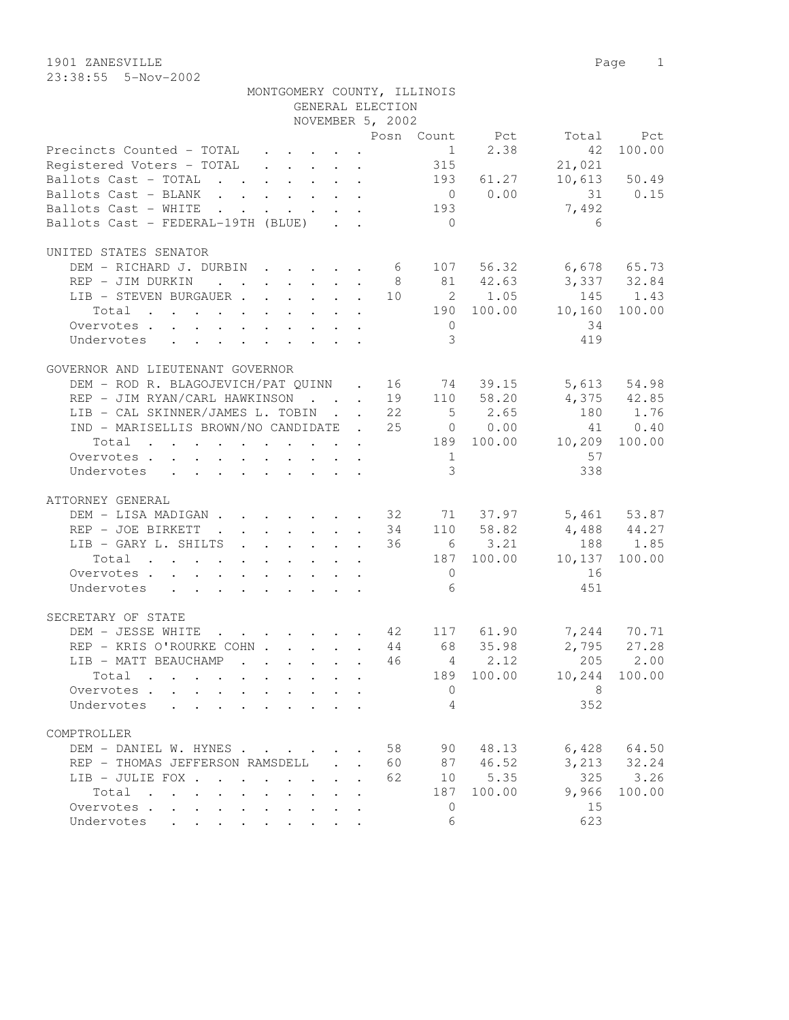1901 ZANESVILLE Page 1 23:38:55 5-Nov-2002

|                                                                                                                                                                               |                           |              | NOVEMBER 5, 2002 |    |                                           |                |                                  |                |
|-------------------------------------------------------------------------------------------------------------------------------------------------------------------------------|---------------------------|--------------|------------------|----|-------------------------------------------|----------------|----------------------------------|----------------|
|                                                                                                                                                                               |                           |              |                  |    |                                           |                |                                  | Total Pct      |
| Posn Count Pct<br>Precincts Counted - TOTAL 1 2.38<br>Registered Voters - TOTAL 315                                                                                           |                           |              |                  |    |                                           |                |                                  | 42 100.00      |
|                                                                                                                                                                               |                           |              |                  |    |                                           |                | 21,021                           |                |
| Ballots Cast - TOTAL                                                                                                                                                          |                           |              |                  |    |                                           | 193 61.27      |                                  | $10,613$ 50.49 |
| Ballots Cast - BLANK                                                                                                                                                          |                           |              |                  |    |                                           | $0 \t 0.00$    | 31 0.15                          |                |
| Ballots Cast - WHITE 193                                                                                                                                                      |                           |              |                  |    |                                           |                | 7,492                            |                |
| Ballots Cast - FEDERAL-19TH (BLUE)                                                                                                                                            |                           |              |                  |    | $\overline{0}$                            |                | 6                                |                |
|                                                                                                                                                                               |                           |              |                  |    |                                           |                |                                  |                |
| UNITED STATES SENATOR                                                                                                                                                         |                           |              |                  |    |                                           |                |                                  |                |
|                                                                                                                                                                               |                           |              |                  |    |                                           |                |                                  |                |
| DEM – RICHARD J. DURBIN 6 107 56.32 6,678 65.73<br>REP – JIM DURKIN 8 81 42.63 3,337 32.84<br>LIB – STEVEN BURGAUER 10 2 1.05 145 1.43                                        |                           |              |                  |    |                                           |                |                                  |                |
|                                                                                                                                                                               |                           |              |                  |    |                                           |                |                                  |                |
| Total                                                                                                                                                                         |                           |              |                  |    |                                           |                | 190 100.00 10,160 100.00         |                |
|                                                                                                                                                                               |                           |              |                  |    |                                           |                | 34                               |                |
| Overvotes.                                                                                                                                                                    |                           |              |                  |    | $\overline{0}$<br>$\overline{\mathbf{3}}$ |                |                                  |                |
| Undervotes                                                                                                                                                                    |                           |              |                  |    |                                           |                | 419                              |                |
|                                                                                                                                                                               |                           |              |                  |    |                                           |                |                                  |                |
| GOVERNOR AND LIEUTENANT GOVERNOR                                                                                                                                              |                           |              |                  |    |                                           |                |                                  |                |
| DEM – ROD R. BLAGOJEVICH/PAT QUINN . 16 74 39.15 5,613 54.98<br>REP – JIM RYAN/CARL HAWKINSON 19 110 58.20 4,375 42.85<br>LIB – CAL SKINNER/JAMES L. TOBIN 22 5 2.65 180 1.76 |                           |              |                  |    |                                           |                |                                  |                |
|                                                                                                                                                                               |                           |              |                  |    |                                           |                |                                  |                |
|                                                                                                                                                                               |                           |              |                  |    |                                           |                |                                  |                |
| IND - MARISELLIS BROWN/NO CANDIDATE . 25 0 0.00                                                                                                                               |                           |              |                  |    |                                           |                |                                  | 41 0.40        |
| Total 189 100.00 10,209 100.00                                                                                                                                                |                           |              |                  |    |                                           |                |                                  |                |
| Overvotes.                                                                                                                                                                    |                           |              |                  |    |                                           | 1              | 57                               |                |
| Undervotes                                                                                                                                                                    |                           |              |                  |    | $\overline{3}$                            |                | 338                              |                |
|                                                                                                                                                                               |                           |              |                  |    |                                           |                |                                  |                |
| ATTORNEY GENERAL                                                                                                                                                              |                           |              |                  |    |                                           |                |                                  |                |
| DEM – LISA MADIGAN 32 71 37.97 5,461 53.87<br>REP – JOE BIRKETT 34 110 58.82 4,488 44.27                                                                                      |                           |              |                  |    |                                           |                |                                  |                |
|                                                                                                                                                                               |                           |              |                  |    |                                           |                |                                  |                |
| LIB - GARY L. SHILTS 36                                                                                                                                                       |                           |              |                  |    |                                           | $6 \t 3.21$    | $4,488$ $44.27$<br>188 1.85      |                |
| Total                                                                                                                                                                         |                           |              |                  |    |                                           |                | $187$ $100.00$ $10,137$ $100.00$ |                |
| Overvotes                                                                                                                                                                     |                           |              |                  |    |                                           | $\overline{0}$ | 16                               |                |
| Undervotes                                                                                                                                                                    |                           |              |                  |    | $6\overline{6}$                           |                | 451                              |                |
|                                                                                                                                                                               |                           |              |                  |    |                                           |                |                                  |                |
| SECRETARY OF STATE                                                                                                                                                            |                           |              |                  |    |                                           |                |                                  |                |
| DEM - JESSE WHITE 42 117 61.90 7,244 70.71                                                                                                                                    |                           |              |                  |    |                                           |                |                                  |                |
| REP - KRIS O'ROURKE COHN 44 68 35.98                                                                                                                                          |                           |              |                  |    |                                           |                |                                  |                |
| LIB - MATT BEAUCHAMP                                                                                                                                                          |                           |              |                  | 46 |                                           | $4 \t 2.12$    | 2,795 27.28                      | 205 2.00       |
| Total                                                                                                                                                                         |                           |              |                  |    |                                           |                | 189 100.00 10,244 100.00         |                |
|                                                                                                                                                                               |                           |              |                  |    |                                           |                | $\sim$ 0 $\sim$ 8                |                |
| Overvotes.                                                                                                                                                                    |                           |              |                  |    |                                           |                |                                  |                |
| Undervotes<br>and the contract of the contract of the                                                                                                                         |                           |              |                  |    | 4                                         |                | 352                              |                |
|                                                                                                                                                                               |                           |              |                  |    |                                           |                |                                  |                |
| COMPTROLLER                                                                                                                                                                   |                           |              |                  |    |                                           |                |                                  |                |
| DEM - DANIEL W. HYNES                                                                                                                                                         |                           |              |                  | 58 | 90                                        | 48.13          | 6,428                            | 64.50          |
| REP - THOMAS JEFFERSON RAMSDELL                                                                                                                                               |                           | $\mathbf{L}$ |                  | 60 |                                           | 87 46.52       | 3,213                            | 32.24          |
| LIB - JULIE FOX                                                                                                                                                               |                           |              |                  | 62 | 10 <sub>1</sub>                           | 5.35           | 325                              | 3.26           |
| Total                                                                                                                                                                         |                           |              |                  |    | 187                                       | 100.00         | 9,966                            | 100.00         |
| Overvotes<br>$\mathbf{r}$<br>$\mathbf{L}$                                                                                                                                     |                           |              |                  |    | $\overline{0}$                            |                | 15                               |                |
| Undervotes                                                                                                                                                                    | $\mathbf{L}^{\text{max}}$ |              |                  |    | 6                                         |                | 623                              |                |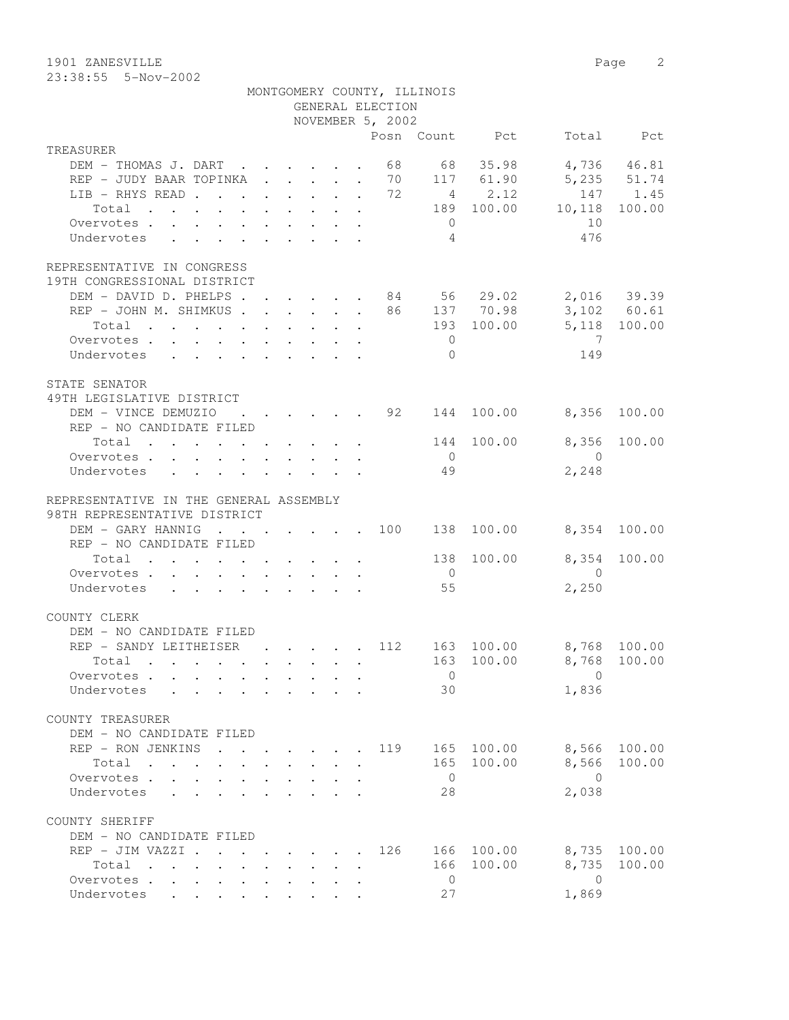1901 ZANESVILLE Page 2 23:38:55 5-Nov-2002

|                                                                                                                          |                                                                                         |  |                                                           | GENERAL ELECTION | MONTGOMERY COUNTY, ILLINOIS |                        |                         |              |
|--------------------------------------------------------------------------------------------------------------------------|-----------------------------------------------------------------------------------------|--|-----------------------------------------------------------|------------------|-----------------------------|------------------------|-------------------------|--------------|
|                                                                                                                          |                                                                                         |  |                                                           | NOVEMBER 5, 2002 |                             |                        |                         |              |
|                                                                                                                          |                                                                                         |  |                                                           |                  |                             | Posn Count Pct         |                         | Total Pct    |
| TREASURER                                                                                                                |                                                                                         |  |                                                           |                  |                             |                        |                         |              |
| DEM - THOMAS J. DART 68 68 35.98                                                                                         |                                                                                         |  |                                                           |                  |                             |                        | 5,235 51.74             | 4,736 46.81  |
| REP - JUDY BAAR TOPINKA 70 117 61.90                                                                                     |                                                                                         |  |                                                           |                  |                             | 4 2.12                 |                         | 147 1.45     |
| LIB - RHYS READ 72                                                                                                       |                                                                                         |  |                                                           |                  |                             | 189 100.00             | 10,118                  | 100.00       |
| Total                                                                                                                    |                                                                                         |  |                                                           |                  | $\overline{0}$              |                        | 10                      |              |
| Overvotes.                                                                                                               |                                                                                         |  |                                                           |                  | $\overline{4}$              |                        | 476                     |              |
| Undervotes<br>$\mathbf{r}$ , $\mathbf{r}$ , $\mathbf{r}$ , $\mathbf{r}$ , $\mathbf{r}$ , $\mathbf{r}$                    |                                                                                         |  |                                                           |                  |                             |                        |                         |              |
| REPRESENTATIVE IN CONGRESS                                                                                               |                                                                                         |  |                                                           |                  |                             |                        |                         |              |
| 19TH CONGRESSIONAL DISTRICT                                                                                              |                                                                                         |  |                                                           |                  |                             |                        |                         |              |
| DEM - DAVID D. PHELPS 84 56 29.02 2,016 39.39                                                                            |                                                                                         |  |                                                           |                  |                             |                        |                         |              |
| REP - JOHN M. SHIMKUS 86 137 70.98                                                                                       |                                                                                         |  |                                                           |                  |                             |                        |                         | 3,102 60.61  |
| Total<br>the contract of the contract of the contract of the contract of the contract of the contract of the contract of |                                                                                         |  |                                                           |                  |                             | 193 100.00             | 5,118 100.00            |              |
| Overvotes                                                                                                                |                                                                                         |  |                                                           |                  | $\overline{0}$              |                        | $\overline{7}$          |              |
| Undervotes                                                                                                               |                                                                                         |  |                                                           |                  | $\Omega$                    |                        | 149                     |              |
|                                                                                                                          |                                                                                         |  |                                                           |                  |                             |                        |                         |              |
| STATE SENATOR                                                                                                            |                                                                                         |  |                                                           |                  |                             |                        |                         |              |
| 49TH LEGISLATIVE DISTRICT                                                                                                |                                                                                         |  |                                                           |                  |                             |                        |                         |              |
| DEM - VINCE DEMUZIO                                                                                                      | $\mathbf{r}$ , $\mathbf{r}$ , $\mathbf{r}$ , $\mathbf{r}$ , $\mathbf{r}$ , $\mathbf{r}$ |  |                                                           |                  |                             | 92 144 100.00          | 8,356                   | 100.00       |
| REP - NO CANDIDATE FILED                                                                                                 |                                                                                         |  |                                                           |                  |                             |                        |                         |              |
| Total $\cdot$                                                                                                            |                                                                                         |  |                                                           |                  |                             | 144 100.00             | 8,356                   | 100.00       |
| Overvotes                                                                                                                |                                                                                         |  |                                                           |                  | $\bigcirc$                  |                        | $\bigcirc$              |              |
| Undervotes                                                                                                               |                                                                                         |  |                                                           |                  | 49                          |                        | 2,248                   |              |
|                                                                                                                          |                                                                                         |  |                                                           |                  |                             |                        |                         |              |
| REPRESENTATIVE IN THE GENERAL ASSEMBLY                                                                                   |                                                                                         |  |                                                           |                  |                             |                        |                         |              |
| 98TH REPRESENTATIVE DISTRICT                                                                                             |                                                                                         |  |                                                           |                  |                             |                        |                         |              |
| DEM - GARY HANNIG                                                                                                        |                                                                                         |  |                                                           |                  |                             | $\cdot$ 100 138 100.00 | 8,354 100.00            |              |
| REP - NO CANDIDATE FILED                                                                                                 |                                                                                         |  |                                                           |                  |                             |                        |                         |              |
| Total $\cdot$                                                                                                            |                                                                                         |  |                                                           |                  |                             | 138 100.00             | 8,354                   | 100.00       |
| Overvotes                                                                                                                |                                                                                         |  |                                                           |                  | $\overline{0}$              |                        | $\overline{0}$          |              |
| Undervotes                                                                                                               |                                                                                         |  |                                                           |                  | 55                          |                        | 2,250                   |              |
| COUNTY CLERK                                                                                                             |                                                                                         |  |                                                           |                  |                             |                        |                         |              |
| DEM - NO CANDIDATE FILED                                                                                                 |                                                                                         |  |                                                           |                  |                             |                        |                         |              |
| REP - SANDY LEITHEISER                                                                                                   |                                                                                         |  |                                                           | . 112            |                             | 163 100.00             | 8,768 100.00            |              |
| Total .                                                                                                                  |                                                                                         |  |                                                           |                  |                             |                        | 163 100.00 8,768 100.00 |              |
| Overvotes.                                                                                                               |                                                                                         |  |                                                           |                  | $\overline{0}$              |                        | $\Omega$                |              |
| Undervotes                                                                                                               |                                                                                         |  |                                                           |                  | 30                          |                        | 1,836                   |              |
|                                                                                                                          |                                                                                         |  |                                                           |                  |                             |                        |                         |              |
| COUNTY TREASURER                                                                                                         |                                                                                         |  |                                                           |                  |                             |                        |                         |              |
| DEM - NO CANDIDATE FILED                                                                                                 |                                                                                         |  |                                                           |                  |                             |                        |                         |              |
| REP - RON JENKINS                                                                                                        |                                                                                         |  | $\mathbf{r}$ , $\mathbf{r}$ , $\mathbf{r}$ , $\mathbf{r}$ | 119              |                             | 165 100.00             |                         | 8,566 100.00 |
| Total                                                                                                                    |                                                                                         |  |                                                           |                  |                             | 165 100.00             |                         | 8,566 100.00 |
| Overvotes                                                                                                                | $\mathbf{r}$ , $\mathbf{r}$ , $\mathbf{r}$ , $\mathbf{r}$ , $\mathbf{r}$ , $\mathbf{r}$ |  |                                                           |                  | $\overline{0}$              |                        | $\bigcirc$              |              |
| Undervotes<br>$\mathbf{r}$ , $\mathbf{r}$ , $\mathbf{r}$                                                                 |                                                                                         |  | $\mathbf{r}$ and $\mathbf{r}$ and $\mathbf{r}$            |                  | 28                          |                        | 2,038                   |              |
|                                                                                                                          |                                                                                         |  |                                                           |                  |                             |                        |                         |              |
| COUNTY SHERIFF                                                                                                           |                                                                                         |  |                                                           |                  |                             |                        |                         |              |
| DEM - NO CANDIDATE FILED                                                                                                 |                                                                                         |  |                                                           |                  |                             |                        |                         |              |
| REP - JIM VAZZI .                                                                                                        | $\cdot$ $\cdot$ $\cdot$ $\cdot$ $\cdot$ $\cdot$ $\cdot$                                 |  |                                                           | 126              |                             | 166 100.00             |                         | 8,735 100.00 |
| Total                                                                                                                    |                                                                                         |  |                                                           |                  |                             | 166 100.00             | 8,735                   | 100.00       |
| Overvotes                                                                                                                |                                                                                         |  |                                                           |                  | $\overline{0}$              |                        | $\overline{0}$          |              |
| Undervotes                                                                                                               |                                                                                         |  |                                                           |                  | 27                          |                        | 1,869                   |              |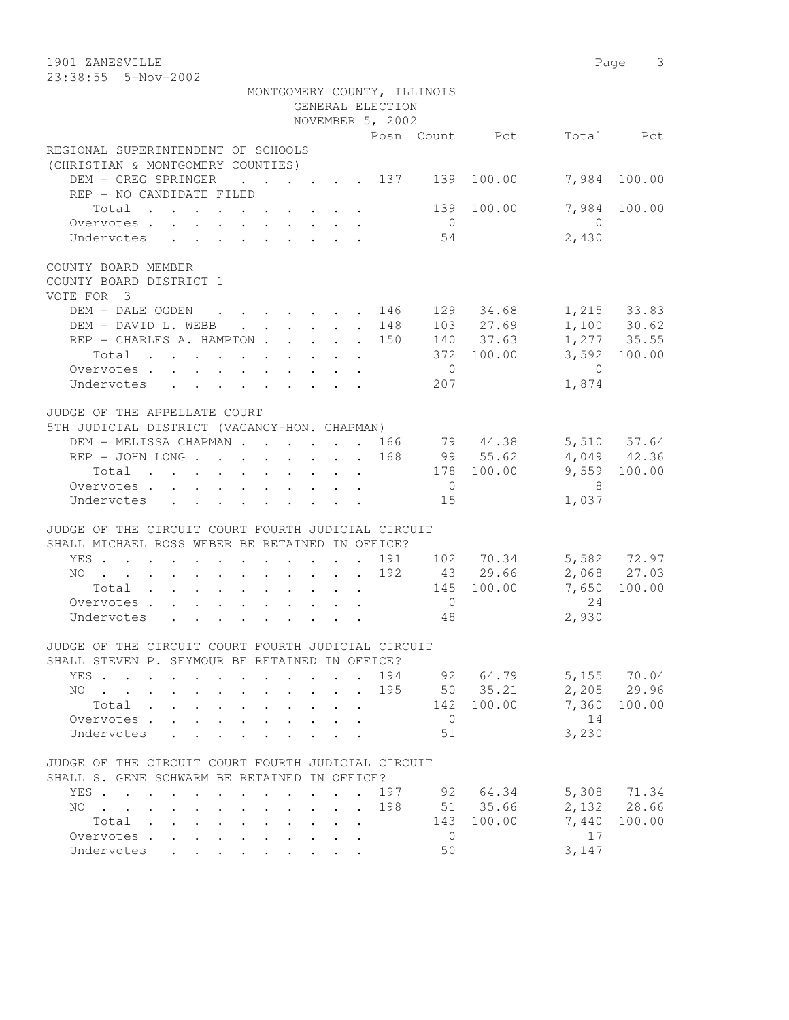23:38:55 5-Nov-2002

|                                                                                                                  |                                                                                                                                     | MONTGOMERY COUNTY, ILLINOIS |                |                |                           |               |
|------------------------------------------------------------------------------------------------------------------|-------------------------------------------------------------------------------------------------------------------------------------|-----------------------------|----------------|----------------|---------------------------|---------------|
|                                                                                                                  |                                                                                                                                     | GENERAL ELECTION            |                |                |                           |               |
|                                                                                                                  |                                                                                                                                     | NOVEMBER 5, 2002            |                |                |                           |               |
| REGIONAL SUPERINTENDENT OF SCHOOLS<br>(CHRISTIAN & MONTGOMERY COUNTIES)                                          |                                                                                                                                     |                             |                | Posn Count Pct |                           | Total Pct     |
| DEM - GREG SPRINGER 137 139 100.00                                                                               |                                                                                                                                     |                             |                |                |                           | 7,984 100.00  |
| REP - NO CANDIDATE FILED                                                                                         |                                                                                                                                     |                             |                |                |                           |               |
| Total $\cdot$                                                                                                    |                                                                                                                                     |                             |                | 139 100.00     |                           | 7,984 100.00  |
| Overvotes.                                                                                                       |                                                                                                                                     |                             | $\overline{0}$ |                | $\bigcirc$                |               |
| Undervotes                                                                                                       |                                                                                                                                     |                             | 54             |                | 2,430                     |               |
| COUNTY BOARD MEMBER                                                                                              |                                                                                                                                     |                             |                |                |                           |               |
| COUNTY BOARD DISTRICT 1                                                                                          |                                                                                                                                     |                             |                |                |                           |               |
| VOTE FOR 3                                                                                                       |                                                                                                                                     |                             |                |                |                           |               |
| DEM - DALE OGDEN 146 129 34.68 1,215 33.83                                                                       |                                                                                                                                     |                             |                |                |                           |               |
| DEM - DAVID L. WEBB 148                                                                                          |                                                                                                                                     |                             |                | 103 27.69      |                           | $1,100$ 30.62 |
| REP - CHARLES A. HAMPTON 150                                                                                     |                                                                                                                                     |                             |                | 140 37.63      |                           | 1,277 35.55   |
| Total                                                                                                            |                                                                                                                                     |                             |                | 372 100.00     |                           | 3,592 100.00  |
| Overvotes.                                                                                                       |                                                                                                                                     |                             | $\overline{0}$ |                | $\bigcirc$                |               |
| Undervotes                                                                                                       |                                                                                                                                     |                             | 207            |                | 1,874                     |               |
| JUDGE OF THE APPELLATE COURT                                                                                     |                                                                                                                                     |                             |                |                |                           |               |
| 5TH JUDICIAL DISTRICT (VACANCY-HON. CHAPMAN)                                                                     |                                                                                                                                     |                             |                |                |                           |               |
| DEM - MELISSA CHAPMAN 166 79 44.38 5,510 57.64                                                                   |                                                                                                                                     |                             |                |                |                           |               |
| REP - JOHN LONG 168 99 55.62 4,049 42.36                                                                         |                                                                                                                                     |                             |                |                |                           |               |
|                                                                                                                  |                                                                                                                                     |                             |                | 178 100.00     |                           | 9,559 100.00  |
| Total                                                                                                            |                                                                                                                                     |                             | $\overline{0}$ |                | 8                         |               |
| Overvotes                                                                                                        |                                                                                                                                     |                             | 15             |                | 1,037                     |               |
| Undervotes                                                                                                       |                                                                                                                                     |                             |                |                |                           |               |
| JUDGE OF THE CIRCUIT COURT FOURTH JUDICIAL CIRCUIT                                                               |                                                                                                                                     |                             |                |                |                           |               |
| SHALL MICHAEL ROSS WEBER BE RETAINED IN OFFICE?                                                                  |                                                                                                                                     |                             |                |                |                           |               |
| YES                                                                                                              |                                                                                                                                     |                             |                |                | 191 102 70.34 5,582 72.97 |               |
| NO 192 43 29.66                                                                                                  |                                                                                                                                     |                             |                |                |                           | 2,068 27.03   |
| Total 145 100.00                                                                                                 |                                                                                                                                     |                             |                |                | 7,650                     | 100.00        |
| Overvotes                                                                                                        |                                                                                                                                     |                             | $\overline{0}$ |                | 24                        |               |
| Undervotes                                                                                                       |                                                                                                                                     |                             | 48             |                | 2,930                     |               |
| JUDGE OF THE CIRCUIT COURT FOURTH JUDICIAL CIRCUIT                                                               |                                                                                                                                     |                             |                |                |                           |               |
| SHALL STEVEN P. SEYMOUR BE RETAINED IN OFFICE?                                                                   |                                                                                                                                     |                             |                |                |                           |               |
| YES .<br>$\mathbf{r}$ , $\mathbf{r}$ , $\mathbf{r}$ , $\mathbf{r}$ , $\mathbf{r}$ , $\mathbf{r}$<br>$\mathbf{L}$ |                                                                                                                                     | 194                         | 92             | 64.79          | 5,155                     | 70.04         |
| $NO$                                                                                                             | $\cdot$ $\cdot$ $\cdot$ $\cdot$ $\cdot$                                                                                             | 195<br>$\sim$               |                | 50 35.21       | 2,205                     | 29.96         |
| Total .<br>$\mathbf{L}^{\text{max}}$<br>$\mathbf{L}^{\text{max}}$<br>$\sim$<br>$\ddot{\phantom{0}}$              | $\mathbf{L}^{\text{max}}$<br>$\ddot{\phantom{0}}$<br>$\ddot{\phantom{a}}$                                                           |                             | 142            | 100.00         | 7,360                     | 100.00        |
| Overvotes.                                                                                                       |                                                                                                                                     |                             | $\overline{0}$ |                | 14                        |               |
| Undervotes                                                                                                       |                                                                                                                                     |                             | 51             |                | 3,230                     |               |
|                                                                                                                  |                                                                                                                                     |                             |                |                |                           |               |
| JUDGE OF THE CIRCUIT COURT FOURTH JUDICIAL CIRCUIT                                                               |                                                                                                                                     |                             |                |                |                           |               |
| SHALL S. GENE SCHWARM BE RETAINED IN OFFICE?                                                                     |                                                                                                                                     |                             |                |                |                           |               |
| YES.<br>$\sim$                                                                                                   | $\mathbf{r}$ , $\mathbf{r}$ , $\mathbf{r}$                                                                                          | 197                         | 92             | 64.34          | 5,308                     | 71.34         |
| NO.<br>$\cdot$<br>$\cdot$ $\cdot$                                                                                | $\mathbf{r}$ , $\mathbf{r}$ , $\mathbf{r}$                                                                                          | 198<br>$\mathbf{r}$         | 51             | 35.66          | 2,132                     | 28.66         |
| Total<br>$\mathbf{r}$ , and $\mathbf{r}$ , and $\mathbf{r}$ , and $\mathbf{r}$ , and $\mathbf{r}$                |                                                                                                                                     |                             | 143            | 100.00         | 7,440                     | 100.00        |
| Overvotes                                                                                                        | $\begin{array}{cccccccccccccc} \bullet & \bullet & \bullet & \bullet & \bullet & \bullet & \bullet & \bullet & \bullet \end{array}$ |                             | 0              |                | 17                        |               |
| Undervotes                                                                                                       |                                                                                                                                     |                             | 50             |                | 3,147                     |               |